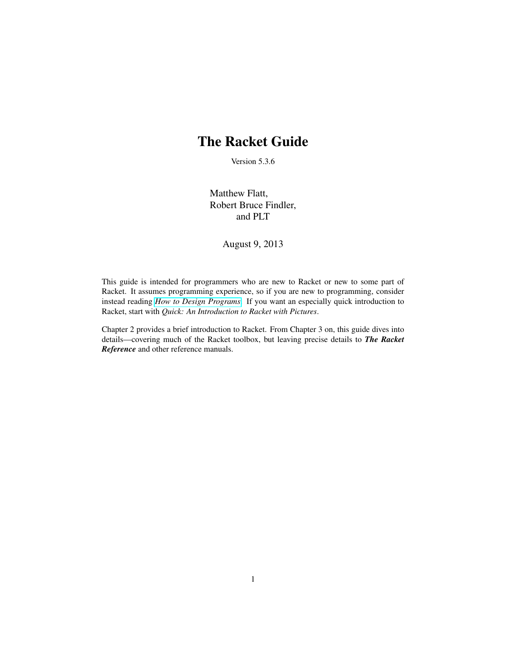# The Racket Guide

Version 5.3.6

Matthew Flatt, Robert Bruce Findler, and PLT

August 9, 2013

This guide is intended for programmers who are new to Racket or new to some part of Racket. It assumes programming experience, so if you are new to programming, consider instead reading *[How to Design Programs](http://www.htdp.org)*. If you want an especially quick introduction to Racket, start with *Quick: An Introduction to Racket with Pictures*.

Chapter 2 provides a brief introduction to Racket. From Chapter 3 on, this guide dives into details—covering much of the Racket toolbox, but leaving precise details to *The Racket Reference* and other reference manuals.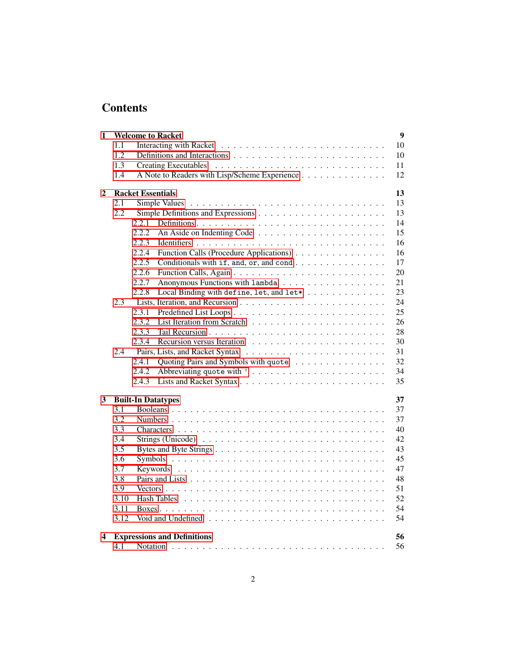# **Contents**

| 1            |      | <b>Welcome to Racket</b>                                                                  | 9  |
|--------------|------|-------------------------------------------------------------------------------------------|----|
|              | 1.1  |                                                                                           | 10 |
|              | 1.2  |                                                                                           | 10 |
|              | 1.3  |                                                                                           | 11 |
|              | 1.4  | A Note to Readers with Lisp/Scheme Experience                                             | 12 |
| $\mathbf{2}$ |      | <b>Racket Essentials</b>                                                                  | 13 |
|              | 2.1  | Simple Values                                                                             | 13 |
|              | 2.2  |                                                                                           | 13 |
|              |      | 2.2.1                                                                                     | 14 |
|              |      | 2.2.2                                                                                     | 15 |
|              |      | 2.2.3                                                                                     | 16 |
|              |      | 2.2.4<br>Function Calls (Procedure Applications)                                          | 16 |
|              |      | 2.2.5<br>Conditionals with if, and, or, and cond                                          | 17 |
|              |      | 2.2.6                                                                                     | 20 |
|              |      | 2.2.7<br>Anonymous Functions with lambda                                                  | 21 |
|              |      | 2.2.8<br>Local Binding with define, let, and let*                                         | 23 |
|              | 2.3  |                                                                                           | 24 |
|              |      | 2.3.1                                                                                     | 25 |
|              |      | 2.3.2                                                                                     | 26 |
|              |      | 2.3.3                                                                                     | 28 |
|              |      | 2.3.4                                                                                     | 30 |
|              | 2.4  |                                                                                           | 31 |
|              |      | 2.4.1<br>Quoting Pairs and Symbols with quote                                             | 32 |
|              |      | 2.4.2                                                                                     | 34 |
|              |      | 2.4.3                                                                                     | 35 |
| 3            |      | <b>Built-In Datatypes</b>                                                                 | 37 |
|              | 3.1  |                                                                                           | 37 |
|              | 3.2  |                                                                                           | 37 |
|              | 3.3  |                                                                                           | 40 |
|              | 3.4  | Strings (Unicode) $\ldots \ldots \ldots \ldots \ldots \ldots \ldots \ldots \ldots \ldots$ | 42 |
|              | 3.5  |                                                                                           | 43 |
|              | 3.6  |                                                                                           | 45 |
|              | 3.7  |                                                                                           | 47 |
|              | 3.8  |                                                                                           | 48 |
|              | 3.9  |                                                                                           | 51 |
|              | 3.10 |                                                                                           | 52 |
|              | 3.11 |                                                                                           | 54 |
|              | 3.12 |                                                                                           | 54 |
| 4            |      | <b>Expressions and Definitions</b>                                                        | 56 |
|              | 4.1  |                                                                                           | 56 |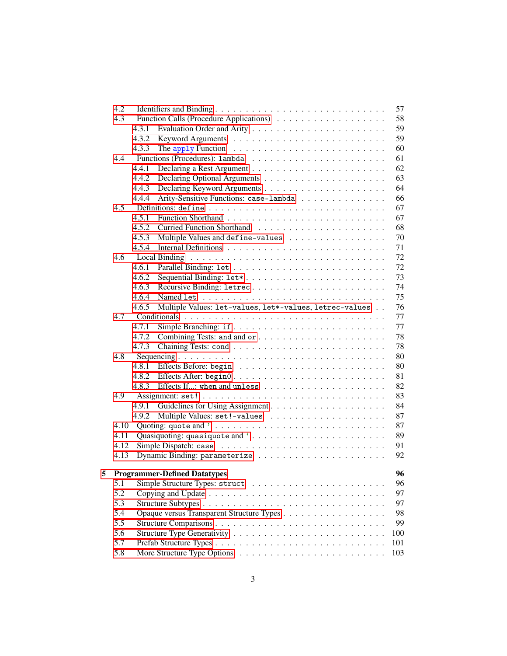|   | 4.2  |       | 57                                                      |  |
|---|------|-------|---------------------------------------------------------|--|
|   | 4.3  |       | 58                                                      |  |
|   |      | 4.3.1 | 59                                                      |  |
|   |      | 4.3.2 | 59                                                      |  |
|   |      | 4.3.3 | 60                                                      |  |
|   | 4.4  |       | 61                                                      |  |
|   |      | 4.4.1 | 62                                                      |  |
|   |      | 4.4.2 | 63                                                      |  |
|   |      | 4.4.3 | 64                                                      |  |
|   |      | 4.4.4 | Arity-Sensitive Functions: case-lambda<br>66            |  |
|   | 4.5  |       | 67                                                      |  |
|   |      | 4.5.1 | 67                                                      |  |
|   |      | 4.5.2 | 68                                                      |  |
|   |      | 4.5.3 | 70<br>Multiple Values and define-values                 |  |
|   |      | 4.5.4 | 71                                                      |  |
|   | 4.6  |       | 72                                                      |  |
|   |      | 4.6.1 | 72                                                      |  |
|   |      | 4.6.2 | 73                                                      |  |
|   |      | 4.6.3 | 74<br>Recursive Binding: letrec                         |  |
|   |      | 4.6.4 | 75                                                      |  |
|   |      | 4.6.5 | 76                                                      |  |
|   |      |       | Multiple Values: let-values, let*-values, letrec-values |  |
|   | 4.7  |       | 77                                                      |  |
|   |      | 4.7.1 | 77                                                      |  |
|   |      | 4.7.2 | 78                                                      |  |
|   |      | 4.7.3 | 78                                                      |  |
|   | 4.8  |       | 80                                                      |  |
|   |      | 4.8.1 | 80                                                      |  |
|   |      |       | 81<br>4.8.2 Effects After: begin0                       |  |
|   |      | 4.8.3 | 82                                                      |  |
|   | 4.9  |       | 83                                                      |  |
|   |      | 4.9.1 | 84                                                      |  |
|   |      | 4.9.2 | 87                                                      |  |
|   | 4.10 |       | 87                                                      |  |
|   | 4.11 |       | Quasiquoting: quasiquote and '<br>89                    |  |
|   | 4.12 |       | 91                                                      |  |
|   | 4.13 |       | 92                                                      |  |
| 5 |      |       | <b>Programmer-Defined Datatypes</b><br>96               |  |
|   | 5.1  |       | 96                                                      |  |
|   | 5.2  |       | 97                                                      |  |
|   | 5.3  |       | 97                                                      |  |
|   | 5.4  |       | Opaque versus Transparent Structure Types<br>98         |  |
|   | 5.5  |       | 99                                                      |  |
|   | 5.6  |       | 100                                                     |  |
|   | 5.7  |       | 101                                                     |  |
|   | 5.8  |       | 103                                                     |  |
|   |      |       |                                                         |  |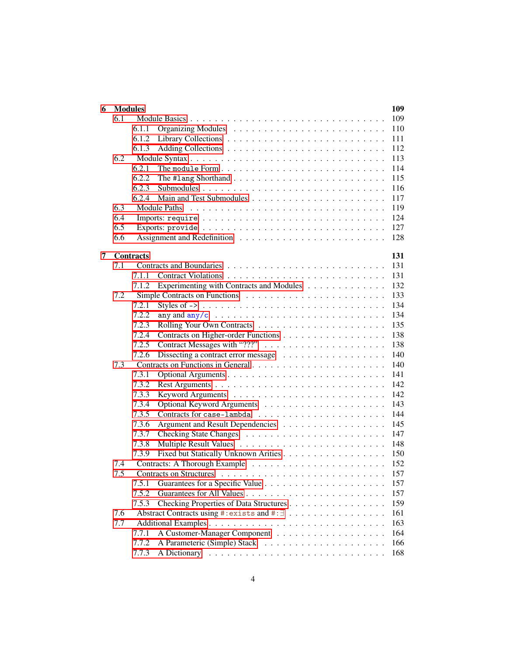| 6 | <b>Modules</b> |                                                                                                               | 109        |
|---|----------------|---------------------------------------------------------------------------------------------------------------|------------|
|   | 6.1            |                                                                                                               | 109        |
|   |                | 6.1.1                                                                                                         | 110        |
|   |                | 6.1.2                                                                                                         | 111        |
|   |                | 6.1.3                                                                                                         | 112        |
|   | 6.2            |                                                                                                               | 113        |
|   |                | 6.2.1                                                                                                         | 114        |
|   |                | 6.2.2                                                                                                         | 115        |
|   |                | 6.2.3                                                                                                         | 116        |
|   |                | 6.2.4                                                                                                         | 117        |
|   | 6.3            |                                                                                                               | 119        |
|   | 6.4            |                                                                                                               | 124        |
|   | 6.5            |                                                                                                               | 127        |
|   | 6.6            |                                                                                                               | 128        |
|   |                |                                                                                                               |            |
| 7 | 7.1            | <b>Contracts</b>                                                                                              | 131<br>131 |
|   |                | 7.1.1                                                                                                         | 131        |
|   |                | Experimenting with Contracts and Modules<br>7.1.2                                                             | 132        |
|   | 7.2            |                                                                                                               | 133        |
|   |                | 7.2.1<br>Styles of $\rightarrow \ldots \ldots \ldots \ldots \ldots \ldots \ldots \ldots \ldots \ldots \ldots$ | 134        |
|   |                | 7.2.2                                                                                                         | 134        |
|   |                | 7.2.3                                                                                                         | 135        |
|   |                | 7.2.4<br>Contracts on Higher-order Functions                                                                  | 138        |
|   |                | 7.2.5                                                                                                         | 138        |
|   |                | 7.2.6<br>Dissecting a contract error message                                                                  | 140        |
|   | 7.3            |                                                                                                               | 140        |
|   |                | 7.3.1                                                                                                         | 141        |
|   |                | 7.3.2                                                                                                         | 142        |
|   |                | 7.3.3                                                                                                         | 142        |
|   |                | 7.3.4                                                                                                         | 143        |
|   |                | 7.3.5                                                                                                         | 144        |
|   |                | 7.3.6<br>Argument and Result Dependencies                                                                     | 145        |
|   |                | 7.3.7                                                                                                         | 147        |
|   |                | 7.3.8                                                                                                         | 148        |
|   |                | 7.3.9<br>Fixed but Statically Unknown Arities                                                                 | 150        |
|   | 7.4            |                                                                                                               | 152        |
|   | 7.5            |                                                                                                               | 157        |
|   |                | 7.5.1                                                                                                         | 157        |
|   |                | 7.5.2                                                                                                         | 157        |
|   |                | 7.5.3<br>Checking Properties of Data Structures                                                               | 159        |
|   | 7.6            | Abstract Contracts using #: exists and $\#\colon\exists \dots \dots \dots \dots \dots \dots$                  | 161        |
|   | 7.7            |                                                                                                               | 163        |
|   |                | 7.7.1                                                                                                         | 164        |
|   |                | 7.7.2                                                                                                         | 166        |
|   |                | 7.7.3                                                                                                         | 168        |
|   |                |                                                                                                               |            |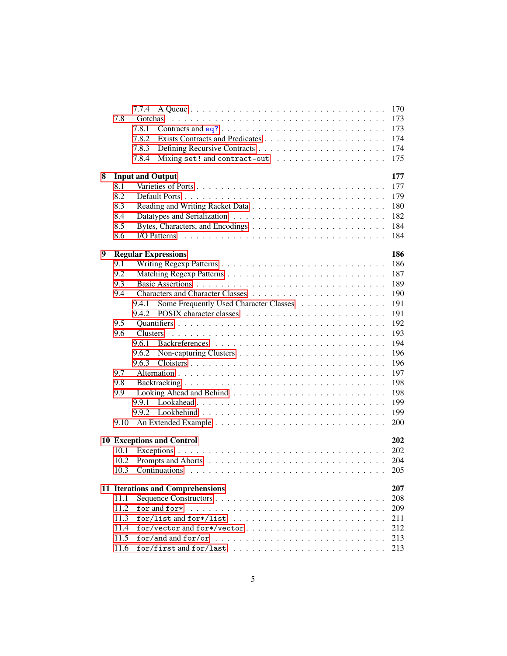|   |      | 7.7.4                                                                                              | 170 |
|---|------|----------------------------------------------------------------------------------------------------|-----|
|   | 7.8  | Gotchas                                                                                            | 173 |
|   |      | 7.8.1<br>Contracts and $eq? \ldots \ldots \ldots \ldots \ldots \ldots \ldots \ldots \ldots \ldots$ | 173 |
|   |      | 7.8.2                                                                                              | 174 |
|   |      | 7.8.3                                                                                              | 174 |
|   |      | 7.8.4                                                                                              | 175 |
| 8 |      | <b>Input and Output</b>                                                                            | 177 |
|   | 8.1  |                                                                                                    | 177 |
|   | 8.2  | Default Ports                                                                                      | 179 |
|   | 8.3  |                                                                                                    | 180 |
|   | 8.4  |                                                                                                    | 182 |
|   | 8.5  |                                                                                                    | 184 |
|   | 8.6  |                                                                                                    | 184 |
| 9 |      | <b>Regular Expressions</b>                                                                         | 186 |
|   | 9.1  |                                                                                                    | 186 |
|   | 9.2  |                                                                                                    | 187 |
|   | 9.3  |                                                                                                    | 189 |
|   | 9.4  |                                                                                                    | 190 |
|   |      | Some Frequently Used Character Classes<br>9.4.1                                                    | 191 |
|   |      | 9.4.2                                                                                              | 191 |
|   | 9.5  |                                                                                                    | 192 |
|   | 9.6  | <b>Clusters</b>                                                                                    | 193 |
|   |      | 9.6.1                                                                                              | 194 |
|   |      |                                                                                                    |     |
|   |      | 9.6.2                                                                                              | 196 |
|   |      | 9.6.3                                                                                              | 196 |
|   | 9.7  |                                                                                                    | 197 |
|   | 9.8  |                                                                                                    | 198 |
|   | 9.9  |                                                                                                    | 198 |
|   |      | 9.9.1                                                                                              | 199 |
|   |      | 9.9.2                                                                                              | 199 |
|   | 9.10 |                                                                                                    | 200 |
|   |      | <b>10 Exceptions and Control</b>                                                                   | 202 |
|   | 10.1 |                                                                                                    | 202 |
|   | 10.2 |                                                                                                    | 204 |
|   | 10.3 |                                                                                                    | 205 |
|   |      | <b>11 Iterations and Comprehensions</b>                                                            | 207 |
|   | 11.1 |                                                                                                    | 208 |
|   | 11.2 | for and for*                                                                                       | 209 |
|   | 11.3 |                                                                                                    | 211 |
|   | 11.4 |                                                                                                    | 212 |
|   | 11.5 |                                                                                                    | 213 |
|   | 11.6 |                                                                                                    | 213 |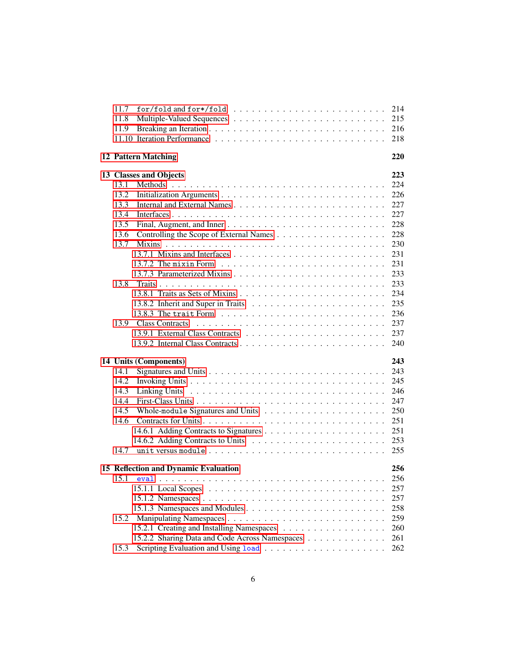| 11.7 |                                                | 214 |
|------|------------------------------------------------|-----|
| 11.8 |                                                | 215 |
| 11.9 |                                                | 216 |
|      |                                                | 218 |
|      | <b>12 Pattern Matching</b>                     | 220 |
|      | 13 Classes and Objects                         | 223 |
| 13.1 |                                                | 224 |
| 13.2 |                                                | 226 |
| 13.3 |                                                | 227 |
| 13.4 |                                                | 227 |
| 13.5 |                                                | 228 |
| 13.6 |                                                | 228 |
| 13.7 |                                                | 230 |
|      |                                                | 231 |
|      |                                                | 231 |
|      |                                                | 233 |
| 13.8 |                                                | 233 |
|      |                                                | 234 |
|      |                                                | 235 |
|      |                                                | 236 |
| 13.9 |                                                | 237 |
|      |                                                | 237 |
|      |                                                | 240 |
|      | 14 Units (Components)                          | 243 |
| 14.1 |                                                | 243 |
| 14.2 |                                                | 245 |
| 14.3 |                                                | 246 |
| 14.4 |                                                | 247 |
| 14.5 |                                                | 250 |
| 14.6 |                                                | 251 |
|      |                                                | 251 |
|      |                                                | 253 |
| 14.7 |                                                | 255 |
|      | 15 Reflection and Dynamic Evaluation           | 256 |
| 15.1 |                                                | 256 |
|      |                                                | 257 |
|      |                                                | 257 |
|      |                                                | 258 |
| 15.2 |                                                | 259 |
|      | 15.2.1 Creating and Installing Namespaces      | 260 |
|      | 15.2.2 Sharing Data and Code Across Namespaces | 261 |
| 15.3 |                                                | 262 |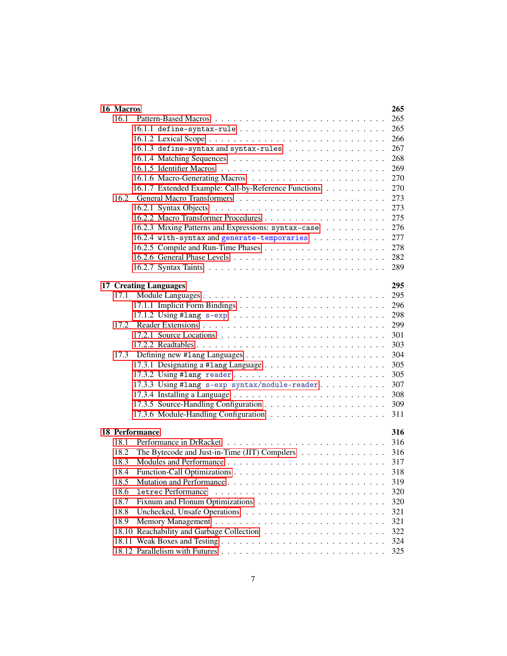|      |                                                      | 265                                                                                                                                                                                     |
|------|------------------------------------------------------|-----------------------------------------------------------------------------------------------------------------------------------------------------------------------------------------|
| 16.1 |                                                      | 265                                                                                                                                                                                     |
|      |                                                      | 265                                                                                                                                                                                     |
|      |                                                      | 266                                                                                                                                                                                     |
|      | 16.1.3 define-syntax and syntax-rules                | 267                                                                                                                                                                                     |
|      |                                                      | 268                                                                                                                                                                                     |
|      |                                                      | 269                                                                                                                                                                                     |
|      |                                                      | 270                                                                                                                                                                                     |
|      | 16.1.7 Extended Example: Call-by-Reference Functions | 270                                                                                                                                                                                     |
|      |                                                      | 273                                                                                                                                                                                     |
|      |                                                      | 273                                                                                                                                                                                     |
|      |                                                      | 275                                                                                                                                                                                     |
|      |                                                      | 276                                                                                                                                                                                     |
|      |                                                      | 277                                                                                                                                                                                     |
|      |                                                      | 278                                                                                                                                                                                     |
|      |                                                      | 282                                                                                                                                                                                     |
|      |                                                      | 289                                                                                                                                                                                     |
|      |                                                      |                                                                                                                                                                                         |
|      |                                                      | 295                                                                                                                                                                                     |
| 17.1 |                                                      | 295                                                                                                                                                                                     |
|      |                                                      | 296                                                                                                                                                                                     |
|      |                                                      | 298                                                                                                                                                                                     |
| 17.2 |                                                      | 299                                                                                                                                                                                     |
|      |                                                      | 301                                                                                                                                                                                     |
|      |                                                      | 303                                                                                                                                                                                     |
| 17.3 |                                                      | 304                                                                                                                                                                                     |
|      |                                                      | 305                                                                                                                                                                                     |
|      |                                                      | 305                                                                                                                                                                                     |
|      | 17.3.3 Using #lang s-exp syntax/module-reader        | 307                                                                                                                                                                                     |
|      |                                                      | 308                                                                                                                                                                                     |
|      |                                                      | 309                                                                                                                                                                                     |
|      |                                                      | 311                                                                                                                                                                                     |
|      |                                                      |                                                                                                                                                                                         |
|      |                                                      | 316                                                                                                                                                                                     |
| 18.1 |                                                      | 316                                                                                                                                                                                     |
| 18.2 | The Bytecode and Just-in-Time (JIT) Compilers        | 316                                                                                                                                                                                     |
| 18.3 |                                                      | 317                                                                                                                                                                                     |
| 18.4 |                                                      | 318                                                                                                                                                                                     |
| 18.5 |                                                      | 319                                                                                                                                                                                     |
| 18.6 | letrec Performance                                   | 320                                                                                                                                                                                     |
| 18.7 |                                                      | 320                                                                                                                                                                                     |
| 18.8 |                                                      | 321                                                                                                                                                                                     |
| 18.9 |                                                      | 321                                                                                                                                                                                     |
|      |                                                      | 322                                                                                                                                                                                     |
|      |                                                      | 324                                                                                                                                                                                     |
|      |                                                      | 325                                                                                                                                                                                     |
|      |                                                      | 16 Macros<br>16.2.3 Mixing Patterns and Expressions: syntax-case<br>16.2.4 with-syntax and generate-temporaries<br>17 Creating Languages<br>17.3.2 Using #lang reader<br>18 Performance |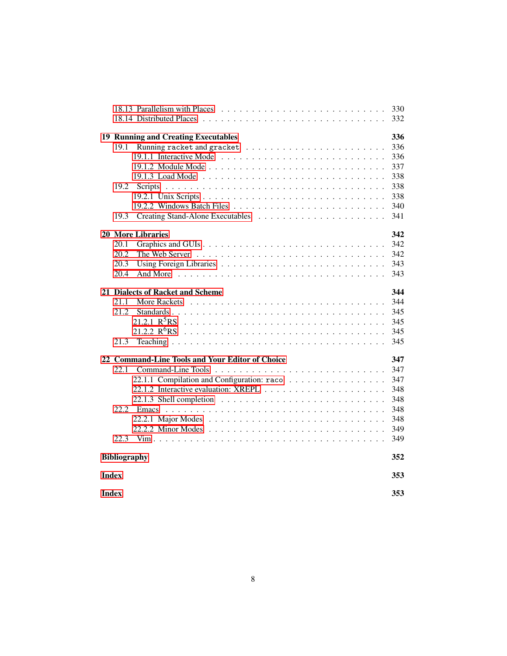| 18.13 Parallelism with Places                   | 330<br>332 |
|-------------------------------------------------|------------|
| <b>19 Running and Creating Executables</b>      | 336        |
| 19.1                                            | 336        |
|                                                 | 336        |
|                                                 | 337        |
|                                                 | 338        |
| 19.2<br><b>Scripts</b>                          | 338        |
|                                                 | 338        |
|                                                 | 340        |
| 19.3                                            | 341        |
| <b>20 More Libraries</b>                        | 342        |
| 20.1                                            | 342        |
| 20.2                                            | 342        |
| 20.3                                            | 343        |
| 20.4                                            | 343        |
| 21 Dialects of Racket and Scheme                | 344        |
| 21.1                                            | 344        |
| 21.2                                            | 345        |
| 21.2.1 $R^5RS$                                  | 345        |
| $21.2.2 \text{ R}^{6} \text{RS}$                | 345        |
| 21.3                                            | 345        |
| 22 Command-Line Tools and Your Editor of Choice | 347        |
| 22.1                                            | 347        |
| 22.1.1 Compilation and Configuration: raco      | 347        |
|                                                 | 348        |
|                                                 | 348        |
| 22.2 Emacs                                      | 348        |
|                                                 | 348        |
|                                                 | 349        |
| 22.3                                            | 349        |
| <b>Bibliography</b>                             | 352        |
| <b>Index</b>                                    | 353        |
| <b>Index</b>                                    | 353        |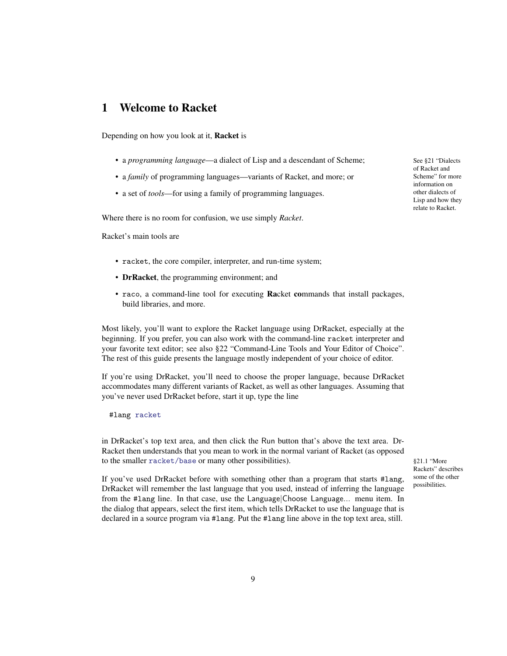## <span id="page-8-0"></span>1 Welcome to Racket

Depending on how you look at it, Racket is

- a *programming language*—a dialect of Lisp and a descendant of Scheme; See §21 "Dialects
- a *family* of programming languages—variants of Racket, and more; or
- a set of *tools*—for using a family of programming languages.

Where there is no room for confusion, we use simply *Racket*.

Racket's main tools are

- racket, the core compiler, interpreter, and run-time system;
- DrRacket, the programming environment; and
- raco, a command-line tool for executing Racket commands that install packages, build libraries, and more.

Most likely, you'll want to explore the Racket language using DrRacket, especially at the beginning. If you prefer, you can also work with the command-line racket interpreter and your favorite text editor; see also §22 "Command-Line Tools and Your Editor of Choice". The rest of this guide presents the language mostly independent of your choice of editor.

If you're using DrRacket, you'll need to choose the proper language, because DrRacket accommodates many different variants of Racket, as well as other languages. Assuming that you've never used DrRacket before, start it up, type the line

#lang racket

in DrRacket's top text area, and then click the Run button that's above the text area. Dr-Racket then understands that you mean to work in the normal variant of Racket (as opposed to the smaller racket/base or many other possibilities).  $\S 21.1$  "More

Rackets" describes some of the other possibilities.

If you've used DrRacket before with something other than a program that starts #lang, DrRacket will remember the last language that you used, instead of inferring the language from the #lang line. In that case, use the Language|Choose Language... menu item. In the dialog that appears, select the first item, which tells DrRacket to use the language that is declared in a source program via #lang. Put the #lang line above in the top text area, still.

of Racket and Scheme" for more information on other dialects of Lisp and how they relate to Racket.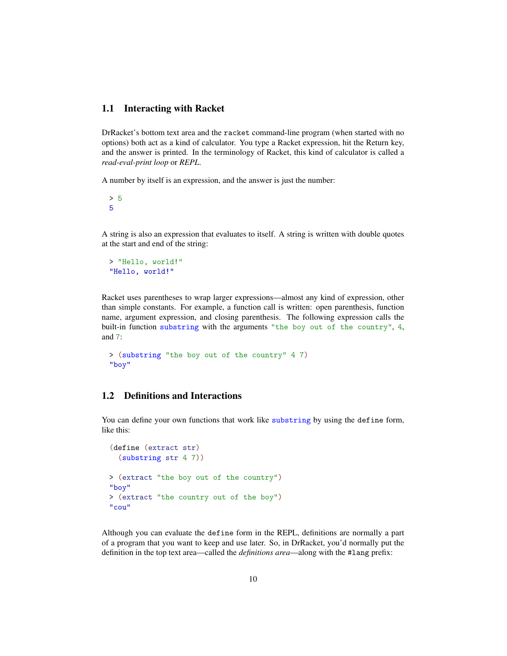## <span id="page-9-0"></span>1.1 Interacting with Racket

DrRacket's bottom text area and the racket command-line program (when started with no options) both act as a kind of calculator. You type a Racket expression, hit the Return key, and the answer is printed. In the terminology of Racket, this kind of calculator is called a *read-eval-print loop* or *REPL*.

A number by itself is an expression, and the answer is just the number:

> 5 5

A string is also an expression that evaluates to itself. A string is written with double quotes at the start and end of the string:

```
> "Hello, world!"
"Hello, world!"
```
Racket uses parentheses to wrap larger expressions—almost any kind of expression, other than simple constants. For example, a function call is written: open parenthesis, function name, argument expression, and closing parenthesis. The following expression calls the built-in function substring with the arguments "the boy out of the country", 4, and 7:

```
> (substring "the boy out of the country" 4 7)
"boy"
```
## <span id="page-9-1"></span>1.2 Definitions and Interactions

You can define your own functions that work like substring by using the define form, like this:

```
(define (extract str)
  (substring str 4 7))
> (extract "the boy out of the country")
"boy"
> (extract "the country out of the boy")
"cou"
```
Although you can evaluate the define form in the REPL, definitions are normally a part of a program that you want to keep and use later. So, in DrRacket, you'd normally put the definition in the top text area—called the *definitions area*—along with the #lang prefix: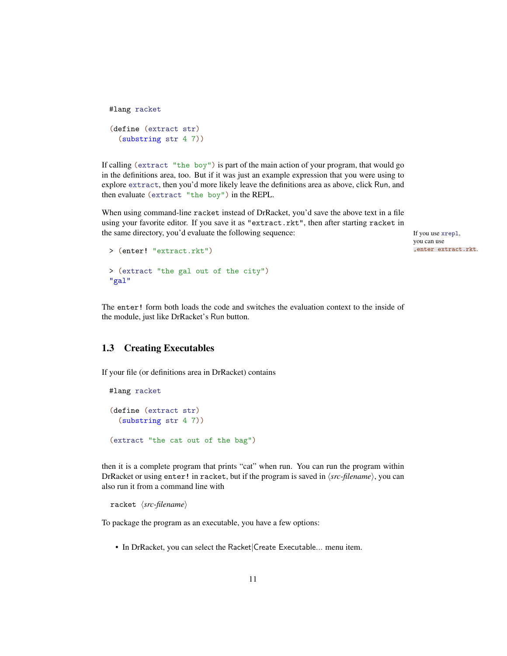```
#lang racket
(define (extract str)
  (substring str 4 7))
```
If calling (extract "the boy") is part of the main action of your program, that would go in the definitions area, too. But if it was just an example expression that you were using to explore extract, then you'd more likely leave the definitions area as above, click Run, and then evaluate (extract "the boy") in the REPL.

When using command-line racket instead of DrRacket, you'd save the above text in a file using your favorite editor. If you save it as "extract.rkt", then after starting racket in the same directory, you'd evaluate the following sequence: If you use xrepl,

```
you can use
```

```
> (enter! "extract.rkt") > (enter extract.rkt")
> (extract "the gal out of the city")
"gal"
```
The enter! form both loads the code and switches the evaluation context to the inside of the module, just like DrRacket's Run button.

### <span id="page-10-0"></span>1.3 Creating Executables

If your file (or definitions area in DrRacket) contains

```
#lang racket
(define (extract str)
  (substring str 4 7))
(extract "the cat out of the bag")
```
then it is a complete program that prints "cat" when run. You can run the program within DrRacket or using enter! in racket, but if the program is saved in  $\langle src\text{-}filename \rangle$ , you can also run it from a command line with

```
racket (src-filename)
```
To package the program as an executable, you have a few options:

• In DrRacket, you can select the Racket|Create Executable... menu item.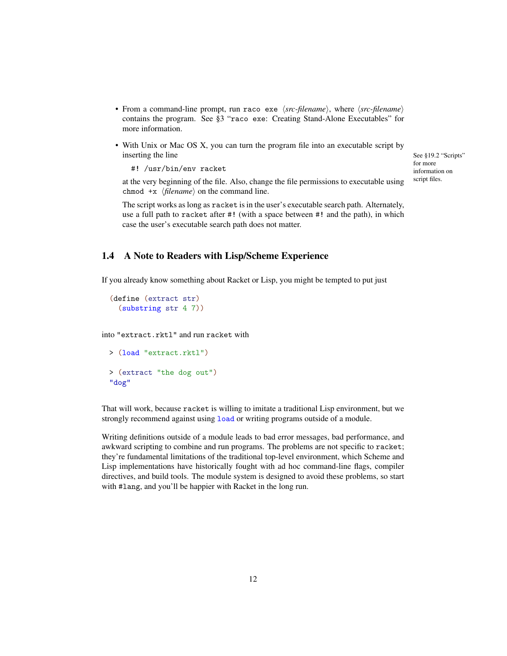- From a command-line prompt, run raco exe  $\langle src\text{-}filename \rangle$ , where  $\langle src\text{-}filename \rangle$ contains the program. See §3 "raco exe: Creating Stand-Alone Executables" for more information.
- With Unix or Mac OS X, you can turn the program file into an executable script by inserting the line See §19.2 "Scripts"

#! /usr/bin/env racket

for more information on script files.

at the very beginning of the file. Also, change the file permissions to executable using chmod  $+x \langle$ *filename* $\rangle$  on the command line.

The script works as long as racket is in the user's executable search path. Alternately, use a full path to racket after #! (with a space between #! and the path), in which case the user's executable search path does not matter.

## <span id="page-11-0"></span>1.4 A Note to Readers with Lisp/Scheme Experience

If you already know something about Racket or Lisp, you might be tempted to put just

```
(define (extract str)
 (substring str 4 7))
```
into "extract.rktl" and run racket with

```
> (load "extract.rktl")
> (extract "the dog out")
"dog"
```
That will work, because racket is willing to imitate a traditional Lisp environment, but we strongly recommend against using load or writing programs outside of a module.

Writing definitions outside of a module leads to bad error messages, bad performance, and awkward scripting to combine and run programs. The problems are not specific to racket; they're fundamental limitations of the traditional top-level environment, which Scheme and Lisp implementations have historically fought with ad hoc command-line flags, compiler directives, and build tools. The module system is designed to avoid these problems, so start with #lang, and you'll be happier with Racket in the long run.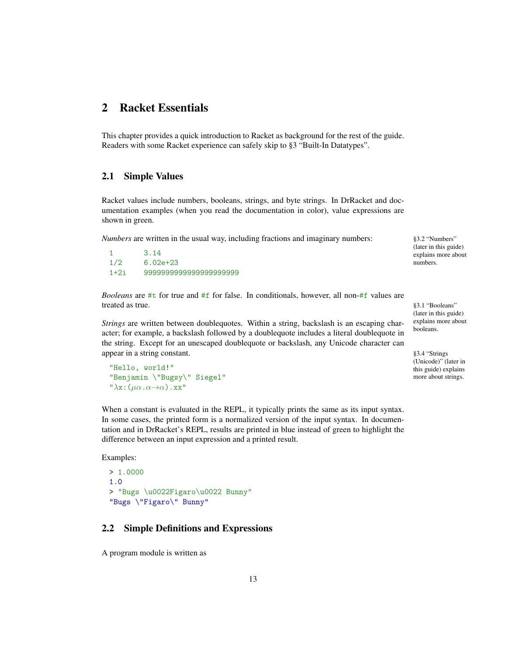## <span id="page-12-0"></span>2 Racket Essentials

This chapter provides a quick introduction to Racket as background for the rest of the guide. Readers with some Racket experience can safely skip to §3 "Built-In Datatypes".

## <span id="page-12-1"></span>2.1 Simple Values

1 3.14 1/2 6.02e+23

Racket values include numbers, booleans, strings, and byte strings. In DrRacket and documentation examples (when you read the documentation in color), value expressions are shown in green.

*Numbers* are written in the usual way, including fractions and imaginary numbers: §3.2 "Numbers"

(later in this guide) explains more about numbers.

*Booleans* are #t for true and #f for false. In conditionals, however, all non-#f values are treated as true.

*Strings* are written between doublequotes. Within a string, backslash is an escaping character; for example, a backslash followed by a doublequote includes a literal doublequote in the string. Except for an unescaped doublequote or backslash, any Unicode character can appear in a string constant.  $\frac{1}{3}$  and  $\frac{1}{3}$  and  $\frac{1}{3}$  and  $\frac{1}{3}$  and  $\frac{1}{3}$  and  $\frac{1}{3}$  and  $\frac{1}{3}$  and  $\frac{1}{3}$  and  $\frac{1}{3}$  and  $\frac{1}{3}$  and  $\frac{1}{3}$  and  $\frac{1}{3}$  and  $\frac{1}{3}$  and  $\frac{1}{3}$  a

"Hello, world!" "Benjamin \"Bugsy\" Siegel"  $"\lambda x: (\mu\alpha \cdot \alpha \rightarrow \alpha) . xx"$ 

1+2i 9999999999999999999999

When a constant is evaluated in the REPL, it typically prints the same as its input syntax. In some cases, the printed form is a normalized version of the input syntax. In documentation and in DrRacket's REPL, results are printed in blue instead of green to highlight the difference between an input expression and a printed result.

Examples:

 $> 1.0000$ 1.0 > "Bugs \u0022Figaro\u0022 Bunny" "Bugs \"Figaro\" Bunny"

## <span id="page-12-2"></span>2.2 Simple Definitions and Expressions

A program module is written as

§3.1 "Booleans" (later in this guide) explains more about booleans.

(Unicode)" (later in this guide) explains more about strings.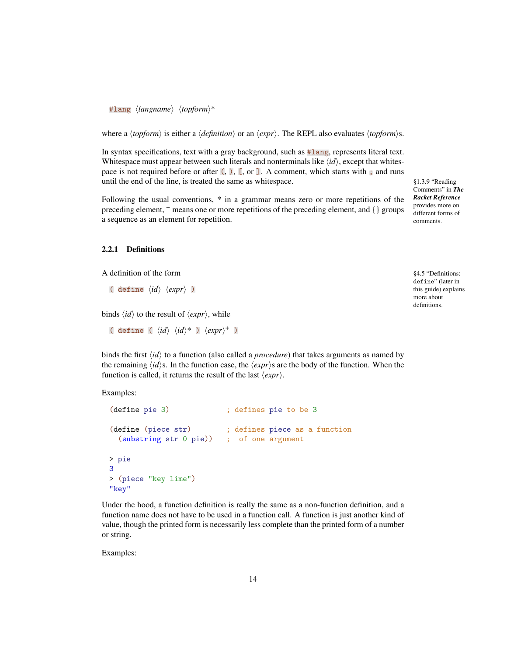#lang *(langname) (topform)*\*

where a  $\langle \text{topform} \rangle$  is either a  $\langle \text{definition} \rangle$  or an  $\langle \text{expr} \rangle$ . The REPL also evaluates  $\langle \text{topform} \rangle$ s.

In syntax specifications, text with a gray background, such as #lang, represents literal text. Whitespace must appear between such literals and nonterminals like  $\langle id \rangle$ , except that whitespace is not required before or after  $(, )$ ,  $[ , \infty ]$ . A comment, which starts with ; and runs until the end of the line, is treated the same as whitespace. §1.3.9 "Reading

Following the usual conventions, \* in a grammar means zero or more repetitions of the preceding element, <sup>+</sup> means one or more repetitions of the preceding element, and {} groups a sequence as an element for repetition.

Comments" in *The Racket Reference* provides more on different forms of comments.

#### <span id="page-13-0"></span>2.2.1 Definitions

A definition of the form  $\frac{1}{2}$  A set of the form  $\frac{1}{2}$  and  $\frac{1}{2}$  and  $\frac{1}{2}$  and  $\frac{1}{2}$  and  $\frac{1}{2}$  and  $\frac{1}{2}$  and  $\frac{1}{2}$  and  $\frac{1}{2}$  and  $\frac{1}{2}$  and  $\frac{1}{2}$  and  $\frac{1}{2}$  and  $\frac{1}{2}$  and

( define  $\langle id \rangle$   $\langle expr \rangle$  )

binds  $\langle id \rangle$  to the result of  $\langle expr \rangle$ , while

( define (  $\langle id \rangle \langle id \rangle^*$  )  $\langle expr \rangle^+$  )

binds the first  $\langle id \rangle$  to a function (also called a *procedure*) that takes arguments as named by the remaining  $\langle id \rangle$ s. In the function case, the  $\langle exp \rangle$ s are the body of the function. When the function is called, it returns the result of the last  $\langle expr \rangle$ .

Examples:

```
(define pie 3) ; defines pie to be 3
(define (piece str) ; defines piece as a function
  (substring str 0 pie)) ; of one argument
> pie
3
> (piece "key lime")
"key"
```
Under the hood, a function definition is really the same as a non-function definition, and a function name does not have to be used in a function call. A function is just another kind of value, though the printed form is necessarily less complete than the printed form of a number or string.

Examples:

define" (later in this guide) explains more about definitions.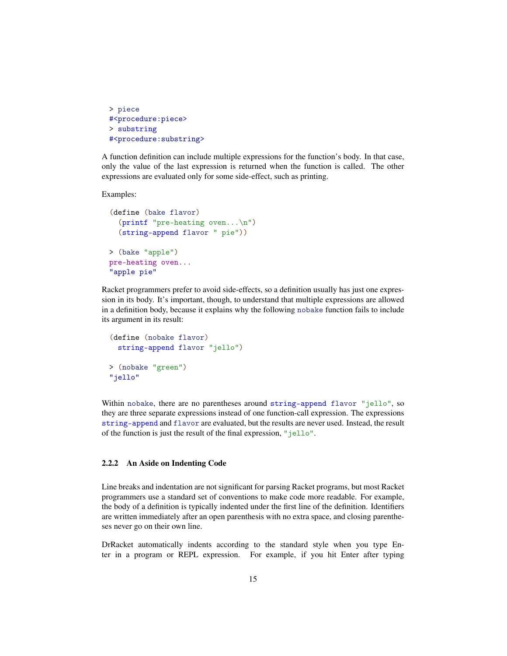```
> piece
#<procedure:piece>
> substring
#<procedure:substring>
```
A function definition can include multiple expressions for the function's body. In that case, only the value of the last expression is returned when the function is called. The other expressions are evaluated only for some side-effect, such as printing.

Examples:

```
(define (bake flavor)
  (printf "pre-heating oven...\n")
  (string-append flavor " pie"))
> (bake "apple")
pre-heating oven...
"apple pie"
```
Racket programmers prefer to avoid side-effects, so a definition usually has just one expression in its body. It's important, though, to understand that multiple expressions are allowed in a definition body, because it explains why the following nobake function fails to include its argument in its result:

```
(define (nobake flavor)
  string-append flavor "jello")
> (nobake "green")
"jello"
```
Within nobake, there are no parentheses around string-append flavor "jello", so they are three separate expressions instead of one function-call expression. The expressions string-append and flavor are evaluated, but the results are never used. Instead, the result of the function is just the result of the final expression, "jello".

#### <span id="page-14-0"></span>2.2.2 An Aside on Indenting Code

Line breaks and indentation are not significant for parsing Racket programs, but most Racket programmers use a standard set of conventions to make code more readable. For example, the body of a definition is typically indented under the first line of the definition. Identifiers are written immediately after an open parenthesis with no extra space, and closing parentheses never go on their own line.

DrRacket automatically indents according to the standard style when you type Enter in a program or REPL expression. For example, if you hit Enter after typing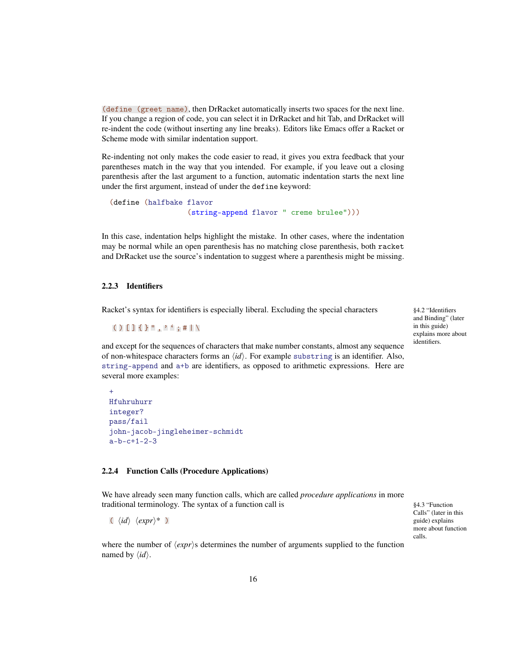(define (greet name), then DrRacket automatically inserts two spaces for the next line. If you change a region of code, you can select it in DrRacket and hit Tab, and DrRacket will re-indent the code (without inserting any line breaks). Editors like Emacs offer a Racket or Scheme mode with similar indentation support.

Re-indenting not only makes the code easier to read, it gives you extra feedback that your parentheses match in the way that you intended. For example, if you leave out a closing parenthesis after the last argument to a function, automatic indentation starts the next line under the first argument, instead of under the define keyword:

```
(define (halfbake flavor
                  (string-append flavor " creme brulee")))
```
In this case, indentation helps highlight the mistake. In other cases, where the indentation may be normal while an open parenthesis has no matching close parenthesis, both racket and DrRacket use the source's indentation to suggest where a parenthesis might be missing.

#### <span id="page-15-0"></span>2.2.3 Identifiers

Racket's syntax for identifiers is especially liberal. Excluding the special characters  $§4.2$  "Identifiers

 $()$  [ ] { } ", ' ' ; # | \

and except for the sequences of characters that make number constants, almost any sequence of non-whitespace characters forms an  $\langle id \rangle$ . For example substring is an identifier. Also, string-append and a+b are identifiers, as opposed to arithmetic expressions. Here are several more examples:

+ Hfuhruhurr integer? pass/fail john-jacob-jingleheimer-schmidt a-b-c+1-2-3

#### <span id="page-15-1"></span>2.2.4 Function Calls (Procedure Applications)

We have already seen many function calls, which are called *procedure applications* in more traditional terminology. The syntax of a function call is §4.3 "Function

 $\left(\langle id \rangle \langle expr \rangle^*\right)$ 

where the number of  $\langle expr \rangle$ s determines the number of arguments supplied to the function named by  $\langle id \rangle$ .

and Binding" (later in this guide) explains more about identifiers.

Calls" (later in this guide) explains more about function calls.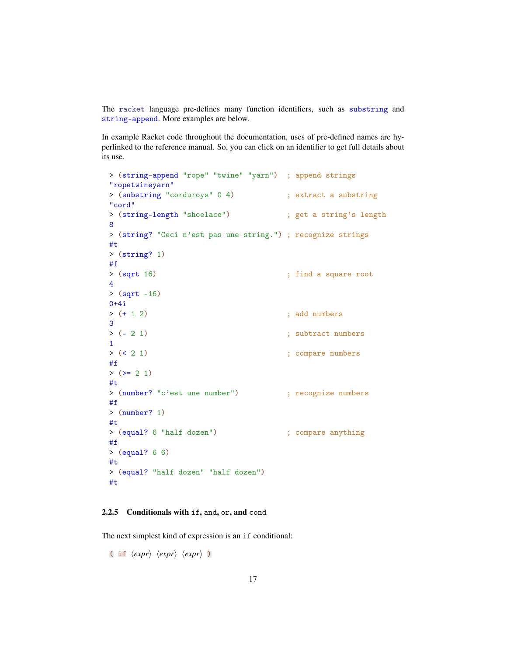The racket language pre-defines many function identifiers, such as substring and string-append. More examples are below.

In example Racket code throughout the documentation, uses of pre-defined names are hyperlinked to the reference manual. So, you can click on an identifier to get full details about its use.

```
> (string-append "rope" "twine" "yarn") ; append strings
"ropetwineyarn"
> (substring "corduroys" 0 4) ; extract a substring
"cord"
> (string-length "shoelace") ; get a string's length
8
> (string? "Ceci n'est pas une string.") ; recognize strings
#t
> (string? 1)
#f
> (sqrt 16) ; find a square root
4
> (sqrt -16)
0+4i> (+ 1 2) ; add numbers
3
> (- 2 1) ; subtract numbers
1
> (< 2 1) ; compare numbers
#f
> (>= 2 1)
#t
> (number? "c'est une number") ; recognize numbers
#f
> (number? 1)
#t
> (equal? 6 "half dozen") ; compare anything
#f
> (equal? 6 6)
#t
> (equal? "half dozen" "half dozen")
#t
```
#### <span id="page-16-0"></span>2.2.5 Conditionals with if, and, or, and cond

The next simplest kind of expression is an if conditional:

( if  $\langle expr \rangle$   $\langle expr \rangle$   $\langle expr \rangle$  )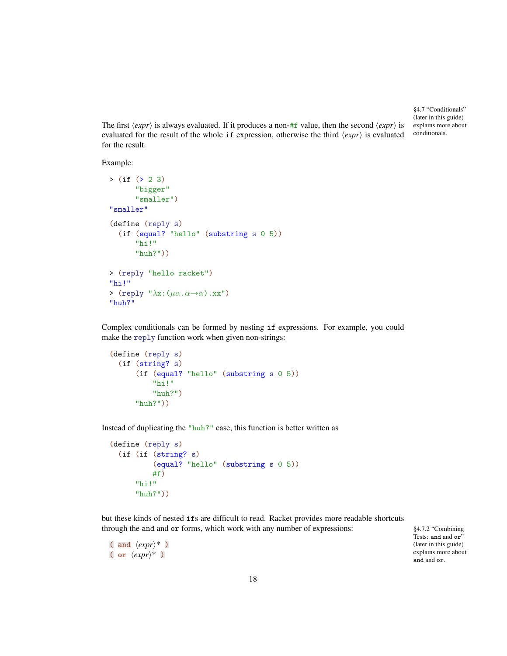§4.7 "Conditionals" (later in this guide) explains more about conditionals.

for the result.

Example:

```
> (if (> 23)
       "bigger"
       "smaller")
"smaller"
(define (reply s)
  (if (equal? "hello" (substring s 0 5))
       "hi!"
       "huh?"))
> (reply "hello racket")
"hi!"
> (reply "\lambdax: (\mu \alpha \cdot \alpha \rightarrow \alpha).xx")
"huh?"
```
Complex conditionals can be formed by nesting if expressions. For example, you could make the reply function work when given non-strings:

The first  $\langle expr \rangle$  is always evaluated. If it produces a non-#f value, then the second  $\langle expr \rangle$  is evaluated for the result of the whole if expression, otherwise the third  $\langle \exp r \rangle$  is evaluated

```
(define (reply s)
 (if (string? s)
      (if (equal? "hello" (substring s 0 5))
          "hi!"
          "huh?")
      "huh?"))
```
Instead of duplicating the "huh?" case, this function is better written as

```
(define (reply s)
  (if (if (string? s)
          (equal? "hello" (substring s 0 5))
          #f)
      "hi!"
      "huh?"))
```
but these kinds of nested ifs are difficult to read. Racket provides more readable shortcuts through the and and or forms, which work with any number of expressions: §4.7.2 "Combining

| (and $\langle expr \rangle^*$ ) |
|---------------------------------|
| (or $\langle expr \rangle^*$ )  |

Tests: and and or" (later in this guide) explains more about and and or.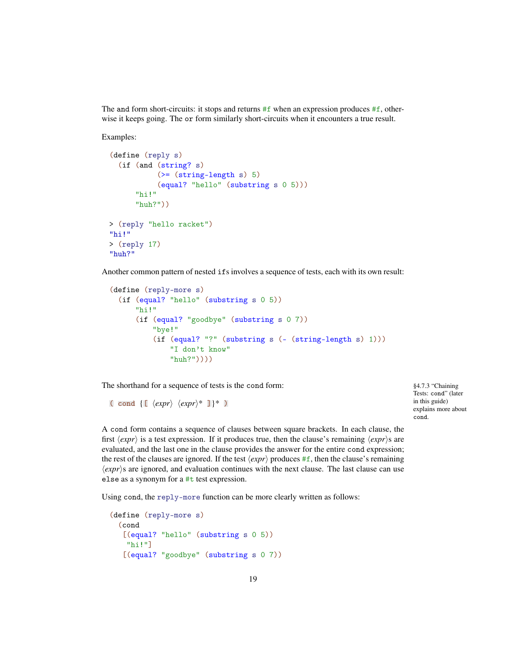The and form short-circuits: it stops and returns  $#f$  when an expression produces  $#f$ , otherwise it keeps going. The or form similarly short-circuits when it encounters a true result.

Examples:

```
(define (reply s)
  (if (and (string? s)
           (>= (string-length s) 5)
           (equal? "hello" (substring s 0 5)))
      "hi!"
      "huh?"))
> (reply "hello racket")
"hi!"
> (reply 17)
"huh?"
```
Another common pattern of nested ifs involves a sequence of tests, each with its own result:

```
(define (reply-more s)
 (if (equal? "hello" (substring s 0 5))
     "hi!"
      (if (equal? "goodbye" (substring s 0 7))
          "bye!"
          (if (equal? "?" (substring s (- (string-length s) 1)))"I don't know"
              "huh?"))))
```
The shorthand for a sequence of tests is the cond form: \$4.7.3 "Chaining"

( cond  $\{ [\langle expr \rangle \langle expr \rangle^* ]\}^*$  )

A cond form contains a sequence of clauses between square brackets. In each clause, the first  $\langle expr \rangle$  is a test expression. If it produces true, then the clause's remaining  $\langle expr \rangle$ s are evaluated, and the last one in the clause provides the answer for the entire cond expression; the rest of the clauses are ignored. If the test  $\langle expr \rangle$  produces #f, then the clause's remaining  $\langle expr \rangle$ s are ignored, and evaluation continues with the next clause. The last clause can use else as a synonym for a #t test expression.

Using cond, the reply-more function can be more clearly written as follows:

```
(define (reply-more s)
 (cond
  [(equal? "hello" (substring s 0 5))
   "hi!"]
  [(equal? "goodbye" (substring s 0 7))
```
Tests: cond" (later in this guide) explains more about cond.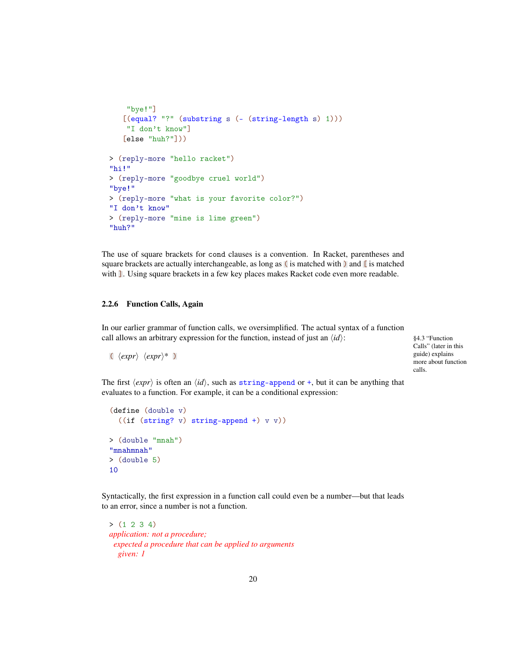```
"bye!"]
   [(equal? "?" (substring s (- (string-length s) 1)))
    "I don't know"]
   [else "huh?"]))
> (reply-more "hello racket")
"hi!"
> (reply-more "goodbye cruel world")
"bye!"
> (reply-more "what is your favorite color?")
"I don't know"
> (reply-more "mine is lime green")
"huh?"
```
The use of square brackets for cond clauses is a convention. In Racket, parentheses and square brackets are actually interchangeable, as long as ( is matched with ) and [ is matched with  $\blacksquare$ . Using square brackets in a few key places makes Racket code even more readable.

#### <span id="page-19-0"></span>2.2.6 Function Calls, Again

In our earlier grammar of function calls, we oversimplified. The actual syntax of a function call allows an arbitrary expression for the function, instead of just an  $\langle id \rangle$ : §4.3 "Function

 $\langle (expr \rangle \langle expr \rangle^*)$ 

Calls" (later in this guide) explains more about function calls.

The first  $\langle expr \rangle$  is often an  $\langle id \rangle$ , such as string-append or +, but it can be anything that evaluates to a function. For example, it can be a conditional expression:

```
(define (double v)
  ((if (string? v) string-append +) v v))
> (double "mnah")
"mnahmnah"
> (double 5)
10
```
Syntactically, the first expression in a function call could even be a number—but that leads to an error, since a number is not a function.

```
> (1 2 3 4)
application: not a procedure;
 expected a procedure that can be applied to arguments
  given: 1
```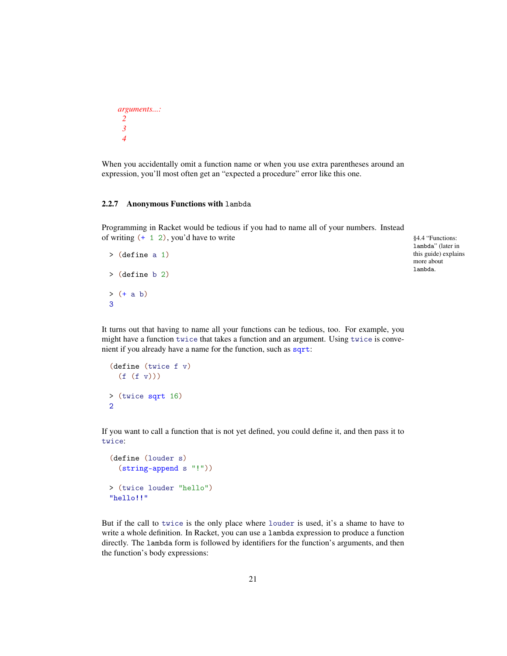```
arguments...:
 2
 3
 4
```
When you accidentally omit a function name or when you use extra parentheses around an expression, you'll most often get an "expected a procedure" error like this one.

#### <span id="page-20-0"></span>2.2.7 Anonymous Functions with lambda

Programming in Racket would be tedious if you had to name all of your numbers. Instead of writing  $(+ 1 2)$ , you'd have to write §4.4 "Functions:

```
> (define a 1)
> (define b 2)
> (+ a b)
3
```
lambda" (later in this guide) explains more about lambda.

It turns out that having to name all your functions can be tedious, too. For example, you might have a function twice that takes a function and an argument. Using twice is convenient if you already have a name for the function, such as sqrt:

```
(define (twice f v)
  (f (f v)))> (twice sqrt 16)
2
```
If you want to call a function that is not yet defined, you could define it, and then pass it to twice:

```
(define (louder s)
  (string-append s "!"))
> (twice louder "hello")
"hello!!"
```
But if the call to twice is the only place where louder is used, it's a shame to have to write a whole definition. In Racket, you can use a lambda expression to produce a function directly. The lambda form is followed by identifiers for the function's arguments, and then the function's body expressions: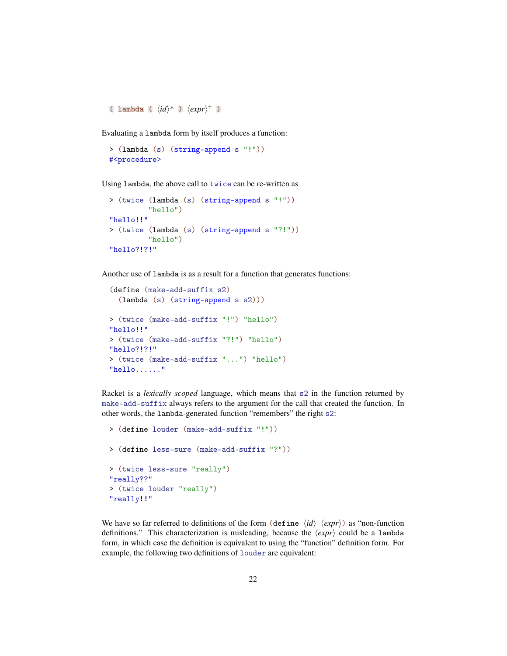( lambda (  $\langle id \rangle^*$  )  $\langle expr \rangle^+$  )

Evaluating a lambda form by itself produces a function:

```
> (lambda (s) (string-append s "!"))
#<procedure>
```
Using lambda, the above call to twice can be re-written as

```
> (twice (lambda (s) (string-append s "!"))
         "hello")
"hello!!"
> (twice (lambda (s) (string-append s "?!"))
         "hello")
"hello?!?!"
```
Another use of lambda is as a result for a function that generates functions:

```
(define (make-add-suffix s2)
  (lambda (s) (string-append s s2)))
> (twice (make-add-suffix "!") "hello")
"hello!!"
> (twice (make-add-suffix "?!") "hello")
"hello?!?!"
> (twice (make-add-suffix "...") "hello")
"hello......"
```
Racket is a *lexically scoped* language, which means that s2 in the function returned by make-add-suffix always refers to the argument for the call that created the function. In other words, the lambda-generated function "remembers" the right s2:

```
> (define louder (make-add-suffix "!"))
> (define less-sure (make-add-suffix "?"))
> (twice less-sure "really")
"really??"
> (twice louder "really")
"really!!"
```
We have so far referred to definitions of the form (define  $\langle id \rangle$   $\langle expr \rangle$ ) as "non-function definitions." This characterization is misleading, because the  $\langle expr \rangle$  could be a lambda form, in which case the definition is equivalent to using the "function" definition form. For example, the following two definitions of louder are equivalent: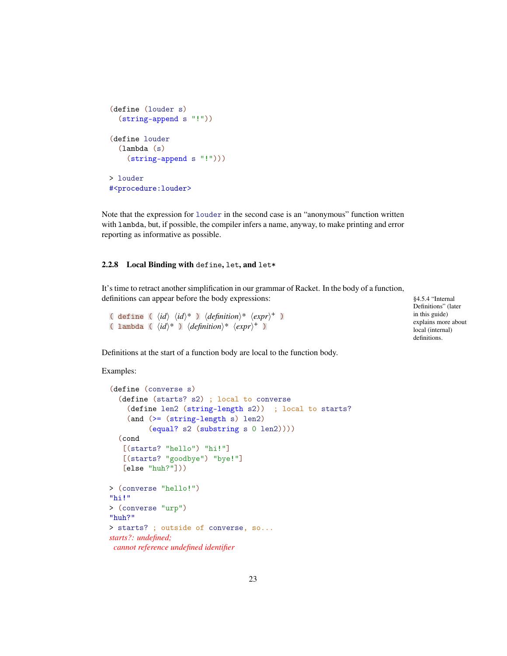```
(define (louder s)
  (string-append s "!"))
(define louder
  (lambda (s)
    (string-append s "!")))
> louder
#<procedure:louder>
```
Note that the expression for louder in the second case is an "anonymous" function written with lambda, but, if possible, the compiler infers a name, anyway, to make printing and error reporting as informative as possible.

#### <span id="page-22-0"></span>2.2.8 Local Binding with define, let, and let\*

It's time to retract another simplification in our grammar of Racket. In the body of a function, definitions can appear before the body expressions: §4.5.4 "Internal

( define (  $\langle id \rangle \langle id \rangle^*$  )  $\langle definition \rangle^* \langle expr \rangle^+$  ) ( lambda (  $\langle id \rangle^*$  )  $\langle definition \rangle^*$   $\langle expr \rangle^+$  )

Definitions" (later in this guide) explains more about local (internal) definitions.

Definitions at the start of a function body are local to the function body.

Examples:

```
(define (converse s)
  (define (starts? s2) ; local to converse
    (define len2 (string-length s2)) ; local to starts?
    (and (>= (string-length s) len2)
         (equal? s2 (substring s 0 len2))))
  (cond
   [(starts? "hello") "hi!"]
   [(starts? "goodbye") "bye!"]
   [else "huh?"]))
> (converse "hello!")
"hi!"
> (converse "urp")
"huh?"
> starts? ; outside of converse, so...
starts?: undefined;
 cannot reference undefined identifier
```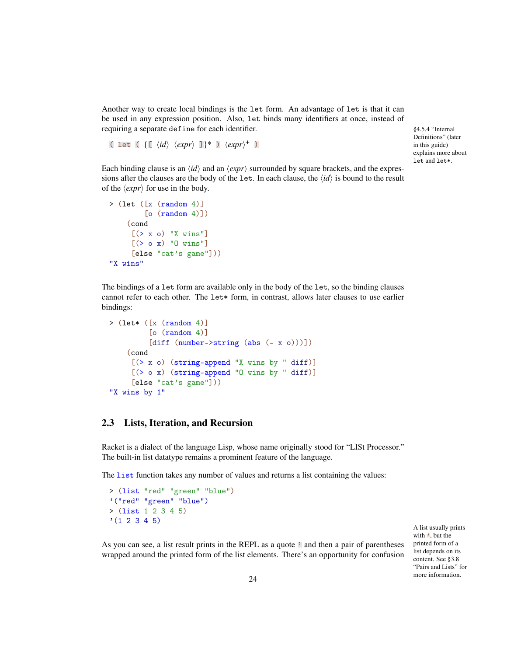Another way to create local bindings is the let form. An advantage of let is that it can be used in any expression position. Also, let binds many identifiers at once, instead of requiring a separate define for each identifier.  $\frac{1}{2}$  \$4.5.4 "Internal

( let (  $\{ [ \langle id \rangle \langle expr \rangle ]\}^*$  )  $\langle expr \rangle^+$  )

Definitions" (later in this guide) explains more about let and let\*.

Each binding clause is an  $\langle id \rangle$  and an  $\langle expr \rangle$  surrounded by square brackets, and the expressions after the clauses are the body of the let. In each clause, the  $\langle id \rangle$  is bound to the result of the  $\langle expr \rangle$  for use in the body.

```
> (let ([x (random 4)]
         [o (random 4)])(cond
      [ ( > x  o) "X wins"]
      [(\rangle \circ x) "O wins"]
      [else "cat's game"]))
"X wins"
```
The bindings of a let form are available only in the body of the let, so the binding clauses cannot refer to each other. The let\* form, in contrast, allows later clauses to use earlier bindings:

```
> (let* ([x (random 4)]
         [o (random 4)][diff (number->string (abs (- x 0))])
    (cond
     [(> x o) (string-append "X wins by " diff)]
     [(> o x) (string-append "O wins by " diff)]
     [else "cat's game"]))
"X wins by 1"
```
## <span id="page-23-0"></span>2.3 Lists, Iteration, and Recursion

Racket is a dialect of the language Lisp, whose name originally stood for "LISt Processor." The built-in list datatype remains a prominent feature of the language.

The list function takes any number of values and returns a list containing the values:

> (list "red" "green" "blue") '("red" "green" "blue") > (list 1 2 3 4 5)  $'$ (1 2 3 4 5)

A list usually prints with  $\prime$ , but the printed form of a list depends on its content. See §3.8 "Pairs and Lists" for more information.

As you can see, a list result prints in the REPL as a quote <sup>1</sup> and then a pair of parentheses wrapped around the printed form of the list elements. There's an opportunity for confusion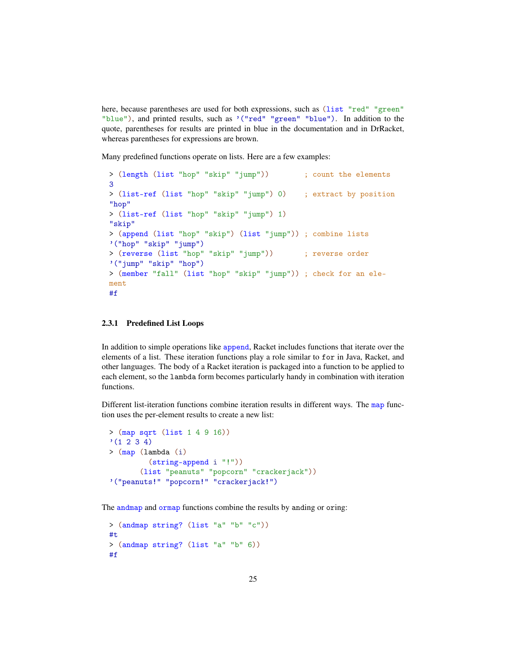here, because parentheses are used for both expressions, such as (list "red" "green" "blue"), and printed results, such as '("red" "green" "blue"). In addition to the quote, parentheses for results are printed in blue in the documentation and in DrRacket, whereas parentheses for expressions are brown.

Many predefined functions operate on lists. Here are a few examples:

```
> (length (list "hop" "skip" "jump")) ; count the elements
3
> (list-ref (list "hop" "skip" "jump") 0) ; extract by position
"hop"
> (list-ref (list "hop" "skip" "jump") 1)
"skip"
> (append (list "hop" "skip") (list "jump")) ; combine lists
'("hop" "skip" "jump")
> (reverse (list "hop" "skip" "jump")) ; reverse order
'("jump" "skip" "hop")
> (member "fall" (list "hop" "skip" "jump")) ; check for an ele-
ment
#f
```
#### <span id="page-24-0"></span>2.3.1 Predefined List Loops

In addition to simple operations like append, Racket includes functions that iterate over the elements of a list. These iteration functions play a role similar to for in Java, Racket, and other languages. The body of a Racket iteration is packaged into a function to be applied to each element, so the lambda form becomes particularly handy in combination with iteration functions.

Different list-iteration functions combine iteration results in different ways. The map function uses the per-element results to create a new list:

```
> (map sqrt (list 1 4 9 16))
(1 2 3 4)> (map (lambda (i)
         (string-append i "!"))
       (list "peanuts" "popcorn" "crackerjack"))
'("peanuts!" "popcorn!" "crackerjack!")
```
The andmap and ormap functions combine the results by anding or oring:

```
> (andmap string? (list "a" "b" "c"))
#t
> (andmap string? (list "a" "b" 6))
#f
```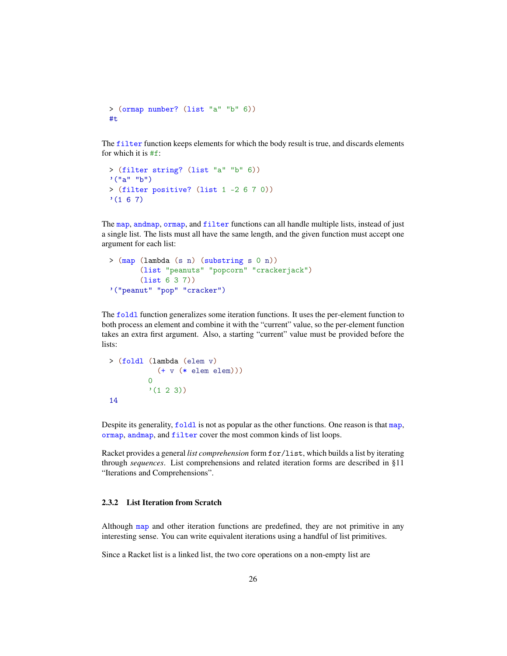```
> (ormap number? (list "a" "b" 6))
#t
```
The filter function keeps elements for which the body result is true, and discards elements for which it is #f:

```
> (filter string? (list "a" "b" 6))
'("a" "b")
> (filter positive? (list 1 -2 6 7 0))
'(1 6 7)
```
The map, andmap, ormap, and filter functions can all handle multiple lists, instead of just a single list. The lists must all have the same length, and the given function must accept one argument for each list:

```
> (map (lambda (s n) (substring s 0 n))
       (list "peanuts" "popcorn" "crackerjack")
       (list 6 3 7))
'("peanut" "pop" "cracker")
```
The foldl function generalizes some iteration functions. It uses the per-element function to both process an element and combine it with the "current" value, so the per-element function takes an extra first argument. Also, a starting "current" value must be provided before the lists:

```
> (foldl (lambda (elem v)
            (+ v (* elem elem)))
          \Omega'(1 \ 2 \ 3))14
```
Despite its generality, foldl is not as popular as the other functions. One reason is that map, ormap, andmap, and filter cover the most common kinds of list loops.

Racket provides a general *list comprehension* form for/list, which builds a list by iterating through *sequences*. List comprehensions and related iteration forms are described in §11 "Iterations and Comprehensions".

#### <span id="page-25-0"></span>2.3.2 List Iteration from Scratch

Although map and other iteration functions are predefined, they are not primitive in any interesting sense. You can write equivalent iterations using a handful of list primitives.

Since a Racket list is a linked list, the two core operations on a non-empty list are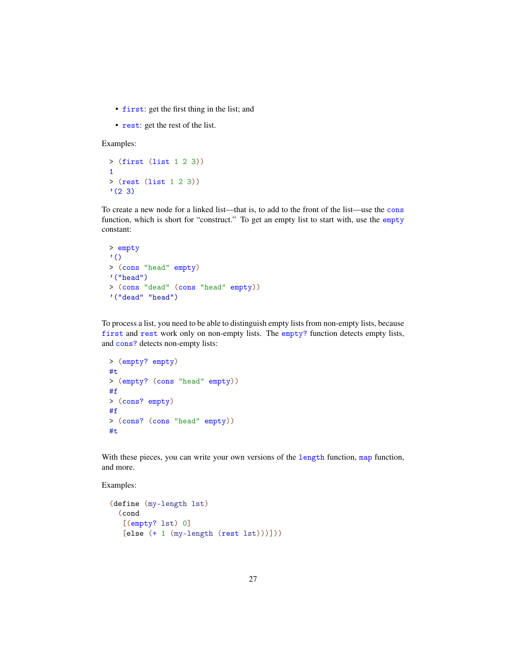- first: get the first thing in the list; and
- rest: get the rest of the list.

Examples:

```
> (first (list 1 2 3))
1
> (rest (list 1 2 3))
'(23)
```
To create a new node for a linked list—that is, to add to the front of the list—use the cons function, which is short for "construct." To get an empty list to start with, use the empty constant:

```
> empty
' ()
> (cons "head" empty)
'("head")
> (cons "dead" (cons "head" empty))
'("dead" "head")
```
To process a list, you need to be able to distinguish empty lists from non-empty lists, because first and rest work only on non-empty lists. The empty? function detects empty lists, and cons? detects non-empty lists:

```
> (empty? empty)
#t
> (empty? (cons "head" empty))
#f
> (cons? empty)
#f
> (cons? (cons "head" empty))
#t
```
With these pieces, you can write your own versions of the length function, map function, and more.

Examples:

```
(define (my-length lst)
  (cond
   [(empty? lst) 0]
   [else (+ 1 (my-length (rest lst)))]))
```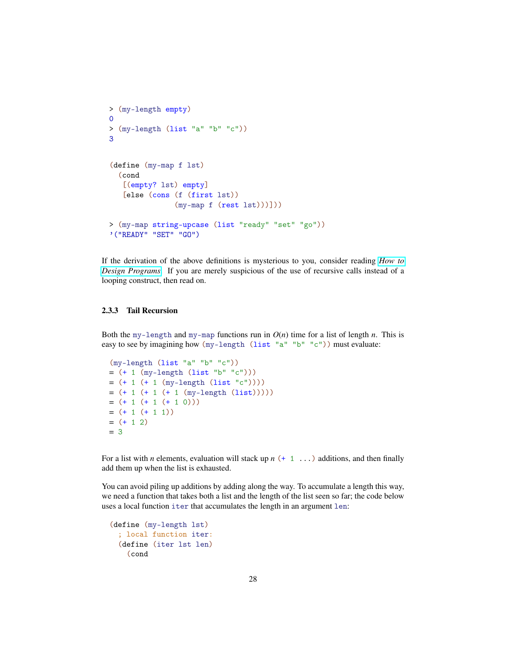```
> (my-length empty)
0
> (my-length (list "a" "b" "c"))
3
(define (my-map f lst)
  (cond
   [(empty? lst) empty]
   [else (cons (f (first lst))
               (my-map f (rest lst)))]))
> (my-map string-upcase (list "ready" "set" "go"))
'("READY" "SET" "GO")
```
If the derivation of the above definitions is mysterious to you, consider reading *[How to](http://www.htdp.org) [Design Programs](http://www.htdp.org)*. If you are merely suspicious of the use of recursive calls instead of a looping construct, then read on.

#### <span id="page-27-0"></span>2.3.3 Tail Recursion

Both the my-length and my-map functions run in  $O(n)$  time for a list of length *n*. This is easy to see by imagining how (my-length (list "a" "b" "c")) must evaluate:

```
(my-length (list "a" "b" "c"))
= (+ 1 \text{ (my-length (list "b" "c"))})= (+ 1 (+ 1 (my-length (list "c")))))= (+ 1 (+ 1 (+ 1 (my-length (list))))))= (+ 1 (+ 1 (+ 1 0)))= (+ 1 (+ 1 1))
= (+ 1 2)= 3
```
For a list with *n* elements, evaluation will stack up  $n (+ 1 ...)$  additions, and then finally add them up when the list is exhausted.

You can avoid piling up additions by adding along the way. To accumulate a length this way, we need a function that takes both a list and the length of the list seen so far; the code below uses a local function iter that accumulates the length in an argument len:

```
(define (my-length lst)
 ; local function iter:
 (define (iter lst len)
    (cond
```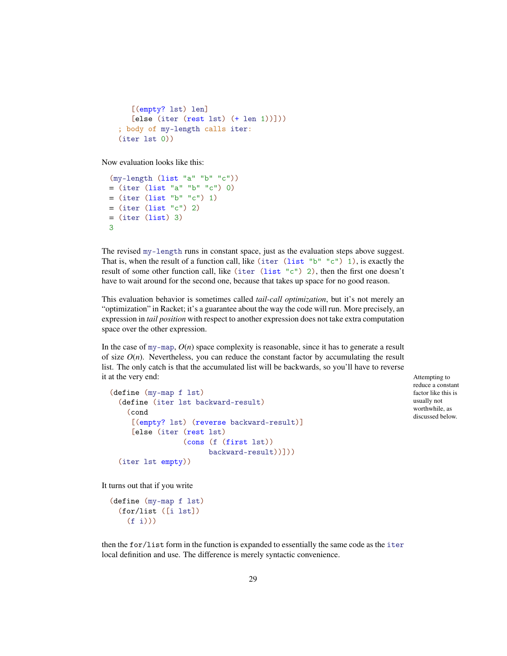```
[(empty? lst) len]
   [else (iter (rest lst) (+ len 1))]))
; body of my-length calls iter:
(iter lst 0))
```
Now evaluation looks like this:

```
(my-length (list "a" "b" "c"))
= (iter (list "a" "b" "c") 0)
= (iter (list "b" "c") 1)
= (iter (list "c") 2)
= (iter (list) 3)
3
```
The revised my-length runs in constant space, just as the evaluation steps above suggest. That is, when the result of a function call, like (iter (list "b"  $C$ ") 1), is exactly the result of some other function call, like (iter (list "c") 2), then the first one doesn't have to wait around for the second one, because that takes up space for no good reason.

This evaluation behavior is sometimes called *tail-call optimization*, but it's not merely an "optimization" in Racket; it's a guarantee about the way the code will run. More precisely, an expression in *tail position* with respect to another expression does not take extra computation space over the other expression.

In the case of  $my$ -map,  $O(n)$  space complexity is reasonable, since it has to generate a result of size  $O(n)$ . Nevertheless, you can reduce the constant factor by accumulating the result list. The only catch is that the accumulated list will be backwards, so you'll have to reverse it at the very end: Attempting to a strategie of the very end: Attempting to a strategie of the very end:

```
(define (my-map f lst)
 (define (iter lst backward-result)
    (cond
     [(empty? lst) (reverse backward-result)]
     [else (iter (rest lst)
                 (cons (f (first lst))
                       backward-result))]))
 (iter lst empty))
```
reduce a constant factor like this is usually not worthwhile, as discussed below.

It turns out that if you write

```
(define (my-map f lst)
 (for/list ([i lst])
   (f i))
```
then the for/list form in the function is expanded to essentially the same code as the iter local definition and use. The difference is merely syntactic convenience.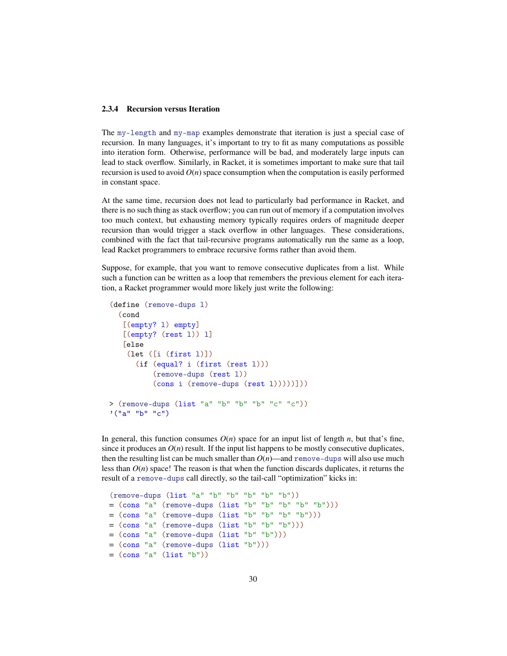#### <span id="page-29-0"></span>2.3.4 Recursion versus Iteration

The my-length and my-map examples demonstrate that iteration is just a special case of recursion. In many languages, it's important to try to fit as many computations as possible into iteration form. Otherwise, performance will be bad, and moderately large inputs can lead to stack overflow. Similarly, in Racket, it is sometimes important to make sure that tail recursion is used to avoid  $O(n)$  space consumption when the computation is easily performed in constant space.

At the same time, recursion does not lead to particularly bad performance in Racket, and there is no such thing as stack overflow; you can run out of memory if a computation involves too much context, but exhausting memory typically requires orders of magnitude deeper recursion than would trigger a stack overflow in other languages. These considerations, combined with the fact that tail-recursive programs automatically run the same as a loop, lead Racket programmers to embrace recursive forms rather than avoid them.

Suppose, for example, that you want to remove consecutive duplicates from a list. While such a function can be written as a loop that remembers the previous element for each iteration, a Racket programmer would more likely just write the following:

```
(define (remove-dups l)
  (cond
   [(empty? l) empty]
   [(empty? (rest l)) l]
   [else
    (let ([i (first l)])
      (if (equal? i (first (rest l)))
          (remove-dups (rest l))
          (cons i (remove-dups (rest 1))))))> (remove-dups (list "a" "b" "b" "b" "c" "c"))
'("a" "b" "c")
```
In general, this function consumes  $O(n)$  space for an input list of length *n*, but that's fine, since it produces an  $O(n)$  result. If the input list happens to be mostly consecutive duplicates, then the resulting list can be much smaller than  $O(n)$ —and remove-dups will also use much less than *O*(*n*) space! The reason is that when the function discards duplicates, it returns the result of a remove-dups call directly, so the tail-call "optimization" kicks in:

```
(remove-dups (list "a" "b" "b" "b" "b" "b"))
= (\text{cons "a" (remove-dups (list "b" "b" "b" "b" "b" "b"))
= (cons "a" (remove-dups (list "b" "b" "b" "b")))
= (cons "a" (remove-dups (list "b" "b" "b")))
= (\text{cons "a" (remove-dups (list "b" "b"))))= (cons "a" (remove-dups (list "b")))= (cons "a" (list "b"))
```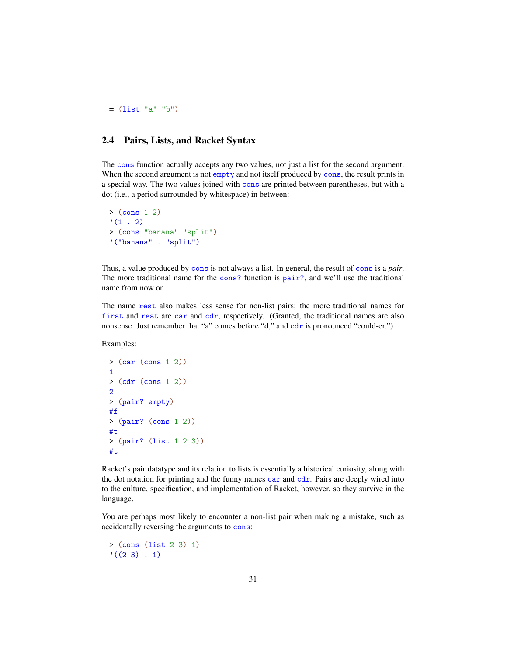$=$   $(list "a" "b")$ 

## <span id="page-30-0"></span>2.4 Pairs, Lists, and Racket Syntax

The cons function actually accepts any two values, not just a list for the second argument. When the second argument is not empty and not itself produced by cons, the result prints in a special way. The two values joined with cons are printed between parentheses, but with a dot (i.e., a period surrounded by whitespace) in between:

```
> (cons 1 2)
'(1 \cdot 2)> (cons "banana" "split")
'("banana" . "split")
```
Thus, a value produced by cons is not always a list. In general, the result of cons is a *pair*. The more traditional name for the cons? function is pair?, and we'll use the traditional name from now on.

The name rest also makes less sense for non-list pairs; the more traditional names for first and rest are car and cdr, respectively. (Granted, the traditional names are also nonsense. Just remember that "a" comes before "d," and cdr is pronounced "could-er.")

Examples:

 $>$  (car (cons 1 2)) 1 > (cdr (cons 1 2)) 2 > (pair? empty) #f > (pair? (cons 1 2)) #t > (pair? (list 1 2 3)) #t

Racket's pair datatype and its relation to lists is essentially a historical curiosity, along with the dot notation for printing and the funny names car and cdr. Pairs are deeply wired into to the culture, specification, and implementation of Racket, however, so they survive in the language.

You are perhaps most likely to encounter a non-list pair when making a mistake, such as accidentally reversing the arguments to cons:

> (cons (list 2 3) 1)  $'((2 \ 3) \ . \ 1)$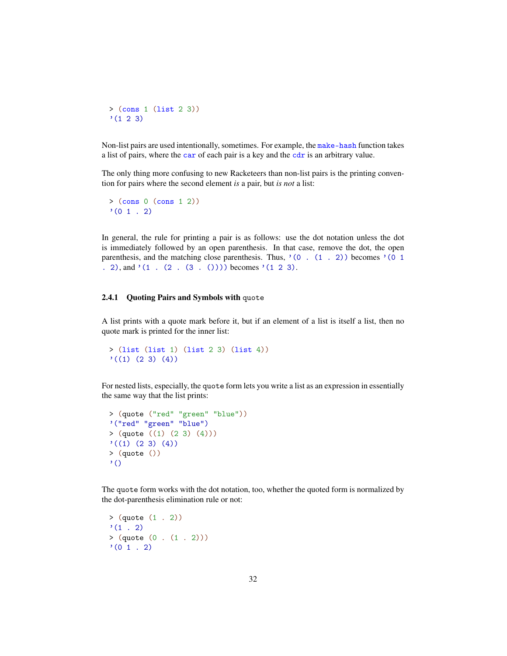> (cons 1 (list 2 3))  $'(1 \ 2 \ 3)$ 

Non-list pairs are used intentionally, sometimes. For example, the make-hash function takes a list of pairs, where the car of each pair is a key and the cdr is an arbitrary value.

The only thing more confusing to new Racketeers than non-list pairs is the printing convention for pairs where the second element *is* a pair, but *is not* a list:

```
> (cons 0 (cons 1 2))
'(0 1 . 2)
```
In general, the rule for printing a pair is as follows: use the dot notation unless the dot is immediately followed by an open parenthesis. In that case, remove the dot, the open parenthesis, and the matching close parenthesis. Thus,  $\sqrt{(0)}$ . (1.2) becomes  $\sqrt{(0)}$  1 . 2), and '(1 . (2 . (3 . ()))) becomes '(1 2 3).

#### <span id="page-31-0"></span>2.4.1 Quoting Pairs and Symbols with quote

A list prints with a quote mark before it, but if an element of a list is itself a list, then no quote mark is printed for the inner list:

```
> (list (list 1) (list 2 3) (list 4))
'((1) (2 3) (4))
```
For nested lists, especially, the quote form lets you write a list as an expression in essentially the same way that the list prints:

```
> (quote ("red" "green" "blue"))
'("red" "green" "blue")
> (quote ((1) (2 3) (4)))
'((1) (2 3) (4))> (quote ())
' ()
```
The quote form works with the dot notation, too, whether the quoted form is normalized by the dot-parenthesis elimination rule or not:

```
> (quote (1 . 2))
'(1 \cdot 2)> (quote (0 . (1 . 2)))
'(0 1 . 2)
```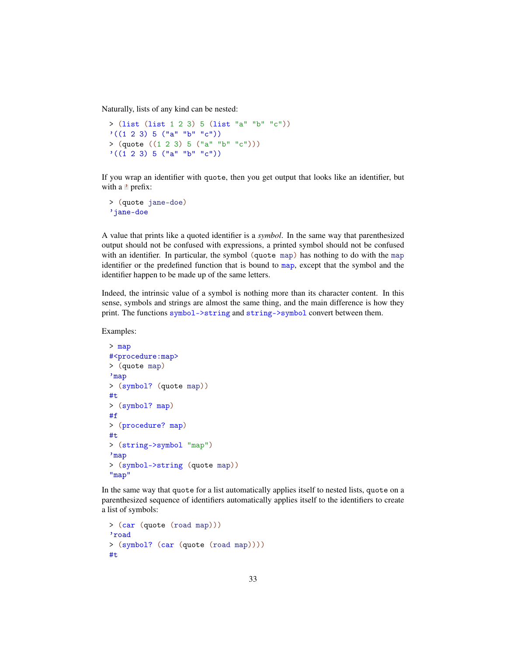Naturally, lists of any kind can be nested:

```
> (list (list 1 2 3) 5 (list "a" "b" "c"))
'((1 2 3) 5 ("a" "b" "c")> (quote ((1 2 3) 5 ("a" "b" "c")))
'((1 2 3) 5 ("a" "b" "c"))
```
If you wrap an identifier with quote, then you get output that looks like an identifier, but with a ' prefix:

```
> (quote jane-doe)
'jane-doe
```
A value that prints like a quoted identifier is a *symbol*. In the same way that parenthesized output should not be confused with expressions, a printed symbol should not be confused with an identifier. In particular, the symbol (quote map) has nothing to do with the map identifier or the predefined function that is bound to map, except that the symbol and the identifier happen to be made up of the same letters.

Indeed, the intrinsic value of a symbol is nothing more than its character content. In this sense, symbols and strings are almost the same thing, and the main difference is how they print. The functions symbol->string and string->symbol convert between them.

Examples:

```
> map
#<procedure:map>
> (quote map)
'map
> (symbol? (quote map))
#t
> (symbol? map)
#f
> (procedure? map)
#t
> (string->symbol "map")
'map
> (symbol->string (quote map))
"map"
```
In the same way that quote for a list automatically applies itself to nested lists, quote on a parenthesized sequence of identifiers automatically applies itself to the identifiers to create a list of symbols:

```
> (car (quote (road map)))
'road
> (symbol? (car (quote (road map))))
#t
```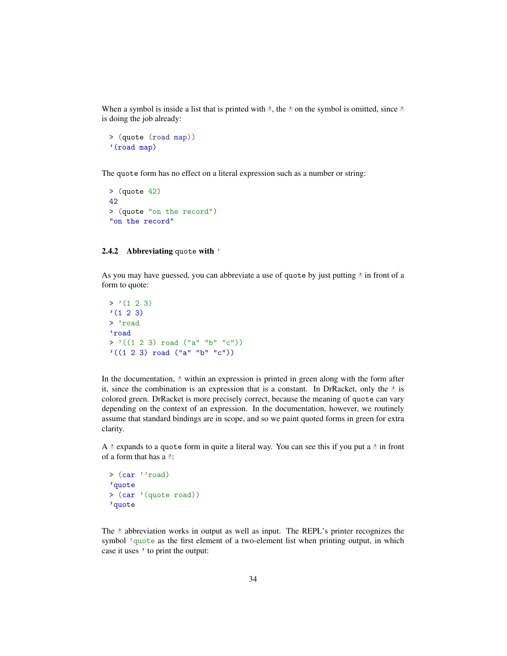When a symbol is inside a list that is printed with  $\frac{1}{2}$ , the  $\frac{1}{2}$  on the symbol is omitted, since  $\frac{1}{2}$ is doing the job already:

```
> (quote (road map))
'(road map)
```
The quote form has no effect on a literal expression such as a number or string:

```
> (quote 42)
42
> (quote "on the record")
"on the record"
```
#### <span id="page-33-0"></span>2.4.2 Abbreviating quote with '

As you may have guessed, you can abbreviate a use of quote by just putting ' in front of a form to quote:

```
> '(1 2 3)
'(1 2 3)
> 'road
'road
> '((1 2 3) road ("a" "b" "c"))
'((1 2 3) road ("a" "b" "c"))
```
In the documentation, <sup>2</sup> within an expression is printed in green along with the form after it, since the combination is an expression that is a constant. In DrRacket, only the ' is colored green. DrRacket is more precisely correct, because the meaning of quote can vary depending on the context of an expression. In the documentation, however, we routinely assume that standard bindings are in scope, and so we paint quoted forms in green for extra clarity.

A ' expands to a quote form in quite a literal way. You can see this if you put a ' in front of a form that has a ':

```
> (car ''road)
'quote
> (car '(quote road))
'quote
```
The ' abbreviation works in output as well as input. The REPL's printer recognizes the symbol 'quote as the first element of a two-element list when printing output, in which case it uses ' to print the output: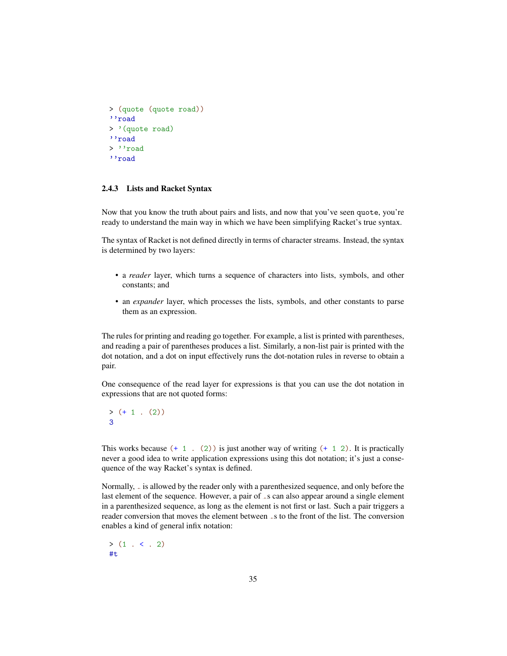```
> (quote (quote road))
''road
> '(quote road)
''road
> ''road
''road
```
#### <span id="page-34-0"></span>2.4.3 Lists and Racket Syntax

Now that you know the truth about pairs and lists, and now that you've seen quote, you're ready to understand the main way in which we have been simplifying Racket's true syntax.

The syntax of Racket is not defined directly in terms of character streams. Instead, the syntax is determined by two layers:

- a *reader* layer, which turns a sequence of characters into lists, symbols, and other constants; and
- an *expander* layer, which processes the lists, symbols, and other constants to parse them as an expression.

The rules for printing and reading go together. For example, a list is printed with parentheses, and reading a pair of parentheses produces a list. Similarly, a non-list pair is printed with the dot notation, and a dot on input effectively runs the dot-notation rules in reverse to obtain a pair.

One consequence of the read layer for expressions is that you can use the dot notation in expressions that are not quoted forms:

 $> (+ 1 . (2))$ 3

This works because  $(+ 1, (2))$  is just another way of writing  $(+ 1, 2)$ . It is practically never a good idea to write application expressions using this dot notation; it's just a consequence of the way Racket's syntax is defined.

Normally, . is allowed by the reader only with a parenthesized sequence, and only before the last element of the sequence. However, a pair of .s can also appear around a single element in a parenthesized sequence, as long as the element is not first or last. Such a pair triggers a reader conversion that moves the element between .s to the front of the list. The conversion enables a kind of general infix notation:

 $>$  (1 . < . 2) #t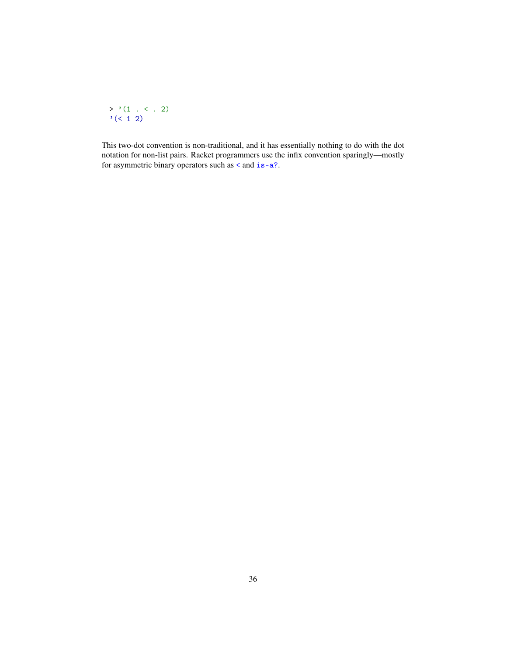$>$  '(1 . < . 2)  $'($  (  $12)$ 

This two-dot convention is non-traditional, and it has essentially nothing to do with the dot notation for non-list pairs. Racket programmers use the infix convention sparingly—mostly for asymmetric binary operators such as < and is-a?.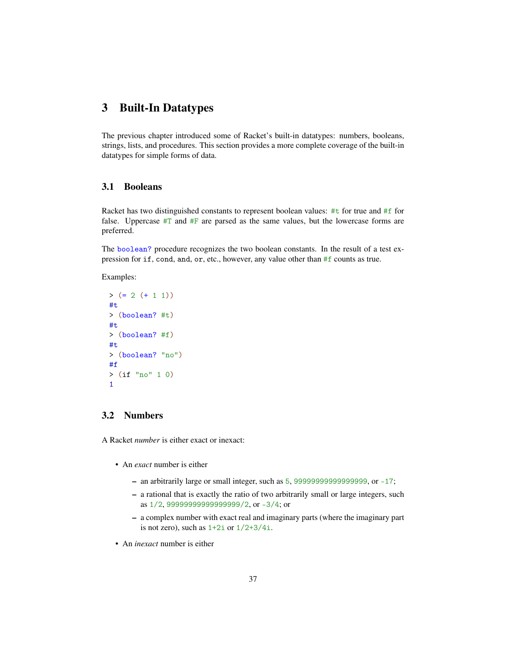# 3 Built-In Datatypes

The previous chapter introduced some of Racket's built-in datatypes: numbers, booleans, strings, lists, and procedures. This section provides a more complete coverage of the built-in datatypes for simple forms of data.

## 3.1 Booleans

Racket has two distinguished constants to represent boolean values: #t for true and #f for false. Uppercase  $\#T$  and  $\#F$  are parsed as the same values, but the lowercase forms are preferred.

The boolean? procedure recognizes the two boolean constants. In the result of a test expression for if, cond, and, or, etc., however, any value other than #f counts as true.

Examples:

```
> (= 2 (+ 1 1))#t
> (boolean? #t)
#t
> (boolean? #f)
#t
> (boolean? "no")
#f
> (if "no" 1 0)
1
```
### 3.2 Numbers

A Racket *number* is either exact or inexact:

- An *exact* number is either
	- an arbitrarily large or small integer, such as 5, 99999999999999999, or -17;
	- a rational that is exactly the ratio of two arbitrarily small or large integers, such as 1/2, 99999999999999999/2, or -3/4; or
	- a complex number with exact real and imaginary parts (where the imaginary part is not zero), such as  $1+2i$  or  $1/2+3/4i$ .
- An *inexact* number is either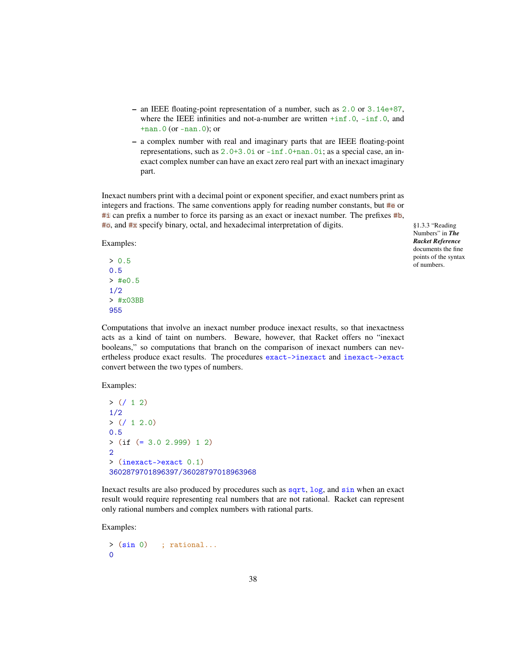- an IEEE floating-point representation of a number, such as 2.0 or 3.14e+87, where the IEEE infinities and not-a-number are written  $+inf.0, -inf.0,$  and +nan.0 (or -nan.0); or
- a complex number with real and imaginary parts that are IEEE floating-point representations, such as 2.0+3.0i or -inf.0+nan.0i; as a special case, an inexact complex number can have an exact zero real part with an inexact imaginary part.

Inexact numbers print with a decimal point or exponent specifier, and exact numbers print as integers and fractions. The same conventions apply for reading number constants, but #e or  $\#i$  can prefix a number to force its parsing as an exact or inexact number. The prefixes  $\#b$ , #o, and #x specify binary, octal, and hexadecimal interpretation of digits. §1.3.3 "Reading

Examples:

 $> 0.5$ 0.5 > #e0.5 1/2 > #x03BB 955

Numbers" in *The Racket Reference* documents the fine points of the syntax of numbers.

Computations that involve an inexact number produce inexact results, so that inexactness acts as a kind of taint on numbers. Beware, however, that Racket offers no "inexact booleans," so computations that branch on the comparison of inexact numbers can nevertheless produce exact results. The procedures exact->inexact and inexact->exact convert between the two types of numbers.

Examples:

```
> (/ 1 2)
1/2
> (/ 1 2.0)
0.5
> (if (= 3.0 2.999) 1 2)
2
> (inexact->exact 0.1)
3602879701896397/36028797018963968
```
Inexact results are also produced by procedures such as sqrt, log, and sin when an exact result would require representing real numbers that are not rational. Racket can represent only rational numbers and complex numbers with rational parts.

Examples:

> (sin 0) ; rational...  $\Omega$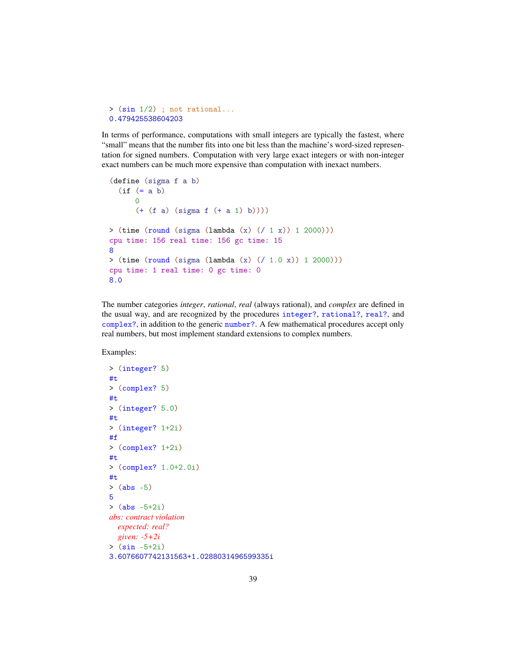```
> (sin 1/2) ; not rational...
0.479425538604203
```
In terms of performance, computations with small integers are typically the fastest, where "small" means that the number fits into one bit less than the machine's word-sized representation for signed numbers. Computation with very large exact integers or with non-integer exact numbers can be much more expensive than computation with inexact numbers.

```
(define (sigma f a b)
  (if (= a b))0
      (+ (f a) (sigma f (+ a 1) b))))
> (time (round (sigma (lambda (x) (/ 1 x)) 1 2000)))
cpu time: 156 real time: 156 gc time: 15
8
> (time (round (sigma (lambda (x) (/ 1.0 x)) 1 2000)))
cpu time: 1 real time: 0 gc time: 0
8.0
```
The number categories *integer*, *rational*, *real* (always rational), and *complex* are defined in the usual way, and are recognized by the procedures integer?, rational?, real?, and complex?, in addition to the generic number?. A few mathematical procedures accept only real numbers, but most implement standard extensions to complex numbers.

```
> (integer? 5)
#t
> (complex? 5)
#t
> (integer? 5.0)
#t
> (integer? 1+2i)
#f
> (complex? 1+2i)
#t
> (complex? 1.0+2.0i)
#t
> (abs -5)
5
> (abs -5+2i)
abs: contract violation
  expected: real?
  given: -5+2i
> (sin -5+2i)
3.6076607742131563+1.0288031496599335i
```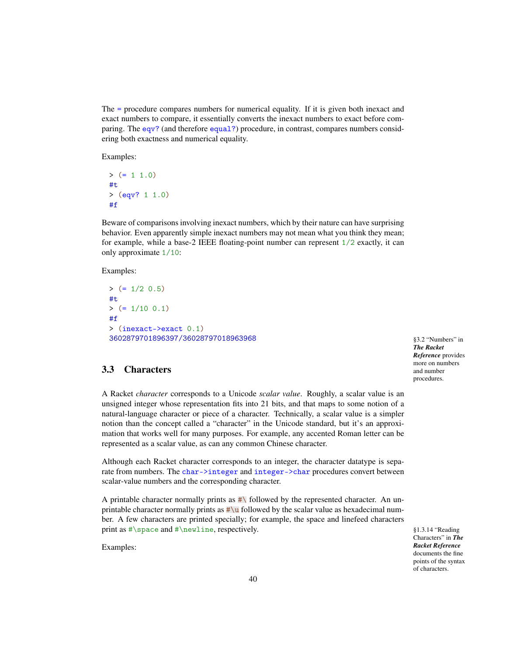The = procedure compares numbers for numerical equality. If it is given both inexact and exact numbers to compare, it essentially converts the inexact numbers to exact before comparing. The eqv? (and therefore equal?) procedure, in contrast, compares numbers considering both exactness and numerical equality.

Examples:

 $> (= 1 1.0)$ #t > (eqv? 1 1.0) #f

Beware of comparisons involving inexact numbers, which by their nature can have surprising behavior. Even apparently simple inexact numbers may not mean what you think they mean; for example, while a base-2 IEEE floating-point number can represent  $1/2$  exactly, it can only approximate 1/10:

Examples:

```
> (= 1/2 \; 0.5)#t
> (= 1/10 0.1)#f
> (inexact->exact 0.1)
3602879701896397/36028797018963968 §3.2 "Numbers" in
```
3.3 Characters

A Racket *character* corresponds to a Unicode *scalar value*. Roughly, a scalar value is an unsigned integer whose representation fits into 21 bits, and that maps to some notion of a natural-language character or piece of a character. Technically, a scalar value is a simpler notion than the concept called a "character" in the Unicode standard, but it's an approximation that works well for many purposes. For example, any accented Roman letter can be represented as a scalar value, as can any common Chinese character.

Although each Racket character corresponds to an integer, the character datatype is separate from numbers. The char->integer and integer->char procedures convert between scalar-value numbers and the corresponding character.

A printable character normally prints as  $\#\n\$  followed by the represented character. An unprintable character normally prints as  $\#\$  followed by the scalar value as hexadecimal number. A few characters are printed specially; for example, the space and linefeed characters print as  $\gamma$  space and  $\gamma$  newline, respectively.  $\gamma$  is a set of  $\gamma$  shown in the space and  $\gamma$ .

Examples:

*The Racket Reference* provides more on numbers and number procedures.

Characters" in *The Racket Reference* documents the fine points of the syntax of characters.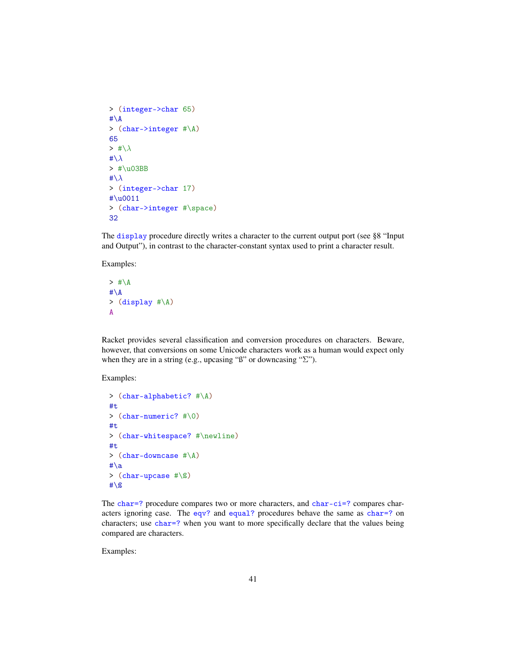```
> (integer->char 65)
\#\A> (char->integer #\A)
65
> #\\lambda#\\lambda> #\u03BB
\#\setminus \lambda> (integer->char 17)
#\u0011
> (char->integer #\space)
32
```
The display procedure directly writes a character to the current output port (see §8 "Input and Output"), in contrast to the character-constant syntax used to print a character result.

Examples:

 $>$  # \A # $\A$ > (display #\A) A

Racket provides several classification and conversion procedures on characters. Beware, however, that conversions on some Unicode characters work as a human would expect only when they are in a string (e.g., upcasing "ß" or downcasing "Σ").

Examples:

```
> (char-alphabetic? #\A)
#t
> (char-numeric? #\0)
#t
> (char-whitespace? #\newline)
#t
> (char-downcase #\A)
#\a
> (char-upcase #\ß)
\#\<sub>ß</sub>
```
The char=? procedure compares two or more characters, and char-ci=? compares characters ignoring case. The eqv? and equal? procedures behave the same as char=? on characters; use char=? when you want to more specifically declare that the values being compared are characters.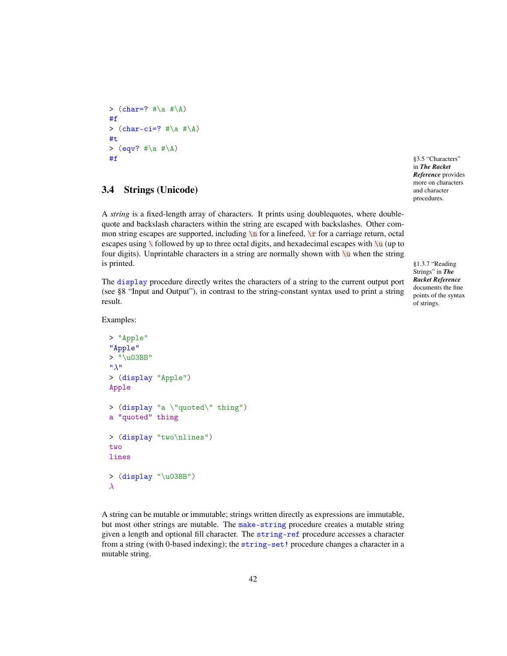```
> (char=? \# \a \# \A)#f
> (char-ci=? #\a #\A)#t
> (eqv? #\a #\A)
#f §3.5 "Characters"
```
### 3.4 Strings (Unicode)

A *string* is a fixed-length array of characters. It prints using doublequotes, where doublequote and backslash characters within the string are escaped with backslashes. Other common string escapes are supported, including  $\ln$  for a linefeed,  $\rm \ln$  for a carriage return, octal escapes using  $\setminus$  followed by up to three octal digits, and hexadecimal escapes with  $\setminus u$  (up to four digits). Unprintable characters in a string are normally shown with  $\u$  when the string is printed. §1.3.7 "Reading \$1.3.7 "Reading

The display procedure directly writes the characters of a string to the current output port (see §8 "Input and Output"), in contrast to the string-constant syntax used to print a string result.

in *The Racket Reference* provides more on characters and character procedures.

Strings" in *The Racket Reference* documents the fine points of the syntax of strings.

Examples:

```
> "Apple"
"Apple"
> "\u03BB"
"λ"
> (display "Apple")
Apple
> (display "a \"quoted\" thing")
a "quoted" thing
> (display "two\nlines")
two
lines
> (display "\u03BB")
λ
```
A string can be mutable or immutable; strings written directly as expressions are immutable, but most other strings are mutable. The make-string procedure creates a mutable string given a length and optional fill character. The string-ref procedure accesses a character from a string (with 0-based indexing); the string-set! procedure changes a character in a mutable string.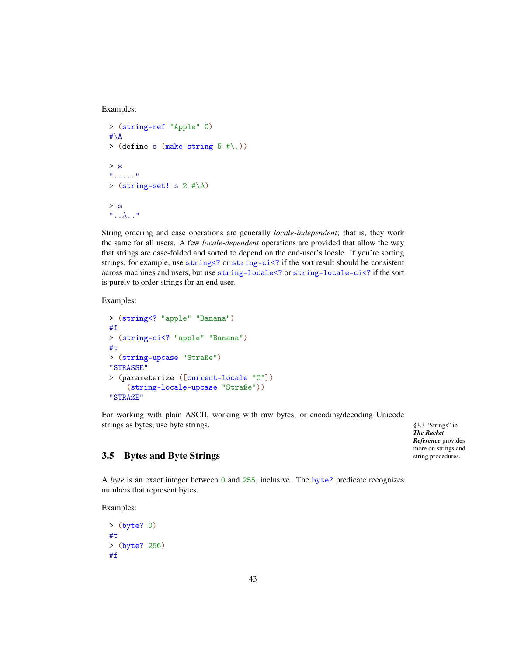Examples:

```
> (string-ref "Apple" 0)
\#\A> (define s (make-string 5 #\.))
> s
"....."
> (string-set! s 2 #\lambda)
> s
"..λ.."
```
String ordering and case operations are generally *locale-independent*; that is, they work the same for all users. A few *locale-dependent* operations are provided that allow the way that strings are case-folded and sorted to depend on the end-user's locale. If you're sorting strings, for example, use  $string < ?$  or  $string-ci < ?$  if the sort result should be consistent across machines and users, but use string-locale<? or string-locale-ci<? if the sort is purely to order strings for an end user.

Examples:

```
> (string<? "apple" "Banana")
#f
> (string-ci<? "apple" "Banana")
#t
> (string-upcase "Straße")
"STRASSE"
> (parameterize ([current-locale "C"])
    (string-locale-upcase "Straße"))
"STRAßE"
```
For working with plain ASCII, working with raw bytes, or encoding/decoding Unicode strings as bytes, use byte strings.  $\frac{1}{2}$  is the strings in  $\frac{1}{2}$  is the strings" in

**3.5 Bytes and Byte Strings** string procedures.

A *byte* is an exact integer between 0 and 255, inclusive. The byte? predicate recognizes numbers that represent bytes.

Examples:

```
> (byte? 0)
#t
> (byte? 256)
#f
```
*The Racket Reference* provides more on strings and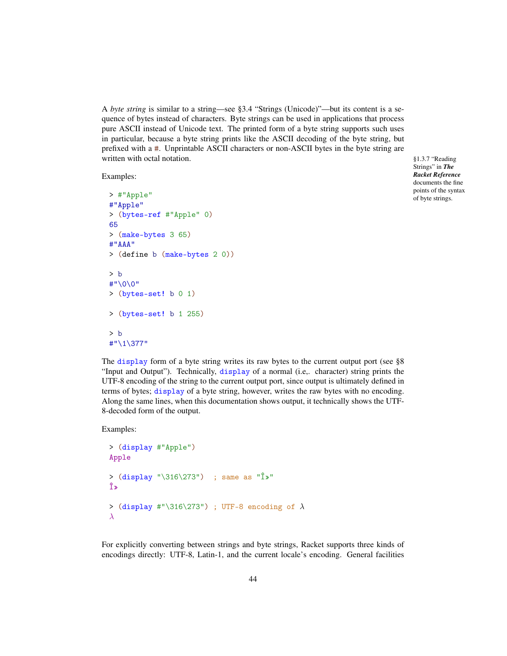A *byte string* is similar to a string—see §3.4 "Strings (Unicode)"—but its content is a sequence of bytes instead of characters. Byte strings can be used in applications that process pure ASCII instead of Unicode text. The printed form of a byte string supports such uses in particular, because a byte string prints like the ASCII decoding of the byte string, but prefixed with a #. Unprintable ASCII characters or non-ASCII bytes in the byte string are written with octal notation. <br>
§1.3.7 "Reading

Examples:

```
> #"Apple"
#"Apple"
> (bytes-ref #"Apple" 0)
65
> (make-bytes 3 65)
#"AAA"
> (define b (make-bytes 2 0))
> b
#"\0\0"
> (bytes-set! b 0 1)
> (bytes-set! b 1 255)
> b
#"\1\377"
```
Strings" in *The Racket Reference* documents the fine points of the syntax of byte strings.

The display form of a byte string writes its raw bytes to the current output port (see §8 "Input and Output"). Technically, display of a normal (i.e,. character) string prints the UTF-8 encoding of the string to the current output port, since output is ultimately defined in terms of bytes; display of a byte string, however, writes the raw bytes with no encoding. Along the same lines, when this documentation shows output, it technically shows the UTF-8-decoded form of the output.

Examples:

```
> (display #"Apple")
Apple
> (\text{display } \sqrt{316} \cdot 273") ; same as "\hat{I}"
λ
> (display #"\316\273") ; UTF-8 encoding of \lambdaλ
```
For explicitly converting between strings and byte strings, Racket supports three kinds of encodings directly: UTF-8, Latin-1, and the current locale's encoding. General facilities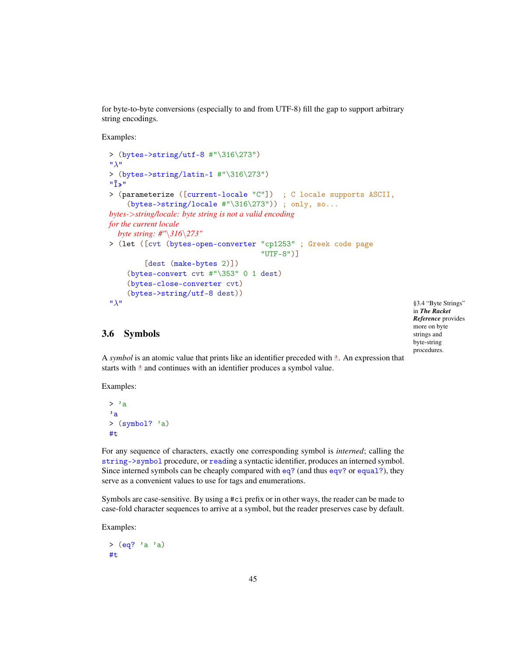for byte-to-byte conversions (especially to and from UTF-8) fill the gap to support arbitrary string encodings.

Examples:

```
> (bytes->string/utf-8 #"\316\273")
"λ"
> (bytes->string/latin-1 #"\316\273")
"λ"
> (parameterize ([current-locale "C"]) ; C locale supports ASCII,
    (bytes->string/locale #"\316\273")) ; only, so...
bytes->string/locale: byte string is not a valid encoding
for the current locale
 byte string: #"\316\273"
> (let ([cvt (bytes-open-converter "cp1253" ; Greek code page
                                 "UTF-8")]
       [dest (make-bytes 2)])
    (bytes-convert cvt #"\353" 0 1 dest)
    (bytes-close-converter cvt)
    (bytes->string/utf-8 dest))
"λ" §3.4 "Byte Strings"
```
in *The Racket Reference* provides more on byte strings and byte-string procedures.

#### 3.6 Symbols

A *symbol* is an atomic value that prints like an identifier preceded with '. An expression that starts with <sup>2</sup> and continues with an identifier produces a symbol value.

Examples:

 $>$ <sup>'a</sup> 'a > (symbol? 'a) #t

For any sequence of characters, exactly one corresponding symbol is *interned*; calling the string->symbol procedure, or reading a syntactic identifier, produces an interned symbol. Since interned symbols can be cheaply compared with eq? (and thus eqv? or equal?), they serve as a convenient values to use for tags and enumerations.

Symbols are case-sensitive. By using a #ci prefix or in other ways, the reader can be made to case-fold character sequences to arrive at a symbol, but the reader preserves case by default.

Examples:

> (eq? 'a 'a) #t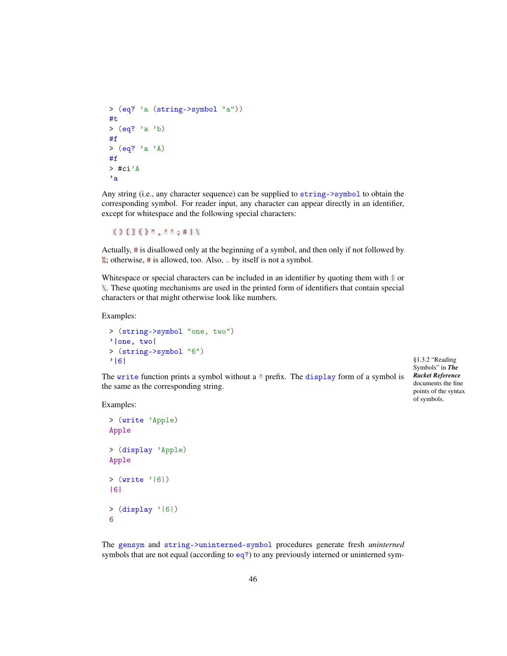```
> (eq? 'a (string->symbol "a"))
#t
> (eq? 'a 'b)
#f
> (eq? 'a 'A)
#f
> #ci'A
'a
```
Any string (i.e., any character sequence) can be supplied to string->symbol to obtain the corresponding symbol. For reader input, any character can appear directly in an identifier, except for whitespace and the following special characters:

 $( ) [ ] { } \{ } \$  ", ' '; # | \

Actually, # is disallowed only at the beginning of a symbol, and then only if not followed by  $\frac{1}{6}$ ; otherwise,  $\frac{1}{4}$  is allowed, too. Also,  $\frac{1}{6}$  by itself is not a symbol.

Whitespace or special characters can be included in an identifier by quoting them with  $\parallel$  or \. These quoting mechanisms are used in the printed form of identifiers that contain special characters or that might otherwise look like numbers.

Examples:

```
> (string->symbol "one, two")
'|one, two|
> (string->symbol "6")
\frac{1}{2} | 6| \frac{1}{2} \frac{1}{2} \frac{1}{2} \frac{1}{2} \frac{1}{2} \frac{1}{2} \frac{1}{2} \frac{1}{2} \frac{1}{2} \frac{1}{2} \frac{1}{2} \frac{1}{2} \frac{1}{2} \frac{1}{2} \frac{1}{2} \frac{1}{2} \frac{1}{2} \frac{1}{2} \frac{1}{2} \frac{1}{2} \frac{1}{
```
The write function prints a symbol without a ' prefix. The display form of a symbol is the same as the corresponding string.

Symbols" in *The Racket Reference* documents the fine points of the syntax of symbols.

Examples:

```
> (write 'Apple)
Apple
> (display 'Apple)
Apple
> (write '|6|)
|6|
> (display '|6|)
6
```
The gensym and string->uninterned-symbol procedures generate fresh *uninterned* symbols that are not equal (according to eq?) to any previously interned or uninterned sym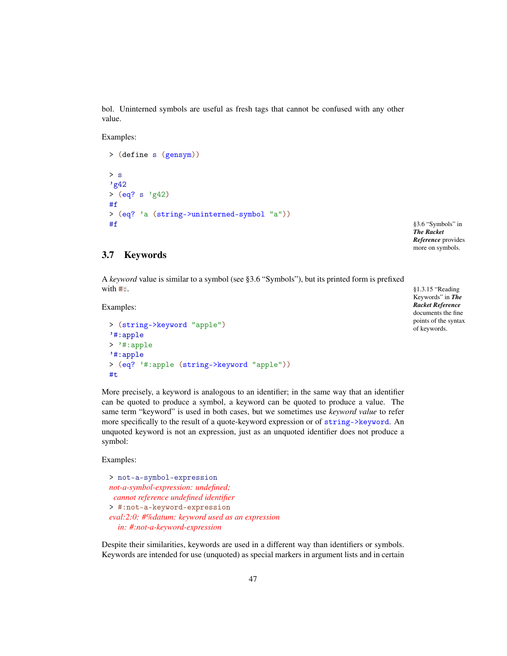bol. Uninterned symbols are useful as fresh tags that cannot be confused with any other value.

Examples:

```
> (define s (gensym))
> s
'g42
> (eq? s 'g42)
#f
> (eq? 'a (string->uninterned-symbol "a"))
#f §3.6 "Symbols" in
```
*The Racket Reference* provides more on symbols.

## 3.7 Keywords

A *keyword* value is similar to a symbol (see §3.6 "Symbols"), but its printed form is prefixed with  $\#$ :. §1.3.15 "Reading

Examples:

```
> (string->keyword "apple")
'#:apple
> '#:apple
'#:apple
> (eq? '#:apple (string->keyword "apple"))
#t
```
More precisely, a keyword is analogous to an identifier; in the same way that an identifier can be quoted to produce a symbol, a keyword can be quoted to produce a value. The same term "keyword" is used in both cases, but we sometimes use *keyword value* to refer more specifically to the result of a quote-keyword expression or of string->keyword. An unquoted keyword is not an expression, just as an unquoted identifier does not produce a symbol:

Examples:

```
> not-a-symbol-expression
not-a-symbol-expression: undefined;
 cannot reference undefined identifier
> #:not-a-keyword-expression
eval:2:0: #%datum: keyword used as an expression
  in: #:not-a-keyword-expression
```
Despite their similarities, keywords are used in a different way than identifiers or symbols. Keywords are intended for use (unquoted) as special markers in argument lists and in certain Keywords" in *The Racket Reference* documents the fine points of the syntax of keywords.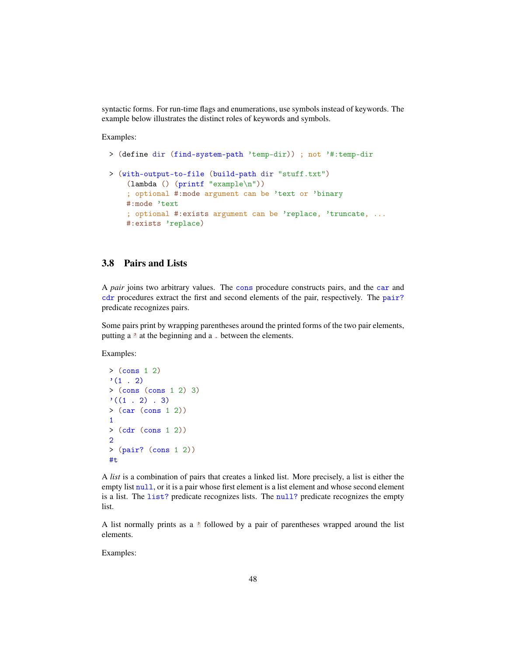syntactic forms. For run-time flags and enumerations, use symbols instead of keywords. The example below illustrates the distinct roles of keywords and symbols.

Examples:

```
> (define dir (find-system-path 'temp-dir)) ; not '#:temp-dir
> (with-output-to-file (build-path dir "stuff.txt")
    (lambda () (printf "example\n"))
    ; optional #:mode argument can be 'text or 'binary
    #:mode 'text
    ; optional #:exists argument can be 'replace, 'truncate, ...
    #:exists 'replace)
```
## 3.8 Pairs and Lists

A *pair* joins two arbitrary values. The cons procedure constructs pairs, and the car and cdr procedures extract the first and second elements of the pair, respectively. The pair? predicate recognizes pairs.

Some pairs print by wrapping parentheses around the printed forms of the two pair elements, putting a ' at the beginning and a . between the elements.

Examples:

```
> (cons 1 2)
'(1 \cdot 2)> (cons (cons 1 2) 3)
'((1 \cdot 2) \cdot 3)> (car (cons 1 2))
1
> (cdr (cons 1 2))
\mathcal{D}> (pair? (cons 1 2))
#t
```
A *list* is a combination of pairs that creates a linked list. More precisely, a list is either the empty list null, or it is a pair whose first element is a list element and whose second element is a list. The list? predicate recognizes lists. The null? predicate recognizes the empty list.

A list normally prints as a  $\mathbb{R}$  followed by a pair of parentheses wrapped around the list elements.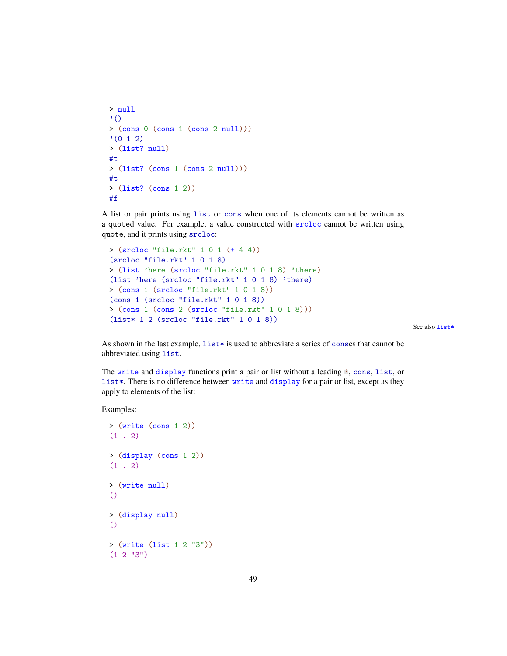```
> null
' ()
> (cons 0 (cons 1 (cons 2 null)))
' (0 1 2)
> (list? null)
#t
> (list? (cons 1 (cons 2 null)))
#<sub>+</sub>> (list? (cons 1 2))
#f
```
A list or pair prints using list or cons when one of its elements cannot be written as a quoted value. For example, a value constructed with srcloc cannot be written using quote, and it prints using srcloc:

```
> (srcloc "file.rkt" 1 0 1 (+ 4 4))
(srcloc "file.rkt" 1 0 1 8)
> (list 'here (srcloc "file.rkt" 1 0 1 8) 'there)
(list 'here (srcloc "file.rkt" 1 0 1 8) 'there)
> (cons 1 (srcloc "file.rkt" 1 0 1 8))
(cons 1 (srcloc "file.rkt" 1 0 1 8))
> (cons 1 (cons 2 (srcloc "file.rkt" 1 0 1 8)))
(list* 1 2 (srcloc "file.rkt" 1 0 1 8))
```
See also list\*.

As shown in the last example,  $list*$  is used to abbreviate a series of conses that cannot be abbreviated using list.

The write and display functions print a pair or list without a leading ', cons, list, or list\*. There is no difference between write and display for a pair or list, except as they apply to elements of the list:

```
> (write (cons 1 2))
(1 \cdot 2)> (display (cons 1 2))
(1 \cdot 2)> (write null)
\bigcirc> (display null)
\circ> (write (list 1 2 "3"))
(1 2 93)
```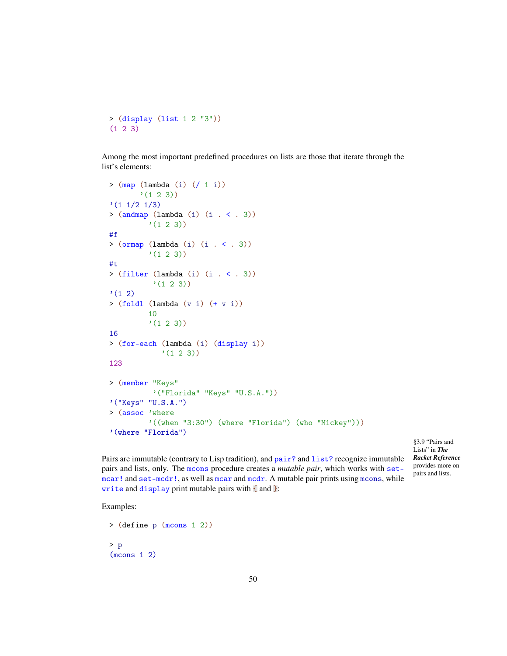```
> (display (list 1 2 "3"))
(1 2 3)
```
Among the most important predefined procedures on lists are those that iterate through the list's elements:

```
> (map (lambda (i) (/ 1 i))
       ' (1 \ 2 \ 3))'(1 \ 1/2 \ 1/3)> (andmap (lambda (i) (i . < . 3))
         ' (1 \ 2 \ 3))#f
> (ormap (lambda (i) (i . < . 3))
         '(1 2 3))
#t
> (filter (lambda (i) (i . < . 3))
          (1 \ 2 \ 3))'(1 \ 2)> (foldl (lambda (v i) (+ v i))
         10
         (1 \ 2 \ 3))16
> (for-each (lambda (i) (display i))
             '(1 2 3))
123
> (member "Keys"
          '("Florida" "Keys" "U.S.A."))
'("Keys" "U.S.A.")
> (assoc 'where
          '((when "3:30") (where "Florida") (who "Mickey")))
'(where "Florida")
```
§3.9 "Pairs and Lists" in *The Racket Reference* provides more on pairs and lists.

Pairs are immutable (contrary to Lisp tradition), and pair? and list? recognize immutable pairs and lists, only. The mcons procedure creates a *mutable pair*, which works with setmcar! and set-mcdr!, as well as mcar and mcdr. A mutable pair prints using mcons, while write and display print mutable pairs with  $\{$  and  $\}$ :

Examples:

> (define p (mcons 1 2)) > p (mcons 1 2)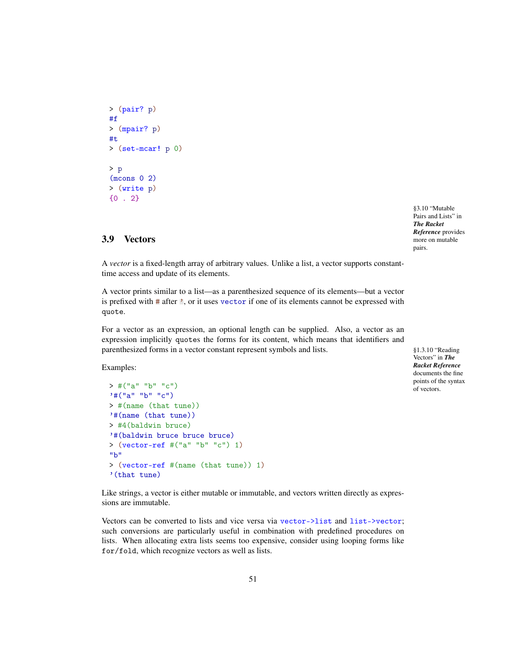```
> (pair? p)
#f
> (mpair? p)
#t
> (set-mcar! p 0)
> p
(mcons 0 2)
> (write p)
{0 . 2}
```
§3.10 "Mutable Pairs and Lists" in *The Racket Reference* provides more on mutable pairs.

## 3.9 Vectors

A *vector* is a fixed-length array of arbitrary values. Unlike a list, a vector supports constanttime access and update of its elements.

A vector prints similar to a list—as a parenthesized sequence of its elements—but a vector is prefixed with # after ', or it uses vector if one of its elements cannot be expressed with quote.

For a vector as an expression, an optional length can be supplied. Also, a vector as an expression implicitly quotes the forms for its content, which means that identifiers and parenthesized forms in a vector constant represent symbols and lists.  $$1.3.10$  "Reading

Examples:

```
> #("a" "b" "c")
'#("a" "b" "c")
> #(name (that tune))
'#(name (that tune))
> #4(baldwin bruce)
'#(baldwin bruce bruce bruce)
\rightarrow (vector-ref #("a" "b" "c") 1)
"b"
> (vector-ref #(name (that tune)) 1)
'(that tune)
```
Vectors" in *The Racket Reference* documents the fine points of the syntax of vectors.

Like strings, a vector is either mutable or immutable, and vectors written directly as expressions are immutable.

Vectors can be converted to lists and vice versa via vector->list and list->vector; such conversions are particularly useful in combination with predefined procedures on lists. When allocating extra lists seems too expensive, consider using looping forms like for/fold, which recognize vectors as well as lists.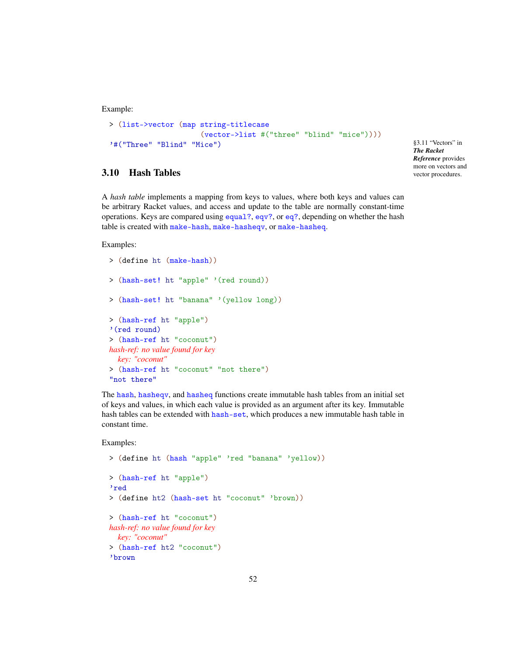Example:

```
> (list->vector (map string-titlecase
                (vector->list #("three" "blind" "mice"))))
'#("Three" "Blind" "Mice") §3.11 "Vectors" in
```
### 3.10 Hash Tables vector procedures.

A *hash table* implements a mapping from keys to values, where both keys and values can be arbitrary Racket values, and access and update to the table are normally constant-time operations. Keys are compared using equal?, eqv?, or eq?, depending on whether the hash table is created with make-hash, make-hasheqv, or make-hasheq.

Examples:

```
> (define ht (make-hash))
> (hash-set! ht "apple" '(red round))
> (hash-set! ht "banana" '(yellow long))
> (hash-ref ht "apple")
'(red round)
> (hash-ref ht "coconut")
hash-ref: no value found for key
 key: "coconut"
> (hash-ref ht "coconut" "not there")
"not there"
```
The hash, hasheqv, and hasheq functions create immutable hash tables from an initial set of keys and values, in which each value is provided as an argument after its key. Immutable hash tables can be extended with hash-set, which produces a new immutable hash table in constant time.

Examples:

```
> (define ht (hash "apple" 'red "banana" 'yellow))
> (hash-ref ht "apple")
'red
> (define ht2 (hash-set ht "coconut" 'brown))
> (hash-ref ht "coconut")
hash-ref: no value found for key
  key: "coconut"
> (hash-ref ht2 "coconut")
'brown
```
*The Racket Reference* provides more on vectors and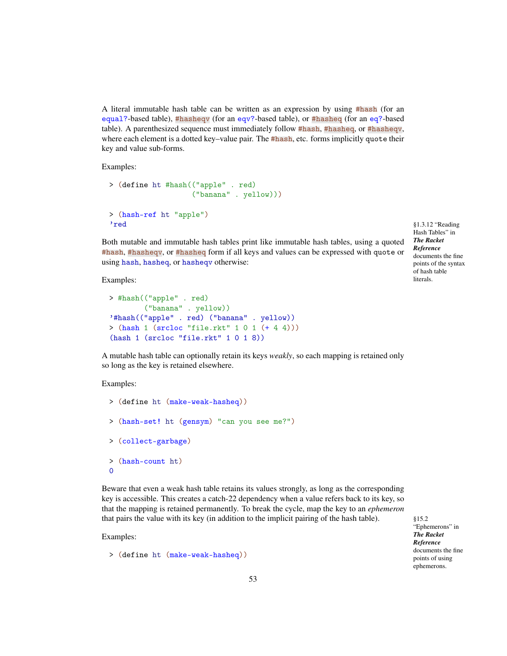A literal immutable hash table can be written as an expression by using #hash (for an equal?-based table), #hasheqv (for an eqv?-based table), or #hasheq (for an eq?-based table). A parenthesized sequence must immediately follow  $\#hash$ ,  $\#hash$ eq, or  $\#hash$ eqv, where each element is a dotted key–value pair. The #hash, etc. forms implicitly quote their key and value sub-forms.

Examples:

```
> (define ht #hash(("apple" . red)
            ("banana" . yellow)))
> (hash-ref ht "apple")
'red §1.3.12 "Reading
```
Both mutable and immutable hash tables print like immutable hash tables, using a quoted #hash, #hasheqv, or #hasheq form if all keys and values can be expressed with quote or using hash, hasheq, or hasheqv otherwise:

Examples:

```
> #hash(("apple" . red)
        ("banana" . yellow))
'#hash(("apple" . red) ("banana" . yellow))
> (hash 1 (srcloc "file.rkt" 1 0 1 (+ 4 4)))
(hash 1 (srcloc "file.rkt" 1 0 1 8))
```
A mutable hash table can optionally retain its keys *weakly*, so each mapping is retained only so long as the key is retained elsewhere.

#### Examples:

```
> (define ht (make-weak-hasheq))
> (hash-set! ht (gensym) "can you see me?")
> (collect-garbage)
> (hash-count ht)
\overline{0}
```
Beware that even a weak hash table retains its values strongly, as long as the corresponding key is accessible. This creates a catch-22 dependency when a value refers back to its key, so that the mapping is retained permanently. To break the cycle, map the key to an *ephemeron* that pairs the value with its key (in addition to the implicit pairing of the hash table). §15.2

Examples:

> (define ht (make-weak-hasheq))

Hash Tables" in *The Racket Reference* documents the fine points of the syntax of hash table literals.

"Ephemerons" in *The Racket Reference* documents the fine points of using ephemerons.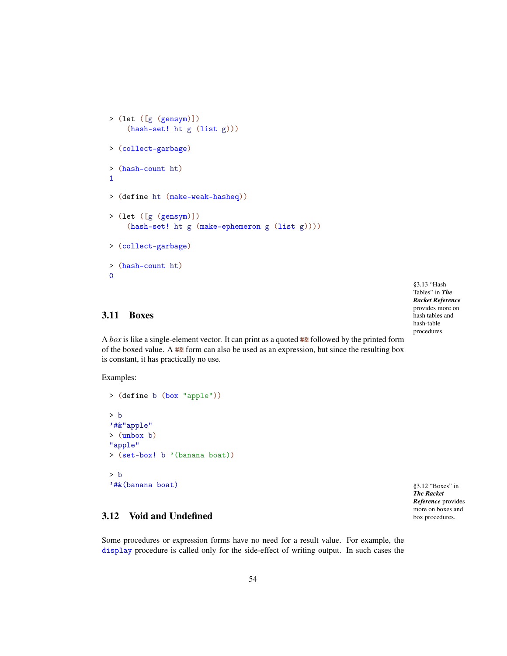```
> (let ([g (gensym)])
    (hash-set! ht g (list g)))
> (collect-garbage)
> (hash-count ht)
1
> (define ht (make-weak-hasheq))
> (let ([g (gensym)])
    (hash-set! ht g (make-ephemeron g (list g))))
> (collect-garbage)
> (hash-count ht)
0
```
## 3.11 Boxes

A *box* is like a single-element vector. It can print as a quoted  $\#x$  followed by the printed form of the boxed value. A  $\# \&$  form can also be used as an expression, but since the resulting box is constant, it has practically no use.

Examples:

```
> (define b (box "apple"))
> b
'#&"apple"
> (unbox b)
"apple"
> (set-box! b '(banana boat))
> b
'#&(banana boat) §3.12 "Boxes" in
```
3.12 Void and Undefined box procedures.

Some procedures or expression forms have no need for a result value. For example, the display procedure is called only for the side-effect of writing output. In such cases the

*The Racket Reference* provides more on boxes and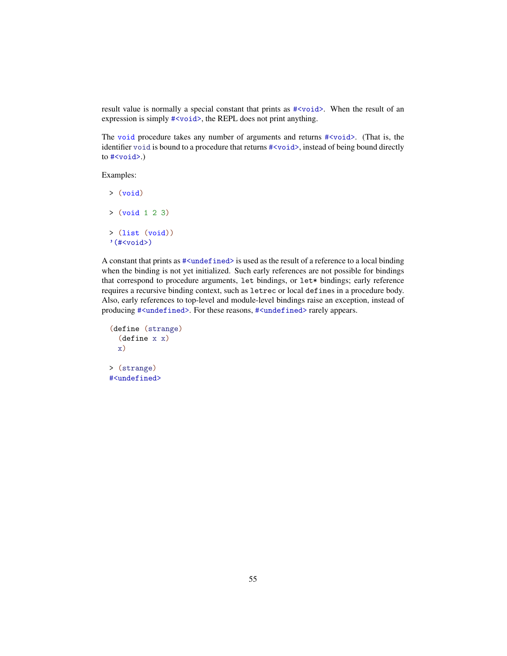result value is normally a special constant that prints as  $\# \text{<} \text{void}$ . When the result of an expression is simply #<void>, the REPL does not print anything.

The void procedure takes any number of arguments and returns #<void>. (That is, the identifier void is bound to a procedure that returns  $\# \{ \text{void} \}$ , instead of being bound directly to  $#<$ void $>$ .)

#### Examples:

> (void) > (void 1 2 3) > (list (void))  $'($ #< $\text{void}>$ 

A constant that prints as  $\#$ <undefined> is used as the result of a reference to a local binding when the binding is not yet initialized. Such early references are not possible for bindings that correspond to procedure arguments, let bindings, or let\* bindings; early reference requires a recursive binding context, such as letrec or local defines in a procedure body. Also, early references to top-level and module-level bindings raise an exception, instead of producing #<undefined>. For these reasons, #<undefined> rarely appears.

```
(define (strange)
  (define x x)
  x)
> (strange)
#<undefined>
```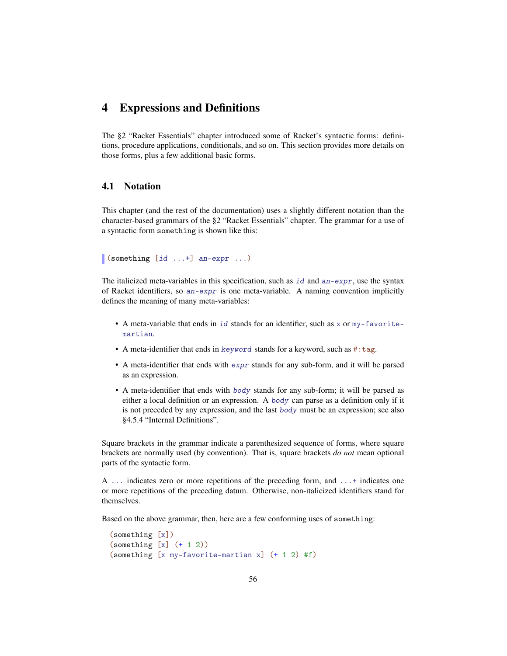## 4 Expressions and Definitions

The §2 "Racket Essentials" chapter introduced some of Racket's syntactic forms: definitions, procedure applications, conditionals, and so on. This section provides more details on those forms, plus a few additional basic forms.

## 4.1 Notation

This chapter (and the rest of the documentation) uses a slightly different notation than the character-based grammars of the §2 "Racket Essentials" chapter. The grammar for a use of a syntactic form something is shown like this:

```
(something (id \dots +] an-expr \dots)
```
The italicized meta-variables in this specification, such as  $id$  and  $an-expr$ , use the syntax of Racket identifiers, so  $an$ -expr is one meta-variable. A naming convention implicitly defines the meaning of many meta-variables:

- A meta-variable that ends in id stands for an identifier, such as x or my-favoritemartian.
- A meta-identifier that ends in keyword stands for a keyword, such as #:tag.
- A meta-identifier that ends with expr stands for any sub-form, and it will be parsed as an expression.
- A meta-identifier that ends with body stands for any sub-form; it will be parsed as either a local definition or an expression. A body can parse as a definition only if it is not preceded by any expression, and the last body must be an expression; see also §4.5.4 "Internal Definitions".

Square brackets in the grammar indicate a parenthesized sequence of forms, where square brackets are normally used (by convention). That is, square brackets *do not* mean optional parts of the syntactic form.

A ... indicates zero or more repetitions of the preceding form, and ...+ indicates one or more repetitions of the preceding datum. Otherwise, non-italicized identifiers stand for themselves.

Based on the above grammar, then, here are a few conforming uses of something:

```
(something [x])
(something [x] (+ 1 2))
(something [x my-favorite-martian x] (+ 1 2) #f)
```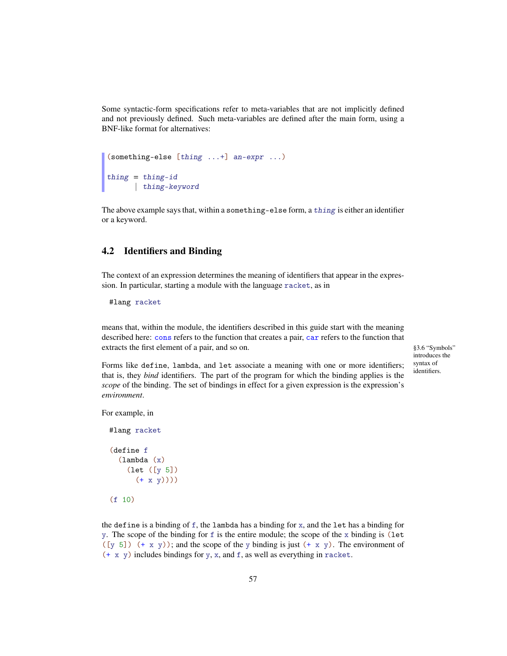Some syntactic-form specifications refer to meta-variables that are not implicitly defined and not previously defined. Such meta-variables are defined after the main form, using a BNF-like format for alternatives:

```
(something-else [thing \dots+] an-expr \dots)
thing = thing-id| thing-keyword
```
The above example says that, within a something-else form, a thing is either an identifier or a keyword.

### 4.2 Identifiers and Binding

The context of an expression determines the meaning of identifiers that appear in the expression. In particular, starting a module with the language racket, as in

#lang racket

means that, within the module, the identifiers described in this guide start with the meaning described here: cons refers to the function that creates a pair, car refers to the function that extracts the first element of a pair, and so on.  $\frac{1}{2}$  \$3.6 "Symbols"

introduces the syntax of identifiers.

Forms like define, lambda, and let associate a meaning with one or more identifiers; that is, they *bind* identifiers. The part of the program for which the binding applies is the *scope* of the binding. The set of bindings in effect for a given expression is the expression's *environment*.

For example, in

```
#lang racket
(define f
  (lambda (x)
    (let ([y 5])
      (+ x y)))
```
(f 10)

the define is a binding of f, the lambda has a binding for x, and the let has a binding for y. The scope of the binding for f is the entire module; the scope of the x binding is (let  $(\lceil y 5 \rceil)$  (+ x y)); and the scope of the y binding is just (+ x y). The environment of  $(+ x y)$  includes bindings for y, x, and f, as well as everything in racket.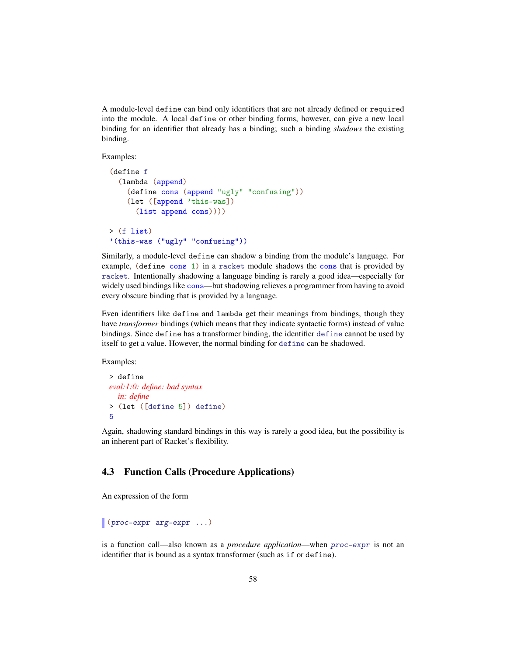A module-level define can bind only identifiers that are not already defined or required into the module. A local define or other binding forms, however, can give a new local binding for an identifier that already has a binding; such a binding *shadows* the existing binding.

Examples:

```
(define f
  (lambda (append)
    (define cons (append "ugly" "confusing"))
    (let ([append 'this-was])
      (list append cons))))
> (f list)
'(this-was ("ugly" "confusing"))
```
Similarly, a module-level define can shadow a binding from the module's language. For example, (define cons 1) in a racket module shadows the cons that is provided by racket. Intentionally shadowing a language binding is rarely a good idea—especially for widely used bindings like cons—but shadowing relieves a programmer from having to avoid every obscure binding that is provided by a language.

Even identifiers like define and lambda get their meanings from bindings, though they have *transformer* bindings (which means that they indicate syntactic forms) instead of value bindings. Since define has a transformer binding, the identifier define cannot be used by itself to get a value. However, the normal binding for define can be shadowed.

Examples:

```
> define
eval:1:0: define: bad syntax
  in: define
> (let ([define 5]) define)
5
```
Again, shadowing standard bindings in this way is rarely a good idea, but the possibility is an inherent part of Racket's flexibility.

### 4.3 Function Calls (Procedure Applications)

An expression of the form

```
(proc-expr arg-expr ...)
```
is a function call—also known as a *procedure application*—when proc-expr is not an identifier that is bound as a syntax transformer (such as if or define).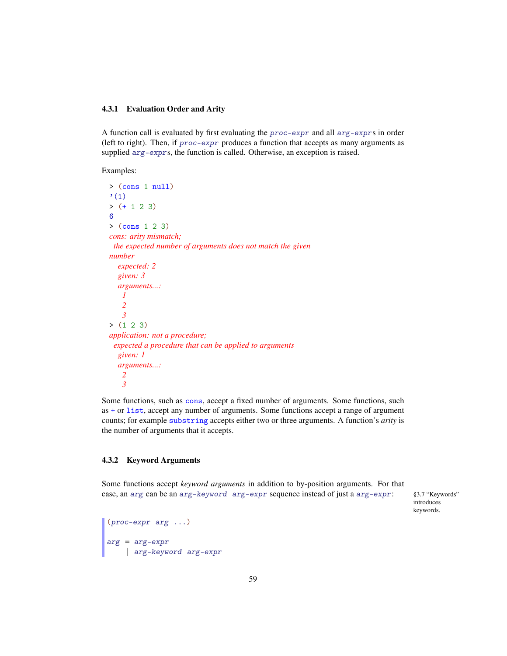### 4.3.1 Evaluation Order and Arity

A function call is evaluated by first evaluating the proc-expr and all arg-exprs in order (left to right). Then, if proc-expr produces a function that accepts as many arguments as supplied arg-exprs, the function is called. Otherwise, an exception is raised.

Examples:

```
> (cons 1 null)
'(1)> (+ 1 2 3)6
> (cons 1 2 3)
cons: arity mismatch;
 the expected number of arguments does not match the given
number
  expected: 2
  given: 3
  arguments...:
   1
   2
   3
> (1 2 3)
application: not a procedure;
 expected a procedure that can be applied to arguments
  given: 1
  arguments...:
   2
   3
```
Some functions, such as cons, accept a fixed number of arguments. Some functions, such as + or list, accept any number of arguments. Some functions accept a range of argument counts; for example substring accepts either two or three arguments. A function's *arity* is the number of arguments that it accepts.

### 4.3.2 Keyword Arguments

Some functions accept *keyword arguments* in addition to by-position arguments. For that case, an arg can be an arg-keyword arg-expr sequence instead of just a arg-expr: §3.7 "Keywords"

introduces keywords.

```
(proc-expr arg ...)
arg = arg - expr| arg-keyword arg-expr
```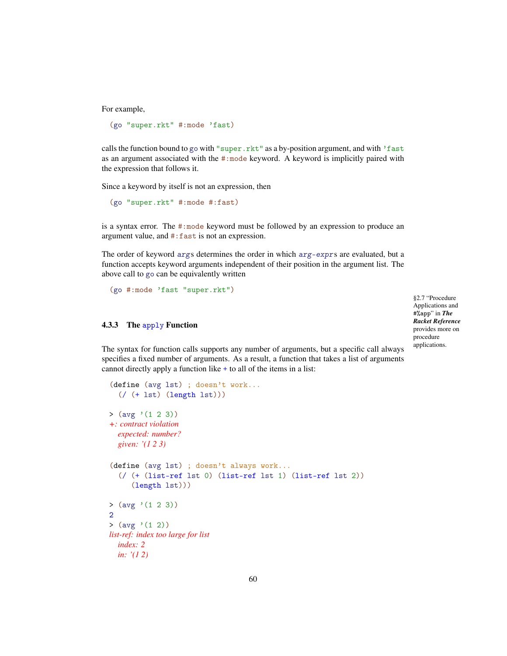For example,

(go "super.rkt" #:mode 'fast)

calls the function bound to go with "super.rkt" as a by-position argument, and with  $i$  fast as an argument associated with the  $\#$ : mode keyword. A keyword is implicitly paired with the expression that follows it.

Since a keyword by itself is not an expression, then

```
(go "super.rkt" #:mode #:fast)
```
is a syntax error. The #:mode keyword must be followed by an expression to produce an argument value, and #:fast is not an expression.

The order of keyword args determines the order in which arg-exprs are evaluated, but a function accepts keyword arguments independent of their position in the argument list. The above call to go can be equivalently written

```
(go #:mode 'fast "super.rkt")
```
#### 4.3.3 The apply Function

§2.7 "Procedure Applications and #%app" in *The Racket Reference* provides more on procedure applications.

The syntax for function calls supports any number of arguments, but a specific call always specifies a fixed number of arguments. As a result, a function that takes a list of arguments cannot directly apply a function like + to all of the items in a list:

```
(define (avg lst) ; doesn't work...
  (/ (+ lst) (length lst)))
> (avg '(1 2 3))
+: contract violation
  expected: number?
  given: '(1 2 3)
(define (avg lst) ; doesn't always work...
  (/ (+ (list-ref lst 0) (list-ref lst 1) (list-ref lst 2))
     (length lst)))
> (avg '(1 2 3))
2
> (avg '(1 2))
list-ref: index too large for list
  index: 2
  in: '(1 2)
```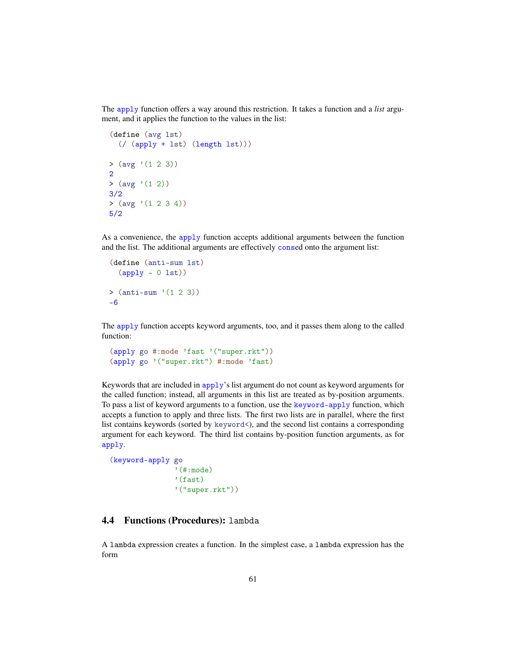The apply function offers a way around this restriction. It takes a function and a *list* argument, and it applies the function to the values in the list:

```
(define (avg lst)
  (/ (apply + lst) (length lst)))
> (avg '(1 2 3))
\mathcal{D}> (avg '(1\ 2)))
3/2
> (avg '(1 2 3 4))
5/2
```
As a convenience, the apply function accepts additional arguments between the function and the list. The additional arguments are effectively consed onto the argument list:

```
(define (anti-sum lst)
  (apply - 0 lst))
> (anti-sum '(1\ 2\ 3))-6
```
The apply function accepts keyword arguments, too, and it passes them along to the called function:

```
(apply go #:mode 'fast '("super.rkt"))
(apply go '("super.rkt") #:mode 'fast)
```
Keywords that are included in apply's list argument do not count as keyword arguments for the called function; instead, all arguments in this list are treated as by-position arguments. To pass a list of keyword arguments to a function, use the keyword-apply function, which accepts a function to apply and three lists. The first two lists are in parallel, where the first list contains keywords (sorted by keyword<), and the second list contains a corresponding argument for each keyword. The third list contains by-position function arguments, as for apply.

```
(keyword-apply go
               ,(#:mode)'(fast)
               '("super.rkt"))
```
### 4.4 Functions (Procedures): lambda

A lambda expression creates a function. In the simplest case, a lambda expression has the form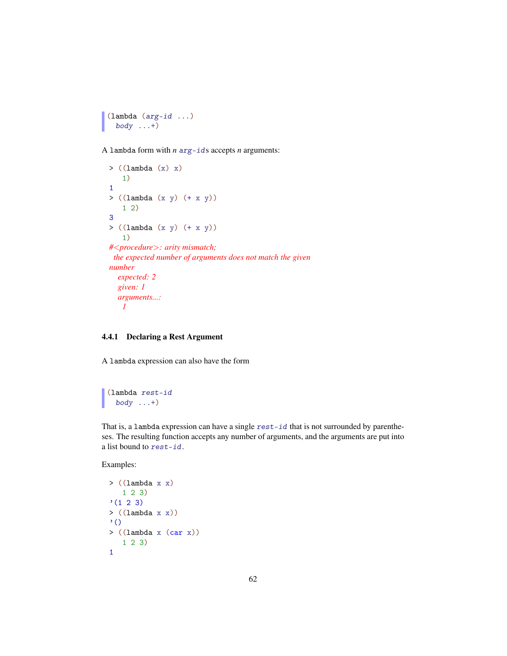```
(lambda (arg-id ...)
  body \dots +)
```
A lambda form with *n* arg-ids accepts *n* arguments:

```
> ((lambda (x) x)
   1)
1
> ((lambda (x y) (+ x y))
   1 2)
3
> ((lambda (x y) (+ x y))
   1)
#<procedure>: arity mismatch;
 the expected number of arguments does not match the given
number
  expected: 2
  given: 1
  arguments...:
   1
```
### 4.4.1 Declaring a Rest Argument

A lambda expression can also have the form

```
(lambda rest-id
  body \dots +)
```
That is, a lambda expression can have a single rest-id that is not surrounded by parentheses. The resulting function accepts any number of arguments, and the arguments are put into a list bound to rest-id.

```
> ((lambda x x)
   1 2 3)
'(1 \ 2 \ 3)> ((lambda x x))
\cdot ()
> ((lambda x (car x))
   1 2 3)
1
```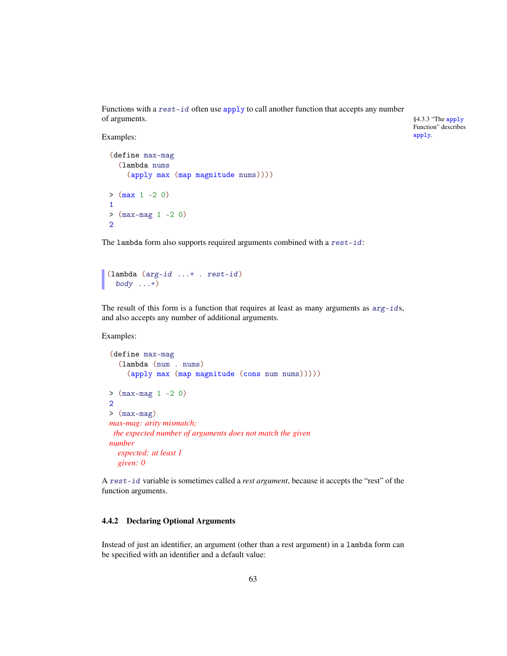Functions with a rest-id often use apply to call another function that accepts any number of arguments. §4.3.3 "The apply

Function" describes

Examples:  $\qquad \qquad \text{apply}.$ 

```
(define max-mag
  (lambda nums
    (apply max (map magnitude nums))))
> (max 1 -2 0)
1
> (max-mag 1 -2 0)
2
```
The lambda form also supports required arguments combined with a rest-id:

```
(lambda (arg-id ...+ . rest-id)
  body \dots+)
```
The result of this form is a function that requires at least as many arguments as  $\arg$ -ids, and also accepts any number of additional arguments.

Examples:

```
(define max-mag
  (lambda (num . nums)
     (apply max (map magnitude (cons num nums)))))
> (max-mag 1 -2 0)
\mathcal{D}> (max-mag)
max-mag: arity mismatch;
 the expected number of arguments does not match the given
number
  expected: at least 1
  given: 0
```
A rest-id variable is sometimes called a *rest argument*, because it accepts the "rest" of the function arguments.

### 4.4.2 Declaring Optional Arguments

Instead of just an identifier, an argument (other than a rest argument) in a lambda form can be specified with an identifier and a default value: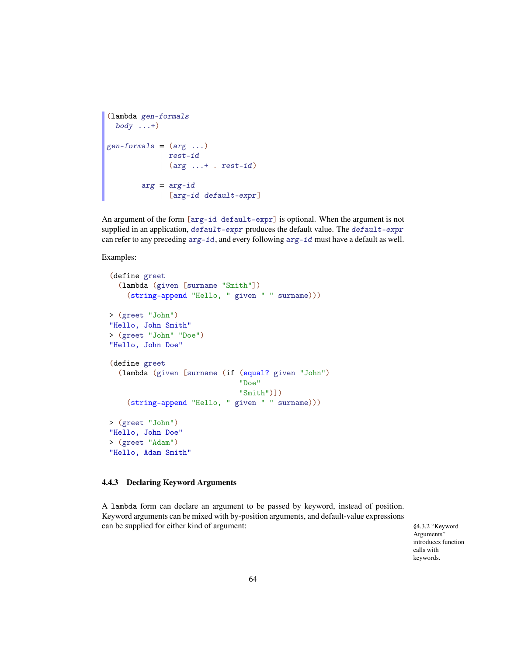```
(lambda gen-formals
 body \dots+)gen-formals = (arg ...)| rest-id
           \big| (arg ...+ . rest-id)
       arg = arg - id| [arg-id default-expr ]
```
An argument of the form [arg-id default-expr] is optional. When the argument is not supplied in an application,  $default-expr$  produces the default value. The  $default-expr$ can refer to any preceding  $arg-id$ , and every following  $arg-id$  must have a default as well.

Examples:

```
(define greet
  (lambda (given [surname "Smith"])
    (string-append "Hello, " given " " surname)))
> (greet "John")
"Hello, John Smith"
> (greet "John" "Doe")
"Hello, John Doe"
(define greet
  (lambda (given [surname (if (equal? given "John")
                              "Doe"
                               "Smith")])
    (string-append "Hello, " given " " surname)))
> (greet "John")
"Hello, John Doe"
> (greet "Adam")
"Hello, Adam Smith"
```
### 4.4.3 Declaring Keyword Arguments

A lambda form can declare an argument to be passed by keyword, instead of position. Keyword arguments can be mixed with by-position arguments, and default-value expressions can be supplied for either kind of argument: §4.3.2 "Keyword

Arguments" introduces function calls with keywords.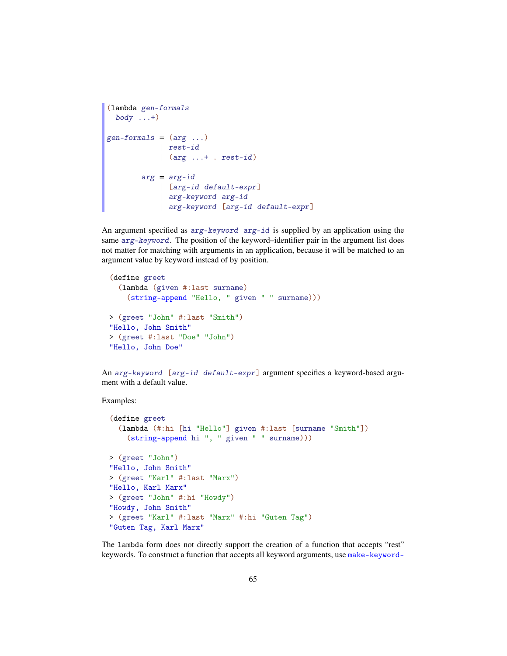```
(lambda gen-formals
  body \dots +)gen-formals = (arg ...)| rest-id
            \vert (arg \dots+ . rest-id)
       arg = arg - id| [arg-id default-expr ]
            | arg-keyword arg-id
            | arg-keyword [arg-id default-expr ]
```
An argument specified as  $arg$ -keyword  $arg$ -id is supplied by an application using the same arg-keyword. The position of the keyword–identifier pair in the argument list does not matter for matching with arguments in an application, because it will be matched to an argument value by keyword instead of by position.

```
(define greet
  (lambda (given #:last surname)
    (string-append "Hello, " given " " surname)))
> (greet "John" #:last "Smith")
"Hello, John Smith"
> (greet #:last "Doe" "John")
"Hello, John Doe"
```
An arg-keyword [arg-id default-expr] argument specifies a keyword-based argument with a default value.

Examples:

```
(define greet
  (lambda (#:hi [hi "Hello"] given #:last [surname "Smith"])
    (string-append hi ", " given " " surname)))
> (greet "John")
"Hello, John Smith"
> (greet "Karl" #:last "Marx")
"Hello, Karl Marx"
> (greet "John" #:hi "Howdy")
"Howdy, John Smith"
> (greet "Karl" #:last "Marx" #:hi "Guten Tag")
"Guten Tag, Karl Marx"
```
The lambda form does not directly support the creation of a function that accepts "rest" keywords. To construct a function that accepts all keyword arguments, use make-keyword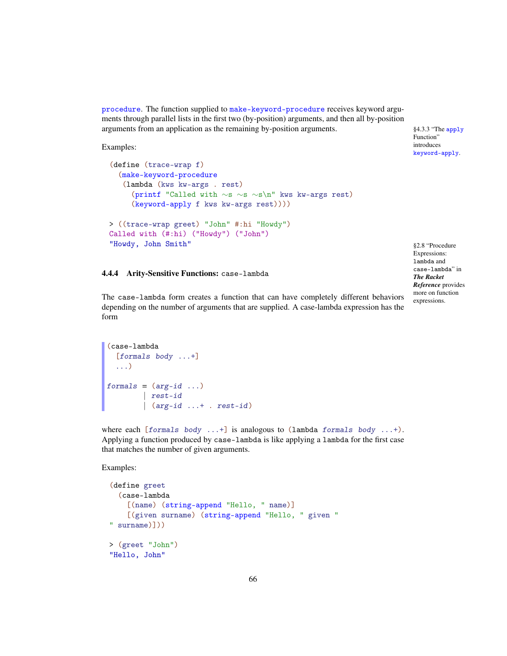procedure. The function supplied to make-keyword-procedure receives keyword arguments through parallel lists in the first two (by-position) arguments, and then all by-position arguments from an application as the remaining by-position arguments. §4.3.3 "The apply

Examples:

```
(define (trace-wrap f)
  (make-keyword-procedure
  (lambda (kws kw-args . rest)
    (printf "Called with ∼s ∼s ∼s\n" kws kw-args rest)
    (keyword-apply f kws kw-args rest))))
> ((trace-wrap greet) "John" #:hi "Howdy")
Called with (#:hi) ("Howdy") ("John")
"Howdy, John Smith" §2.8 "Procedure
```
4.4.4 Arity-Sensitive Functions: case-lambda

Expressions: lambda and case-lambda" in *The Racket Reference* provides more on function expressions.

Function" introduces keyword-apply.

The case-lambda form creates a function that can have completely different behaviors depending on the number of arguments that are supplied. A case-lambda expression has the form

```
(case-lambda
  [formals body ...+]
  ...)
formals = (arg-id ...)| rest-id
         \int (arg-id \dots + \text{ rest-id})
```
where each  $[formals body ...+]$  is analogous to  $(lambda formats body ...+)$ . Applying a function produced by case-lambda is like applying a lambda for the first case that matches the number of given arguments.

```
(define greet
  (case-lambda
    [(name) (string-append "Hello, " name)]
    [(given surname) (string-append "Hello, " given "
" surname)]))
> (greet "John")
"Hello, John"
```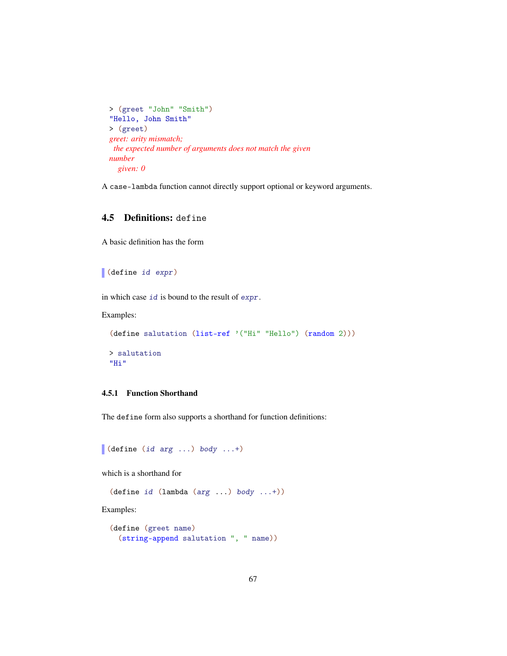```
> (greet "John" "Smith")
"Hello, John Smith"
> (greet)
greet: arity mismatch;
 the expected number of arguments does not match the given
number
  given: 0
```
A case-lambda function cannot directly support optional or keyword arguments.

### 4.5 Definitions: define

A basic definition has the form

```
(define id expr)
```
in which case id is bound to the result of expr.

Examples:

```
(define salutation (list-ref '("Hi" "Hello") (random 2)))
> salutation
"Hi"
```
### 4.5.1 Function Shorthand

The define form also supports a shorthand for function definitions:

```
(define (id arg ...) body ...+)
```
which is a shorthand for

```
(define id (lambda (arg ...) body ...+))
```

```
(define (greet name)
  (string-append salutation ", " name))
```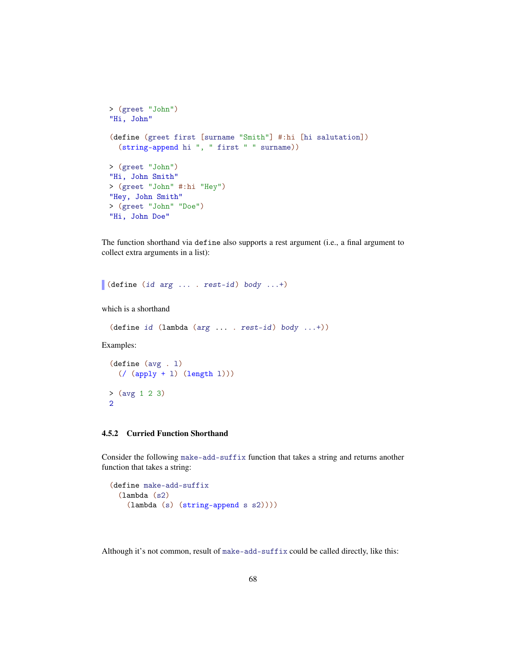```
> (greet "John")
"Hi, John"
(define (greet first [surname "Smith"] #:hi [hi salutation])
  (string-append hi ", " first " " surname))
> (greet "John")
"Hi, John Smith"
> (greet "John" #:hi "Hey")
"Hey, John Smith"
> (greet "John" "Doe")
"Hi, John Doe"
```
The function shorthand via define also supports a rest argument (i.e., a final argument to collect extra arguments in a list):

(define (id arg ... . rest-id) body ...+)

which is a shorthand

(define id (lambda (arg ... . rest-id) body ...+))

Examples:

```
(define (avg . l)
  (/ (apply + l) (length l)))
> (avg 1 2 3)
\mathcal{D}
```
#### 4.5.2 Curried Function Shorthand

Consider the following make-add-suffix function that takes a string and returns another function that takes a string:

```
(define make-add-suffix
  (lambda (s2)
    (lambda (s) (string-append s s2))))
```
Although it's not common, result of make-add-suffix could be called directly, like this: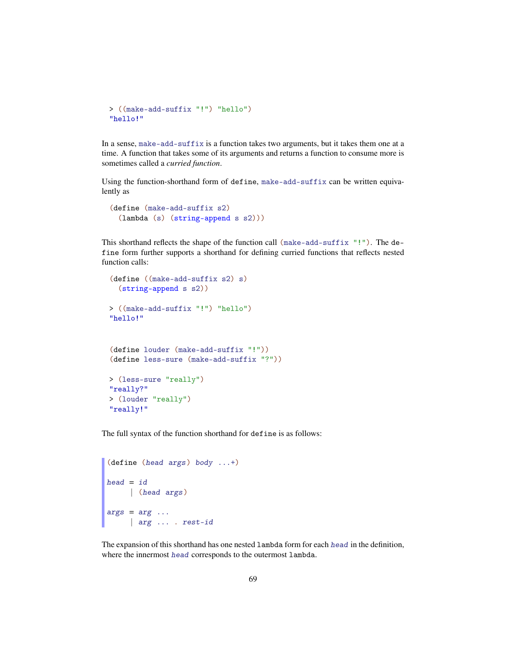```
> ((make-add-suffix "!") "hello")
"hello!"
```
In a sense, make-add-suffix is a function takes two arguments, but it takes them one at a time. A function that takes some of its arguments and returns a function to consume more is sometimes called a *curried function*.

Using the function-shorthand form of define, make-add-suffix can be written equivalently as

```
(define (make-add-suffix s2)
  (lambda (s) (string-append s s2)))
```
This shorthand reflects the shape of the function call (make-add-suffix "!"). The define form further supports a shorthand for defining curried functions that reflects nested function calls:

```
(define ((make-add-suffix s2) s)
  (string-append s s2))
> ((make-add-suffix "!") "hello")
"hello!"
(define louder (make-add-suffix "!"))
(define less-sure (make-add-suffix "?"))
> (less-sure "really")
"really?"
> (louder "really")
"really!"
```
The full syntax of the function shorthand for define is as follows:

```
(define (head args) body ...+)
head = id| (head args)
args = arg ...| arg ... . rest-id
```
The expansion of this shorthand has one nested lambda form for each head in the definition, where the innermost head corresponds to the outermost lambda.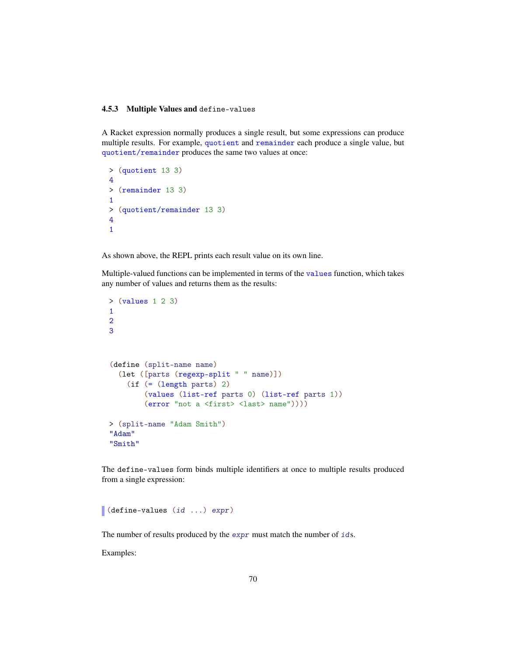#### 4.5.3 Multiple Values and define-values

A Racket expression normally produces a single result, but some expressions can produce multiple results. For example, quotient and remainder each produce a single value, but quotient/remainder produces the same two values at once:

```
> (quotient 13 3)
4
> (remainder 13 3)
1
> (quotient/remainder 13 3)
4
1
```
As shown above, the REPL prints each result value on its own line.

Multiple-valued functions can be implemented in terms of the values function, which takes any number of values and returns them as the results:

```
> (values 1 2 3)
1
2
3
(define (split-name name)
  (let ([parts (regexp-split " " name)])
    (if (= (length parts) 2)
        (values (list-ref parts 0) (list-ref parts 1))
        (error "not a <first> <last> name"))))
> (split-name "Adam Smith")
"Adam"
"Smith"
```
The define-values form binds multiple identifiers at once to multiple results produced from a single expression:

(define-values (id ...) expr)

The number of results produced by the expr must match the number of ids.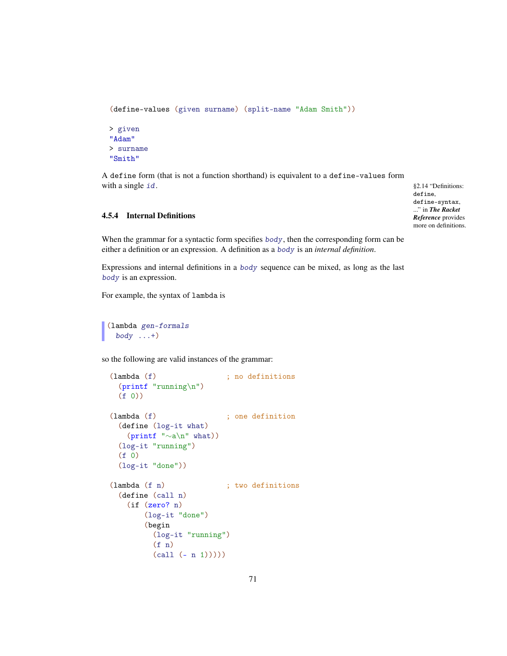```
(define-values (given surname) (split-name "Adam Smith"))
> given
"Adam"
> surname
"Smith"
```
A define form (that is not a function shorthand) is equivalent to a define-values form with a single id. §2.14 "Definitions:

#### 4.5.4 Internal Definitions

When the grammar for a syntactic form specifies body, then the corresponding form can be either a definition or an expression. A definition as a body is an *internal definition*.

Expressions and internal definitions in a body sequence can be mixed, as long as the last body is an expression.

For example, the syntax of lambda is

```
(lambda gen-formals
  body \dots +)
```
so the following are valid instances of the grammar:

```
(lambda (f) ; no definitions
 (printf "running\n")
 (f 0))
(lambda (f) ; one definition
 (define (log-it what)
   (printf "∼a\n" what))
 (log-it "running")
 (f 0)
 (log-it "done"))
(lambda (f n) ; two definitions
 (define (call n)
   (if (zero? n)
       (log-it "done")
       (begin
        (log-it "running")
        (f n)
        (call (- n 1))))
```
define, define-syntax, ..." in *The Racket Reference* provides more on definitions.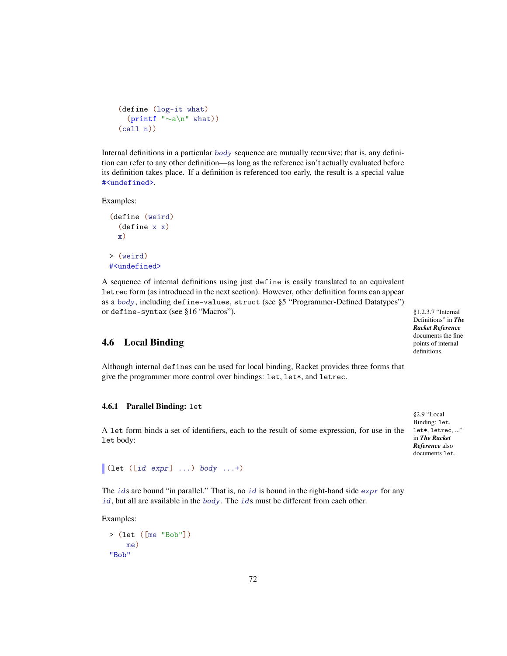```
(define (log-it what)
  (printf "∼a\n" what))
(call n))
```
Internal definitions in a particular body sequence are mutually recursive; that is, any definition can refer to any other definition—as long as the reference isn't actually evaluated before its definition takes place. If a definition is referenced too early, the result is a special value #<undefined>.

Examples:

```
(define (weird)
  (define x x)
  x)
> (weird)
#<undefined>
```
A sequence of internal definitions using just define is easily translated to an equivalent letrec form (as introduced in the next section). However, other definition forms can appear as a body, including define-values, struct (see §5 "Programmer-Defined Datatypes") or define-syntax (see §16 "Macros"). §1.2.3.7 "Internal

#### 4.6 Local Binding

Although internal defines can be used for local binding, Racket provides three forms that give the programmer more control over bindings: let, let\*, and letrec.

#### 4.6.1 Parallel Binding: let

A let form binds a set of identifiers, each to the result of some expression, for use in the let body:

§2.9 "Local Binding: let, let\*, letrec, ..." in *The Racket Reference* also documents let.

Definitions" in *The Racket Reference* documents the fine points of internal definitions.

 $\left[$  (let ([id expr] ...) body ...+)

The ids are bound "in parallel." That is, no id is bound in the right-hand side  $\exp r$  for any id, but all are available in the body. The ids must be different from each other.

```
> (let ([me "Bob"])
    me)
"Bob"
```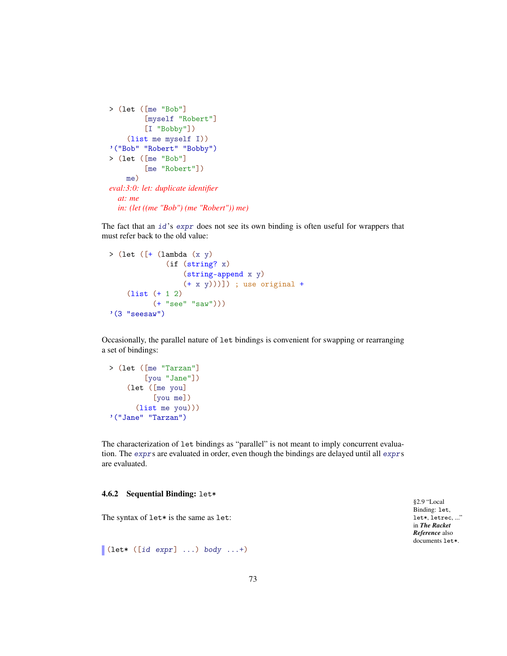```
> (let ([me "Bob"]
         [myself "Robert"]
         [I "Bobby"])
    (list me myself I))
'("Bob" "Robert" "Bobby")
> (let ([me "Bob"]
         [me "Robert"])
    me)
eval:3:0: let: duplicate identifier
  at: me
  in: (let ((me "Bob") (me "Robert")) me)
```
The fact that an id's expr does not see its own binding is often useful for wrappers that must refer back to the old value:

```
> (let ([+ (lambda (x y)
             (if (string? x)
                 (string-append x y)
                 (+ x y))]) ; use original +
    (list (+ 1 2)
         (+ "see" "saw")))
'(3 "seesaw")
```
Occasionally, the parallel nature of let bindings is convenient for swapping or rearranging a set of bindings:

```
> (let ([me "Tarzan"]
        [you "Jane"])
    (let ([me you]
          [you me])
      (list me you)))
'("Jane" "Tarzan")
```
The characterization of let bindings as "parallel" is not meant to imply concurrent evaluation. The exprs are evaluated in order, even though the bindings are delayed until all exprs are evaluated.

#### 4.6.2 Sequential Binding: let\*

The syntax of let\* is the same as let:

 $\vert$  (let\* ([id expr] ...) body ...+)

§2.9 "Local Binding: let, let\*, letrec, ..." in *The Racket Reference* also documents let\*.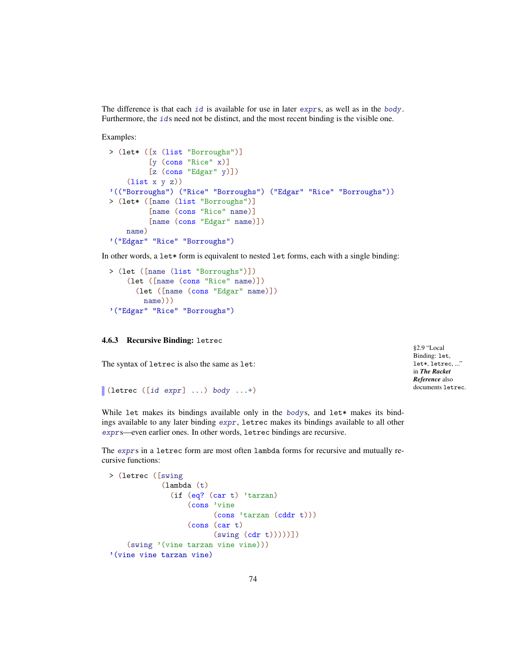The difference is that each  $id$  is available for use in later exprs, as well as in the body. Furthermore, the ids need not be distinct, and the most recent binding is the visible one.

Examples:

```
> (let* ([x (list "Borroughs")]
         [y (cons "Rice" x)]
         [z (cons "Edgar" y)])
    (list x y z))
'(("Borroughs") ("Rice" "Borroughs") ("Edgar" "Rice" "Borroughs"))
> (let* ([name (list "Borroughs")]
         [name (cons "Rice" name)]
         [name (cons "Edgar" name)])
    name)
'("Edgar" "Rice" "Borroughs")
```
In other words, a let\* form is equivalent to nested let forms, each with a single binding:

```
> (let ([name (list "Borroughs")])
    (let ([name (cons "Rice" name)])
      (let ([name (cons "Edgar" name)])
        name)))
'("Edgar" "Rice" "Borroughs")
```
#### 4.6.3 Recursive Binding: letrec

The syntax of letrec is also the same as let:

(letrec ( $id \; expr] \; \ldots$ ) body  $\ldots+)$ 

While let makes its bindings available only in the bodys, and let\* makes its bindings available to any later binding expr, letrec makes its bindings available to all other exprs—even earlier ones. In other words, letrec bindings are recursive.

The exprs in a letrec form are most often lambda forms for recursive and mutually recursive functions:

```
> (letrec ([swing
            (lambda (t)
              (if (eq? (car t) 'tarzan)
                   (cons 'vine
                         (cons 'tarzan (cddr t)))
                   (cons (car t)
                         (swing (cdr t))))])
    (swing '(vine tarzan vine vine)))
'(vine vine tarzan vine)
```
§2.9 "Local Binding: let, let\*, letrec, ..." in *The Racket Reference* also documents letrec.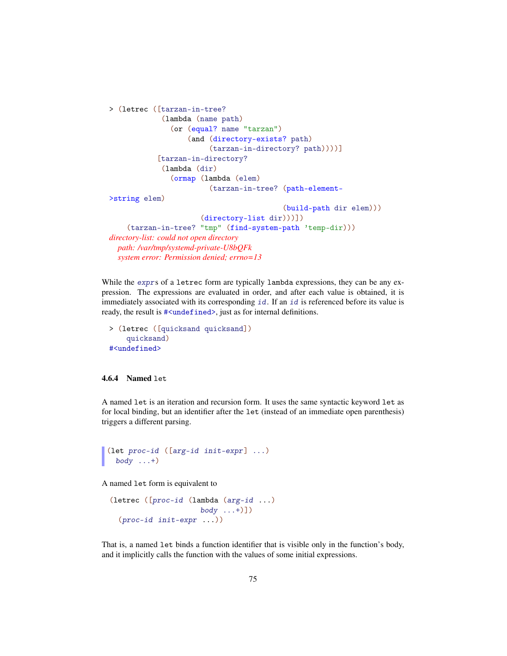```
> (letrec ([tarzan-in-tree?
             (lambda (name path)
               (or (equal? name "tarzan")
                   (and (directory-exists? path)
                         (tarzan-in-directory? path))))]
            [tarzan-in-directory?
             (lambda (dir)
               (ormap (lambda (elem)
                         (tarzan-in-tree? (path-element-
>string elem)
                                           (build-path dir elem)))
                       (directory-list dir)))])
    (tarzan-in-tree? "tmp" (find-system-path 'temp-dir)))
directory-list: could not open directory
  path: /var/tmp/systemd-private-U8bQFk
  system error: Permission denied; errno=13
```
While the exprs of a letrec form are typically lambda expressions, they can be any expression. The expressions are evaluated in order, and after each value is obtained, it is immediately associated with its corresponding id. If an id is referenced before its value is ready, the result is #<undefined>, just as for internal definitions.

```
> (letrec ([quicksand quicksand])
    quicksand)
#<undefined>
```
#### 4.6.4 Named let

A named let is an iteration and recursion form. It uses the same syntactic keyword let as for local binding, but an identifier after the let (instead of an immediate open parenthesis) triggers a different parsing.

```
(let proc-id ([arg-id init-expr] ...)
  body \dots +)
```
A named let form is equivalent to

```
(letrec ([proc-id (lambda (arg-id ...)
                     body \dots+)])
 (proc-id init-expr ...))
```
That is, a named let binds a function identifier that is visible only in the function's body, and it implicitly calls the function with the values of some initial expressions.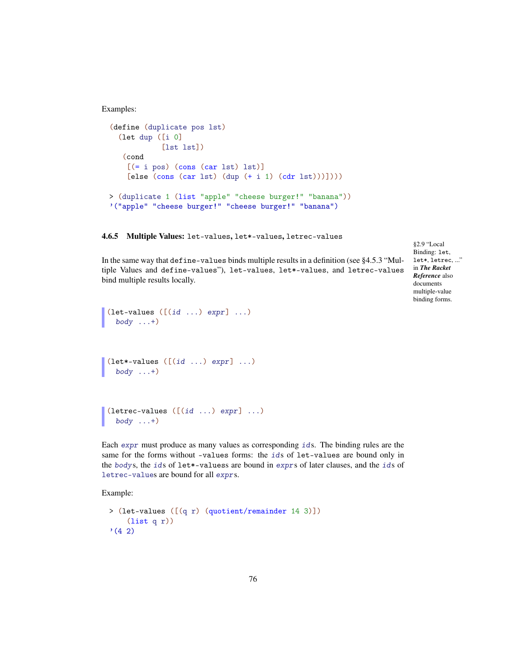Examples:

```
(define (duplicate pos lst)
  (let dup ([i 0]
            [lst lst])
   (cond
    [(= i pos) (cons (car lst) lst)]
    [else (cons (car lst) (dup (+ i 1) (cdr lst)))])))
> (duplicate 1 (list "apple" "cheese burger!" "banana"))
'("apple" "cheese burger!" "cheese burger!" "banana")
```
4.6.5 Multiple Values: let-values, let\*-values, letrec-values

In the same way that define-values binds multiple results in a definition (see §4.5.3 "Multiple Values and define-values"), let-values, let\*-values, and letrec-values bind multiple results locally.

```
(let-values ([(id \dots) \text{ expr}] \dots)body \dots +)
(let*-values ([(id \dots) \text{ expr}] \dots)body \dots+)(letrec-values ([(id ...) expr] ...)
```
Each expr must produce as many values as corresponding ids. The binding rules are the same for the forms without -values forms: the ids of let-values are bound only in the bodys, the ids of let\*-valuess are bound in exprs of later clauses, and the ids of letrec-values are bound for all exprs.

Example:

 $body \dots +)$ 

```
> (let-values ([(q r) (quotient/remainder 14 3)])
    (list q r))
'(4)
```
*Reference* also documents multiple-value binding forms.

§2.9 "Local Binding: let, let\*, letrec, ..." in *The Racket*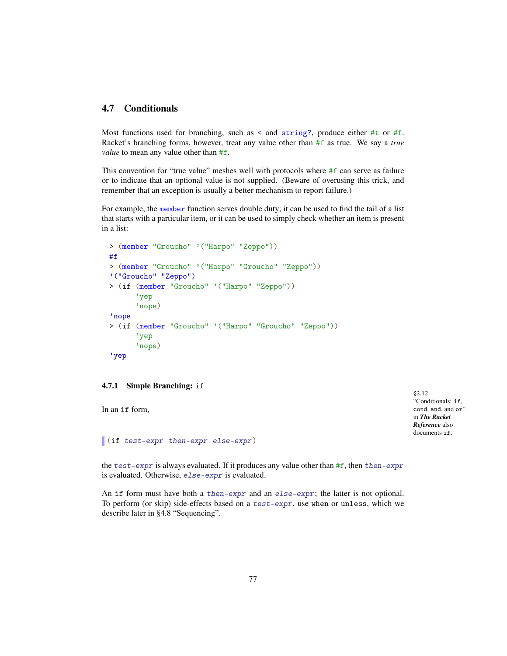# 4.7 Conditionals

Most functions used for branching, such as  $\lt$  and string?, produce either #t or #f. Racket's branching forms, however, treat any value other than #f as true. We say a *true value* to mean any value other than #f.

This convention for "true value" meshes well with protocols where  $#f$  can serve as failure or to indicate that an optional value is not supplied. (Beware of overusing this trick, and remember that an exception is usually a better mechanism to report failure.)

For example, the member function serves double duty; it can be used to find the tail of a list that starts with a particular item, or it can be used to simply check whether an item is present in a list:

```
> (member "Groucho" '("Harpo" "Zeppo"))
#f
> (member "Groucho" '("Harpo" "Groucho" "Zeppo"))
'("Groucho" "Zeppo")
> (if (member "Groucho" '("Harpo" "Zeppo"))
      'yep
      'nope)
'nope
> (if (member "Groucho" '("Harpo" "Groucho" "Zeppo"))
      'yep
      'nope)
'yep
```
#### 4.7.1 Simple Branching: if

In an if form,

(if test-expr then-expr else-expr )

§2.12 "Conditionals: if, cond, and, and or" in *The Racket Reference* also documents if.

the test-expr is always evaluated. If it produces any value other than  $#f$ , then then-expr is evaluated. Otherwise, else-expr is evaluated.

An if form must have both a then-expr and an else-expr; the latter is not optional. To perform (or skip) side-effects based on a test-expr, use when or unless, which we describe later in §4.8 "Sequencing".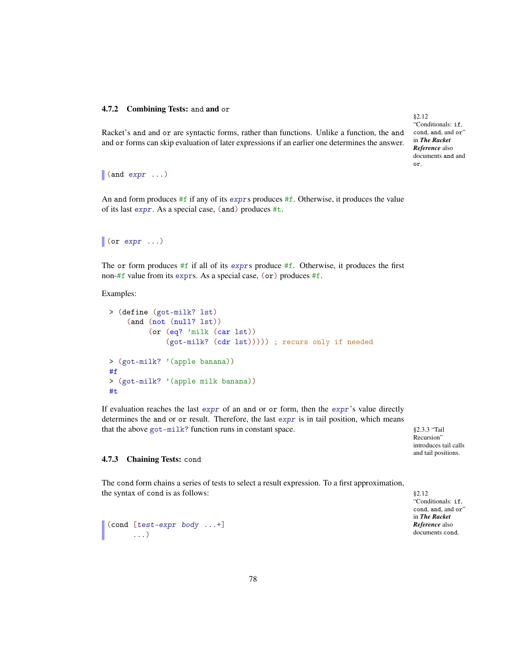#### 4.7.2 Combining Tests: and and or

Racket's and and or are syntactic forms, rather than functions. Unlike a function, the and and or forms can skip evaluation of later expressions if an earlier one determines the answer.

§2.12 "Conditionals: if, cond, and, and or" in *The Racket Reference* also documents and and or.

```
\vert (and expr \ldots)
```
An and form produces #f if any of its exprs produces #f. Otherwise, it produces the value of its last expr. As a special case, (and) produces #t.

```
\vert (or expr \ldots)
```
The or form produces  $#f$  if all of its exprs produce  $#f$ . Otherwise, it produces the first non-#f value from its exprs. As a special case, (or) produces #f.

Examples:

```
> (define (got-milk? lst)
    (and (not (null? lst))
         (or (eq? 'milk (car lst))
             (got-milk? (cdr lst))))) ; recurs only if needed
> (got-milk? '(apple banana))
#f
> (got-milk? '(apple milk banana))
#t
```
If evaluation reaches the last expr of an and or or form, then the expr's value directly determines the and or or result. Therefore, the last expr is in tail position, which means that the above got-milk? function runs in constant space. §2.3.3 "Tail

Recursion" introduces tail calls and tail positions.

### 4.7.3 Chaining Tests: cond

The cond form chains a series of tests to select a result expression. To a first approximation, the syntax of cond is as follows:  $\frac{1}{2}$ .12

(cond [test-expr body ...+] ...)

"Conditionals: if, cond, and, and or" in *The Racket Reference* also documents cond.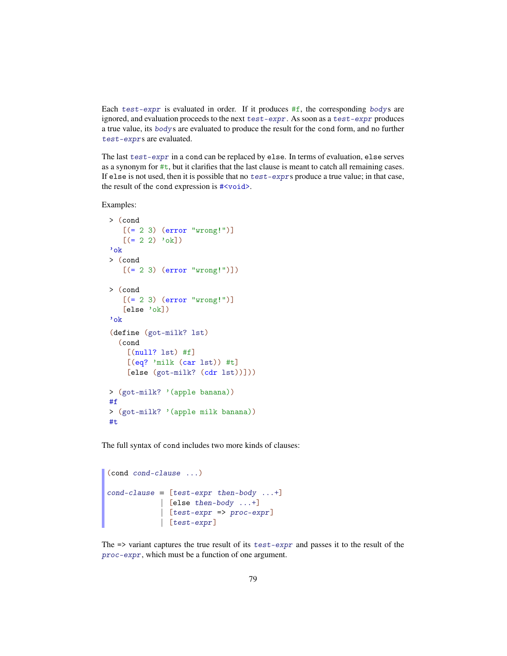Each test-expr is evaluated in order. If it produces  $#f$ , the corresponding bodys are ignored, and evaluation proceeds to the next test-expr. As soon as a test-expr produces a true value, its bodys are evaluated to produce the result for the cond form, and no further test-exprs are evaluated.

The last test-expr in a cond can be replaced by else. In terms of evaluation, else serves as a synonym for #t, but it clarifies that the last clause is meant to catch all remaining cases. If else is not used, then it is possible that no test-exprs produce a true value; in that case, the result of the cond expression is #<void>.

Examples:

```
> (cond
   [ (= 2 3) (error "wrong!" )][ (= 2 2) 'ok])
'ok
> (cond
   [(= 2 3) (error "wrong!")])
> (cond
   [(= 2 3) (error "wrong!")]
   [else 'ok])
'ok
(define (got-milk? lst)
  (cond
    [(null? 1st) #f][(eq? 'milk (car 1st)) #t][else (got-milk? (cdr lst))]))
> (got-milk? '(apple banana))
#f
> (got-milk? '(apple milk banana))
#t
```
The full syntax of cond includes two more kinds of clauses:

```
(cond cond-clause ...)
cond-clause = [test-expr then-body ...+]| [else then-body ...+]
            | [test-expr => proc-expr]
            | [test-expr]
```
The  $\Rightarrow$  variant captures the true result of its test-expr and passes it to the result of the proc-expr, which must be a function of one argument.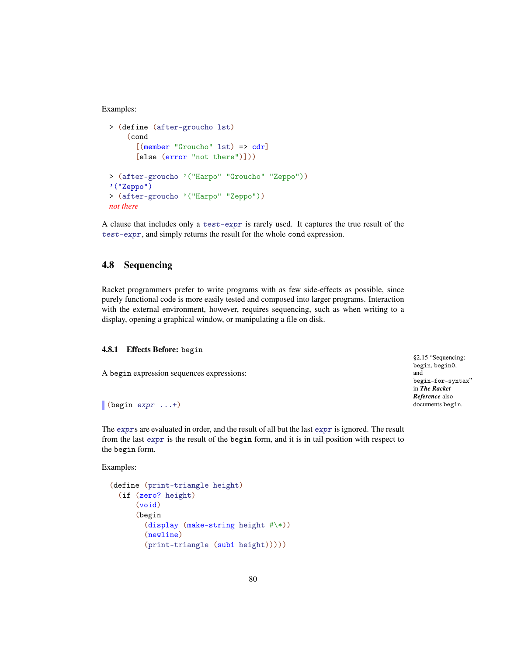Examples:

```
> (define (after-groucho lst)
    (cond
      [(\text{member "Groucho" 1st) =& > cdr][else (error "not there")]))
> (after-groucho '("Harpo" "Groucho" "Zeppo"))
'("Zeppo")
> (after-groucho '("Harpo" "Zeppo"))
not there
```
A clause that includes only a test-expr is rarely used. It captures the true result of the test-expr, and simply returns the result for the whole cond expression.

# 4.8 Sequencing

Racket programmers prefer to write programs with as few side-effects as possible, since purely functional code is more easily tested and composed into larger programs. Interaction with the external environment, however, requires sequencing, such as when writing to a display, opening a graphical window, or manipulating a file on disk.

#### 4.8.1 Effects Before: begin

A begin expression sequences expressions:

begin, begin0, and begin-for-syntax" in *The Racket Reference* also documents begin.

§2.15 "Sequencing:

(begin expr ...+)

The exprs are evaluated in order, and the result of all but the last expr is ignored. The result from the last expr is the result of the begin form, and it is in tail position with respect to the begin form.

Examples:

```
(define (print-triangle height)
 (if (zero? height)
      (void)
      (begin
        (display (make-string height #\<))(newline)
        (print-triangle (sub1 height)))))
```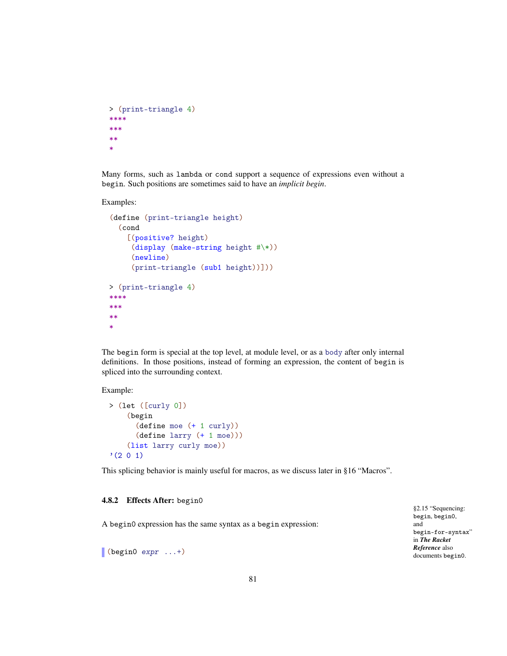```
> (print-triangle 4)
****
***
**
*
```
Many forms, such as lambda or cond support a sequence of expressions even without a begin. Such positions are sometimes said to have an *implicit begin*.

#### Examples:

```
(define (print-triangle height)
  (cond
    [(positive? height)
     (display (make-string height #\*))
     (newline)
     (print-triangle (sub1 height))]))
> (print-triangle 4)
****
***
**
*
```
The begin form is special at the top level, at module level, or as a body after only internal definitions. In those positions, instead of forming an expression, the content of begin is spliced into the surrounding context.

#### Example:

```
> (let ([curly 0])
    (begin
      (define moe (+ 1 curly))
      (define larry (+ 1 moe)))
    (list larry curly moe))
'(2 0 1)
```
This splicing behavior is mainly useful for macros, as we discuss later in §16 "Macros".

#### 4.8.2 Effects After: begin0

A begin0 expression has the same syntax as a begin expression:

§2.15 "Sequencing: begin, begin0, and begin-for-syntax" in *The Racket Reference* also documents begin0.

(begin0  $expr$  ...+)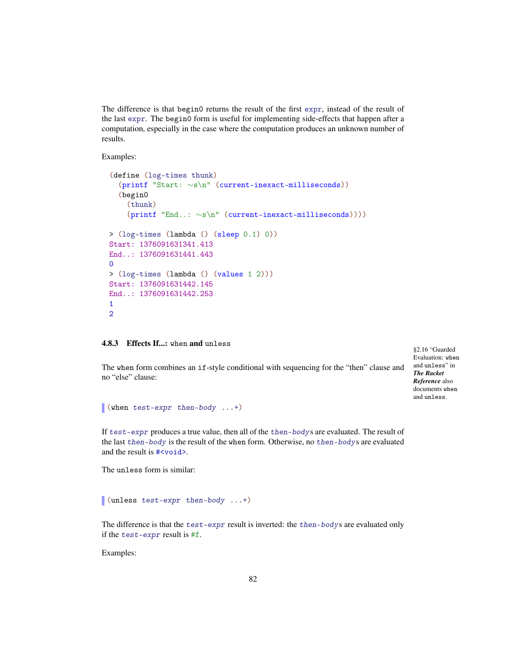The difference is that begin0 returns the result of the first expr, instead of the result of the last expr. The begin0 form is useful for implementing side-effects that happen after a computation, especially in the case where the computation produces an unknown number of results.

Examples:

```
(define (log-times thunk)
  (printf "Start: ∼s\n" (current-inexact-milliseconds))
  (begin0
    (thunk)
    (printf "End..: ∼s\n" (current-inexact-milliseconds))))
> (log-times (lambda () (sleep 0.1) 0))
Start: 1376091631341.413
End..: 1376091631441.443
\Omega> (log-times (lambda () (values 1 2)))
Start: 1376091631442.145
End..: 1376091631442.253
1
\overline{2}
```
#### 4.8.3 Effects If...: when and unless

The when form combines an if-style conditional with sequencing for the "then" clause and no "else" clause:

§2.16 "Guarded Evaluation: when and unless" in *The Racket Reference* also documents when and unless.

(when test-expr then-body  $\dots$ +)

If test-expr produces a true value, then all of the then-bodys are evaluated. The result of the last then-body is the result of the when form. Otherwise, no then-bodys are evaluated and the result is  $\#$ <void>.

The unless form is similar:

(unless test-expr then-body ...+)

The difference is that the test-expr result is inverted: the then-bodys are evaluated only if the test-expr result is #f.

Examples: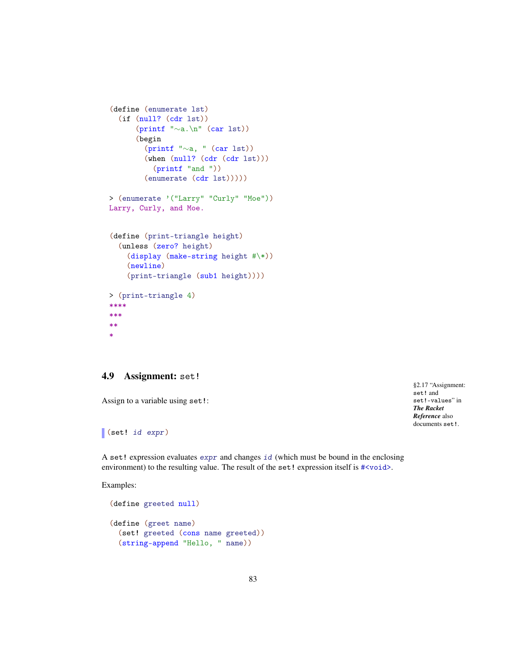```
(define (enumerate lst)
  (if (null? (cdr lst))
      (printf "∼a.\n" (car lst))
      (begin
        (printf "∼a, " (car lst))
        (when (null? (cdr (cdr lst)))
          (printf "and "))
        (enumerate (cdr lst)))))
> (enumerate '("Larry" "Curly" "Moe"))
Larry, Curly, and Moe.
(define (print-triangle height)
  (unless (zero? height)
    (display (make-string height #\*))
    (newline)
    (print-triangle (sub1 height))))
> (print-triangle 4)
****
***
**
*
```
### 4.9 Assignment: set!

Assign to a variable using set!:

§2.17 "Assignment: set! and set!-values" in *The Racket Reference* also documents set!.

```
(set! id expr)
```
A set! expression evaluates  $\exp r$  and changes id (which must be bound in the enclosing environment) to the resulting value. The result of the set! expression itself is  $\#$ <void>.

Examples:

```
(define greeted null)
(define (greet name)
  (set! greeted (cons name greeted))
  (string-append "Hello, " name))
```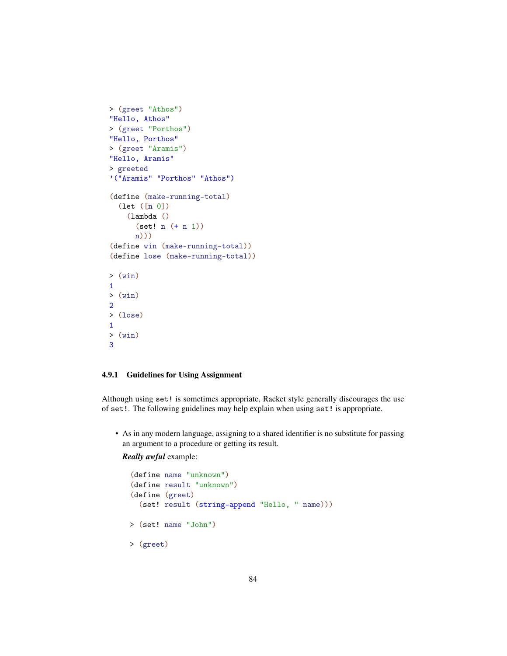```
> (greet "Athos")
"Hello, Athos"
> (greet "Porthos")
"Hello, Porthos"
> (greet "Aramis")
"Hello, Aramis"
> greeted
'("Aramis" "Porthos" "Athos")
(define (make-running-total)
  (let ([n 0])
    (lambda ()
      (set! n (+ n 1))
      n)))
(define win (make-running-total))
(define lose (make-running-total))
> (win)
1
> (win)
2
> (lose)
1
> (win)
3
```
### 4.9.1 Guidelines for Using Assignment

Although using set! is sometimes appropriate, Racket style generally discourages the use of set!. The following guidelines may help explain when using set! is appropriate.

• As in any modern language, assigning to a shared identifier is no substitute for passing an argument to a procedure or getting its result.

### *Really awful* example:

```
(define name "unknown")
(define result "unknown")
(define (greet)
  (set! result (string-append "Hello, " name)))
> (set! name "John")
> (greet)
```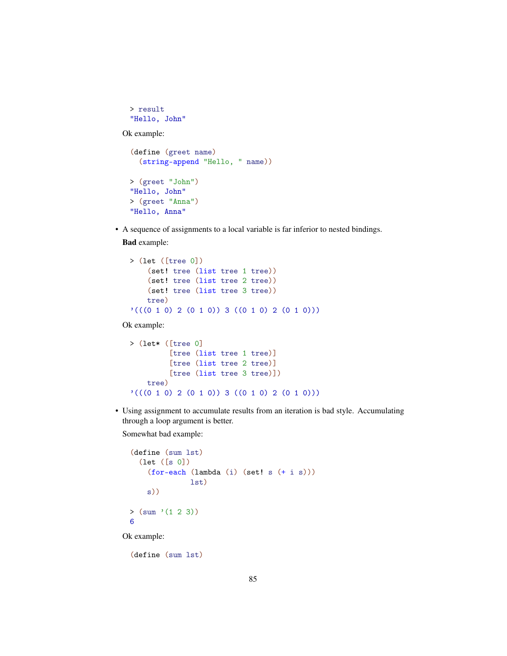> result "Hello, John"

Ok example:

```
(define (greet name)
  (string-append "Hello, " name))
> (greet "John")
"Hello, John"
> (greet "Anna")
"Hello, Anna"
```
• A sequence of assignments to a local variable is far inferior to nested bindings.

Bad example:

```
> (let ([tree 0])
    (set! tree (list tree 1 tree))
    (set! tree (list tree 2 tree))
    (set! tree (list tree 3 tree))
    tree)
'(((0 1 0) 2 (0 1 0)) 3 ((0 1 0) 2 (0 1 0)))
```
Ok example:

```
> (let* ([tree 0]
         [tree (list tree 1 tree)]
         [tree (list tree 2 tree)]
         [tree (list tree 3 tree)])
    tree)
'(((0 1 0) 2 (0 1 0)) 3 ((0 1 0) 2 (0 1 0)))
```
• Using assignment to accumulate results from an iteration is bad style. Accumulating through a loop argument is better.

Somewhat bad example:

```
(define (sum lst)
  (let ([s 0])
    (for-each (lambda (i) (set! s (+ i s)))
              lst)
    s))
> (sum '(1 2 3))
6
```
Ok example:

(define (sum lst)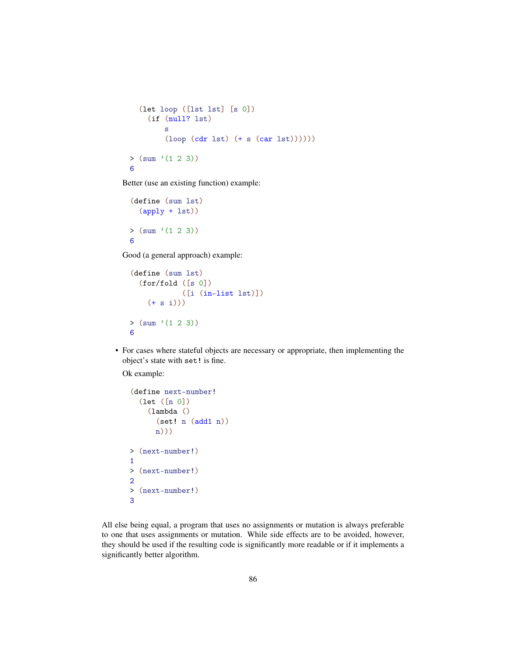```
(let loop ([lst lst] [s 0])
    (if (null? lst)
        s
        (loop (cdr lst) (+ s (car lst))))))
> (sum '(1 2 3))
6
```
Better (use an existing function) example:

```
(define (sum lst)
  (apply + lst))
> (sum '(1 2 3))
6
```
Good (a general approach) example:

```
(define (sum lst)
  (for/fold ([s 0])
            ([i (in-list lst)])
    (+ s i))> (sum '(1 2 3))
6
```
• For cases where stateful objects are necessary or appropriate, then implementing the object's state with set! is fine.

Ok example:

```
(define next-number!
  (let ([n 0])
    (lambda ()
      (set! n (add1 n))n)))
> (next-number!)
1
> (next-number!)
2
> (next-number!)
3
```
All else being equal, a program that uses no assignments or mutation is always preferable to one that uses assignments or mutation. While side effects are to be avoided, however, they should be used if the resulting code is significantly more readable or if it implements a significantly better algorithm.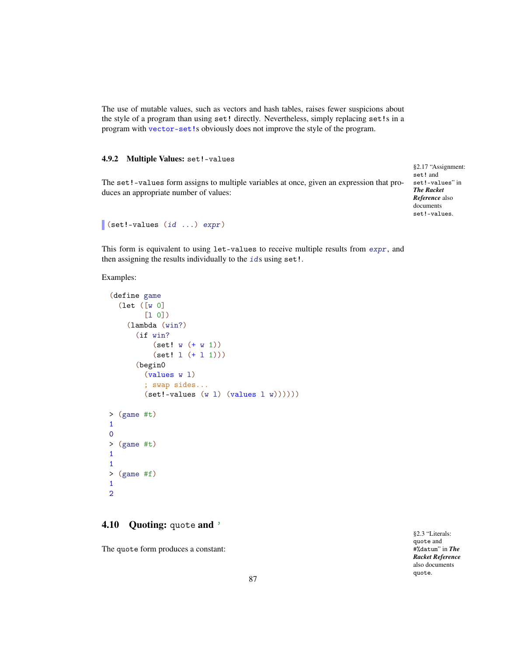The use of mutable values, such as vectors and hash tables, raises fewer suspicions about the style of a program than using set! directly. Nevertheless, simply replacing set!s in a program with vector-set!s obviously does not improve the style of the program.

#### 4.9.2 Multiple Values: set!-values

The set!-values form assigns to multiple variables at once, given an expression that produces an appropriate number of values:

```
§2.17 "Assignment:
set! and
set!-values" in
The Racket
Reference also
documents
set!-values.
```

```
\vert (set!-values (id ...) expr)
```
This form is equivalent to using let-values to receive multiple results from expr, and then assigning the results individually to the *ids* using set!.

Examples:

```
(define game
  (let ([w 0]
         [l 0])
    (lambda (win?)
       (if win?
           (\text{set! } w (+ w 1))(set! 1 (+ 1 1)))(begin0
         (values w l)
         ; swap sides...
         (set!-\text{values } (w 1) (values 1 w))))> (game #t)
1
\Omega> (game #t)
1
1
> (game #f)
1
2
```
### 4.10 Quoting: quote and '

The quote form produces a constant:

§2.3 "Literals: quote and #%datum" in *The Racket Reference* also documents quote.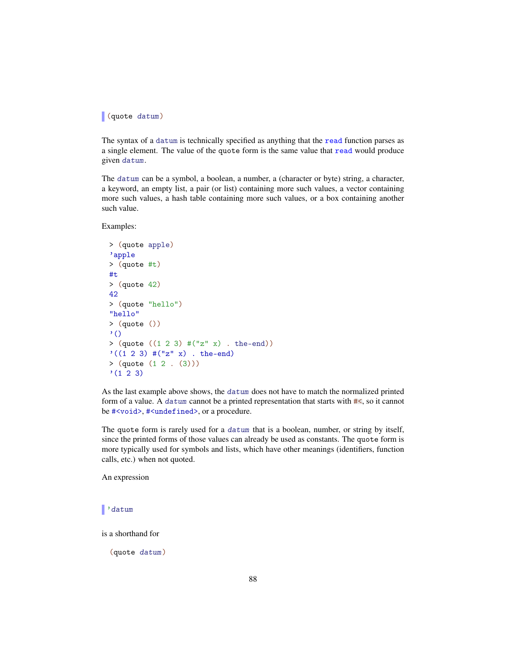(quote datum)

The syntax of a datum is technically specified as anything that the read function parses as a single element. The value of the quote form is the same value that read would produce given datum.

The datum can be a symbol, a boolean, a number, a (character or byte) string, a character, a keyword, an empty list, a pair (or list) containing more such values, a vector containing more such values, a hash table containing more such values, or a box containing another such value.

Examples:

```
> (quote apple)
'apple
> (quote #t)
#t
> (quote 42)
42
> (quote "hello")
"hello"
> (quote ())
'()
> (quote ((1 2 3) #("z" x) . the-end))
'((1 2 3) #("z" x) . the-end)
> (quote (1 2 . (3)))
'(1 2 3)
```
As the last example above shows, the datum does not have to match the normalized printed form of a value. A datum cannot be a printed representation that starts with  $\neq \infty$ , so it cannot be #<void>, #<undefined>, or a procedure.

The quote form is rarely used for a datum that is a boolean, number, or string by itself, since the printed forms of those values can already be used as constants. The quote form is more typically used for symbols and lists, which have other meanings (identifiers, function calls, etc.) when not quoted.

An expression

#### 'datum

is a shorthand for

(quote datum)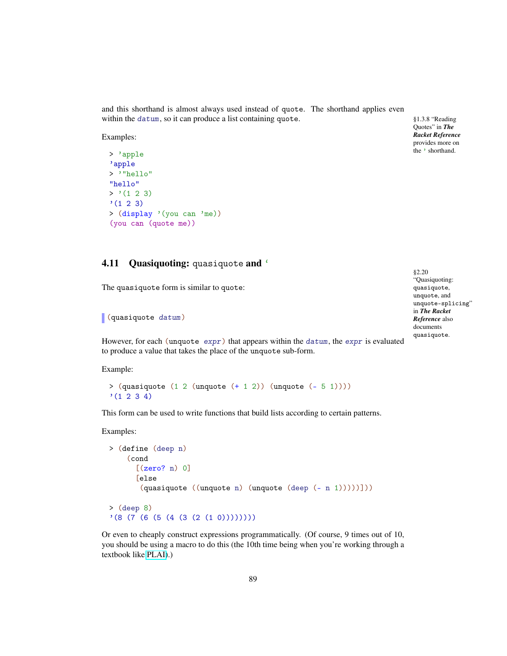and this shorthand is almost always used instead of quote. The shorthand applies even within the datum, so it can produce a list containing quote.  $$1.3.8$  "Reading"

Examples:

```
> 'apple
'apple
> '"hello"
"hello"
> '(1 2 3)
'(1 2 3)
> (display '(you can 'me))
(you can (quote me))
```
# 4.11 Quasiquoting: quasiquote and '

The quasiquote form is similar to quote:

```
(quasiquote datum)
```
However, for each (unquote expr) that appears within the datum, the expr is evaluated to produce a value that takes the place of the unquote sub-form.

Example:

```
> (quasiquote (1 2 (unquote (+ 1 2)) (unquote (- 5 1)))
'(1 2 3 4)
```
This form can be used to write functions that build lists according to certain patterns.

Examples:

```
> (define (deep n)
    (cond
      [(zero? n) 0]
      [else
       (quasiquote ((unquote n) (unquote (deep (- n 1)))))]))
> (deep 8)
'(8 (7 (6 (5 (4 (3 (2 (1 0))))))))
```
Or even to cheaply construct expressions programmatically. (Of course, 9 times out of 10, you should be using a macro to do this (the 10th time being when you're working through a textbook like [PLAI\)](http://www.cs.brown.edu/~sk/Publications/Books/ProgLangs/).)

Quotes" in *The Racket Reference* provides more on the ' shorthand.

§2.20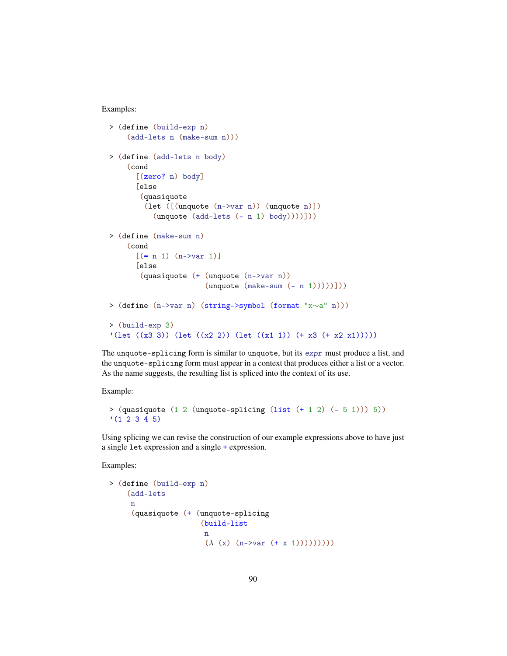Examples:

```
> (define (build-exp n)
    (add-lets n (make-sum n)))
> (define (add-lets n body)
    (cond
      [(zero? n) body]
      [else
        (quasiquote
         (let ([(unquote (n->var n)) (unquote n)])
           (unquote (add-lets (- n 1) body))))]))
> (define (make-sum n)
    (cond
      [ (= n 1) (n->var 1) ]<u>Felse</u>
        (quasiquote (+ (unquote (n->var n))
                        (unquote (make-sum (- n 1)))))]))
> (define (n->var n) (string->symbol (format "x∼a" n)))
> (build-exp 3)
'(\text{let } ((x3 3)) (\text{let } ((x2 2)) (\text{let } ((x1 1)) (+ x3 (+ x2 x1))))))
```
The unquote-splicing form is similar to unquote, but its expr must produce a list, and the unquote-splicing form must appear in a context that produces either a list or a vector. As the name suggests, the resulting list is spliced into the context of its use.

Example:

```
> (quasiquote (1 2 (unquote-splicing (list (+ 1 2) (- 5 1))) 5))
'(1\ 2\ 3\ 4\ 5)
```
Using splicing we can revise the construction of our example expressions above to have just a single let expression and a single + expression.

Examples:

```
> (define (build-exp n)
    (add-lets
     n
     (quasiquote (+ (unquote-splicing
                      (build-list
                       n
                       (\lambda (x) (n->var (+ x 1))))))))
```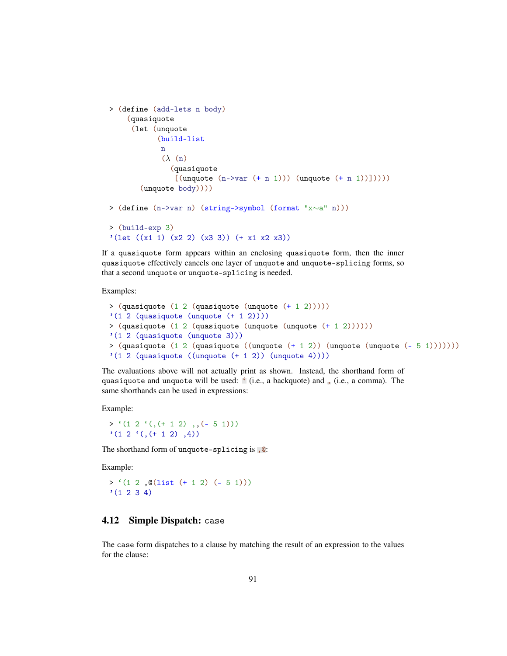```
> (define (add-lets n body)
    (quasiquote
     (let (unquote
            (build-list
             n
             (\lambda)(n)(quasiquote
                [(\text{unquote} (n->var (+ n 1)))) (\text{unquote} (+ n 1)))))(unquote body))))
> (define (n->var n) (string->symbol (format "x∼a" n)))
> (build-exp 3)
'(let ((x1 1) (x2 2) (x3 3)) (+ x1 x2 x3))
```
If a quasiquote form appears within an enclosing quasiquote form, then the inner quasiquote effectively cancels one layer of unquote and unquote-splicing forms, so that a second unquote or unquote-splicing is needed.

Examples:

```
> (quasiquote (1 2 (quasiquote (unquote (+ 1 2)))))
'(1 2 (quasiquote (unquote (+ 1 2))))> (quasiquote (1 2 (quasiquote (unquote (unquote (+ 1 2))))))
'(1 2 (quasiquote (unquote 3)))
> (quasiquote (1 2 (quasiquote ((unquote (+ 1 2)) (unquote (unquote (- 5 1)))))))
'(1 2 (quasiquote ((unquote (+ 1 2)) (unquote 4))))
```
The evaluations above will not actually print as shown. Instead, the shorthand form of quasiquote and unquote will be used: ' (i.e., a backquote) and , (i.e., a comma). The same shorthands can be used in expressions:

Example:

 $>$  '(1 2 '(, (+ 1 2), (- 5 1)))  $(1 2 ((, (+ 1 2), 4))$ 

The shorthand form of unquote-splicing is ,@:

Example:

 $>$  '(1 2,0(list (+ 1 2) (- 5 1)))  $(1 2 3 4)$ 

#### 4.12 Simple Dispatch: case

The case form dispatches to a clause by matching the result of an expression to the values for the clause: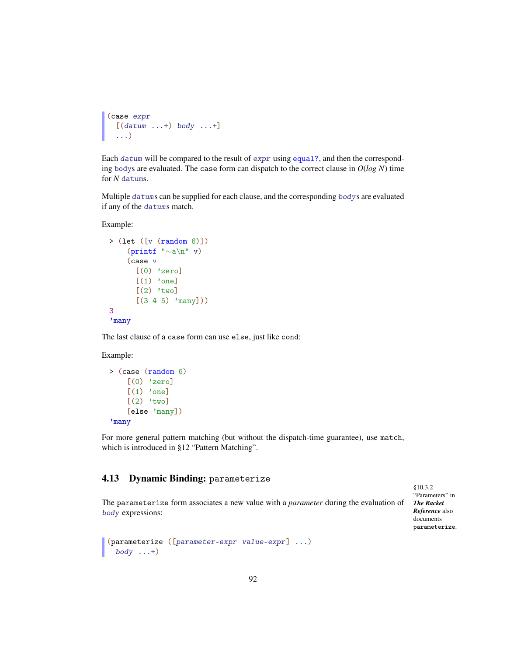```
(case expr
   [(\text{datum} \dots+) \text{body} \dots+]...)
```
Each datum will be compared to the result of expr using equal?, and then the corresponding bodys are evaluated. The case form can dispatch to the correct clause in *O*(*log N*) time for *N* datums.

Multiple datums can be supplied for each clause, and the corresponding bodys are evaluated if any of the datums match.

Example:

```
> (let ([v (random 6)])
    (printf "∼a\n" v)
    (case v
      [(0) 'zero]
      [(1) 'one]
      [(2) 'two]
      [(3 4 5) 'many])3
'many
```
The last clause of a case form can use else, just like cond:

### Example:

```
> (case (random 6)
    [(0) 'zero]
    [(1) 'one]
    [(2) 'two]
    [else 'many])
'many
```
For more general pattern matching (but without the dispatch-time guarantee), use match, which is introduced in §12 "Pattern Matching".

# 4.13 Dynamic Binding: parameterize

The parameterize form associates a new value with a *parameter* during the evaluation of body expressions:

§10.3.2 "Parameters" in *The Racket Reference* also documents parameterize.

```
(parameterize ([parameter-expr value-expr ] ...)
 body \dots +)
```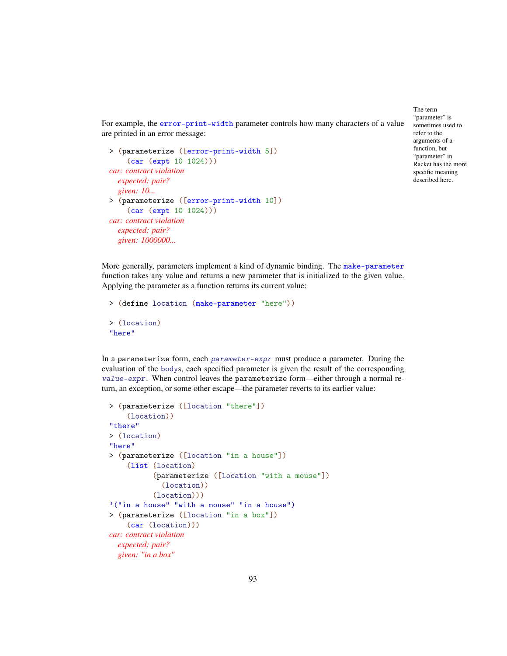For example, the error-print-width parameter controls how many characters of a value are printed in an error message:

```
> (parameterize ([error-print-width 5])
    (car (expt 10 1024)))
car: contract violation
  expected: pair?
  given: 10...
> (parameterize ([error-print-width 10])
     (car (expt 10 1024)))
car: contract violation
  expected: pair?
  given: 1000000...
```
The term "parameter" is sometimes used to refer to the arguments of a function, but "parameter" in Racket has the more specific meaning described here.

More generally, parameters implement a kind of dynamic binding. The make-parameter function takes any value and returns a new parameter that is initialized to the given value. Applying the parameter as a function returns its current value:

```
> (define location (make-parameter "here"))
> (location)
"here"
```
In a parameterize form, each parameter-expr must produce a parameter. During the evaluation of the bodys, each specified parameter is given the result of the corresponding value-expr. When control leaves the parameterize form—either through a normal return, an exception, or some other escape—the parameter reverts to its earlier value:

```
> (parameterize ([location "there"])
    (location))
"there"
> (location)
"here"
> (parameterize ([location "in a house"])
    (list (location)
           (parameterize ([location "with a mouse"])
             (location))
           (location)))
'("in a house" "with a mouse" "in a house")
> (parameterize ([location "in a box"])
    (car (location)))
car: contract violation
  expected: pair?
  given: "in a box"
```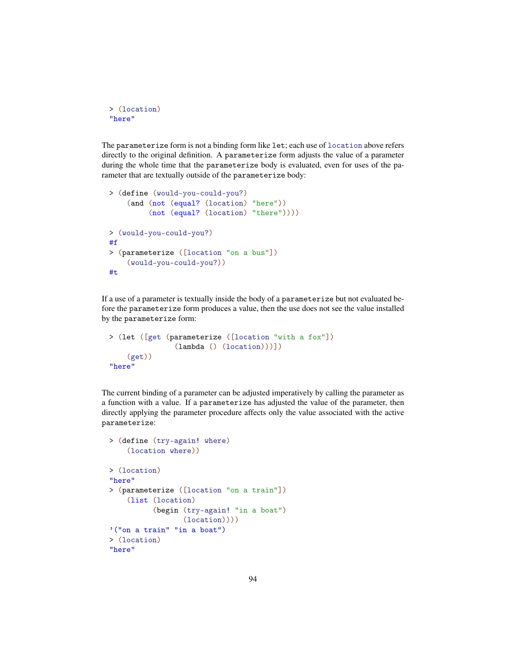```
> (location)
"here"
```
The parameterize form is not a binding form like let; each use of location above refers directly to the original definition. A parameterize form adjusts the value of a parameter during the whole time that the parameterize body is evaluated, even for uses of the parameter that are textually outside of the parameterize body:

```
> (define (would-you-could-you?)
    (and (not (equal? (location) "here"))
         (not (equal? (location) "there"))))
> (would-you-could-you?)
#f
> (parameterize ([location "on a bus"])
    (would-you-could-you?))
#t
```
If a use of a parameter is textually inside the body of a parameterize but not evaluated before the parameterize form produces a value, then the use does not see the value installed by the parameterize form:

```
> (let ([get (parameterize ([location "with a fox"])
               (lambda () (location)))])
    (get))
"here"
```
The current binding of a parameter can be adjusted imperatively by calling the parameter as a function with a value. If a parameterize has adjusted the value of the parameter, then directly applying the parameter procedure affects only the value associated with the active parameterize:

```
> (define (try-again! where)
    (location where))
> (location)
"here"
> (parameterize ([location "on a train"])
    (list (location)
          (begin (try-again! "in a boat")
                 (location))))
'("on a train" "in a boat")
> (location)
"here"
```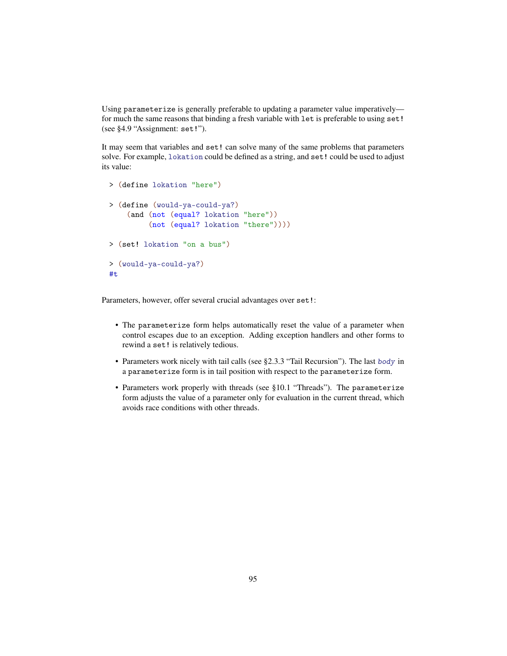Using parameterize is generally preferable to updating a parameter value imperatively for much the same reasons that binding a fresh variable with let is preferable to using set! (see §4.9 "Assignment: set!").

It may seem that variables and set! can solve many of the same problems that parameters solve. For example, lokation could be defined as a string, and set! could be used to adjust its value:

```
> (define lokation "here")
> (define (would-ya-could-ya?)
    (and (not (equal? lokation "here"))
         (not (equal? lokation "there"))))
> (set! lokation "on a bus")
> (would-ya-could-ya?)
#t
```
Parameters, however, offer several crucial advantages over set!:

- The parameterize form helps automatically reset the value of a parameter when control escapes due to an exception. Adding exception handlers and other forms to rewind a set! is relatively tedious.
- Parameters work nicely with tail calls (see §2.3.3 "Tail Recursion"). The last body in a parameterize form is in tail position with respect to the parameterize form.
- Parameters work properly with threads (see §10.1 "Threads"). The parameterize form adjusts the value of a parameter only for evaluation in the current thread, which avoids race conditions with other threads.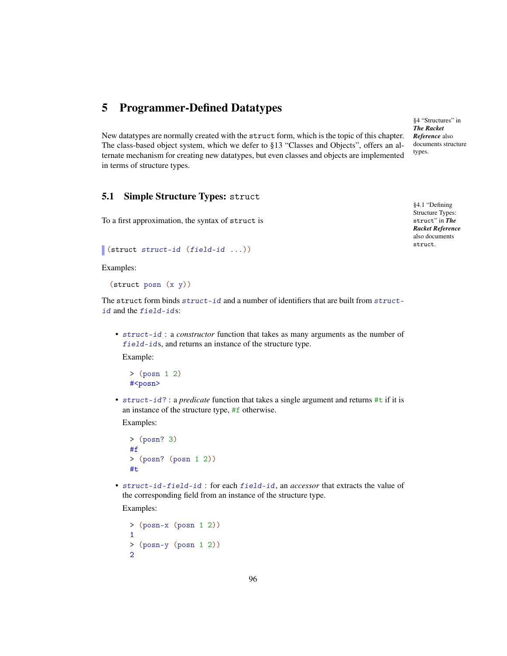# 5 Programmer-Defined Datatypes

New datatypes are normally created with the struct form, which is the topic of this chapter. The class-based object system, which we defer to §13 "Classes and Objects", offers an alternate mechanism for creating new datatypes, but even classes and objects are implemented in terms of structure types.

### 5.1 Simple Structure Types: struct

To a first approximation, the syntax of struct is

```
(struct struct-id (field-id ...))
```
Examples:

```
(struct posn (x y))
```
The struct form binds  $struct-id$  and a number of identifiers that are built from  $struct$ id and the field-ids:

• struct-id : a *constructor* function that takes as many arguments as the number of field-ids, and returns an instance of the structure type.

Example:

```
> (posn 1 2)
#<posn>
```
• struct-id? : a *predicate* function that takes a single argument and returns #t if it is an instance of the structure type, #f otherwise.

Examples:

```
> (posn? 3)
#f
> (posn? (posn 1 2))
#t
```
• struct-id-field-id : for each field-id, an *accessor* that extracts the value of the corresponding field from an instance of the structure type.

Examples:

 $>$  (posn-x (posn 1 2)) 1 > (posn-y (posn 1 2))  $\overline{2}$ 

§4 "Structures" in *The Racket Reference* also documents structure types.

§4.1 "Defining Structure Types: struct" in *The Racket Reference* also documents struct.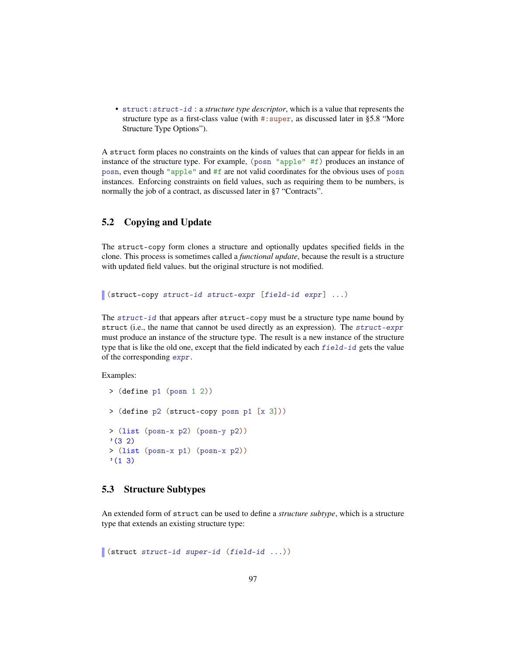• struct:struct-id : a *structure type descriptor*, which is a value that represents the structure type as a first-class value (with #: super, as discussed later in §5.8 "More Structure Type Options").

A struct form places no constraints on the kinds of values that can appear for fields in an instance of the structure type. For example, (posn "apple" #f) produces an instance of posn, even though "apple" and #f are not valid coordinates for the obvious uses of posn instances. Enforcing constraints on field values, such as requiring them to be numbers, is normally the job of a contract, as discussed later in §7 "Contracts".

# 5.2 Copying and Update

The struct-copy form clones a structure and optionally updates specified fields in the clone. This process is sometimes called a *functional update*, because the result is a structure with updated field values. but the original structure is not modified.

(struct-copy struct-id struct-expr [field-id expr] ...)

The struct-id that appears after struct-copy must be a structure type name bound by struct (i.e., the name that cannot be used directly as an expression). The struct-expr must produce an instance of the structure type. The result is a new instance of the structure type that is like the old one, except that the field indicated by each field-id gets the value of the corresponding expr.

Examples:

```
> (define p1 (posn 1 2))
> (define p2 (struct-copy posn p1 [x 3]))
> (list (posn-x p2) (posn-y p2))
'(3 2)
> (list (posn-x p1) (posn-x p2))
'(1 \ 3)
```
# 5.3 Structure Subtypes

An extended form of struct can be used to define a *structure subtype*, which is a structure type that extends an existing structure type:

(struct struct-id super-id (field-id ...))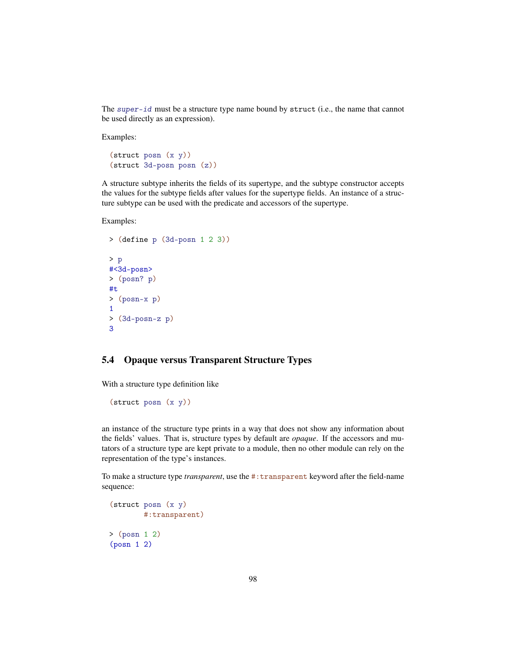The super-id must be a structure type name bound by struct (i.e., the name that cannot be used directly as an expression).

Examples:

```
(struct posn (x y))
(struct 3d-posn posn (z))
```
A structure subtype inherits the fields of its supertype, and the subtype constructor accepts the values for the subtype fields after values for the supertype fields. An instance of a structure subtype can be used with the predicate and accessors of the supertype.

Examples:

```
> (define p (3d-posn 1 2 3))
> p
#<3d-posn>
> (posn? p)
#t
> (posn-x p)
1
> (3d-posn-z p)
3
```
# 5.4 Opaque versus Transparent Structure Types

With a structure type definition like

```
(struct posn (x y))
```
an instance of the structure type prints in a way that does not show any information about the fields' values. That is, structure types by default are *opaque*. If the accessors and mutators of a structure type are kept private to a module, then no other module can rely on the representation of the type's instances.

To make a structure type *transparent*, use the #:transparent keyword after the field-name sequence:

```
(struct posn (x y)
        #:transparent)
> (posn 1 2)
(posn 1 2)
```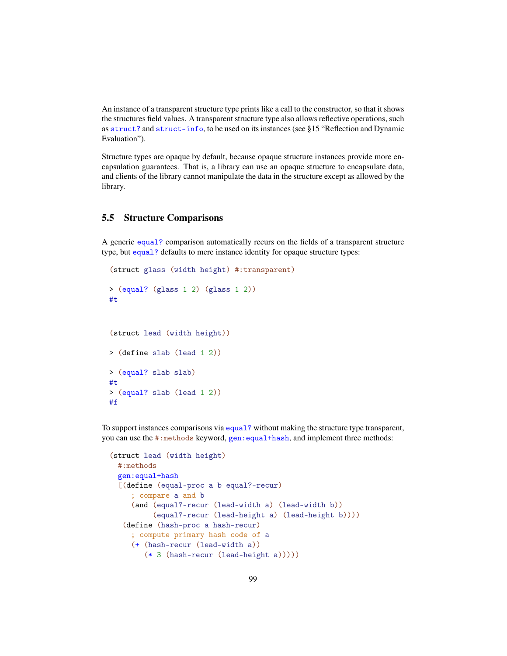An instance of a transparent structure type prints like a call to the constructor, so that it shows the structures field values. A transparent structure type also allows reflective operations, such as struct? and struct-info, to be used on its instances (see §15 "Reflection and Dynamic Evaluation").

Structure types are opaque by default, because opaque structure instances provide more encapsulation guarantees. That is, a library can use an opaque structure to encapsulate data, and clients of the library cannot manipulate the data in the structure except as allowed by the library.

### 5.5 Structure Comparisons

A generic equal? comparison automatically recurs on the fields of a transparent structure type, but equal? defaults to mere instance identity for opaque structure types:

```
(struct glass (width height) #:transparent)
> (equal? (glass 1 2) (glass 1 2))
#t
(struct lead (width height))
> (define slab (lead 1 2))
> (equal? slab slab)
#t
> (equal? slab (lead 1 2))
#f
```
To support instances comparisons via equal? without making the structure type transparent, you can use the #:methods keyword, gen:equal+hash, and implement three methods:

```
(struct lead (width height)
 #:methods
 gen:equal+hash
  [(define (equal-proc a b equal?-recur)
     ; compare a and b
     (and (equal?-recur (lead-width a) (lead-width b))
          (equal?-recur (lead-height a) (lead-height b))))
   (define (hash-proc a hash-recur)
     ; compute primary hash code of a
     (+ (hash-recur (lead-width a))
        (* 3 (hash-recur (lead-height a)))))
```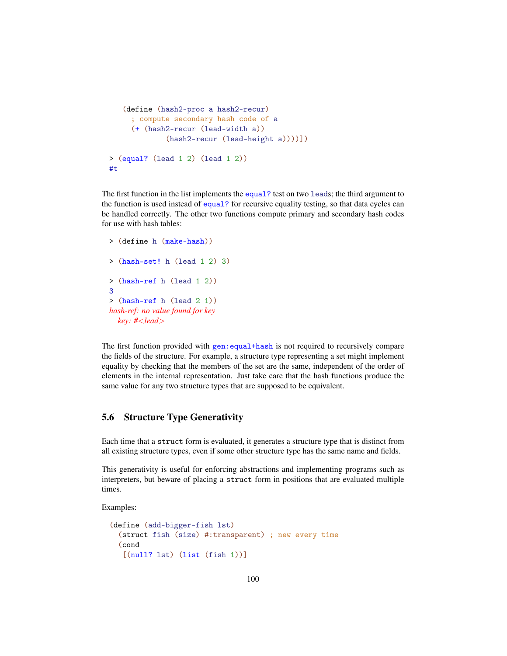```
(define (hash2-proc a hash2-recur)
     ; compute secondary hash code of a
     (+ (hash2-recur (lead-width a))
             (hash2-recur (lead-height a))))])
> (equal? (lead 1 2) (lead 1 2))
#t
```
The first function in the list implements the equal? test on two leads; the third argument to the function is used instead of equal? for recursive equality testing, so that data cycles can be handled correctly. The other two functions compute primary and secondary hash codes for use with hash tables:

```
> (define h (make-hash))
> (hash-set! h (lead 1 2) 3)
> (hash-ref h (lead 1 2))
3
> (hash-ref h (lead 2 1))
hash-ref: no value found for key
  key: #<lead>
```
The first function provided with gen: equal+hash is not required to recursively compare the fields of the structure. For example, a structure type representing a set might implement equality by checking that the members of the set are the same, independent of the order of elements in the internal representation. Just take care that the hash functions produce the same value for any two structure types that are supposed to be equivalent.

### 5.6 Structure Type Generativity

Each time that a struct form is evaluated, it generates a structure type that is distinct from all existing structure types, even if some other structure type has the same name and fields.

This generativity is useful for enforcing abstractions and implementing programs such as interpreters, but beware of placing a struct form in positions that are evaluated multiple times.

Examples:

```
(define (add-bigger-fish lst)
 (struct fish (size) #:transparent) ; new every time
 (cond
  [(null? lst) (list (fish 1))]
```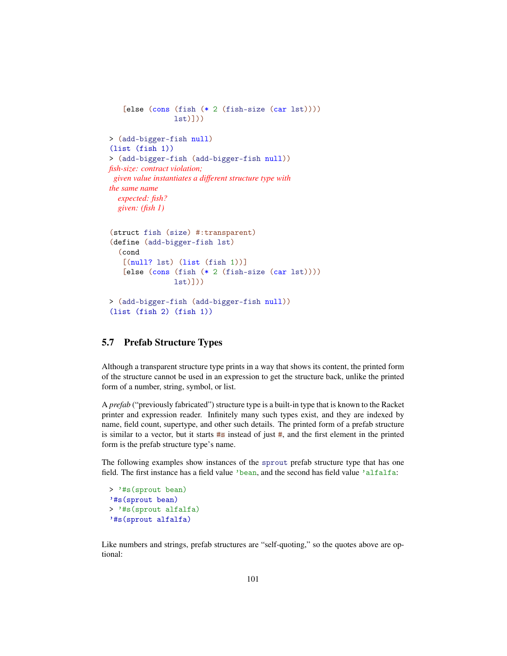```
[else (cons (fish (* 2 (fish-size (car lst))))
                lst)]))
> (add-bigger-fish null)
(list (fish 1))
> (add-bigger-fish (add-bigger-fish null))
fish-size: contract violation;
 given value instantiates a different structure type with
the same name
  expected: fish?
  given: (fish 1)
(struct fish (size) #:transparent)
(define (add-bigger-fish lst)
  (cond
   [(null? lst) (list (fish 1))]
   [else (cons (fish (* 2 (fish-size (car lst))))
                1st)])
> (add-bigger-fish (add-bigger-fish null))
(list (fish 2) (fish 1))
```
# 5.7 Prefab Structure Types

Although a transparent structure type prints in a way that shows its content, the printed form of the structure cannot be used in an expression to get the structure back, unlike the printed form of a number, string, symbol, or list.

A *prefab* ("previously fabricated") structure type is a built-in type that is known to the Racket printer and expression reader. Infinitely many such types exist, and they are indexed by name, field count, supertype, and other such details. The printed form of a prefab structure is similar to a vector, but it starts  $\#s$  instead of just  $\#$ , and the first element in the printed form is the prefab structure type's name.

The following examples show instances of the sprout prefab structure type that has one field. The first instance has a field value 'bean, and the second has field value 'alfalfa:

> '#s(sprout bean) '#s(sprout bean) > '#s(sprout alfalfa) '#s(sprout alfalfa)

Like numbers and strings, prefab structures are "self-quoting," so the quotes above are optional: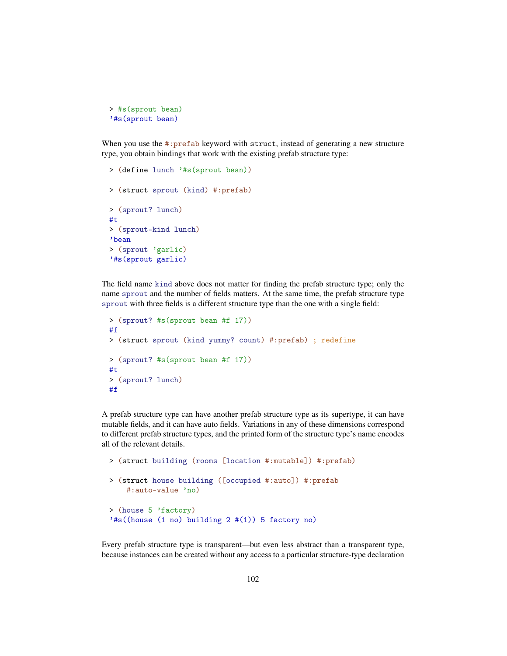```
> #s(sprout bean)
'#s(sprout bean)
```
When you use the #:prefab keyword with struct, instead of generating a new structure type, you obtain bindings that work with the existing prefab structure type:

```
> (define lunch '#s(sprout bean))
> (struct sprout (kind) #:prefab)
> (sprout? lunch)
#t
> (sprout-kind lunch)
'bean
> (sprout 'garlic)
'#s(sprout garlic)
```
The field name kind above does not matter for finding the prefab structure type; only the name sprout and the number of fields matters. At the same time, the prefab structure type sprout with three fields is a different structure type than the one with a single field:

```
> (sprout? #s(sprout bean #f 17))
#f
> (struct sprout (kind yummy? count) #:prefab) ; redefine
> (sprout? #s(sprout bean #f 17))
#t
> (sprout? lunch)
#f
```
A prefab structure type can have another prefab structure type as its supertype, it can have mutable fields, and it can have auto fields. Variations in any of these dimensions correspond to different prefab structure types, and the printed form of the structure type's name encodes all of the relevant details.

```
> (struct building (rooms [location #:mutable]) #:prefab)
> (struct house building ([occupied #:auto]) #:prefab
    #:auto-value 'no)
> (house 5 'factory)
'#s((house (1 no) building 2 #(1)) 5 factory no)
```
Every prefab structure type is transparent—but even less abstract than a transparent type, because instances can be created without any access to a particular structure-type declaration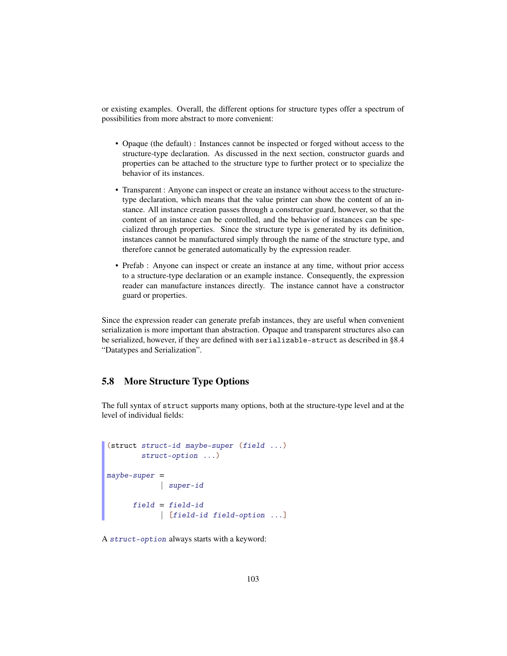or existing examples. Overall, the different options for structure types offer a spectrum of possibilities from more abstract to more convenient:

- Opaque (the default) : Instances cannot be inspected or forged without access to the structure-type declaration. As discussed in the next section, constructor guards and properties can be attached to the structure type to further protect or to specialize the behavior of its instances.
- Transparent : Anyone can inspect or create an instance without access to the structuretype declaration, which means that the value printer can show the content of an instance. All instance creation passes through a constructor guard, however, so that the content of an instance can be controlled, and the behavior of instances can be specialized through properties. Since the structure type is generated by its definition, instances cannot be manufactured simply through the name of the structure type, and therefore cannot be generated automatically by the expression reader.
- Prefab : Anyone can inspect or create an instance at any time, without prior access to a structure-type declaration or an example instance. Consequently, the expression reader can manufacture instances directly. The instance cannot have a constructor guard or properties.

Since the expression reader can generate prefab instances, they are useful when convenient serialization is more important than abstraction. Opaque and transparent structures also can be serialized, however, if they are defined with serializable-struct as described in §8.4 "Datatypes and Serialization".

### 5.8 More Structure Type Options

The full syntax of struct supports many options, both at the structure-type level and at the level of individual fields:

```
(struct struct-id maybe-super (field ...)
       struct-option ...)
maybe-super =| super-id
      field = field-id
            | [field-id field-option ...]
```
A struct-option always starts with a keyword: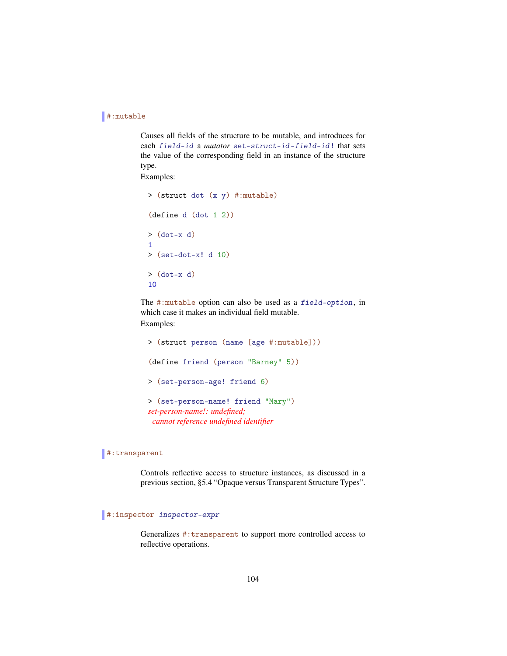### #:mutable

Causes all fields of the structure to be mutable, and introduces for each field-id a *mutator* set-struct-id-field-id! that sets the value of the corresponding field in an instance of the structure type.

Examples:

```
> (struct dot (x y) #:mutable)
(define d (dot 1 2))
> (dot-x d)
1
>(set-dot-x! d 10)> (dot-x d)
10
```
The #:mutable option can also be used as a field-option, in which case it makes an individual field mutable. Examples:

```
> (struct person (name [age #:mutable]))
(define friend (person "Barney" 5))
> (set-person-age! friend 6)
> (set-person-name! friend "Mary")
set-person-name!: undefined;
 cannot reference undefined identifier
```
### #:transparent

Controls reflective access to structure instances, as discussed in a previous section, §5.4 "Opaque versus Transparent Structure Types".

### #:inspector inspector-expr

Generalizes #:transparent to support more controlled access to reflective operations.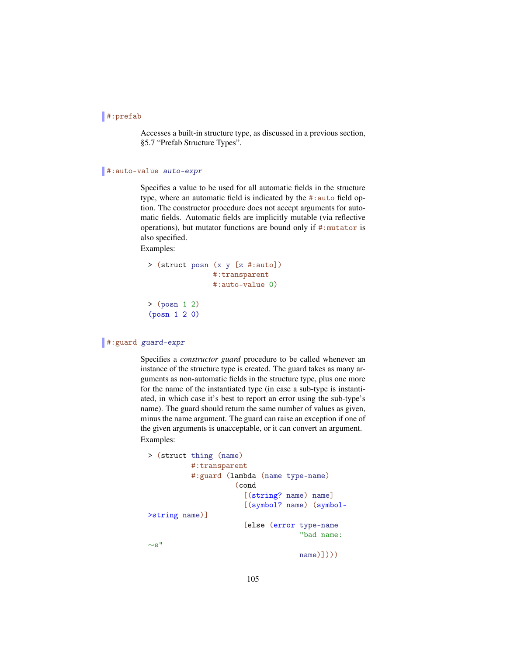#### #:prefab

Accesses a built-in structure type, as discussed in a previous section, §5.7 "Prefab Structure Types".

#### #:auto-value auto-expr

Specifies a value to be used for all automatic fields in the structure type, where an automatic field is indicated by the #:auto field option. The constructor procedure does not accept arguments for automatic fields. Automatic fields are implicitly mutable (via reflective operations), but mutator functions are bound only if #:mutator is also specified.

Examples:

(posn 1 2 0)

```
> (struct posn (x y [z #:auto])
               #:transparent
               #:auto-value 0)
> (posn 1 2)
```
### #:guard guard-expr

Specifies a *constructor guard* procedure to be called whenever an instance of the structure type is created. The guard takes as many arguments as non-automatic fields in the structure type, plus one more for the name of the instantiated type (in case a sub-type is instantiated, in which case it's best to report an error using the sub-type's name). The guard should return the same number of values as given, minus the name argument. The guard can raise an exception if one of the given arguments is unacceptable, or it can convert an argument. Examples:

```
> (struct thing (name)
          #:transparent
          #:guard (lambda (name type-name)
                     (cond
                       [(string? name) name]
                       [(symbol? name) (symbol-
>string name)]
                       [else (error type-name
                                    "bad name:
∼e"
                                    name)))
```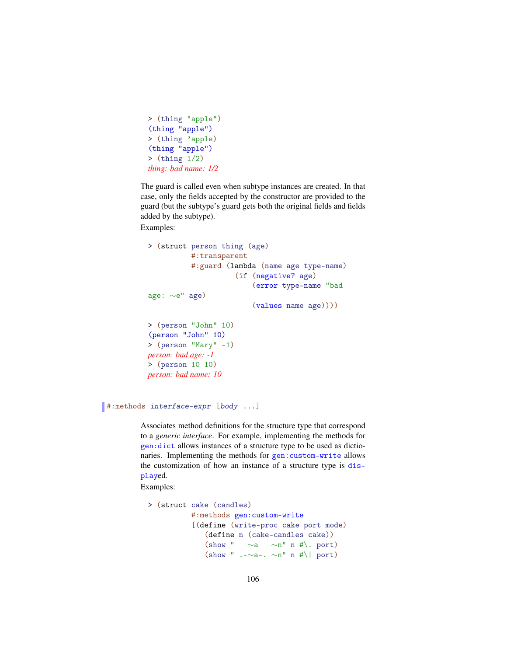```
> (thing "apple")
(thing "apple")
> (thing 'apple)
(thing "apple")
> (thing 1/2)
thing: bad name: 1/2
```
The guard is called even when subtype instances are created. In that case, only the fields accepted by the constructor are provided to the guard (but the subtype's guard gets both the original fields and fields added by the subtype).

Examples:

```
> (struct person thing (age)
          #:transparent
          #:guard (lambda (name age type-name)
                     (if (negative? age)
                         (error type-name "bad
age: ∼e" age)
                         (values name age))))
> (person "John" 10)
(person "John" 10)
> (person "Mary" -1)
person: bad age: -1
> (person 10 10)
person: bad name: 10
```
#:methods interface-expr [body ...]

Associates method definitions for the structure type that correspond to a *generic interface*. For example, implementing the methods for gen:dict allows instances of a structure type to be used as dictionaries. Implementing the methods for gen: custom-write allows the customization of how an instance of a structure type is displayed.

Examples:

```
> (struct cake (candles)
          #:methods gen:custom-write
          [(define (write-proc cake port mode)
             (define n (cake-candles cake))
             (show " \sim a ∼n" n #\. port)
             (show " .-∼a-. ∼n" n #\| port)
```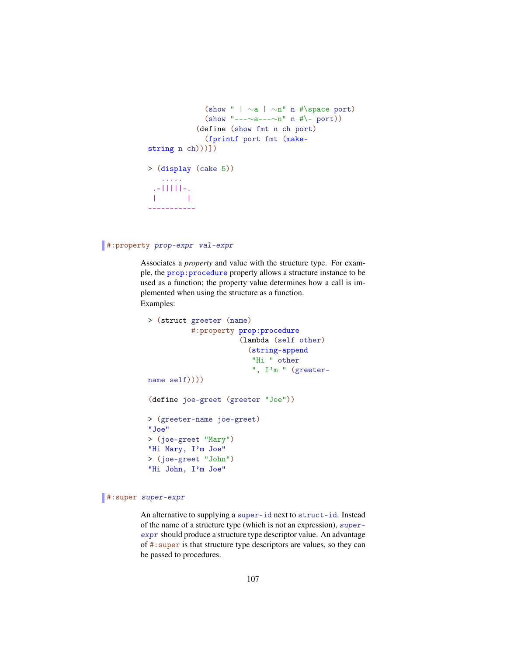```
(show " | ∼a | ∼n" n #\space port)
             (show "---∼a---∼n" n #\- port))
           (define (show fmt n ch port)
             (fprintf port fmt (make-
string n ch)))])
> (display (cake 5))
   .....
 .-|||||-.
 | |
-----------
```
### #:property prop-expr val-expr

Associates a *property* and value with the structure type. For example, the prop:procedure property allows a structure instance to be used as a function; the property value determines how a call is implemented when using the structure as a function. Examples:

```
> (struct greeter (name)
          #:property prop:procedure
                     (lambda (self other)
                        (string-append
                        "Hi " other
                         ", I'm " (greeter-
name self))))
(define joe-greet (greeter "Joe"))
> (greeter-name joe-greet)
"Joe"
> (joe-greet "Mary")
"Hi Mary, I'm Joe"
```
#### #:super super-expr

> (joe-greet "John") "Hi John, I'm Joe"

An alternative to supplying a super-id next to struct-id. Instead of the name of a structure type (which is not an expression), superexpr should produce a structure type descriptor value. An advantage of #:super is that structure type descriptors are values, so they can be passed to procedures.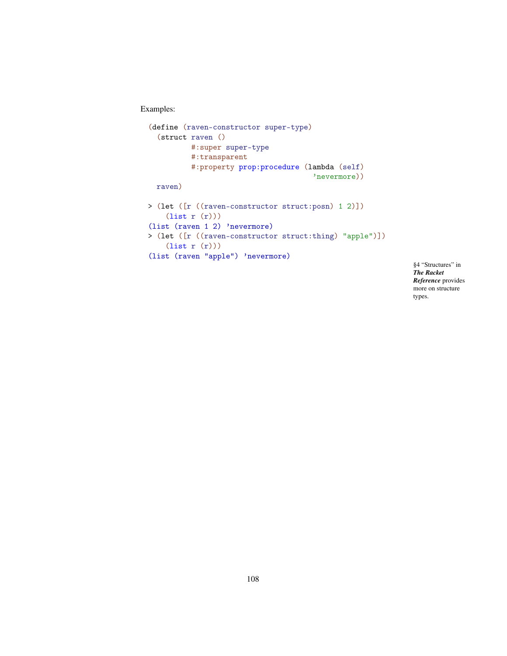Examples:

```
(define (raven-constructor super-type)
  (struct raven ()
         #:super super-type
          #:transparent
          #:property prop:procedure (lambda (self)
                                      'nevermore))
 raven)
> (let ([r ((raven-constructor struct:posn) 1 2)])
    (listr(r)))(list (raven 1 2) 'nevermore)
> (let ([r ((raven-constructor struct:thing) "apple")])
    (list r (r)))(list (raven "apple") 'nevermore)
```
§4 "Structures" in *The Racket Reference* provides more on structure types.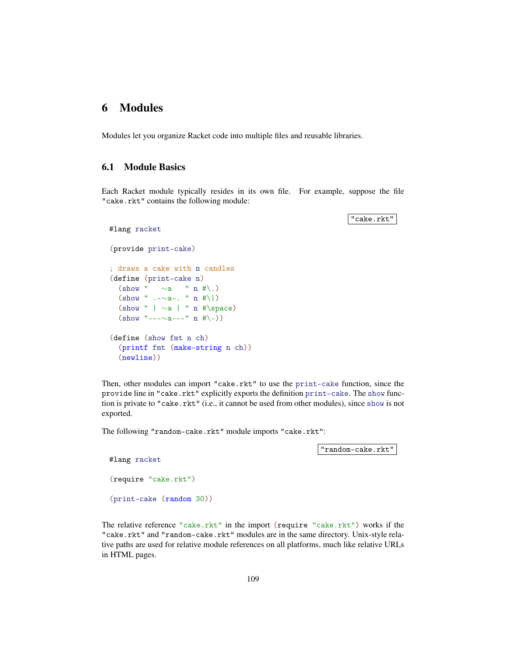# 6 Modules

Modules let you organize Racket code into multiple files and reusable libraries.

## 6.1 Module Basics

Each Racket module typically resides in its own file. For example, suppose the file "cake.rkt" contains the following module:

```
#lang racket
(provide print-cake)
; draws a cake with n candles
(define (print-cake n)
  (show " \sima " n #\.)
  (show " .-∼a-. " n #\|)
  (show " | \sim a | " n #\space)
  (show "---∼a---" n #\-))
(define (show fmt n ch)
  (printf fmt (make-string n ch))
  (newline))
```
Then, other modules can import "cake.rkt" to use the print-cake function, since the provide line in "cake.rkt" explicitly exports the definition print-cake. The show function is private to "cake.rkt" (i.e., it cannot be used from other modules), since show is not exported.

The following "random-cake.rkt" module imports "cake.rkt":

"random-cake.rkt"

"cake.rkt"

```
#lang racket
(require "cake.rkt")
(print-cake (random 30))
```
The relative reference "cake.rkt" in the import (require "cake.rkt") works if the "cake.rkt" and "random-cake.rkt" modules are in the same directory. Unix-style relative paths are used for relative module references on all platforms, much like relative URLs in HTML pages.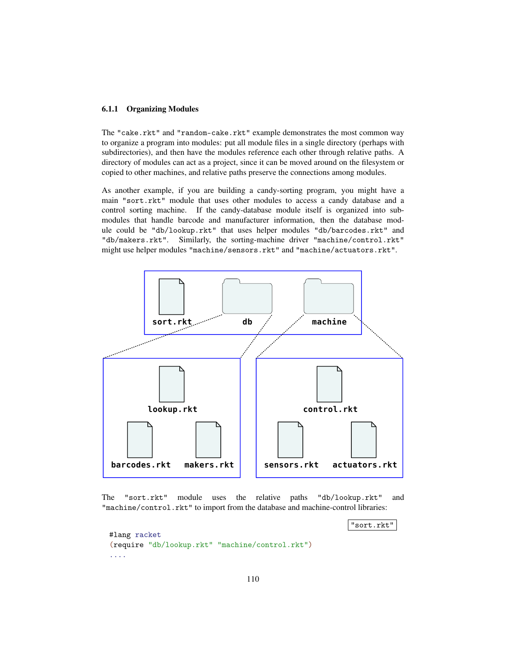### 6.1.1 Organizing Modules

The "cake.rkt" and "random-cake.rkt" example demonstrates the most common way to organize a program into modules: put all module files in a single directory (perhaps with subdirectories), and then have the modules reference each other through relative paths. A directory of modules can act as a project, since it can be moved around on the filesystem or copied to other machines, and relative paths preserve the connections among modules.

As another example, if you are building a candy-sorting program, you might have a main "sort.rkt" module that uses other modules to access a candy database and a control sorting machine. If the candy-database module itself is organized into submodules that handle barcode and manufacturer information, then the database module could be "db/lookup.rkt" that uses helper modules "db/barcodes.rkt" and "db/makers.rkt". Similarly, the sorting-machine driver "machine/control.rkt" might use helper modules "machine/sensors.rkt" and "machine/actuators.rkt".



The "sort.rkt" module uses the relative paths "db/lookup.rkt" and "machine/control.rkt" to import from the database and machine-control libraries:

"sort.rkt"

```
#lang racket
(require "db/lookup.rkt" "machine/control.rkt")
....
```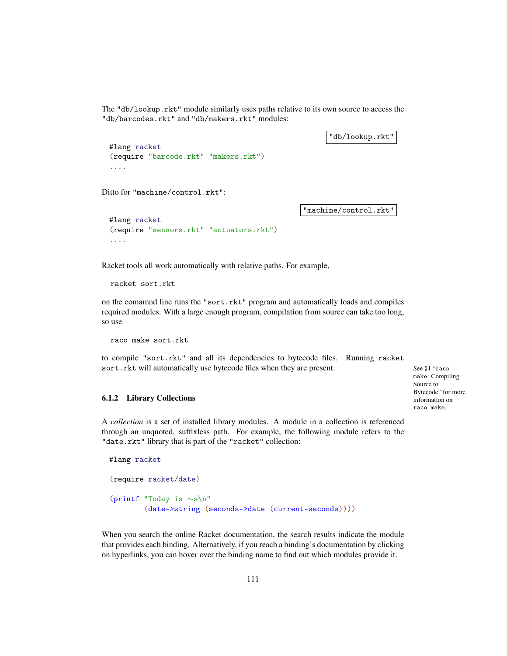The "db/lookup.rkt" module similarly uses paths relative to its own source to access the "db/barcodes.rkt" and "db/makers.rkt" modules:

"db/lookup.rkt"

```
Ditto for "machine/control.rkt":
```

```
#lang racket
(require "sensors.rkt" "actuators.rkt")
....
```
(require "barcode.rkt" "makers.rkt")

"machine/control.rkt"

Racket tools all work automatically with relative paths. For example,

racket sort.rkt

#lang racket

....

on the comamnd line runs the "sort.rkt" program and automatically loads and compiles required modules. With a large enough program, compilation from source can take too long, so use

```
raco make sort.rkt
```
to compile "sort.rkt" and all its dependencies to bytecode files. Running racket sort.rkt will automatically use bytecode files when they are present. See §1 "raco

#### 6.1.2 Library Collections

A *collection* is a set of installed library modules. A module in a collection is referenced through an unquoted, suffixless path. For example, the following module refers to the "date.rkt" library that is part of the "racket" collection:

```
#lang racket
(require racket/date)
(printf "Today is ∼s\n"
        (date->string (seconds->date (current-seconds))))
```
When you search the online Racket documentation, the search results indicate the module that provides each binding. Alternatively, if you reach a binding's documentation by clicking on hyperlinks, you can hover over the binding name to find out which modules provide it.

make: Compiling Source to Bytecode" for more information on raco make.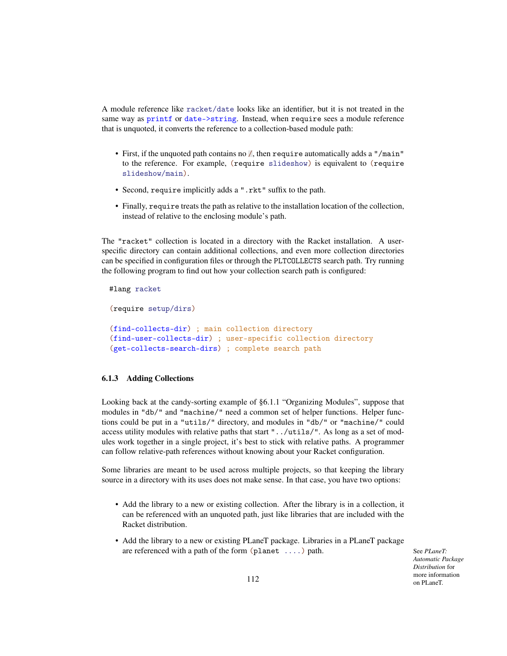A module reference like racket/date looks like an identifier, but it is not treated in the same way as printf or date->string. Instead, when require sees a module reference that is unquoted, it converts the reference to a collection-based module path:

- First, if the unquoted path contains no  $\nabla$ , then require automatically adds a "/main" to the reference. For example, (require slideshow) is equivalent to (require slideshow/main).
- Second, require implicitly adds a ".rkt" suffix to the path.
- Finally, require treats the path as relative to the installation location of the collection, instead of relative to the enclosing module's path.

The "racket" collection is located in a directory with the Racket installation. A userspecific directory can contain additional collections, and even more collection directories can be specified in configuration files or through the PLTCOLLECTS search path. Try running the following program to find out how your collection search path is configured:

```
#lang racket
(require setup/dirs)
(find-collects-dir) ; main collection directory
(find-user-collects-dir) ; user-specific collection directory
(get-collects-search-dirs) ; complete search path
```
### 6.1.3 Adding Collections

Looking back at the candy-sorting example of §6.1.1 "Organizing Modules", suppose that modules in "db/" and "machine/" need a common set of helper functions. Helper functions could be put in a "utils/" directory, and modules in "db/" or "machine/" could access utility modules with relative paths that start "../utils/". As long as a set of modules work together in a single project, it's best to stick with relative paths. A programmer can follow relative-path references without knowing about your Racket configuration.

Some libraries are meant to be used across multiple projects, so that keeping the library source in a directory with its uses does not make sense. In that case, you have two options:

- Add the library to a new or existing collection. After the library is in a collection, it can be referenced with an unquoted path, just like libraries that are included with the Racket distribution.
- Add the library to a new or existing PLaneT package. Libraries in a PLaneT package are referenced with a path of the form (planet ....) path. See *PLaneT*:

*Automatic Package Distribution* for more information on PLaneT. 112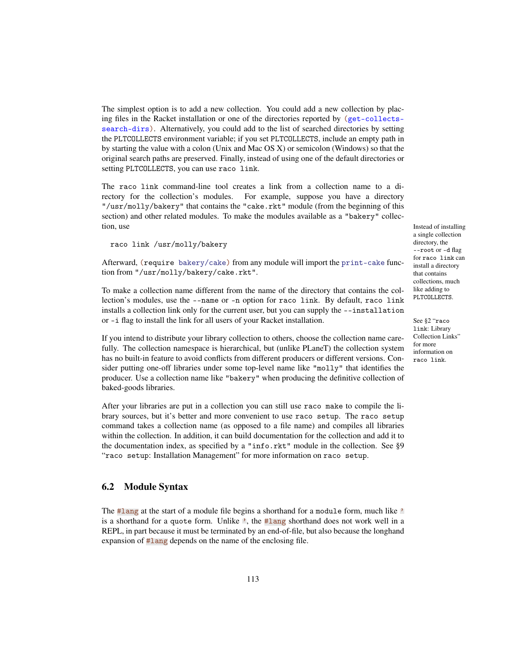The simplest option is to add a new collection. You could add a new collection by placing files in the Racket installation or one of the directories reported by (get-collectssearch-dirs). Alternatively, you could add to the list of searched directories by setting the PLTCOLLECTS environment variable; if you set PLTCOLLECTS, include an empty path in by starting the value with a colon (Unix and Mac OS X) or semicolon (Windows) so that the original search paths are preserved. Finally, instead of using one of the default directories or setting PLTCOLLECTS, you can use raco link.

The raco link command-line tool creates a link from a collection name to a directory for the collection's modules. For example, suppose you have a directory "/usr/molly/bakery" that contains the "cake.rkt" module (from the beginning of this section) and other related modules. To make the modules available as a "bakery" collection, use Instead of installing

raco link /usr/molly/bakery

Afterward, (require bakery/cake) from any module will import the print-cake function from "/usr/molly/bakery/cake.rkt".

To make a collection name different from the name of the directory that contains the collection's modules, use the --name or -n option for raco link. By default, raco link installs a collection link only for the current user, but you can supply the --installation or -i flag to install the link for all users of your Racket installation. See §2 "raco

If you intend to distribute your library collection to others, choose the collection name carefully. The collection namespace is hierarchical, but (unlike PLaneT) the collection system has no built-in feature to avoid conflicts from different producers or different versions. Consider putting one-off libraries under some top-level name like "molly" that identifies the producer. Use a collection name like "bakery" when producing the definitive collection of baked-goods libraries.

After your libraries are put in a collection you can still use raco make to compile the library sources, but it's better and more convenient to use raco setup. The raco setup command takes a collection name (as opposed to a file name) and compiles all libraries within the collection. In addition, it can build documentation for the collection and add it to the documentation index, as specified by a "info.rkt" module in the collection. See §9 "raco setup: Installation Management" for more information on raco setup.

## 6.2 Module Syntax

The #lang at the start of a module file begins a shorthand for a module form, much like ' is a shorthand for a quote form. Unlike  $\cdot$ , the  $\frac{1}{2}$  shorthand does not work well in a REPL, in part because it must be terminated by an end-of-file, but also because the longhand expansion of #lang depends on the name of the enclosing file.

a single collection directory, the --root or -d flag for raco link can install a directory that contains collections, much like adding to PLTCOLLECTS.

link: Library Collection Links" for more information on raco link.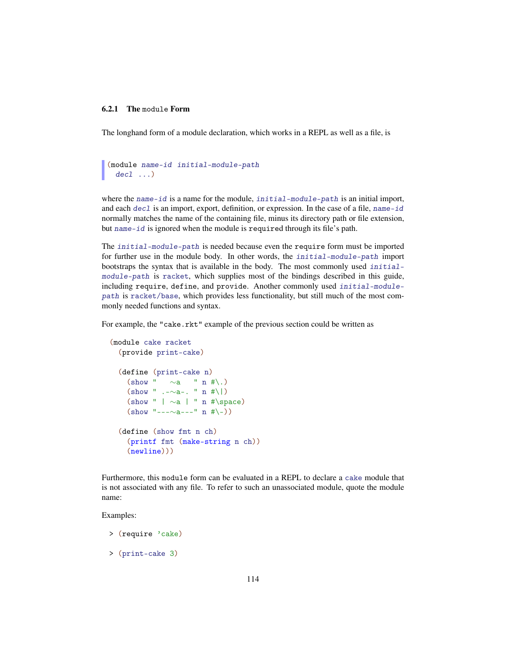### 6.2.1 The module Form

The longhand form of a module declaration, which works in a REPL as well as a file, is

```
(module name-id initial-module-path
 dec1 ...
```
where the name-id is a name for the module,  $initial$ -module-path is an initial import, and each decl is an import, export, definition, or expression. In the case of a file, name-id normally matches the name of the containing file, minus its directory path or file extension, but name-id is ignored when the module is required through its file's path.

The initial-module-path is needed because even the require form must be imported for further use in the module body. In other words, the initial-module-path import bootstraps the syntax that is available in the body. The most commonly used initialmodule-path is racket, which supplies most of the bindings described in this guide, including require, define, and provide. Another commonly used initial-modulepath is racket/base, which provides less functionality, but still much of the most commonly needed functions and syntax.

For example, the "cake.rkt" example of the previous section could be written as

```
(module cake racket
  (provide print-cake)
  (define (print-cake n)
    (show " ~\sima " n #\.)
    (show " .-∼a-. " n #\|)
    (show " | \sim a | " n #\space)
    (\text{show } "---\infty a---" n #\)-))(define (show fmt n ch)
    (printf fmt (make-string n ch))
    (newline)))
```
Furthermore, this module form can be evaluated in a REPL to declare a cake module that is not associated with any file. To refer to such an unassociated module, quote the module name:

Examples:

- > (require 'cake)
- > (print-cake 3)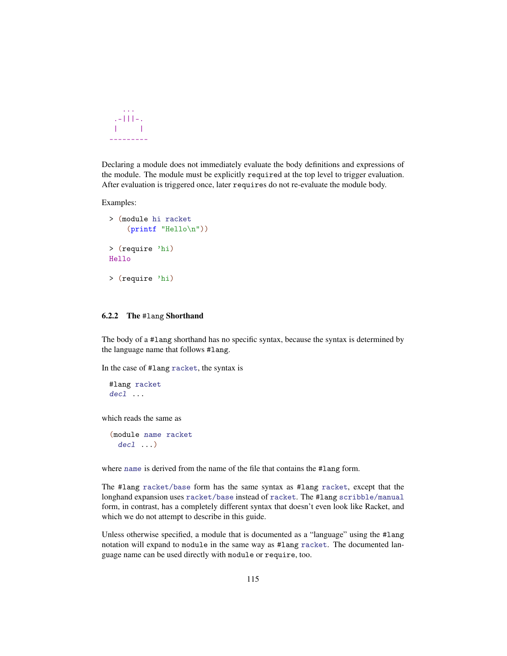```
...
.-|||-.
| |
---------
```
Declaring a module does not immediately evaluate the body definitions and expressions of the module. The module must be explicitly required at the top level to trigger evaluation. After evaluation is triggered once, later requires do not re-evaluate the module body.

#### Examples:

```
> (module hi racket
    (printf "Hello\n"))
> (require 'hi)
Hello
> (require 'hi)
```
### 6.2.2 The #lang Shorthand

The body of a #lang shorthand has no specific syntax, because the syntax is determined by the language name that follows #lang.

In the case of #lang racket, the syntax is

```
#lang racket
dec1 ...
```
which reads the same as

(module name racket  $dec1$  ...

where name is derived from the name of the file that contains the #lang form.

The #lang racket/base form has the same syntax as #lang racket, except that the longhand expansion uses racket/base instead of racket. The #lang scribble/manual form, in contrast, has a completely different syntax that doesn't even look like Racket, and which we do not attempt to describe in this guide.

Unless otherwise specified, a module that is documented as a "language" using the #lang notation will expand to module in the same way as #lang racket. The documented language name can be used directly with module or require, too.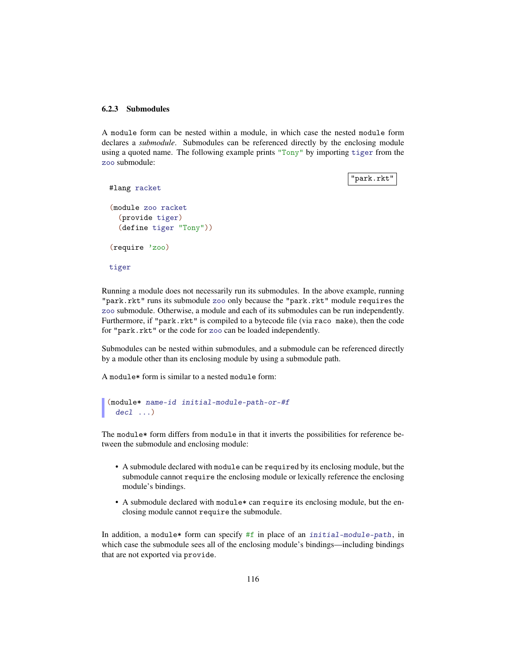### 6.2.3 Submodules

A module form can be nested within a module, in which case the nested module form declares a *submodule*. Submodules can be referenced directly by the enclosing module using a quoted name. The following example prints "Tony" by importing tiger from the zoo submodule:

"park.rkt"

```
#lang racket
(module zoo racket
  (provide tiger)
  (define tiger "Tony"))
(require 'zoo)
tiger
```
Running a module does not necessarily run its submodules. In the above example, running "park.rkt" runs its submodule zoo only because the "park.rkt" module requires the zoo submodule. Otherwise, a module and each of its submodules can be run independently. Furthermore, if "park.rkt" is compiled to a bytecode file (via raco make), then the code for "park.rkt" or the code for zoo can be loaded independently.

Submodules can be nested within submodules, and a submodule can be referenced directly by a module other than its enclosing module by using a submodule path.

A module\* form is similar to a nested module form:

```
(module* name-id initial-module-path-or-#f
  dec1 \ldots)
```
The module\* form differs from module in that it inverts the possibilities for reference between the submodule and enclosing module:

- A submodule declared with module can be required by its enclosing module, but the submodule cannot require the enclosing module or lexically reference the enclosing module's bindings.
- A submodule declared with module\* can require its enclosing module, but the enclosing module cannot require the submodule.

In addition, a module\* form can specify  $#f$  in place of an initial-module-path, in which case the submodule sees all of the enclosing module's bindings—including bindings that are not exported via provide.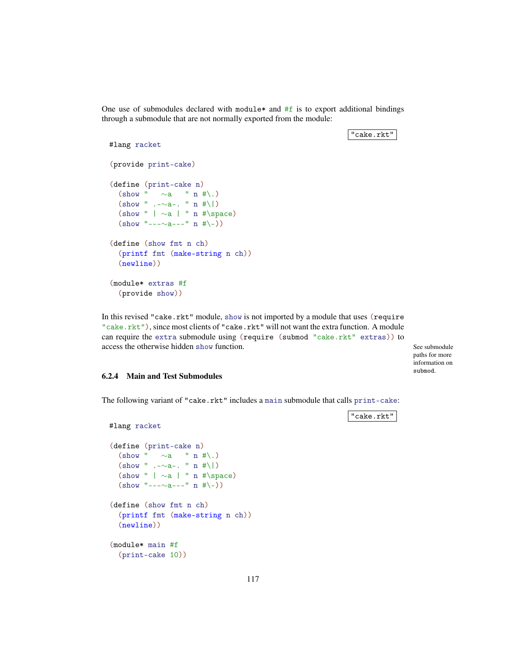One use of submodules declared with module\* and  $#f$  is to export additional bindings through a submodule that are not normally exported from the module:

"cake.rkt"

"cake.rkt"

```
#lang racket
(provide print-cake)
(define (print-cake n)
  (show " \sima " n #\.)
  (show " .-∼a-. " n #\|)
  (show " | \sim a | " n #\space)
  (show "---∼a---" n #\-))
(define (show fmt n ch)
  (printf fmt (make-string n ch))
  (newline))
(module* extras #f
  (provide show))
```
In this revised "cake.rkt" module, show is not imported by a module that uses (require "cake.rkt"), since most clients of "cake.rkt" will not want the extra function. A module can require the extra submodule using (require (submod "cake.rkt" extras)) to access the otherwise hidden show function. See submodule

paths for more information on submod.

#### 6.2.4 Main and Test Submodules

The following variant of "cake.rkt" includes a main submodule that calls print-cake:

```
#lang racket
```

```
(define (print-cake n)
  (show " ~\sima " n #\.)
  (show " .-∼a-. " n #\|)
  (show " | \sim a | " n #\space)
  (\text{show } "---\infty a---" n #\)-))(define (show fmt n ch)
  (printf fmt (make-string n ch))
  (newline))
(module* main #f
  (print-cake 10))
```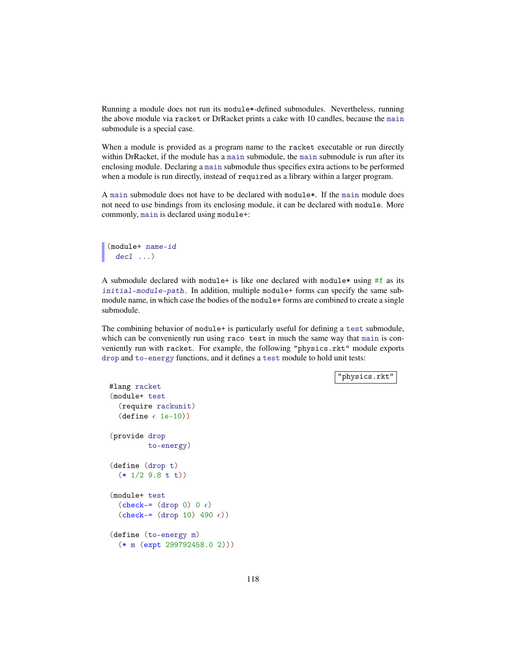Running a module does not run its module\*-defined submodules. Nevertheless, running the above module via racket or DrRacket prints a cake with 10 candles, because the main submodule is a special case.

When a module is provided as a program name to the racket executable or run directly within DrRacket, if the module has a main submodule, the main submodule is run after its enclosing module. Declaring a main submodule thus specifies extra actions to be performed when a module is run directly, instead of required as a library within a larger program.

A main submodule does not have to be declared with module\*. If the main module does not need to use bindings from its enclosing module, it can be declared with module. More commonly, main is declared using module+:

```
(module+ name-id
 dec1 ...)
```
A submodule declared with module+ is like one declared with module\* using #f as its initial-module-path. In addition, multiple module+ forms can specify the same submodule name, in which case the bodies of the module+ forms are combined to create a single submodule.

The combining behavior of module+ is particularly useful for defining a test submodule, which can be conveniently run using raco test in much the same way that main is conveniently run with racket. For example, the following "physics.rkt" module exports drop and to-energy functions, and it defines a test module to hold unit tests:

"physics.rkt"

```
#lang racket
(module+ test
  (require rackunit)
  (detine \epsilon 1e-10))(provide drop
          to-energy)
(define (drop t)
  (* 1/2 9.8 t t))(module+ test
  (check-= (drop 0) 0 \in)
  (\text{check} = (\text{drop } 10) 490 \epsilon))(define (to-energy m)
  (* m (expt 299792458.0 2)))
```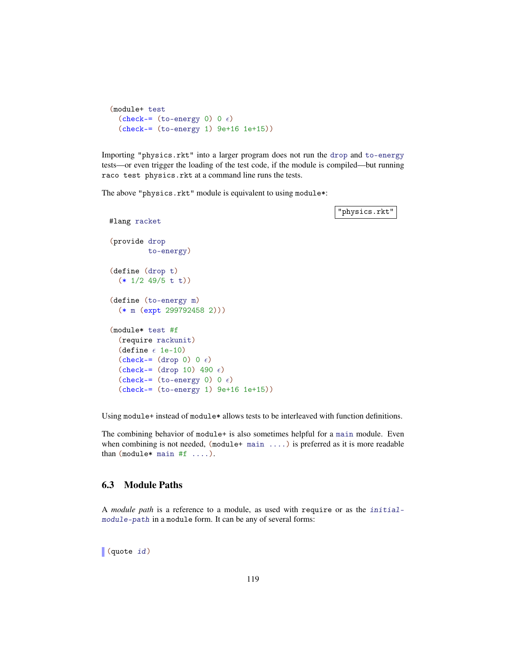```
(module+ test
  (check-= (to-energy 0) 0 \epsilon)
  (check-= (to-energy 1) 9e+16 1e+15))
```
Importing "physics.rkt" into a larger program does not run the drop and to-energy tests—or even trigger the loading of the test code, if the module is compiled—but running raco test physics.rkt at a command line runs the tests.

"physics.rkt"

The above "physics.rkt" module is equivalent to using module\*:

```
#lang racket
(provide drop
          to-energy)
(define (drop t)
  (* 1/2 49/5 t t))(define (to-energy m)
  (* m (expt 299792458 2)))
(module* test #f
  (require rackunit)
  (define \epsilon 1e-10)
  (check-= (drop 0) 0 \epsilon)
  (check-= (drop 10) 490 \epsilon)
  (check-= (to-energy 0) 0 \epsilon)
  (check-= (to-energy 1) 9e+16 1e+15))
```
Using module+ instead of module\* allows tests to be interleaved with function definitions.

The combining behavior of module+ is also sometimes helpful for a main module. Even when combining is not needed,  $(module+ main ...)$  is preferred as it is more readable than (module\* main #f ....).

# 6.3 Module Paths

A *module path* is a reference to a module, as used with require or as the initialmodule-path in a module form. It can be any of several forms:

(quote id)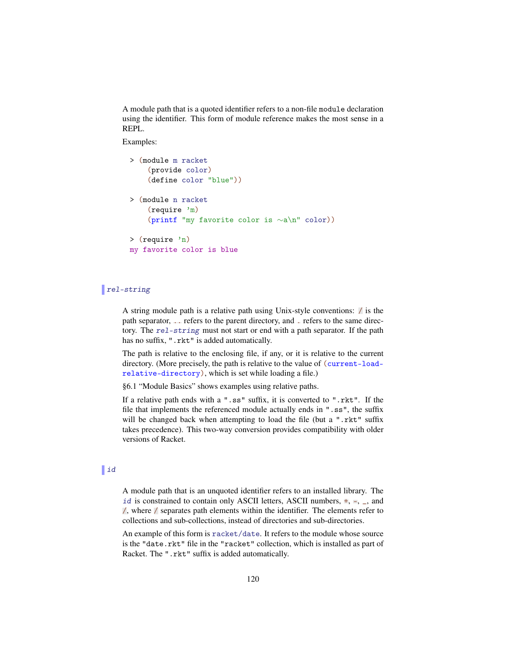A module path that is a quoted identifier refers to a non-file module declaration using the identifier. This form of module reference makes the most sense in a REPL.

Examples:

```
> (module m racket
    (provide color)
    (define color "blue"))
> (module n racket
    (require 'm)
    (printf "my favorite color is ∼a\n" color))
> (require 'n)
my favorite color is blue
```
## rel-string

A string module path is a relative path using Unix-style conventions:  $\overline{\phantom{a}}$  is the path separator, .. refers to the parent directory, and . refers to the same directory. The rel-string must not start or end with a path separator. If the path has no suffix, ".rkt" is added automatically.

The path is relative to the enclosing file, if any, or it is relative to the current directory. (More precisely, the path is relative to the value of (current-loadrelative-directory), which is set while loading a file.)

§6.1 "Module Basics" shows examples using relative paths.

If a relative path ends with a ".ss" suffix, it is converted to ".rkt". If the file that implements the referenced module actually ends in ".ss", the suffix will be changed back when attempting to load the file (but a ".rkt" suffix takes precedence). This two-way conversion provides compatibility with older versions of Racket.

# $\mathbf{Id}$

A module path that is an unquoted identifier refers to an installed library. The *id* is constrained to contain only ASCII letters, ASCII numbers,  $\pm$ ,  $\pm$ ,  $\pm$ ,  $\pm$ , and /, where / separates path elements within the identifier. The elements refer to collections and sub-collections, instead of directories and sub-directories.

An example of this form is racket/date. It refers to the module whose source is the "date.rkt" file in the "racket" collection, which is installed as part of Racket. The ".rkt" suffix is added automatically.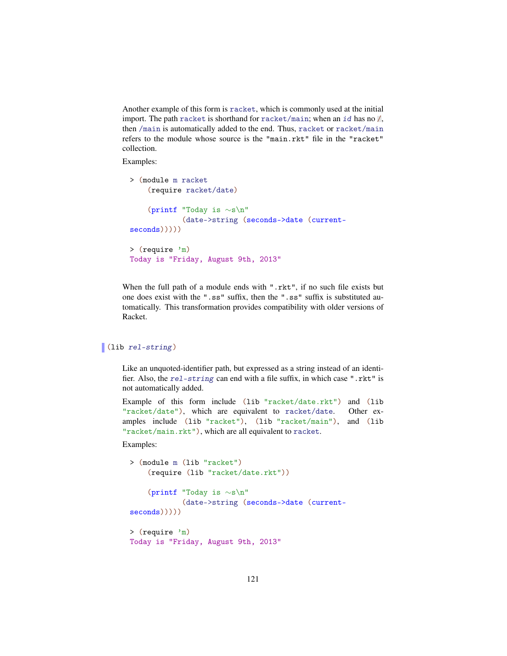Another example of this form is racket, which is commonly used at the initial import. The path racket is shorthand for racket/main; when an  $id$  has no  $\mathbb{Z}$ , then /main is automatically added to the end. Thus, racket or racket/main refers to the module whose source is the "main.rkt" file in the "racket" collection.

Examples:

```
> (module m racket
    (require racket/date)
    (printf "Today is ∼s\n"
            (date->string (seconds->date (current-
seconds)))))
> (require 'm)
Today is "Friday, August 9th, 2013"
```
When the full path of a module ends with ".rkt", if no such file exists but one does exist with the ".ss" suffix, then the ".ss" suffix is substituted automatically. This transformation provides compatibility with older versions of Racket.

### (lib rel-string)

Like an unquoted-identifier path, but expressed as a string instead of an identifier. Also, the rel-string can end with a file suffix, in which case ".rkt" is not automatically added.

```
Example of this form include (lib "racket/date.rkt") and (lib
"racket/date"), which are equivalent to racket/date. Other ex-
amples include (lib "racket"), (lib "racket/main"), and (lib
"racket/main.rkt"), which are all equivalent to racket.
```
Examples:

```
> (module m (lib "racket")
    (require (lib "racket/date.rkt"))
    (printf "Today is ∼s\n"
            (date->string (seconds->date (current-
seconds)))))
> (require 'm)
Today is "Friday, August 9th, 2013"
```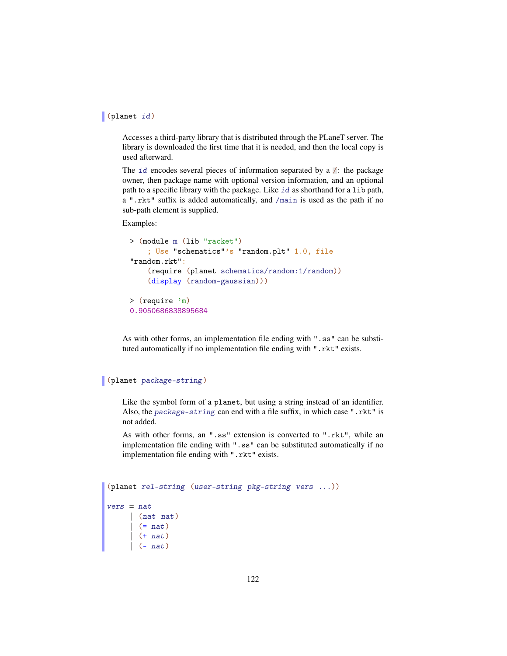## (planet id)

Accesses a third-party library that is distributed through the PLaneT server. The library is downloaded the first time that it is needed, and then the local copy is used afterward.

The *id* encodes several pieces of information separated by a  $\frac{\ }{\ }$ : the package owner, then package name with optional version information, and an optional path to a specific library with the package. Like id as shorthand for a lib path, a ".rkt" suffix is added automatically, and /main is used as the path if no sub-path element is supplied.

Examples:

```
> (module m (lib "racket")
    ; Use "schematics"'s "random.plt" 1.0, file
"random.rkt":
    (require (planet schematics/random:1/random))
    (display (random-gaussian)))
> (require 'm)
0.9050686838895684
```
As with other forms, an implementation file ending with ".ss" can be substituted automatically if no implementation file ending with ".rkt" exists.

### (planet package-string)

Like the symbol form of a planet, but using a string instead of an identifier. Also, the package-string can end with a file suffix, in which case ".rkt" is not added.

As with other forms, an ".ss" extension is converted to ".rkt", while an implementation file ending with ".ss" can be substituted automatically if no implementation file ending with ".rkt" exists.

```
(planet rel-string (user-string pkg-string vers ...))
vers = nat| (nat nat)
(= nat)+ nat)
    | (-nat)
```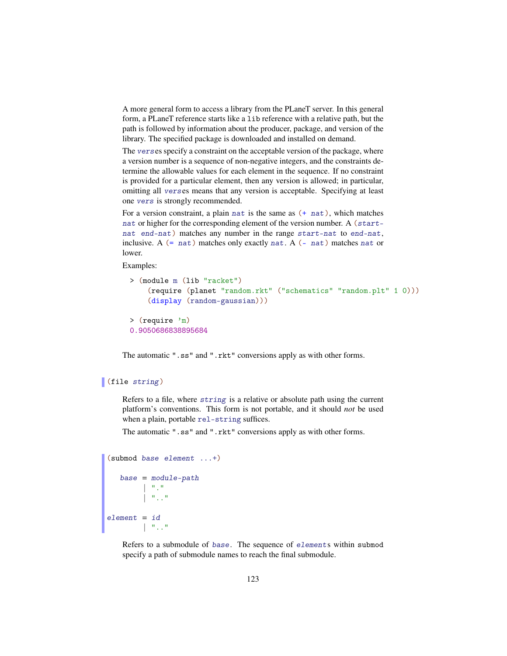A more general form to access a library from the PLaneT server. In this general form, a PLaneT reference starts like a lib reference with a relative path, but the path is followed by information about the producer, package, and version of the library. The specified package is downloaded and installed on demand.

The verses specify a constraint on the acceptable version of the package, where a version number is a sequence of non-negative integers, and the constraints determine the allowable values for each element in the sequence. If no constraint is provided for a particular element, then any version is allowed; in particular, omitting all verses means that any version is acceptable. Specifying at least one vers is strongly recommended.

For a version constraint, a plain nat is the same as  $(+$  nat), which matches nat or higher for the corresponding element of the version number. A (startnat end-nat) matches any number in the range start-nat to end-nat, inclusive. A  $(= nat)$  matches only exactly nat. A  $(-nat)$  matches nat or lower.

Examples:

```
> (module m (lib "racket")
    (require (planet "random.rkt" ("schematics" "random.plt" 1 0)))
    (display (random-gaussian)))
> (require 'm)
0.9050686838895684
```
The automatic ".ss" and ".rkt" conversions apply as with other forms.

# (file string)

Refers to a file, where string is a relative or absolute path using the current platform's conventions. This form is not portable, and it should *not* be used when a plain, portable rel-string suffices.

The automatic ".ss" and ".rkt" conversions apply as with other forms.

```
(submod base element ...+)
   base = module-path| | | | | | | | || \cdot \| ..."
element = id| ".."
```
Refers to a submodule of base. The sequence of elements within submod specify a path of submodule names to reach the final submodule.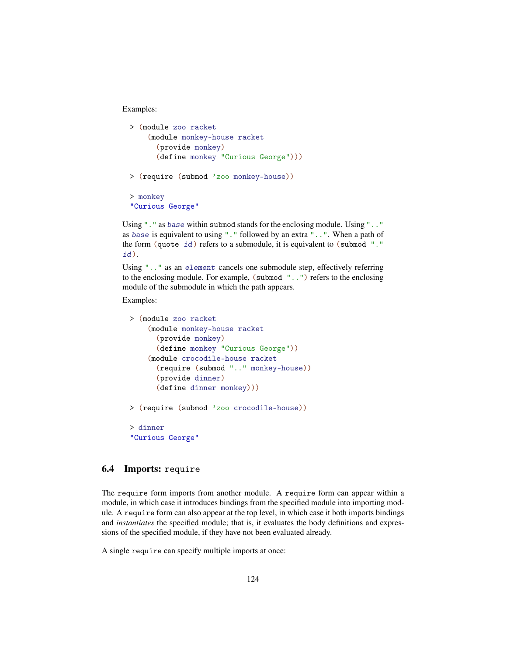Examples:

```
> (module zoo racket
    (module monkey-house racket
      (provide monkey)
      (define monkey "Curious George")))
> (require (submod 'zoo monkey-house))
> monkey
"Curious George"
```
Using "." as base within submod stands for the enclosing module. Using ".." as base is equivalent to using "." followed by an extra "..". When a path of the form (quote id) refers to a submodule, it is equivalent to (submod "." id).

Using "..." as an element cancels one submodule step, effectively referring to the enclosing module. For example, (submod "..") refers to the enclosing module of the submodule in which the path appears.

Examples:

```
> (module zoo racket
    (module monkey-house racket
      (provide monkey)
      (define monkey "Curious George"))
    (module crocodile-house racket
      (require (submod ".." monkey-house))
      (provide dinner)
      (define dinner monkey)))
> (require (submod 'zoo crocodile-house))
> dinner
"Curious George"
```
# 6.4 Imports: require

The require form imports from another module. A require form can appear within a module, in which case it introduces bindings from the specified module into importing module. A require form can also appear at the top level, in which case it both imports bindings and *instantiates* the specified module; that is, it evaluates the body definitions and expressions of the specified module, if they have not been evaluated already.

A single require can specify multiple imports at once: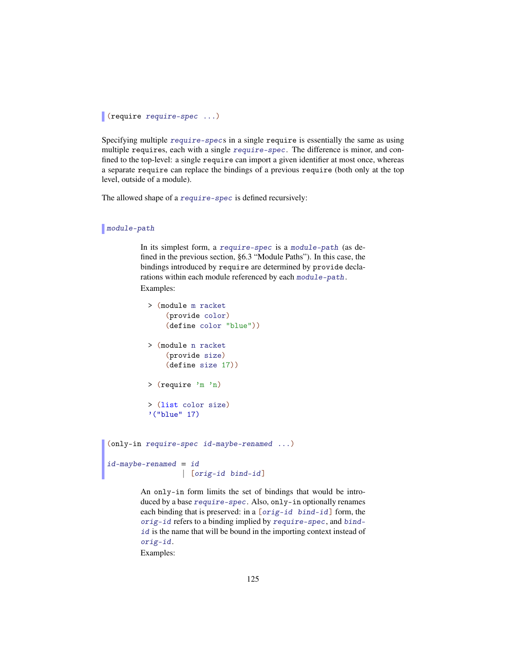```
(require require-spec ...)
```
Specifying multiple require-specs in a single require is essentially the same as using multiple requires, each with a single require-spec. The difference is minor, and confined to the top-level: a single require can import a given identifier at most once, whereas a separate require can replace the bindings of a previous require (both only at the top level, outside of a module).

The allowed shape of a require-spec is defined recursively:

### module-path

In its simplest form, a require-spec is a module-path (as defined in the previous section, §6.3 "Module Paths"). In this case, the bindings introduced by require are determined by provide declarations within each module referenced by each module-path. Examples:

```
> (module m racket
             (provide color)
             (define color "blue"))
         > (module n racket
             (provide size)
             (define size 17))
         > (require 'm 'n)
         > (list color size)
         '("blue" 17)
(only-in require-spec id-maybe-renamed ...)
id-maybe-renamed = id| [orig-id bind-id]
```
An only-in form limits the set of bindings that would be introduced by a base require-spec. Also, only-in optionally renames each binding that is preserved: in a [orig-id bind-id] form, the orig-id refers to a binding implied by require-spec, and bindid is the name that will be bound in the importing context instead of orig-id.

Examples: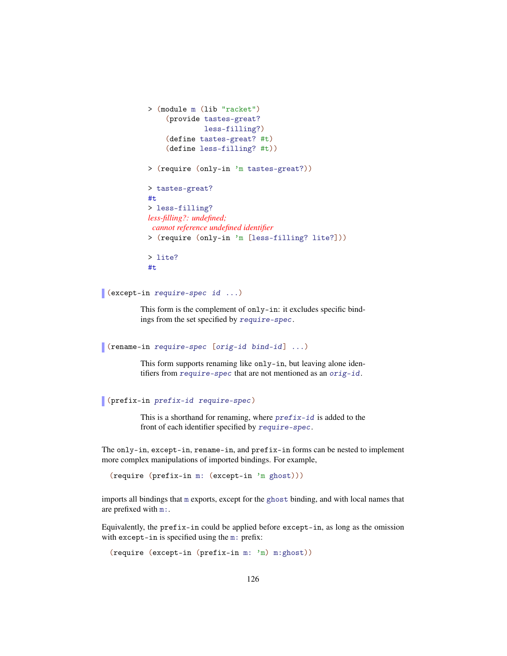```
> (module m (lib "racket")
    (provide tastes-great?
             less-filling?)
    (define tastes-great? #t)
    (define less-filling? #t))
> (require (only-in 'm tastes-great?))
> tastes-great?
#t
> less-filling?
less-filling?: undefined;
cannot reference undefined identifier
> (require (only-in 'm [less-filling? lite?]))
> lite?
#t
```

```
(except-in require-spec id ...)
```
This form is the complement of only-in: it excludes specific bindings from the set specified by require-spec.

```
(rename-in require-spec [orig-id bind-id] ...)
```
This form supports renaming like only-in, but leaving alone identifiers from require-spec that are not mentioned as an orig-id.

```
(prefix-in prefix-id require-spec )
```
This is a shorthand for renaming, where  $prefix-id$  is added to the front of each identifier specified by require-spec.

The only-in, except-in, rename-in, and prefix-in forms can be nested to implement more complex manipulations of imported bindings. For example,

```
(require (prefix-in m: (except-in 'm ghost)))
```
imports all bindings that m exports, except for the ghost binding, and with local names that are prefixed with m:.

Equivalently, the prefix-in could be applied before except-in, as long as the omission with except-in is specified using the m: prefix:

(require (except-in (prefix-in m: 'm) m:ghost))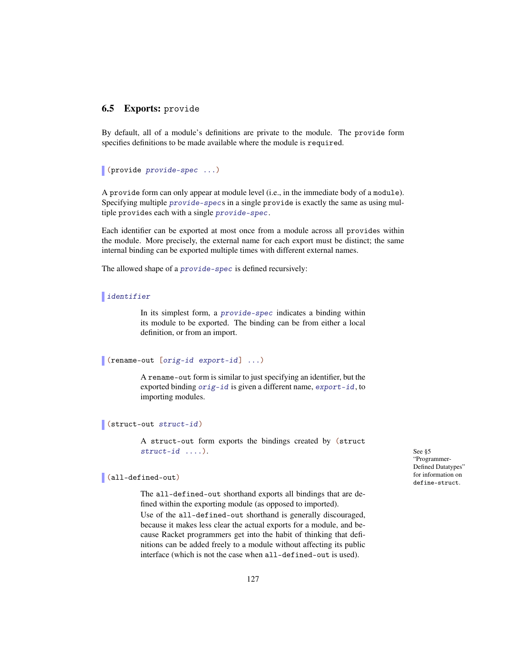## 6.5 Exports: provide

By default, all of a module's definitions are private to the module. The provide form specifies definitions to be made available where the module is required.

```
(provide provide-spec ...)
```
A provide form can only appear at module level (i.e., in the immediate body of a module). Specifying multiple provide-specs in a single provide is exactly the same as using multiple provides each with a single provide-spec.

Each identifier can be exported at most once from a module across all provides within the module. More precisely, the external name for each export must be distinct; the same internal binding can be exported multiple times with different external names.

The allowed shape of a provide-spec is defined recursively:

**d**identifier

In its simplest form, a provide-spec indicates a binding within its module to be exported. The binding can be from either a local definition, or from an import.

```
(rename-out [orig-id export-id] ...)
```
A rename-out form is similar to just specifying an identifier, but the exported binding orig-id is given a different name, export-id, to importing modules.

```
(struct-out struct-id)
```
A struct-out form exports the bindings created by (struct struct-id ....). See §5

### (all-defined-out)

The all-defined-out shorthand exports all bindings that are defined within the exporting module (as opposed to imported). Use of the all-defined-out shorthand is generally discouraged, because it makes less clear the actual exports for a module, and because Racket programmers get into the habit of thinking that definitions can be added freely to a module without affecting its public interface (which is not the case when all-defined-out is used).

"Programmer-Defined Datatypes" for information on define-struct.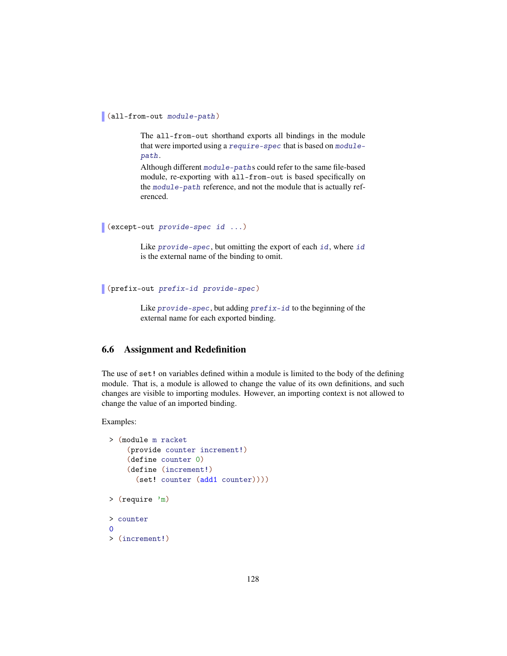```
(all-from-out module-path)
```
The all-from-out shorthand exports all bindings in the module that were imported using a require-spec that is based on modulepath.

Although different module-paths could refer to the same file-based module, re-exporting with all-from-out is based specifically on the module-path reference, and not the module that is actually referenced.

```
(except-out provide-spec id ...)
```
Like provide-spec, but omitting the export of each id, where id is the external name of the binding to omit.

```
(prefix-out prefix-id provide-spec )
```
Like provide-spec, but adding prefix-id to the beginning of the external name for each exported binding.

## 6.6 Assignment and Redefinition

The use of set! on variables defined within a module is limited to the body of the defining module. That is, a module is allowed to change the value of its own definitions, and such changes are visible to importing modules. However, an importing context is not allowed to change the value of an imported binding.

Examples:

```
> (module m racket
    (provide counter increment!)
    (define counter 0)
    (define (increment!)
      (set! counter (add1 counter))))
> (require 'm)
> counter
0
> (increment!)
```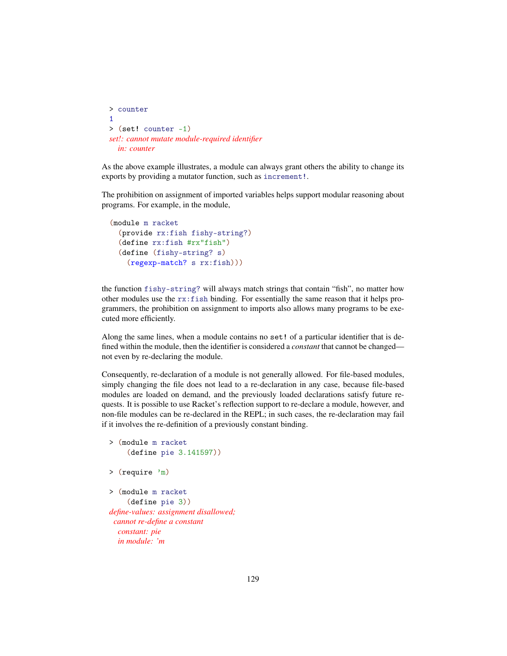```
> counter
1
> (set! counter -1)
set!: cannot mutate module-required identifier
  in: counter
```
As the above example illustrates, a module can always grant others the ability to change its exports by providing a mutator function, such as increment!.

The prohibition on assignment of imported variables helps support modular reasoning about programs. For example, in the module,

```
(module m racket
 (provide rx:fish fishy-string?)
 (define rx:fish #rx"fish")
 (define (fishy-string? s)
    (regexp-match? s rx:fish)))
```
the function fishy-string? will always match strings that contain "fish", no matter how other modules use the rx:fish binding. For essentially the same reason that it helps programmers, the prohibition on assignment to imports also allows many programs to be executed more efficiently.

Along the same lines, when a module contains no set! of a particular identifier that is defined within the module, then the identifier is considered a *constant* that cannot be changed not even by re-declaring the module.

Consequently, re-declaration of a module is not generally allowed. For file-based modules, simply changing the file does not lead to a re-declaration in any case, because file-based modules are loaded on demand, and the previously loaded declarations satisfy future requests. It is possible to use Racket's reflection support to re-declare a module, however, and non-file modules can be re-declared in the REPL; in such cases, the re-declaration may fail if it involves the re-definition of a previously constant binding.

```
> (module m racket
    (define pie 3.141597))
> (require 'm)
> (module m racket
    (define pie 3))
define-values: assignment disallowed;
 cannot re-define a constant
  constant: pie
  in module: 'm
```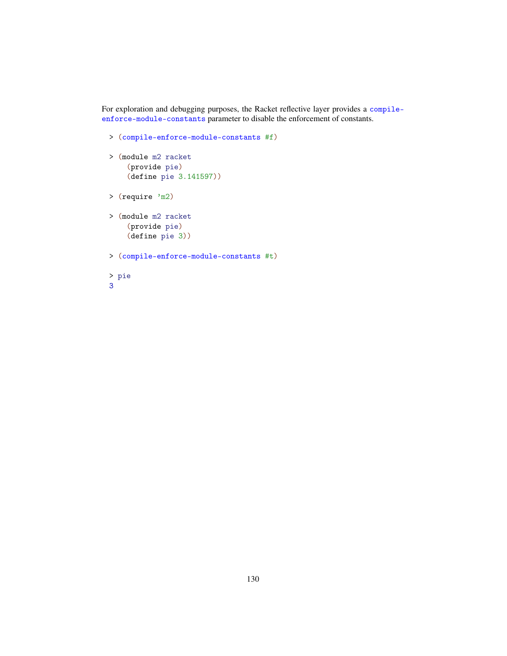For exploration and debugging purposes, the Racket reflective layer provides a compileenforce-module-constants parameter to disable the enforcement of constants.

```
> (compile-enforce-module-constants #f)
> (module m2 racket
    (provide pie)
    (define pie 3.141597))
> (require 'm2)
> (module m2 racket
    (provide pie)
    (define pie 3))
> (compile-enforce-module-constants #t)
> pie
3
```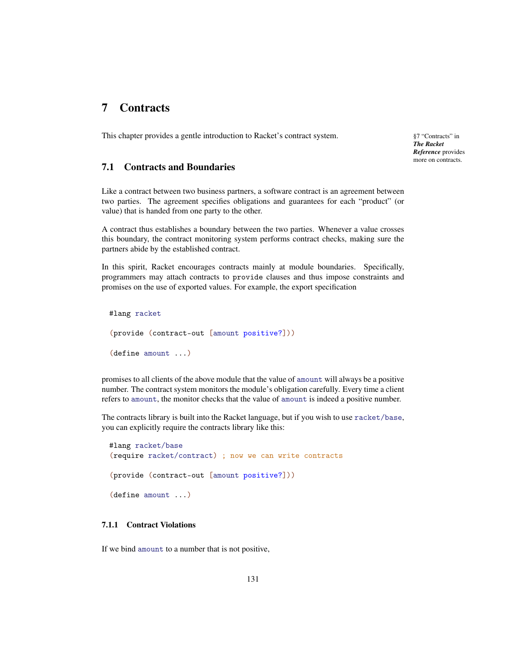# 7 Contracts

This chapter provides a gentle introduction to Racket's contract system.  $\$ {§}7 "Contracts" in

*The Racket Reference* provides more on contracts.

# 7.1 Contracts and Boundaries

Like a contract between two business partners, a software contract is an agreement between two parties. The agreement specifies obligations and guarantees for each "product" (or value) that is handed from one party to the other.

A contract thus establishes a boundary between the two parties. Whenever a value crosses this boundary, the contract monitoring system performs contract checks, making sure the partners abide by the established contract.

In this spirit, Racket encourages contracts mainly at module boundaries. Specifically, programmers may attach contracts to provide clauses and thus impose constraints and promises on the use of exported values. For example, the export specification

```
#lang racket
(provide (contract-out [amount positive?]))
(define amount ...)
```
promises to all clients of the above module that the value of amount will always be a positive number. The contract system monitors the module's obligation carefully. Every time a client refers to amount, the monitor checks that the value of amount is indeed a positive number.

The contracts library is built into the Racket language, but if you wish to use racket/base, you can explicitly require the contracts library like this:

```
#lang racket/base
(require racket/contract) ; now we can write contracts
(provide (contract-out [amount positive?]))
(define amount ...)
```
## 7.1.1 Contract Violations

If we bind amount to a number that is not positive,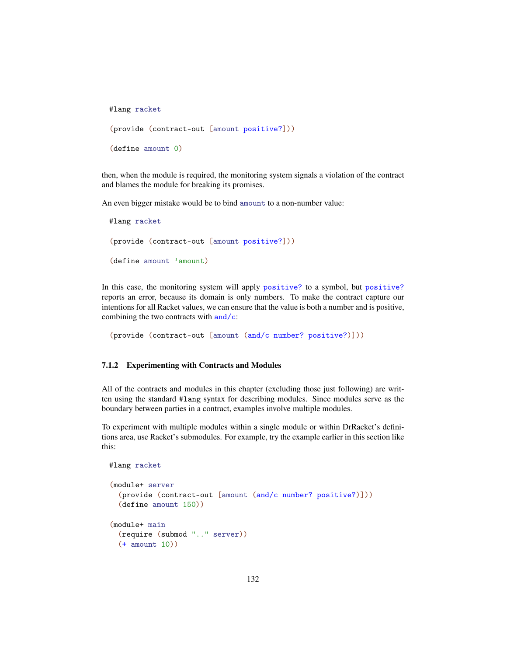```
#lang racket
(provide (contract-out [amount positive?]))
(define amount 0)
```
then, when the module is required, the monitoring system signals a violation of the contract and blames the module for breaking its promises.

An even bigger mistake would be to bind amount to a non-number value:

```
#lang racket
(provide (contract-out [amount positive?]))
(define amount 'amount)
```
In this case, the monitoring system will apply positive? to a symbol, but positive? reports an error, because its domain is only numbers. To make the contract capture our intentions for all Racket values, we can ensure that the value is both a number and is positive, combining the two contracts with and/c:

```
(provide (contract-out [amount (and/c number? positive?)]))
```
### 7.1.2 Experimenting with Contracts and Modules

All of the contracts and modules in this chapter (excluding those just following) are written using the standard #lang syntax for describing modules. Since modules serve as the boundary between parties in a contract, examples involve multiple modules.

To experiment with multiple modules within a single module or within DrRacket's definitions area, use Racket's submodules. For example, try the example earlier in this section like this:

```
#lang racket
(module+ server
  (provide (contract-out [amount (and/c number? positive?)]))
  (define amount 150))
(module+ main
  (require (submod ".." server))
  (+ amount 10))
```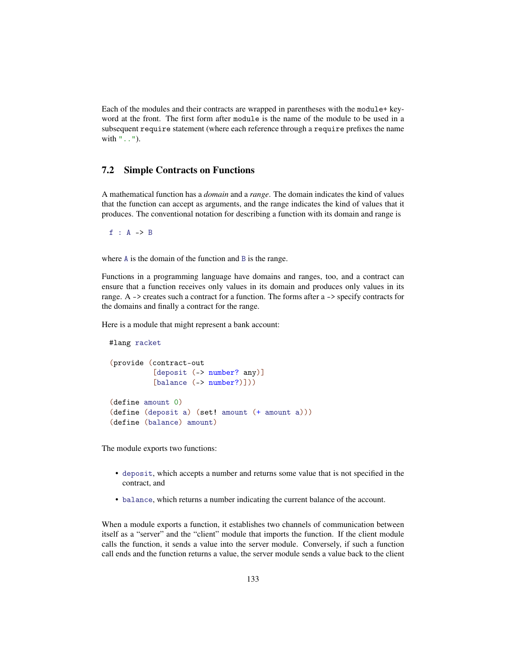Each of the modules and their contracts are wrapped in parentheses with the module+ keyword at the front. The first form after module is the name of the module to be used in a subsequent require statement (where each reference through a require prefixes the name with  $" \dots"$ ).

## 7.2 Simple Contracts on Functions

A mathematical function has a *domain* and a *range*. The domain indicates the kind of values that the function can accept as arguments, and the range indicates the kind of values that it produces. The conventional notation for describing a function with its domain and range is

f : A -> B

where A is the domain of the function and B is the range.

Functions in a programming language have domains and ranges, too, and a contract can ensure that a function receives only values in its domain and produces only values in its range. A -> creates such a contract for a function. The forms after a -> specify contracts for the domains and finally a contract for the range.

Here is a module that might represent a bank account:

```
#lang racket
(provide (contract-out
          [deposit (-> number? any)]
          [balance (->number?)])
(define amount 0)
(define (deposit a) (set! amount (+ amount a)))
(define (balance) amount)
```
The module exports two functions:

- deposit, which accepts a number and returns some value that is not specified in the contract, and
- balance, which returns a number indicating the current balance of the account.

When a module exports a function, it establishes two channels of communication between itself as a "server" and the "client" module that imports the function. If the client module calls the function, it sends a value into the server module. Conversely, if such a function call ends and the function returns a value, the server module sends a value back to the client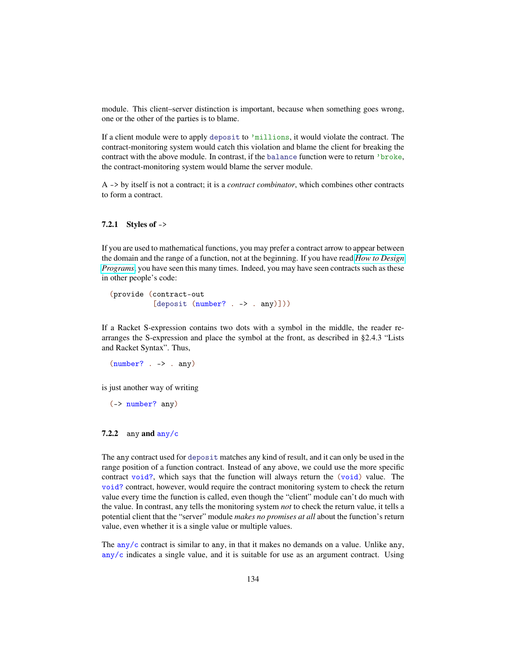module. This client–server distinction is important, because when something goes wrong, one or the other of the parties is to blame.

If a client module were to apply deposit to 'millions, it would violate the contract. The contract-monitoring system would catch this violation and blame the client for breaking the contract with the above module. In contrast, if the balance function were to return 'broke, the contract-monitoring system would blame the server module.

A -> by itself is not a contract; it is a *contract combinator*, which combines other contracts to form a contract.

### 7.2.1 Styles of ->

If you are used to mathematical functions, you may prefer a contract arrow to appear between the domain and the range of a function, not at the beginning. If you have read *[How to Design](http://www.htdp.org) [Programs](http://www.htdp.org)*, you have seen this many times. Indeed, you may have seen contracts such as these in other people's code:

```
(provide (contract-out
         [deposit (number? . -> . any)]
```
If a Racket S-expression contains two dots with a symbol in the middle, the reader rearranges the S-expression and place the symbol at the front, as described in §2.4.3 "Lists and Racket Syntax". Thus,

```
(number? . -> . any)
```
is just another way of writing

```
(-> number? any)
```
### 7.2.2 any and  $\frac{any}{c}$

The any contract used for deposit matches any kind of result, and it can only be used in the range position of a function contract. Instead of any above, we could use the more specific contract void?, which says that the function will always return the (void) value. The void? contract, however, would require the contract monitoring system to check the return value every time the function is called, even though the "client" module can't do much with the value. In contrast, any tells the monitoring system *not* to check the return value, it tells a potential client that the "server" module *makes no promises at all* about the function's return value, even whether it is a single value or multiple values.

The  $\frac{any}{c}$  contract is similar to any, in that it makes no demands on a value. Unlike any,  $\text{any}/c$  indicates a single value, and it is suitable for use as an argument contract. Using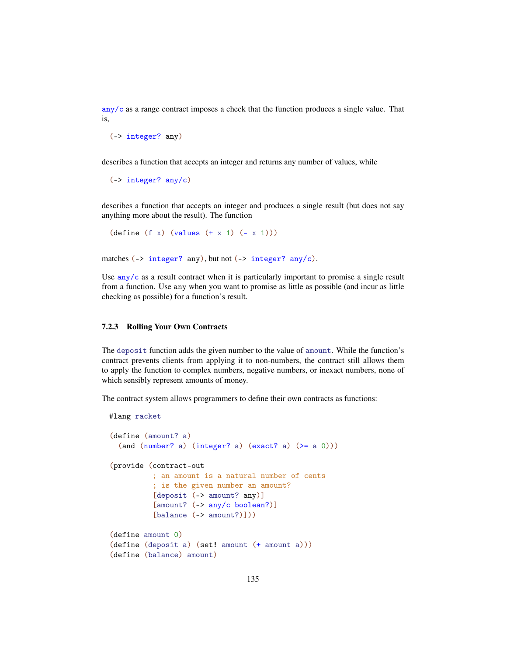any/c as a range contract imposes a check that the function produces a single value. That is,

(-> integer? any)

describes a function that accepts an integer and returns any number of values, while

```
(-> integer? any/c)
```
describes a function that accepts an integer and produces a single result (but does not say anything more about the result). The function

```
(detine (f x) (values (+ x 1) (- x 1)))
```
matches (-> integer? any), but not (-> integer? any/c).

Use  $\frac{any}{c}$  as a result contract when it is particularly important to promise a single result from a function. Use any when you want to promise as little as possible (and incur as little checking as possible) for a function's result.

### 7.2.3 Rolling Your Own Contracts

The deposit function adds the given number to the value of amount. While the function's contract prevents clients from applying it to non-numbers, the contract still allows them to apply the function to complex numbers, negative numbers, or inexact numbers, none of which sensibly represent amounts of money.

The contract system allows programmers to define their own contracts as functions:

```
#lang racket
(define (amount? a)
  (and (number? a) (integer? a) (exact? a) (>= a 0)))
(provide (contract-out
          ; an amount is a natural number of cents
           ; is the given number an amount?
          [deposit (-> amount? any)]
          [amount? (-\geq \text{any/c boolean?})]
          [balance (-> amount?)]))
(define amount 0)
(define (deposit a) (set! amount (+ amount a)))
(define (balance) amount)
```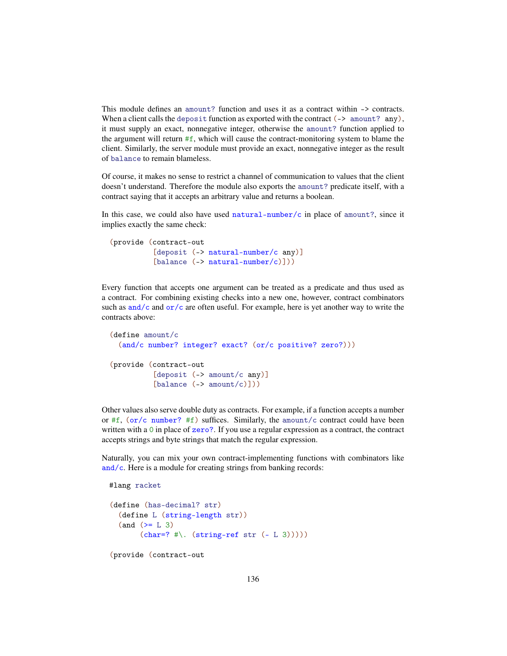This module defines an amount? function and uses it as a contract within -> contracts. When a client calls the deposit function as exported with the contract (-> amount? any), it must supply an exact, nonnegative integer, otherwise the amount? function applied to the argument will return  $#f$ , which will cause the contract-monitoring system to blame the client. Similarly, the server module must provide an exact, nonnegative integer as the result of balance to remain blameless.

Of course, it makes no sense to restrict a channel of communication to values that the client doesn't understand. Therefore the module also exports the amount? predicate itself, with a contract saying that it accepts an arbitrary value and returns a boolean.

In this case, we could also have used natural-number/c in place of amount?, since it implies exactly the same check:

```
(provide (contract-out
         [deposit (-> natural-number/c any)]
         [balance (-&natural-number/c)])
```
Every function that accepts one argument can be treated as a predicate and thus used as a contract. For combining existing checks into a new one, however, contract combinators such as and/c and or/c are often useful. For example, here is yet another way to write the contracts above:

```
(define amount/c
 (and/c number? integer? exact? (or/c positive? zero?)))
(provide (contract-out
         [deposit (-> amount/c any)]
          [balance (-& amount/c)]
```
Other values also serve double duty as contracts. For example, if a function accepts a number or #f,  $\sigma$  /c number? #f) suffices. Similarly, the amount/c contract could have been written with a  $0$  in place of zero?. If you use a regular expression as a contract, the contract accepts strings and byte strings that match the regular expression.

Naturally, you can mix your own contract-implementing functions with combinators like and/c. Here is a module for creating strings from banking records:

#lang racket

```
(define (has-decimal? str)
  (define L (string-length str))
  (and \left(>= L 3\right)(char=? #\. (string-ref str (- L 3)))))
```
(provide (contract-out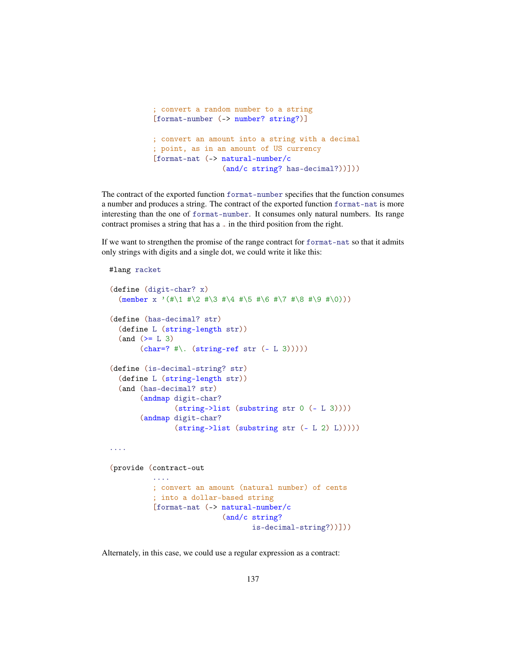```
; convert a random number to a string
[format-number (-> number? string?)]
; convert an amount into a string with a decimal
; point, as in an amount of US currency
[format-nat (-> natural-number/c
                (and/c string? has-decimal?))]))
```
The contract of the exported function format-number specifies that the function consumes a number and produces a string. The contract of the exported function format-nat is more interesting than the one of format-number. It consumes only natural numbers. Its range contract promises a string that has  $a_{\perp}$  in the third position from the right.

If we want to strengthen the promise of the range contract for format-nat so that it admits only strings with digits and a single dot, we could write it like this:

```
#lang racket
(define (digit-char? x)
  (member x ' (\# \1 \# \2 \# \3 \# \4 \# 5 \# \6 \# \7 \# \8 \# \9 \# \0)))(define (has-decimal? str)
  (define L (string-length str))
  (and \left(>= L 3\right)(char=? #\. (string-ref str (- L 3))))(define (is-decimal-string? str)
  (define L (string-length str))
  (and (has-decimal? str)
       (andmap digit-char?
                (string->list (substring str 0 (- L 3))))
       (andmap digit-char?
                (string->list (substring str (- L 2) L)))))
....
(provide (contract-out
          ....
          ; convert an amount (natural number) of cents
          ; into a dollar-based string
          [format-nat (-> natural-number/c
                           (and/c string?
                                   is-decimal-string?))]))
```
Alternately, in this case, we could use a regular expression as a contract: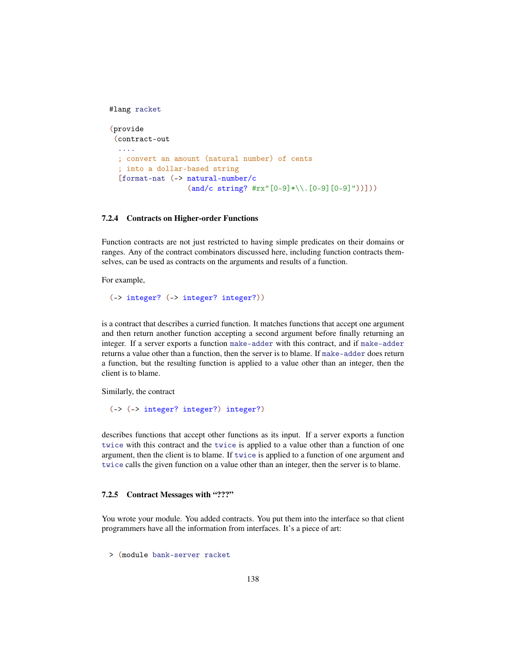```
#lang racket
(provide
 (contract-out
  ....
  ; convert an amount (natural number) of cents
  ; into a dollar-based string
  [format-nat (-> natural-number/c
                   (and/c \ string? \ \#rx" [0-9] * \\\. [0-9] [0-9]")
```
### 7.2.4 Contracts on Higher-order Functions

Function contracts are not just restricted to having simple predicates on their domains or ranges. Any of the contract combinators discussed here, including function contracts themselves, can be used as contracts on the arguments and results of a function.

For example,

```
(-> integer? (-> integer? integer?))
```
is a contract that describes a curried function. It matches functions that accept one argument and then return another function accepting a second argument before finally returning an integer. If a server exports a function make-adder with this contract, and if make-adder returns a value other than a function, then the server is to blame. If make-adder does return a function, but the resulting function is applied to a value other than an integer, then the client is to blame.

Similarly, the contract

(-> (-> integer? integer?) integer?)

describes functions that accept other functions as its input. If a server exports a function twice with this contract and the twice is applied to a value other than a function of one argument, then the client is to blame. If twice is applied to a function of one argument and twice calls the given function on a value other than an integer, then the server is to blame.

#### 7.2.5 Contract Messages with "???"

You wrote your module. You added contracts. You put them into the interface so that client programmers have all the information from interfaces. It's a piece of art:

> (module bank-server racket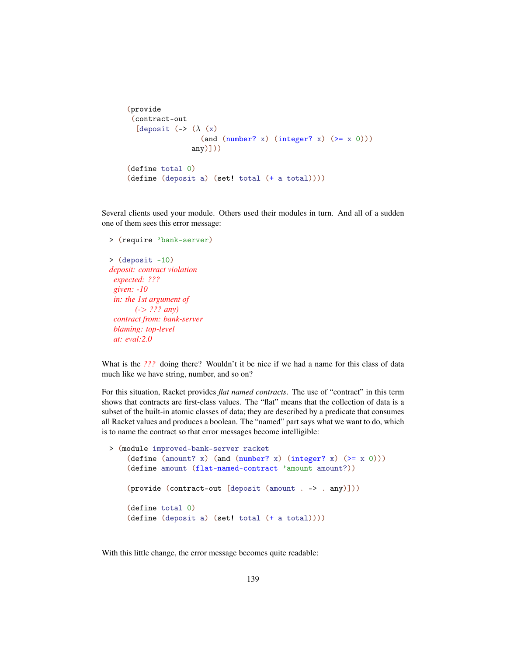```
(provide
 (contract-out
  [deposit (-> (\lambda (x)
                 (and (number? x) (integer? x) (>= x 0)))any))(define total 0)
(define (deposit a) (set! total (+ a total))))
```
Several clients used your module. Others used their modules in turn. And all of a sudden one of them sees this error message:

```
> (require 'bank-server)
> (deposit -10)
deposit: contract violation
 expected: ???
 given: -10
 in: the 1st argument of
       (-> ??? any)
 contract from: bank-server
 blaming: top-level
 at: eval:2.0
```
What is the *???* doing there? Wouldn't it be nice if we had a name for this class of data much like we have string, number, and so on?

For this situation, Racket provides *flat named contracts*. The use of "contract" in this term shows that contracts are first-class values. The "flat" means that the collection of data is a subset of the built-in atomic classes of data; they are described by a predicate that consumes all Racket values and produces a boolean. The "named" part says what we want to do, which is to name the contract so that error messages become intelligible:

```
> (module improved-bank-server racket
    (define (amount? x) (and (number? x) (integer? x) (>= x 0)))
    (define amount (flat-named-contract 'amount amount?))
    (provide (contract-out [deposit (amount . -> . any)]))
    (define total 0)
    (define (deposit a) (set! total (+ a total))))
```
With this little change, the error message becomes quite readable: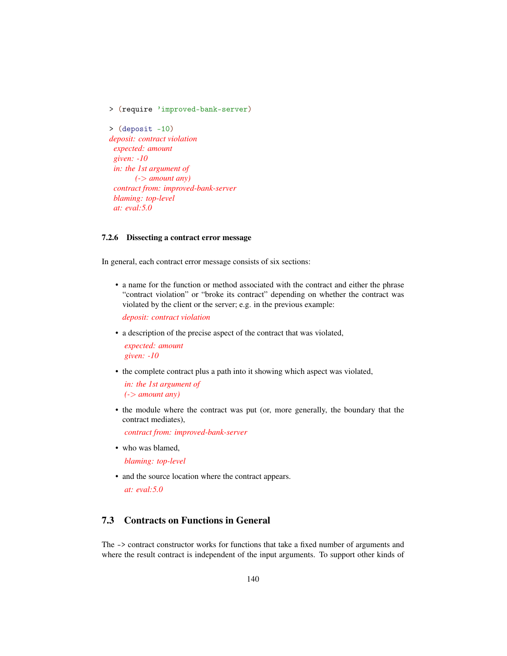```
> (deposit -10)
deposit: contract violation
 expected: amount
 given: -10
 in: the 1st argument of
       (-> amount any)
 contract from: improved-bank-server
 blaming: top-level
 at: eval:5.0
```
> (require 'improved-bank-server)

### 7.2.6 Dissecting a contract error message

In general, each contract error message consists of six sections:

• a name for the function or method associated with the contract and either the phrase "contract violation" or "broke its contract" depending on whether the contract was violated by the client or the server; e.g. in the previous example:

*deposit: contract violation*

• a description of the precise aspect of the contract that was violated,

*expected: amount given: -10*

• the complete contract plus a path into it showing which aspect was violated,

*in: the 1st argument of (-*> *amount any)*

• the module where the contract was put (or, more generally, the boundary that the contract mediates),

*contract from: improved-bank-server*

• who was blamed,

*blaming: top-level*

• and the source location where the contract appears. *at: eval:5.0*

# 7.3 Contracts on Functions in General

The -> contract constructor works for functions that take a fixed number of arguments and where the result contract is independent of the input arguments. To support other kinds of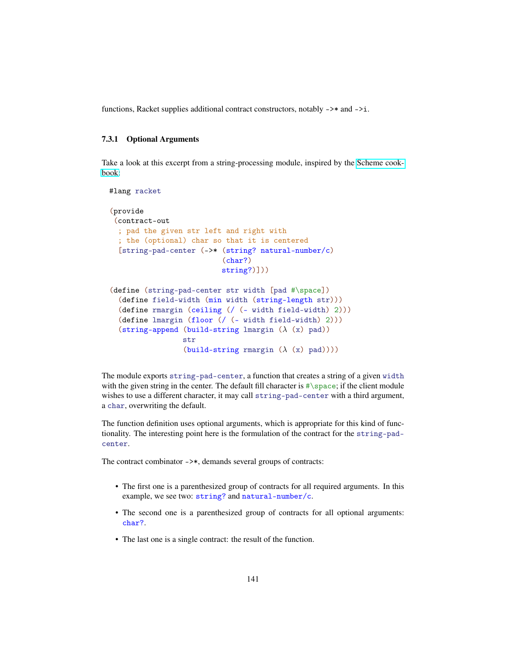functions, Racket supplies additional contract constructors, notably ->\* and ->i.

#### 7.3.1 Optional Arguments

Take a look at this excerpt from a string-processing module, inspired by the [Scheme cook](http://schemecookbook.org)[book:](http://schemecookbook.org)

#### #lang racket

```
(provide
(contract-out
 ; pad the given str left and right with
  ; the (optional) char so that it is centered
 [string-pad-center (->* (string? natural-number/c)
                          (char?)
                          string?)]))
(define (string-pad-center str width [pad #\space])
 (define field-width (min width (string-length str)))
 (define rmargin (ceiling (/ (- width field-width) 2)))
 (define lmargin (floor (/ (- width field-width) 2)))
 (string-append (build-string lmargin (\lambda (x) pad))
                 str
                 (build-string rmargin (\lambda(x) pad))))
```
The module exports string-pad-center, a function that creates a string of a given width with the given string in the center. The default fill character is  $\# \$ space; if the client module wishes to use a different character, it may call string-pad-center with a third argument, a char, overwriting the default.

The function definition uses optional arguments, which is appropriate for this kind of functionality. The interesting point here is the formulation of the contract for the string-padcenter.

The contract combinator  $\rightarrow \ast$ , demands several groups of contracts:

- The first one is a parenthesized group of contracts for all required arguments. In this example, we see two: string? and natural-number/c.
- The second one is a parenthesized group of contracts for all optional arguments: char?.
- The last one is a single contract: the result of the function.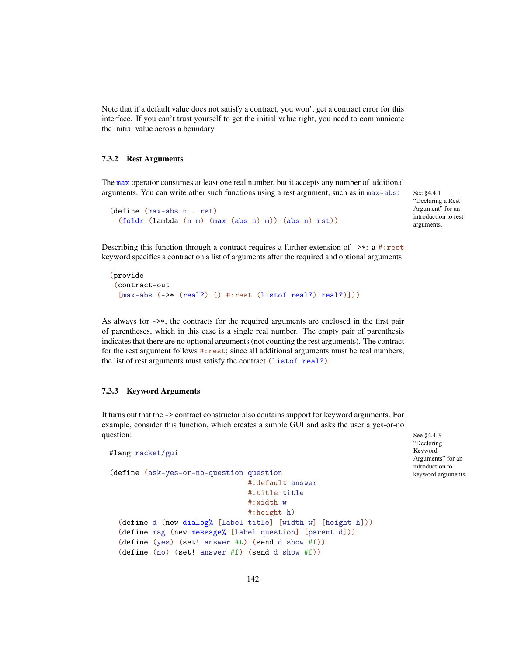Note that if a default value does not satisfy a contract, you won't get a contract error for this interface. If you can't trust yourself to get the initial value right, you need to communicate the initial value across a boundary.

#### 7.3.2 Rest Arguments

The max operator consumes at least one real number, but it accepts any number of additional arguments. You can write other such functions using a rest argument, such as in max-abs: See §4.4.1

```
(define (max-abs n . rst)
 (foldr (lambda (n m) (max (abs n) m)) (abs n) rst))
```
"Declaring a Rest Argument" for an introduction to rest arguments.

Describing this function through a contract requires a further extension of  $-\rightarrow$ \*: a #:rest keyword specifies a contract on a list of arguments after the required and optional arguments:

```
(provide
(contract-out
 [max-abs (->* (real?) () #:rest (listof real?) real?)]))
```
As always for ->\*, the contracts for the required arguments are enclosed in the first pair of parentheses, which in this case is a single real number. The empty pair of parenthesis indicates that there are no optional arguments (not counting the rest arguments). The contract for the rest argument follows #: rest; since all additional arguments must be real numbers, the list of rest arguments must satisfy the contract (listof real?).

#### 7.3.3 Keyword Arguments

#lang racket/gui

It turns out that the -> contract constructor also contains support for keyword arguments. For example, consider this function, which creates a simple GUI and asks the user a yes-or-no question: See §4.4.3

"Declaring Keyword Arguments" for an introduction to keyword arguments.

```
(define (ask-yes-or-no-question question
                                #:default answer
                                #:title title
                                #:width w
                                #:height h)
 (define d (new dialog% [label title] [width w] [height h]))
 (define msg (new message% [label question] [parent d]))
 (define (yes) (set! answer #t) (send d show #f))
 (define (no) (set! answer #f) (send d show #f))
```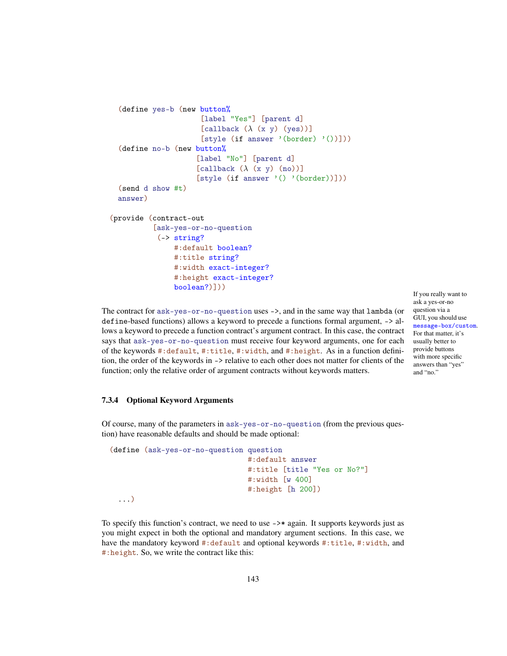```
(define yes-b (new button%
                      [label "Yes"] [parent d]
                      [callback (\lambda (x y) (yes))]
                      [style (if answer '(border) '())]))
  (define no-b (new button%
                     [label "No"] [parent d]
                     [callback (\lambda (x y) (no))]
                     [style (if answer '() '(border))]))
  (send d show #t)
 answer)
(provide (contract-out
          [ask-yes-or-no-question
           (-> string?
               #:default boolean?
               #:title string?
               #:width exact-integer?
               #:height exact-integer?
               boolean?)]))
```
The contract for ask-yes-or-no-question uses ->, and in the same way that lambda (or define-based functions) allows a keyword to precede a functions formal argument, -> allows a keyword to precede a function contract's argument contract. In this case, the contract says that ask-yes-or-no-question must receive four keyword arguments, one for each of the keywords #:default, #:title, #:width, and #:height. As in a function definition, the order of the keywords in -> relative to each other does not matter for clients of the function; only the relative order of argument contracts without keywords matters.

If you really want to ask a yes-or-no question via a GUI, you should use message-box/custom. For that matter, it's usually better to provide buttons with more specific answers than "yes" and "no."

## 7.3.4 Optional Keyword Arguments

Of course, many of the parameters in ask-yes-or-no-question (from the previous question) have reasonable defaults and should be made optional:

```
(define (ask-yes-or-no-question question
                                 #:default answer
                                 #:title [title "Yes or No?"]
                                 #:width [w 400]
                                 #:height [h 200])
 ...)
```
To specify this function's contract, we need to use ->\* again. It supports keywords just as you might expect in both the optional and mandatory argument sections. In this case, we have the mandatory keyword #:default and optional keywords #:title, #:width, and #:height. So, we write the contract like this: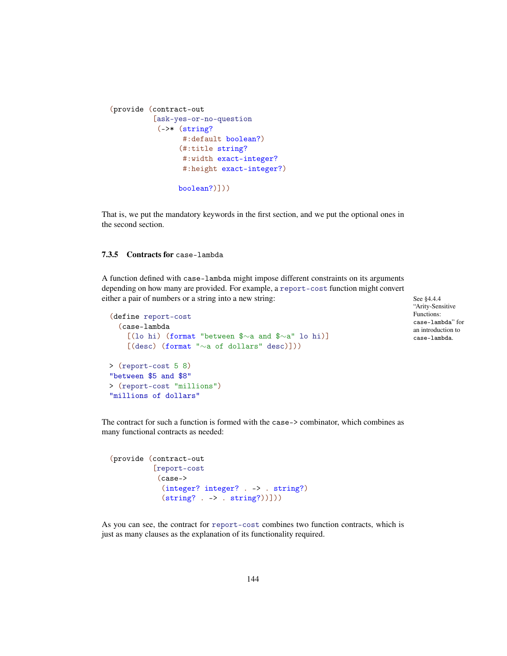```
(provide (contract-out
          [ask-yes-or-no-question
           (->* (string?
                 #:default boolean?)
                (#:title string?
                 #:width exact-integer?
                 #:height exact-integer?)
                boolean?)]))
```
That is, we put the mandatory keywords in the first section, and we put the optional ones in the second section.

### 7.3.5 Contracts for case-lambda

A function defined with case-lambda might impose different constraints on its arguments depending on how many are provided. For example, a report-cost function might convert either a pair of numbers or a string into a new string: See §4.4.4

```
(define report-cost
  (case-lambda
    [(lo hi) (format "between $∼a and $∼a" lo hi)]
    [(desc) (format "∼a of dollars" desc)]))
> (report-cost 5 8)
"between $5 and $8"
> (report-cost "millions")
"millions of dollars"
```
"Arity-Sensitive Functions: case-lambda" for an introduction to case-lambda.

The contract for such a function is formed with the case-> combinator, which combines as many functional contracts as needed:

```
(provide (contract-out
          [report-cost
           (case->
            (integer? integer? . -> . string?)
            (string? . -> . string?))]))
```
As you can see, the contract for report-cost combines two function contracts, which is just as many clauses as the explanation of its functionality required.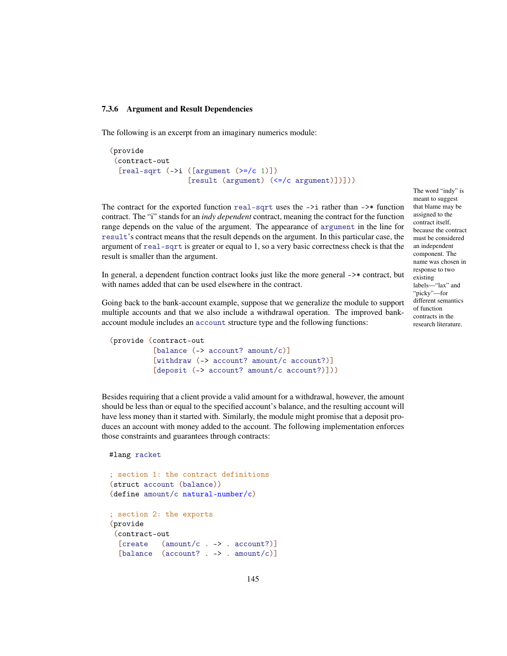#### 7.3.6 Argument and Result Dependencies

The following is an excerpt from an imaginary numerics module:

```
(provide
(contract-out
  [real-sqrt (-\infty) [argument (-\infty)][result (argument) ( < = /c argument)])]))
```
The contract for the exported function real-sqrt uses the  $\rightarrow$  i rather than  $\rightarrow$  function contract. The "i" stands for an *indy dependent* contract, meaning the contract for the function range depends on the value of the argument. The appearance of argument in the line for result's contract means that the result depends on the argument. In this particular case, the argument of real-sqrt is greater or equal to 1, so a very basic correctness check is that the result is smaller than the argument.

In general, a dependent function contract looks just like the more general  $\rightarrow\rightarrow\infty$  contract, but with names added that can be used elsewhere in the contract.

Going back to the bank-account example, suppose that we generalize the module to support multiple accounts and that we also include a withdrawal operation. The improved bankaccount module includes an account structure type and the following functions:

```
(provide (contract-out
          [balance (-> account? amount/c)]
          [withdraw (-> account? amount/c account?)]
          [deposit (-> account? amount/c account?)]))
```
Besides requiring that a client provide a valid amount for a withdrawal, however, the amount should be less than or equal to the specified account's balance, and the resulting account will have less money than it started with. Similarly, the module might promise that a deposit produces an account with money added to the account. The following implementation enforces those constraints and guarantees through contracts:

```
#lang racket
```

```
; section 1: the contract definitions
(struct account (balance))
(define amount/c natural-number/c)
; section 2: the exports
(provide
(contract-out
 [create (amount/c . -> . account?)]
  [balance (account? . -> . amount/c)]
```
The word "indy" is meant to suggest that blame may be assigned to the contract itself, because the contract must be considered an independent component. The name was chosen in response to two existing labels—"lax" and "picky"—for different semantics of function contracts in the research literature.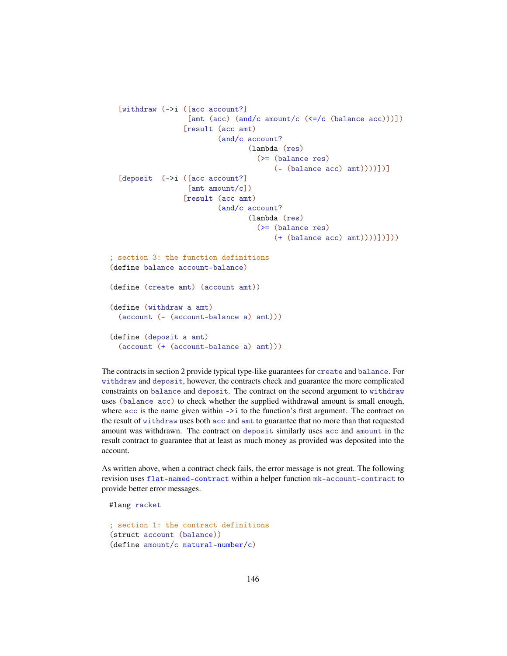```
[withdraw (->i ([acc account?]
                  [amt (acc) (and/c amount/c (<=/c (balance acc)))])
                 [result (acc amt)
                         (and/c account?
                                (lambda (res)
                                  (>= (balance res)
                                       (- (balance acc) amt))))])]
 [deposit (->i ([acc account?]
                  [amt amount/c])
                 [result (acc amt)
                         (and/c account?
                                (lambda (res)
                                   (>= (balance res)
                                       (+ (balance acc) amt))))])]))
; section 3: the function definitions
(define balance account-balance)
(define (create amt) (account amt))
(define (withdraw a amt)
 (account (- (account-balance a) amt)))
(define (deposit a amt)
 (account (+ (account-balance a) amt)))
```
The contracts in section 2 provide typical type-like guarantees for create and balance. For withdraw and deposit, however, the contracts check and guarantee the more complicated constraints on balance and deposit. The contract on the second argument to withdraw uses (balance acc) to check whether the supplied withdrawal amount is small enough, where  $\alpha c$  is the name given within  $-\alpha$  to the function's first argument. The contract on the result of withdraw uses both acc and amt to guarantee that no more than that requested amount was withdrawn. The contract on deposit similarly uses acc and amount in the result contract to guarantee that at least as much money as provided was deposited into the account.

As written above, when a contract check fails, the error message is not great. The following revision uses flat-named-contract within a helper function mk-account-contract to provide better error messages.

#lang racket

```
; section 1: the contract definitions
(struct account (balance))
(define amount/c natural-number/c)
```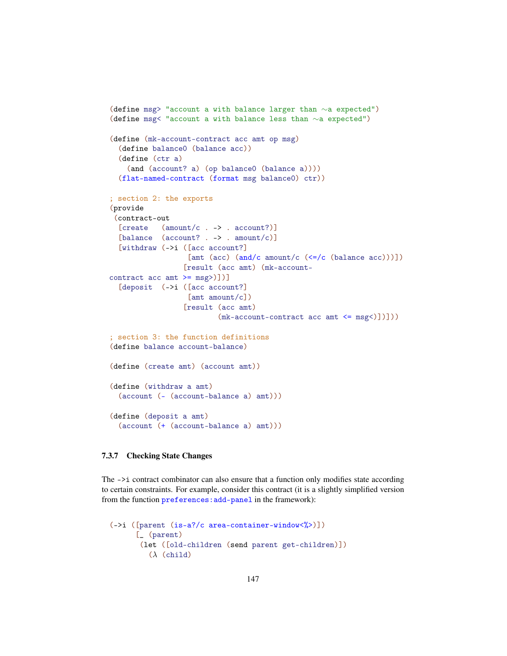```
(define msg> "account a with balance larger than ∼a expected")
(define msg< "account a with balance less than ∼a expected")
(define (mk-account-contract acc amt op msg)
  (define balance0 (balance acc))
  (define (ctr a)
    (and (account? a) (op balance0 (balance a))))
  (flat-named-contract (format msg balance0) ctr))
; section 2: the exports
(provide
 (contract-out
  [create (amount/c . -> . account?)]
  [balance (account? . -> . amount/c)][withdraw (->i ([acc account?]
                  [amt (acc) (and/c amount/c (\leq/c (balance acc)))])
                 [result (acc amt) (mk-account-
contract acc amt >= msg>)])]
  [deposit (->i ([acc account?]
                  [amt amount/c])
                 [result (acc amt)
                         (mk-account-contract acc amt <= msg<)])]))
; section 3: the function definitions
(define balance account-balance)
(define (create amt) (account amt))
(define (withdraw a amt)
  (account (- (account-balance a) amt)))
(define (deposit a amt)
  (account (+ (account-balance a) amt)))
```
### 7.3.7 Checking State Changes

The ->i contract combinator can also ensure that a function only modifies state according to certain constraints. For example, consider this contract (it is a slightly simplified version from the function preferences:add-panel in the framework):

```
(->i ([parent (is-a?/c area-container-window<%>)])
      [_ (parent)
       (let ([old-children (send parent get-children)])
         (\lambda (child)
```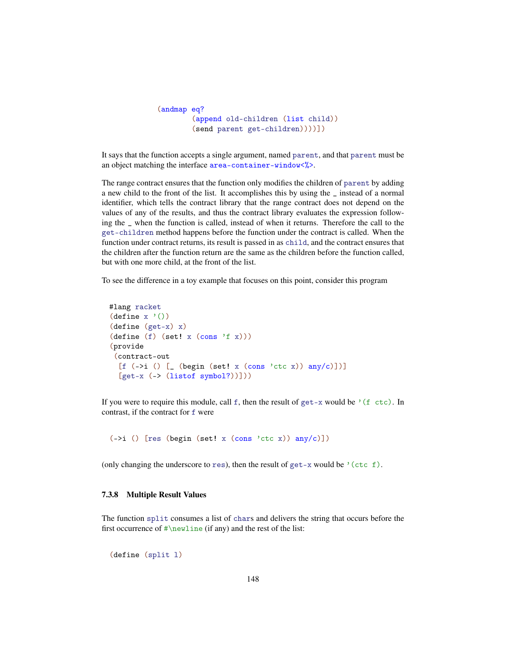```
(andmap eq?
        (append old-children (list child))
        (send parent get-children))))])
```
It says that the function accepts a single argument, named parent, and that parent must be an object matching the interface area-container-window<%>.

The range contract ensures that the function only modifies the children of parent by adding a new child to the front of the list. It accomplishes this by using the \_ instead of a normal identifier, which tells the contract library that the range contract does not depend on the values of any of the results, and thus the contract library evaluates the expression following the \_ when the function is called, instead of when it returns. Therefore the call to the get-children method happens before the function under the contract is called. When the function under contract returns, its result is passed in as child, and the contract ensures that the children after the function return are the same as the children before the function called, but with one more child, at the front of the list.

To see the difference in a toy example that focuses on this point, consider this program

```
#lang racket
(detine x'()(define (get-x) x)
(detine (f) (set! x (cons 'f x)))(provide
 (contract-out
  [f(-\infty i) [ (begin (set! x (cons 'ctc x)) any/c)])]
  [get-x (\rightarrow (listof symbol?)]))
```
If you were to require this module, call f, then the result of  $get-x$  would be  $'(f \, ctc)$ . In contrast, if the contract for f were

 $(-\geq i$  () [res (begin (set! x (cons 'ctc x)) any/c)])

(only changing the underscore to res), then the result of get-x would be  $'(ctc f)$ .

#### 7.3.8 Multiple Result Values

The function split consumes a list of chars and delivers the string that occurs before the first occurrence of  $\forall x$  is a set of the list:

(define (split l)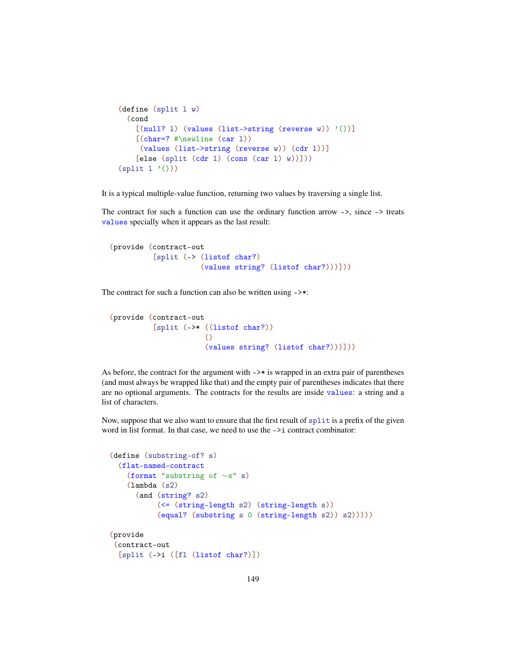```
(define (split l w)
  (cond
    [(null? 1) (values (list->string (reverse w))'())]
   [(char=? \#\\newline (car 1))(values (list->string (reverse w)) (cdr l))]
   [else (split (cdr 1) (cons (car 1) w))]))(split 1'())
```
It is a typical multiple-value function, returning two values by traversing a single list.

The contract for such a function can use the ordinary function arrow  $\rightarrow$ , since  $\rightarrow$  treats values specially when it appears as the last result:

```
(provide (contract-out
          [split (-> (listof char?)
                     (values string? (listof char?)))]))
```
The contract for such a function can also be written using  $\rightarrow$ \*:

```
(provide (contract-out
          [split (->* ((listof char?))
                       \left()
                       (values string? (listof char?)))]))
```
As before, the contract for the argument with  $\rightarrow \rightarrow \infty$  is wrapped in an extra pair of parentheses (and must always be wrapped like that) and the empty pair of parentheses indicates that there are no optional arguments. The contracts for the results are inside values: a string and a list of characters.

Now, suppose that we also want to ensure that the first result of split is a prefix of the given word in list format. In that case, we need to use the  $\rightarrow$  i contract combinator:

```
(define (substring-of? s)
  (flat-named-contract
    (format "substring of ∼s" s)
    (lambda (s2)
      (and (string? s2)
           (<= (string-length s2) (string-length s))
           (equal? (substring s 0 (string-length s2)) s2)))))
(provide
 (contract-out
  [split (->i ([fl (listof char?)])
```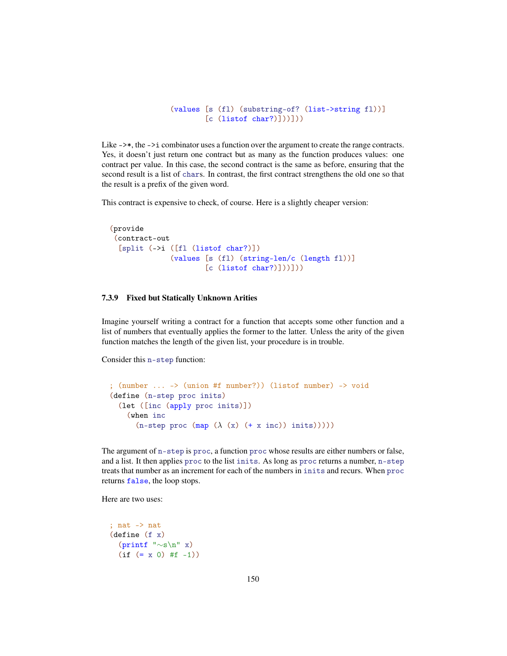(values [s (fl) (substring-of? (list->string fl))]  $[c$  (listof char?)]))]))

Like  $\rightarrow$ \*, the  $\rightarrow$  i combinator uses a function over the argument to create the range contracts. Yes, it doesn't just return one contract but as many as the function produces values: one contract per value. In this case, the second contract is the same as before, ensuring that the second result is a list of chars. In contrast, the first contract strengthens the old one so that the result is a prefix of the given word.

This contract is expensive to check, of course. Here is a slightly cheaper version:

```
(provide
(contract-out
 [split (->i ([fl (listof char?)])
              (values [s (fl) (string-len/c (length fl))]
                      [c (listof char?)]))]))
```
#### 7.3.9 Fixed but Statically Unknown Arities

Imagine yourself writing a contract for a function that accepts some other function and a list of numbers that eventually applies the former to the latter. Unless the arity of the given function matches the length of the given list, your procedure is in trouble.

Consider this n-step function:

```
; (number ... -> (union #f number?)) (listof number) -> void
(define (n-step proc inits)
  (let ([inc (apply proc inits)])
    (when inc
      (n-step proc (map (<math>\lambda</math> (x) (+ x inc)) inits))))
```
The argument of n-step is proc, a function proc whose results are either numbers or false, and a list. It then applies proc to the list inits. As long as proc returns a number, n-step treats that number as an increment for each of the numbers in inits and recurs. When proc returns false, the loop stops.

Here are two uses:

```
; nat -> nat
(define (f x)
  (printf "∼s\n" x)
  (if (= x 0) #f -1))
```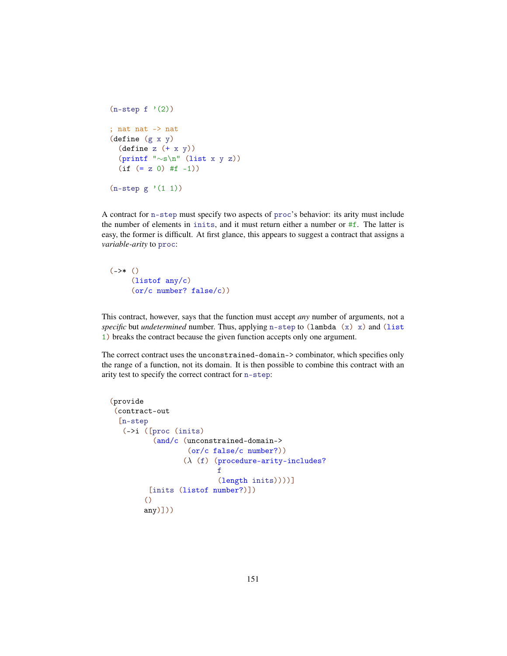```
(n-step f'(2))
; nat nat -> nat
(define (g x y)
  (detine z (+ x y))(printf "∼s\n" (list x y z))
  (if (= z 0) #f -1))(n-step g' (1 1))
```
A contract for n-step must specify two aspects of proc's behavior: its arity must include the number of elements in inits, and it must return either a number or  $#f$ . The latter is easy, the former is difficult. At first glance, this appears to suggest a contract that assigns a *variable-arity* to proc:

 $(\rightarrow *)$ (listof any/c) (or/c number? false/c))

This contract, however, says that the function must accept *any* number of arguments, not a *specific* but *undetermined* number. Thus, applying n-step to  $(\text{lambda } (x) x)$  and  $(\text{list})$ 1) breaks the contract because the given function accepts only one argument.

The correct contract uses the unconstrained-domain-> combinator, which specifies only the range of a function, not its domain. It is then possible to combine this contract with an arity test to specify the correct contract for n-step:

```
(provide
(contract-out
  [n-step
  (->i ([proc (inits)
          (and/c (unconstrained-domain->
                   (or/c false/c number?))
                  (\lambda)(f) (procedure-arity-includes?
                          f
                          (length inits))))]
         [inits (listof number?)])
        ()
        any)]))
```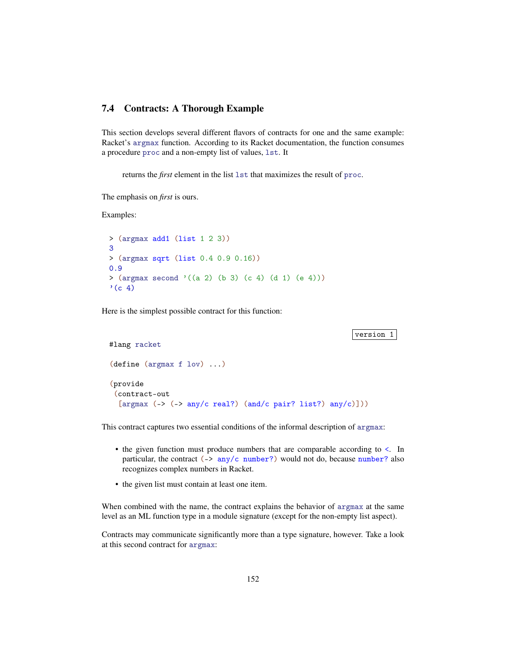# 7.4 Contracts: A Thorough Example

This section develops several different flavors of contracts for one and the same example: Racket's argmax function. According to its Racket documentation, the function consumes a procedure proc and a non-empty list of values, lst. It

returns the *first* element in the list lst that maximizes the result of proc.

The emphasis on *first* is ours.

Examples:

```
> (argmax add1 (list 1 2 3))
3
> (argmax sqrt (list 0.4 0.9 0.16))
0.9
> (argmax second '((a 2) (b 3) (c 4) (d 1) (e 4)))
'(c 4)
```
Here is the simplest possible contract for this function:

```
version 1
#lang racket
(define (argmax f lov) ...)
(provide
 (contract-out
  [argmax (-> (-> any/c real?) (and/c pair? list?) any/c]))
```
This contract captures two essential conditions of the informal description of argmax:

- the given function must produce numbers that are comparable according to  $\lt$ . In particular, the contract  $(\rightarrow$  any/c number?) would not do, because number? also recognizes complex numbers in Racket.
- the given list must contain at least one item.

When combined with the name, the contract explains the behavior of argmax at the same level as an ML function type in a module signature (except for the non-empty list aspect).

Contracts may communicate significantly more than a type signature, however. Take a look at this second contract for argmax: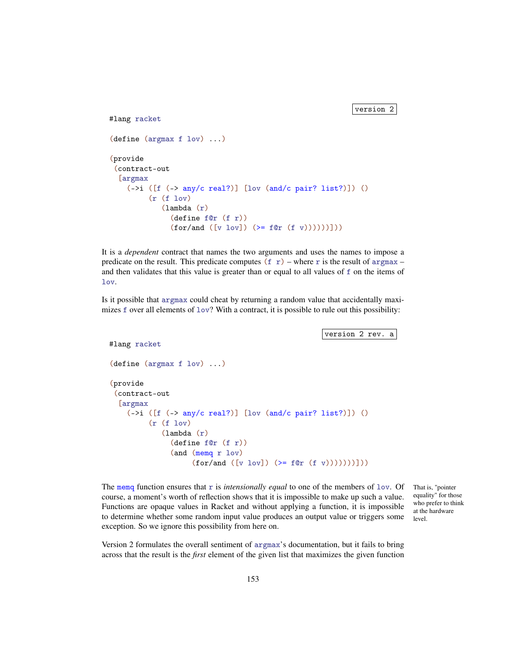```
#lang racket
(define (argmax f lov) ...)
(provide
 (contract-out
  [argmax
     (-\geq i \left( \left[ f \right] (-\geq a_{\text{ny}}/c \text{ real?}) \right) [\text{low (and/c pair? list?})]) ()
            (r (f lov)
               (lambda (r)
                  (define f@r (f r))
                  (for/and ([v lov]) (= f@r (f v)))))
```
It is a *dependent* contract that names the two arguments and uses the names to impose a predicate on the result. This predicate computes (f r) – where r is the result of argmax – and then validates that this value is greater than or equal to all values of f on the items of lov.

Is it possible that argmax could cheat by returning a random value that accidentally maximizes f over all elements of lov? With a contract, it is possible to rule out this possibility:

version 2 rev. a

version 2

```
(define (argmax f lov) ...)
(provide
(contract-out
  [argmax
    (-\Sigma i \cdot (f \cdot \Sigma s) \cdot s) [lov (and/c pair? list?)]) ()
          (r (f lov)
             (lambda (r)
               (define f@r (f r))
               (and (memq r lov)
                     (for/and ([v lov]) (\geq f@r (f v))))))))
```
#lang racket

The memq function ensures that r is *intensionally equal* to one of the members of lov. Of That is, "pointer course, a moment's worth of reflection shows that it is impossible to make up such a value. Functions are opaque values in Racket and without applying a function, it is impossible to determine whether some random input value produces an output value or triggers some exception. So we ignore this possibility from here on.

equality" for those who prefer to think at the hardware level.

Version 2 formulates the overall sentiment of argmax's documentation, but it fails to bring across that the result is the *first* element of the given list that maximizes the given function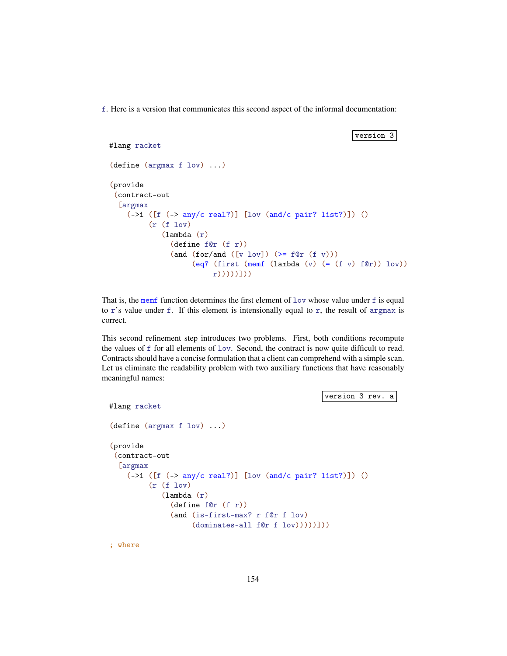f. Here is a version that communicates this second aspect of the informal documentation:

```
version 3
#lang racket
(define (argmax f lov) ...)
(provide
 (contract-out
  [argmax
    (->i ([f (-> any/c real?)] [lov (and/c pair? list?)]) ()
         (r (f lov)
            (lambda (r)
              (define f@r (f r))
              (and (for/and ([v lov]) (>= f@r (f v)))(eq? (first (memf (lambda (v) (= (f v) f@r)) lov))r)))))]))
```
That is, the memf function determines the first element of lov whose value under f is equal to r's value under f. If this element is intensionally equal to r, the result of argmax is correct.

This second refinement step introduces two problems. First, both conditions recompute the values of f for all elements of lov. Second, the contract is now quite difficult to read. Contracts should have a concise formulation that a client can comprehend with a simple scan. Let us eliminate the readability problem with two auxiliary functions that have reasonably meaningful names:

version 3 rev. a

```
(define (argmax f lov) ...)
(provide
(contract-out
  [argmax
    (-\Sigma i \cdot (f \cdot \Sigma s) \cdot s) [lov (and/c pair? list?)]) ()
         (r (f lov)
             (lambda (r)
               (detine f@r (f r))(and (is-first-max? r f@r f lov)
                     (dominates-all f@r f lov)))))])
```
; where

#lang racket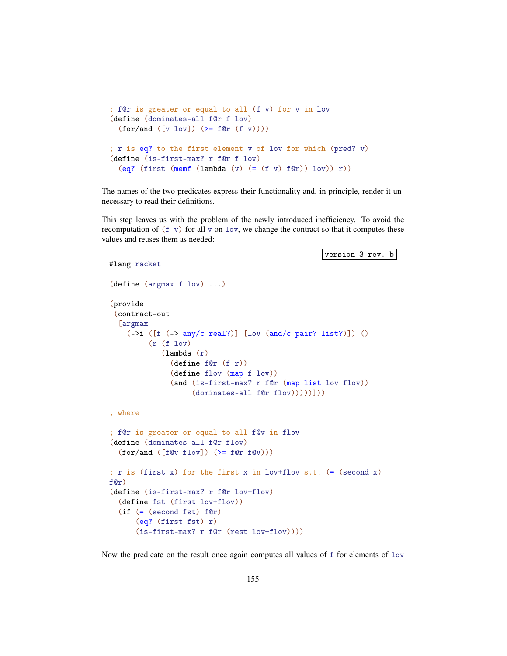```
; f@r is greater or equal to all (f v) for v in lov
(define (dominates-all f@r f lov)
  (for/and ( [v lov]) (\geq f@r (f v)))); r is eq? to the first element v of lov for which (pred? v)
(define (is-first-max? r f@r f lov)
  (eq? (first (memf (lambda (v) (= (f v) f@r)) lov)) r))
```
The names of the two predicates express their functionality and, in principle, render it unnecessary to read their definitions.

This step leaves us with the problem of the newly introduced inefficiency. To avoid the recomputation of  $(f \ v)$  for all v on lov, we change the contract so that it computes these values and reuses them as needed:

#lang racket

version 3 rev. b

```
(define (argmax f lov) ...)
(provide
 (contract-out
  [argmax
    (->i ([f (-> any/c real?)] [lov (and/c pair? list?)]) ()
         (r (f lov)
            (lambda (r)
              (define f@r (f r))
              (define flov (map f lov))
              (and (is-first-max? r f@r (map list lov flov))
                   (dominates-all f@r flov)))))]))
; where
; f@r is greater or equal to all f@v in flov
(define (dominates-all f@r flov)
  (for/and (f@v flov]) (>= f@r f@v)); r is (first x) for the first x in lov+flov s.t. (= (second x)
f@r)
(define (is-first-max? r f@r lov+flov)
  (define fst (first lov+flov))
  (if (= (secondfst) f@r)(eq? (first fst) r)
      (is-first-max? r f@r (rest lov+flov))))
```
Now the predicate on the result once again computes all values of f for elements of  $1\text{ov}$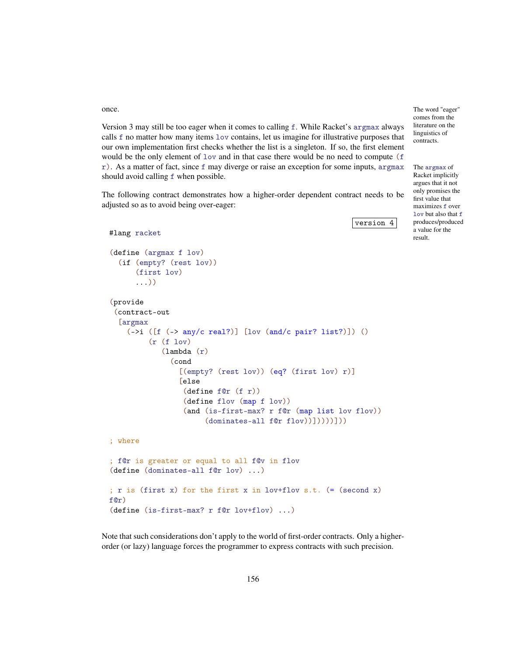Version 3 may still be too eager when it comes to calling f. While Racket's argmax always calls f no matter how many items lov contains, let us imagine for illustrative purposes that our own implementation first checks whether the list is a singleton. If so, the first element would be the only element of lov and in that case there would be no need to compute (f r). As a matter of fact, since f may diverge or raise an exception for some inputs, argmax The argmax of should avoid calling f when possible.

The following contract demonstrates how a higher-order dependent contract needs to be adjusted so as to avoid being over-eager:

version 4

once. The word "eager" and the word "eager" and the word "eager" and the word "eager" and the word "eager" and the word "eager" and the word "eager" and the word "eager" and the word "eager" and the word "eager" and the wo comes from the literature on the linguistics of contracts.

> Racket implicitly argues that it not only promises the first value that maximizes f over lov but also that f produces/produced a value for the result.

```
#lang racket
(define (argmax f lov)
  (if (empty? (rest lov))
      (first lov)
      ...))
(provide
 (contract-out
  [argmax
    (-\Sigma i \cdot (f \cdot \Sigma s) \cdot s) [lov (and/c pair? list?)]) ()
          (r (f lov)
             (lambda (r)
               (cond
                 [(empty? (rest lov)) (eq? (first lov) r)]
                 <u>Felse</u>
                  (define f@r (f r))
                  (define flov (map f lov))
                  (and (is-first-max? r f@r (map list lov flov))
                        (dominates-all <math>f@r flov))]())))); where
; f@r is greater or equal to all f@v in flov
(define (dominates-all f@r lov) ...)
; r is (first x) for the first x in lov+flov s.t. (= (second x)
f@r)
(define (is-first-max? r f@r lov+flov) ...)
```
Note that such considerations don't apply to the world of first-order contracts. Only a higherorder (or lazy) language forces the programmer to express contracts with such precision.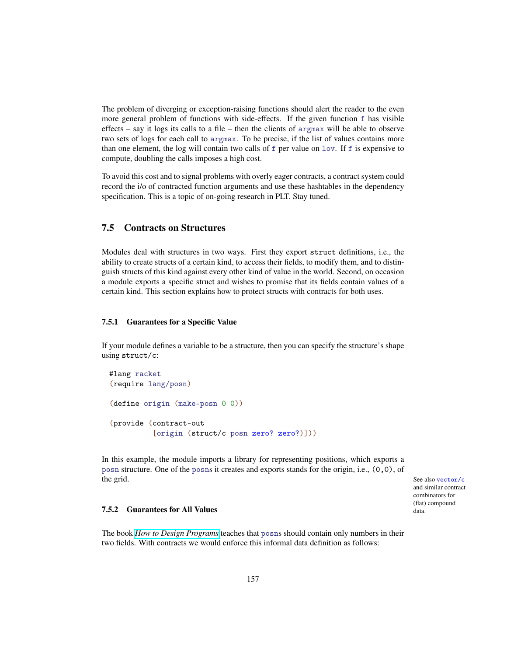The problem of diverging or exception-raising functions should alert the reader to the even more general problem of functions with side-effects. If the given function f has visible effects – say it logs its calls to a file – then the clients of  $\argmax$  will be able to observe two sets of logs for each call to argmax. To be precise, if the list of values contains more than one element, the log will contain two calls of  $f$  per value on lov. If  $f$  is expensive to compute, doubling the calls imposes a high cost.

To avoid this cost and to signal problems with overly eager contracts, a contract system could record the i/o of contracted function arguments and use these hashtables in the dependency specification. This is a topic of on-going research in PLT. Stay tuned.

# 7.5 Contracts on Structures

Modules deal with structures in two ways. First they export struct definitions, i.e., the ability to create structs of a certain kind, to access their fields, to modify them, and to distinguish structs of this kind against every other kind of value in the world. Second, on occasion a module exports a specific struct and wishes to promise that its fields contain values of a certain kind. This section explains how to protect structs with contracts for both uses.

### 7.5.1 Guarantees for a Specific Value

If your module defines a variable to be a structure, then you can specify the structure's shape using struct/c:

```
#lang racket
(require lang/posn)
(define origin (make-posn 0 0))
(provide (contract-out
          [origin (struct/c posn zero? zero?)]))
```
In this example, the module imports a library for representing positions, which exports a posn structure. One of the posns it creates and exports stands for the origin, i.e., (0,0), of the grid. See also vector/c

and similar contract combinators for (flat) compound

#### **7.5.2 Guarantees for All Values** data.

The book *[How to Design Programs](http://www.htdp.org)* teaches that posns should contain only numbers in their two fields. With contracts we would enforce this informal data definition as follows: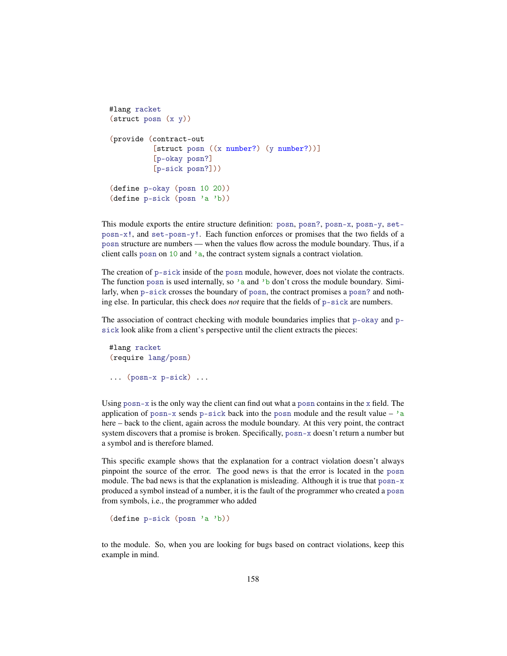```
#lang racket
(struct posn (x y))
(provide (contract-out
          [struct posn ((x number?) (y number?))]
          [p-okay posn?]
          [p-sick posn?]))
(define p-okay (posn 10 20))
(define p-sick (posn 'a 'b))
```
This module exports the entire structure definition: posn, posn?, posn-x, posn-y, setposn-x!, and set-posn-y!. Each function enforces or promises that the two fields of a posn structure are numbers — when the values flow across the module boundary. Thus, if a client calls posn on 10 and 'a, the contract system signals a contract violation.

The creation of p-sick inside of the posn module, however, does not violate the contracts. The function posn is used internally, so 'a and 'b don't cross the module boundary. Similarly, when p-sick crosses the boundary of posn, the contract promises a posn? and nothing else. In particular, this check does *not* require that the fields of p-sick are numbers.

The association of contract checking with module boundaries implies that p-okay and psick look alike from a client's perspective until the client extracts the pieces:

```
#lang racket
(require lang/posn)
... (posn-x p-sick) ...
```
Using  $posn-x$  is the only way the client can find out what a posn contains in the x field. The application of posn-x sends p-sick back into the posn module and the result value –  $a$ here – back to the client, again across the module boundary. At this very point, the contract system discovers that a promise is broken. Specifically, posn-x doesn't return a number but a symbol and is therefore blamed.

This specific example shows that the explanation for a contract violation doesn't always pinpoint the source of the error. The good news is that the error is located in the posn module. The bad news is that the explanation is misleading. Although it is true that  $posn-x$ produced a symbol instead of a number, it is the fault of the programmer who created a posn from symbols, i.e., the programmer who added

```
(define p-sick (posn 'a 'b))
```
to the module. So, when you are looking for bugs based on contract violations, keep this example in mind.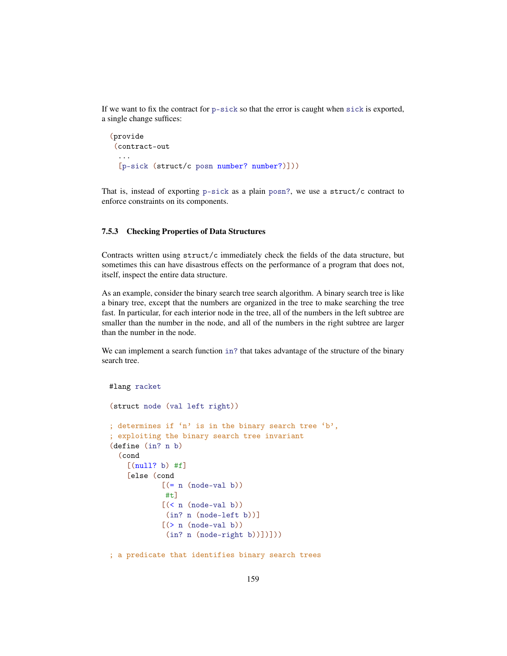If we want to fix the contract for p-sick so that the error is caught when sick is exported, a single change suffices:

```
(provide
(contract-out
  ...
 [p-sick (struct/c posn number? number?)]))
```
That is, instead of exporting p-sick as a plain posn?, we use a struct/c contract to enforce constraints on its components.

#### 7.5.3 Checking Properties of Data Structures

Contracts written using struct/c immediately check the fields of the data structure, but sometimes this can have disastrous effects on the performance of a program that does not, itself, inspect the entire data structure.

As an example, consider the binary search tree search algorithm. A binary search tree is like a binary tree, except that the numbers are organized in the tree to make searching the tree fast. In particular, for each interior node in the tree, all of the numbers in the left subtree are smaller than the number in the node, and all of the numbers in the right subtree are larger than the number in the node.

We can implement a search function in? that takes advantage of the structure of the binary search tree.

```
#lang racket
(struct node (val left right))
; determines if 'n' is in the binary search tree 'b',
; exploiting the binary search tree invariant
(define (in? n b)
  (cond
    [(null? b) #f][else (cond
             [ (= n (node-val b))#t[(\langle n (node-val b) \rangle)](in? n (node-left b))]
             [(\rangle n \pmod{-\text{val}} b)](in? n (node-right b))])]))
```
; a predicate that identifies binary search trees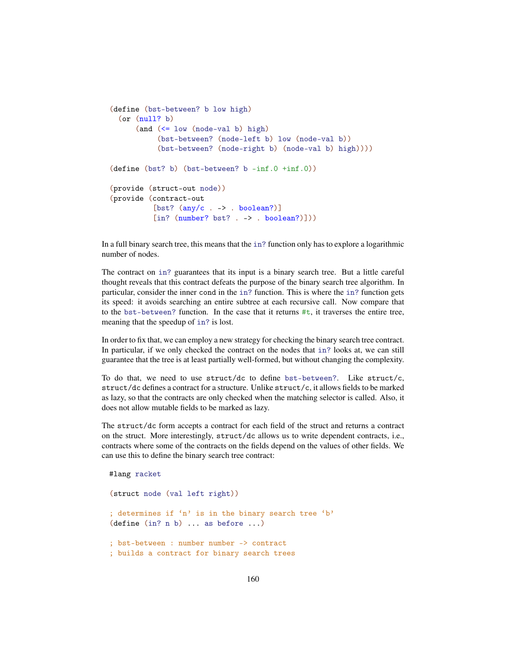```
(define (bst-between? b low high)
 (or (null? b)
      (and (<= low (node-val b) high)
           (bst-between? (node-left b) low (node-val b))
           (bst-between? (node-right b) (node-val b) high))))
(define (bst? b) (bst-between? b -inf.0 +inf.0))
(provide (struct-out node))
(provide (contract-out
          [bst? (any/c . -> . boolean?)][in? (number? bst? . -> . boolean?)]))
```
In a full binary search tree, this means that the in? function only has to explore a logarithmic number of nodes.

The contract on in? guarantees that its input is a binary search tree. But a little careful thought reveals that this contract defeats the purpose of the binary search tree algorithm. In particular, consider the inner cond in the in? function. This is where the in? function gets its speed: it avoids searching an entire subtree at each recursive call. Now compare that to the bst-between? function. In the case that it returns #t, it traverses the entire tree, meaning that the speedup of in? is lost.

In order to fix that, we can employ a new strategy for checking the binary search tree contract. In particular, if we only checked the contract on the nodes that in? looks at, we can still guarantee that the tree is at least partially well-formed, but without changing the complexity.

To do that, we need to use  $struct/dc$  to define bst-between?. Like struct/c, struct/dc defines a contract for a structure. Unlike struct/c, it allows fields to be marked as lazy, so that the contracts are only checked when the matching selector is called. Also, it does not allow mutable fields to be marked as lazy.

The struct/dc form accepts a contract for each field of the struct and returns a contract on the struct. More interestingly, struct/dc allows us to write dependent contracts, i.e., contracts where some of the contracts on the fields depend on the values of other fields. We can use this to define the binary search tree contract:

```
#lang racket
(struct node (val left right))
; determines if 'n' is in the binary search tree 'b'
(define (in? n b) ... as before ...)
; bst-between : number number -> contract
; builds a contract for binary search trees
```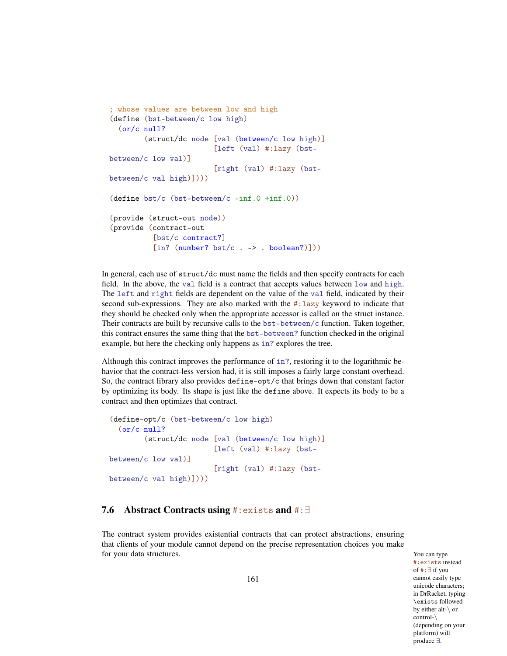```
; whose values are between low and high
(define (bst-between/c low high)
  (or/c null?
        (struct/dc node [val (between/c low high)]
                         [left (val) #:lazy (bst-
between/c low val)]
                          [right (val) #:lazy (bst-
between/c val high)])))
(define bst/c (bst-between/c -inf.0 +inf.0))
(provide (struct-out node))
(provide (contract-out
          [bst/c contract?]
          [in? (number? <i>bst/c</i> . -&gt; . <i>boolean?</i>)])
```
In general, each use of struct/dc must name the fields and then specify contracts for each field. In the above, the val field is a contract that accepts values between low and high. The left and right fields are dependent on the value of the val field, indicated by their second sub-expressions. They are also marked with the #:lazy keyword to indicate that they should be checked only when the appropriate accessor is called on the struct instance. Their contracts are built by recursive calls to the bst-between/c function. Taken together, this contract ensures the same thing that the bst-between? function checked in the original example, but here the checking only happens as in? explores the tree.

Although this contract improves the performance of in?, restoring it to the logarithmic behavior that the contract-less version had, it is still imposes a fairly large constant overhead. So, the contract library also provides define-opt/c that brings down that constant factor by optimizing its body. Its shape is just like the define above. It expects its body to be a contract and then optimizes that contract.

```
(define-opt/c (bst-between/c low high)
  (or/c null?
        (struct/dc node [val (between/c low high)]
                         [left (val) #:lazy (bst-
between/c low val)]
                         [right (val) #:lazy (bst-
between/c val high)])))
```
# 7.6 Abstract Contracts using #:exists and #:∃

The contract system provides existential contracts that can protect abstractions, ensuring that clients of your module cannot depend on the precise representation choices you make for your data structures. You can type  $\sim$  You can type  $\sim$  You can type  $\sim$  You can type

#:exists instead of #:∃ if you cannot easily type unicode characters; in DrRacket, typing \exists followed by either alt-\ or control-\ (depending on your platform) will produce ∃.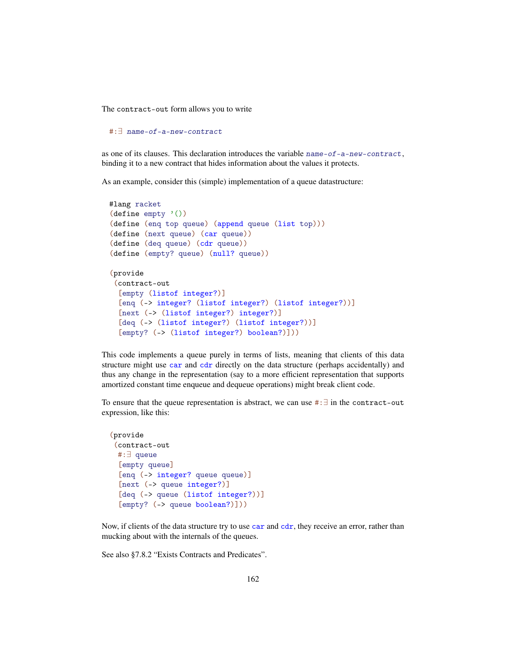The contract-out form allows you to write

```
#:∃ name-of-a-new-contract
```
as one of its clauses. This declaration introduces the variable  $name-of-a-new-contract$ , binding it to a new contract that hides information about the values it protects.

As an example, consider this (simple) implementation of a queue datastructure:

```
#lang racket
(define empty '())
(define (enq top queue) (append queue (list top)))
(define (next queue) (car queue))
(define (deq queue) (cdr queue))
(define (empty? queue) (null? queue))
(provide
 (contract-out
  [empty (listof integer?)]
  [enq (-> integer? (listof integer?) (listof integer?))]
  [next (-> (listof integer?) integer?)]
  [deq (-> (listof integer?) (listof integer?))]
  [empty? (-> (listof integer?) boolean?)]))
```
This code implements a queue purely in terms of lists, meaning that clients of this data structure might use car and cdr directly on the data structure (perhaps accidentally) and thus any change in the representation (say to a more efficient representation that supports amortized constant time enqueue and dequeue operations) might break client code.

To ensure that the queue representation is abstract, we can use #:∃ in the contract-out expression, like this:

```
(provide
(contract-out
 #:∃ queue
 [empty queue]
 [enq (-> integer? queue queue)]
 [next (-> queue integer?)]
 [deq (-> queue (listof integer?))]
 [empty? (-> queue boolean?)]))
```
Now, if clients of the data structure try to use car and cdr, they receive an error, rather than mucking about with the internals of the queues.

See also §7.8.2 "Exists Contracts and Predicates".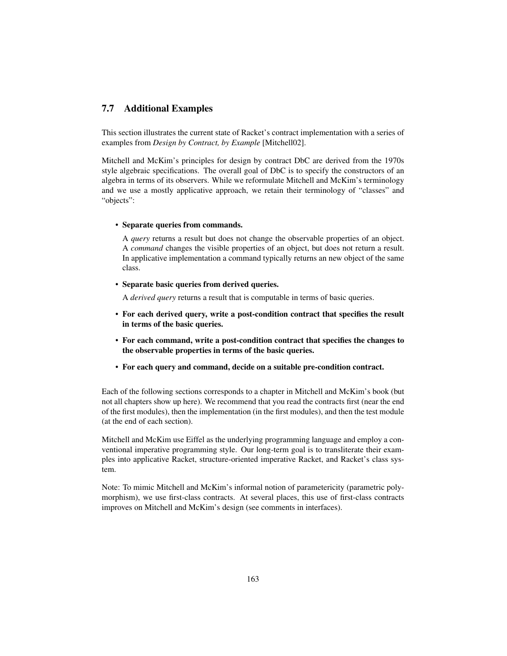# 7.7 Additional Examples

This section illustrates the current state of Racket's contract implementation with a series of examples from *Design by Contract, by Example* [Mitchell02].

Mitchell and McKim's principles for design by contract DbC are derived from the 1970s style algebraic specifications. The overall goal of DbC is to specify the constructors of an algebra in terms of its observers. While we reformulate Mitchell and McKim's terminology and we use a mostly applicative approach, we retain their terminology of "classes" and "objects":

#### • Separate queries from commands.

A *query* returns a result but does not change the observable properties of an object. A *command* changes the visible properties of an object, but does not return a result. In applicative implementation a command typically returns an new object of the same class.

• Separate basic queries from derived queries.

A *derived query* returns a result that is computable in terms of basic queries.

- For each derived query, write a post-condition contract that specifies the result in terms of the basic queries.
- For each command, write a post-condition contract that specifies the changes to the observable properties in terms of the basic queries.
- For each query and command, decide on a suitable pre-condition contract.

Each of the following sections corresponds to a chapter in Mitchell and McKim's book (but not all chapters show up here). We recommend that you read the contracts first (near the end of the first modules), then the implementation (in the first modules), and then the test module (at the end of each section).

Mitchell and McKim use Eiffel as the underlying programming language and employ a conventional imperative programming style. Our long-term goal is to transliterate their examples into applicative Racket, structure-oriented imperative Racket, and Racket's class system.

Note: To mimic Mitchell and McKim's informal notion of parametericity (parametric polymorphism), we use first-class contracts. At several places, this use of first-class contracts improves on Mitchell and McKim's design (see comments in interfaces).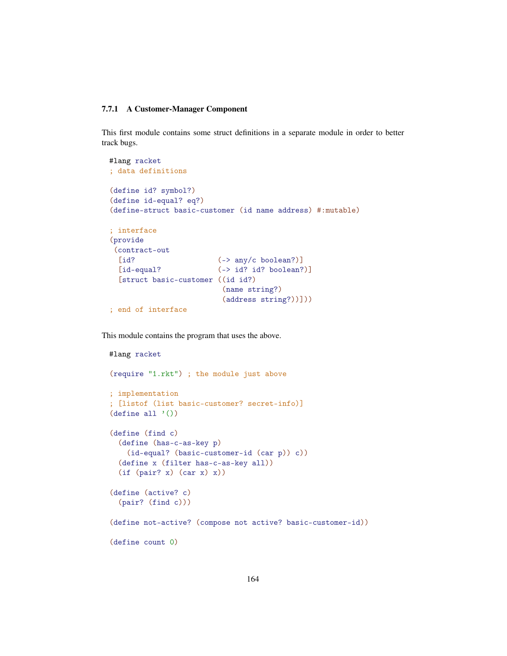#### 7.7.1 A Customer-Manager Component

This first module contains some struct definitions in a separate module in order to better track bugs.

```
#lang racket
; data definitions
(define id? symbol?)
(define id-equal? eq?)
(define-struct basic-customer (id name address) #:mutable)
; interface
(provide
 (contract-out
  [id? (-> any/c boolean?)]
  [id-equal? (-> id? id? boolean?)]
  [struct basic-customer ((id id?)
                        (name string?)
                        (address string?))]))
; end of interface
```
This module contains the program that uses the above.

```
#lang racket
(require "1.rkt") ; the module just above
; implementation
; [listof (list basic-customer? secret-info)]
(detine all '())(define (find c)
  (define (has-c-as-key p)
    (id-equal? (basic-customer-id (car p)) c))
  (define x (filter has-c-as-key all))
  (if (pair? x) (car x) x))
(define (active? c)
  (pair? (find c)))
(define not-active? (compose not active? basic-customer-id))
(define count 0)
```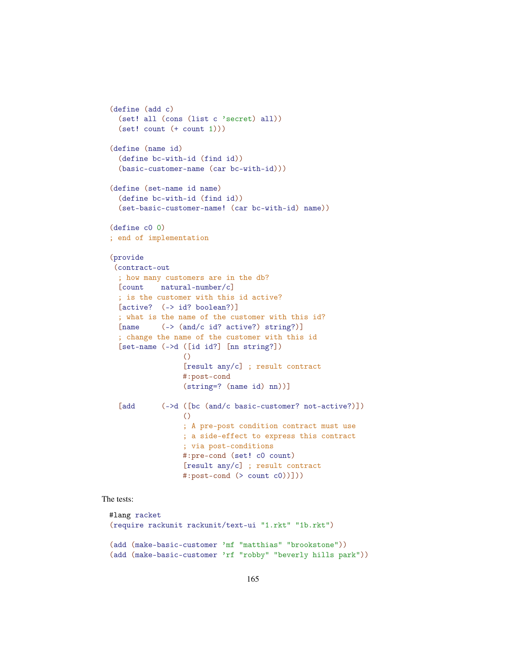```
(define (add c)
  (set! all (cons (list c 'secret) all))
  (set! count (+ count 1))(define (name id)
  (define bc-with-id (find id))
  (basic-customer-name (car bc-with-id)))
(define (set-name id name)
  (define bc-with-id (find id))
  (set-basic-customer-name! (car bc-with-id) name))
(define c0 0)
; end of implementation
(provide
 (contract-out
  ; how many customers are in the db?
 [count natural-number/c]
  ; is the customer with this id active?
  [active? (-> id? boolean?)]
  ; what is the name of the customer with this id?
  [name (-> (and/c id? active?) string?)]
  ; change the name of the customer with this id
  [set-name (->d ([id id?] [nn string?])
                 ()
                 [result any/c] ; result contract
                 #:post-cond
                 (string=? (name id) nn))]
  [add (->d ([bc (and/c basic-customer? not-active?)])
                 ()
                 ; A pre-post condition contract must use
                 ; a side-effect to express this contract
                 ; via post-conditions
                 #:pre-cond (set! c0 count)
                 [result any/c] ; result contract
                 #:post-cond (> count c0))]))
```
#### The tests:

```
#lang racket
(require rackunit rackunit/text-ui "1.rkt" "1b.rkt")
(add (make-basic-customer 'mf "matthias" "brookstone"))
(add (make-basic-customer 'rf "robby" "beverly hills park"))
```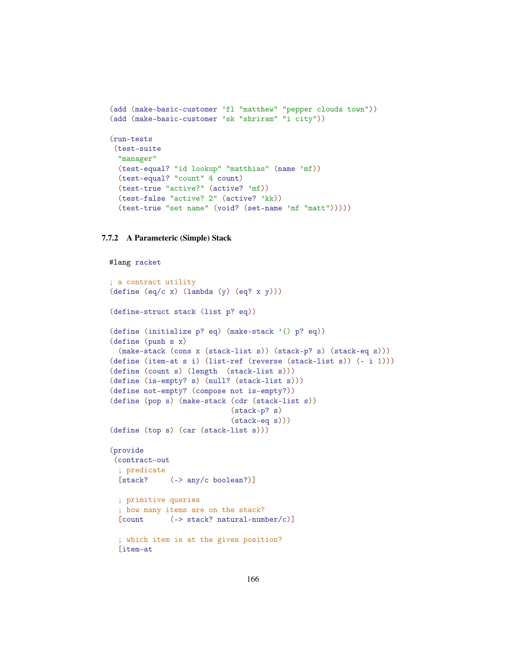```
(add (make-basic-customer 'fl "matthew" "pepper clouds town"))
(add (make-basic-customer 'sk "shriram" "i city"))
(run-tests
(test-suite
 "manager"
  (test-equal? "id lookup" "matthias" (name 'mf))
  (test-equal? "count" 4 count)
  (test-true "active?" (active? 'mf))
  (test-false "active? 2" (active? 'kk))
  (test-true "set name" (void? (set-name 'mf "matt")))))
```
#### 7.7.2 A Parameteric (Simple) Stack

#lang racket

```
; a contract utility
(define (eq/c x) (lambda (y) (eq? x y)))
(define-struct stack (list p? eq))
(define (initialize p? eq) (make-stack '() p? eq))
(define (push s x)
  (make-stack (cons x (stack-list s)) (stack-p? s) (stack-eq s)))
(define (item-at s i) (list-ref (reverse (stack-list s)) (- i 1)))
(define (count s) (length (stack-list s)))
(define (is-empty? s) (null? (stack-list s)))
(define not-empty? (compose not is-empty?))
(define (pop s) (make-stack (cdr (stack-list s))
                            (stack-p? s)
                            (stack-eq s)))
(define (top s) (car (stack-list s)))
(provide
(contract-out
  ; predicate
  [stack? (-> any/c boolean?)]
  ; primitive queries
  ; how many items are on the stack?
  [count (-> stack? natural-number/c)]
  ; which item is at the given position?
  [item-at
```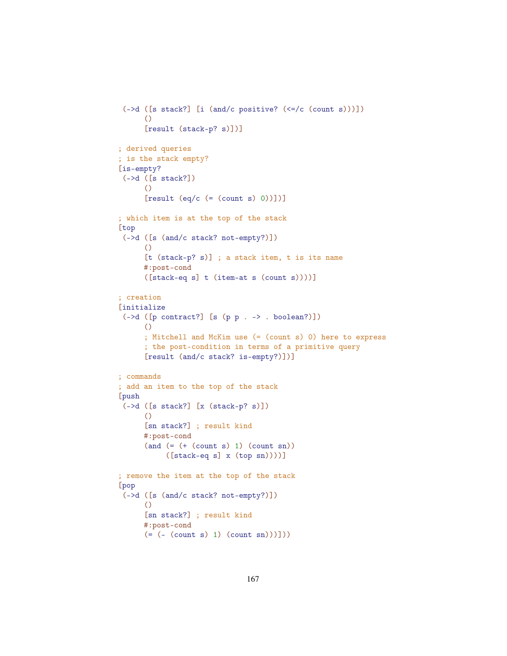```
(->d ([s stack?] [i (and/c positive? (<=/c (count s)))])
      \circ[result (stack-p? s)])]
; derived queries
; is the stack empty?
[is-empty?
(->d ([s stack?])
      ()
      [result (eq/c (= (count s) 0))])]; which item is at the top of the stack
[top
(->d ([s (and/c stack? not-empty?)])
      \bigcirc[t (stack-p? s)] ; a stack item, t is its name
      #:post-cond
      ([stack-eq s] t (item-at s (count s))))]
; creation
[initialize
(-\geq d \text{ (}[p \text{ contract?}]\text{ [s (p p . -> . boolean?)]})\bigcirc; Mitchell and McKim use (= (count s) 0) here to express
      ; the post-condition in terms of a primitive query
      [result (and/c stack? is-empty?)])]
; commands
; add an item to the top of the stack
[push
(->d ([s stack?] [x (stack-p? s)])
      ()[sn stack?] ; result kind
      #:post-cond
      (and (= (+ (count s) 1) (count sn))
           ([stack-eq s] x (top sn))))]
; remove the item at the top of the stack
[pop
(->d ([s (and/c stack? not-empty?)])
      ()
      [sn stack?] ; result kind
      #:post-cond
      (=(-(\text{count } s) 1) (\text{count } sn))))
```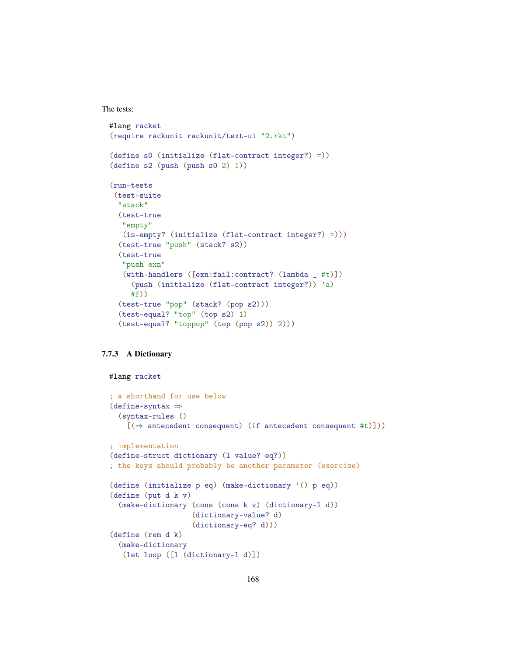The tests:

```
#lang racket
(require rackunit rackunit/text-ui "2.rkt")
(define s0 (initialize (flat-contract integer?) =))
(define s2 (push (push s0 2) 1))
(run-tests
 (test-suite
  "stack"
  (test-true
  "empty"
  (is-empty? (initialize (flat-contract integer?) =)))
  (test-true "push" (stack? s2))
  (test-true
   "push exn"
   (with-handlers ([exn:fail:contract? (lambda _ #t)])
     (push (initialize (flat-contract integer?)) 'a)
     #f))
  (test-true "pop" (stack? (pop s2)))
  (test-equal? "top" (top s2) 1)
  (test-equal? "toppop" (top (pop s2)) 2)))
```
### 7.7.3 A Dictionary

```
#lang racket
; a shorthand for use below
(define-syntax ⇒
  (syntax-rules ()
    [(⇒ antecedent consequent) (if antecedent consequent #t)]))
; implementation
(define-struct dictionary (l value? eq?))
; the keys should probably be another parameter (exercise)
(define (initialize p eq) (make-dictionary '() p eq))
(define (put d k v)
  (make-dictionary (cons (cons k v) (dictionary-l d))
                   (dictionary-value? d)
                   (dictionary-eq? d)))
(define (rem d k)
  (make-dictionary
   (let loop ([l (dictionary-l d)])
```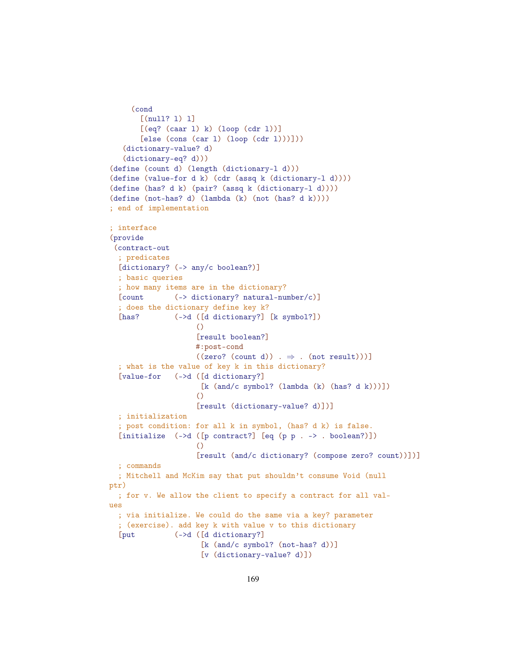```
(cond
       [(null? l) l]
       [(eq? (caar l) k) (loop (cdr l))]
       [else (cons (car 1) (loop (cdr 1)))]))
   (dictionary-value? d)
   (dictionary-eq? d)))
(define (count d) (length (dictionary-l d)))
(define (value-for d k) (cdr (assq k (dictionary-l d))))
(define (has? d k) (pair? (assq k (dictionary-l d))))
(define (not-has? d) (lambda (k) (not (has? d k))))
; end of implementation
; interface
(provide
 (contract-out
  ; predicates
  [dictionary? (-> any/c boolean?)]
  ; basic queries
  ; how many items are in the dictionary?
  [count (-> dictionary? natural-number/c)]
  ; does the dictionary define key k?
  [has? (->d ([d dictionary?] [k symbol?])
                    \bigcirc[result boolean?]
                    #:post-cond
                    ((zero? (count d)) : \Rightarrow (not result))); what is the value of key k in this dictionary?
  [value-for (->d ([d dictionary?]
                     [k (and/c symbol? (lambda (k) (has? d k)))])
                    \left()
                    [result (dictionary-value? d)])]
  ; initialization
  ; post condition: for all k in symbol, (has? d k) is false.
  [initialize (->d ([p contract?] [eq (p p . -> . boolean?)])
                    ()
                    [result (and/c dictionary? (compose zero? count))])]
  ; commands
  ; Mitchell and McKim say that put shouldn't consume Void (null
ptr)
  ; for v. We allow the client to specify a contract for all val-
ues
  ; via initialize. We could do the same via a key? parameter
  ; (exercise). add key k with value v to this dictionary
  [put (->d ([d dictionary?]
                     [k (and/c symbol? (not-has? d))]
                     [v (dictionary-value? d)])
```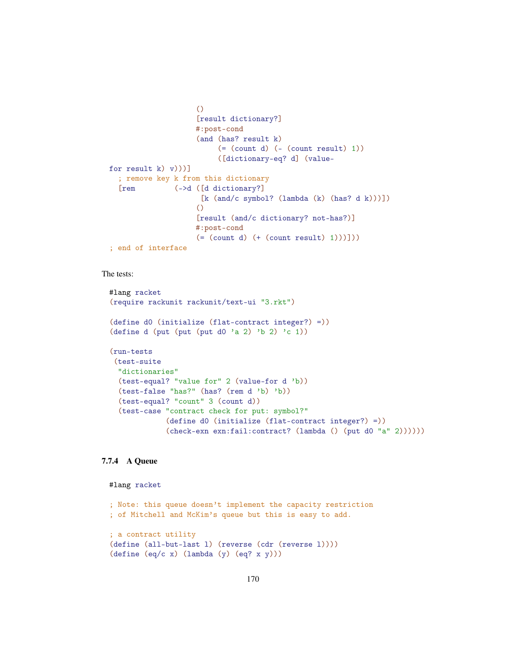```
\circ[result dictionary?]
                    #:post-cond
                    (and (has? result k)
                         (=(count d) (- (count result) 1))([dictionary-eq? d] (value-
for result k) v)))]
  ; remove key k from this dictionary
  [rem (->d ([d dictionary?]
                     [k (and/c symbol? (lambda (k) (has? d k)))])
                    ()
                    [result (and/c dictionary? not-has?)]
                    #:post-cond
                    (=(count d) (+ (count result 1)))]; end of interface
```
## The tests:

```
#lang racket
(require rackunit rackunit/text-ui "3.rkt")
(define d0 (initialize (flat-contract integer?) =))
(define d (put (put (put d0 'a 2) 'b 2) 'c 1))
(run-tests
 (test-suite
  "dictionaries"
  (test-equal? "value for" 2 (value-for d 'b))
  (test-false "has?" (has? (rem d 'b) 'b))
  (test-equal? "count" 3 (count d))
  (test-case "contract check for put: symbol?"
             (define d0 (initialize (flat-contract integer?) =))
             (check-exn exn:fail:contract? (lambda () (put d0 "a" 2))))))
```
## 7.7.4 A Queue

```
#lang racket
```

```
; Note: this queue doesn't implement the capacity restriction
; of Mitchell and McKim's queue but this is easy to add.
; a contract utility
(define (all-but-last l) (reverse (cdr (reverse l))))
(define (eq/c x) (lambda (y) (eq? x y)))
```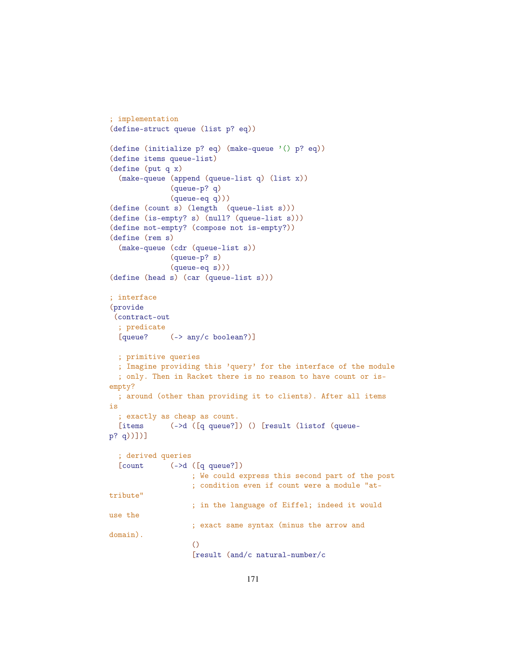```
; implementation
(define-struct queue (list p? eq))
(define (initialize p? eq) (make-queue '() p? eq))
(define items queue-list)
(define (put q x)
  (make-queue (append (queue-list q) (list x))
              (queue-p? q)
              (queue-eq q)))
(define (count s) (length (queue-list s)))
(define (is-empty? s) (null? (queue-list s)))
(define not-empty? (compose not is-empty?))
(define (rem s)
  (make-queue (cdr (queue-list s))
              (queue-p? s)
              (queue-eq s)))
(define (head s) (car (queue-list s)))
; interface
(provide
 (contract-out
  ; predicate
  [queue? (-> any/c boolean?)]
  ; primitive queries
  ; Imagine providing this 'query' for the interface of the module
  ; only. Then in Racket there is no reason to have count or is-
empty?
  ; around (other than providing it to clients). After all items
is
  ; exactly as cheap as count.
  [items (->d ([q queue?]) () [result (listof (queue-
p? q))])]
  ; derived queries
  [count \ (-> d \ (q queue?)]); We could express this second part of the post
                   ; condition even if count were a module "at-
tribute"
                   ; in the language of Eiffel; indeed it would
use the
                   ; exact same syntax (minus the arrow and
domain).
                   \left()
                   [result (and/c natural-number/c
```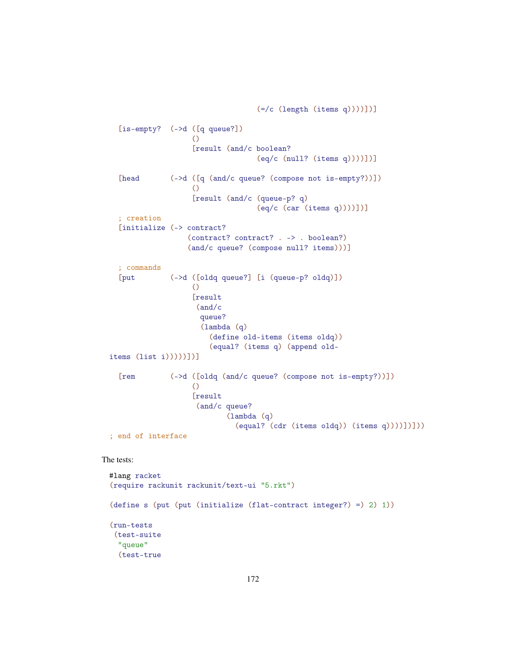```
(=\cosh(i \cdot \text{times } q))))])]
    [is-empty? (->d ([q queue?])
                     \left()
                     [result (and/c boolean?
                                     (eq/c (null? (items q))))])]
    [head (->d ([q (and/c queue? (compose not is-empty?))])
                     \left()
                     [result (and/c (queue-p? q)
                                     (eq/c (car (items q))))])]
    ; creation
    [initialize (-> contract?
                    (contract? contract? . -> . boolean?)
                    (and/c queue? (compose null? items)))]
    ; commands
    [put (->d ([oldq queue?] [i (queue-p? oldq)])
                     ()
                     [result
                      (and/c
                       queue?
                       (lambda (q)
                         (define old-items (items oldq))
                         (equal? (items q) (append old-
 items (list i)))))])]
    [rem (->d ([oldq (and/c queue? (compose not is-empty?))])
                     ()
                     [result
                      (and/c queue?
                             (lambda (q)
                                (equal? (cdr (items oldq)) (items q))))])]))
 ; end of interface
The tests:
 #lang racket
  (require rackunit rackunit/text-ui "5.rkt")
  (define s (put (put (initialize (flat-contract integer?) =) 2) 1))
  (run-tests
  (test-suite
    "queue"
    (test-true
```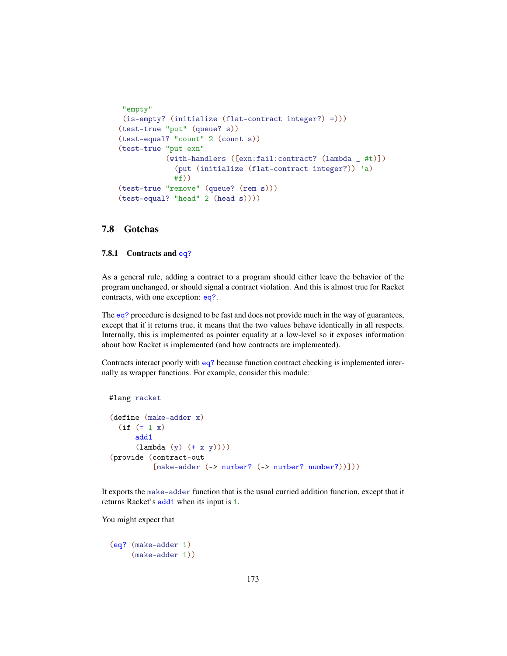```
"empty"
 (is-empty? (initialize (flat-contract integer?) =)))
(test-true "put" (queue? s))
(test-equal? "count" 2 (count s))
(test-true "put exn"
           (with-handlers ([exn:fail:contract? (lambda _ #t)])
             (put (initialize (flat-contract integer?)) 'a)
             #f))
(test-true "remove" (queue? (rem s)))
(test-equal? "head" 2 (head s))))
```
## 7.8 Gotchas

#### 7.8.1 Contracts and eq?

As a general rule, adding a contract to a program should either leave the behavior of the program unchanged, or should signal a contract violation. And this is almost true for Racket contracts, with one exception: eq?.

The eq? procedure is designed to be fast and does not provide much in the way of guarantees, except that if it returns true, it means that the two values behave identically in all respects. Internally, this is implemented as pointer equality at a low-level so it exposes information about how Racket is implemented (and how contracts are implemented).

Contracts interact poorly with eq? because function contract checking is implemented internally as wrapper functions. For example, consider this module:

```
#lang racket
(define (make-adder x)
  (if (= 1 x))add1
      (lambda (y) (+ x y))))
(provide (contract-out
          [make-adder (-> number? (-> number? number?))]))
```
It exports the make-adder function that is the usual curried addition function, except that it returns Racket's add1 when its input is 1.

You might expect that

```
(eq? (make-adder 1)
     (make-adder 1))
```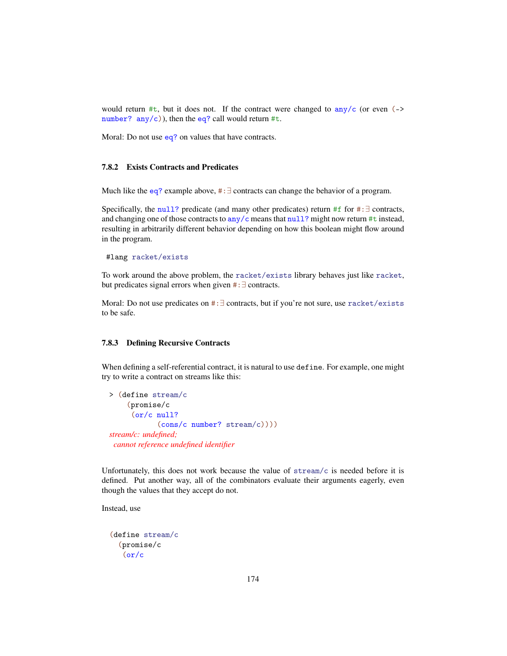would return  $\#t$ , but it does not. If the contract were changed to any/c (or even  $\langle - \rangle$ number? any/c)), then the eq? call would return  $\#t$ .

Moral: Do not use eq? on values that have contracts.

## 7.8.2 Exists Contracts and Predicates

Much like the eq? example above, #:∃ contracts can change the behavior of a program.

Specifically, the null? predicate (and many other predicates) return #f for #:∃ contracts, and changing one of those contracts to  $\frac{any}{c}$  means that null? might now return #t instead, resulting in arbitrarily different behavior depending on how this boolean might flow around in the program.

```
#lang racket/exists
```
To work around the above problem, the racket/exists library behaves just like racket, but predicates signal errors when given #:∃ contracts.

Moral: Do not use predicates on #:∃ contracts, but if you're not sure, use racket/exists to be safe.

#### 7.8.3 Defining Recursive Contracts

When defining a self-referential contract, it is natural to use define. For example, one might try to write a contract on streams like this:

```
> (define stream/c
    (promise/c
     (or/c null?
            (cons/c number? stream/c))))
stream/c: undefined;
 cannot reference undefined identifier
```
Unfortunately, this does not work because the value of stream/c is needed before it is defined. Put another way, all of the combinators evaluate their arguments eagerly, even though the values that they accept do not.

Instead, use

```
(define stream/c
 (promise/c
  (or/c
```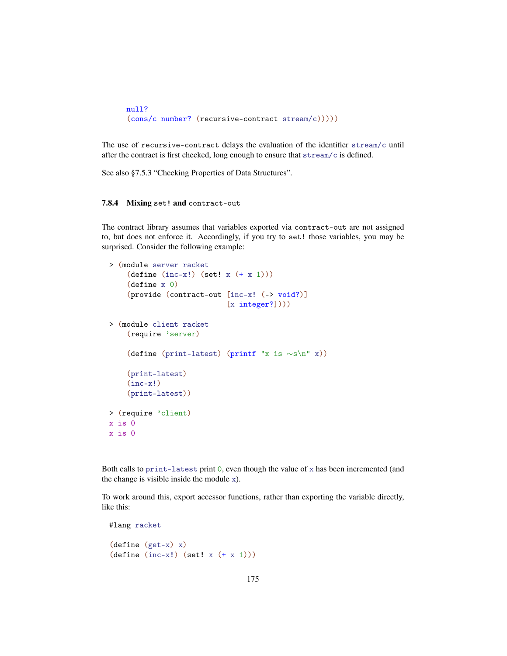```
null?
(cons/c number? (recursive-contract stream/c)))))
```
The use of recursive-contract delays the evaluation of the identifier stream/c until after the contract is first checked, long enough to ensure that stream/c is defined.

See also §7.5.3 "Checking Properties of Data Structures".

## 7.8.4 Mixing set! and contract-out

The contract library assumes that variables exported via contract-out are not assigned to, but does not enforce it. Accordingly, if you try to set! those variables, you may be surprised. Consider the following example:

```
> (module server racket
    (detine (inc-x!) (set! x (+ x 1)))(define x 0)
    (provide (contract-out [inc-x! (-> void?)]
                           [x integer?])))
> (module client racket
    (require 'server)
    (define (print-latest) (printf "x is ∼s\n" x))
    (print-latest)
    (inc-x!)(print-latest))
> (require 'client)
x is 0
x is 0
```
Both calls to print-latest print  $0$ , even though the value of x has been incremented (and the change is visible inside the module x).

To work around this, export accessor functions, rather than exporting the variable directly, like this:

```
(define (get-x) x)
(detine (inc-x!) (set! x (+ x 1)))
```
#lang racket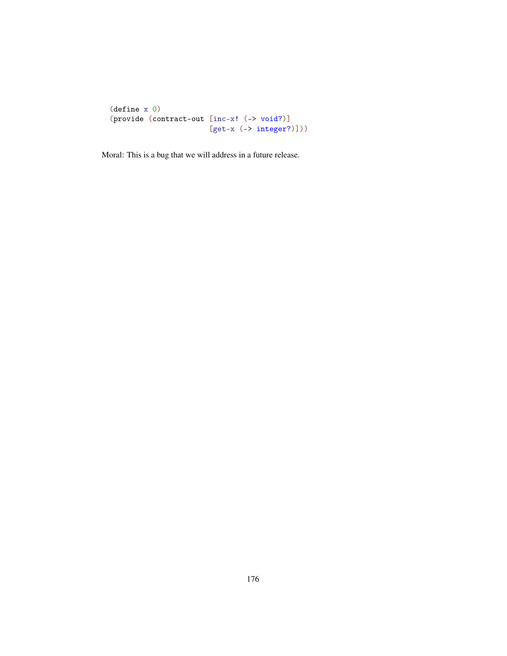```
(define x 0)
(provide (contract-out [inc-x! (-> void?)]
                      [get-x (-) integer?)])
```
Moral: This is a bug that we will address in a future release.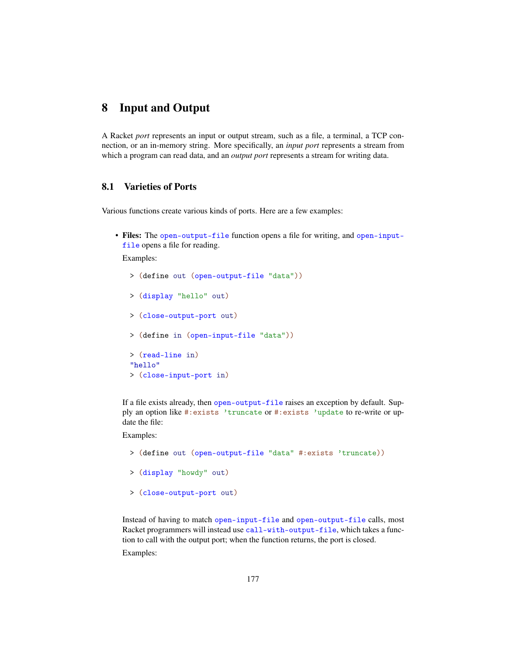# 8 Input and Output

A Racket *port* represents an input or output stream, such as a file, a terminal, a TCP connection, or an in-memory string. More specifically, an *input port* represents a stream from which a program can read data, and an *output port* represents a stream for writing data.

# 8.1 Varieties of Ports

Various functions create various kinds of ports. Here are a few examples:

• Files: The open-output-file function opens a file for writing, and open-inputfile opens a file for reading.

Examples:

- > (define out (open-output-file "data"))
- > (display "hello" out)
- > (close-output-port out)
- > (define in (open-input-file "data"))
- > (read-line in) "hello" > (close-input-port in)

If a file exists already, then open-output-file raises an exception by default. Supply an option like #:exists 'truncate or #:exists 'update to re-write or update the file:

Examples:

- > (define out (open-output-file "data" #:exists 'truncate))
- > (display "howdy" out)
- > (close-output-port out)

Instead of having to match open-input-file and open-output-file calls, most Racket programmers will instead use call-with-output-file, which takes a function to call with the output port; when the function returns, the port is closed. Examples: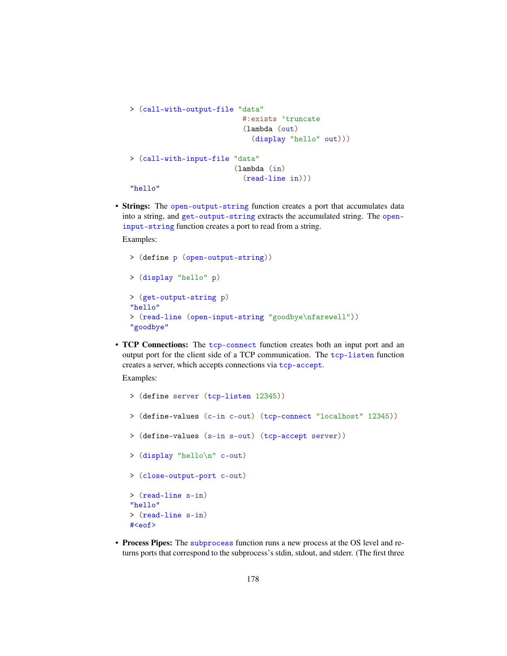```
> (call-with-output-file "data"
                           #:exists 'truncate
                           (lambda (out)
                             (display "hello" out)))
> (call-with-input-file "data"
                         (lambda (in)
                           (read-line in)))
"hello"
```
• Strings: The open-output-string function creates a port that accumulates data into a string, and get-output-string extracts the accumulated string. The openinput-string function creates a port to read from a string.

Examples:

```
> (define p (open-output-string))
> (display "hello" p)
> (get-output-string p)
"hello"
> (read-line (open-input-string "goodbye\nfarewell"))
"goodbye"
```
• TCP Connections: The tcp-connect function creates both an input port and an output port for the client side of a TCP communication. The tcp-listen function creates a server, which accepts connections via tcp-accept.

Examples:

```
> (define server (tcp-listen 12345))
> (define-values (c-in c-out) (tcp-connect "localhost" 12345))
> (define-values (s-in s-out) (tcp-accept server))
> (display "hello\n" c-out)
> (close-output-port c-out)
> (read-line s-in)
"hello"
> (read-line s-in)
#<eof>
```
• Process Pipes: The subprocess function runs a new process at the OS level and returns ports that correspond to the subprocess's stdin, stdout, and stderr. (The first three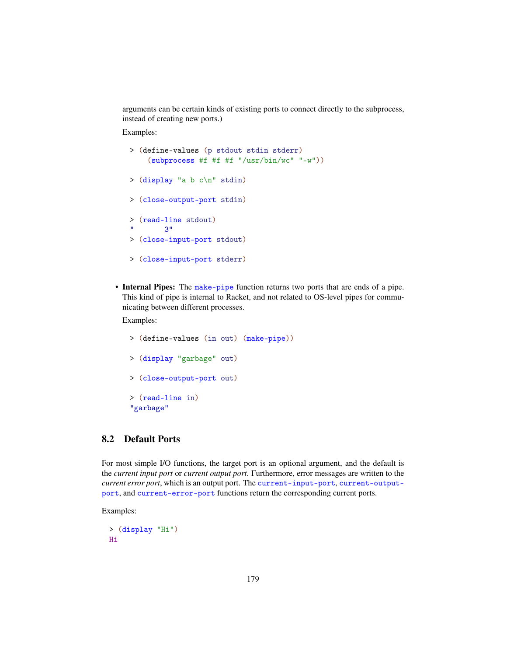arguments can be certain kinds of existing ports to connect directly to the subprocess, instead of creating new ports.)

Examples:

```
> (define-values (p stdout stdin stderr)
    (subprocess #f #f #f "/usr/bin/wc" "-w"))
> (display "a b c\n" stdin)
> (close-output-port stdin)
> (read-line stdout)
" 3"
> (close-input-port stdout)
> (close-input-port stderr)
```
• Internal Pipes: The make-pipe function returns two ports that are ends of a pipe. This kind of pipe is internal to Racket, and not related to OS-level pipes for communicating between different processes.

Examples:

```
> (define-values (in out) (make-pipe))
> (display "garbage" out)
> (close-output-port out)
> (read-line in)
"garbage"
```
# 8.2 Default Ports

For most simple I/O functions, the target port is an optional argument, and the default is the *current input port* or *current output port*. Furthermore, error messages are written to the *current error port*, which is an output port. The current-input-port, current-outputport, and current-error-port functions return the corresponding current ports.

Examples:

> (display "Hi") Hi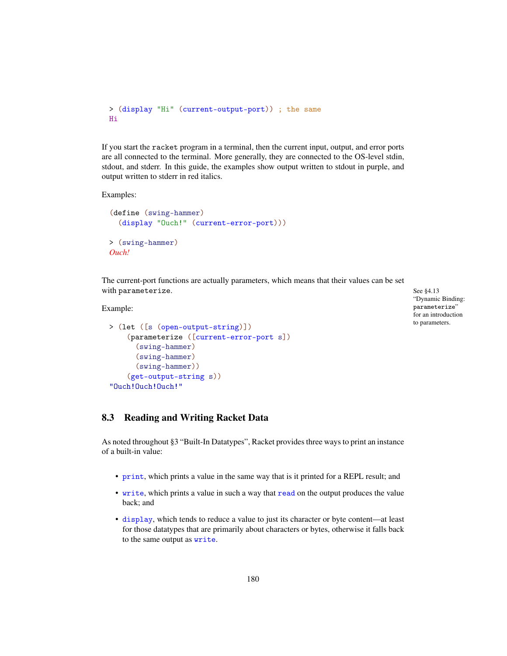```
> (display "Hi" (current-output-port)) ; the same
Hi
```
If you start the racket program in a terminal, then the current input, output, and error ports are all connected to the terminal. More generally, they are connected to the OS-level stdin, stdout, and stderr. In this guide, the examples show output written to stdout in purple, and output written to stderr in red italics.

Examples:

```
(define (swing-hammer)
  (display "Ouch!" (current-error-port)))
> (swing-hammer)
Ouch!
```
The current-port functions are actually parameters, which means that their values can be set with parameterize. See §4.13

#### Example:

```
> (let ([s (open-output-string)])
    (parameterize ([current-error-port s])
      (swing-hammer)
      (swing-hammer)
      (swing-hammer))
    (get-output-string s))
"Ouch!Ouch!Ouch!"
```
## 8.3 Reading and Writing Racket Data

As noted throughout §3 "Built-In Datatypes", Racket provides three ways to print an instance of a built-in value:

- print, which prints a value in the same way that is it printed for a REPL result; and
- write, which prints a value in such a way that read on the output produces the value back; and
- display, which tends to reduce a value to just its character or byte content—at least for those datatypes that are primarily about characters or bytes, otherwise it falls back to the same output as write.

"Dynamic Binding: parameterize" for an introduction to parameters.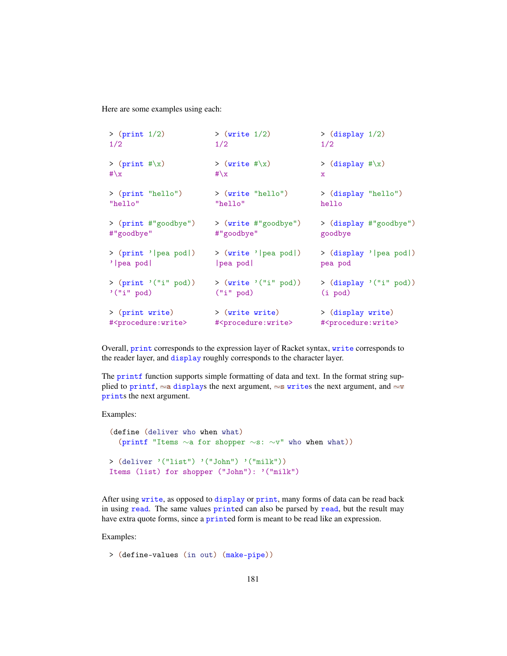Here are some examples using each:

 $>$  (print  $1/2$ ) 1/2  $>$  (print #\x) # $\chi$ > (print "hello") "hello" > (print #"goodbye") #"goodbye" > (print '|pea pod|) '|pea pod| > (print '("i" pod)) > (write '("i" pod)) '("i" pod) > (print write) #<procedure:write>  $>$  (write  $1/2$ ) 1/2  $>$  (write  $\#\x)$ # $\chi$ > (write "hello") "hello" > (write #"goodbye") #"goodbye" > (write '|pea pod|) |pea pod| ("i" pod) > (write write) #<procedure:write> > (display 1/2) 1/2  $>$  (display # $\chi$ ) x > (display "hello") hello > (display #"goodbye") goodbye > (display '|pea pod|) pea pod > (display '("i" pod)) (i pod) > (display write) #<procedure:write>

Overall, print corresponds to the expression layer of Racket syntax, write corresponds to the reader layer, and display roughly corresponds to the character layer.

The printf function supports simple formatting of data and text. In the format string supplied to printf, ∼a displays the next argument, ∼s writes the next argument, and ∼v prints the next argument.

Examples:

```
(define (deliver who when what)
  (printf "Items ∼a for shopper ∼s: ∼v" who when what))
> (deliver '("list") '("John") '("milk"))
Items (list) for shopper ("John"): '("milk")
```
After using write, as opposed to display or print, many forms of data can be read back in using read. The same values printed can also be parsed by read, but the result may have extra quote forms, since a printed form is meant to be read like an expression.

Examples:

> (define-values (in out) (make-pipe))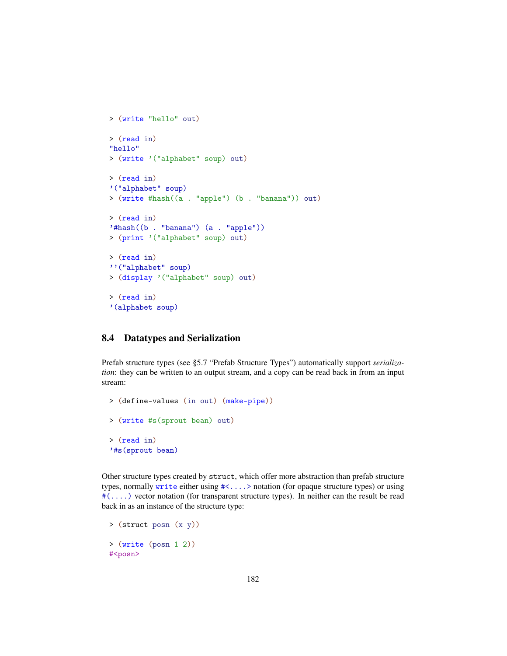```
> (write "hello" out)
> (read in)
"hello"
> (write '("alphabet" soup) out)
> (read in)
'("alphabet" soup)
> (write #hash((a . "apple") (b . "banana")) out)
> (read in)
'#hash((b . "banana") (a . "apple"))
> (print '("alphabet" soup) out)
> (read in)
''("alphabet" soup)
> (display '("alphabet" soup) out)
> (read in)
'(alphabet soup)
```
# 8.4 Datatypes and Serialization

Prefab structure types (see §5.7 "Prefab Structure Types") automatically support *serialization*: they can be written to an output stream, and a copy can be read back in from an input stream:

```
> (define-values (in out) (make-pipe))
> (write #s(sprout bean) out)
> (read in)
'#s(sprout bean)
```
Other structure types created by struct, which offer more abstraction than prefab structure types, normally write either using #<....> notation (for opaque structure types) or using #(....) vector notation (for transparent structure types). In neither can the result be read back in as an instance of the structure type:

```
> (struct posn (x y))
> (write (posn 1 2))
#<posn>
```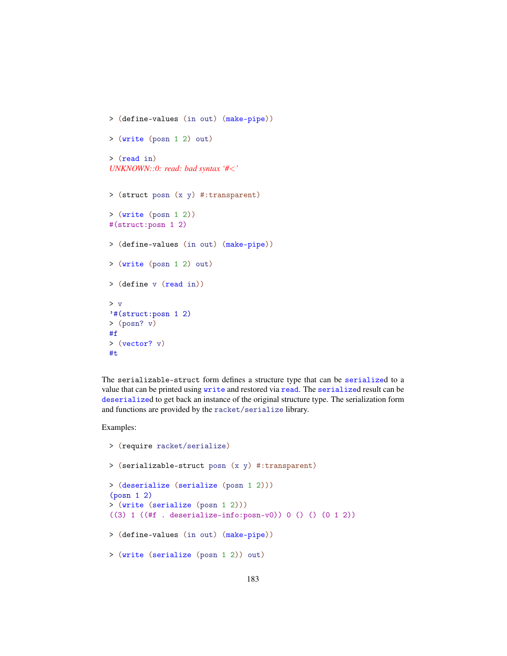```
> (define-values (in out) (make-pipe))
> (write (posn 1 2) out)
> (read in)
UNKNOWN::0: read: bad syntax '#<'
> (struct posn (x y) #:transparent)
> (write (posn 1 2))
#(struct:posn 1 2)
> (define-values (in out) (make-pipe))
> (write (posn 1 2) out)
> (define v (read in))
> v'#(struct:posn 1 2)
> (posn? v)
#f
> (vector? v)
#t
```
The serializable-struct form defines a structure type that can be serialized to a value that can be printed using write and restored via read. The serialized result can be deserialized to get back an instance of the original structure type. The serialization form and functions are provided by the racket/serialize library.

Examples:

```
> (require racket/serialize)
> (serializable-struct posn (x y) #:transparent)
> (deserialize (serialize (posn 1 2)))
(posn 1 2)
> (write (serialize (posn 1 2)))
((3) 1 ((#f . deserialize-info:posn-v0)) 0 () () (0 1 2))
> (define-values (in out) (make-pipe))
> (write (serialize (posn 1 2)) out)
```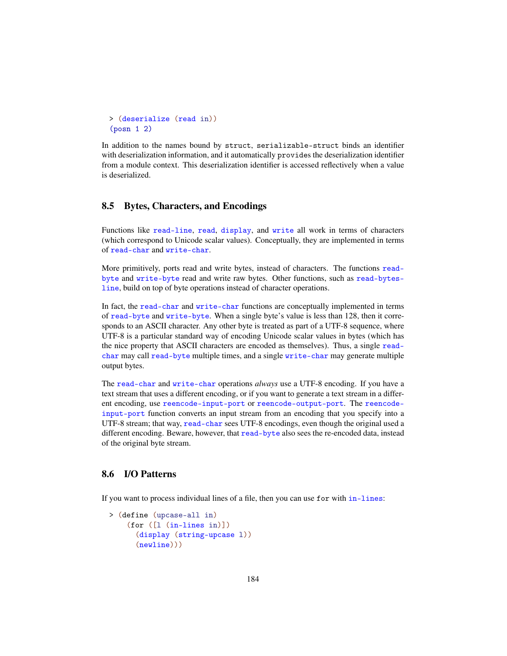```
> (deserialize (read in))
(posn 1 2)
```
In addition to the names bound by struct, serializable-struct binds an identifier with deserialization information, and it automatically provides the deserialization identifier from a module context. This deserialization identifier is accessed reflectively when a value is deserialized.

## 8.5 Bytes, Characters, and Encodings

Functions like read-line, read, display, and write all work in terms of characters (which correspond to Unicode scalar values). Conceptually, they are implemented in terms of read-char and write-char.

More primitively, ports read and write bytes, instead of characters. The functions readbyte and write-byte read and write raw bytes. Other functions, such as read-bytesline, build on top of byte operations instead of character operations.

In fact, the read-char and write-char functions are conceptually implemented in terms of read-byte and write-byte. When a single byte's value is less than 128, then it corresponds to an ASCII character. Any other byte is treated as part of a UTF-8 sequence, where UTF-8 is a particular standard way of encoding Unicode scalar values in bytes (which has the nice property that ASCII characters are encoded as themselves). Thus, a single readchar may call read-byte multiple times, and a single write-char may generate multiple output bytes.

The read-char and write-char operations *always* use a UTF-8 encoding. If you have a text stream that uses a different encoding, or if you want to generate a text stream in a different encoding, use reencode-input-port or reencode-output-port. The reencodeinput-port function converts an input stream from an encoding that you specify into a UTF-8 stream; that way, read-char sees UTF-8 encodings, even though the original used a different encoding. Beware, however, that read-byte also sees the re-encoded data, instead of the original byte stream.

# 8.6 I/O Patterns

If you want to process individual lines of a file, then you can use for with in-lines:

```
> (define (upcase-all in)
    (for ([l (in-lines in)])
      (display (string-upcase l))
      (newline)))
```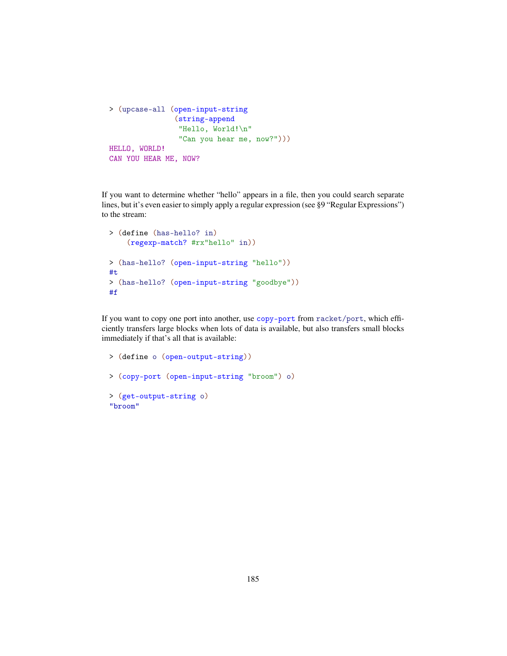```
> (upcase-all (open-input-string
               (string-append
                "Hello, World!\n"
                "Can you hear me, now?")))
HELLO, WORLD!
CAN YOU HEAR ME, NOW?
```
If you want to determine whether "hello" appears in a file, then you could search separate lines, but it's even easier to simply apply a regular expression (see §9 "Regular Expressions") to the stream:

```
> (define (has-hello? in)
    (regexp-match? #rx"hello" in))
> (has-hello? (open-input-string "hello"))
#t
> (has-hello? (open-input-string "goodbye"))
#f
```
If you want to copy one port into another, use copy-port from racket/port, which efficiently transfers large blocks when lots of data is available, but also transfers small blocks immediately if that's all that is available:

```
> (define o (open-output-string))
> (copy-port (open-input-string "broom") o)
> (get-output-string o)
"broom"
```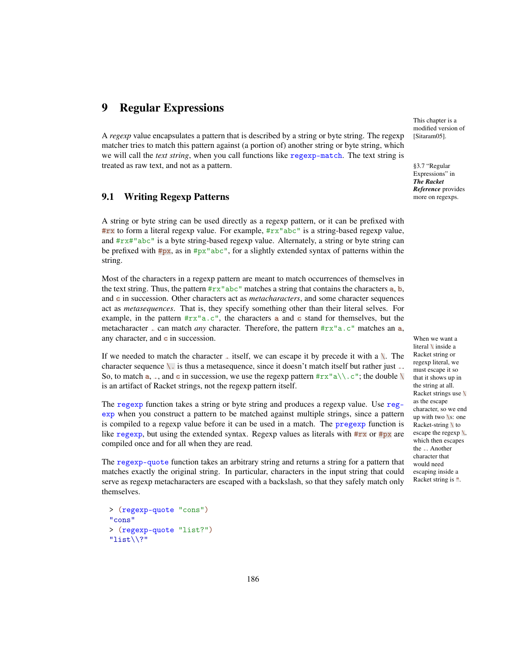# 9 Regular Expressions

A *regexp* value encapsulates a pattern that is described by a string or byte string. The regexp [Sitaram05]. matcher tries to match this pattern against (a portion of) another string or byte string, which we will call the *text string*, when you call functions like regexp-match. The text string is treated as raw text, and not as a pattern.  $§ 3.7$  "Regular

## **9.1 Writing Regexp Patterns** and the set of the set of the set of the set of the set of the set of the set of the set of the set of the set of the set of the set of the set of the set of the set of the set of the set of t

A string or byte string can be used directly as a regexp pattern, or it can be prefixed with  $\#rx$  to form a literal regexp value. For example,  $\#rx$  abc" is a string-based regexp value, and  $\#r x \#''$  abc" is a byte string-based regexp value. Alternately, a string or byte string can be prefixed with  $\#px$ , as in  $\#px"$  abc", for a slightly extended syntax of patterns within the string.

Most of the characters in a regexp pattern are meant to match occurrences of themselves in the text string. Thus, the pattern  $\#rx''abc''$  matches a string that contains the characters a,  $\overline{b}$ , and c in succession. Other characters act as *metacharacters*, and some character sequences act as *metasequences*. That is, they specify something other than their literal selves. For example, in the pattern  $\#rx^n a.c^n$ , the characters a and c stand for themselves, but the metacharacter . can match *any* character. Therefore, the pattern #rx"a.c" matches an a, any character, and  $\mathbf c$  in succession. When we want a when we want a when we want a when we want a

If we needed to match the character . itself, we can escape it by precede it with a  $\setminus$ . The character sequence  $\setminus$ . is thus a metasequence, since it doesn't match itself but rather just ... So, to match a, .., and c in succession, we use the regexp pattern  $\#rx''a \setminus \setminus c''$ ; the double  $\setminus$ is an artifact of Racket strings, not the regexp pattern itself.

The regexp function takes a string or byte string and produces a regexp value. Use regexp when you construct a pattern to be matched against multiple strings, since a pattern is compiled to a regexp value before it can be used in a match. The pregexp function is like regexp, but using the extended syntax. Regexp values as literals with  $\#r\bar{x}$  or  $\#p\bar{x}$  are compiled once and for all when they are read.

The regexp-quote function takes an arbitrary string and returns a string for a pattern that matches exactly the original string. In particular, characters in the input string that could serve as regexp metacharacters are escaped with a backslash, so that they safely match only themselves.

```
> (regexp-quote "cons")
"cons"
> (regexp-quote "list?")
"list\\?"
```
This chapter is a modified version of

Expressions" in *The Racket Reference* provides

literal \ inside a Racket string or regexp literal, we must escape it so that it shows up in the string at all. Racket strings use \ as the escape character, so we end up with two  $\succeq$  s: one Racket-string \ to escape the regexp  $\setminus$ , which then escapes the .. Another character that would need escaping inside a Racket string is ".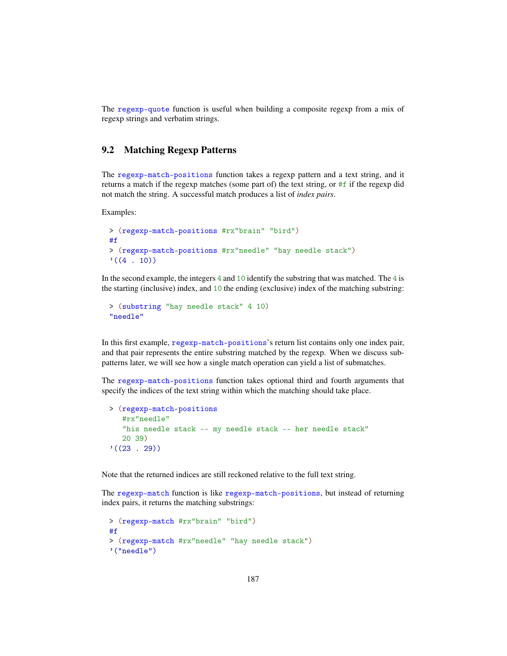The regexp-quote function is useful when building a composite regexp from a mix of regexp strings and verbatim strings.

# 9.2 Matching Regexp Patterns

The regexp-match-positions function takes a regexp pattern and a text string, and it returns a match if the regexp matches (some part of) the text string, or  $#f$  if the regexp did not match the string. A successful match produces a list of *index pairs*.

Examples:

```
> (regexp-match-positions #rx"brain" "bird")
#f
> (regexp-match-positions #rx"needle" "hay needle stack")
'((4 \cdot 10))
```
In the second example, the integers 4 and 10 identify the substring that was matched. The 4 is the starting (inclusive) index, and 10 the ending (exclusive) index of the matching substring:

```
> (substring "hay needle stack" 4 10)
"needle"
```
In this first example, regexp-match-positions's return list contains only one index pair, and that pair represents the entire substring matched by the regexp. When we discuss subpatterns later, we will see how a single match operation can yield a list of submatches.

The regexp-match-positions function takes optional third and fourth arguments that specify the indices of the text string within which the matching should take place.

```
> (regexp-match-positions
   #rx"needle"
   "his needle stack -- my needle stack -- her needle stack"
   20 39)
'((23 \cdot 29))
```
Note that the returned indices are still reckoned relative to the full text string.

The regexp-match function is like regexp-match-positions, but instead of returning index pairs, it returns the matching substrings:

```
> (regexp-match #rx"brain" "bird")
#f
> (regexp-match #rx"needle" "hay needle stack")
'("needle")
```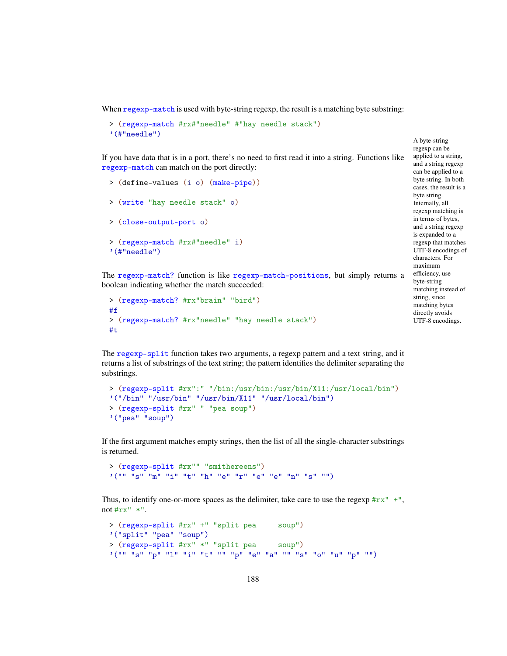When regexp-match is used with byte-string regexp, the result is a matching byte substring:

```
> (regexp-match #rx#"needle" #"hay needle stack")
'(#"needle")
```
If you have data that is in a port, there's no need to first read it into a string. Functions like regexp-match can match on the port directly:

```
> (define-values (i o) (make-pipe))
> (write "hay needle stack" o)
> (close-output-port o)
> (regexp-match #rx#"needle" i)
'(#"needle")
```
A byte-string regexp can be applied to a string, and a string regexp can be applied to a byte string. In both cases, the result is a byte string. Internally, all regexp matching is in terms of bytes, and a string regexp is expanded to a regexp that matches UTF-8 encodings of characters. For maximum efficiency, use byte-string matching instead of string, since matching bytes directly avoids UTF-8 encodings.

The regexp-match? function is like regexp-match-positions, but simply returns a boolean indicating whether the match succeeded:

```
> (regexp-match? #rx"brain" "bird")
#f
> (regexp-match? #rx"needle" "hay needle stack")
#t
```
The regexp-split function takes two arguments, a regexp pattern and a text string, and it returns a list of substrings of the text string; the pattern identifies the delimiter separating the substrings.

```
> (regexp-split #rx":" "/bin:/usr/bin:/usr/bin/X11:/usr/local/bin")
'("/bin" "/usr/bin" "/usr/bin/X11" "/usr/local/bin")
> (regexp-split #rx" " "pea soup")
'("pea" "soup")
```
If the first argument matches empty strings, then the list of all the single-character substrings is returned.

```
> (regexp-split #rx"" "smithereens")
'("" "s" "m" "i" "t" "h" "e" "r" "e" "e" "n" "s" "")
```
Thus, to identify one-or-more spaces as the delimiter, take care to use the regexp  $\#rx^{n}$  +", not  $\#rx''$  \*".

```
> (regexp-split #rx" +" "split pea soup")
'("split" "pea" "soup")
> (regexp-split #rx" *" "split pea soup")
'("" "s" "p" "l" "i" "t" "" "p" "e" "a" "" "s" "o" "u" "p" "")
```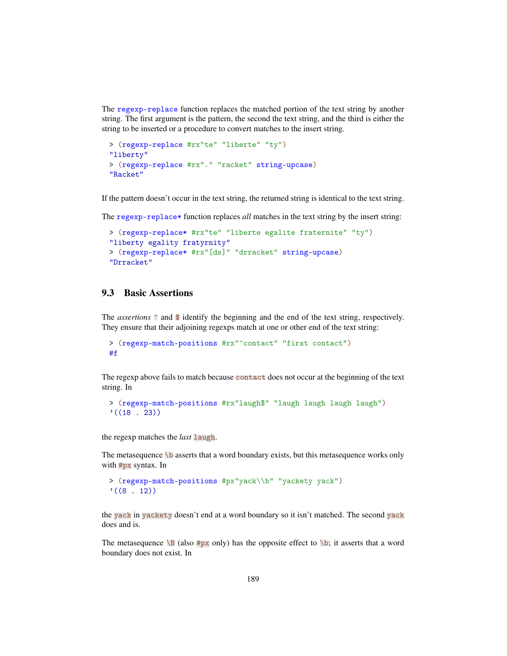The regexp-replace function replaces the matched portion of the text string by another string. The first argument is the pattern, the second the text string, and the third is either the string to be inserted or a procedure to convert matches to the insert string.

```
> (regexp-replace #rx"te" "liberte" "ty")
"liberty"
> (regexp-replace #rx"." "racket" string-upcase)
"Racket"
```
If the pattern doesn't occur in the text string, the returned string is identical to the text string.

The regexp-replace\* function replaces *all* matches in the text string by the insert string:

```
> (regexp-replace* #rx"te" "liberte egalite fraternite" "ty")
"liberty egality fratyrnity"
> (regexp-replace* #rx"[ds]" "drracket" string-upcase)
"Drracket"
```
# 9.3 Basic Assertions

The *assertions*  $\hat{ }$  and  $\hat{ }$  identify the beginning and the end of the text string, respectively. They ensure that their adjoining regexps match at one or other end of the text string:

```
> (regexp-match-positions #rx"^contact" "first contact")
#f
```
The regexp above fails to match because contact does not occur at the beginning of the text string. In

```
> (regexp-match-positions #rx"laugh$" "laugh laugh laugh laugh")
'((18 \cdot 23))
```
the regexp matches the *last* laugh.

The metasequence  $\mathbf{b}$  asserts that a word boundary exists, but this metasequence works only with #px syntax. In

```
> (regexp-match-positions #px"yack\\b" "yackety yack")
'((8 \ . \ 12))
```
the yack in yackety doesn't end at a word boundary so it isn't matched. The second yack does and is.

The metasequence  $\Delta B$  (also #px only) has the opposite effect to  $\Delta b$ ; it asserts that a word boundary does not exist. In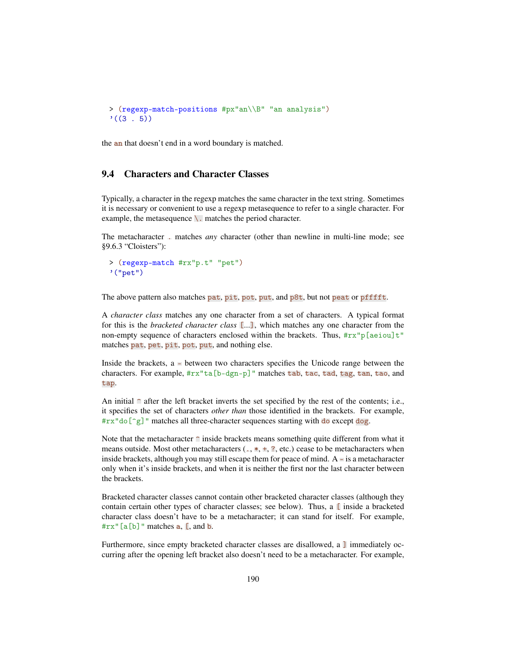```
> (regexp-match-positions #px"an\\B" "an analysis")
'((3 \t . 5))
```
the an that doesn't end in a word boundary is matched.

# 9.4 Characters and Character Classes

Typically, a character in the regexp matches the same character in the text string. Sometimes it is necessary or convenient to use a regexp metasequence to refer to a single character. For example, the metasequence \. matches the period character.

The metacharacter . matches *any* character (other than newline in multi-line mode; see §9.6.3 "Cloisters"):

```
> (regexp-match #rx"p.t" "pet")
'("pet")
```
The above pattern also matches pat, pit, pot, put, and p8t, but not peat or pfffft.

A *character class* matches any one character from a set of characters. A typical format for this is the *bracketed character class* [...], which matches any one character from the non-empty sequence of characters enclosed within the brackets. Thus,  $\#rx"p$ [aeiou]t" matches pat, pet, pit, pot, put, and nothing else.

Inside the brackets,  $a =$  between two characters specifies the Unicode range between the characters. For example, #rx"ta[b-dgn-p]" matches tab, tac, tad, tag, tan, tao, and tap.

An initial  $\degree$  after the left bracket inverts the set specified by the rest of the contents; i.e., it specifies the set of characters *other than* those identified in the brackets. For example,  $\text{tr } x \text{ "do } [\hat{g}] \text{ "matches all three-character sequences starting with do except dog.}$ 

Note that the metacharacter  $\tilde{\ }$  inside brackets means something quite different from what it means outside. Most other metacharacters  $(., *, *, \mathsf{F}, \text{etc.})$  cease to be metacharacters when inside brackets, although you may still escape them for peace of mind.  $A = i s$  a metacharacter only when it's inside brackets, and when it is neither the first nor the last character between the brackets.

Bracketed character classes cannot contain other bracketed character classes (although they contain certain other types of character classes; see below). Thus, a [ inside a bracketed character class doesn't have to be a metacharacter; it can stand for itself. For example,  $\#rx$ "[a[b]" matches **a**, [, and **b**.

Furthermore, since empty bracketed character classes are disallowed, a lumediately occurring after the opening left bracket also doesn't need to be a metacharacter. For example,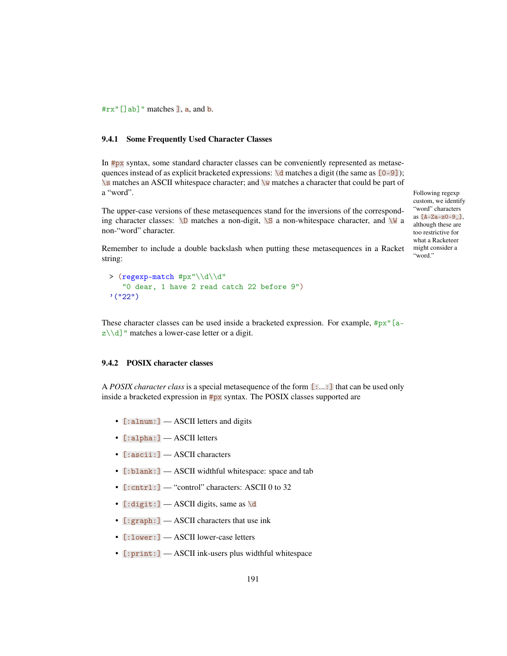$\#rx$ " [] ab] " matches **]**, **a**, and **b**.

#### 9.4.1 Some Frequently Used Character Classes

In #px syntax, some standard character classes can be conveniently represented as metasequences instead of as explicit bracketed expressions:  $\d$  matches a digit (the same as  $[0-9]$ ); \s matches an ASCII whitespace character; and \w matches a character that could be part of a "word". Following regexp

The upper-case versions of these metasequences stand for the inversions of the corresponding character classes:  $\D$  matches a non-digit,  $\S$  a non-whitespace character, and  $\W$  a non-"word" character.

custom, we identify "word" characters as [A-Za-z0-9\_], although these are too restrictive for what a Racketeer might consider a "word."

Remember to include a double backslash when putting these metasequences in a Racket string:

```
> (regexp-match #px"\\d\\d"
   "0 dear, 1 have 2 read catch 22 before 9")
'("22")
```
These character classes can be used inside a bracketed expression. For example, #px"[az\\d]" matches a lower-case letter or a digit.

#### 9.4.2 POSIX character classes

A *POSIX character class* is a special metasequence of the form [:...:] that can be used only inside a bracketed expression in  $\#px$  syntax. The POSIX classes supported are

- [: alnum: ] ASCII letters and digits
- [:alpha:] ASCII letters
- [:ascii:] ASCII characters
- [:blank:] ASCII widthful whitespace: space and tab
- [:cntrl:] "control" characters: ASCII 0 to 32
- [:digit:] ASCII digits, same as \d
- [:graph:] ASCII characters that use ink
- [:lower:] ASCII lower-case letters
- [: print: ] ASCII ink-users plus widthful whitespace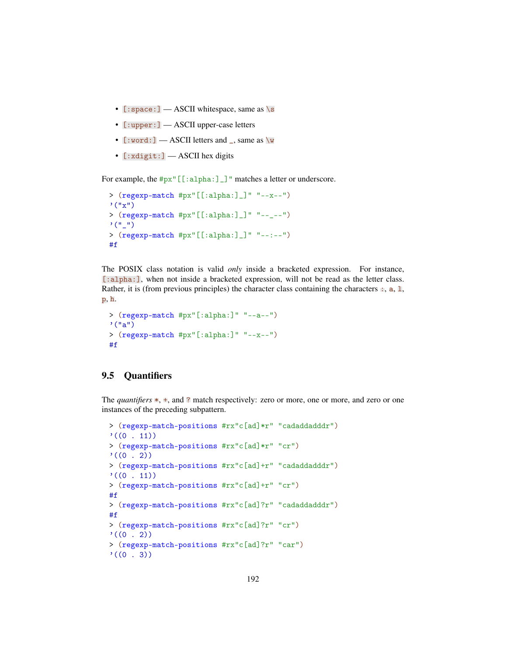- [: space: ] ASCII whitespace, same as  $\succeq$
- [:upper:] ASCII upper-case letters
- [:word:] ASCII letters and \_, same as  $\overline{w}$
- [:xdigit:] ASCII hex digits

For example, the #px" [[:alpha:]]" matches a letter or underscore.

```
> (regexp-match #px"[[:alpha:]_]" "--x--")
'("x")
> (regexp-match #px"[[:alpha:]_]" "--_--")
'("_")
> (regexp-match #px"[[:alpha:]_]" "--:--")
#f
```
The POSIX class notation is valid *only* inside a bracketed expression. For instance, [:alpha:], when not inside a bracketed expression, will not be read as the letter class. Rather, it is (from previous principles) the character class containing the characters  $\mathbf{r}$ ,  $\mathbf{a}$ ,  $\mathbf{l}$ , p, h.

```
> (regexp-match #px"[:alpha:]" "--a--")
'("a")
> (regexp-match #px"[:alpha:]" "--x--")
#f
```
## 9.5 Quantifiers

The *quantifiers*  $*$ ,  $*$ , and ? match respectively: zero or more, one or more, and zero or one instances of the preceding subpattern.

```
> (regexp-match-positions #rx"c[ad]*r" "cadaddadddr")
'((0.11))> (regexp-match-positions #rx"c[ad]*r" "cr")
'((0.2))> (regexp-match-positions #rx"c[ad]+r" "cadaddadddr")
'((0.11))> (regexp-match-positions #rx"c[ad]+r" "cr")
#f
> (regexp-match-positions #rx"c[ad]?r" "cadaddadddr")
#f
> (regexp-match-positions #rx"c[ad]?r" "cr")
'((0.2))> (regexp-match-positions #rx"c[ad]?r" "car")
'((0.3))
```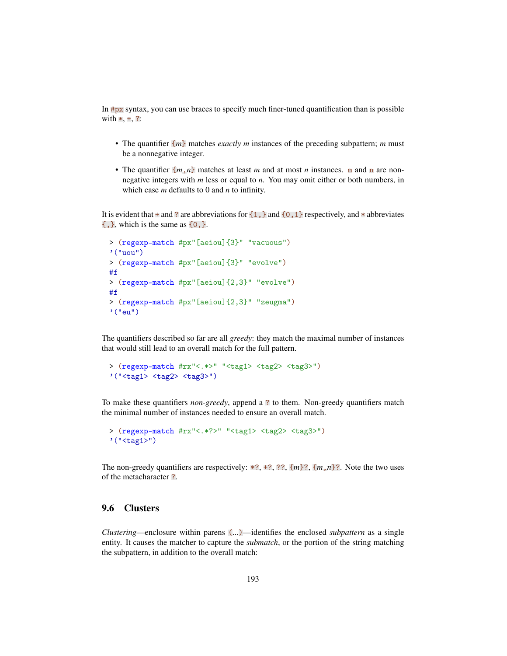In  $\frac{H\mu_{\text{px}}}{H\mu_{\text{px}}}$  syntax, you can use braces to specify much finer-tuned quantification than is possible with  $*, +, ?$ :

- The quantifier {*m*} matches *exactly m* instances of the preceding subpattern; *m* must be a nonnegative integer.
- The quantifier  ${m,n}$  matches at least *m* and at most *n* instances. **m** and **n** are nonnegative integers with *m* less or equal to *n*. You may omit either or both numbers, in which case *m* defaults to 0 and *n* to infinity.

It is evident that  $\pm$  and ? are abbreviations for {1,} and {0,1} respectively, and  $\pm$  abbreviates  $\{$ ,  $\}$ , which is the same as  $\{0, \}$ .

```
> (regexp-match #px"[aeiou]{3}" "vacuous")
'("uou")
> (regexp-match #px"[aeiou]{3}" "evolve")
#f
> (regexp-match #px"[aeiou]{2,3}" "evolve")
#f
> (regexp-match #px"[aeiou]{2,3}" "zeugma")
'("eu")
```
The quantifiers described so far are all *greedy*: they match the maximal number of instances that would still lead to an overall match for the full pattern.

```
> (regexp-match #rx"<.*>" "<tag1> <tag2> <tag3>")
'("<tag1> <tag2> <tag3>")
```
To make these quantifiers *non-greedy*, append a ? to them. Non-greedy quantifiers match the minimal number of instances needed to ensure an overall match.

```
> (regexp-match #rx"<.*?>" "<tag1> <tag2> <tag3>")
'("<tag1>")
```
The non-greedy quantifiers are respectively: \*?, +?, ??, {*m*}?, {*m*,*n*}?. Note the two uses of the metacharacter ?.

# 9.6 Clusters

*Clustering*—enclosure within parens (...)—identifies the enclosed *subpattern* as a single entity. It causes the matcher to capture the *submatch*, or the portion of the string matching the subpattern, in addition to the overall match: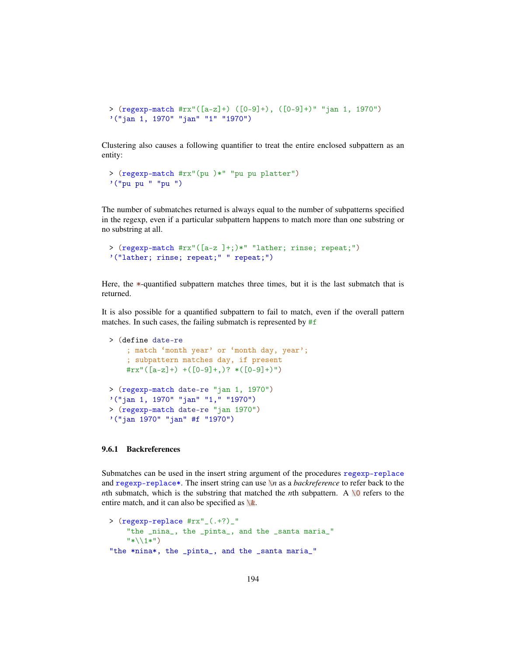```
> (regexp-match #rx"([a-z]+) ([0-9]+), ([0-9]+)" "jan 1, 1970")
'("jan 1, 1970" "jan" "1" "1970")
```
Clustering also causes a following quantifier to treat the entire enclosed subpattern as an entity:

```
> (regexp-match #rx"(pu )*" "pu pu platter")
'("pu pu " "pu ")
```
The number of submatches returned is always equal to the number of subpatterns specified in the regexp, even if a particular subpattern happens to match more than one substring or no substring at all.

```
> (regexp-match #rx"([a-z ]+;)*" "lather; rinse; repeat;")
'("lather; rinse; repeat;" " repeat;")
```
Here, the  $\ast$ -quantified subpattern matches three times, but it is the last submatch that is returned.

It is also possible for a quantified subpattern to fail to match, even if the overall pattern matches. In such cases, the failing submatch is represented by #f

```
> (define date-re
    ; match 'month year' or 'month day, year';
    ; subpattern matches day, if present
    \#rx"([a-z]+) +([0-9]+,)? *([0-9]+)")> (regexp-match date-re "jan 1, 1970")
'("jan 1, 1970" "jan" "1," "1970")
> (regexp-match date-re "jan 1970")
'("jan 1970" "jan" #f "1970")
```
#### 9.6.1 Backreferences

Submatches can be used in the insert string argument of the procedures regexp-replace and regexp-replace\*. The insert string can use \*n* as a *backreference* to refer back to the *nth* submatch, which is the substring that matched the *n*th subpattern. A \0 refers to the entire match, and it can also be specified as  $\&$ .

```
> (regexp-replace #rx"_(.+?)_"
    "the _nina_, the _pinta_, and the _santa maria_"
    "*\\1*")
"the *nina*, the _pinta_, and the _santa maria_"
```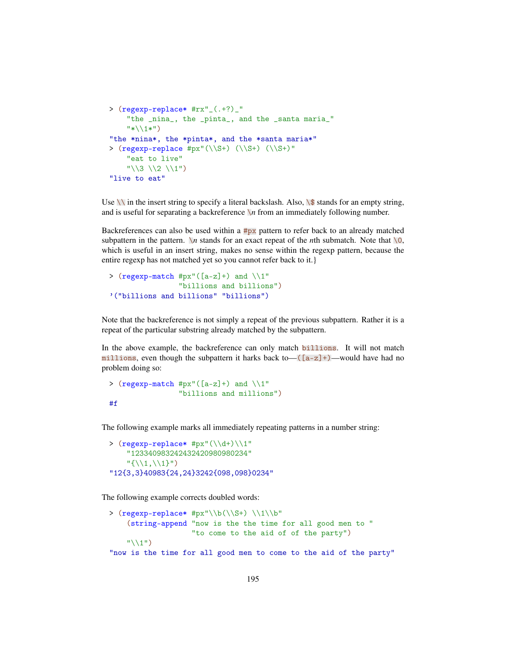```
> (regexp-replace* #rx"_(.+?)_"
    "the _nina_, the _pinta_, and the _santa maria_"
    "*\\1*")
"the *nina*, the *pinta*, and the *santa maria*"
> (regexp-replace \#px"(\{\S+) (\{\S+) (\{\S+) "}\}"eat to live"
    "\\3 \\2 \\1")
"live to eat"
```
Use  $\setminus \setminus$  in the insert string to specify a literal backslash. Also,  $\setminus \$  stands for an empty string, and is useful for separating a backreference  $\lambda$ *n* from an immediately following number.

Backreferences can also be used within a  $\frac{\mu_{px}}{\mu_{px}}$  pattern to refer back to an already matched subpattern in the pattern.  $\ln$  stands for an exact repeat of the *n*th submatch. Note that  $\setminus 0$ , which is useful in an insert string, makes no sense within the regexp pattern, because the entire regexp has not matched yet so you cannot refer back to it.}

```
> (regexp-match #px"([a-z]+) and \lceil a \rceil"billions and billions")
'("billions and billions" "billions")
```
Note that the backreference is not simply a repeat of the previous subpattern. Rather it is a repeat of the particular substring already matched by the subpattern.

In the above example, the backreference can only match billions. It will not match millions, even though the subpattern it harks back to  $-(a-z)+(1)$ —would have had no problem doing so:

```
> (regexp-match #px"([a-z]+) and \lceil a+1 \rceil"billions and millions")
#f
```
The following example marks all immediately repeating patterns in a number string:

```
> (\text{regexp-replace* } \#px" (\{\d+)\}\1""123340983242432420980980234"
    "\{\\\1,\\\1\}")"12{3,3}40983{24,24}3242{098,098}0234"
```
The following example corrects doubled words:

```
> (regexp-replace* #px"\\b(\S+) \\\1\\b"(string-append "now is the the time for all good men to "
                   "to come to the aid of of the party")
    "\\1")
"now is the time for all good men to come to the aid of the party"
```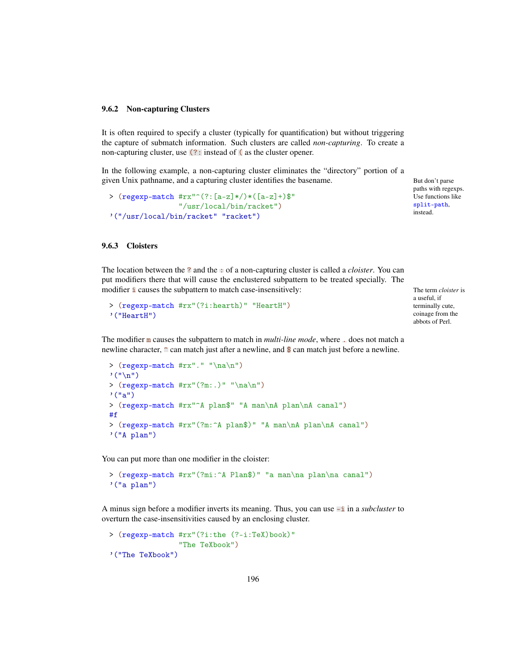#### 9.6.2 Non-capturing Clusters

It is often required to specify a cluster (typically for quantification) but without triggering the capture of submatch information. Such clusters are called *non-capturing*. To create a non-capturing cluster, use (?: instead of ( as the cluster opener.

In the following example, a non-capturing cluster eliminates the "directory" portion of a given Unix pathname, and a capturing cluster identifies the basename. But don't parse

```
> (\text{regexp-match} \#rx"^*(?:[a-z]*/)*([a-z]+)"/usr/local/bin/racket")
'("/usr/local/bin/racket" "racket")
```
paths with regexps. Use functions like split-path, instead.

## 9.6.3 Cloisters

The location between the ? and the : of a non-capturing cluster is called a *cloister*. You can put modifiers there that will cause the enclustered subpattern to be treated specially. The modifier **i** causes the subpattern to match case-insensitively: The term *cloister* is

```
> (regexp-match #rx"(?i:hearth)" "HeartH")
'("HeartH")
```
a useful, if terminally cute, coinage from the abbots of Perl.

The modifier m causes the subpattern to match in *multi-line mode*, where . does not match a newline character,  $\cap$  can match just after a newline, and  $\frac{1}{2}$  can match just before a newline.

```
> (regexp-match #rx"." "\na\n")
'("\n")
> (regexp-match #rx"(?m:.)" "\\na\n'n")'("a")
> (regexp-match #rx"^A plan$" "A man\nA plan\nA canal")
#f
> (regexp-match #rx"(?m:^A plan$)" "A man\nA plan\nA canal")
'("A plan")
```
You can put more than one modifier in the cloister:

```
> (regexp-match #rx"(?mi:^A Plan$)" "a man\na plan\na canal")
'("a plan")
```
A minus sign before a modifier inverts its meaning. Thus, you can use -i in a *subcluster* to overturn the case-insensitivities caused by an enclosing cluster.

```
> (regexp-match #rx"(?i:the (?-i:TeX)book)"
                "The TeXbook")
'("The TeXbook")
```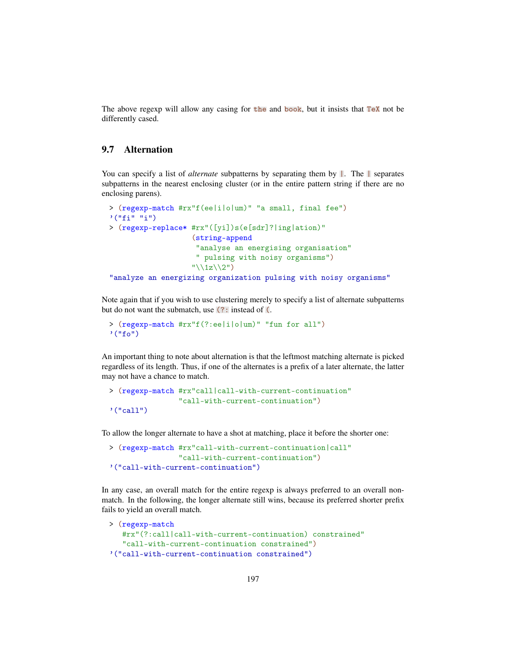The above regexp will allow any casing for the and book, but it insists that  $T\in X$  not be differently cased.

# 9.7 Alternation

You can specify a list of *alternate* subpatterns by separating them by  $\parallel$ . The  $\parallel$  separates subpatterns in the nearest enclosing cluster (or in the entire pattern string if there are no enclosing parens).

```
> (regexp-match #rx"f(ee|i|o|um)" "a small, final fee")
'("fi" "i")
> (regexp-replace* #rx"([yi])s(e[sdr]?|ing|ation)"
                   (string-append
                    "analyse an energising organisation"
                    " pulsing with noisy organisms")
                   "\\1z\\2""analyze an energizing organization pulsing with noisy organisms"
```
Note again that if you wish to use clustering merely to specify a list of alternate subpatterns but do not want the submatch, use (?: instead of (.)

```
> (regexp-match #rx"f(?:ee|i|o|um)" "fun for all")
'("fo")
```
An important thing to note about alternation is that the leftmost matching alternate is picked regardless of its length. Thus, if one of the alternates is a prefix of a later alternate, the latter may not have a chance to match.

```
> (regexp-match #rx"call|call-with-current-continuation"
                "call-with-current-continuation")
'("call")
```
To allow the longer alternate to have a shot at matching, place it before the shorter one:

```
> (regexp-match #rx"call-with-current-continuation|call"
                "call-with-current-continuation")
'("call-with-current-continuation")
```
In any case, an overall match for the entire regexp is always preferred to an overall nonmatch. In the following, the longer alternate still wins, because its preferred shorter prefix fails to yield an overall match.

```
> (regexp-match
   #rx"(?:call|call-with-current-continuation) constrained"
   "call-with-current-continuation constrained")
'("call-with-current-continuation constrained")
```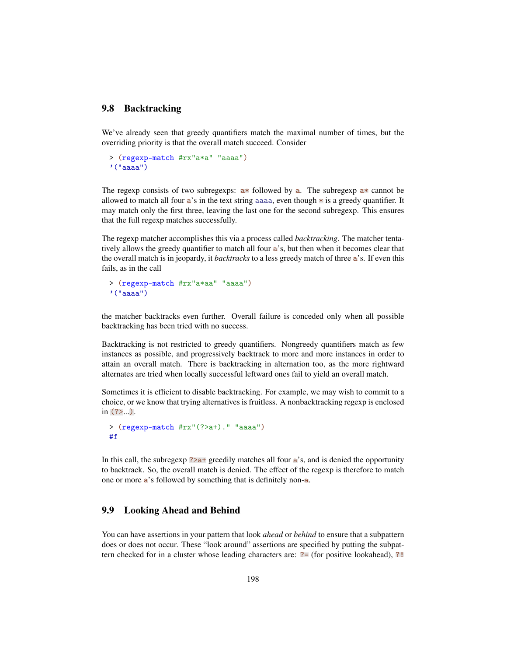# 9.8 Backtracking

We've already seen that greedy quantifiers match the maximal number of times, but the overriding priority is that the overall match succeed. Consider

```
> (regexp-match #rx"a*a" "aaaa")
'("aaaa")
```
The regexp consists of two subregexps:  $a*$  followed by a. The subregexp  $a*$  cannot be allowed to match all four  $a$ 's in the text string aaaa, even though  $\ast$  is a greedy quantifier. It may match only the first three, leaving the last one for the second subregexp. This ensures that the full regexp matches successfully.

The regexp matcher accomplishes this via a process called *backtracking*. The matcher tentatively allows the greedy quantifier to match all four a's, but then when it becomes clear that the overall match is in jeopardy, it *backtracks* to a less greedy match of three a's. If even this fails, as in the call

```
> (regexp-match #rx"a*aa" "aaaa")
'("aaaa")
```
the matcher backtracks even further. Overall failure is conceded only when all possible backtracking has been tried with no success.

Backtracking is not restricted to greedy quantifiers. Nongreedy quantifiers match as few instances as possible, and progressively backtrack to more and more instances in order to attain an overall match. There is backtracking in alternation too, as the more rightward alternates are tried when locally successful leftward ones fail to yield an overall match.

Sometimes it is efficient to disable backtracking. For example, we may wish to commit to a choice, or we know that trying alternatives is fruitless. A nonbacktracking regexp is enclosed in  $(?)_{...}$ .

```
> (regexp-match #rx"(?>a+)." "aaaa")
#f
```
In this call, the subregexp  $?$ >a+ greedily matches all four a's, and is denied the opportunity to backtrack. So, the overall match is denied. The effect of the regexp is therefore to match one or more a's followed by something that is definitely non-a.

# 9.9 Looking Ahead and Behind

You can have assertions in your pattern that look *ahead* or *behind* to ensure that a subpattern does or does not occur. These "look around" assertions are specified by putting the subpattern checked for in a cluster whose leading characters are: ?= (for positive lookahead), ?!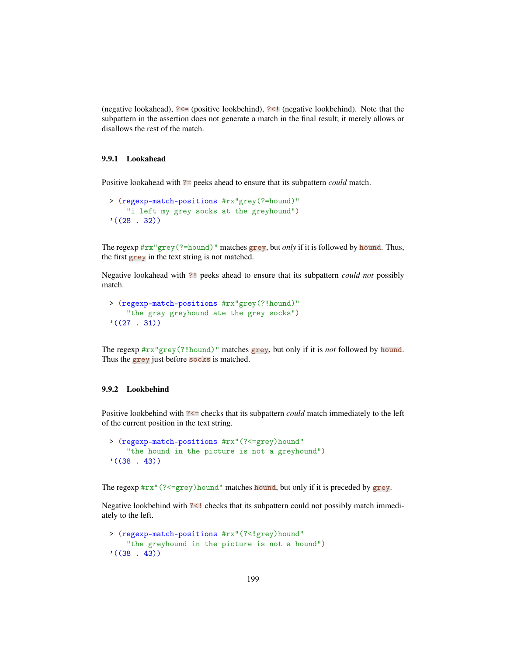(negative lookahead), ?<= (positive lookbehind), ?<! (negative lookbehind). Note that the subpattern in the assertion does not generate a match in the final result; it merely allows or disallows the rest of the match.

### 9.9.1 Lookahead

Positive lookahead with ?= peeks ahead to ensure that its subpattern *could* match.

```
> (regexp-match-positions #rx"grey(?=hound)"
    "i left my grey socks at the greyhound")
'((28 \t32))
```
The regexp #rx"grey(?=hound)" matches grey, but *only* if it is followed by hound. Thus, the first grey in the text string is not matched.

Negative lookahead with ?! peeks ahead to ensure that its subpattern *could not* possibly match.

```
> (regexp-match-positions #rx"grey(?!hound)"
    "the gray greyhound ate the grey socks")
'((27 \ . \ 31))
```
The regexp #rx"grey(?!hound)" matches grey, but only if it is *not* followed by hound. Thus the grey just before socks is matched.

#### 9.9.2 Lookbehind

Positive lookbehind with ?<= checks that its subpattern *could* match immediately to the left of the current position in the text string.

```
> (regexp-match-positions #rx"(?<=grey)hound"
    "the hound in the picture is not a greyhound")
'((38 \t . 43))
```
The regexp  $\#rx''$  (?<=grey)hound" matches hound, but only if it is preceded by grey.

Negative lookbehind with ?<! checks that its subpattern could not possibly match immediately to the left.

```
> (regexp-match-positions #rx"(?<!grey)hound"
    "the greyhound in the picture is not a hound")
'((38 \t . 43))
```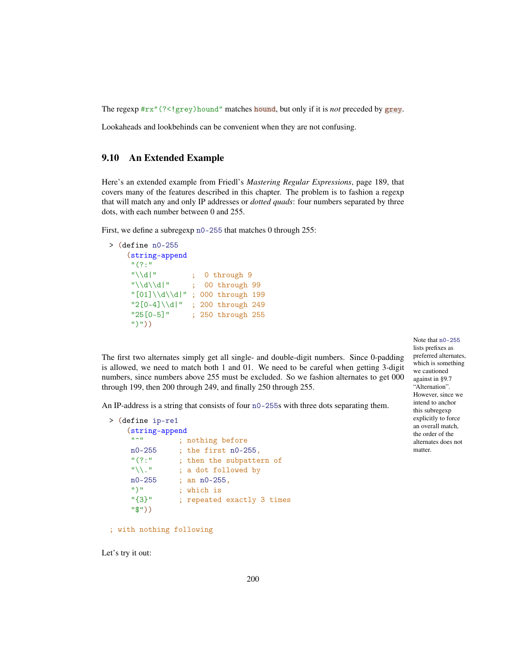The regexp #rx"(?<!grey)hound" matches hound, but only if it is *not* preceded by grey.

Lookaheads and lookbehinds can be convenient when they are not confusing.

## 9.10 An Extended Example

Here's an extended example from Friedl's *Mastering Regular Expressions*, page 189, that covers many of the features described in this chapter. The problem is to fashion a regexp that will match any and only IP addresses or *dotted quads*: four numbers separated by three dots, with each number between 0 and 255.

First, we define a subregexp n0-255 that matches 0 through 255:

```
> (define n0-255
   (string-append
    "(?:"
    "\\d|" ; 0 through 9
    "\\d\\d|" ; 00 through 99
    "[01]\\d\\d|" ; 000 through 199
    "2[0-4]\\d|" ; 200 through 249
    "25[0-5]" ; 250 through 255
    ")"))
```
The first two alternates simply get all single- and double-digit numbers. Since 0-padding is allowed, we need to match both 1 and 01. We need to be careful when getting 3-digit numbers, since numbers above 255 must be excluded. So we fashion alternates to get 000 through 199, then 200 through 249, and finally 250 through 255.

An IP-address is a string that consists of four n0-255s with three dots separating them.

```
> (define ip-re1
   (string-append
    "<sup>"</sup> ; nothing before
    n0-255 ; the first n0-255,
    "(?:" ; then the subpattern of
    "\\." ; a dot followed by
    n0-255 ; an n0-255,
    ")" ; which is
    "{3}" ; repeated exactly 3 times
    "$"))
```
; with nothing following

Let's try it out:

Note that n0-255 lists prefixes as preferred alternates, which is something we cautioned against in §9.7 "Alternation". However, since we intend to anchor this subregexp explicitly to force an overall match, the order of the alternates does not matter.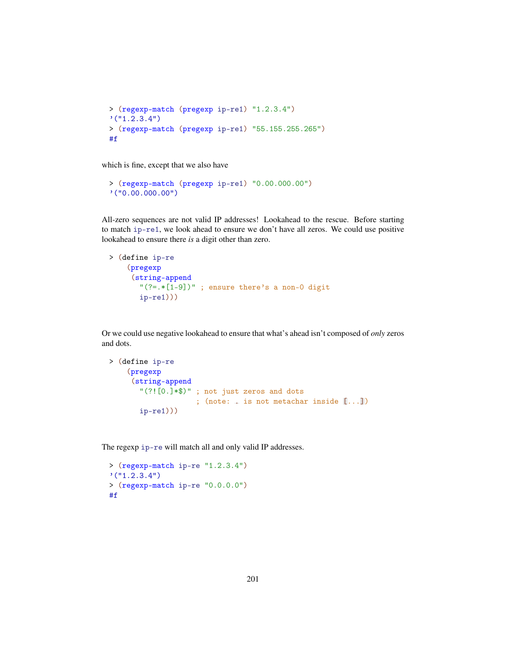```
> (regexp-match (pregexp ip-re1) "1.2.3.4")
'("1.2.3.4")
> (regexp-match (pregexp ip-re1) "55.155.255.265")
#f
```
which is fine, except that we also have

```
> (regexp-match (pregexp ip-re1) "0.00.000.00")
'("0.00.000.00")
```
All-zero sequences are not valid IP addresses! Lookahead to the rescue. Before starting to match ip-re1, we look ahead to ensure we don't have all zeros. We could use positive lookahead to ensure there *is* a digit other than zero.

```
> (define ip-re
    (pregexp
     (string-append
       "(?=.*[1-9])" ; ensure there's a non-0 digit
       ip-re1)))
```
Or we could use negative lookahead to ensure that what's ahead isn't composed of *only* zeros and dots.

```
> (define ip-re
    (pregexp
     (string-append
       "(?![0.]*$)" ; not just zeros and dots
                    ; (note: . is not metachar inside [...])
       ip-re1)))
```
The regexp ip-re will match all and only valid IP addresses.

```
> (regexp-match ip-re "1.2.3.4")
'("1.2.3.4")
> (regexp-match ip-re "0.0.0.0")
#f
```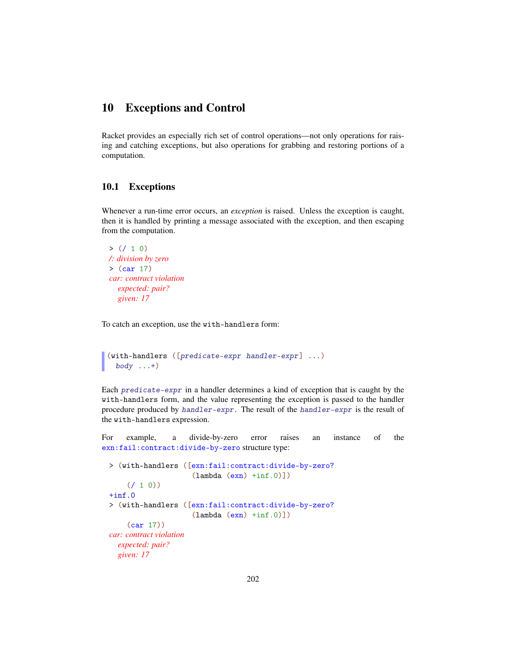# 10 Exceptions and Control

Racket provides an especially rich set of control operations—not only operations for raising and catching exceptions, but also operations for grabbing and restoring portions of a computation.

# 10.1 Exceptions

Whenever a run-time error occurs, an *exception* is raised. Unless the exception is caught, then it is handled by printing a message associated with the exception, and then escaping from the computation.

 $>$  (/ 1 0) */: division by zero* > (car 17) *car: contract violation expected: pair? given: 17*

To catch an exception, use the with-handlers form:

```
(with-handlers ([predicate-expr handler-expr ] ...)
  body \dots +)
```
Each predicate-expr in a handler determines a kind of exception that is caught by the with-handlers form, and the value representing the exception is passed to the handler procedure produced by handler-expr. The result of the handler-expr is the result of the with-handlers expression.

For example, a divide-by-zero error raises an instance of the exn:fail:contract:divide-by-zero structure type:

```
> (with-handlers ([exn:fail:contract:divide-by-zero?
                    (lambda (exn) +inf.0)]( / 1 0)+inf.0> (with-handlers ([exn:fail:contract:divide-by-zero?
                    (lambda (exn) +inf.0)])
    (car 17))
car: contract violation
  expected: pair?
  given: 17
```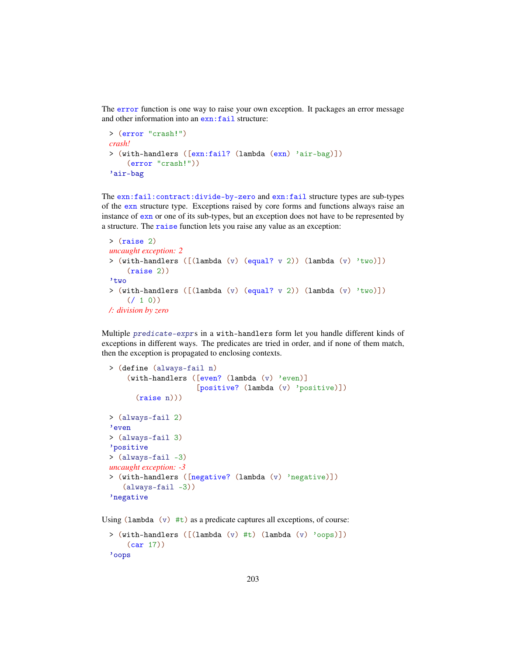The error function is one way to raise your own exception. It packages an error message and other information into an exn: fail structure:

```
> (error "crash!")
crash!
> (with-handlers ([exn:fail? (lambda (exn) 'air-bag)])
    (error "crash!"))
'air-bag
```
The exn:fail:contract:divide-by-zero and exn:fail structure types are sub-types of the exn structure type. Exceptions raised by core forms and functions always raise an instance of exn or one of its sub-types, but an exception does not have to be represented by a structure. The raise function lets you raise any value as an exception:

```
> (raise 2)
uncaught exception: 2
> (with-handlers ([(lambda (v) (equal? v 2)) (lambda (v) 'two)])
    (raise 2))
'two
> (with-handlers ([(lambda (v) (equal? v 2)) (lambda (v) 'two)])
    (7 1 0)/: division by zero
```
Multiple predicate-exprs in a with-handlers form let you handle different kinds of exceptions in different ways. The predicates are tried in order, and if none of them match, then the exception is propagated to enclosing contexts.

```
> (define (always-fail n)
    (with-handlers ([even? (lambda (v) 'even)]
                     [positive? (lambda (v) 'positive)])
      (raise n)))
> (always-fail 2)
'even
> (always-fail 3)
'positive
> (always-fail -3)
uncaught exception: -3
> (with-handlers ([negative? (lambda (v) 'negative)])
   (always-fail -3))
'negative
```
Using (lambda (v) #t) as a predicate captures all exceptions, of course:

```
> (with-handlers ([(lambda (v) #t) (lambda (v) 'oops)])
    (car 17))
'oops
```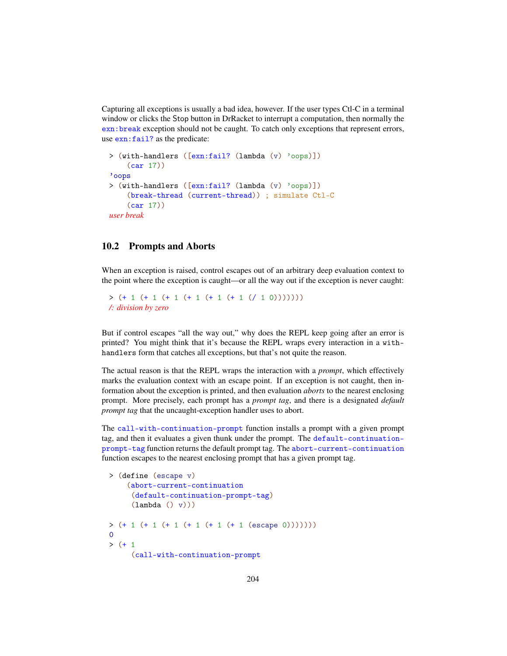Capturing all exceptions is usually a bad idea, however. If the user types Ctl-C in a terminal window or clicks the Stop button in DrRacket to interrupt a computation, then normally the exn:break exception should not be caught. To catch only exceptions that represent errors, use exn:fail? as the predicate:

```
> (with-handlers ([exn:fail? (lambda (v) 'oops)])
    (car 17))
'oops
> (with-handlers ([exn:fail? (lambda (v) 'oops)])
    (break-thread (current-thread)) ; simulate Ctl-C
    (car 17))
user break
```
# 10.2 Prompts and Aborts

When an exception is raised, control escapes out of an arbitrary deep evaluation context to the point where the exception is caught—or all the way out if the exception is never caught:

> (+ 1 (+ 1 (+ 1 (+ 1 (+ 1 (+ 1 (/ 1 0)))))))) */: division by zero*

But if control escapes "all the way out," why does the REPL keep going after an error is printed? You might think that it's because the REPL wraps every interaction in a withhandlers form that catches all exceptions, but that's not quite the reason.

The actual reason is that the REPL wraps the interaction with a *prompt*, which effectively marks the evaluation context with an escape point. If an exception is not caught, then information about the exception is printed, and then evaluation *aborts* to the nearest enclosing prompt. More precisely, each prompt has a *prompt tag*, and there is a designated *default prompt tag* that the uncaught-exception handler uses to abort.

The call-with-continuation-prompt function installs a prompt with a given prompt tag, and then it evaluates a given thunk under the prompt. The default-continuationprompt-tag function returns the default prompt tag. The abort-current-continuation function escapes to the nearest enclosing prompt that has a given prompt tag.

```
> (define (escape v)
    (abort-current-continuation
     (default-continuation-prompt-tag)
     (lambda () v))> (+ 1 (+ 1 (+ 1 (+ 1 (+ 1 (+ 1 (+ 1 (excape 0)))))))\Omega> (+ 1)
     (call-with-continuation-prompt
```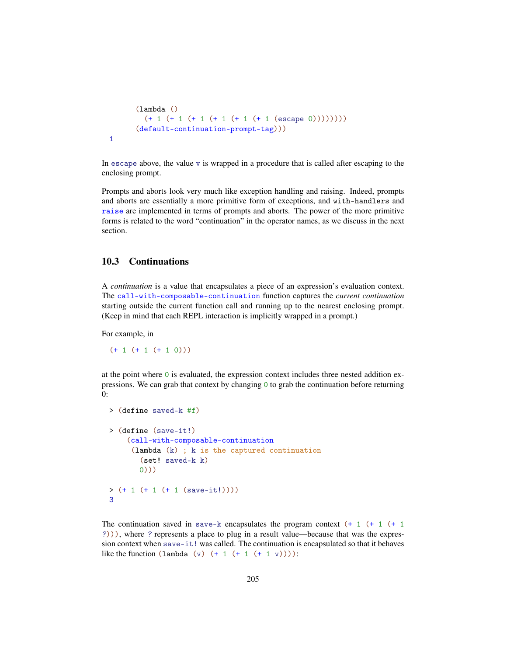```
(lambda ()
         (+ 1 (+ 1 (+ 1 (+ 1 (+ 1 (+ 1 (+ 1 ( + 1 ( 1 ( 1 1)))))))))(default-continuation-prompt-tag)))
1
```
In escape above, the value v is wrapped in a procedure that is called after escaping to the enclosing prompt.

Prompts and aborts look very much like exception handling and raising. Indeed, prompts and aborts are essentially a more primitive form of exceptions, and with-handlers and raise are implemented in terms of prompts and aborts. The power of the more primitive forms is related to the word "continuation" in the operator names, as we discuss in the next section.

# 10.3 Continuations

A *continuation* is a value that encapsulates a piece of an expression's evaluation context. The call-with-composable-continuation function captures the *current continuation* starting outside the current function call and running up to the nearest enclosing prompt. (Keep in mind that each REPL interaction is implicitly wrapped in a prompt.)

For example, in

 $(+ 1 (+ 1 (+ 1 0)))$ 

at the point where  $\theta$  is evaluated, the expression context includes three nested addition expressions. We can grab that context by changing  $\theta$  to grab the continuation before returning  $0:$ 

```
> (define saved-k #f)
> (define (save-it!)
    (call-with-composable-continuation
     (lambda (k) ; k is the captured continuation
       (set! saved-k k)
       0)))
> (+ 1 (+ 1 (+ 1 (save-it)))3
```
The continuation saved in save-k encapsulates the program context  $(+ 1 (+ 1 (+ 1$ ?))), where ? represents a place to plug in a result value—because that was the expression context when save-it! was called. The continuation is encapsulated so that it behaves like the function (lambda (v)  $(+ 1 (+ 1 (+ 1 (v))))$ :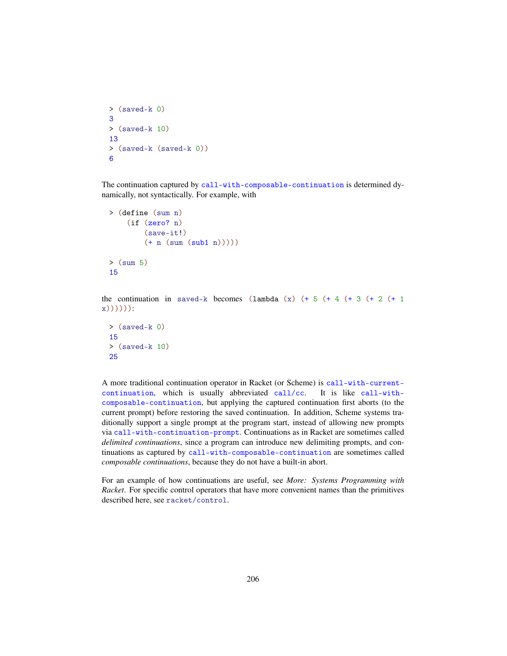```
> (saved-k 0)
3
> (saved-k 10)
13
> (saved-k (saved-k 0))
6
```
The continuation captured by call-with-composable-continuation is determined dynamically, not syntactically. For example, with

```
> (define (sum n)
    (if (zero? n)
        (save-it!)
        (+ n (sum (sub1 n))))> (sum 5)
15
```
the continuation in saved-k becomes (lambda  $(x)$  (+ 5 (+ 4 (+ 3 (+ 2 (+ 1)) x)))))):

```
> (saved-k 0)
15
> (saved-k 10)
25
```
A more traditional continuation operator in Racket (or Scheme) is call-with-currentcontinuation, which is usually abbreviated call/cc. It is like call-withcomposable-continuation, but applying the captured continuation first aborts (to the current prompt) before restoring the saved continuation. In addition, Scheme systems traditionally support a single prompt at the program start, instead of allowing new prompts via call-with-continuation-prompt. Continuations as in Racket are sometimes called *delimited continuations*, since a program can introduce new delimiting prompts, and continuations as captured by call-with-composable-continuation are sometimes called *composable continuations*, because they do not have a built-in abort.

For an example of how continuations are useful, see *More: Systems Programming with Racket*. For specific control operators that have more convenient names than the primitives described here, see racket/control.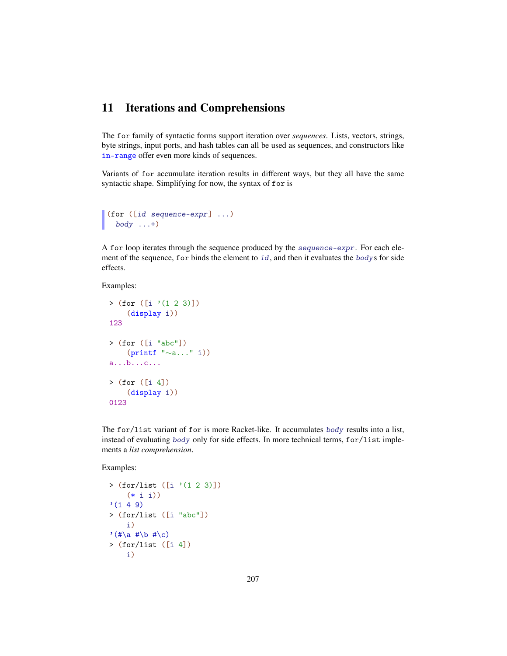# 11 Iterations and Comprehensions

The for family of syntactic forms support iteration over *sequences*. Lists, vectors, strings, byte strings, input ports, and hash tables can all be used as sequences, and constructors like in-range offer even more kinds of sequences.

Variants of for accumulate iteration results in different ways, but they all have the same syntactic shape. Simplifying for now, the syntax of for is

```
(for ([id sequence-expr] ...)
  body \dots +)
```
A for loop iterates through the sequence produced by the sequence-expr. For each element of the sequence, for binds the element to  $id$ , and then it evaluates the bodys for side effects.

Examples:

```
> (for ([i '(1 2 3)])
    (display i))
123
> (for ([i "abc"])
    (printf "∼a..." i))
a...b...c...
> (for ([i 4])
    (display i))
0123
```
The for/list variant of for is more Racket-like. It accumulates body results into a list, instead of evaluating body only for side effects. In more technical terms, for/list implements a *list comprehension*.

Examples:

```
> (for/list ([i '(1 2 3)])
    (* i i))'(1 \ 4 \ 9)> (for/list ([i "abc"])
    i)
'(#a #b #c)> (for/list ([i 4])
    i)
```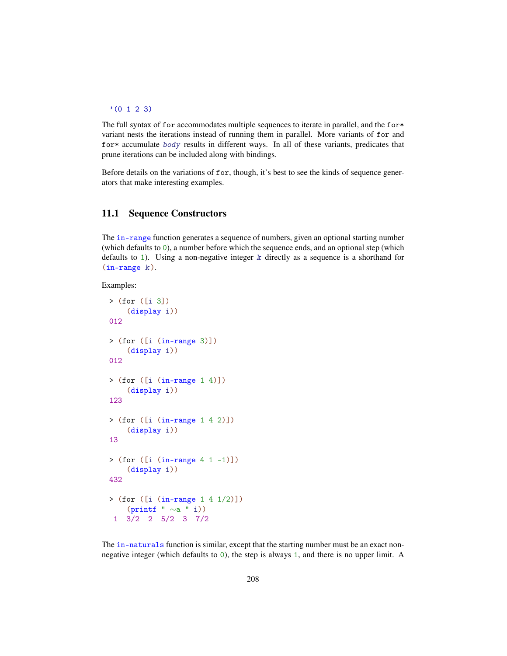$'$  (0 1 2 3)

The full syntax of for accommodates multiple sequences to iterate in parallel, and the for $*$ variant nests the iterations instead of running them in parallel. More variants of for and for\* accumulate body results in different ways. In all of these variants, predicates that prune iterations can be included along with bindings.

Before details on the variations of for, though, it's best to see the kinds of sequence generators that make interesting examples.

## 11.1 Sequence Constructors

The in-range function generates a sequence of numbers, given an optional starting number (which defaults to 0), a number before which the sequence ends, and an optional step (which defaults to 1). Using a non-negative integer  $k$  directly as a sequence is a shorthand for  $(in-range k).$ 

Examples:

```
> (for ([i 3])
    (display i))
012
> (for ([i (in-range 3)])
    (display i))
012
> (for ([i (in-range 1 4)])
    (display i))
123
> (for ([i (in-range 1 4 2)])
    (display i))
13
> (for ([i (in-range 4 1 -1)])
    (display i))
432
> (for ([i (in-range 1 4 1/2)])
    (\text{printf} \text{ " } \sim a \text{ " } i))1 3/2 2 5/2 3 7/2
```
The in-naturals function is similar, except that the starting number must be an exact nonnegative integer (which defaults to  $\circ$ ), the step is always 1, and there is no upper limit. A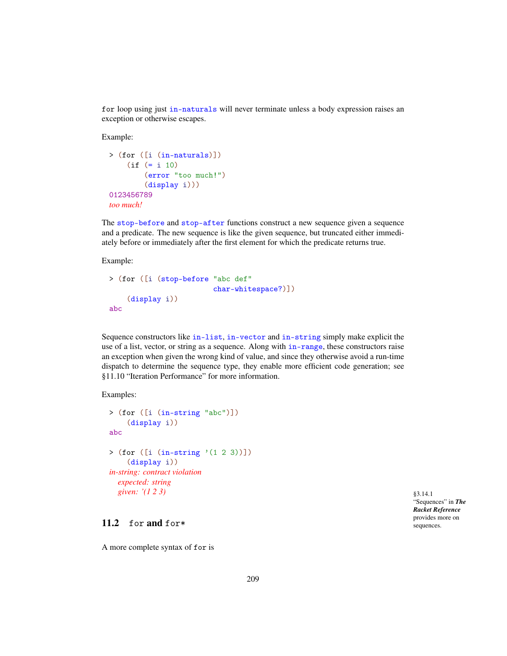for loop using just in-naturals will never terminate unless a body expression raises an exception or otherwise escapes.

Example:

```
> (for ([i (in-naturals)])
    (if (= i 10)
        (error "too much!")
        (display i)))
0123456789
too much!
```
The stop-before and stop-after functions construct a new sequence given a sequence and a predicate. The new sequence is like the given sequence, but truncated either immediately before or immediately after the first element for which the predicate returns true.

Example:

```
> (for ([i (stop-before "abc def"
                         char-whitespace?)])
    (display i))
abc
```
Sequence constructors like in-list, in-vector and in-string simply make explicit the use of a list, vector, or string as a sequence. Along with in-range, these constructors raise an exception when given the wrong kind of value, and since they otherwise avoid a run-time dispatch to determine the sequence type, they enable more efficient code generation; see §11.10 "Iteration Performance" for more information.

Examples:

```
> (for ([i (in-string "abc")])
   (display i))
abc
\rightarrow (for ([i (in-string '(1 2 3))])
   (display i))
in-string: contract violation
 expected: string
 given: '(1 2 3) §3.14.1
```
"Sequences" in *The Racket Reference* 11.2 for and for\* sequences.

A more complete syntax of for is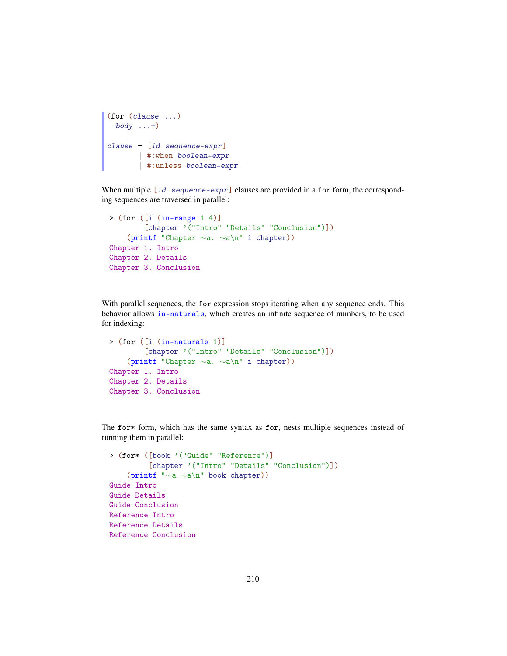```
(for (clause ...)
  body \dots+)clause = [id sequence-expr]
       | #:when boolean-expr
       | #:unless boolean-expr
```
When multiple  $\left[\begin{array}{cc} id & \text{sequence} - \text{expr} \end{array}\right]$  clauses are provided in a for form, the corresponding sequences are traversed in parallel:

```
> (for ([i (in-range 1 4)]
        [chapter '("Intro" "Details" "Conclusion")])
    (printf "Chapter ∼a. ∼a\n" i chapter))
Chapter 1. Intro
Chapter 2. Details
Chapter 3. Conclusion
```
With parallel sequences, the for expression stops iterating when any sequence ends. This behavior allows in-naturals, which creates an infinite sequence of numbers, to be used for indexing:

```
> (for ([i (in-naturals 1)]
        [chapter '("Intro" "Details" "Conclusion")])
    (printf "Chapter ∼a. ∼a\n" i chapter))
Chapter 1. Intro
Chapter 2. Details
Chapter 3. Conclusion
```
The for\* form, which has the same syntax as for, nests multiple sequences instead of running them in parallel:

```
> (for* ([book '("Guide" "Reference")]
         [chapter '("Intro" "Details" "Conclusion")])
    (printf "∼a ∼a\n" book chapter))
Guide Intro
Guide Details
Guide Conclusion
Reference Intro
Reference Details
Reference Conclusion
```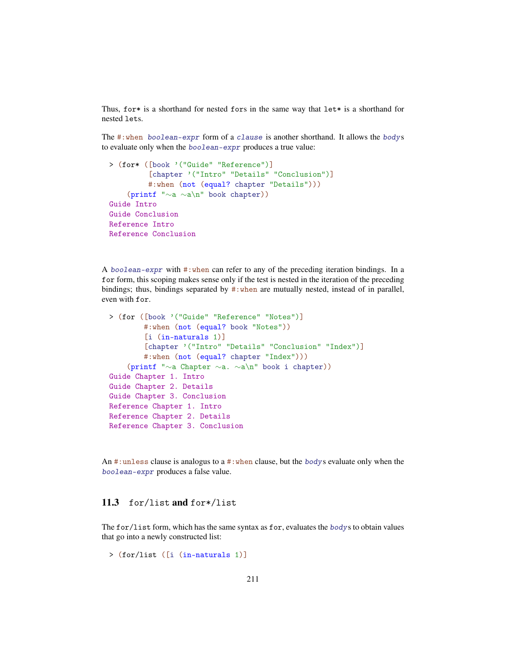Thus, for\* is a shorthand for nested fors in the same way that  $let*$  is a shorthand for nested lets.

The #:when boolean-expr form of a clause is another shorthand. It allows the bodys to evaluate only when the boolean-expr produces a true value:

```
> (for* ([book '("Guide" "Reference")]
         [chapter '("Intro" "Details" "Conclusion")]
         #:when (not (equal? chapter "Details")))
    (printf "∼a ∼a\n" book chapter))
Guide Intro
Guide Conclusion
Reference Intro
Reference Conclusion
```
A boolean-expr with #:when can refer to any of the preceding iteration bindings. In a for form, this scoping makes sense only if the test is nested in the iteration of the preceding bindings; thus, bindings separated by #:when are mutually nested, instead of in parallel, even with for.

```
> (for ([book '("Guide" "Reference" "Notes")]
        #:when (not (equal? book "Notes"))
        [i (in-naturals 1)]
        [chapter '("Intro" "Details" "Conclusion" "Index")]
        #:when (not (equal? chapter "Index")))
    (printf "∼a Chapter ∼a. ∼a\n" book i chapter))
Guide Chapter 1. Intro
Guide Chapter 2. Details
Guide Chapter 3. Conclusion
Reference Chapter 1. Intro
Reference Chapter 2. Details
Reference Chapter 3. Conclusion
```
An  $\#$ : unless clause is analogus to a  $\#$ : when clause, but the bodys evaluate only when the boolean-expr produces a false value.

# 11.3 for/list and for\*/list

The for/list form, which has the same syntax as for, evaluates the bodys to obtain values that go into a newly constructed list:

> (for/list ([i (in-naturals 1)]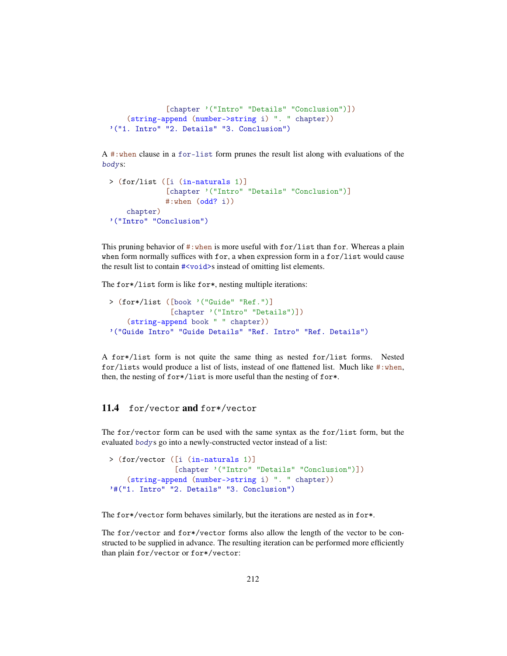```
[chapter '("Intro" "Details" "Conclusion")])
   (string-append (number->string i) ". " chapter))
'("1. Intro" "2. Details" "3. Conclusion")
```
A #:when clause in a for-list form prunes the result list along with evaluations of the bodys:

```
> (for/list ([i (in-naturals 1)]
             [chapter '("Intro" "Details" "Conclusion")]
             #:when (odd? i))
    chapter)
'("Intro" "Conclusion")
```
This pruning behavior of  $\#$ : when is more useful with  $for/l$  ist than for. Whereas a plain when form normally suffices with for, a when expression form in a for/list would cause the result list to contain #<void>s instead of omitting list elements.

The for\*/list form is like for\*, nesting multiple iterations:

```
> (for*/list ([book '("Guide" "Ref.")]
              [chapter '("Intro" "Details")])
    (string-append book " " chapter))
'("Guide Intro" "Guide Details" "Ref. Intro" "Ref. Details")
```
A for\*/list form is not quite the same thing as nested for/list forms. Nested for/lists would produce a list of lists, instead of one flattened list. Much like #:when, then, the nesting of for\*/list is more useful than the nesting of for\*.

# 11.4 for/vector and for\*/vector

The for/vector form can be used with the same syntax as the for/list form, but the evaluated bodys go into a newly-constructed vector instead of a list:

```
> (for/vector ([i (in-naturals 1)]
               [chapter '("Intro" "Details" "Conclusion")])
    (string-append (number->string i) ". " chapter))
'#("1. Intro" "2. Details" "3. Conclusion")
```
The for\*/vector form behaves similarly, but the iterations are nested as in for\*.

The for/vector and for\*/vector forms also allow the length of the vector to be constructed to be supplied in advance. The resulting iteration can be performed more efficiently than plain for/vector or for\*/vector: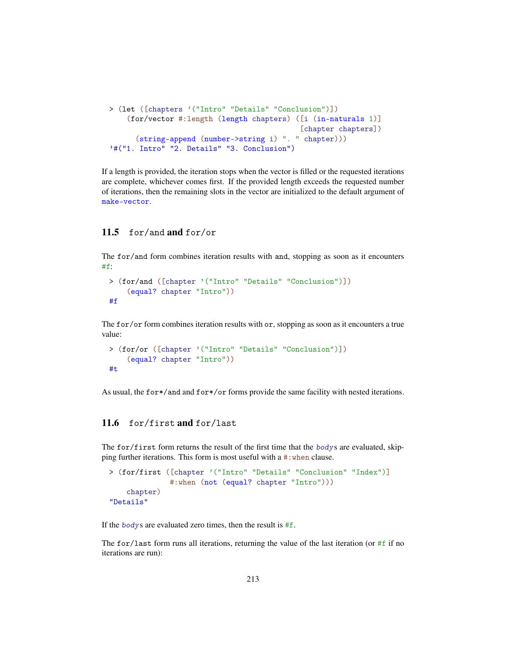```
> (let ([chapters '("Intro" "Details" "Conclusion")])
    (for/vector #:length (length chapters) ([i (in-naturals 1)]
                                             [chapter chapters])
      (string-append (number->string i) ". " chapter)))
'#("1. Intro" "2. Details" "3. Conclusion")
```
If a length is provided, the iteration stops when the vector is filled or the requested iterations are complete, whichever comes first. If the provided length exceeds the requested number of iterations, then the remaining slots in the vector are initialized to the default argument of make-vector.

# 11.5 for/and and for/or

The for/and form combines iteration results with and, stopping as soon as it encounters #f:

```
> (for/and ([chapter '("Intro" "Details" "Conclusion")])
    (equal? chapter "Intro"))
#f
```
The for/or form combines iteration results with or, stopping as soon as it encounters a true value:

```
> (for/or ([chapter '("Intro" "Details" "Conclusion")])
    (equal? chapter "Intro"))
#t
```
As usual, the for\*/and and for\*/or forms provide the same facility with nested iterations.

# 11.6 for/first and for/last

The for/first form returns the result of the first time that the bodys are evaluated, skipping further iterations. This form is most useful with a #:when clause.

```
> (for/first ([chapter '("Intro" "Details" "Conclusion" "Index")]
              #:when (not (equal? chapter "Intro")))
    chapter)
"Details"
```
If the bodys are evaluated zero times, then the result is  $#f$ .

The for/last form runs all iterations, returning the value of the last iteration (or  $#f$  if no iterations are run):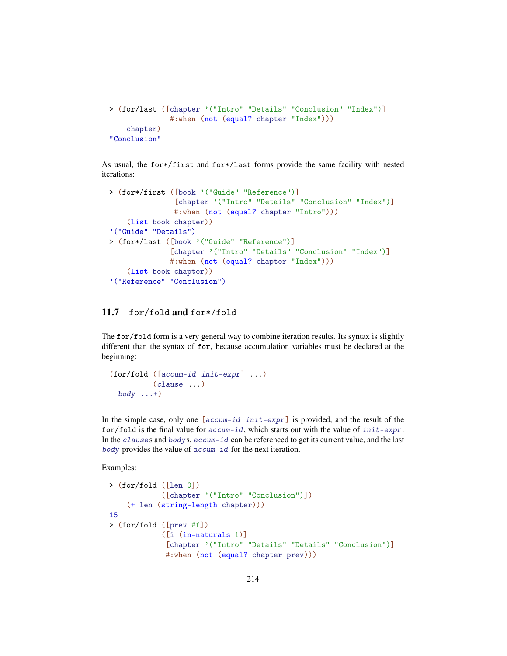```
> (for/last ([chapter '("Intro" "Details" "Conclusion" "Index")]
              #:when (not (equal? chapter "Index")))
    chapter)
"Conclusion"
```
As usual, the for\*/first and for\*/last forms provide the same facility with nested iterations:

```
> (for*/first ([book '("Guide" "Reference")]
               [chapter '("Intro" "Details" "Conclusion" "Index")]
               #:when (not (equal? chapter "Intro")))
    (list book chapter))
'("Guide" "Details")
> (for*/last ([book '("Guide" "Reference")]
              [chapter '("Intro" "Details" "Conclusion" "Index")]
              #:when (not (equal? chapter "Index")))
    (list book chapter))
'("Reference" "Conclusion")
```
# 11.7 for/fold and for\*/fold

The for/fold form is a very general way to combine iteration results. Its syntax is slightly different than the syntax of for, because accumulation variables must be declared at the beginning:

```
(for/fold ([accum-id init-expr] ...)
          (clause ...)
  body \dots +)
```
In the simple case, only one  $[accum - id \ init -expr]$  is provided, and the result of the for/fold is the final value for  $accum-id$ , which starts out with the value of  $init-expr$ . In the clauses and bodys, accum-id can be referenced to get its current value, and the last body provides the value of accum-id for the next iteration.

Examples:

```
> (for/fold ([len 0])
            ([chapter '("Intro" "Conclusion")])
    (+ len (string-length chapter)))
15
> (for/fold ([prev #f])
            ([i (in-naturals 1)]
             [chapter '("Intro" "Details" "Details" "Conclusion")]
             #:when (not (equal? chapter prev)))
```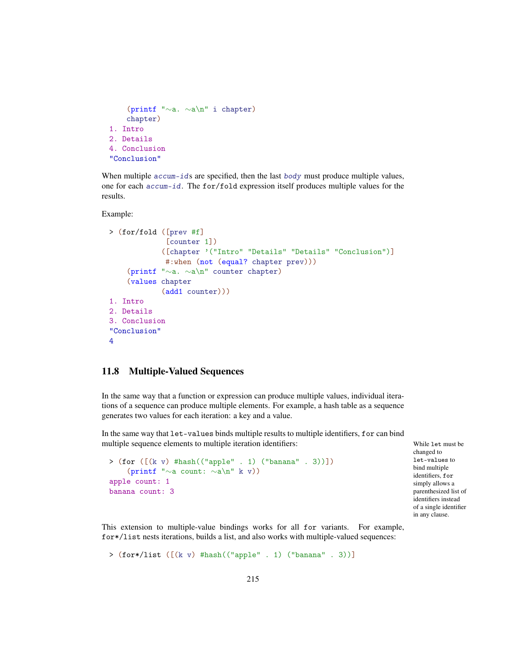```
(printf "∼a. ∼a\n" i chapter)
    chapter)
1. Intro
2. Details
4. Conclusion
"Conclusion"
```
When multiple  $\alpha$ ccum-ids are specified, then the last body must produce multiple values, one for each accum-id. The for/fold expression itself produces multiple values for the results.

Example:

```
> (for/fold ([prev #f]
             [counter 1])
            ([chapter '("Intro" "Details" "Details" "Conclusion")]
             #:when (not (equal? chapter prev)))
    (printf "∼a. ∼a\n" counter chapter)
    (values chapter
            (add1 counter)))
1. Intro
2. Details
3. Conclusion
"Conclusion"
4
```
# 11.8 Multiple-Valued Sequences

In the same way that a function or expression can produce multiple values, individual iterations of a sequence can produce multiple elements. For example, a hash table as a sequence generates two values for each iteration: a key and a value.

In the same way that let-values binds multiple results to multiple identifiers, for can bind multiple sequence elements to multiple iteration identifiers: While let must be While let must be

```
> (for ([k \t v) #hash(("apple" . 1) ("banana" . 3))])(printf "∼a count: ∼a\n" k v))
apple count: 1
banana count: 3
```
changed to let-values to bind multiple identifiers, for simply allows a parenthesized list of identifiers instead of a single identifier in any clause.

This extension to multiple-value bindings works for all for variants. For example, for\*/list nests iterations, builds a list, and also works with multiple-valued sequences:

> (for\*/list ([(k v) #hash(("apple" . 1) ("banana" . 3))]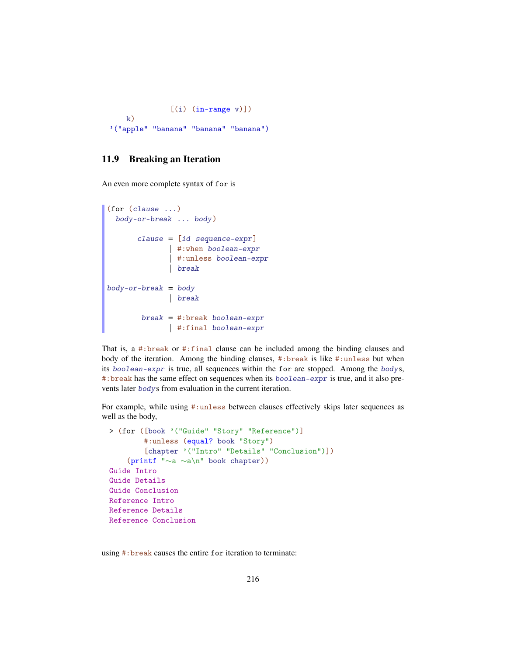$[(i)$   $(in-range$  v $)])$  $k)$ '("apple" "banana" "banana" "banana")

# 11.9 Breaking an Iteration

An even more complete syntax of for is

```
(for (clause ...)
  body-or-break ... body)
       clause = [id sequence-expr]| #:when boolean-expr
              | #:unless boolean-expr
              | break
body-or-break = body| break
       break = #:break boolean-expr| #:final boolean-expr
```
That is, a #:break or #:final clause can be included among the binding clauses and body of the iteration. Among the binding clauses, #:break is like #:unless but when its boolean-expr is true, all sequences within the for are stopped. Among the bodys, #:break has the same effect on sequences when its boolean-expr is true, and it also prevents later bodys from evaluation in the current iteration.

For example, while using #:unless between clauses effectively skips later sequences as well as the body,

```
> (for ([book '("Guide" "Story" "Reference")]
        #:unless (equal? book "Story")
        [chapter '("Intro" "Details" "Conclusion")])
    (printf "∼a ∼a\n" book chapter))
Guide Intro
Guide Details
Guide Conclusion
Reference Intro
Reference Details
Reference Conclusion
```
using #:break causes the entire for iteration to terminate: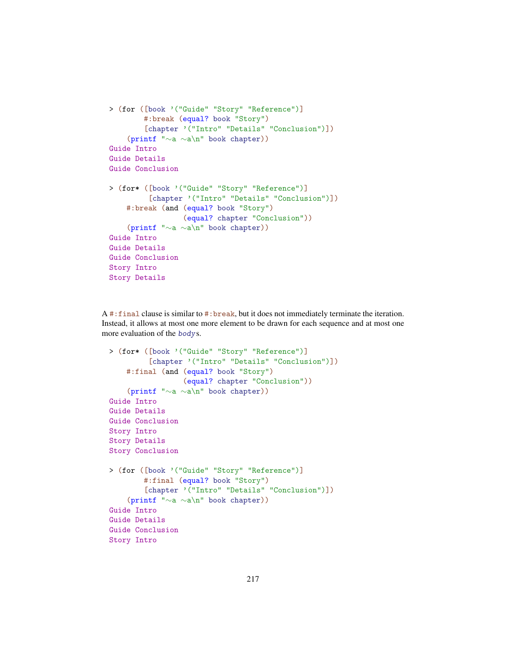```
> (for ([book '("Guide" "Story" "Reference")]
        #:break (equal? book "Story")
        [chapter '("Intro" "Details" "Conclusion")])
    (printf "∼a ∼a\n" book chapter))
Guide Intro
Guide Details
Guide Conclusion
> (for* ([book '("Guide" "Story" "Reference")]
         [chapter '("Intro" "Details" "Conclusion")])
    #:break (and (equal? book "Story")
                 (equal? chapter "Conclusion"))
    (printf "∼a ∼a\n" book chapter))
Guide Intro
Guide Details
Guide Conclusion
Story Intro
Story Details
```
A #:final clause is similar to #:break, but it does not immediately terminate the iteration. Instead, it allows at most one more element to be drawn for each sequence and at most one more evaluation of the bodys.

```
> (for* ([book '("Guide" "Story" "Reference")]
         [chapter '("Intro" "Details" "Conclusion")])
    #:final (and (equal? book "Story")
                 (equal? chapter "Conclusion"))
    (printf "∼a ∼a\n" book chapter))
Guide Intro
Guide Details
Guide Conclusion
Story Intro
Story Details
Story Conclusion
> (for ([book '("Guide" "Story" "Reference")]
        #:final (equal? book "Story")
        [chapter '("Intro" "Details" "Conclusion")])
    (printf "∼a ∼a\n" book chapter))
Guide Intro
Guide Details
Guide Conclusion
Story Intro
```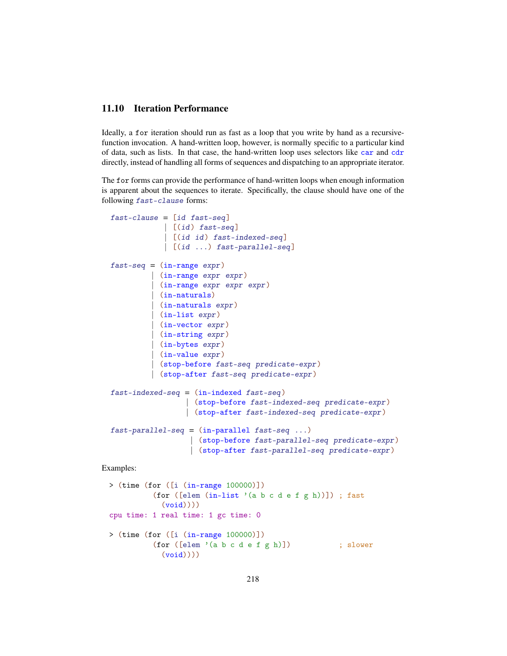# 11.10 Iteration Performance

Ideally, a for iteration should run as fast as a loop that you write by hand as a recursivefunction invocation. A hand-written loop, however, is normally specific to a particular kind of data, such as lists. In that case, the hand-written loop uses selectors like car and cdr directly, instead of handling all forms of sequences and dispatching to an appropriate iterator.

The for forms can provide the performance of hand-written loops when enough information is apparent about the sequences to iterate. Specifically, the clause should have one of the following fast-clause forms:

```
fast-clause = (id fast-seq]
            | [(id) fast-seq]
            | [(id id) fast-indexed-seq]
            | [(id ...) fast-parallel-seq]
fast-seq = (in-range expr)| (in-range expr expr)
         | (in-range expr expr expr)
         | (in-naturals)
         | (in-naturals expr)
         | (in-list expr)
         | (in-vector expr)
         | (in-string expr)
         | (in-bytes expr)
         | (in-value expr)
         | (stop-before fast-seq predicate-expr )
         | (stop-after fast-seq predicate-expr )
fast-indexed-seq = (in-indexed fast-seq)| (stop-before fast-indexed-seq predicate-expr )
                 | (stop-after fast-indexed-seq predicate-expr )
fast-parallel-seq = (in-parallel fast-seq ...)| (stop-before fast-parallel-seq predicate-expr )
                  | (stop-after fast-parallel-seq predicate-expr )
```
Examples:

```
> (time (for ([i (in-range 100000)])
          (for ([elem (in-list '(a b c d e f g h))]) ; fast
           (void))))cpu time: 1 real time: 1 gc time: 0
> (time (for ([i (in-range 100000)])
         (for (flem ' (a b c d e f g h)]) ; slower
           (void))))
```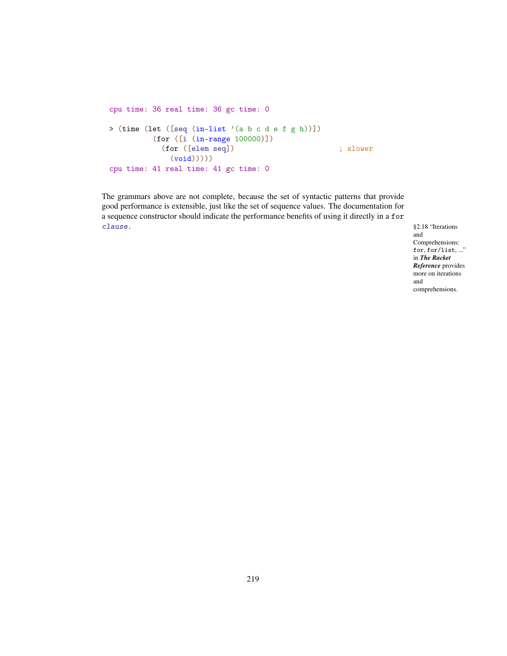```
cpu time: 36 real time: 36 gc time: 0
> (time (let ([seq (in-list '(a b c d e f g h))])
         (for ([i (in-range 100000)])
           (for ([elem seq]) ; slower
            (void))))cpu time: 41 real time: 41 gc time: 0
```
The grammars above are not complete, because the set of syntactic patterns that provide good performance is extensible, just like the set of sequence values. The documentation for a sequence constructor should indicate the performance benefits of using it directly in a for clause. §2.18 "Iterations

and Comprehensions: for, for/list, ..." in *The Racket Reference* provides more on iterations and comprehensions.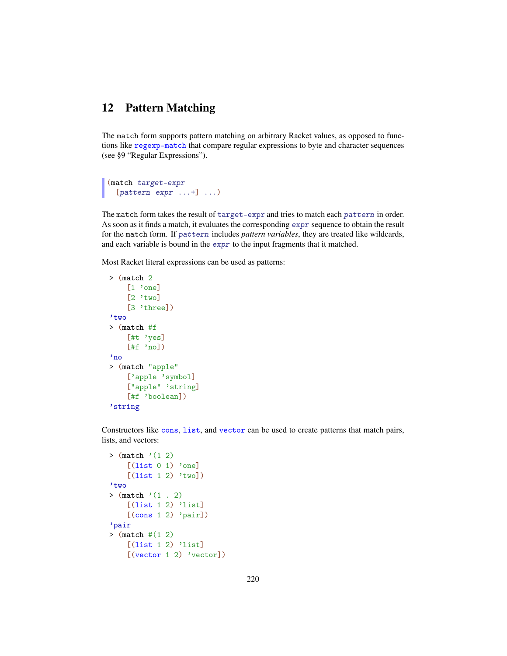# 12 Pattern Matching

The match form supports pattern matching on arbitrary Racket values, as opposed to functions like regexp-match that compare regular expressions to byte and character sequences (see §9 "Regular Expressions").

```
(match target-expr
  [pattern \ expr \ ...+] \ ...)
```
The match form takes the result of target-expr and tries to match each pattern in order. As soon as it finds a match, it evaluates the corresponding expr sequence to obtain the result for the match form. If pattern includes *pattern variables*, they are treated like wildcards, and each variable is bound in the expr to the input fragments that it matched.

Most Racket literal expressions can be used as patterns:

```
> (match 2
    [1 \text{ 'one}][2 'two]
    [3 'three])
'two
> (match #f
    [#t 'yes]
    [#f 'no])
'no
> (match "apple"
    ['apple 'symbol]
    ["apple" 'string]
    [#f 'boolean])
'string
```
Constructors like cons, list, and vector can be used to create patterns that match pairs, lists, and vectors:

```
> (match '(1\ 2))
     [(list 0 1) 'one]
     [(\text{list } 1 \ 2) \ \text{'two}])'two
> (match '(1 \cdot 2))
     [(list 1 2) 'list]
     [(cons 1 2) 'pair])
'pair
> (match #(1 2)
    [(list 1 2) 'list]
     [(vector 1 2) 'vector])
```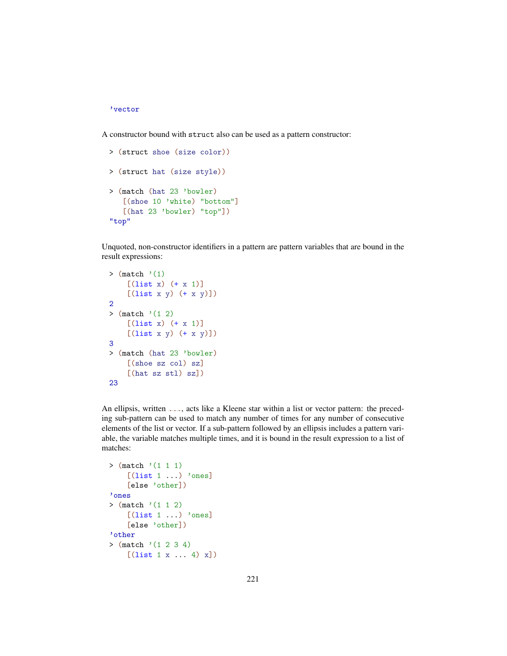'vector

A constructor bound with struct also can be used as a pattern constructor:

```
> (struct shoe (size color))
> (struct hat (size style))
> (match (hat 23 'bowler)
   [(shoe 10 'white) "bottom"]
   [(hat 23 'bowler) "top"])
"top"
```
Unquoted, non-constructor identifiers in a pattern are pattern variables that are bound in the result expressions:

```
> (match '(1))
     [(\text{list } x) (+ x 1)][(\text{list } x \ y) (+ x \ y)]2
> (match '(1\ 2))
     [(\text{list } x) (+ x 1)][(\text{list } x \ y) (+ x \ y)])3
> (match (hat 23 'bowler)
     [(shoe sz col) sz]
     [(hat sz stl) sz])
23
```
An ellipsis, written ..., acts like a Kleene star within a list or vector pattern: the preceding sub-pattern can be used to match any number of times for any number of consecutive elements of the list or vector. If a sub-pattern followed by an ellipsis includes a pattern variable, the variable matches multiple times, and it is bound in the result expression to a list of matches:

```
> (match '(1 \ 1 \ 1))
     [(list 1 ...) 'ones]
     [else 'other])
'ones
> (match '(1\ 1\ 2))
     [(list 1 ...) 'ones]
     [else 'other])
'other
> (match (1\ 2\ 3\ 4))
     [(\text{list } 1 \times \ldots 4) \times])
```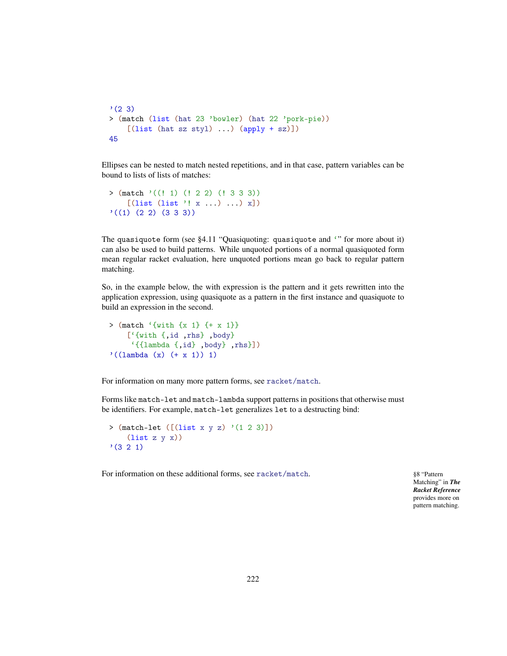```
'(2 3)
> (match (list (hat 23 'bowler) (hat 22 'pork-pie))
     [(\text{list (hat sz styl) ...}) (\text{apply } + \text{sz})])45
```
Ellipses can be nested to match nested repetitions, and in that case, pattern variables can be bound to lists of lists of matches:

```
> (match '((! 1) (! 2 2) (! 3 3 3))
    [(\text{list } '! x ... ) ... ) x]'((1) (2 2) (3 3 3))
```
The quasiquote form (see §4.11 "Quasiquoting: quasiquote and '" for more about it) can also be used to build patterns. While unquoted portions of a normal quasiquoted form mean regular racket evaluation, here unquoted portions mean go back to regular pattern matching.

So, in the example below, the with expression is the pattern and it gets rewritten into the application expression, using quasiquote as a pattern in the first instance and quasiquote to build an expression in the second.

```
> (match '{with {x 1} {+ x 1}}
    ['{with {,id ,rhs} ,body}
     '{{lambda {,id} ,body} ,rhs}])
'((lambda (x) (+ x 1)) 1)
```
For information on many more pattern forms, see racket/match.

Forms like match-let and match-lambda support patterns in positions that otherwise must be identifiers. For example, match-let generalizes let to a destructing bind:

```
> (match-let ([(list x y z) '(1 2 3)])
    (list z y x))
(3 2 1)
```
For information on these additional forms, see racket/match. 
§8 "Pattern

Matching" in *The Racket Reference* provides more on pattern matching.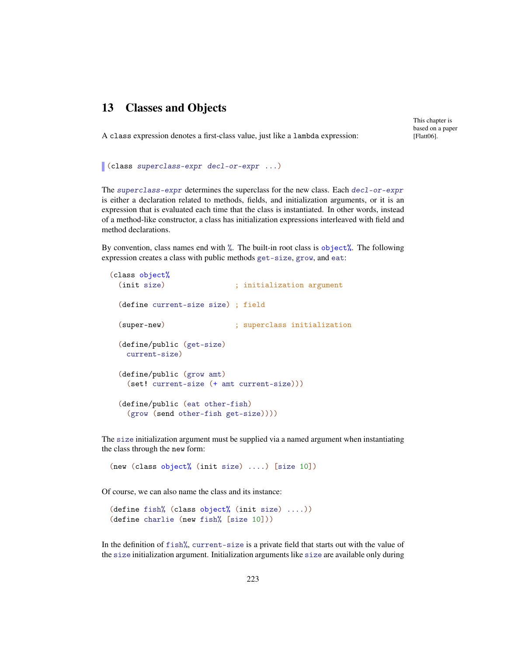# 13 Classes and Objects

A class expression denotes a first-class value, just like a lambda expression: [Flatt06].

This chapter is based on a paper

```
(class superclass-expr decl-or-expr ...)
```
The superclass-expr determines the superclass for the new class. Each decl-or-expr is either a declaration related to methods, fields, and initialization arguments, or it is an expression that is evaluated each time that the class is instantiated. In other words, instead of a method-like constructor, a class has initialization expressions interleaved with field and method declarations.

By convention, class names end with %. The built-in root class is object%. The following expression creates a class with public methods get-size, grow, and eat:

```
(class object%
 (init size) ; initialization argument
 (define current-size size) ; field
 (super-new) ; superclass initialization
 (define/public (get-size)
   current-size)
 (define/public (grow amt)
   (set! current-size (+ amt current-size)))
 (define/public (eat other-fish)
   (grow (send other-fish get-size))))
```
The size initialization argument must be supplied via a named argument when instantiating the class through the new form:

(new (class object% (init size) ....) [size 10])

Of course, we can also name the class and its instance:

```
(define fish% (class object% (init size) ....))
(define charlie (new fish% [size 10]))
```
In the definition of fish%, current-size is a private field that starts out with the value of the size initialization argument. Initialization arguments like size are available only during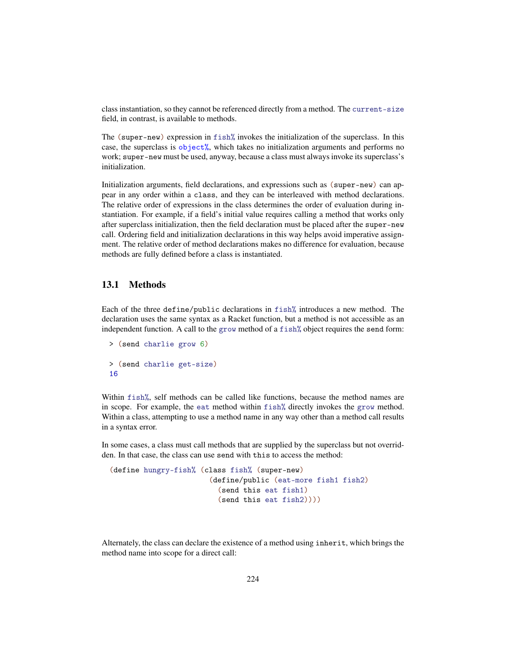class instantiation, so they cannot be referenced directly from a method. The current-size field, in contrast, is available to methods.

The (super-new) expression in fish% invokes the initialization of the superclass. In this case, the superclass is object%, which takes no initialization arguments and performs no work; super-new must be used, anyway, because a class must always invoke its superclass's initialization.

Initialization arguments, field declarations, and expressions such as (super-new) can appear in any order within a class, and they can be interleaved with method declarations. The relative order of expressions in the class determines the order of evaluation during instantiation. For example, if a field's initial value requires calling a method that works only after superclass initialization, then the field declaration must be placed after the super-new call. Ordering field and initialization declarations in this way helps avoid imperative assignment. The relative order of method declarations makes no difference for evaluation, because methods are fully defined before a class is instantiated.

### 13.1 Methods

Each of the three define/public declarations in fish% introduces a new method. The declaration uses the same syntax as a Racket function, but a method is not accessible as an independent function. A call to the grow method of a fish% object requires the send form:

```
> (send charlie grow 6)
> (send charlie get-size)
16
```
Within fish<sup>%</sup>, self methods can be called like functions, because the method names are in scope. For example, the eat method within fish% directly invokes the grow method. Within a class, attempting to use a method name in any way other than a method call results in a syntax error.

In some cases, a class must call methods that are supplied by the superclass but not overridden. In that case, the class can use send with this to access the method:

```
(define hungry-fish% (class fish% (super-new)
                       (define/public (eat-more fish1 fish2)
                         (send this eat fish1)
                         (send this eat fish2))))
```
Alternately, the class can declare the existence of a method using inherit, which brings the method name into scope for a direct call: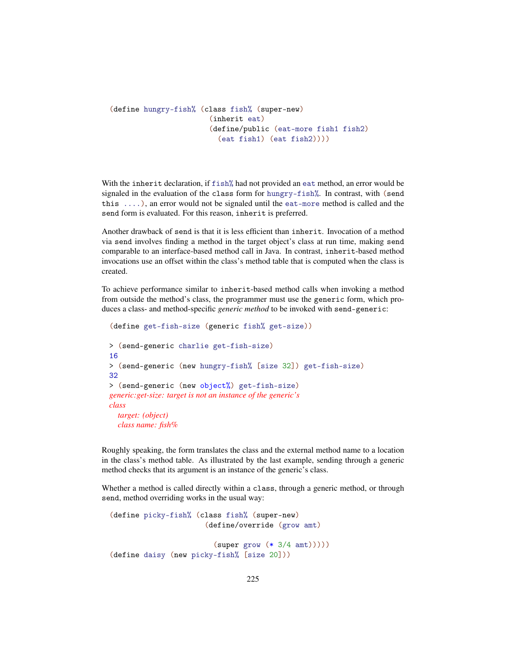```
(define hungry-fish% (class fish% (super-new)
                       (inherit eat)
                       (define/public (eat-more fish1 fish2)
                         (eat fish1) (eat fish2))))
```
With the inherit declaration, if  $fish\$  had not provided an eat method, an error would be signaled in the evaluation of the class form for hungry-fish%. In contrast, with (send this ....), an error would not be signaled until the eat-more method is called and the send form is evaluated. For this reason, inherit is preferred.

Another drawback of send is that it is less efficient than inherit. Invocation of a method via send involves finding a method in the target object's class at run time, making send comparable to an interface-based method call in Java. In contrast, inherit-based method invocations use an offset within the class's method table that is computed when the class is created.

To achieve performance similar to inherit-based method calls when invoking a method from outside the method's class, the programmer must use the generic form, which produces a class- and method-specific *generic method* to be invoked with send-generic:

```
(define get-fish-size (generic fish% get-size))
> (send-generic charlie get-fish-size)
16
> (send-generic (new hungry-fish% [size 32]) get-fish-size)
32
> (send-generic (new object%) get-fish-size)
generic:get-size: target is not an instance of the generic's
class
  target: (object)
  class name: fish%
```
Roughly speaking, the form translates the class and the external method name to a location in the class's method table. As illustrated by the last example, sending through a generic method checks that its argument is an instance of the generic's class.

Whether a method is called directly within a class, through a generic method, or through send, method overriding works in the usual way:

```
(define picky-fish% (class fish% (super-new)
                      (define/override (grow amt)
                        (super grow (* 3/4 amt)))))
(define daisy (new picky-fish% [size 20]))
```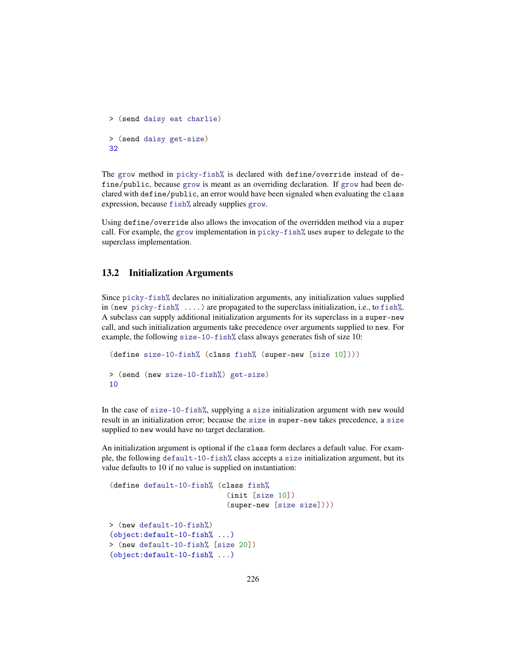```
> (send daisy eat charlie)
> (send daisy get-size)
32
```
The grow method in picky-fish% is declared with define/override instead of define/public, because grow is meant as an overriding declaration. If grow had been declared with define/public, an error would have been signaled when evaluating the class expression, because fish% already supplies grow.

Using define/override also allows the invocation of the overridden method via a super call. For example, the grow implementation in picky-fish% uses super to delegate to the superclass implementation.

# 13.2 Initialization Arguments

Since picky-fish% declares no initialization arguments, any initialization values supplied in (new picky-fish% ....) are propagated to the superclass initialization, i.e., to fish%. A subclass can supply additional initialization arguments for its superclass in a super-new call, and such initialization arguments take precedence over arguments supplied to new. For example, the following size-10-fish% class always generates fish of size 10:

```
(define size-10-fish% (class fish% (super-new [size 10])))
> (send (new size-10-fish%) get-size)
10
```
In the case of size-10-fish%, supplying a size initialization argument with new would result in an initialization error; because the size in super-new takes precedence, a size supplied to new would have no target declaration.

An initialization argument is optional if the class form declares a default value. For example, the following default-10-fish% class accepts a size initialization argument, but its value defaults to 10 if no value is supplied on instantiation:

```
(define default-10-fish% (class fish%
                            (init [size 10])
                            (super-new [size size])))
> (new default-10-fish%)
(object:default-10-fish% ...)
> (new default-10-fish% [size 20])
(object:default-10-fish% ...)
```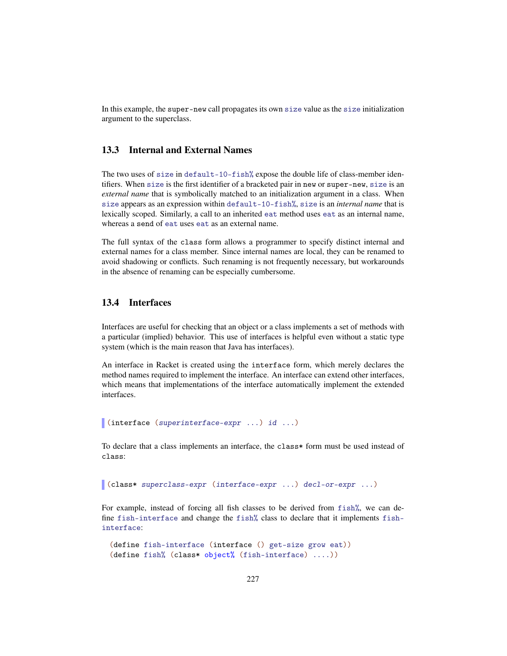In this example, the super-new call propagates its own size value as the size initialization argument to the superclass.

# 13.3 Internal and External Names

The two uses of size in default-10-fish% expose the double life of class-member identifiers. When size is the first identifier of a bracketed pair in new or super-new, size is an *external name* that is symbolically matched to an initialization argument in a class. When size appears as an expression within default-10-fish%, size is an *internal name* that is lexically scoped. Similarly, a call to an inherited eat method uses eat as an internal name, whereas a send of eat uses eat as an external name.

The full syntax of the class form allows a programmer to specify distinct internal and external names for a class member. Since internal names are local, they can be renamed to avoid shadowing or conflicts. Such renaming is not frequently necessary, but workarounds in the absence of renaming can be especially cumbersome.

# 13.4 Interfaces

Interfaces are useful for checking that an object or a class implements a set of methods with a particular (implied) behavior. This use of interfaces is helpful even without a static type system (which is the main reason that Java has interfaces).

An interface in Racket is created using the interface form, which merely declares the method names required to implement the interface. An interface can extend other interfaces, which means that implementations of the interface automatically implement the extended interfaces.

(interface (superinterface-expr ...) id ...)

To declare that a class implements an interface, the class\* form must be used instead of class:

(class\* superclass-expr (interface-expr ...) decl-or-expr ...)

For example, instead of forcing all fish classes to be derived from fish%, we can define fish-interface and change the fish% class to declare that it implements fishinterface:

```
(define fish-interface (interface () get-size grow eat))
(define fish% (class* object% (fish-interface) ....))
```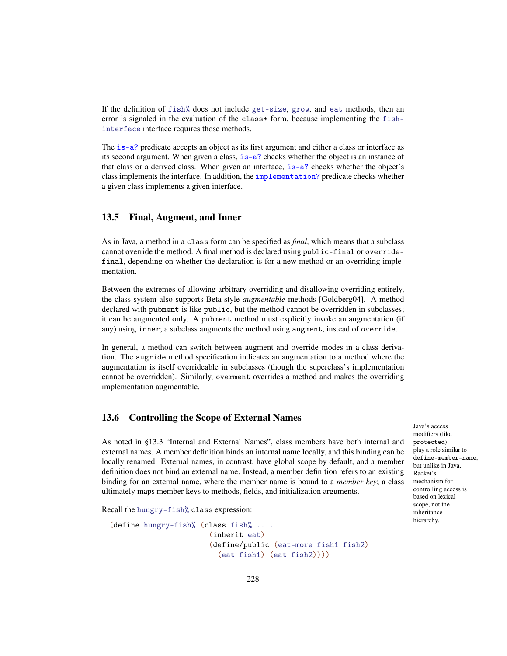If the definition of fish% does not include get-size, grow, and eat methods, then an error is signaled in the evaluation of the class\* form, because implementing the fishinterface interface requires those methods.

The is-a? predicate accepts an object as its first argument and either a class or interface as its second argument. When given a class,  $i = a$ ? checks whether the object is an instance of that class or a derived class. When given an interface, is-a? checks whether the object's class implements the interface. In addition, the implementation? predicate checks whether a given class implements a given interface.

# 13.5 Final, Augment, and Inner

As in Java, a method in a class form can be specified as *final*, which means that a subclass cannot override the method. A final method is declared using public-final or overridefinal, depending on whether the declaration is for a new method or an overriding implementation.

Between the extremes of allowing arbitrary overriding and disallowing overriding entirely, the class system also supports Beta-style *augmentable* methods [Goldberg04]. A method declared with pubment is like public, but the method cannot be overridden in subclasses; it can be augmented only. A pubment method must explicitly invoke an augmentation (if any) using inner; a subclass augments the method using augment, instead of override.

In general, a method can switch between augment and override modes in a class derivation. The augride method specification indicates an augmentation to a method where the augmentation is itself overrideable in subclasses (though the superclass's implementation cannot be overridden). Similarly, overment overrides a method and makes the overriding implementation augmentable.

# 13.6 Controlling the Scope of External Names

As noted in §13.3 "Internal and External Names", class members have both internal and external names. A member definition binds an internal name locally, and this binding can be locally renamed. External names, in contrast, have global scope by default, and a member definition does not bind an external name. Instead, a member definition refers to an existing binding for an external name, where the member name is bound to a *member key*; a class ultimately maps member keys to methods, fields, and initialization arguments.

Recall the hungry-fish% class expression:

```
(define hungry-fish% (class fish% ....
                       (inherit eat)
                       (define/public (eat-more fish1 fish2)
                         (eat fish1) (eat fish2))))
```
Java's access modifiers (like protected) play a role similar to define-member-name, but unlike in Java, Racket's mechanism for controlling access is based on lexical scope, not the inheritance hierarchy.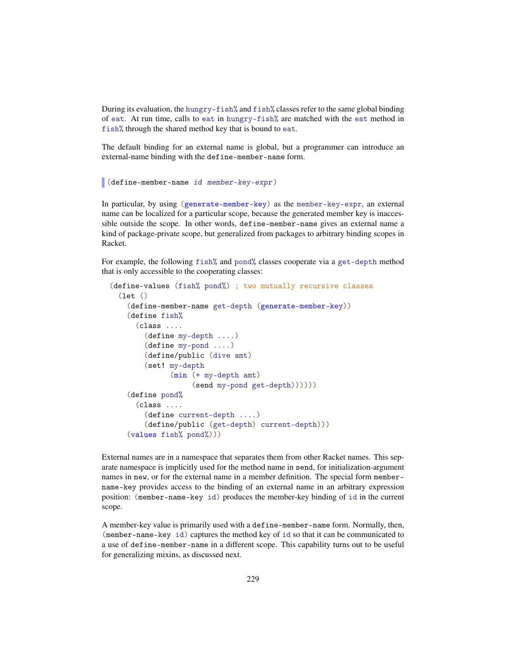During its evaluation, the hungry-fish% and fish% classes refer to the same global binding of eat. At run time, calls to eat in hungry-fish% are matched with the eat method in fish% through the shared method key that is bound to eat.

The default binding for an external name is global, but a programmer can introduce an external-name binding with the define-member-name form.

```
(define-member-name id member-key-expr )
```
In particular, by using (generate-member-key) as the member-key-expr, an external name can be localized for a particular scope, because the generated member key is inaccessible outside the scope. In other words, define-member-name gives an external name a kind of package-private scope, but generalized from packages to arbitrary binding scopes in Racket.

For example, the following fish% and pond% classes cooperate via a get-depth method that is only accessible to the cooperating classes:

```
(define-values (fish% pond%) ; two mutually recursive classes
 (let ()
    (define-member-name get-depth (generate-member-key))
    (define fish%
      (class \dots(define my-depth ....)
        (define my-pond ....)
        (define/public (dive amt)
        (set! my-depth
              (min (+ my-depth amt)
                   (send my-pond get-depth))))))
    (define pond%
      (class ....
        (define current-depth ....)
        (define/public (get-depth) current-depth)))
    (values fish% pond%)))
```
External names are in a namespace that separates them from other Racket names. This separate namespace is implicitly used for the method name in send, for initialization-argument names in new, or for the external name in a member definition. The special form membername-key provides access to the binding of an external name in an arbitrary expression position: (member-name-key id) produces the member-key binding of id in the current scope.

A member-key value is primarily used with a define-member-name form. Normally, then, (member-name-key id) captures the method key of id so that it can be communicated to a use of define-member-name in a different scope. This capability turns out to be useful for generalizing mixins, as discussed next.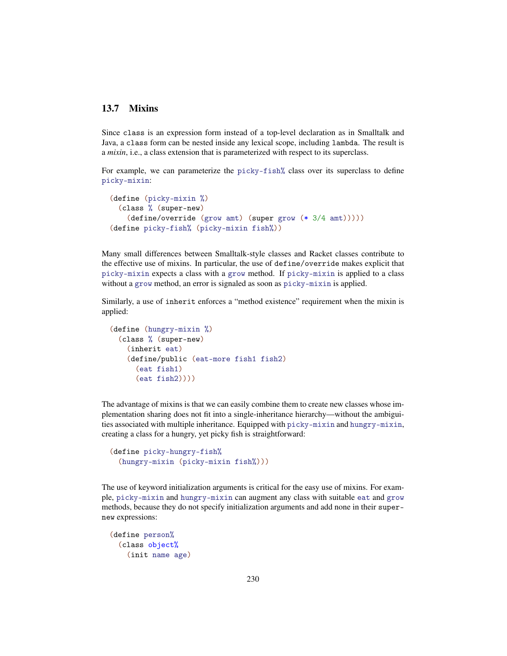# 13.7 Mixins

Since class is an expression form instead of a top-level declaration as in Smalltalk and Java, a class form can be nested inside any lexical scope, including lambda. The result is a *mixin*, i.e., a class extension that is parameterized with respect to its superclass.

For example, we can parameterize the picky-fish% class over its superclass to define picky-mixin:

```
(define (picky-mixin %)
 (class % (super-new)
   (define/override (grow amt) (super grow (* 3/4 amt)))))
(define picky-fish% (picky-mixin fish%))
```
Many small differences between Smalltalk-style classes and Racket classes contribute to the effective use of mixins. In particular, the use of define/override makes explicit that picky-mixin expects a class with a grow method. If picky-mixin is applied to a class without a grow method, an error is signaled as soon as picky-mixin is applied.

Similarly, a use of inherit enforces a "method existence" requirement when the mixin is applied:

```
(define (hungry-mixin %)
 (class % (super-new)
    (inherit eat)
    (define/public (eat-more fish1 fish2)
      (eat fish1)
      (eat fish2))))
```
The advantage of mixins is that we can easily combine them to create new classes whose implementation sharing does not fit into a single-inheritance hierarchy—without the ambiguities associated with multiple inheritance. Equipped with picky-mixin and hungry-mixin, creating a class for a hungry, yet picky fish is straightforward:

```
(define picky-hungry-fish%
  (hungry-mixin (picky-mixin fish%)))
```
The use of keyword initialization arguments is critical for the easy use of mixins. For example, picky-mixin and hungry-mixin can augment any class with suitable eat and grow methods, because they do not specify initialization arguments and add none in their supernew expressions:

```
(define person%
 (class object%
    (init name age)
```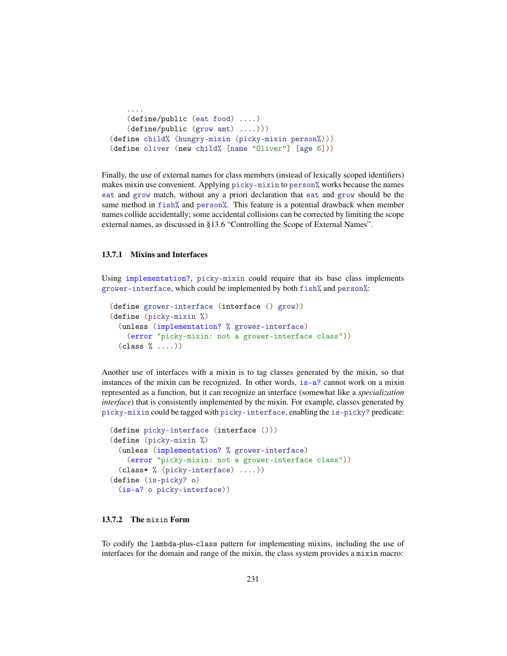```
....
    (define/public (eat food) ....)
    (define/public (grow amt) ....)))
(define child% (hungry-mixin (picky-mixin person%)))
(define oliver (new child% [name "Oliver"] [age 6]))
```
Finally, the use of external names for class members (instead of lexically scoped identifiers) makes mixin use convenient. Applying picky-mixin to person% works because the names eat and grow match, without any a priori declaration that eat and grow should be the same method in fish% and person%. This feature is a potential drawback when member names collide accidentally; some accidental collisions can be corrected by limiting the scope external names, as discussed in §13.6 "Controlling the Scope of External Names".

#### 13.7.1 Mixins and Interfaces

Using implementation?, picky-mixin could require that its base class implements grower-interface, which could be implemented by both fish% and person%:

```
(define grower-interface (interface () grow))
(define (picky-mixin %)
 (unless (implementation? % grower-interface)
   (error "picky-mixin: not a grower-interface class"))
 (class % ....))
```
Another use of interfaces with a mixin is to tag classes generated by the mixin, so that instances of the mixin can be recognized. In other words, is-a? cannot work on a mixin represented as a function, but it can recognize an interface (somewhat like a *specialization interface*) that is consistently implemented by the mixin. For example, classes generated by picky-mixin could be tagged with picky-interface, enabling the is-picky? predicate:

```
(define picky-interface (interface ()))
(define (picky-mixin %)
 (unless (implementation? % grower-interface)
   (error "picky-mixin: not a grower-interface class"))
 (class* % (picky-interface) ....))
(define (is-picky? o)
 (is-a? o picky-interface))
```
### 13.7.2 The mixin Form

To codify the lambda-plus-class pattern for implementing mixins, including the use of interfaces for the domain and range of the mixin, the class system provides a mixin macro: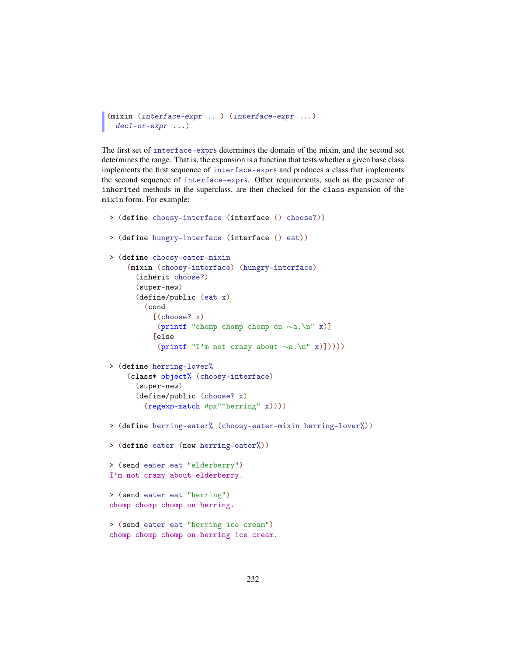```
(mixin (interface-expr ...) (interface-expr ...)
  decl-or-expr ...)
```
The first set of interface-exprs determines the domain of the mixin, and the second set determines the range. That is, the expansion is a function that tests whether a given base class implements the first sequence of interface-exprs and produces a class that implements the second sequence of interface-exprs. Other requirements, such as the presence of inherited methods in the superclass, are then checked for the class expansion of the mixin form. For example:

```
> (define choosy-interface (interface () choose?))
> (define hungry-interface (interface () eat))
> (define choosy-eater-mixin
    (mixin (choosy-interface) (hungry-interface)
      (inherit choose?)
      (super-new)
      (define/public (eat x)
        (cond
          [(choose? x)
           (printf "chomp chomp chomp on ∼a.\n" x)]
          [else
           (printf "I'm not crazy about ∼a.\n" x)]))))
> (define herring-lover%
    (class* object% (choosy-interface)
      (super-new)
      (define/public (choose? x)
        (regexp-match #px"^herring" x))))
> (define herring-eater% (choosy-eater-mixin herring-lover%))
> (define eater (new herring-eater%))
> (send eater eat "elderberry")
I'm not crazy about elderberry.
> (send eater eat "herring")
chomp chomp chomp on herring.
> (send eater eat "herring ice cream")
chomp chomp chomp on herring ice cream.
```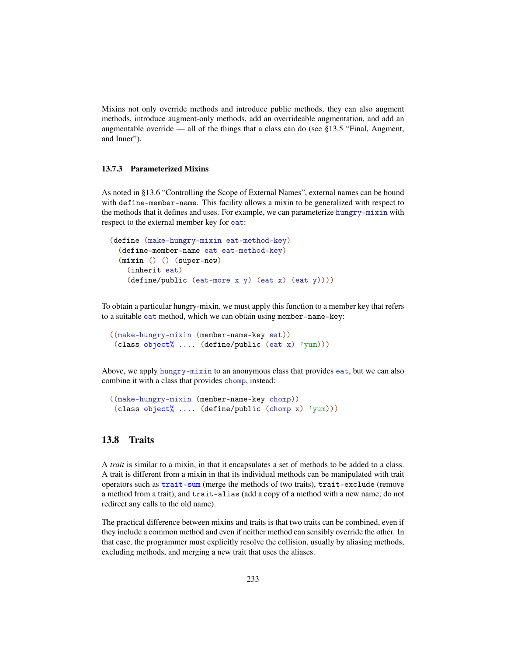Mixins not only override methods and introduce public methods, they can also augment methods, introduce augment-only methods, add an overrideable augmentation, and add an augmentable override — all of the things that a class can do (see §13.5 "Final, Augment, and Inner").

### 13.7.3 Parameterized Mixins

As noted in §13.6 "Controlling the Scope of External Names", external names can be bound with define-member-name. This facility allows a mixin to be generalized with respect to the methods that it defines and uses. For example, we can parameterize hungry-mixin with respect to the external member key for eat:

```
(define (make-hungry-mixin eat-method-key)
 (define-member-name eat eat-method-key)
 (mixin () () (super-new)
   (inherit eat)
    (define/public (eat-more x y) (eat x) (eat y))))
```
To obtain a particular hungry-mixin, we must apply this function to a member key that refers to a suitable eat method, which we can obtain using member-name-key:

```
((make-hungry-mixin (member-name-key eat))
 (class object% .... (define/public (eat x) 'yum)))
```
Above, we apply hungry-mixin to an anonymous class that provides eat, but we can also combine it with a class that provides chomp, instead:

```
((make-hungry-mixin (member-name-key chomp))
(class object% .... (define/public (chomp x) 'yum)))
```
## 13.8 Traits

A *trait* is similar to a mixin, in that it encapsulates a set of methods to be added to a class. A trait is different from a mixin in that its individual methods can be manipulated with trait operators such as trait-sum (merge the methods of two traits), trait-exclude (remove a method from a trait), and trait-alias (add a copy of a method with a new name; do not redirect any calls to the old name).

The practical difference between mixins and traits is that two traits can be combined, even if they include a common method and even if neither method can sensibly override the other. In that case, the programmer must explicitly resolve the collision, usually by aliasing methods, excluding methods, and merging a new trait that uses the aliases.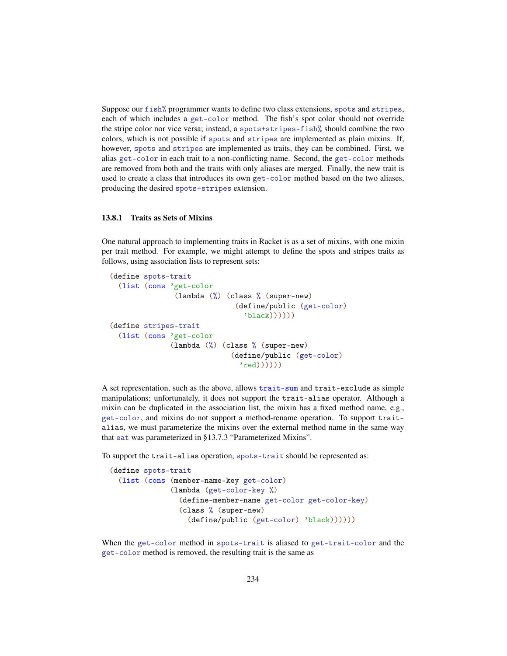Suppose our fish% programmer wants to define two class extensions, spots and stripes, each of which includes a get-color method. The fish's spot color should not override the stripe color nor vice versa; instead, a spots+stripes-fish% should combine the two colors, which is not possible if spots and stripes are implemented as plain mixins. If, however, spots and stripes are implemented as traits, they can be combined. First, we alias get-color in each trait to a non-conflicting name. Second, the get-color methods are removed from both and the traits with only aliases are merged. Finally, the new trait is used to create a class that introduces its own get-color method based on the two aliases, producing the desired spots+stripes extension.

#### 13.8.1 Traits as Sets of Mixins

One natural approach to implementing traits in Racket is as a set of mixins, with one mixin per trait method. For example, we might attempt to define the spots and stripes traits as follows, using association lists to represent sets:

```
(define spots-trait
 (list (cons 'get-color
               (lambda (%) (class % (super-new)
                             (define/public (get-color)
                               'black)))))(define stripes-trait
 (list (cons 'get-color
              (lambda (%) (class % (super-new)
                            (define/public (get-color)
                              'red))))))
```
A set representation, such as the above, allows trait-sum and trait-exclude as simple manipulations; unfortunately, it does not support the trait-alias operator. Although a mixin can be duplicated in the association list, the mixin has a fixed method name, e.g., get-color, and mixins do not support a method-rename operation. To support traitalias, we must parameterize the mixins over the external method name in the same way that eat was parameterized in §13.7.3 "Parameterized Mixins".

To support the trait-alias operation, spots-trait should be represented as:

```
(define spots-trait
 (list (cons (member-name-key get-color)
              (lambda (get-color-key %)
                (define-member-name get-color get-color-key)
                (class % (super-new)
                  (define/public (get-color) 'black))))))
```
When the get-color method in spots-trait is aliased to get-trait-color and the get-color method is removed, the resulting trait is the same as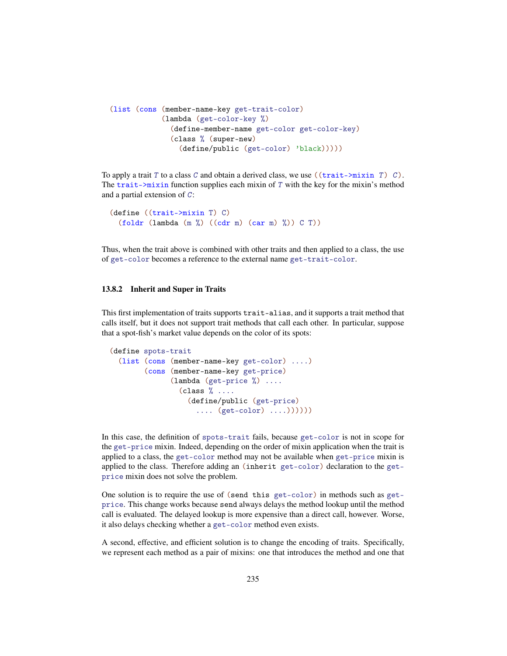```
(list (cons (member-name-key get-trait-color)
            (lambda (get-color-key %)
              (define-member-name get-color get-color-key)
              (class % (super-new)
                (define/public (get-color) 'black)))))
```
To apply a trait T to a class C and obtain a derived class, we use ((trait->mixin T) C). The  $\text{train}$ ->mixin function supplies each mixin of T with the key for the mixin's method and a partial extension of C:

```
(define ((trait->mixin T) C)
 (foldr (lambda (m %) (cdr m) (car m) %)) C T)
```
Thus, when the trait above is combined with other traits and then applied to a class, the use of get-color becomes a reference to the external name get-trait-color.

#### 13.8.2 Inherit and Super in Traits

This first implementation of traits supports trait-alias, and it supports a trait method that calls itself, but it does not support trait methods that call each other. In particular, suppose that a spot-fish's market value depends on the color of its spots:

```
(define spots-trait
  (list (cons (member-name-key get-color) ....)
        (cons (member-name-key get-price)
               (lambda (get-price %) ....
                 (class \% \ldots.
                   (define/public (get-price)
                     \ldots (get-color) \ldots...))))))
```
In this case, the definition of spots-trait fails, because get-color is not in scope for the get-price mixin. Indeed, depending on the order of mixin application when the trait is applied to a class, the get-color method may not be available when get-price mixin is applied to the class. Therefore adding an (inherit get-color) declaration to the getprice mixin does not solve the problem.

One solution is to require the use of (send this get-color) in methods such as getprice. This change works because send always delays the method lookup until the method call is evaluated. The delayed lookup is more expensive than a direct call, however. Worse, it also delays checking whether a get-color method even exists.

A second, effective, and efficient solution is to change the encoding of traits. Specifically, we represent each method as a pair of mixins: one that introduces the method and one that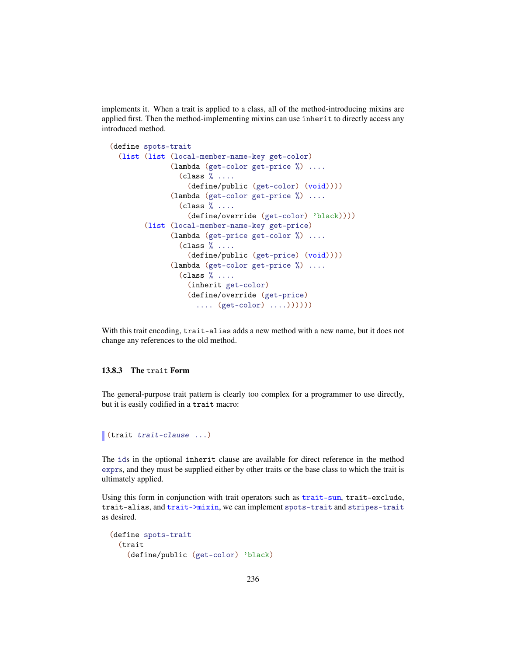implements it. When a trait is applied to a class, all of the method-introducing mixins are applied first. Then the method-implementing mixins can use inherit to directly access any introduced method.

```
(define spots-trait
 (list (list (local-member-name-key get-color)
              (lambda (get-color get-price %) ....
                (class \% \ldots.
                  (define/public (get-color) (void))))
              (lambda (get-color get-price %) ....
                (class \% \ldots.
                  (define/override (get-color) 'black))))
        (list (local-member-name-key get-price)
              (lambda (get-price get-color %) ....
                (class \% \ldots.
                  (define/public (get-price) (void))))
              (lambda (get-color get-price %) ....
                (class % ...(inherit get-color)
                  (define/override (get-price)
                    .... (get-color) ....)))))))
```
With this trait encoding, trait-alias adds a new method with a new name, but it does not change any references to the old method.

## 13.8.3 The trait Form

The general-purpose trait pattern is clearly too complex for a programmer to use directly, but it is easily codified in a trait macro:

```
(trait trait-clause ...)
```
The ids in the optional inherit clause are available for direct reference in the method exprs, and they must be supplied either by other traits or the base class to which the trait is ultimately applied.

Using this form in conjunction with trait operators such as trait-sum, trait-exclude, trait-alias, and trait->mixin, we can implement spots-trait and stripes-trait as desired.

```
(define spots-trait
 (trait
    (define/public (get-color) 'black)
```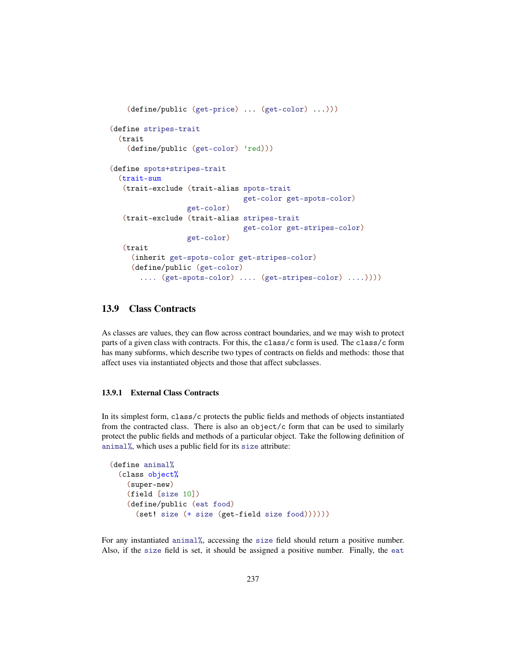```
(define/public (get-price) ... (get-color) ...)))
(define stripes-trait
 (trait
    (define/public (get-color) 'red)))
(define spots+stripes-trait
 (trait-sum
   (trait-exclude (trait-alias spots-trait
                               get-color get-spots-color)
                  get-color)
  (trait-exclude (trait-alias stripes-trait
                               get-color get-stripes-color)
                  get-color)
   (trait
     (inherit get-spots-color get-stripes-color)
     (define/public (get-color)
       .... (get-spots-color) .... (get-stripes-color) ....))))
```
### 13.9 Class Contracts

As classes are values, they can flow across contract boundaries, and we may wish to protect parts of a given class with contracts. For this, the class/c form is used. The class/c form has many subforms, which describe two types of contracts on fields and methods: those that affect uses via instantiated objects and those that affect subclasses.

#### 13.9.1 External Class Contracts

In its simplest form, class/c protects the public fields and methods of objects instantiated from the contracted class. There is also an  $object/c$  form that can be used to similarly protect the public fields and methods of a particular object. Take the following definition of animal%, which uses a public field for its size attribute:

```
(define animal%
 (class object%
    (super-new)
    (field [size 10])
    (define/public (eat food)
      (set! size (+ size (get-field size food))))))
```
For any instantiated animal<sup>%</sup>, accessing the size field should return a positive number. Also, if the size field is set, it should be assigned a positive number. Finally, the eat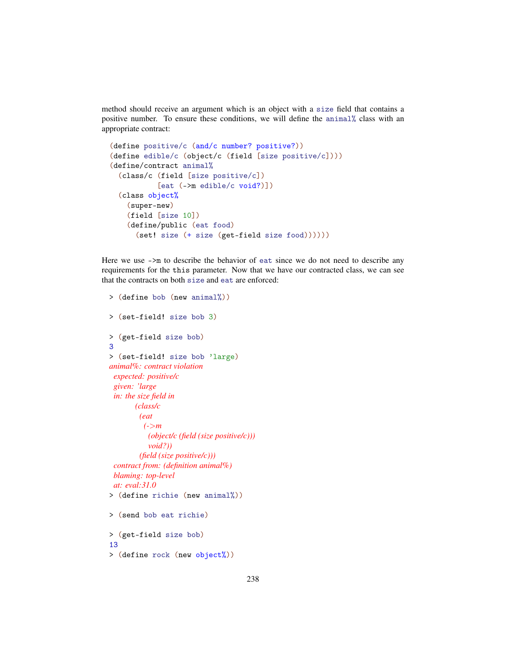method should receive an argument which is an object with a size field that contains a positive number. To ensure these conditions, we will define the animal% class with an appropriate contract:

```
(define positive/c (and/c number? positive?))
(define edible/c (object/c (field [size positive/c])))
(define/contract animal%
 (class/c (field [size positive/c])
           [eat (->m edible/c void?)])
 (class object%
   (super-new)
   (field [size 10])
   (define/public (eat food)
      (set! size (+ size (get-field size food))))))
```
Here we use  $\rightarrow$ m to describe the behavior of eat since we do not need to describe any requirements for the this parameter. Now that we have our contracted class, we can see that the contracts on both size and eat are enforced:

```
> (define bob (new animal%))
> (set-field! size bob 3)
> (get-field size bob)
3
> (set-field! size bob 'large)
animal%: contract violation
 expected: positive/c
 given: 'large
 in: the size field in
       (class/c
        (eat
         (->m
          (object/c (field (size positive/c)))
          void?))
        (field (size positive/c)))
 contract from: (definition animal%)
 blaming: top-level
 at: eval:31.0
> (define richie (new animal%))
> (send bob eat richie)
> (get-field size bob)
13
> (define rock (new object%))
```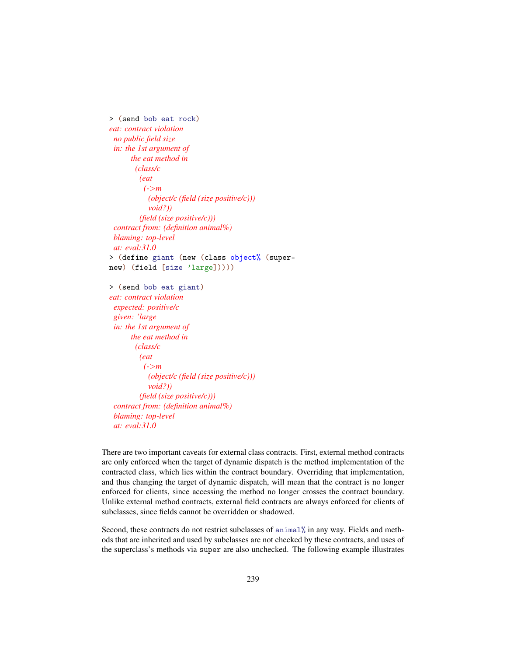```
> (send bob eat rock)
eat: contract violation
 no public field size
 in: the 1st argument of
      the eat method in
       (class/c
        (eat
          (->m
           (object/c (field (size positive/c)))
           void?))
        (field (size positive/c)))
 contract from: (definition animal%)
 blaming: top-level
 at: eval:31.0
> (define giant (new (class object% (super-
new) (field [size 'large]))))
> (send bob eat giant)
eat: contract violation
 expected: positive/c
 given: 'large
 in: the 1st argument of
      the eat method in
       (class/c
        (eat
          (->m
           (object/c (field (size positive/c)))
           void?))
        (field (size positive/c)))
 contract from: (definition animal%)
 blaming: top-level
 at: eval:31.0
```
There are two important caveats for external class contracts. First, external method contracts are only enforced when the target of dynamic dispatch is the method implementation of the contracted class, which lies within the contract boundary. Overriding that implementation, and thus changing the target of dynamic dispatch, will mean that the contract is no longer enforced for clients, since accessing the method no longer crosses the contract boundary. Unlike external method contracts, external field contracts are always enforced for clients of subclasses, since fields cannot be overridden or shadowed.

Second, these contracts do not restrict subclasses of animal% in any way. Fields and methods that are inherited and used by subclasses are not checked by these contracts, and uses of the superclass's methods via super are also unchecked. The following example illustrates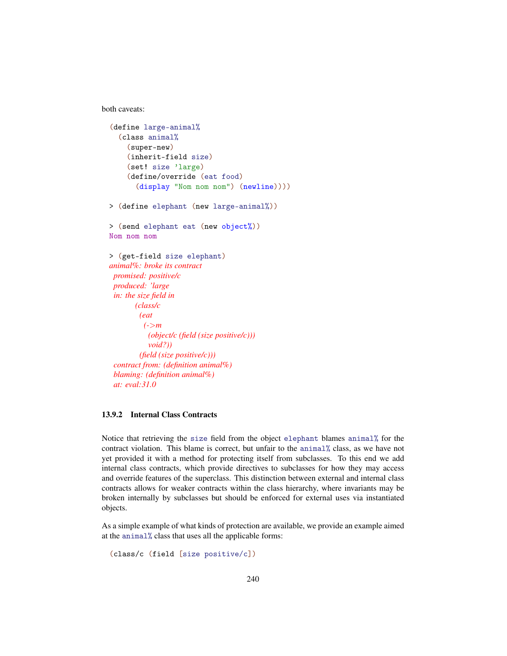both caveats:

```
(define large-animal%
  (class animal%
     (super-new)
     (inherit-field size)
     (set! size 'large)
     (define/override (eat food)
       (display "Nom nom nom") (newline))))
> (define elephant (new large-animal%))
> (send elephant eat (new object%))
Nom nom nom
> (get-field size elephant)
animal%: broke its contract
 promised: positive/c
 produced: 'large
 in: the size field in
       (class/c
        (eat
         (->m
          (object/c (field (size positive/c)))
          void?))
        (field (size positive/c)))
 contract from: (definition animal%)
 blaming: (definition animal%)
 at: eval:31.0
```
# 13.9.2 Internal Class Contracts

Notice that retrieving the size field from the object elephant blames animal% for the contract violation. This blame is correct, but unfair to the animal% class, as we have not yet provided it with a method for protecting itself from subclasses. To this end we add internal class contracts, which provide directives to subclasses for how they may access and override features of the superclass. This distinction between external and internal class contracts allows for weaker contracts within the class hierarchy, where invariants may be broken internally by subclasses but should be enforced for external uses via instantiated objects.

As a simple example of what kinds of protection are available, we provide an example aimed at the animal% class that uses all the applicable forms:

(class/c (field [size positive/c])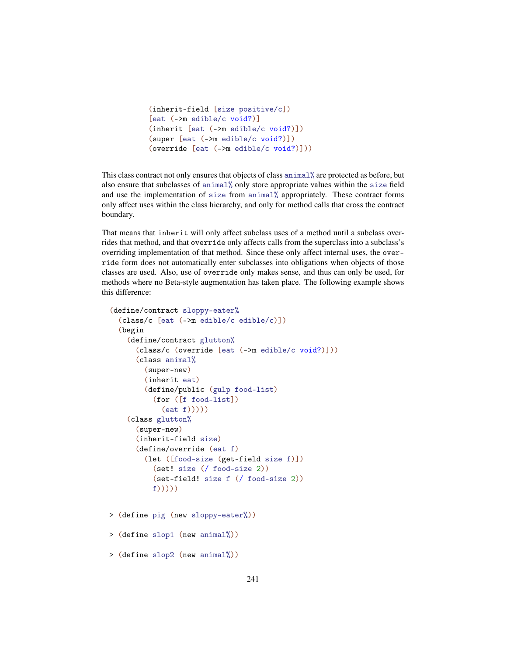```
(inherit-field [size positive/c])
[eat (->m edible/c void?)]
(inherit [eat (->m edible/c void?)])
(super [eat (->m edible/c void?)])
(override [eat (->m edible/c void?)]))
```
This class contract not only ensures that objects of class animal% are protected as before, but also ensure that subclasses of animal% only store appropriate values within the size field and use the implementation of size from animal% appropriately. These contract forms only affect uses within the class hierarchy, and only for method calls that cross the contract boundary.

That means that inherit will only affect subclass uses of a method until a subclass overrides that method, and that override only affects calls from the superclass into a subclass's overriding implementation of that method. Since these only affect internal uses, the override form does not automatically enter subclasses into obligations when objects of those classes are used. Also, use of override only makes sense, and thus can only be used, for methods where no Beta-style augmentation has taken place. The following example shows this difference:

```
(define/contract sloppy-eater%
  (class/c [eat (->m edible/c edible/c)])
  (begin
    (define/contract glutton%
      (class/c (override [eat (->m edible/c void?)]))
      (class animal%
        (super-new)
        (inherit eat)
        (define/public (gulp food-list)
          (for ([f food-list])
            (eat f))))(class glutton%
      (super-new)
      (inherit-field size)
      (define/override (eat f)
        (let ([food-size (get-field size f)])
          (set! size (/ food-size 2))
          (set-field! size f (/ food-size 2))
          f)))))
> (define pig (new sloppy-eater%))
> (define slop1 (new animal%))
> (define slop2 (new animal%))
```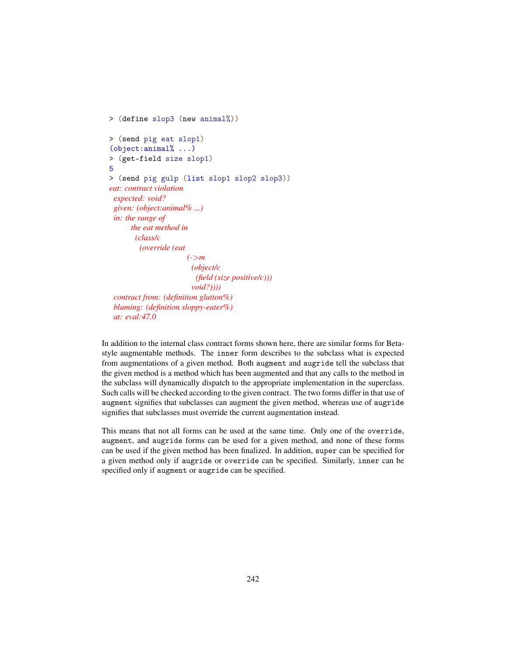```
> (define slop3 (new animal%))
> (send pig eat slop1)
(object:animal% ...)
> (get-field size slop1)
5
> (send pig gulp (list slop1 slop2 slop3))
eat: contract violation
 expected: void?
 given: (object:animal% ...)
 in: the range of
      the eat method in
       (class/c
        (override (eat
                     (->m
                      (object/c
                        (field (size positive/c)))
                       void?))))
 contract from: (definition glutton%)
 blaming: (definition sloppy-eater%)
 at: eval:47.0
```
In addition to the internal class contract forms shown here, there are similar forms for Betastyle augmentable methods. The inner form describes to the subclass what is expected from augmentations of a given method. Both augment and augride tell the subclass that the given method is a method which has been augmented and that any calls to the method in the subclass will dynamically dispatch to the appropriate implementation in the superclass. Such calls will be checked according to the given contract. The two forms differ in that use of augment signifies that subclasses can augment the given method, whereas use of augride signifies that subclasses must override the current augmentation instead.

This means that not all forms can be used at the same time. Only one of the override, augment, and augride forms can be used for a given method, and none of these forms can be used if the given method has been finalized. In addition, super can be specified for a given method only if augride or override can be specified. Similarly, inner can be specified only if augment or augride can be specified.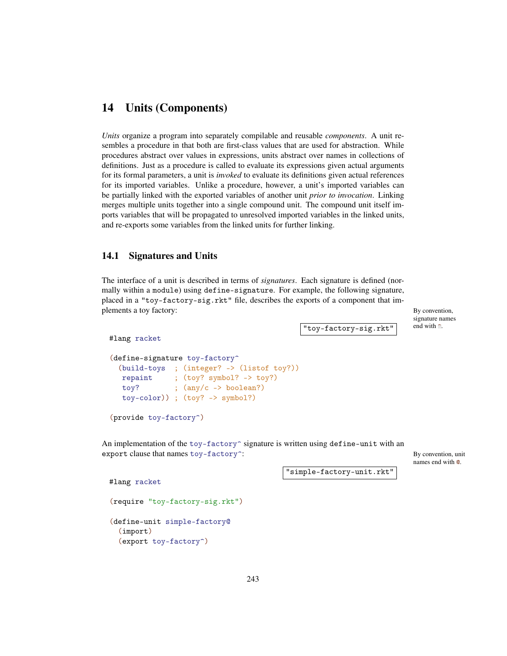# 14 Units (Components)

*Units* organize a program into separately compilable and reusable *components*. A unit resembles a procedure in that both are first-class values that are used for abstraction. While procedures abstract over values in expressions, units abstract over names in collections of definitions. Just as a procedure is called to evaluate its expressions given actual arguments for its formal parameters, a unit is *invoked* to evaluate its definitions given actual references for its imported variables. Unlike a procedure, however, a unit's imported variables can be partially linked with the exported variables of another unit *prior to invocation*. Linking merges multiple units together into a single compound unit. The compound unit itself imports variables that will be propagated to unresolved imported variables in the linked units, and re-exports some variables from the linked units for further linking.

### 14.1 Signatures and Units

The interface of a unit is described in terms of *signatures*. Each signature is defined (normally within a module) using define-signature. For example, the following signature, placed in a "toy-factory-sig.rkt" file, describes the exports of a component that implements a toy factory: By convention, By convention, By convention,

"toy-factory-sig.rkt" end with  $\blacksquare$ .

signature names

```
#lang racket
(define-signature toy-factory^
  (build-toys ; (integer? -> (listof toy?))
  repaint ; (toy? symbol? -> toy?)
  toy? ; (any/c -> boolean?)
  toy-color)) ; (toy? -> symbol?)
```

```
(provide toy-factory^)
```
#lang racket

An implementation of the toy-factory $\hat{ }$  signature is written using define-unit with an export clause that names toy-factory^: By convention, unit

names end with @.

```
"simple-factory-unit.rkt"
```

```
(require "toy-factory-sig.rkt")
(define-unit simple-factory@
 (import)
 (export toy-factory^)
```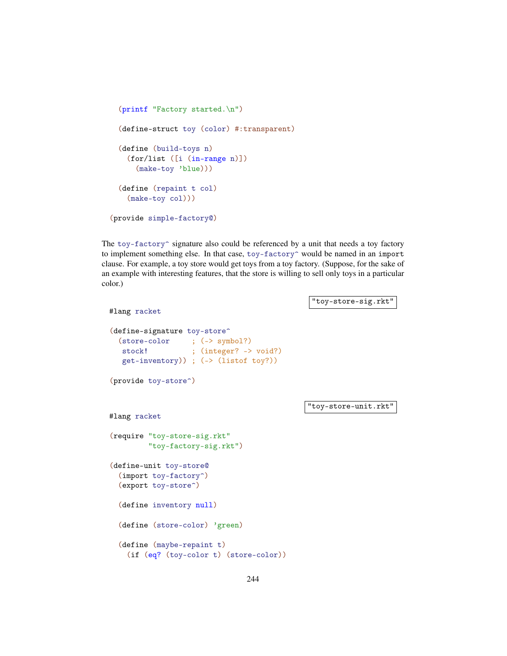```
(printf "Factory started.\n")
 (define-struct toy (color) #:transparent)
 (define (build-toys n)
    (for/list ([i (in-range n)])
     (make-toy 'blue)))
 (define (repaint t col)
    (make-toy col)))
(provide simple-factory@)
```
The toy-factory $\hat{\ }$  signature also could be referenced by a unit that needs a toy factory to implement something else. In that case, toy-factory^ would be named in an import clause. For example, a toy store would get toys from a toy factory. (Suppose, for the sake of an example with interesting features, that the store is willing to sell only toys in a particular color.)

"toy-store-sig.rkt"

```
#lang racket
(define-signature toy-store^
  (store-color ; (-> symbol?)
  stock! ; (integer? -> void?)
   get-inventory)) ; (-> (listof toy?))
(provide toy-store^)
                                              "toy-store-unit.rkt"
#lang racket
(require "toy-store-sig.rkt"
         "toy-factory-sig.rkt")
(define-unit toy-store@
  (import toy-factory^)
  (export toy-store^)
  (define inventory null)
  (define (store-color) 'green)
  (define (maybe-repaint t)
    (if (eq? (toy-color t) (store-color))
```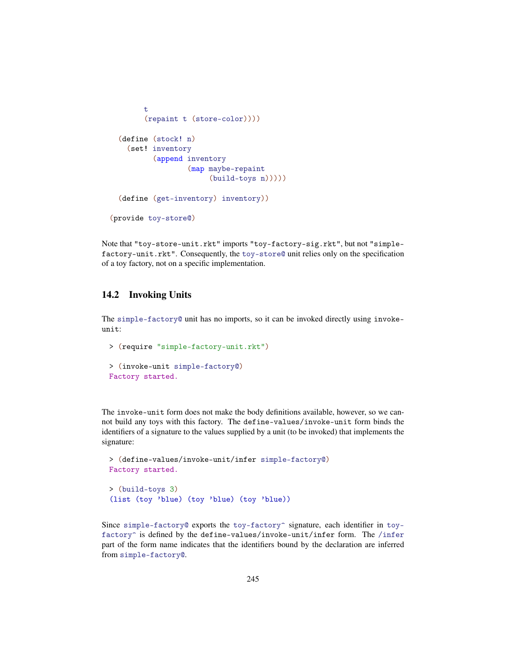```
t
        (repaint t (store-color))))
 (define (stock! n)
    (set! inventory
          (append inventory
                  (map maybe-repaint
                       (build-toys n)))))
 (define (get-inventory) inventory))
(provide toy-store@)
```
Note that "toy-store-unit.rkt" imports "toy-factory-sig.rkt", but not "simplefactory-unit.rkt". Consequently, the toy-store@ unit relies only on the specification of a toy factory, not on a specific implementation.

### 14.2 Invoking Units

The simple-factory@ unit has no imports, so it can be invoked directly using invokeunit:

```
> (require "simple-factory-unit.rkt")
> (invoke-unit simple-factory@)
Factory started.
```
The invoke-unit form does not make the body definitions available, however, so we cannot build any toys with this factory. The define-values/invoke-unit form binds the identifiers of a signature to the values supplied by a unit (to be invoked) that implements the signature:

```
> (define-values/invoke-unit/infer simple-factory@)
Factory started.
> (build-toys 3)
(list (toy 'blue) (toy 'blue) (toy 'blue))
```
Since simple-factory@ exports the toy-factory^ signature, each identifier in toyfactory<sup> $\hat{ }$ </sup> is defined by the define-values/invoke-unit/infer form. The /infer part of the form name indicates that the identifiers bound by the declaration are inferred from simple-factory@.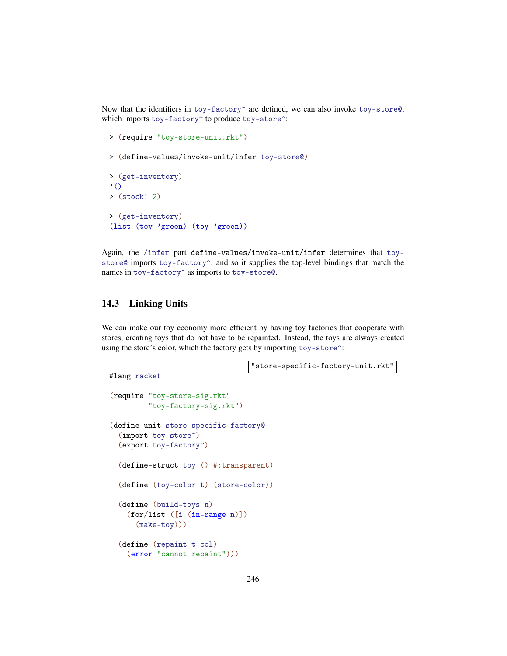Now that the identifiers in toy-factory $\hat{ }$  are defined, we can also invoke toy-store@, which imports toy-factory<sup> $\hat{ }$ </sup> to produce toy-store $\hat{ }$ :

```
> (require "toy-store-unit.rkt")
> (define-values/invoke-unit/infer toy-store@)
> (get-inventory)
' ()
> (stock! 2)
> (get-inventory)
(list (toy 'green) (toy 'green))
```
Again, the /infer part define-values/invoke-unit/infer determines that toystore@ imports toy-factory^, and so it supplies the top-level bindings that match the names in toy-factory<sup> $\hat{ }$ </sup> as imports to toy-store@.

### 14.3 Linking Units

#lang racket

We can make our toy economy more efficient by having toy factories that cooperate with stores, creating toys that do not have to be repainted. Instead, the toys are always created using the store's color, which the factory gets by importing toy-store<sup>2</sup>:

"store-specific-factory-unit.rkt"

```
(require "toy-store-sig.rkt"
         "toy-factory-sig.rkt")
(define-unit store-specific-factory@
 (import toy-store^)
 (export toy-factory^)
 (define-struct toy () #:transparent)
 (define (toy-color t) (store-color))
 (define (build-toys n)
    (for/list ([i (in-range n)])
     (make-toy)))
 (define (repaint t col)
    (error "cannot repaint")))
```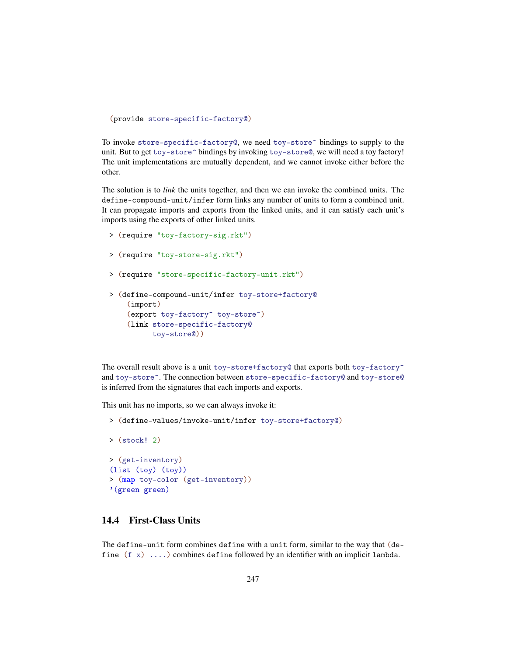```
(provide store-specific-factory@)
```
To invoke store-specific-factory@, we need toy-store^ bindings to supply to the unit. But to get toy-store<sup>~</sup> bindings by invoking toy-store@, we will need a toy factory! The unit implementations are mutually dependent, and we cannot invoke either before the other.

The solution is to *link* the units together, and then we can invoke the combined units. The define-compound-unit/infer form links any number of units to form a combined unit. It can propagate imports and exports from the linked units, and it can satisfy each unit's imports using the exports of other linked units.

```
> (require "toy-factory-sig.rkt")
```

```
> (require "toy-store-sig.rkt")
```
> (require "store-specific-factory-unit.rkt")

```
> (define-compound-unit/infer toy-store+factory@
    (import)
    (export toy-factory^ toy-store^)
    (link store-specific-factory@
          toy-store@))
```
The overall result above is a unit toy-store+factory@ that exports both toy-factory^ and toy-store^. The connection between store-specific-factory@ and toy-store@ is inferred from the signatures that each imports and exports.

This unit has no imports, so we can always invoke it:

```
> (define-values/invoke-unit/infer toy-store+factory@)
> (stock! 2)
> (get-inventory)
(list (toy) (toy))
> (map toy-color (get-inventory))
'(green green)
```
# 14.4 First-Class Units

The define-unit form combines define with a unit form, similar to the way that (define  $(f x)$  ....) combines define followed by an identifier with an implicit lambda.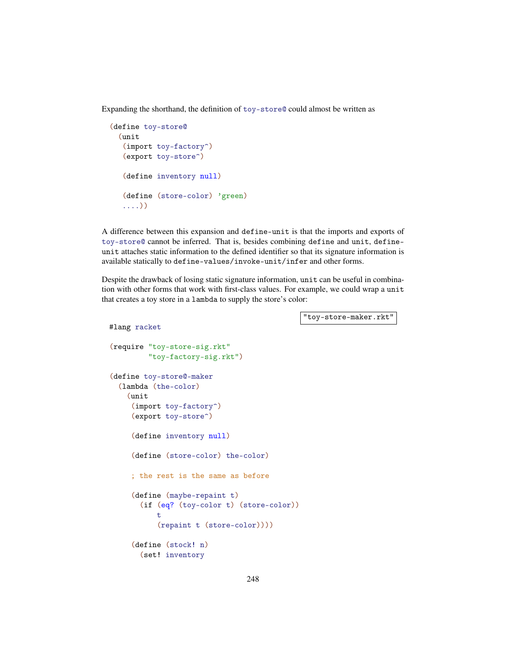Expanding the shorthand, the definition of toy-store@ could almost be written as

```
(define toy-store@
 (unit
   (import toy-factory^)
   (export toy-store^)
   (define inventory null)
   (define (store-color) 'green)
   ....))
```
A difference between this expansion and define-unit is that the imports and exports of toy-store@ cannot be inferred. That is, besides combining define and unit, defineunit attaches static information to the defined identifier so that its signature information is available statically to define-values/invoke-unit/infer and other forms.

Despite the drawback of losing static signature information, unit can be useful in combination with other forms that work with first-class values. For example, we could wrap a unit that creates a toy store in a lambda to supply the store's color:

"toy-store-maker.rkt"

```
#lang racket
(require "toy-store-sig.rkt"
         "toy-factory-sig.rkt")
(define toy-store@-maker
  (lambda (the-color)
    (unit
     (import toy-factory^)
     (export toy-store^)
     (define inventory null)
     (define (store-color) the-color)
     ; the rest is the same as before
     (define (maybe-repaint t)
       (if (eq? (toy-color t) (store-color))
           t
           (repaint t (store-color))))
     (define (stock! n)
       (set! inventory
```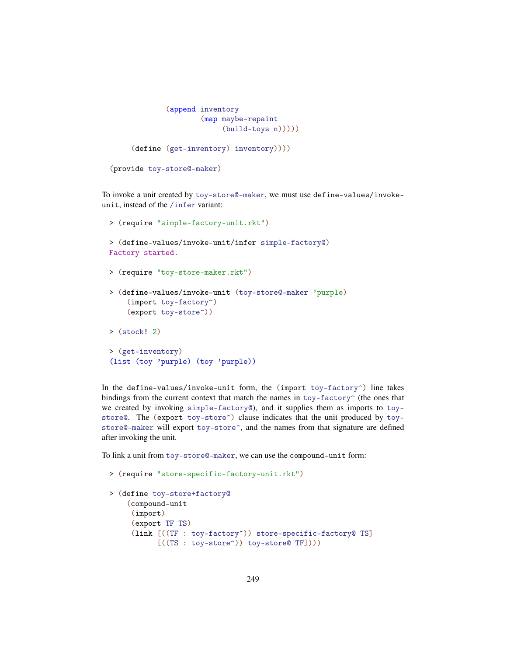```
(append inventory
                     (map maybe-repaint
                          (build-toys n)))))
     (define (get-inventory) inventory))))
(provide toy-store@-maker)
```
To invoke a unit created by toy-store@-maker, we must use define-values/invokeunit, instead of the /infer variant:

```
> (require "simple-factory-unit.rkt")
> (define-values/invoke-unit/infer simple-factory@)
Factory started.
> (require "toy-store-maker.rkt")
> (define-values/invoke-unit (toy-store@-maker 'purple)
    (import toy-factory^)
    (export toy-store^))
> (stock! 2)
> (get-inventory)
(list (toy 'purple) (toy 'purple))
```
In the define-values/invoke-unit form, the (import toy-factory $\hat{ }$ ) line takes bindings from the current context that match the names in toy-factory $\hat{ }$  (the ones that we created by invoking simple-factory@), and it supplies them as imports to toystore@. The (export toy-store^) clause indicates that the unit produced by toystore@-maker will export toy-store^, and the names from that signature are defined after invoking the unit.

To link a unit from toy-store@-maker, we can use the compound-unit form:

```
> (require "store-specific-factory-unit.rkt")
> (define toy-store+factory@
    (compound-unit
     (import)
     (export TF TS)
     (link [((TF : toy-factory^)) store-specific-factory@ TS]
           [((TS : toy-store^)) toy-store@ TF])))
```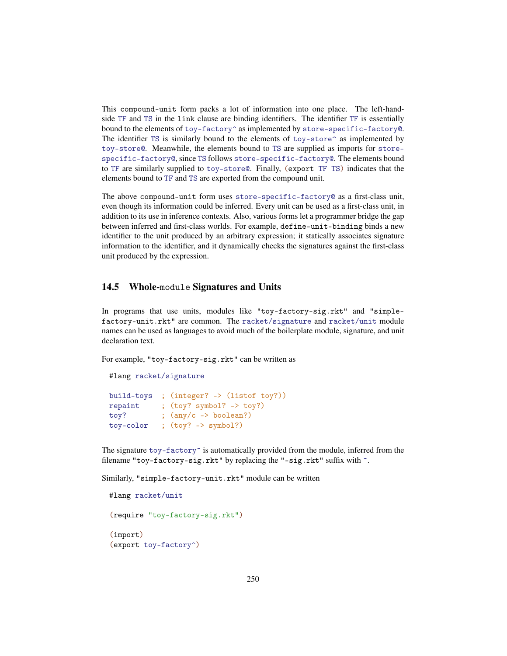This compound-unit form packs a lot of information into one place. The left-handside TF and TS in the link clause are binding identifiers. The identifier TF is essentially bound to the elements of toy-factory^ as implemented by store-specific-factory@. The identifier TS is similarly bound to the elements of  $toy\text{-store}$  as implemented by toy-store@. Meanwhile, the elements bound to TS are supplied as imports for storespecific-factory@, since TS follows store-specific-factory@. The elements bound to TF are similarly supplied to toy-store@. Finally, (export TF TS) indicates that the elements bound to TF and TS are exported from the compound unit.

The above compound-unit form uses store-specific-factory@ as a first-class unit, even though its information could be inferred. Every unit can be used as a first-class unit, in addition to its use in inference contexts. Also, various forms let a programmer bridge the gap between inferred and first-class worlds. For example, define-unit-binding binds a new identifier to the unit produced by an arbitrary expression; it statically associates signature information to the identifier, and it dynamically checks the signatures against the first-class unit produced by the expression.

# 14.5 Whole-module Signatures and Units

In programs that use units, modules like "toy-factory-sig.rkt" and "simplefactory-unit.rkt" are common. The racket/signature and racket/unit module names can be used as languages to avoid much of the boilerplate module, signature, and unit declaration text.

For example, "toy-factory-sig.rkt" can be written as

```
#lang racket/signature
build-toys ; (integer? -> (listof toy?))
repaint ; (toy? symbol? -> toy?)
toy? ; \text{(any/c -> boolean?)}toy-color ; (toy? -> symbol?)
```
The signature  $\text{toy-factor}\gamma^{\text{-}}$  is automatically provided from the module, inferred from the filename "toy-factory-sig.rkt" by replacing the "-sig.rkt" suffix with  $\hat{ }$ .

Similarly, "simple-factory-unit.rkt" module can be written

```
#lang racket/unit
(require "toy-factory-sig.rkt")
(import)
(export toy-factory^)
```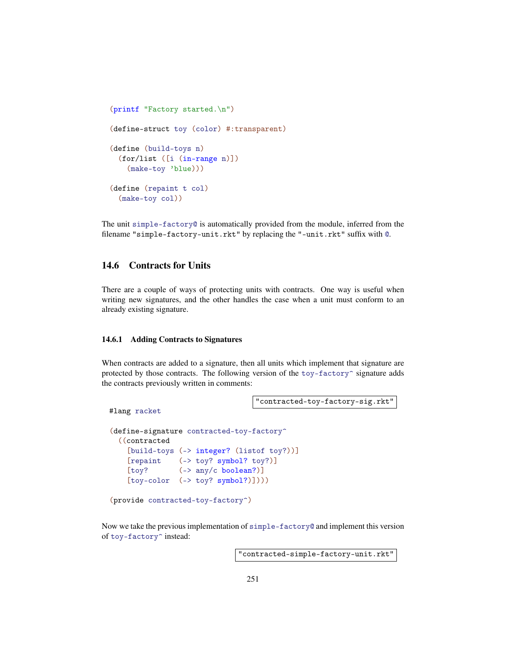```
(printf "Factory started.\n")
(define-struct toy (color) #:transparent)
(define (build-toys n)
 (for/list ([i (in-range n)])
   (make-toy 'blue)))
(define (repaint t col)
 (make-toy col))
```
The unit simple-factory@ is automatically provided from the module, inferred from the filename "simple-factory-unit.rkt" by replacing the "-unit.rkt" suffix with @.

# 14.6 Contracts for Units

#lang racket

There are a couple of ways of protecting units with contracts. One way is useful when writing new signatures, and the other handles the case when a unit must conform to an already existing signature.

#### 14.6.1 Adding Contracts to Signatures

When contracts are added to a signature, then all units which implement that signature are protected by those contracts. The following version of the toy-factory<sup> $\sim$ </sup> signature adds the contracts previously written in comments:

```
"contracted-toy-factory-sig.rkt"
```

```
(define-signature contracted-toy-factory^
 ((contracted
   [build-toys (-> integer? (listof toy?))]
   [repaint (-> toy? symbol? toy?)]
   [toy? (-\rightarrow any/c boolean?)]
   [toy-color (-> toy? symbol?)]))
```

```
(provide contracted-toy-factory^)
```
Now we take the previous implementation of simple-factory@ and implement this version of toy-factory^ instead:

"contracted-simple-factory-unit.rkt"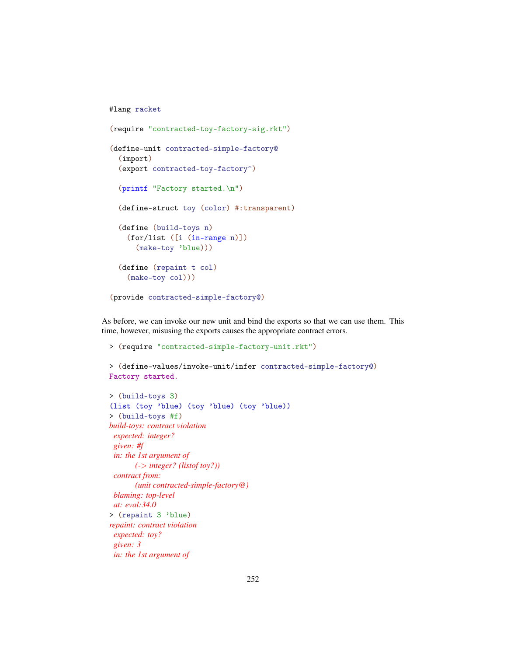```
#lang racket
(require "contracted-toy-factory-sig.rkt")
(define-unit contracted-simple-factory@
  (import)
  (export contracted-toy-factory^)
  (printf "Factory started.\n")
  (define-struct toy (color) #:transparent)
  (define (build-toys n)
    (for/list ([i (in-range n)])
      (make-toy 'blue)))
  (define (repaint t col)
    (make-toy col)))
(provide contracted-simple-factory@)
```
As before, we can invoke our new unit and bind the exports so that we can use them. This time, however, misusing the exports causes the appropriate contract errors.

```
> (require "contracted-simple-factory-unit.rkt")
> (define-values/invoke-unit/infer contracted-simple-factory@)
Factory started.
> (build-toys 3)
(list (toy 'blue) (toy 'blue) (toy 'blue))
> (build-toys #f)
build-toys: contract violation
 expected: integer?
 given: #f
 in: the 1st argument of
      (-> integer? (listof toy?))
 contract from:
       (unit contracted-simple-factory@)
 blaming: top-level
 at: eval:34.0
> (repaint 3 'blue)
repaint: contract violation
 expected: toy?
 given: 3
 in: the 1st argument of
```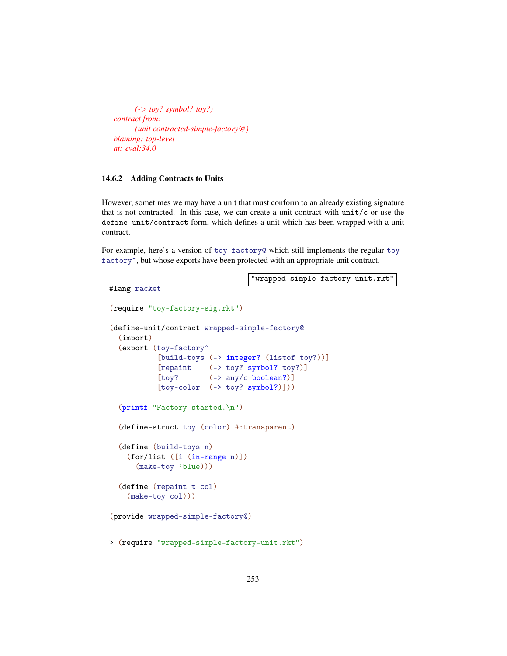```
(-> toy? symbol? toy?)
contract from:
      (unit contracted-simple-factory@)
blaming: top-level
at: eval:34.0
```
#### 14.6.2 Adding Contracts to Units

However, sometimes we may have a unit that must conform to an already existing signature that is not contracted. In this case, we can create a unit contract with unit/c or use the define-unit/contract form, which defines a unit which has been wrapped with a unit contract.

For example, here's a version of toy-factory@ which still implements the regular toyfactory<sup> $\gamma$ </sup>, but whose exports have been protected with an appropriate unit contract.

```
"wrapped-simple-factory-unit.rkt"
```

```
#lang racket
(require "toy-factory-sig.rkt")
(define-unit/contract wrapped-simple-factory@
  (import)
  (export (toy-factory^
           [build-toys (-> integer? (listof toy?))]
           [repaint (-> toy? symbol? toy?)]
           [toy? (-\rightarrow any/c \ boolean?)]
           [toy-color (-> toy? symbol?)]))
  (printf "Factory started.\n")
  (define-struct toy (color) #:transparent)
  (define (build-toys n)
    (for/list ([i (in-range n)])
      (make-toy 'blue)))
  (define (repaint t col)
    (make-toy col)))
(provide wrapped-simple-factory@)
> (require "wrapped-simple-factory-unit.rkt")
```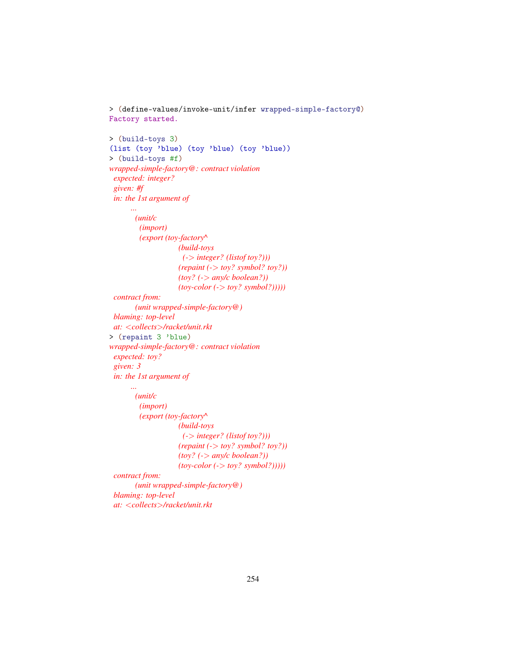```
> (define-values/invoke-unit/infer wrapped-simple-factory@)
Factory started.
> (build-toys 3)
(list (toy 'blue) (toy 'blue) (toy 'blue))
> (build-toys #f)
wrapped-simple-factory@: contract violation
 expected: integer?
 given: #f
 in: the 1st argument of
      ...
       (unit/c
        (import)
        (export (toy-factory^
                   (build-toys
                    (-> integer? (listof toy?)))
                   (repaint (-> toy? symbol? toy?))
                   (toy? (-> any/c boolean?))
                   (toy-color (-> toy? symbol?)))))
 contract from:
       (unit wrapped-simple-factory@)
 blaming: top-level
 at: <collects>/racket/unit.rkt
> (repaint 3 'blue)
wrapped-simple-factory@: contract violation
 expected: toy?
 given: 3
 in: the 1st argument of
      ...
       (unit/c
        (import)
        (export (toy-factory^
                   (build-toys
                    (-> integer? (listof toy?)))
                   (repaint (-> toy? symbol? toy?))
                   (toy? (-> any/c boolean?))
                   (toy-color (-> toy? symbol?)))))
 contract from:
       (unit wrapped-simple-factory@)
 blaming: top-level
 at: <collects>/racket/unit.rkt
```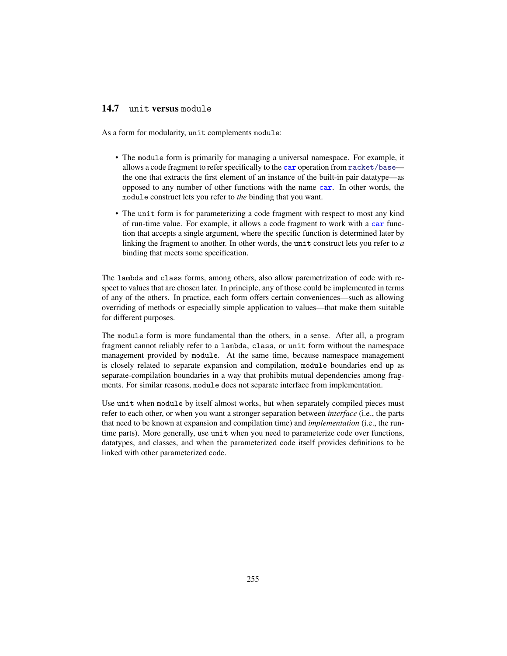### 14.7 unit versus module

As a form for modularity, unit complements module:

- The module form is primarily for managing a universal namespace. For example, it allows a code fragment to refer specifically to the car operation from racket/basethe one that extracts the first element of an instance of the built-in pair datatype—as opposed to any number of other functions with the name car. In other words, the module construct lets you refer to *the* binding that you want.
- The unit form is for parameterizing a code fragment with respect to most any kind of run-time value. For example, it allows a code fragment to work with a car function that accepts a single argument, where the specific function is determined later by linking the fragment to another. In other words, the unit construct lets you refer to *a* binding that meets some specification.

The lambda and class forms, among others, also allow paremetrization of code with respect to values that are chosen later. In principle, any of those could be implemented in terms of any of the others. In practice, each form offers certain conveniences—such as allowing overriding of methods or especially simple application to values—that make them suitable for different purposes.

The module form is more fundamental than the others, in a sense. After all, a program fragment cannot reliably refer to a lambda, class, or unit form without the namespace management provided by module. At the same time, because namespace management is closely related to separate expansion and compilation, module boundaries end up as separate-compilation boundaries in a way that prohibits mutual dependencies among fragments. For similar reasons, module does not separate interface from implementation.

Use unit when module by itself almost works, but when separately compiled pieces must refer to each other, or when you want a stronger separation between *interface* (i.e., the parts that need to be known at expansion and compilation time) and *implementation* (i.e., the runtime parts). More generally, use unit when you need to parameterize code over functions, datatypes, and classes, and when the parameterized code itself provides definitions to be linked with other parameterized code.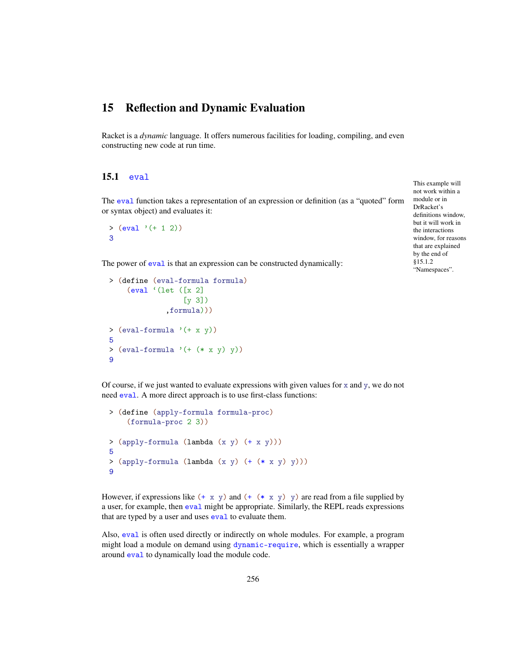# 15 Reflection and Dynamic Evaluation

Racket is a *dynamic* language. It offers numerous facilities for loading, compiling, and even constructing new code at run time.

### 15.1 eval

The eval function takes a representation of an expression or definition (as a "quoted" form or syntax object) and evaluates it:

```
> (eval '(+ 1 2))
3
```
The power of eval is that an expression can be constructed dynamically:

```
> (define (eval-formula formula)
    (eval '(let ([x 2]
                  [y 3])
             ,formula)))
> (eval-formula '(+ x y))
5
> (eval-formula '(+ (* x y) y))
9
```
This example will not work within a module or in DrRacket's definitions window, but it will work in the interactions window, for reasons that are explained by the end of §15.1.2 "Namespaces".

Of course, if we just wanted to evaluate expressions with given values for  $x$  and  $y$ , we do not need eval. A more direct approach is to use first-class functions:

```
> (define (apply-formula formula-proc)
    (formula-proc 2 3))
> (apply-formula (lambda (x y) (+ x y)))
5
> (apply-formula (lambda (x, y) ( + (* x, y) y)))
9
```
However, if expressions like  $(+ x y)$  and  $(+ ( * x y) y)$  are read from a file supplied by a user, for example, then eval might be appropriate. Similarly, the REPL reads expressions that are typed by a user and uses eval to evaluate them.

Also, eval is often used directly or indirectly on whole modules. For example, a program might load a module on demand using dynamic-require, which is essentially a wrapper around eval to dynamically load the module code.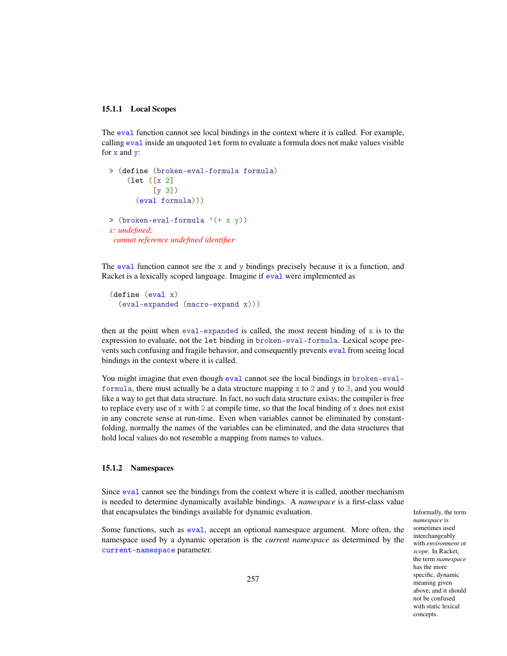#### 15.1.1 Local Scopes

The eval function cannot see local bindings in the context where it is called. For example, calling eval inside an unquoted let form to evaluate a formula does not make values visible for x and y:

```
> (define (broken-eval-formula formula)
     (let ([x 2]
            \lceil v \rceil 3])
       (eval formula)))
> (broken-eval-formula '(+ x y))
x: undefined;
 cannot reference undefined identifier
```
The eval function cannot see the x and y bindings precisely because it is a function, and Racket is a lexically scoped language. Imagine if eval were implemented as

```
(define (eval x)
 (eval-expanded (macro-expand x)))
```
then at the point when eval-expanded is called, the most recent binding of  $x$  is to the expression to evaluate, not the let binding in broken-eval-formula. Lexical scope prevents such confusing and fragile behavior, and consequently prevents eval from seeing local bindings in the context where it is called.

You might imagine that even though eval cannot see the local bindings in broken-evalformula, there must actually be a data structure mapping  $x$  to 2 and y to 3, and you would like a way to get that data structure. In fact, no such data structure exists; the compiler is free to replace every use of x with 2 at compile time, so that the local binding of x does not exist in any concrete sense at run-time. Even when variables cannot be eliminated by constantfolding, normally the names of the variables can be eliminated, and the data structures that hold local values do not resemble a mapping from names to values.

#### 15.1.2 Namespaces

Since eval cannot see the bindings from the context where it is called, another mechanism is needed to determine dynamically available bindings. A *namespace* is a first-class value that encapsulates the bindings available for dynamic evaluation. Informally, the term

Some functions, such as eval, accept an optional namespace argument. More often, the namespace used by a dynamic operation is the *current namespace* as determined by the current-namespace parameter.

*namespace* is sometimes used interchangeably with *environment* or *scope*. In Racket, the term *namespace* has the more specific, dynamic meaning given above, and it should not be confused with static lexical concepts.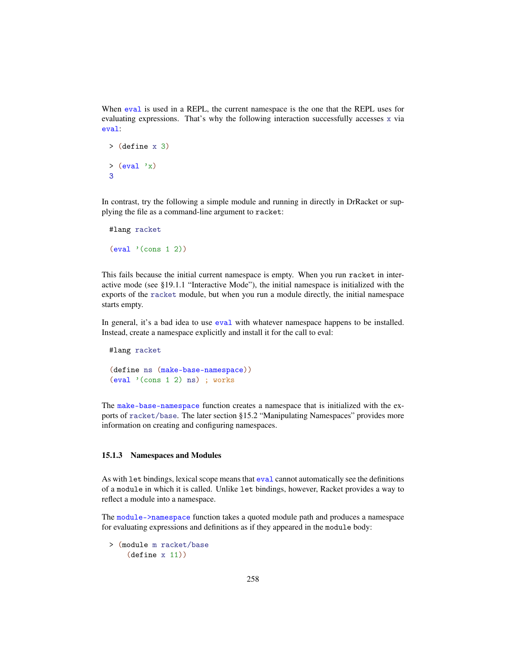When eval is used in a REPL, the current namespace is the one that the REPL uses for evaluating expressions. That's why the following interaction successfully accesses x via eval:

```
> (define x 3)
> (eval 'x)
3
```
In contrast, try the following a simple module and running in directly in DrRacket or supplying the file as a command-line argument to racket:

```
#lang racket
(eval '(cons 1 2))
```
This fails because the initial current namespace is empty. When you run racket in interactive mode (see §19.1.1 "Interactive Mode"), the initial namespace is initialized with the exports of the racket module, but when you run a module directly, the initial namespace starts empty.

In general, it's a bad idea to use eval with whatever namespace happens to be installed. Instead, create a namespace explicitly and install it for the call to eval:

```
#lang racket
(define ns (make-base-namespace))
(eval '(cons 1 2) ns) ; works
```
The make-base-namespace function creates a namespace that is initialized with the exports of racket/base. The later section §15.2 "Manipulating Namespaces" provides more information on creating and configuring namespaces.

#### 15.1.3 Namespaces and Modules

As with let bindings, lexical scope means that eval cannot automatically see the definitions of a module in which it is called. Unlike let bindings, however, Racket provides a way to reflect a module into a namespace.

The module->namespace function takes a quoted module path and produces a namespace for evaluating expressions and definitions as if they appeared in the module body:

```
> (module m racket/base
    (define x 11))
```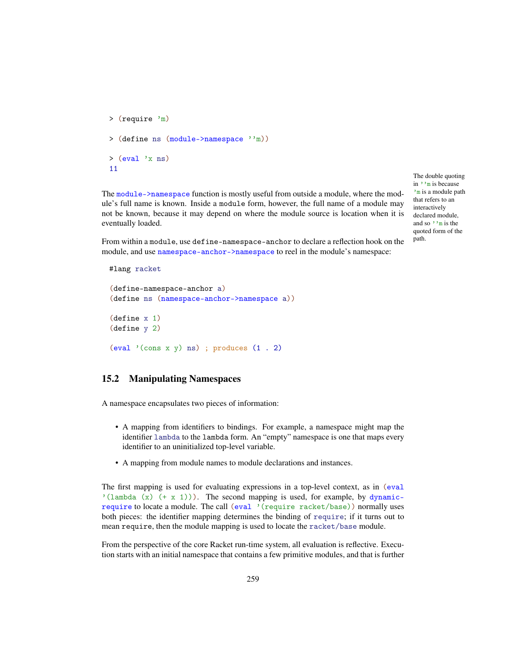```
> (require 'm)
> (define ns (module->namespace ''m))
> (eval 'x ns)
11
```
The module->namespace function is mostly useful from outside a module, where the module's full name is known. Inside a module form, however, the full name of a module may not be known, because it may depend on where the module source is location when it is eventually loaded.

The double quoting in ''m is because 'm is a module path that refers to an interactively declared module, and so ''m is the quoted form of the path.

From within a module, use define-namespace-anchor to declare a reflection hook on the module, and use namespace-anchor->namespace to reel in the module's namespace:

```
#lang racket
(define-namespace-anchor a)
(define ns (namespace-anchor->namespace a))
(define x 1)
(define y 2)
\left(\text{eval } '(\text{cons } x y) \text{ ns}\right); produces (1.2)
```
## 15.2 Manipulating Namespaces

A namespace encapsulates two pieces of information:

- A mapping from identifiers to bindings. For example, a namespace might map the identifier lambda to the lambda form. An "empty" namespace is one that maps every identifier to an uninitialized top-level variable.
- A mapping from module names to module declarations and instances.

The first mapping is used for evaluating expressions in a top-level context, as in (eval '(lambda  $(x)$   $(+ x 1)$ )). The second mapping is used, for example, by dynamicrequire to locate a module. The call (eval '(require racket/base)) normally uses both pieces: the identifier mapping determines the binding of require; if it turns out to mean require, then the module mapping is used to locate the racket/base module.

From the perspective of the core Racket run-time system, all evaluation is reflective. Execution starts with an initial namespace that contains a few primitive modules, and that is further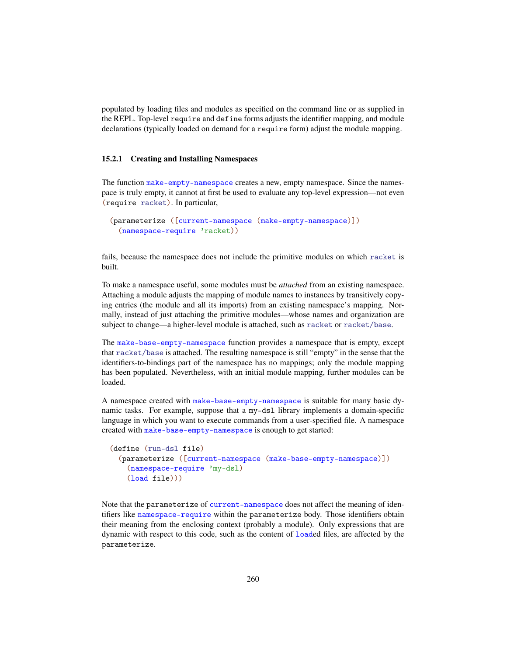populated by loading files and modules as specified on the command line or as supplied in the REPL. Top-level require and define forms adjusts the identifier mapping, and module declarations (typically loaded on demand for a require form) adjust the module mapping.

#### 15.2.1 Creating and Installing Namespaces

The function make-empty-namespace creates a new, empty namespace. Since the namespace is truly empty, it cannot at first be used to evaluate any top-level expression—not even (require racket). In particular,

```
(parameterize ([current-namespace (make-empty-namespace)])
 (namespace-require 'racket))
```
fails, because the namespace does not include the primitive modules on which racket is built.

To make a namespace useful, some modules must be *attached* from an existing namespace. Attaching a module adjusts the mapping of module names to instances by transitively copying entries (the module and all its imports) from an existing namespace's mapping. Normally, instead of just attaching the primitive modules—whose names and organization are subject to change—a higher-level module is attached, such as racket or racket/base.

The make-base-empty-namespace function provides a namespace that is empty, except that racket/base is attached. The resulting namespace is still "empty" in the sense that the identifiers-to-bindings part of the namespace has no mappings; only the module mapping has been populated. Nevertheless, with an initial module mapping, further modules can be loaded.

A namespace created with make-base-empty-namespace is suitable for many basic dynamic tasks. For example, suppose that a my-dsl library implements a domain-specific language in which you want to execute commands from a user-specified file. A namespace created with make-base-empty-namespace is enough to get started:

```
(define (run-dsl file)
 (parameterize ([current-namespace (make-base-empty-namespace)])
   (namespace-require 'my-dsl)
    (load file)))
```
Note that the parameterize of current-namespace does not affect the meaning of identifiers like namespace-require within the parameterize body. Those identifiers obtain their meaning from the enclosing context (probably a module). Only expressions that are dynamic with respect to this code, such as the content of loaded files, are affected by the parameterize.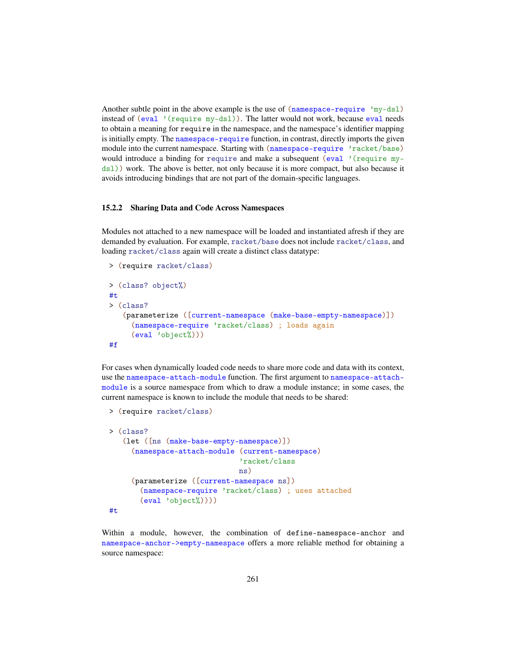Another subtle point in the above example is the use of (namespace-require 'my-dsl) instead of (eval '(require my-dsl)). The latter would not work, because eval needs to obtain a meaning for require in the namespace, and the namespace's identifier mapping is initially empty. The namespace-require function, in contrast, directly imports the given module into the current namespace. Starting with (namespace-require 'racket/base) would introduce a binding for require and make a subsequent (eval '(require mydsl)) work. The above is better, not only because it is more compact, but also because it avoids introducing bindings that are not part of the domain-specific languages.

#### 15.2.2 Sharing Data and Code Across Namespaces

Modules not attached to a new namespace will be loaded and instantiated afresh if they are demanded by evaluation. For example, racket/base does not include racket/class, and loading racket/class again will create a distinct class datatype:

```
> (require racket/class)
> (class? object%)
#t
> (class?
   (parameterize ([current-namespace (make-base-empty-namespace)])
     (namespace-require 'racket/class) ; loads again
     (eval 'object%)))
#f
```
For cases when dynamically loaded code needs to share more code and data with its context, use the namespace-attach-module function. The first argument to namespace-attachmodule is a source namespace from which to draw a module instance; in some cases, the current namespace is known to include the module that needs to be shared:

```
> (require racket/class)
> (class?
   (let ([ns (make-base-empty-namespace)])
     (namespace-attach-module (current-namespace)
                               'racket/class
                              ns)
     (parameterize ([current-namespace ns])
       (namespace-require 'racket/class) ; uses attached
       (eval 'object%))))
#t
```
Within a module, however, the combination of define-namespace-anchor and namespace-anchor->empty-namespace offers a more reliable method for obtaining a source namespace: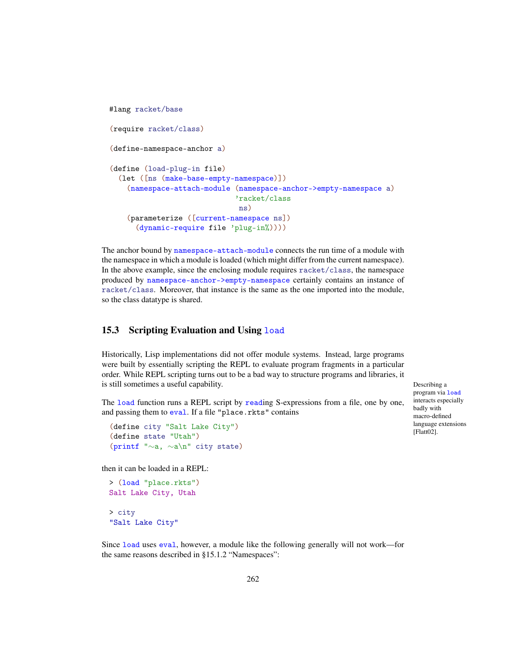```
#lang racket/base
(require racket/class)
(define-namespace-anchor a)
(define (load-plug-in file)
  (let ([ns (make-base-empty-namespace)])
    (namespace-attach-module (namespace-anchor->empty-namespace a)
                              'racket/class
                              ns)
    (parameterize ([current-namespace ns])
      (dynamic-require file 'plug-in%))))
```
The anchor bound by namespace-attach-module connects the run time of a module with the namespace in which a module is loaded (which might differ from the current namespace). In the above example, since the enclosing module requires  $racket/class$ , the namespace produced by namespace-anchor->empty-namespace certainly contains an instance of racket/class. Moreover, that instance is the same as the one imported into the module, so the class datatype is shared.

### 15.3 Scripting Evaluation and Using load

Historically, Lisp implementations did not offer module systems. Instead, large programs were built by essentially scripting the REPL to evaluate program fragments in a particular order. While REPL scripting turns out to be a bad way to structure programs and libraries, it is still sometimes a useful capability. Describing a

The load function runs a REPL script by reading S-expressions from a file, one by one, and passing them to eval. If a file "place.rkts" contains

```
(define city "Salt Lake City")
(define state "Utah")
(printf "∼a, ∼a\n" city state)
```
the same reasons described in §15.1.2 "Namespaces":

then it can be loaded in a REPL:

```
> (load "place.rkts")
Salt Lake City, Utah
> city
"Salt Lake City"
```
program via load interacts especially badly with macro-defined language extensions [Flatt02].

```
262
```
Since load uses eval, however, a module like the following generally will not work—for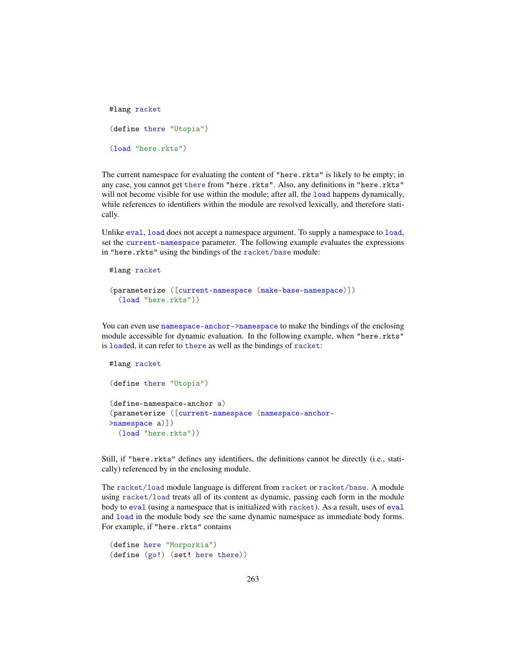```
#lang racket
(define there "Utopia")
(load "here.rkts")
```
The current namespace for evaluating the content of "here.rkts" is likely to be empty; in any case, you cannot get there from "here.rkts". Also, any definitions in "here.rkts" will not become visible for use within the module; after all, the load happens dynamically, while references to identifiers within the module are resolved lexically, and therefore statically.

Unlike eval, load does not accept a namespace argument. To supply a namespace to load, set the current-namespace parameter. The following example evaluates the expressions in "here.rkts" using the bindings of the racket/base module:

```
#lang racket
(parameterize ([current-namespace (make-base-namespace)])
  (load "here.rkts"))
```
You can even use namespace-anchor->namespace to make the bindings of the enclosing module accessible for dynamic evaluation. In the following example, when "here.rkts" is loaded, it can refer to there as well as the bindings of racket:

```
#lang racket
(define there "Utopia")
(define-namespace-anchor a)
(parameterize ([current-namespace (namespace-anchor-
>namespace a)])
  (load "here.rkts"))
```
Still, if "here.rkts" defines any identifiers, the definitions cannot be directly (i.e., statically) referenced by in the enclosing module.

The racket/load module language is different from racket or racket/base. A module using racket/load treats all of its content as dynamic, passing each form in the module body to eval (using a namespace that is initialized with racket). As a result, uses of eval and load in the module body see the same dynamic namespace as immediate body forms. For example, if "here.rkts" contains

```
(define here "Morporkia")
(define (go!) (set! here there))
```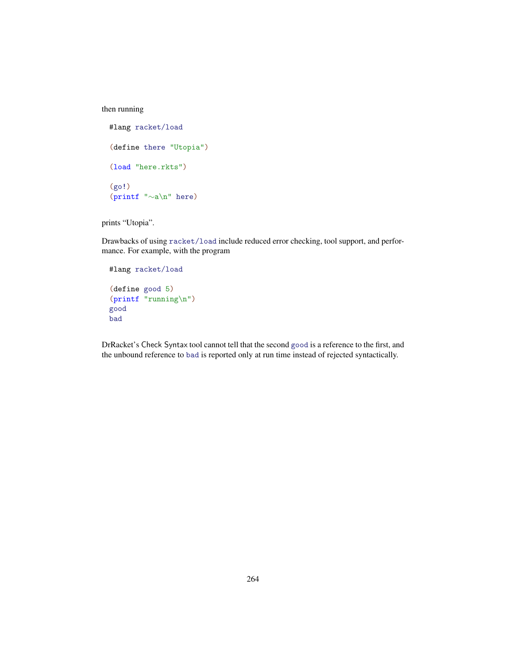then running

```
#lang racket/load
(define there "Utopia")
(load "here.rkts")
(go!)
(printf "∼a\n" here)
```
prints "Utopia".

Drawbacks of using racket/load include reduced error checking, tool support, and performance. For example, with the program

```
#lang racket/load
(define good 5)
(printf "running\n")
good
bad
```
DrRacket's Check Syntax tool cannot tell that the second good is a reference to the first, and the unbound reference to bad is reported only at run time instead of rejected syntactically.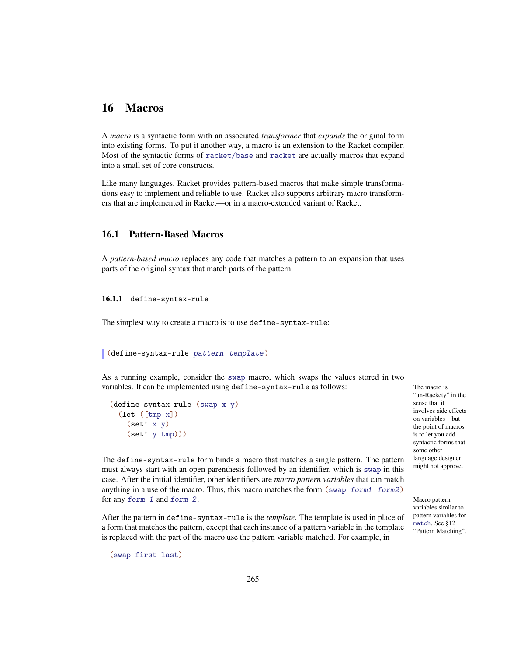# 16 Macros

A *macro* is a syntactic form with an associated *transformer* that *expands* the original form into existing forms. To put it another way, a macro is an extension to the Racket compiler. Most of the syntactic forms of racket/base and racket are actually macros that expand into a small set of core constructs.

Like many languages, Racket provides pattern-based macros that make simple transformations easy to implement and reliable to use. Racket also supports arbitrary macro transformers that are implemented in Racket—or in a macro-extended variant of Racket.

### 16.1 Pattern-Based Macros

A *pattern-based macro* replaces any code that matches a pattern to an expansion that uses parts of the original syntax that match parts of the pattern.

#### 16.1.1 define-syntax-rule

The simplest way to create a macro is to use define-syntax-rule:

```
(define-syntax-rule pattern template)
```
As a running example, consider the swap macro, which swaps the values stored in two variables. It can be implemented using define-syntax-rule as follows: The macro is

```
(define-syntax-rule (swap x y)
 (let ([tmp x])
    (set! x y)
    (set! y tmp)))
```
"un-Rackety" in the sense that it involves side effects on variables—but the point of macros is to let you add syntactic forms that some other language designer might not approve.

variables similar to pattern variables for match. See §12 "Pattern Matching".

The define-syntax-rule form binds a macro that matches a single pattern. The pattern must always start with an open parenthesis followed by an identifier, which is swap in this case. After the initial identifier, other identifiers are *macro pattern variables* that can match anything in a use of the macro. Thus, this macro matches the form (swap form1 form2) for any  $form_1$  and  $form_2$ . Macro pattern

After the pattern in define-syntax-rule is the *template*. The template is used in place of a form that matches the pattern, except that each instance of a pattern variable in the template is replaced with the part of the macro use the pattern variable matched. For example, in

(swap first last)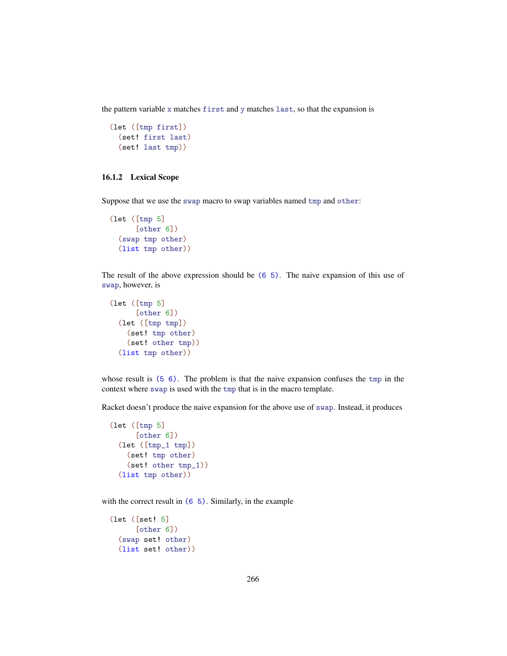the pattern variable x matches first and y matches last, so that the expansion is

```
(let ([tmp first])
  (set! first last)
  (set! last tmp))
```
#### 16.1.2 Lexical Scope

Suppose that we use the swap macro to swap variables named tmp and other:

(let ([tmp 5] [other 6]) (swap tmp other) (list tmp other))

The result of the above expression should be (6 5). The naive expansion of this use of swap, however, is

```
(let ([tmp 5]
     [other 6])
 (let ([tmp tmp])
   (set! tmp other)
   (set! other tmp))
 (list tmp other))
```
whose result is  $(5 6)$ . The problem is that the naive expansion confuses the tmp in the context where swap is used with the tmp that is in the macro template.

Racket doesn't produce the naive expansion for the above use of swap. Instead, it produces

```
(let ([tmp 5]
     [other 6])
 (let ([tmp_1 tmp])
   (set! tmp other)
   (set! other tmp_1))
 (list tmp other))
```
with the correct result in (6 5). Similarly, in the example

```
(let ([set! 5]
      [other 6])
  (swap set! other)
  (list set! other))
```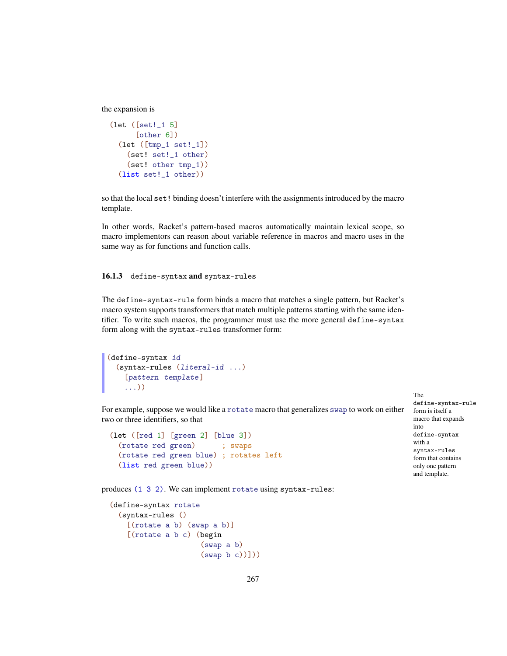the expansion is

```
(let ([set!_1 5]
      [other 6])
 (let ([tmp_1 set!_1])
   (set! set!_1 other)
    (set! other tmp_1))
 (list set!_1 other))
```
so that the local set! binding doesn't interfere with the assignments introduced by the macro template.

In other words, Racket's pattern-based macros automatically maintain lexical scope, so macro implementors can reason about variable reference in macros and macro uses in the same way as for functions and function calls.

#### 16.1.3 define-syntax and syntax-rules

The define-syntax-rule form binds a macro that matches a single pattern, but Racket's macro system supports transformers that match multiple patterns starting with the same identifier. To write such macros, the programmer must use the more general define-syntax form along with the syntax-rules transformer form:

```
(define-syntax id
  (syntax-rules (literal-id ...)
    [pattern template]
    ...))
```
For example, suppose we would like a rotate macro that generalizes swap to work on either two or three identifiers, so that

```
(let ([red 1] [green 2] [blue 3])
 (rotate red green) ; swaps
 (rotate red green blue) ; rotates left
 (list red green blue))
```
define-syntax-rule form is itself a macro that expands into define-syntax with a syntax-rules form that contains only one pattern and template.

The

produces (1 3 2). We can implement rotate using syntax-rules:

```
(define-syntax rotate
 (syntax-rules ()
    [(rotate a b) (swap a b)]
    [(rotate a b c) (begin
                     (swap a b)
                     (swap b c))]))
```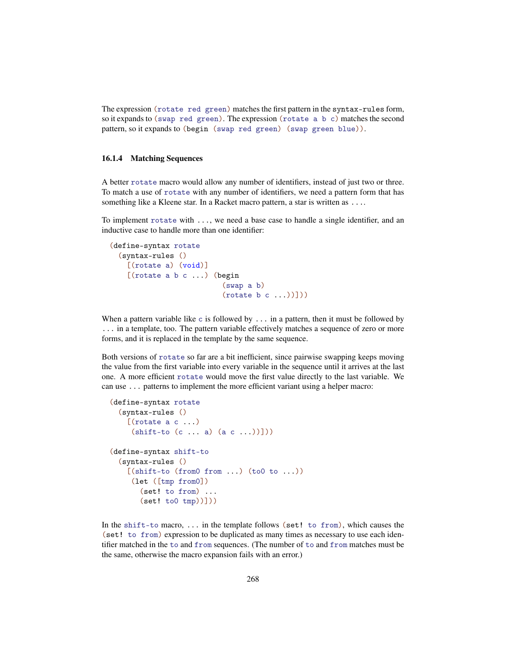The expression (rotate red green) matches the first pattern in the syntax-rules form, so it expands to (swap red green). The expression (rotate a b c) matches the second pattern, so it expands to (begin (swap red green) (swap green blue)).

#### 16.1.4 Matching Sequences

A better rotate macro would allow any number of identifiers, instead of just two or three. To match a use of rotate with any number of identifiers, we need a pattern form that has something like a Kleene star. In a Racket macro pattern, a star is written as ....

To implement rotate with ..., we need a base case to handle a single identifier, and an inductive case to handle more than one identifier:

```
(define-syntax rotate
 (syntax-rules ()
    [(rotate a) (void)]
    [(rotate a b c ...) (begin
                          (swap a b)
                           (rotate b c ...))]))
```
When a pattern variable like c is followed by  $\dots$  in a pattern, then it must be followed by ... in a template, too. The pattern variable effectively matches a sequence of zero or more forms, and it is replaced in the template by the same sequence.

Both versions of rotate so far are a bit inefficient, since pairwise swapping keeps moving the value from the first variable into every variable in the sequence until it arrives at the last one. A more efficient rotate would move the first value directly to the last variable. We can use ... patterns to implement the more efficient variant using a helper macro:

```
(define-syntax rotate
  (syntax-rules ()
    [(rotate a c ...)
     (\text{shift-to } (c \dots a) (a c \dots))])
(define-syntax shift-to
  (syntax-rules ()
    [(\text{shift-to } (\text{from0 from} ...), (\text{to0 to} ...))(let ([tmp from0])
        (set! to from) ...
        (set! to0 tmp))]))
```
In the shift-to macro,  $\dots$  in the template follows (set! to from), which causes the (set! to from) expression to be duplicated as many times as necessary to use each identifier matched in the to and from sequences. (The number of to and from matches must be the same, otherwise the macro expansion fails with an error.)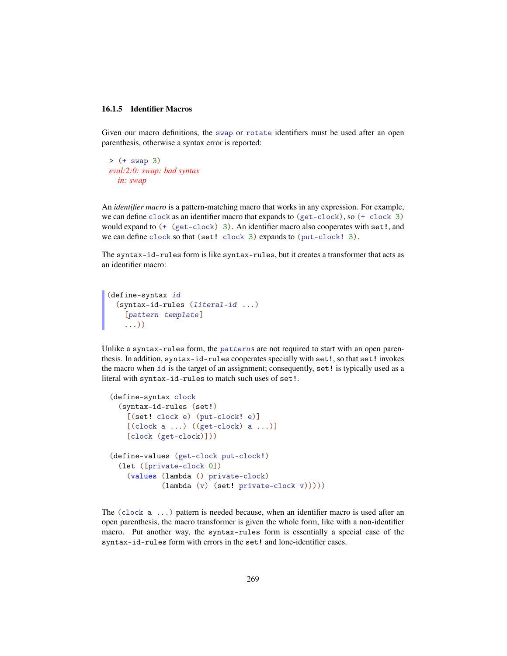#### 16.1.5 Identifier Macros

Given our macro definitions, the swap or rotate identifiers must be used after an open parenthesis, otherwise a syntax error is reported:

 $>$  (+ swap 3) *eval:2:0: swap: bad syntax in: swap*

An *identifier macro* is a pattern-matching macro that works in any expression. For example, we can define clock as an identifier macro that expands to (get-clock), so (+ clock 3) would expand to (+ (get-clock) 3). An identifier macro also cooperates with set!, and we can define clock so that (set! clock 3) expands to (put-clock! 3).

The syntax-id-rules form is like syntax-rules, but it creates a transformer that acts as an identifier macro:

```
(define-syntax id
 (syntax-id-rules (literal-id ...)
   [pattern template]
   ...))
```
Unlike a syntax-rules form, the patterns are not required to start with an open parenthesis. In addition, syntax-id-rules cooperates specially with set!, so that set! invokes the macro when  $id$  is the target of an assignment; consequently, set! is typically used as a literal with syntax-id-rules to match such uses of set!.

```
(define-syntax clock
  (syntax-id-rules (set!)
    [(set! clock e) (put-clock! e)]
    [(\text{clock } a \dots) ((\text{get-clock } a \dots)][clock (get-clock)]))
(define-values (get-clock put-clock!)
  (let ([private-clock 0])
    (values (lambda () private-clock)
             (lambda (v) (set! private-clock v)))))
```
The (clock a ...) pattern is needed because, when an identifier macro is used after an open parenthesis, the macro transformer is given the whole form, like with a non-identifier macro. Put another way, the syntax-rules form is essentially a special case of the syntax-id-rules form with errors in the set! and lone-identifier cases.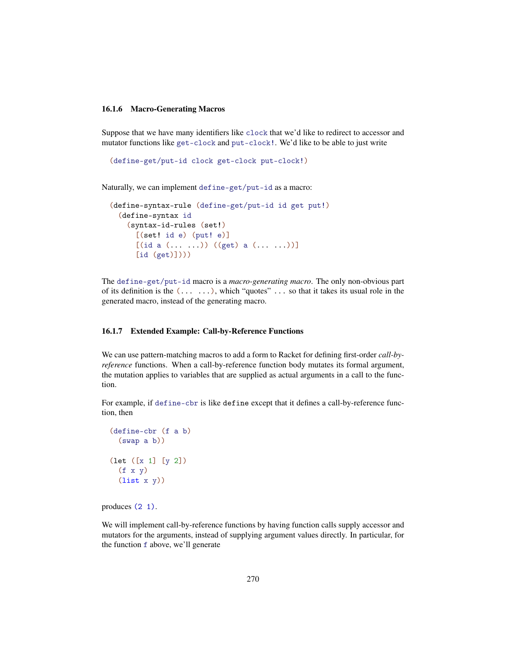#### 16.1.6 Macro-Generating Macros

Suppose that we have many identifiers like clock that we'd like to redirect to accessor and mutator functions like get-clock and put-clock!. We'd like to be able to just write

```
(define-get/put-id clock get-clock put-clock!)
```
Naturally, we can implement define-get/put-id as a macro:

```
(define-syntax-rule (define-get/put-id id get put!)
  (define-syntax id
    (syntax-id-rules (set!)
      [(set! id e) (put! e)][ (id a ( \ldots \ldots )) \; ( (get) a ( \ldots \ldots ))](id (get)])))
```
The define-get/put-id macro is a *macro-generating macro*. The only non-obvious part of its definition is the  $( \ldots \ldots)$ , which "quotes" ... so that it takes its usual role in the generated macro, instead of the generating macro.

#### 16.1.7 Extended Example: Call-by-Reference Functions

We can use pattern-matching macros to add a form to Racket for defining first-order *call-byreference* functions. When a call-by-reference function body mutates its formal argument, the mutation applies to variables that are supplied as actual arguments in a call to the function.

For example, if define-cbr is like define except that it defines a call-by-reference function, then

```
(define-cbr (f a b)
  (swap a b))
(let ([x 1] [y 2])
  (f \times y)(list x y))
```
produces (2 1).

We will implement call-by-reference functions by having function calls supply accessor and mutators for the arguments, instead of supplying argument values directly. In particular, for the function f above, we'll generate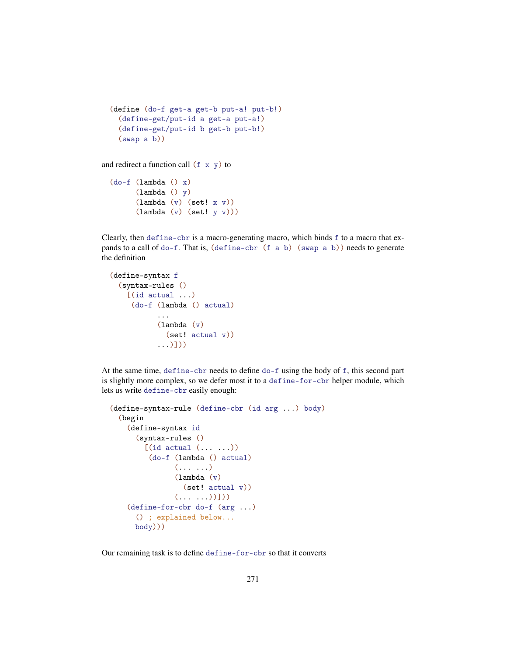```
(define (do-f get-a get-b put-a! put-b!)
 (define-get/put-id a get-a put-a!)
 (define-get/put-id b get-b put-b!)
 (swap a b))
```
and redirect a function call  $(f \times y)$  to

```
(do-f (lambda () x)
      (lambda () y)
      (lambda (v) (set! x v))
      (lambda (v) (set! y v)))
```
Clearly, then define-cbr is a macro-generating macro, which binds f to a macro that expands to a call of do-f. That is, (define-cbr (f a b) (swap a b)) needs to generate the definition

```
(define-syntax f
 (syntax-rules ()
    [(id actual ...)(do-f (lambda () actual)
           ...
           (lambda (v)
             (set! actual v))
           ...)]))
```
At the same time, define-cbr needs to define do-f using the body of f, this second part is slightly more complex, so we defer most it to a define-for-cbr helper module, which lets us write define-cbr easily enough:

```
(define-syntax-rule (define-cbr (id arg ...) body)
  (begin
    (define-syntax id
      (syntax-rules ()
        [(id actual (..., ...))](do-f (lambda () actual)
                (\ldots \ldots)(lambda (v)
                  (set! actual v))
               (\ldots \ldots))]))
    (define-for-cbr do-f (arg ...)
      () ; explained below...
      body)))
```
Our remaining task is to define define-for-cbr so that it converts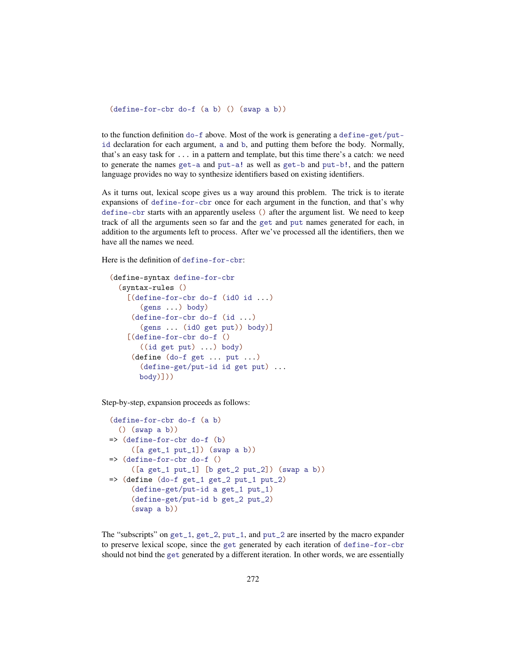```
(define-for-cbr do-f (a b) () (swap a b))
```
to the function definition do-f above. Most of the work is generating a define-get/putid declaration for each argument, a and b, and putting them before the body. Normally, that's an easy task for ... in a pattern and template, but this time there's a catch: we need to generate the names get-a and put-a! as well as get-b and put-b!, and the pattern language provides no way to synthesize identifiers based on existing identifiers.

As it turns out, lexical scope gives us a way around this problem. The trick is to iterate expansions of define-for-cbr once for each argument in the function, and that's why define-cbr starts with an apparently useless () after the argument list. We need to keep track of all the arguments seen so far and the get and put names generated for each, in addition to the arguments left to process. After we've processed all the identifiers, then we have all the names we need.

Here is the definition of define-for-cbr:

```
(define-syntax define-for-cbr
 (syntax-rules ()
    [(define-for-cbr do-f (id0 id ...)
       (gens ...) body)
     (define-for-cbr do-f (id ...)
       (gens ... (id0 get put)) body)]
    [(define-for-cbr do-f ()
       ((id get put) ...) body)
     (define (do-f get ... put ...)
       (define-get/put-id id get put) ...
      body)]))
```
Step-by-step, expansion proceeds as follows:

```
(define-for-cbr do-f (a b)
  () (swap a b))
=> (define-for-cbr do-f (b)
     ([a get_1 put_1]) (swap a b))
=> (define-for-cbr do-f ()
     ([a get_1 put_1] [b get_2 put_2]) (swap a b))
\Rightarrow (define (do-f get_1 get_2 put_1 put_2)
     (define-get/put-id a get_1 put_1)
     (define-get/put-id b get_2 put_2)
     (swap a b))
```
The "subscripts" on get\_1, get\_2, put\_1, and put\_2 are inserted by the macro expander to preserve lexical scope, since the get generated by each iteration of define-for-cbr should not bind the get generated by a different iteration. In other words, we are essentially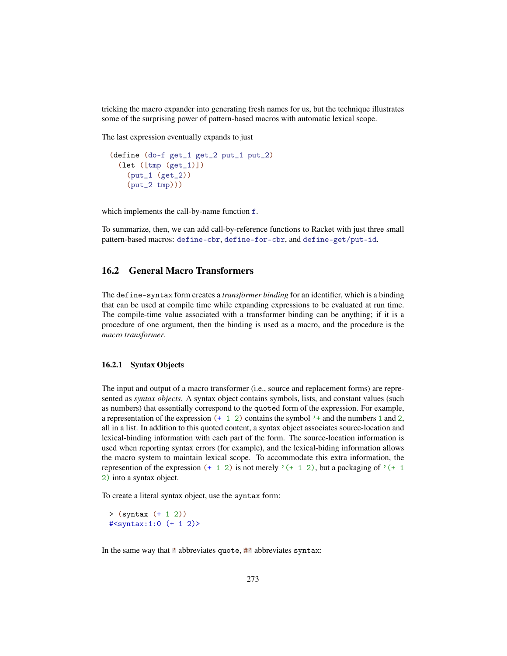tricking the macro expander into generating fresh names for us, but the technique illustrates some of the surprising power of pattern-based macros with automatic lexical scope.

The last expression eventually expands to just

```
(define (do-f get_1 get_2 put_1 put_2)
 (let ([tmp (get_1)])
    (put_1 (get_2))
    (put_2 tmp)))
```
which implements the call-by-name function f.

To summarize, then, we can add call-by-reference functions to Racket with just three small pattern-based macros: define-cbr, define-for-cbr, and define-get/put-id.

## 16.2 General Macro Transformers

The define-syntax form creates a *transformer binding* for an identifier, which is a binding that can be used at compile time while expanding expressions to be evaluated at run time. The compile-time value associated with a transformer binding can be anything; if it is a procedure of one argument, then the binding is used as a macro, and the procedure is the *macro transformer*.

#### 16.2.1 Syntax Objects

The input and output of a macro transformer (i.e., source and replacement forms) are represented as *syntax objects*. A syntax object contains symbols, lists, and constant values (such as numbers) that essentially correspond to the quoted form of the expression. For example, a representation of the expression  $(+ 1 2)$  contains the symbol  $'$  + and the numbers 1 and 2, all in a list. In addition to this quoted content, a syntax object associates source-location and lexical-binding information with each part of the form. The source-location information is used when reporting syntax errors (for example), and the lexical-biding information allows the macro system to maintain lexical scope. To accommodate this extra information, the represention of the expression  $(+ 1 2)$  is not merely  $'(+ 1 2)$ , but a packaging of  $'(+ 1 2)$ 2) into a syntax object.

To create a literal syntax object, use the syntax form:

> (syntax (+ 1 2)) #<syntax:1:0 (+ 1 2)>

In the same way that ' abbreviates quote, #' abbreviates syntax: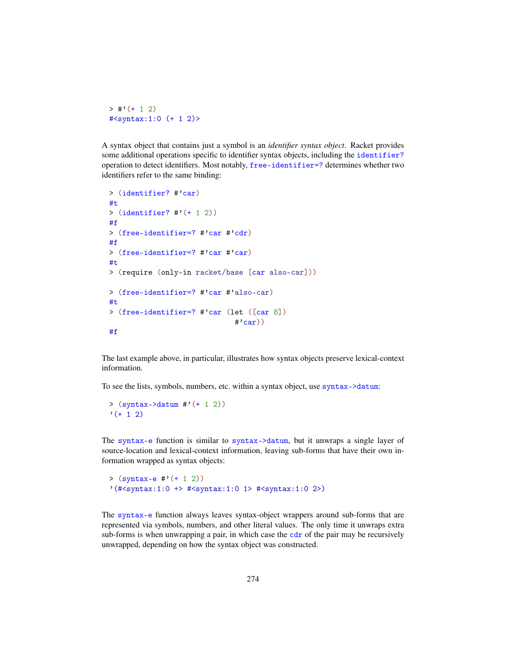```
> #'(+ 1 2)
#<syntax:1:0 (+ 1 2)>
```
A syntax object that contains just a symbol is an *identifier syntax object*. Racket provides some additional operations specific to identifier syntax objects, including the identifier? operation to detect identifiers. Most notably, free-identifier=? determines whether two identifiers refer to the same binding:

```
> (identifier? #'car)
#t
> (identifier? #'(+ 1 2))
#f
> (free-identifier=? #'car #'cdr)
#f
> (free-identifier=? #'car #'car)
#t
> (require (only-in racket/base [car also-car]))
> (free-identifier=? #'car #'also-car)
#t
> (free-identifier=? #'car (let ([car 8])
                              \#'car))
#f
```
The last example above, in particular, illustrates how syntax objects preserve lexical-context information.

To see the lists, symbols, numbers, etc. within a syntax object, use syntax->datum:

```
> (syntax->datum #'(+ 1 2))
'(+ 1 2)
```
The syntax-e function is similar to syntax->datum, but it unwraps a single layer of source-location and lexical-context information, leaving sub-forms that have their own information wrapped as syntax objects:

```
> (syntax-e  #'(+ 1 2))'(#<syntax:1:0 +> #<syntax:1:0 1> #<syntax:1:0 2>)
```
The syntax-e function always leaves syntax-object wrappers around sub-forms that are represented via symbols, numbers, and other literal values. The only time it unwraps extra sub-forms is when unwrapping a pair, in which case the  $cdr$  of the pair may be recursively unwrapped, depending on how the syntax object was constructed.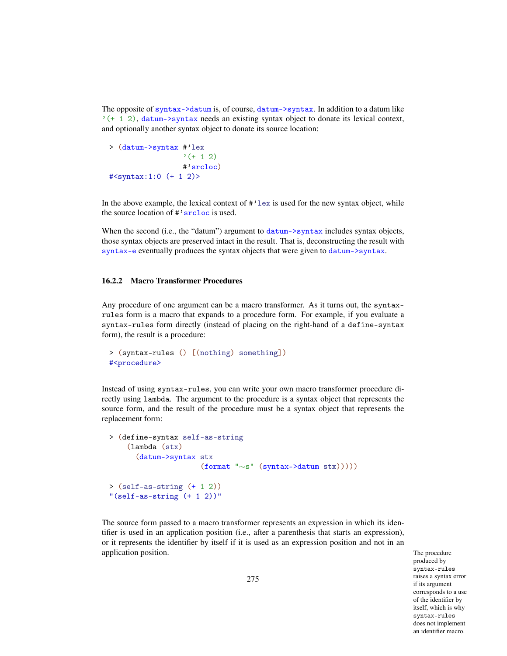The opposite of syntax->datum is, of course, datum->syntax. In addition to a datum like '(+ 1 2), datum->syntax needs an existing syntax object to donate its lexical context, and optionally another syntax object to donate its source location:

```
> (datum->syntax #'lex
                 '(+ 1 2)#'srcloc)
#<syntax:1:0 (+ 1 2)>
```
In the above example, the lexical context of  $\#$ <sup> $\iota$ </sup> lex is used for the new syntax object, while the source location of #'srcloc is used.

When the second (i.e., the "datum") argument to datum->syntax includes syntax objects, those syntax objects are preserved intact in the result. That is, deconstructing the result with syntax-e eventually produces the syntax objects that were given to datum->syntax.

#### 16.2.2 Macro Transformer Procedures

Any procedure of one argument can be a macro transformer. As it turns out, the syntaxrules form is a macro that expands to a procedure form. For example, if you evaluate a syntax-rules form directly (instead of placing on the right-hand of a define-syntax form), the result is a procedure:

```
> (syntax-rules () [(nothing) something])
#<procedure>
```
Instead of using syntax-rules, you can write your own macro transformer procedure directly using lambda. The argument to the procedure is a syntax object that represents the source form, and the result of the procedure must be a syntax object that represents the replacement form:

```
> (define-syntax self-as-string
    (lambda (stx)
      (datum->syntax stx
                     (format "∼s" (syntax->datum stx)))))
> (self-as-string (+ 1 2))
"(self-as-string (+ 1 2))"
```
The source form passed to a macro transformer represents an expression in which its identifier is used in an application position (i.e., after a parenthesis that starts an expression), or it represents the identifier by itself if it is used as an expression position and not in an application position. The procedure  $\Gamma$  application position.

produced by syntax-rules raises a syntax error if its argument corresponds to a use of the identifier by itself, which is why syntax-rules does not implement an identifier macro.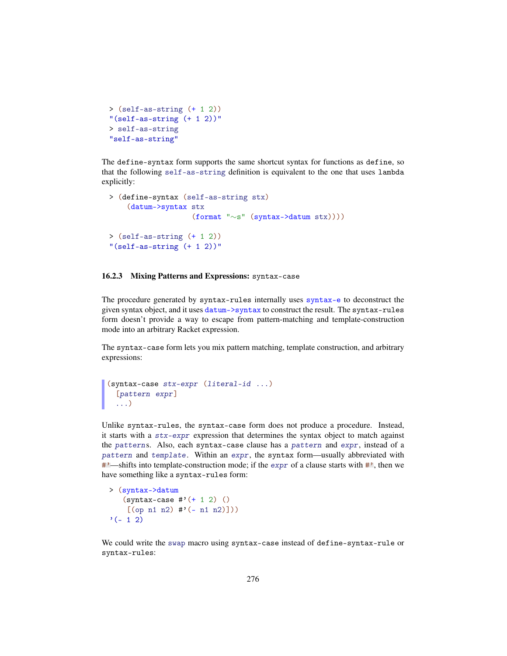```
> (self-as-string (+ 1 2))
"(self-as-string (+ 1 2))"
> self-as-string
"self-as-string"
```
The define-syntax form supports the same shortcut syntax for functions as define, so that the following self-as-string definition is equivalent to the one that uses lambda explicitly:

```
> (define-syntax (self-as-string stx)
    (datum->syntax stx
                   (format "∼s" (syntax->datum stx))))
> (self-as-string (+ 1 2))
"(self-as-string (+ 1 2))"
```
#### 16.2.3 Mixing Patterns and Expressions: syntax-case

The procedure generated by syntax-rules internally uses syntax-e to deconstruct the given syntax object, and it uses datum->syntax to construct the result. The syntax-rules form doesn't provide a way to escape from pattern-matching and template-construction mode into an arbitrary Racket expression.

The syntax-case form lets you mix pattern matching, template construction, and arbitrary expressions:

```
(syntax-case stx-expr (literal-id ...)
 [pattern expr]
 ...)
```
Unlike syntax-rules, the syntax-case form does not produce a procedure. Instead, it starts with a  $stx$ -expr expression that determines the syntax object to match against the patterns. Also, each syntax-case clause has a pattern and expr, instead of a pattern and template. Within an expr, the syntax form—usually abbreviated with  $\#$ <sup>2</sup>—shifts into template-construction mode; if the expr of a clause starts with  $\#$ <sup>2</sup>, then we have something like a syntax-rules form:

```
> (syntax->datum
   (syntax-case #'(+ 1 2) ()
    [(op n1 n2) # '(-n1 n2)]))'( - 1 2)
```
We could write the swap macro using syntax-case instead of define-syntax-rule or syntax-rules: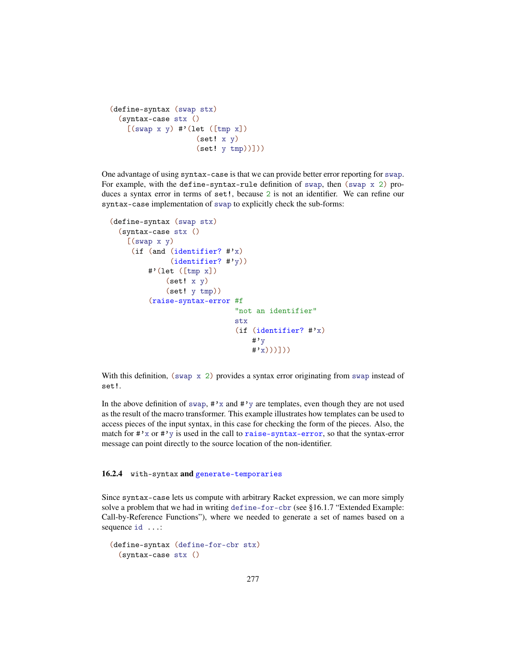```
(define-syntax (swap stx)
 (syntax-case stx ()
    [(swap x y) #'(let ([tmp x])(set! x y)
                    (set! y tmp))])
```
One advantage of using syntax-case is that we can provide better error reporting for swap. For example, with the define-syntax-rule definition of swap, then (swap x 2) produces a syntax error in terms of set!, because 2 is not an identifier. We can refine our syntax-case implementation of swap to explicitly check the sub-forms:

```
(define-syntax (swap stx)
 (syntax-case stx ()
    [(swap x y)](if (and (identifier? #'x)
              (identifier? #'y))
         \sharp'(let ([tmp x])
             (set! x y)
             (set! y tmp))
         (raise-syntax-error #f
                              "not an identifier"
                              ctv(if (identifier? #'x)
                                  #'y
                                  #'x)))]))
```
With this definition, (swap  $\bar{x}$  2) provides a syntax error originating from swap instead of set!.

In the above definition of swap,  $\sharp$ 'x and  $\sharp$ 'y are templates, even though they are not used as the result of the macro transformer. This example illustrates how templates can be used to access pieces of the input syntax, in this case for checking the form of the pieces. Also, the match for  $\#$ 'x or  $\#$ 'y is used in the call to raise-syntax-error, so that the syntax-error message can point directly to the source location of the non-identifier.

#### 16.2.4 with-syntax and generate-temporaries

Since syntax-case lets us compute with arbitrary Racket expression, we can more simply solve a problem that we had in writing define-for-cbr (see §16.1.7 "Extended Example: Call-by-Reference Functions"), where we needed to generate a set of names based on a sequence id ...:

```
(define-syntax (define-for-cbr stx)
 (syntax-case stx ()
```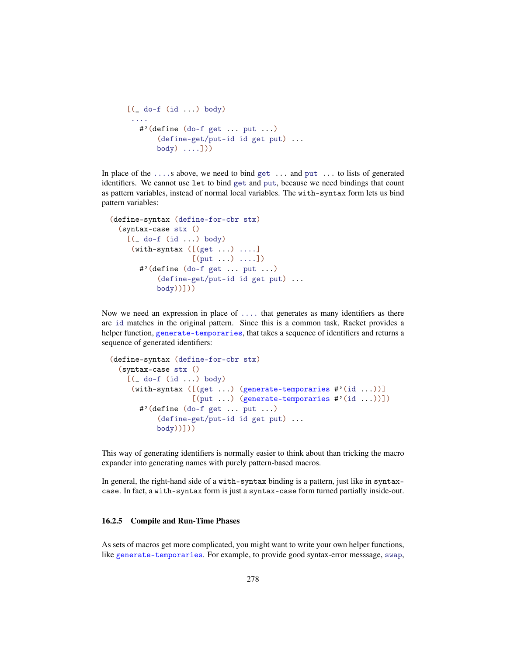```
[(\Box do-f (id ...) body)
 ....
  #'(define (do-f get ... put ...)
       (define-get/put-id id get put) ...
       body) \ldots])
```
In place of the ....s above, we need to bind get ... and put ... to lists of generated identifiers. We cannot use let to bind get and put, because we need bindings that count as pattern variables, instead of normal local variables. The with-syntax form lets us bind pattern variables:

```
(define-syntax (define-for-cbr stx)
 (syntax-case stx ()
    [(\Box do-f (id ...) body)
     (with-syntax ([(get ...) ....]
                   [(put \dots) \dots]#'(define (do-f get ... put ...)
           (define-get/put-id id get put) ...
          body))
```
Now we need an expression in place of .... that generates as many identifiers as there are id matches in the original pattern. Since this is a common task, Racket provides a helper function, generate-temporaries, that takes a sequence of identifiers and returns a sequence of generated identifiers:

```
(define-syntax (define-for-cbr stx)
  (syntax-case stx ()
    [(\phi-f (id ...) body)
     (\text{with-syntax } ([(\text{get } ...), (\text{generate-temperature})])])[(put ...) (generate-temporaries <math>#'(id ...))]</math>)#'(define (do-f get ... put ...)
            (define-get/put-id id get put) ...
            body))]))
```
This way of generating identifiers is normally easier to think about than tricking the macro expander into generating names with purely pattern-based macros.

In general, the right-hand side of a with-syntax binding is a pattern, just like in syntaxcase. In fact, a with-syntax form is just a syntax-case form turned partially inside-out.

#### 16.2.5 Compile and Run-Time Phases

As sets of macros get more complicated, you might want to write your own helper functions, like generate-temporaries. For example, to provide good syntax-error messsage, swap,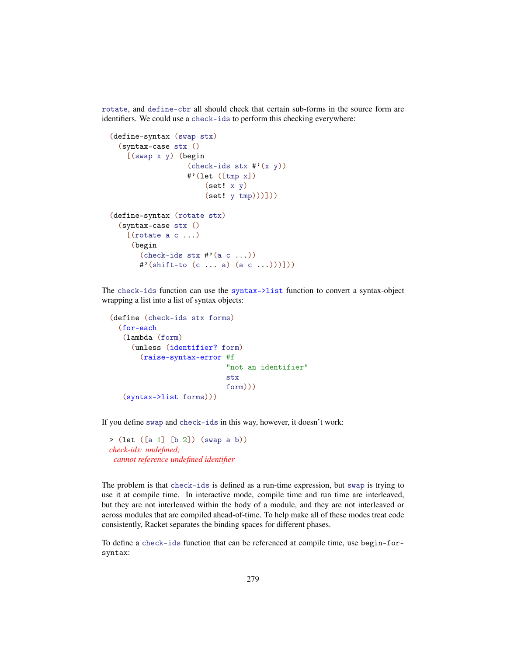rotate, and define-cbr all should check that certain sub-forms in the source form are identifiers. We could use a check-ids to perform this checking everywhere:

```
(define-syntax (swap stx)
  (syntax-case stx ()
    [(swap x y) (begin
                    (\text{check-ids} str #'(x y))
                   #'(let ([tmp x])
                        (set! x y)(\text{set! } y \text{tmp}))))))(define-syntax (rotate stx)
  (syntax-case stx ()
    [(rotate a c ...)
     (begin
       (check-ids stx \#'(a c ...))
       #'(shift-to (c ... a) (a c ...)))]))
```
The check-ids function can use the syntax->list function to convert a syntax-object wrapping a list into a list of syntax objects:

```
(define (check-ids stx forms)
 (for-each
   (lambda (form)
     (unless (identifier? form)
       (raise-syntax-error #f
                            "not an identifier"
                           stx
                           form)))
   (syntax->list forms)))
```
If you define swap and check-ids in this way, however, it doesn't work:

```
> (let ([a 1] [b 2]) (swap a b))
check-ids: undefined;
 cannot reference undefined identifier
```
The problem is that check-ids is defined as a run-time expression, but swap is trying to use it at compile time. In interactive mode, compile time and run time are interleaved, but they are not interleaved within the body of a module, and they are not interleaved or across modules that are compiled ahead-of-time. To help make all of these modes treat code consistently, Racket separates the binding spaces for different phases.

To define a check-ids function that can be referenced at compile time, use begin-forsyntax: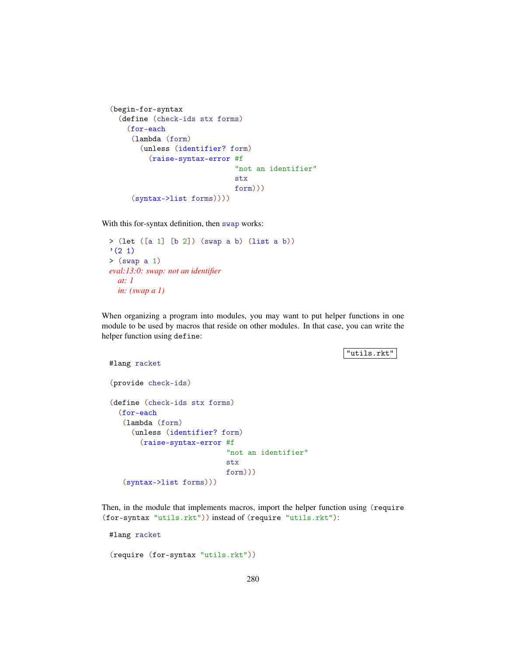```
(begin-for-syntax
 (define (check-ids stx forms)
    (for-each
     (lambda (form)
       (unless (identifier? form)
         (raise-syntax-error #f
                             "not an identifier"
                             stx
                             form)))
     (syntax->list forms))))
```
With this for-syntax definition, then swap works:

```
> (let ([a 1] [b 2]) (swap a b) (list a b))
'(2 1)
> (swap a 1)
eval:13:0: swap: not an identifier
  at: 1
  in: (swap a 1)
```
When organizing a program into modules, you may want to put helper functions in one module to be used by macros that reside on other modules. In that case, you can write the helper function using define:

```
"utils.rkt"
```

```
#lang racket
(provide check-ids)
(define (check-ids stx forms)
  (for-each
   (lambda (form)
     (unless (identifier? form)
       (raise-syntax-error #f
                            "not an identifier"
                            stx
                            form)))
   (syntax->list forms)))
```
Then, in the module that implements macros, import the helper function using (require (for-syntax "utils.rkt")) instead of (require "utils.rkt"):

#lang racket

(require (for-syntax "utils.rkt"))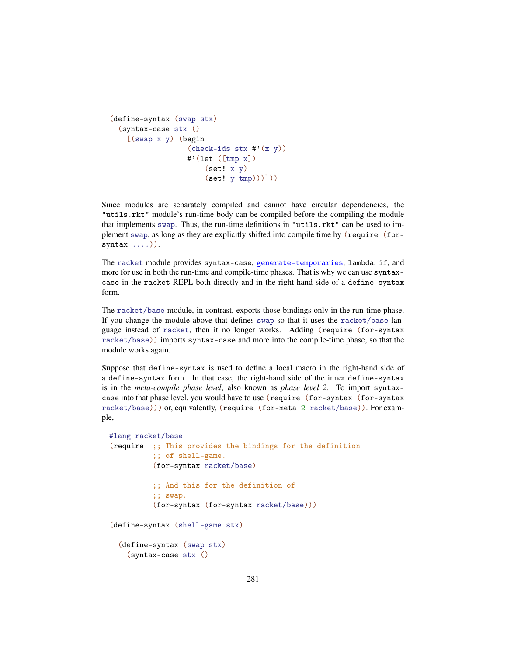```
(define-syntax (swap stx)
  (syntax-case stx ()
    [(swap x y) (begin
                   (\text{check-ids} stx \#'(x \ y))#'(let ([tmp x])
                       (set! x y)(set! y tmp)))]
```
Since modules are separately compiled and cannot have circular dependencies, the "utils.rkt" module's run-time body can be compiled before the compiling the module that implements swap. Thus, the run-time definitions in "utils.rkt" can be used to implement swap, as long as they are explicitly shifted into compile time by (require (for $syntax \ldots$ ).

The racket module provides syntax-case, generate-temporaries, lambda, if, and more for use in both the run-time and compile-time phases. That is why we can use syntaxcase in the racket REPL both directly and in the right-hand side of a define-syntax form.

The racket/base module, in contrast, exports those bindings only in the run-time phase. If you change the module above that defines swap so that it uses the racket/base language instead of racket, then it no longer works. Adding (require (for-syntax racket/base)) imports syntax-case and more into the compile-time phase, so that the module works again.

Suppose that define-syntax is used to define a local macro in the right-hand side of a define-syntax form. In that case, the right-hand side of the inner define-syntax is in the *meta-compile phase level*, also known as *phase level 2*. To import syntaxcase into that phase level, you would have to use (require (for-syntax (for-syntax racket/base))) or, equivalently, (require (for-meta 2 racket/base)). For example,

```
#lang racket/base
(require ;; This provides the bindings for the definition
          ;; of shell-game.
          (for-syntax racket/base)
          ;; And this for the definition of
          ;; swap.
          (for-syntax (for-syntax racket/base)))
(define-syntax (shell-game stx)
  (define-syntax (swap stx)
    (syntax-case stx ()
```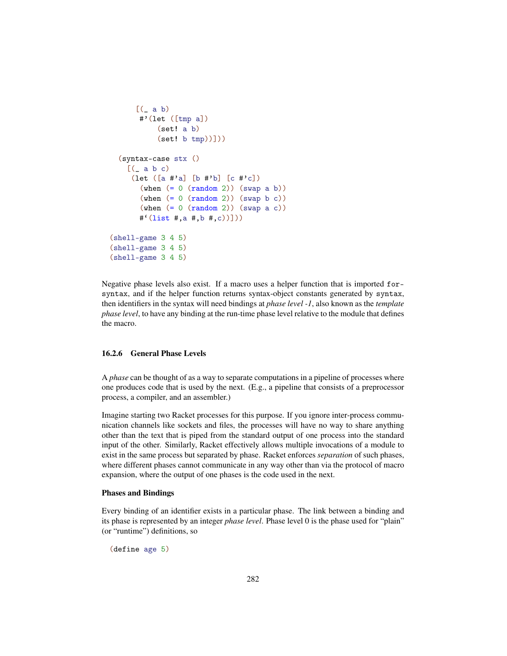```
[(_ a b)
        #'(let ([tmp a])
              (set! a b)
              (set! b tmp))]))
  (syntax-case stx ()
     [ (\Box a b c)
      (let ([a \# 'a] [b \# 'b] [c \# 'c])(\text{when } (= 0 \text{ (random 2)}) (\text{swap a b}))(\text{when } (= 0 \text{ (random 2)) } (\text{swap } b c))(\text{when } (= 0 \text{ (random 2)}) (\text{swap } a c))#'(list #,a #,b #,c))]))
(shell-game 3 4 5)(shell-game 3 4 5)
(shell-game 3 4 5)
```
Negative phase levels also exist. If a macro uses a helper function that is imported forsyntax, and if the helper function returns syntax-object constants generated by syntax, then identifiers in the syntax will need bindings at *phase level -1*, also known as the *template phase level*, to have any binding at the run-time phase level relative to the module that defines the macro.

#### 16.2.6 General Phase Levels

A *phase* can be thought of as a way to separate computations in a pipeline of processes where one produces code that is used by the next. (E.g., a pipeline that consists of a preprocessor process, a compiler, and an assembler.)

Imagine starting two Racket processes for this purpose. If you ignore inter-process communication channels like sockets and files, the processes will have no way to share anything other than the text that is piped from the standard output of one process into the standard input of the other. Similarly, Racket effectively allows multiple invocations of a module to exist in the same process but separated by phase. Racket enforces *separation* of such phases, where different phases cannot communicate in any way other than via the protocol of macro expansion, where the output of one phases is the code used in the next.

#### Phases and Bindings

Every binding of an identifier exists in a particular phase. The link between a binding and its phase is represented by an integer *phase level*. Phase level 0 is the phase used for "plain" (or "runtime") definitions, so

(define age 5)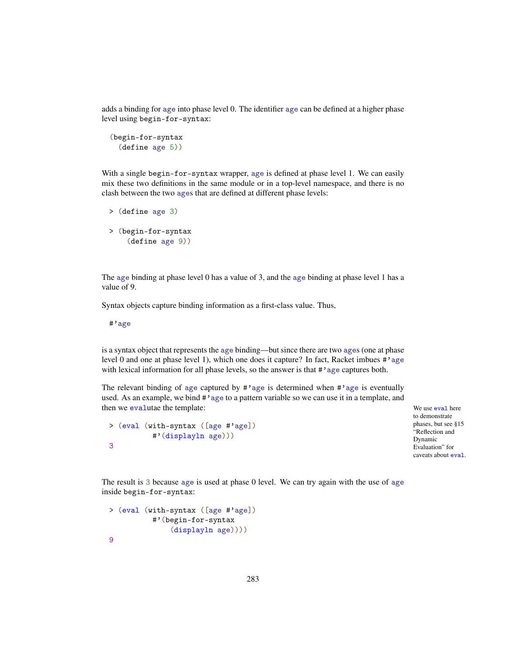adds a binding for age into phase level 0. The identifier age can be defined at a higher phase level using begin-for-syntax:

```
(begin-for-syntax
 (define age 5))
```
With a single begin-for-syntax wrapper, age is defined at phase level 1. We can easily mix these two definitions in the same module or in a top-level namespace, and there is no clash between the two ages that are defined at different phase levels:

```
> (define age 3)
> (begin-for-syntax
    (define age 9))
```
The age binding at phase level 0 has a value of 3, and the age binding at phase level 1 has a value of 9.

Syntax objects capture binding information as a first-class value. Thus,

#'age

is a syntax object that represents the age binding—but since there are two ages (one at phase level 0 and one at phase level 1), which one does it capture? In fact, Racket imbues #'age with lexical information for all phase levels, so the answer is that #'age captures both.

The relevant binding of age captured by  $\#$ 'age is determined when  $\#$ 'age is eventually used. As an example, we bind #'age to a pattern variable so we can use it in a template, and then we evalutae the template: We use eval here we use evaluate the template:

```
> (eval (with-syntax ([age #'age])
          #'(displayln age)))
3
```
to demonstrate phases, but see §15 "Reflection and Dynamic Evaluation" for caveats about eval.

The result is 3 because age is used at phase 0 level. We can try again with the use of age inside begin-for-syntax:

```
> (eval (with-syntax ([age #'age])
          #'(begin-for-syntax
              (displayln age))))
9
```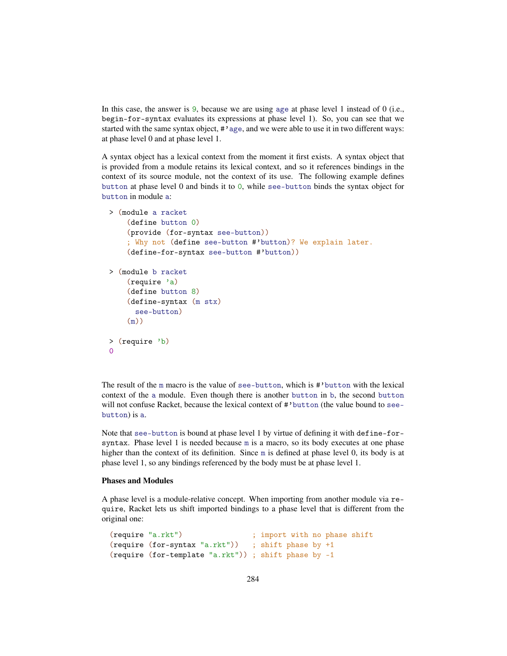In this case, the answer is 9, because we are using age at phase level 1 instead of 0 (i.e., begin-for-syntax evaluates its expressions at phase level 1). So, you can see that we started with the same syntax object, #'age, and we were able to use it in two different ways: at phase level 0 and at phase level 1.

A syntax object has a lexical context from the moment it first exists. A syntax object that is provided from a module retains its lexical context, and so it references bindings in the context of its source module, not the context of its use. The following example defines button at phase level 0 and binds it to 0, while see-button binds the syntax object for button in module a:

```
> (module a racket
    (define button 0)
    (provide (for-syntax see-button))
    ; Why not (define see-button #'button)? We explain later.
    (define-for-syntax see-button #'button))
> (module b racket
    (require 'a)
    (define button 8)
    (define-syntax (m stx)
      see-button)
    (m))
> (require 'b)
\Omega
```
The result of the m macro is the value of see-button, which is #'button with the lexical context of the a module. Even though there is another button in b, the second button will not confuse Racket, because the lexical context of #'button (the value bound to seebutton) is a.

Note that see-button is bound at phase level 1 by virtue of defining it with define-forsyntax. Phase level 1 is needed because m is a macro, so its body executes at one phase higher than the context of its definition. Since m is defined at phase level 0, its body is at phase level 1, so any bindings referenced by the body must be at phase level 1.

#### Phases and Modules

A phase level is a module-relative concept. When importing from another module via require, Racket lets us shift imported bindings to a phase level that is different from the original one:

```
(require "a.rkt") ; import with no phase shift
(require (for-syntax "a.rkt")) ; shift phase by +1
(require (for-template "a.rkt")) ; shift phase by -1
```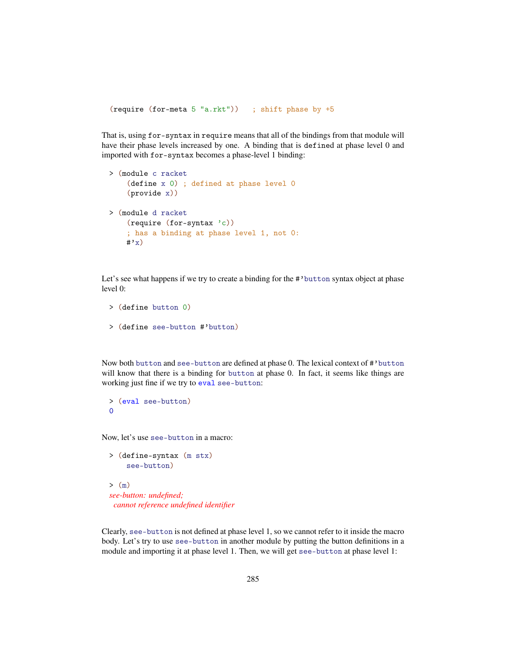(require (for-meta 5 "a.rkt")) ; shift phase by +5

That is, using for-syntax in require means that all of the bindings from that module will have their phase levels increased by one. A binding that is defined at phase level 0 and imported with for-syntax becomes a phase-level 1 binding:

```
> (module c racket
    (define x 0) ; defined at phase level 0
    (provide x))
> (module d racket
    (require (for-syntax 'c))
    ; has a binding at phase level 1, not 0:
    \#<sup>2</sup>x)
```
Let's see what happens if we try to create a binding for the #'button syntax object at phase level 0:

```
> (define button 0)
> (define see-button #'button)
```
Now both button and see-button are defined at phase 0. The lexical context of #'button will know that there is a binding for button at phase 0. In fact, it seems like things are working just fine if we try to eval see-button:

```
> (eval see-button)
0
```
Now, let's use see-button in a macro:

```
> (define-syntax (m stx)
    see-button)
> (m)
see-button: undefined;
 cannot reference undefined identifier
```
Clearly, see-button is not defined at phase level 1, so we cannot refer to it inside the macro body. Let's try to use see-button in another module by putting the button definitions in a module and importing it at phase level 1. Then, we will get see-button at phase level 1: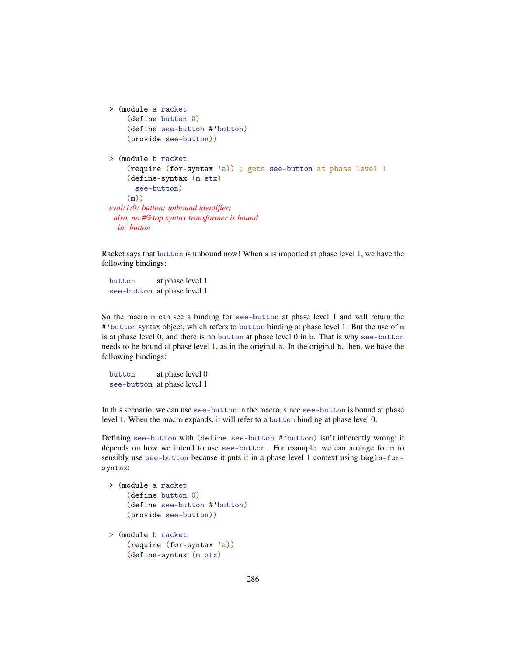```
> (module a racket
    (define button 0)
    (define see-button #'button)
    (provide see-button))
> (module b racket
    (require (for-syntax 'a)) ; gets see-button at phase level 1
    (define-syntax (m stx)
      see-button)
    (m))
eval:1:0: button: unbound identifier;
 also, no #%top syntax transformer is bound
  in: button
```
Racket says that button is unbound now! When a is imported at phase level 1, we have the following bindings:

button at phase level 1 see-button at phase level 1

So the macro m can see a binding for see-button at phase level 1 and will return the #'button syntax object, which refers to button binding at phase level 1. But the use of m is at phase level 0, and there is no button at phase level 0 in b. That is why see-button needs to be bound at phase level 1, as in the original a. In the original b, then, we have the following bindings:

button at phase level 0 see-button at phase level 1

In this scenario, we can use see-button in the macro, since see-button is bound at phase level 1. When the macro expands, it will refer to a button binding at phase level 0.

Defining see-button with (define see-button #'button) isn't inherently wrong; it depends on how we intend to use see-button. For example, we can arrange for m to sensibly use see-button because it puts it in a phase level 1 context using begin-forsyntax:

```
> (module a racket
    (define button 0)
    (define see-button #'button)
    (provide see-button))
> (module b racket
    (require (for-syntax 'a))
    (define-syntax (m stx)
```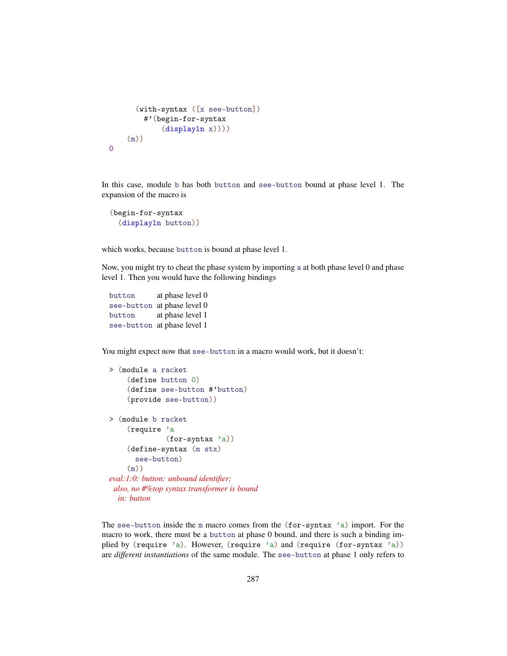```
(with-syntax ([x see-button])
        #'(begin-for-syntax
             (displayln x))))
    (m))
0
```
In this case, module b has both button and see-button bound at phase level 1. The expansion of the macro is

```
(begin-for-syntax
 (displayln button))
```
which works, because button is bound at phase level 1.

Now, you might try to cheat the phase system by importing a at both phase level 0 and phase level 1. Then you would have the following bindings

button at phase level 0 see-button at phase level 0 button at phase level 1 see-button at phase level 1

You might expect now that see-button in a macro would work, but it doesn't:

```
> (module a racket
    (define button 0)
    (define see-button #'button)
    (provide see-button))
> (module b racket
    (require 'a
              (for-syntax 'a))
    (define-syntax (m stx)
      see-button)
    (m))
eval:1:0: button: unbound identifier;
 also, no #%top syntax transformer is bound
  in: button
```
The see-button inside the m macro comes from the (for-syntax  $a$ ) import. For the macro to work, there must be a button at phase 0 bound, and there is such a binding implied by (require 'a). However, (require 'a) and (require (for-syntax 'a)) are *different instantiations* of the same module. The see-button at phase 1 only refers to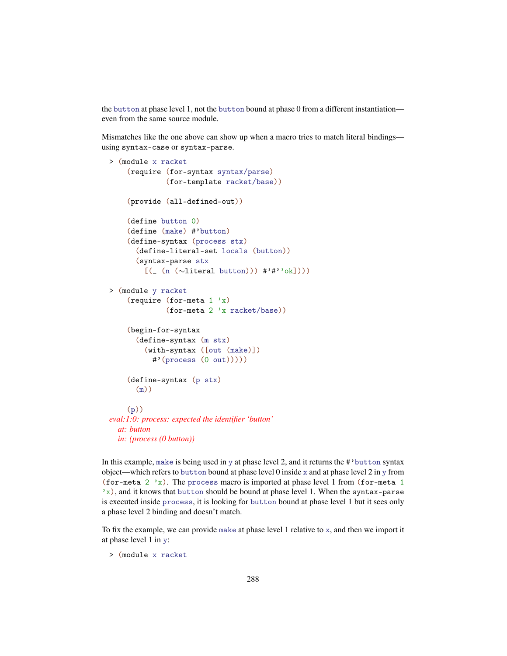the button at phase level 1, not the button bound at phase 0 from a different instantiation even from the same source module.

Mismatches like the one above can show up when a macro tries to match literal bindings using syntax-case or syntax-parse.

```
> (module x racket
    (require (for-syntax syntax/parse)
              (for-template racket/base))
    (provide (all-defined-out))
    (define button 0)
    (define (make) #'button)
    (define-syntax (process stx)
      (define-literal-set locals (button))
      (syntax-parse stx
        [((n \ (\sim]literal button))) #'#''ok])))
> (module y racket
    (require (for-meta 1 \gamma x)
              (for-meta 2 'x racket/base))
    (begin-for-syntax
      (define-syntax (m stx)
        (with-syntax ([out (make)])
          #'(process (0 out)))))
    (define-syntax (p stx)
      (m))
    (p))
eval:1:0: process: expected the identifier 'button'
  at: button
  in: (process (0 button))
```
In this example, make is being used in y at phase level 2, and it returns the #'button syntax object—which refers to button bound at phase level 0 inside x and at phase level 2 in y from (for-meta  $2 \gamma x$ ). The process macro is imported at phase level 1 from (for-meta 1) 'x), and it knows that button should be bound at phase level 1. When the syntax-parse is executed inside process, it is looking for button bound at phase level 1 but it sees only a phase level 2 binding and doesn't match.

To fix the example, we can provide make at phase level 1 relative to  $x$ , and then we import it at phase level 1 in y:

> (module x racket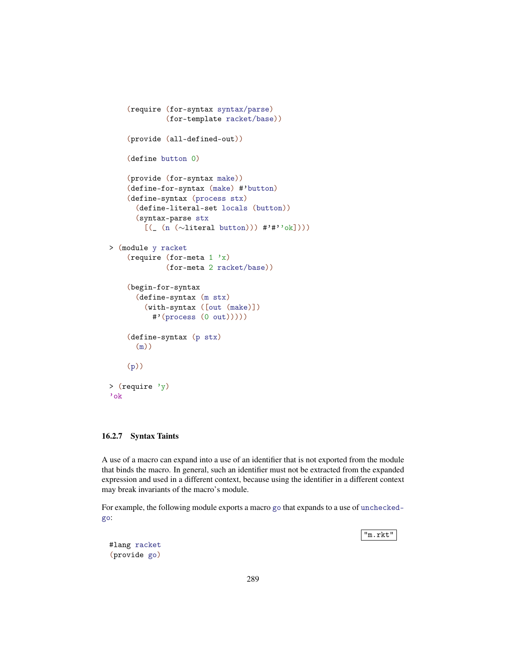```
(require (for-syntax syntax/parse)
              (for-template racket/base))
    (provide (all-defined-out))
    (define button 0)
    (provide (for-syntax make))
    (define-for-syntax (make) #'button)
    (define-syntax (process stx)
       (define-literal-set locals (button))
      (syntax-parse stx
         [(\text{a} (\sim\text{literal button})))\text{ #'}\text{#'}\text{'ok}])))> (module y racket
    (require (for-meta 1 'x)
              (for-meta 2 racket/base))
    (begin-for-syntax
      (define-syntax (m stx)
         (with-syntax ([out (make)])
           #'(process (0 out)))))
    (define-syntax (p stx)
      (m))
    (p))
> (require 'y)
'ok
```
### 16.2.7 Syntax Taints

A use of a macro can expand into a use of an identifier that is not exported from the module that binds the macro. In general, such an identifier must not be extracted from the expanded expression and used in a different context, because using the identifier in a different context may break invariants of the macro's module.

For example, the following module exports a macro go that expands to a use of uncheckedgo:

"m.rkt"

#lang racket (provide go)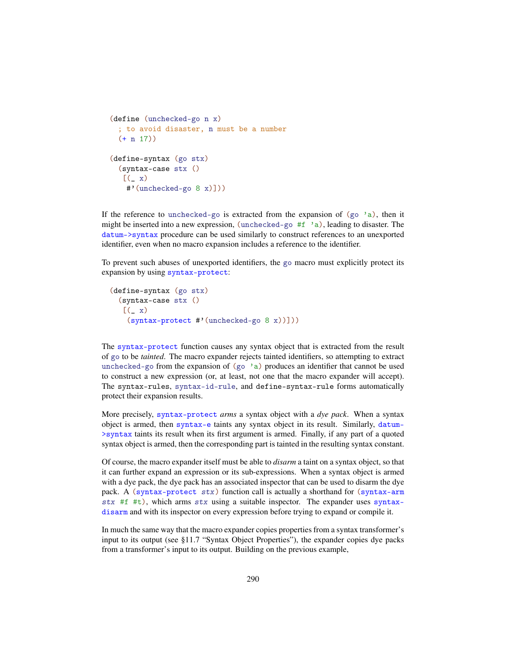```
(define (unchecked-go n x)
  ; to avoid disaster, n must be a number
  (+ n 17))(define-syntax (go stx)
  (syntax-case stx ()
   [ (\underline{x})#'(unchecked-go 8 x)]))
```
If the reference to unchecked-go is extracted from the expansion of  $(g_0, g_0)$ , then it might be inserted into a new expression, (unchecked-go  $#f^{-1}a$ ), leading to disaster. The datum->syntax procedure can be used similarly to construct references to an unexported identifier, even when no macro expansion includes a reference to the identifier.

To prevent such abuses of unexported identifiers, the go macro must explicitly protect its expansion by using syntax-protect:

```
(define-syntax (go stx)
  (syntax-case stx ()
   [(\mathbf{x})
    (syntax-protect #'(unchecked-go 8 x))]))
```
The syntax-protect function causes any syntax object that is extracted from the result of go to be *tainted*. The macro expander rejects tainted identifiers, so attempting to extract unchecked-go from the expansion of  $(go \ a)$  produces an identifier that cannot be used to construct a new expression (or, at least, not one that the macro expander will accept). The syntax-rules, syntax-id-rule, and define-syntax-rule forms automatically protect their expansion results.

More precisely, syntax-protect *arms* a syntax object with a *dye pack*. When a syntax object is armed, then syntax-e taints any syntax object in its result. Similarly, datum- >syntax taints its result when its first argument is armed. Finally, if any part of a quoted syntax object is armed, then the corresponding part is tainted in the resulting syntax constant.

Of course, the macro expander itself must be able to *disarm* a taint on a syntax object, so that it can further expand an expression or its sub-expressions. When a syntax object is armed with a dye pack, the dye pack has an associated inspector that can be used to disarm the dye pack. A (syntax-protect stx) function call is actually a shorthand for (syntax-arm stx #f  $#t$ ), which arms stx using a suitable inspector. The expander uses syntaxdisarm and with its inspector on every expression before trying to expand or compile it.

In much the same way that the macro expander copies properties from a syntax transformer's input to its output (see §11.7 "Syntax Object Properties"), the expander copies dye packs from a transformer's input to its output. Building on the previous example,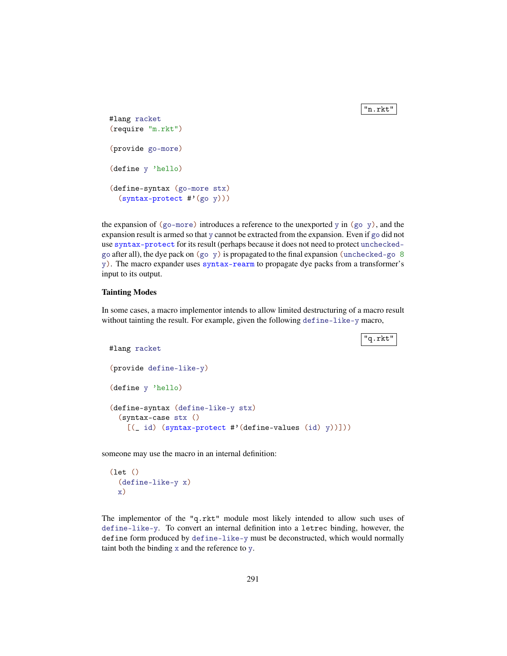# "n.rkt"

"q.rkt"

```
#lang racket
(require "m.rkt")
(provide go-more)
(define y 'hello)
(define-syntax (go-more stx)
  (syntax-protect #'(go y)))
```
the expansion of  $(g_0$ -more) introduces a reference to the unexported y in  $(g_0, y)$ , and the expansion result is armed so that y cannot be extracted from the expansion. Even if go did not use syntax-protect for its result (perhaps because it does not need to protect uncheckedgo after all), the dye pack on (go y) is propagated to the final expansion (unchecked-go 8 y). The macro expander uses syntax-rearm to propagate dye packs from a transformer's input to its output.

### Tainting Modes

In some cases, a macro implementor intends to allow limited destructuring of a macro result without tainting the result. For example, given the following define-like-y macro,

```
#lang racket
(provide define-like-y)
(define y 'hello)
(define-syntax (define-like-y stx)
  (syntax-case stx ()
    [(_ id) (syntax-protect #'(define-values (id) y))]))
```
someone may use the macro in an internal definition:

```
(let ()
  (define-like-y x)
 x)
```
The implementor of the "q.rkt" module most likely intended to allow such uses of define-like-y. To convert an internal definition into a letrec binding, however, the define form produced by define-like-y must be deconstructed, which would normally taint both the binding x and the reference to y.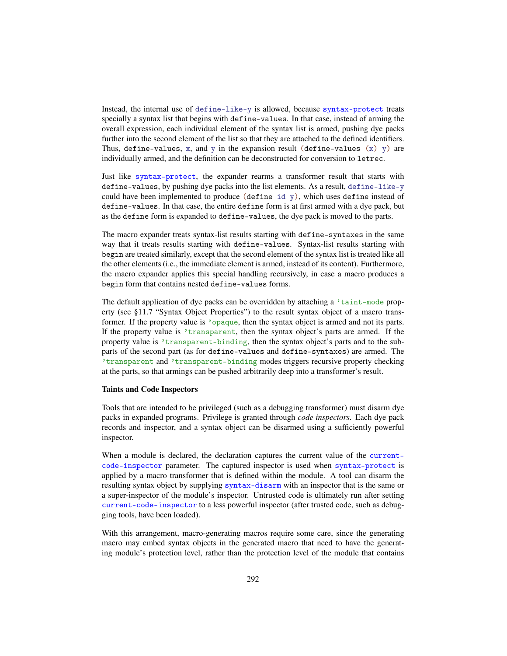Instead, the internal use of define-like-y is allowed, because syntax-protect treats specially a syntax list that begins with define-values. In that case, instead of arming the overall expression, each individual element of the syntax list is armed, pushing dye packs further into the second element of the list so that they are attached to the defined identifiers. Thus, define-values, x, and y in the expansion result (define-values  $(x)$  y) are individually armed, and the definition can be deconstructed for conversion to letrec.

Just like syntax-protect, the expander rearms a transformer result that starts with define-values, by pushing dye packs into the list elements. As a result, define-like-y could have been implemented to produce (define id y), which uses define instead of define-values. In that case, the entire define form is at first armed with a dye pack, but as the define form is expanded to define-values, the dye pack is moved to the parts.

The macro expander treats syntax-list results starting with define-syntaxes in the same way that it treats results starting with define-values. Syntax-list results starting with begin are treated similarly, except that the second element of the syntax list is treated like all the other elements (i.e., the immediate element is armed, instead of its content). Furthermore, the macro expander applies this special handling recursively, in case a macro produces a begin form that contains nested define-values forms.

The default application of dye packs can be overridden by attaching a 'taint-mode property (see §11.7 "Syntax Object Properties") to the result syntax object of a macro transformer. If the property value is 'opaque, then the syntax object is armed and not its parts. If the property value is 'transparent, then the syntax object's parts are armed. If the property value is 'transparent-binding, then the syntax object's parts and to the subparts of the second part (as for define-values and define-syntaxes) are armed. The 'transparent and 'transparent-binding modes triggers recursive property checking at the parts, so that armings can be pushed arbitrarily deep into a transformer's result.

#### Taints and Code Inspectors

Tools that are intended to be privileged (such as a debugging transformer) must disarm dye packs in expanded programs. Privilege is granted through *code inspectors*. Each dye pack records and inspector, and a syntax object can be disarmed using a sufficiently powerful inspector.

When a module is declared, the declaration captures the current value of the currentcode-inspector parameter. The captured inspector is used when syntax-protect is applied by a macro transformer that is defined within the module. A tool can disarm the resulting syntax object by supplying syntax-disarm with an inspector that is the same or a super-inspector of the module's inspector. Untrusted code is ultimately run after setting current-code-inspector to a less powerful inspector (after trusted code, such as debugging tools, have been loaded).

With this arrangement, macro-generating macros require some care, since the generating macro may embed syntax objects in the generated macro that need to have the generating module's protection level, rather than the protection level of the module that contains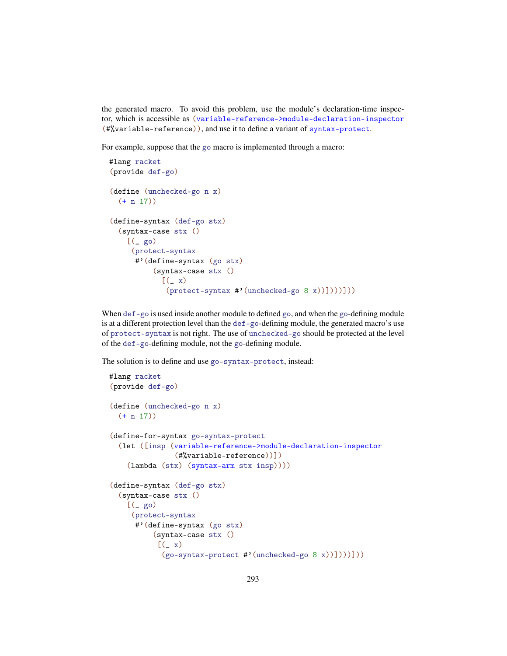the generated macro. To avoid this problem, use the module's declaration-time inspector, which is accessible as (variable-reference->module-declaration-inspector (#%variable-reference)), and use it to define a variant of syntax-protect.

For example, suppose that the go macro is implemented through a macro:

```
#lang racket
(provide def-go)
(define (unchecked-go n x)
  (+ n 17))(define-syntax (def-go stx)
  (syntax-case stx ()
    [ (\angle go)
     (protect-syntax
      #'(define-syntax (go stx)
           (syntax-case stx ()
             [(\mathbf{x})
              (protect-syntax #'(unchecked-go 8 x))])))]))
```
When def-go is used inside another module to defined go, and when the go-defining module is at a different protection level than the def-go-defining module, the generated macro's use of protect-syntax is not right. The use of unchecked-go should be protected at the level of the def-go-defining module, not the go-defining module.

The solution is to define and use go-syntax-protect, instead:

```
#lang racket
(provide def-go)
(define (unchecked-go n x)
  (+ n 17))(define-for-syntax go-syntax-protect
  (let ([insp (variable-reference->module-declaration-inspector
                (#%variable-reference))])
    (lambda (stx) (syntax-arm stx insp))))
(define-syntax (def-go stx)
  (syntax-case stx ()
    [ (_{\text{g0}})
     (protect-syntax
      #'(define-syntax (go stx)
          (syntax-case stx ()
            \lceil (\mathbf{x})
             (go-syntax-protect #'(unchecked-go 8 x))])))]))
```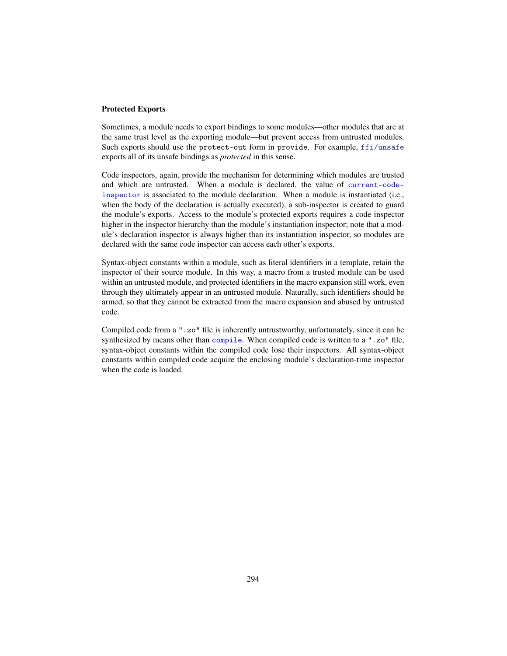### Protected Exports

Sometimes, a module needs to export bindings to some modules—other modules that are at the same trust level as the exporting module—but prevent access from untrusted modules. Such exports should use the protect-out form in provide. For example, ffi/unsafe exports all of its unsafe bindings as *protected* in this sense.

Code inspectors, again, provide the mechanism for determining which modules are trusted and which are untrusted. When a module is declared, the value of current-codeinspector is associated to the module declaration. When a module is instantiated (i.e., when the body of the declaration is actually executed), a sub-inspector is created to guard the module's exports. Access to the module's protected exports requires a code inspector higher in the inspector hierarchy than the module's instantiation inspector; note that a module's declaration inspector is always higher than its instantiation inspector, so modules are declared with the same code inspector can access each other's exports.

Syntax-object constants within a module, such as literal identifiers in a template, retain the inspector of their source module. In this way, a macro from a trusted module can be used within an untrusted module, and protected identifiers in the macro expansion still work, even through they ultimately appear in an untrusted module. Naturally, such identifiers should be armed, so that they cannot be extracted from the macro expansion and abused by untrusted code.

Compiled code from a ".zo" file is inherently untrustworthy, unfortunately, since it can be synthesized by means other than compile. When compiled code is written to a ".zo" file, syntax-object constants within the compiled code lose their inspectors. All syntax-object constants within compiled code acquire the enclosing module's declaration-time inspector when the code is loaded.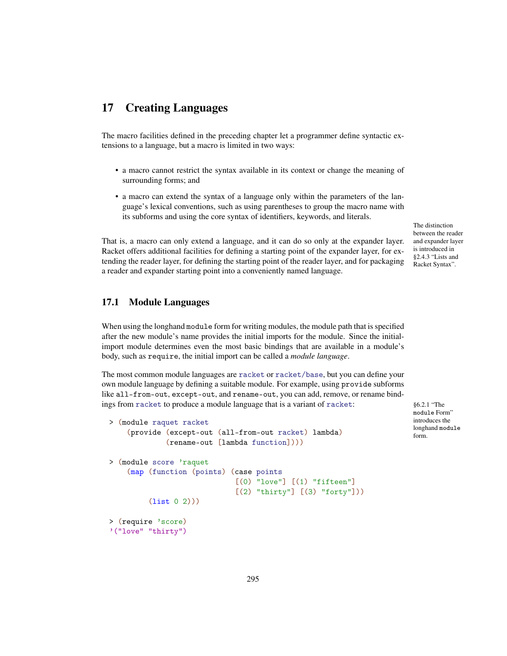## • a macro can extend the syntax of a language only within the parameters of the language's lexical conventions, such as using parentheses to group the macro name with its subforms and using the core syntax of identifiers, keywords, and literals.

tensions to a language, but a macro is limited in two ways:

17 Creating Languages

surrounding forms; and

The distinction between the reader and expander layer is introduced in §2.4.3 "Lists and Racket Syntax".

That is, a macro can only extend a language, and it can do so only at the expander layer. Racket offers additional facilities for defining a starting point of the expander layer, for extending the reader layer, for defining the starting point of the reader layer, and for packaging a reader and expander starting point into a conveniently named language.

The macro facilities defined in the preceding chapter let a programmer define syntactic ex-

• a macro cannot restrict the syntax available in its context or change the meaning of

# 17.1 Module Languages

When using the longhand module form for writing modules, the module path that is specified after the new module's name provides the initial imports for the module. Since the initialimport module determines even the most basic bindings that are available in a module's body, such as require, the initial import can be called a *module language*.

The most common module languages are racket or racket/base, but you can define your own module language by defining a suitable module. For example, using provide subforms like all-from-out, except-out, and rename-out, you can add, remove, or rename bindings from racket to produce a module language that is a variant of racket: §6.2.1 "The

```
> (module raquet racket
    (provide (except-out (all-from-out racket) lambda)
             (rename-out [lambda function])))
> (module score 'raquet
    (map (function (points) (case points
                              [(0) "love"] [(1) "fifteen"]
                              [(2) "thirty"] [(3) "forty"]))
         (list 0 2)))
> (require 'score)
'("love" "thirty")
```
module Form" introduces the longhand module form.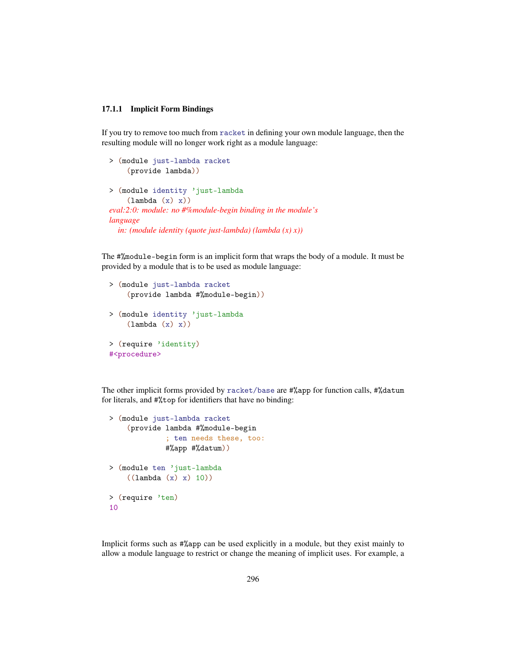### 17.1.1 Implicit Form Bindings

If you try to remove too much from racket in defining your own module language, then the resulting module will no longer work right as a module language:

```
> (module just-lambda racket
    (provide lambda))
> (module identity 'just-lambda
     (lambda (x) x))eval:2:0: module: no #%module-begin binding in the module's
language
  in: (module identity (quote just-lambda) (lambda (x) x))
```
The #%module-begin form is an implicit form that wraps the body of a module. It must be provided by a module that is to be used as module language:

```
> (module just-lambda racket
    (provide lambda #%module-begin))
> (module identity 'just-lambda
    (lambda (x) x))> (require 'identity)
#<procedure>
```
The other implicit forms provided by racket/base are #%app for function calls, #%datum for literals, and #%top for identifiers that have no binding:

```
> (module just-lambda racket
    (provide lambda #%module-begin
             ; ten needs these, too:
             #%app #%datum))
> (module ten 'just-lambda
    ((lambda (x) x) 10))
> (require 'ten)
10
```
Implicit forms such as #%app can be used explicitly in a module, but they exist mainly to allow a module language to restrict or change the meaning of implicit uses. For example, a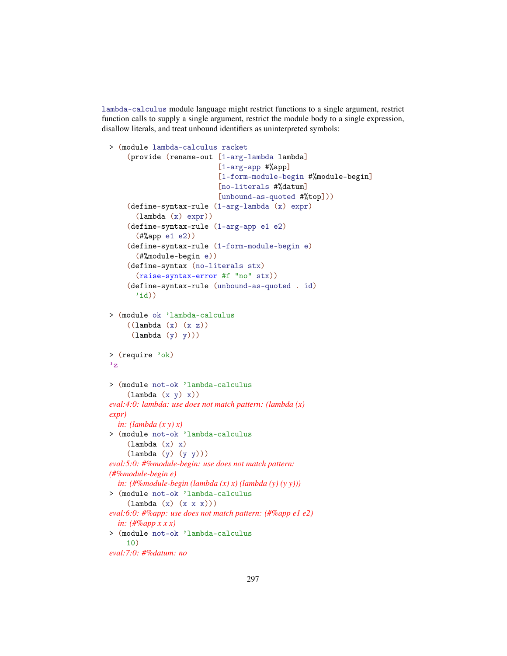lambda-calculus module language might restrict functions to a single argument, restrict function calls to supply a single argument, restrict the module body to a single expression, disallow literals, and treat unbound identifiers as uninterpreted symbols:

```
> (module lambda-calculus racket
    (provide (rename-out [1-arg-lambda lambda]
                           [1-arg-app #%app]
                           [1-form-module-begin #%module-begin]
                           [no-literals #%datum]
                           [unbound-as-quoted #%top]))
    (define-syntax-rule (1-arg-lambda (x) expr)
      (lambda (x) expr))
    (define-syntax-rule (1-arg-app e1 e2)
       (#%app e1 e2))
    (define-syntax-rule (1-form-module-begin e)
      (#%module-begin e))
    (define-syntax (no-literals stx)
       (raise-syntax-error #f "no" stx))
    (define-syntax-rule (unbound-as-quoted . id)
      (iid)> (module ok 'lambda-calculus
    ((lambda (x) (x z))(lambda (y) y)))
> (require 'ok)
'z> (module not-ok 'lambda-calculus
    (\text{lambda } (x y) x))eval:4:0: lambda: use does not match pattern: (lambda (x)
expr)
  in: (lambda (x y) x)
> (module not-ok 'lambda-calculus
    (\text{lambda } (x) x)(lambda (y) (y y)))
eval:5:0: #%module-begin: use does not match pattern:
(#%module-begin e)
  in: (#%module-begin (lambda (x) x) (lambda (y) (y y)))
> (module not-ok 'lambda-calculus
    (lambda (x) (x x x)))
eval:6:0: #%app: use does not match pattern: (#%app e1 e2)
  in: (#%app x x x)
> (module not-ok 'lambda-calculus
    10)
eval:7:0: #%datum: no
```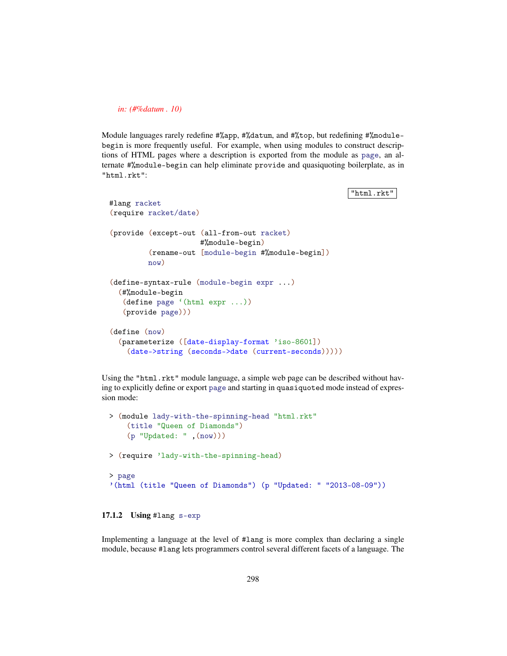*in: (#%datum . 10)*

Module languages rarely redefine #%app, #%datum, and #%top, but redefining #%modulebegin is more frequently useful. For example, when using modules to construct descriptions of HTML pages where a description is exported from the module as page, an alternate #%module-begin can help eliminate provide and quasiquoting boilerplate, as in "html.rkt":

"html.rkt"

```
#lang racket
(require racket/date)
(provide (except-out (all-from-out racket)
                     #%module-begin)
         (rename-out [module-begin #%module-begin])
         now)
(define-syntax-rule (module-begin expr ...)
  (#%module-begin
   (define page '(html expr ...))
   (provide page)))
(define (now)
  (parameterize ([date-display-format 'iso-8601])
    (date->string (seconds->date (current-seconds)))))
```
Using the "html.rkt" module language, a simple web page can be described without having to explicitly define or export page and starting in quasiquoted mode instead of expression mode:

```
> (module lady-with-the-spinning-head "html.rkt"
    (title "Queen of Diamonds")
    (p "Updated: " ,(now)))
> (require 'lady-with-the-spinning-head)
> page
'(html (title "Queen of Diamonds") (p "Updated: " "2013-08-09"))
```
## 17.1.2 Using #lang s-exp

Implementing a language at the level of #lang is more complex than declaring a single module, because #lang lets programmers control several different facets of a language. The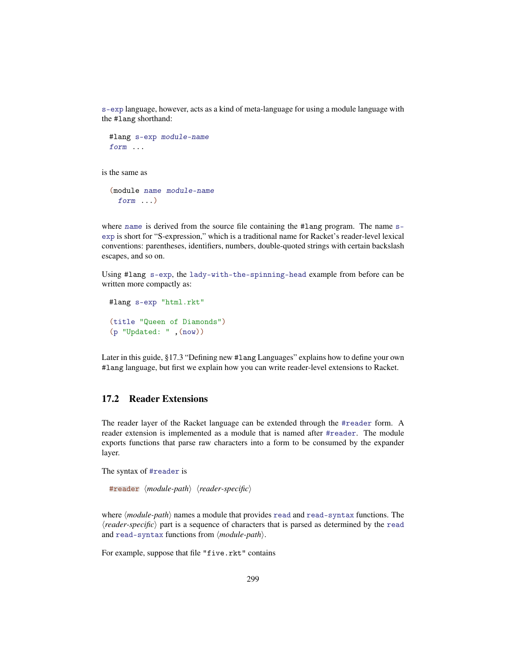s-exp language, however, acts as a kind of meta-language for using a module language with the #lang shorthand:

```
#lang s-exp module-name
form ...
```
is the same as

(module name module-name form ...)

where name is derived from the source file containing the #lang program. The name sexp is short for "S-expression," which is a traditional name for Racket's reader-level lexical conventions: parentheses, identifiers, numbers, double-quoted strings with certain backslash escapes, and so on.

Using #lang s-exp, the lady-with-the-spinning-head example from before can be written more compactly as:

```
#lang s-exp "html.rkt"
(title "Queen of Diamonds")
(p "Updated: " ,(now))
```
Later in this guide, §17.3 "Defining new #lang Languages" explains how to define your own #lang language, but first we explain how you can write reader-level extensions to Racket.

# 17.2 Reader Extensions

The reader layer of the Racket language can be extended through the #reader form. A reader extension is implemented as a module that is named after #reader. The module exports functions that parse raw characters into a form to be consumed by the expander layer.

The syntax of #reader is

```
#reader \langlemodule-path\rangle \langlereader-specific\rangle
```
where  $\langle module-path \rangle$  names a module that provides read and read-syntax functions. The  $\langle reader-specific \rangle$  part is a sequence of characters that is parsed as determined by the read and read-syntax functions from  $\langle module-path \rangle$ .

For example, suppose that file "five.rkt" contains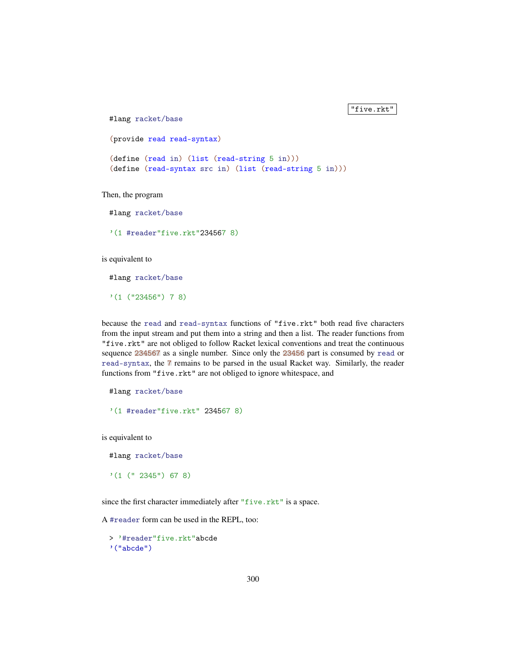"five.rkt"

```
#lang racket/base
(provide read read-syntax)
(define (read in) (list (read-string 5 in)))
(define (read-syntax src in) (list (read-string 5 in)))
```
Then, the program

#lang racket/base

'(1 #reader"five.rkt"234567 8)

is equivalent to

#lang racket/base

'(1 ("23456") 7 8)

because the read and read-syntax functions of "five.rkt" both read five characters from the input stream and put them into a string and then a list. The reader functions from "five.rkt" are not obliged to follow Racket lexical conventions and treat the continuous sequence 234567 as a single number. Since only the 23456 part is consumed by read or read-syntax, the 7 remains to be parsed in the usual Racket way. Similarly, the reader functions from "five.rkt" are not obliged to ignore whitespace, and

```
#lang racket/base
'(1 #reader"five.rkt" 234567 8)
```
is equivalent to

#lang racket/base

'(1 (" 2345") 67 8)

since the first character immediately after "five.rkt" is a space.

A #reader form can be used in the REPL, too:

```
> '#reader"five.rkt"abcde
'("abcde")
```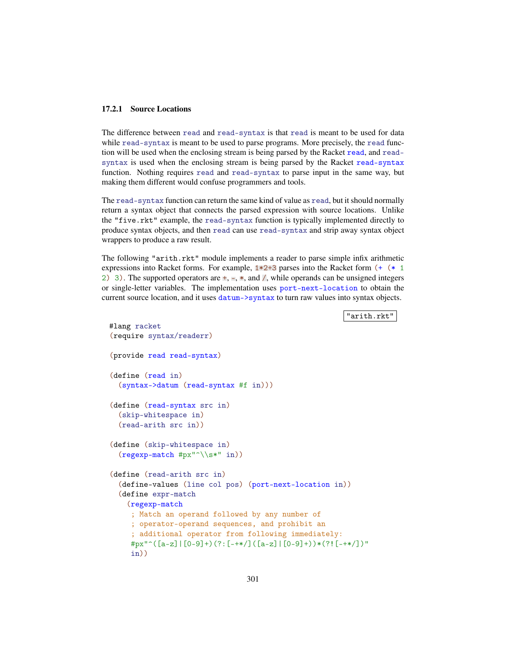## 17.2.1 Source Locations

The difference between read and read-syntax is that read is meant to be used for data while read-syntax is meant to be used to parse programs. More precisely, the read function will be used when the enclosing stream is being parsed by the Racket read, and readsyntax is used when the enclosing stream is being parsed by the Racket read-syntax function. Nothing requires read and read-syntax to parse input in the same way, but making them different would confuse programmers and tools.

The read-syntax function can return the same kind of value as read, but it should normally return a syntax object that connects the parsed expression with source locations. Unlike the "five.rkt" example, the read-syntax function is typically implemented directly to produce syntax objects, and then read can use read-syntax and strip away syntax object wrappers to produce a raw result.

The following "arith.rkt" module implements a reader to parse simple infix arithmetic expressions into Racket forms. For example, 1\*2+3 parses into the Racket form (+ (\* 1 2) 3). The supported operators are  $+, -, *,$  and  $/$ , while operands can be unsigned integers or single-letter variables. The implementation uses port-next-location to obtain the current source location, and it uses datum->syntax to turn raw values into syntax objects.

"arith.rkt"

```
#lang racket
(require syntax/readerr)
(provide read read-syntax)
(define (read in)
  (syntax->datum (read-syntax #f in)))
(define (read-syntax src in)
  (skip-whitespace in)
  (read-arith src in))
(define (skip-whitespace in)
  (regexp-match #px"^\\s*" in))
(define (read-arith src in)
  (define-values (line col pos) (port-next-location in))
  (define expr-match
    (regexp-match
     ; Match an operand followed by any number of
     ; operator–operand sequences, and prohibit an
     ; additional operator from following immediately:
     \sharppx"^([a-z]|[0-9]+)(?:[-+*/]([a-z]|[0-9]+))*(?![-+*/])"
     in))
```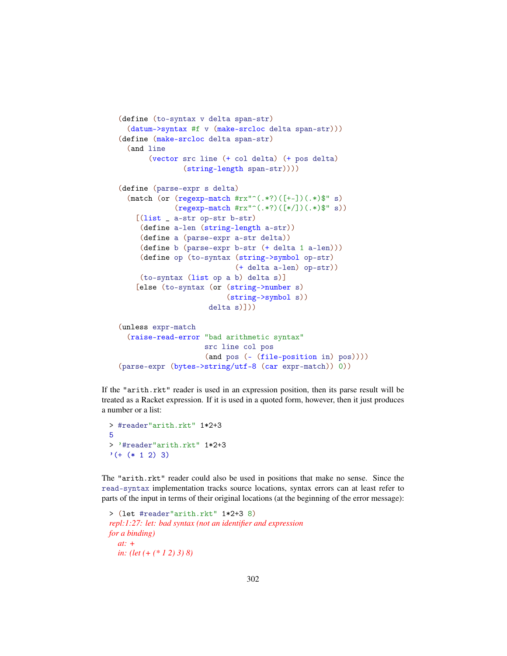```
(define (to-syntax v delta span-str)
  (datum->syntax #f v (make-srcloc delta span-str)))
(define (make-srcloc delta span-str)
  (and line
       (vector src line (+ col delta) (+ pos delta)
               (string-length span-str))))
(define (parse-expr s delta)
  (match (or (regexp-match #rx"^(.*?)([--])(.*)*" s)(regexp-match #rx"^(.*?)([*/])(.*)$" s))
    [(list _ a-str op-str b-str)
     (define a-len (string-length a-str))
     (define a (parse-expr a-str delta))
     (define b (parse-expr b-str (+ delta 1 a-len)))
     (define op (to-syntax (string->symbol op-str)
                           (+ delta a-len) op-str))
     (to-syntax (list op a b) delta s)]
    [else (to-syntax (or (string->number s)
                         (string->symbol s))
                     delta s)]))
(unless expr-match
  (raise-read-error "bad arithmetic syntax"
                    src line col pos
                    (and pos (- (file-position in) pos))))
(parse-expr (bytes->string/utf-8 (car expr-match)) 0))
```
If the "arith.rkt" reader is used in an expression position, then its parse result will be treated as a Racket expression. If it is used in a quoted form, however, then it just produces a number or a list:

```
> #reader"arith.rkt" 1*2+3
5
> '#reader"arith.rkt" 1*2+3
'(+ (+ 1 2) 3)
```
The "arith.rkt" reader could also be used in positions that make no sense. Since the read-syntax implementation tracks source locations, syntax errors can at least refer to parts of the input in terms of their original locations (at the beginning of the error message):

```
> (let #reader"arith.rkt" 1*2+3 8)
repl:1:27: let: bad syntax (not an identifier and expression
for a binding)
  at: +
  in: (let (+ (* 1 2) 3) 8)
```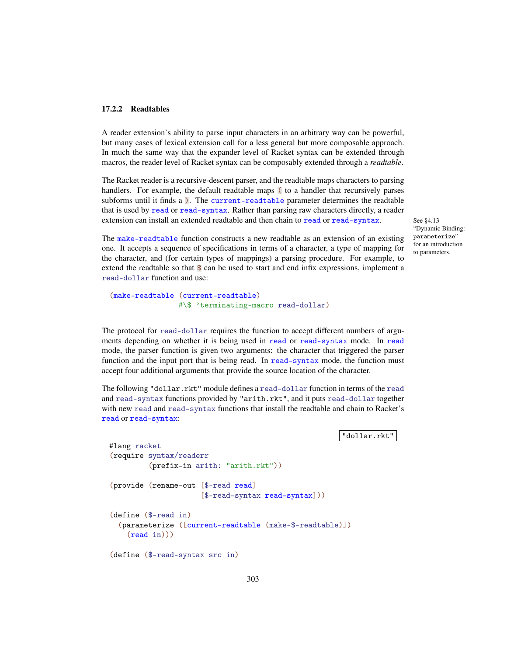### 17.2.2 Readtables

A reader extension's ability to parse input characters in an arbitrary way can be powerful, but many cases of lexical extension call for a less general but more composable approach. In much the same way that the expander level of Racket syntax can be extended through macros, the reader level of Racket syntax can be composably extended through a *readtable*.

The Racket reader is a recursive-descent parser, and the readtable maps characters to parsing handlers. For example, the default readtable maps ( to a handler that recursively parses subforms until it finds a ). The current-readtable parameter determines the readtable that is used by read or read-syntax. Rather than parsing raw characters directly, a reader extension can install an extended readtable and then chain to read or read-syntax. See §4.13

"Dynamic Binding: parameterize" for an introduction to parameters.

The make-readtable function constructs a new readtable as an extension of an existing one. It accepts a sequence of specifications in terms of a character, a type of mapping for the character, and (for certain types of mappings) a parsing procedure. For example, to extend the readtable so that \$ can be used to start and end infix expressions, implement a read-dollar function and use:

```
(make-readtable (current-readtable)
                #\$ 'terminating-macro read-dollar)
```
The protocol for read-dollar requires the function to accept different numbers of arguments depending on whether it is being used in read or read-syntax mode. In read mode, the parser function is given two arguments: the character that triggered the parser function and the input port that is being read. In read-syntax mode, the function must accept four additional arguments that provide the source location of the character.

The following "dollar.rkt" module defines a read-dollar function in terms of the read and read-syntax functions provided by "arith.rkt", and it puts read-dollar together with new read and read-syntax functions that install the readtable and chain to Racket's read or read-syntax:

"dollar.rkt"

```
#lang racket
(require syntax/readerr
         (prefix-in arith: "arith.rkt"))
(provide (rename-out [$-read read]
                      [$-read-syntax read-syntax]))
(define ($-read in)
  (parameterize ([current-readtable (make-$-readtable)])
    (read in)))
(define ($-read-syntax src in)
```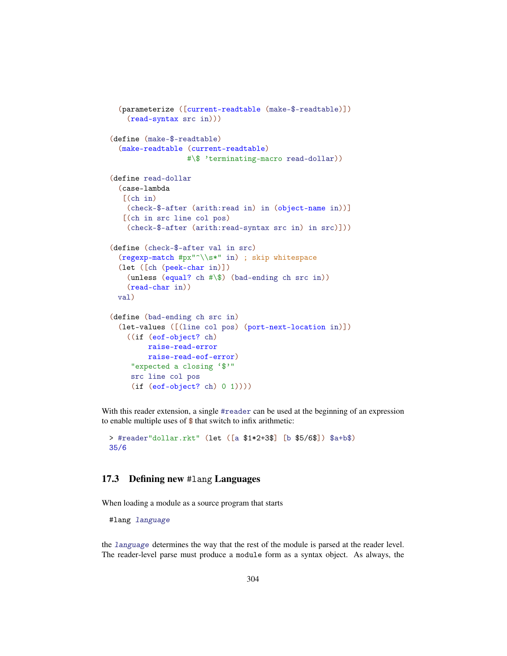```
(parameterize ([current-readtable (make-$-readtable)])
    (read-syntax src in)))
(define (make-$-readtable)
 (make-readtable (current-readtable)
                 #\$ 'terminating-macro read-dollar))
(define read-dollar
 (case-lambda
  [(ch in)(check-$-after (arith:read in) in (object-name in))]
  [(ch in src line col pos)
   (check-$-after (arith:read-syntax src in) in src)]))
(define (check-$-after val in src)
 (regexp-match #px"^\\s*" in) ; skip whitespace
 (let ([ch (peek-char in)])
   (unless (equal? ch #\$) (bad-ending ch src in))
   (read-char in))
 val)
(define (bad-ending ch src in)
 (let-values ([(line col pos) (port-next-location in)])
   ((if (eof-object? ch)
        raise-read-error
        raise-read-eof-error)
    "expected a closing '$'"
    src line col pos
     (if (eof-object? ch) 0 1))))
```
With this reader extension, a single #reader can be used at the beginning of an expression to enable multiple uses of \$ that switch to infix arithmetic:

```
> #reader"dollar.rkt" (let ([a $1*2+3$] [b $5/6$]) $a+b$)
35/6
```
# 17.3 Defining new #lang Languages

When loading a module as a source program that starts

#lang language

the language determines the way that the rest of the module is parsed at the reader level. The reader-level parse must produce a module form as a syntax object. As always, the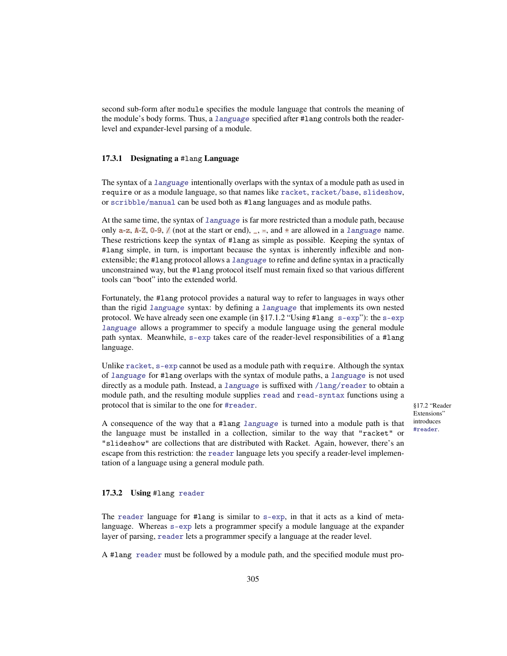second sub-form after module specifies the module language that controls the meaning of the module's body forms. Thus, a language specified after #lang controls both the readerlevel and expander-level parsing of a module.

# 17.3.1 Designating a #lang Language

The syntax of a language intentionally overlaps with the syntax of a module path as used in require or as a module language, so that names like racket, racket/base, slideshow, or scribble/manual can be used both as #lang languages and as module paths.

At the same time, the syntax of language is far more restricted than a module path, because only a-z,  $A-Z$ , 0-9, / (not at the start or end), \_, =, and  $+$  are allowed in a language name. These restrictions keep the syntax of #lang as simple as possible. Keeping the syntax of #lang simple, in turn, is important because the syntax is inherently inflexible and nonextensible; the #lang protocol allows a language to refine and define syntax in a practically unconstrained way, but the #lang protocol itself must remain fixed so that various different tools can "boot" into the extended world.

Fortunately, the #lang protocol provides a natural way to refer to languages in ways other than the rigid language syntax: by defining a language that implements its own nested protocol. We have already seen one example (in §17.1.2 "Using #lang s-exp"): the s-exp language allows a programmer to specify a module language using the general module path syntax. Meanwhile, s-exp takes care of the reader-level responsibilities of a #lang language.

Unlike racket, s-exp cannot be used as a module path with require. Although the syntax of language for #lang overlaps with the syntax of module paths, a language is not used directly as a module path. Instead, a *language* is suffixed with /lang/reader to obtain a module path, and the resulting module supplies read and read-syntax functions using a protocol that is similar to the one for #reader.  $§17.2$  "Reader"

Extensions" introduces #reader.

A consequence of the way that a #lang language is turned into a module path is that the language must be installed in a collection, similar to the way that "racket" or "slideshow" are collections that are distributed with Racket. Again, however, there's an escape from this restriction: the reader language lets you specify a reader-level implementation of a language using a general module path.

## 17.3.2 Using #lang reader

The reader language for #lang is similar to s-exp, in that it acts as a kind of metalanguage. Whereas s-exp lets a programmer specify a module language at the expander layer of parsing, reader lets a programmer specify a language at the reader level.

A #lang reader must be followed by a module path, and the specified module must pro-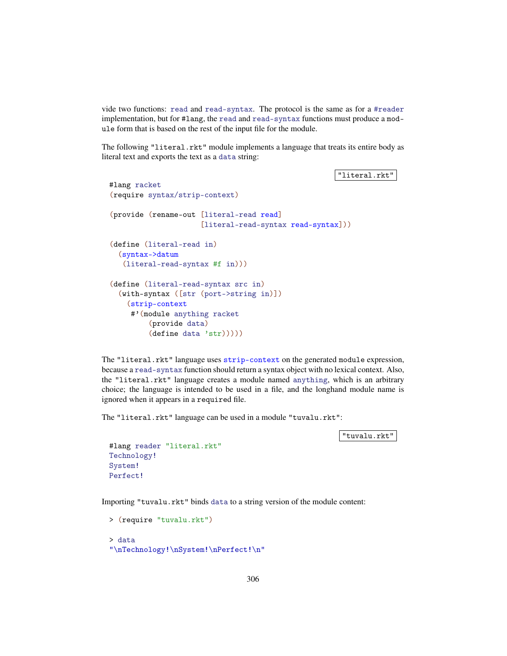vide two functions: read and read-syntax. The protocol is the same as for a #reader implementation, but for #lang, the read and read-syntax functions must produce a module form that is based on the rest of the input file for the module.

The following "literal.rkt" module implements a language that treats its entire body as literal text and exports the text as a data string:

"literal.rkt"

```
#lang racket
(require syntax/strip-context)
(provide (rename-out [literal-read read]
                      [literal-read-syntax read-syntax]))
(define (literal-read in)
  (syntax->datum
   (literal-read-syntax #f in)))
(define (literal-read-syntax src in)
  (with-syntax ([str (port->string in)])
    (strip-context
     #'(module anything racket
         (provide data)
         (define data 'str)))))
```
The "literal.rkt" language uses strip-context on the generated module expression, because a read-syntax function should return a syntax object with no lexical context. Also, the "literal.rkt" language creates a module named anything, which is an arbitrary choice; the language is intended to be used in a file, and the longhand module name is ignored when it appears in a required file.

The "literal.rkt" language can be used in a module "tuvalu.rkt":

"tuvalu.rkt"

```
#lang reader "literal.rkt"
Technology!
System!
Perfect!
```
Importing "tuvalu.rkt" binds data to a string version of the module content:

```
> (require "tuvalu.rkt")
> data
"\nTechnology!\nSystem!\nPerfect!\n"
```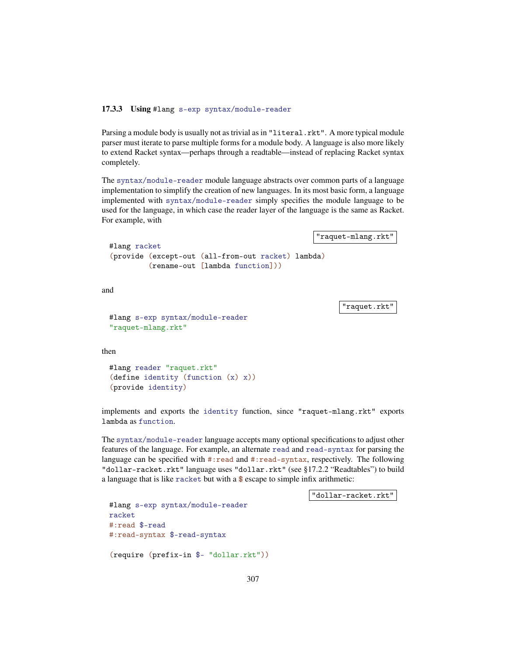### 17.3.3 Using #lang s-exp syntax/module-reader

Parsing a module body is usually not as trivial as in "literal.rkt". A more typical module parser must iterate to parse multiple forms for a module body. A language is also more likely to extend Racket syntax—perhaps through a readtable—instead of replacing Racket syntax completely.

The syntax/module-reader module language abstracts over common parts of a language implementation to simplify the creation of new languages. In its most basic form, a language implemented with syntax/module-reader simply specifies the module language to be used for the language, in which case the reader layer of the language is the same as Racket. For example, with

```
#lang racket
(provide (except-out (all-from-out racket) lambda)
         (rename-out [lambda function]))
```
and

"raquet.rkt"

"raquet-mlang.rkt"

```
#lang s-exp syntax/module-reader
"raquet-mlang.rkt"
```
then

```
#lang reader "raquet.rkt"
(define identity (function (x) x))
(provide identity)
```
implements and exports the identity function, since "raquet-mlang.rkt" exports lambda as function.

The syntax/module-reader language accepts many optional specifications to adjust other features of the language. For example, an alternate read and read-syntax for parsing the language can be specified with #:read and #:read-syntax, respectively. The following "dollar-racket.rkt" language uses "dollar.rkt" (see §17.2.2 "Readtables") to build a language that is like racket but with a  $\frac{1}{2}$  escape to simple infix arithmetic:

"dollar-racket.rkt"

```
#lang s-exp syntax/module-reader
racket
#:read $-read
#:read-syntax $-read-syntax
(require (prefix-in $- "dollar.rkt"))
```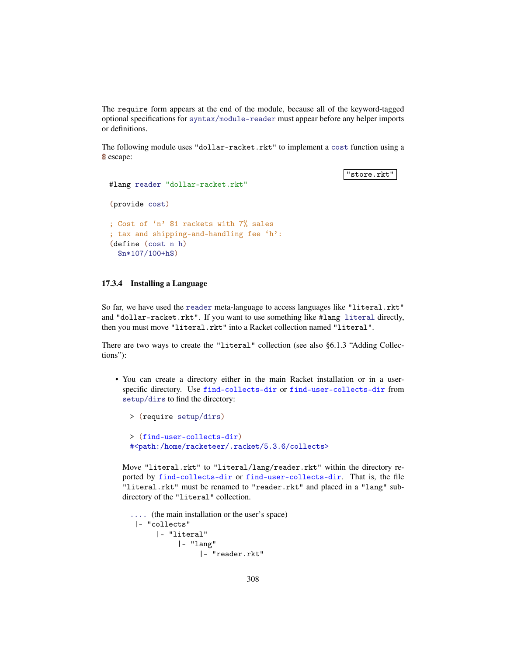The require form appears at the end of the module, because all of the keyword-tagged optional specifications for syntax/module-reader must appear before any helper imports or definitions.

The following module uses "dollar-racket.rkt" to implement a cost function using a \$ escape:

"store.rkt"

```
#lang reader "dollar-racket.rkt"
(provide cost)
; Cost of 'n' $1 rackets with 7% sales
; tax and shipping-and-handling fee 'h':
(define (cost n h)
  $n*107/100+h$)
```
## 17.3.4 Installing a Language

So far, we have used the reader meta-language to access languages like "literal.rkt" and "dollar-racket.rkt". If you want to use something like #lang literal directly, then you must move "literal.rkt" into a Racket collection named "literal".

There are two ways to create the "literal" collection (see also §6.1.3 "Adding Collections"):

• You can create a directory either in the main Racket installation or in a userspecific directory. Use find-collects-dir or find-user-collects-dir from setup/dirs to find the directory:

```
> (require setup/dirs)
```

```
> (find-user-collects-dir)
#<path:/home/racketeer/.racket/5.3.6/collects>
```
Move "literal.rkt" to "literal/lang/reader.rkt" within the directory reported by find-collects-dir or find-user-collects-dir. That is, the file "literal.rkt" must be renamed to "reader.rkt" and placed in a "lang" subdirectory of the "literal" collection.

```
.... (the main installation or the user's space)
|- "collects"
      |- "literal"
            |- "lang"
                  |- "reader.rkt"
```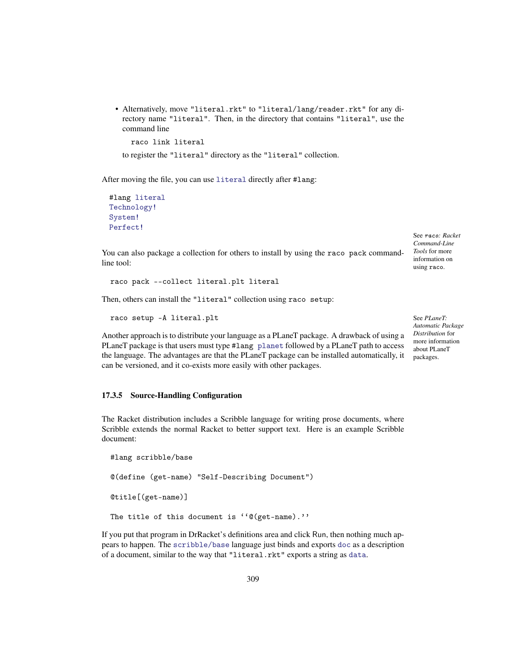• Alternatively, move "literal.rkt" to "literal/lang/reader.rkt" for any directory name "literal". Then, in the directory that contains "literal", use the command line

```
raco link literal
```
to register the "literal" directory as the "literal" collection.

After moving the file, you can use literal directly after #lang:

```
#lang literal
Technology!
System!
Perfect!
```
You can also package a collection for others to install by using the raco pack commandline tool:

raco pack --collect literal.plt literal

Then, others can install the "literal" collection using raco setup:

raco setup -A literal.plt See *PLaneT*:

Another approach is to distribute your language as a PLaneT package. A drawback of using a PLaneT package is that users must type #lang planet followed by a PLaneT path to access the language. The advantages are that the PLaneT package can be installed automatically, it can be versioned, and it co-exists more easily with other packages.

#### 17.3.5 Source-Handling Configuration

The Racket distribution includes a Scribble language for writing prose documents, where Scribble extends the normal Racket to better support text. Here is an example Scribble document:

```
#lang scribble/base
@(define (get-name) "Self-Describing Document")
@title[(get-name)]
The title of this document is ''@(get-name).''
```
If you put that program in DrRacket's definitions area and click Run, then nothing much appears to happen. The scribble/base language just binds and exports doc as a description of a document, similar to the way that "literal.rkt" exports a string as data.

See raco*: Racket Command-Line Tools* for more information on using raco.

*Automatic Package Distribution* for more information about PLaneT packages.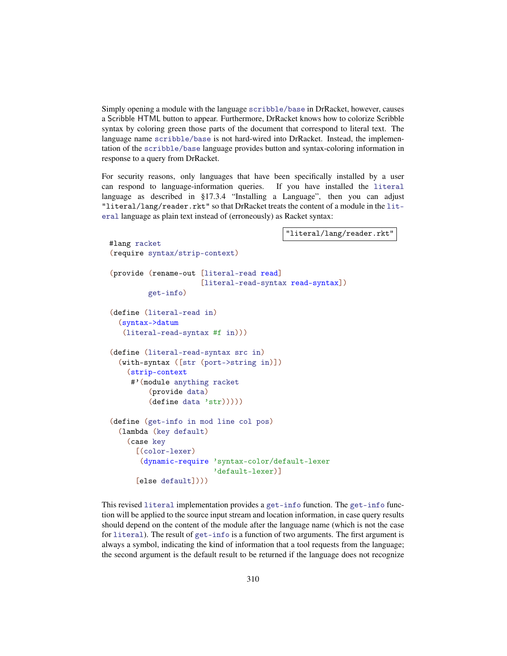Simply opening a module with the language scribble/base in DrRacket, however, causes a Scribble HTML button to appear. Furthermore, DrRacket knows how to colorize Scribble syntax by coloring green those parts of the document that correspond to literal text. The language name scribble/base is not hard-wired into DrRacket. Instead, the implementation of the scribble/base language provides button and syntax-coloring information in response to a query from DrRacket.

For security reasons, only languages that have been specifically installed by a user can respond to language-information queries. If you have installed the literal language as described in §17.3.4 "Installing a Language", then you can adjust "literal/lang/reader.rkt" so that DrRacket treats the content of a module in the literal language as plain text instead of (erroneously) as Racket syntax:

"literal/lang/reader.rkt"

```
#lang racket
(require syntax/strip-context)
(provide (rename-out [literal-read read]
                     [literal-read-syntax read-syntax])
         get-info)
(define (literal-read in)
  (syntax->datum
   (literal-read-syntax #f in)))
(define (literal-read-syntax src in)
  (with-syntax ([str (port->string in)])
    (strip-context
     #'(module anything racket
         (provide data)
         (define data 'str)))))
(define (get-info in mod line col pos)
  (lambda (key default)
    (case key
      [(color-lexer)
       (dynamic-require 'syntax-color/default-lexer
                        'default-lexer)]
      [else default])))
```
This revised literal implementation provides a get-info function. The get-info function will be applied to the source input stream and location information, in case query results should depend on the content of the module after the language name (which is not the case for literal). The result of get-info is a function of two arguments. The first argument is always a symbol, indicating the kind of information that a tool requests from the language; the second argument is the default result to be returned if the language does not recognize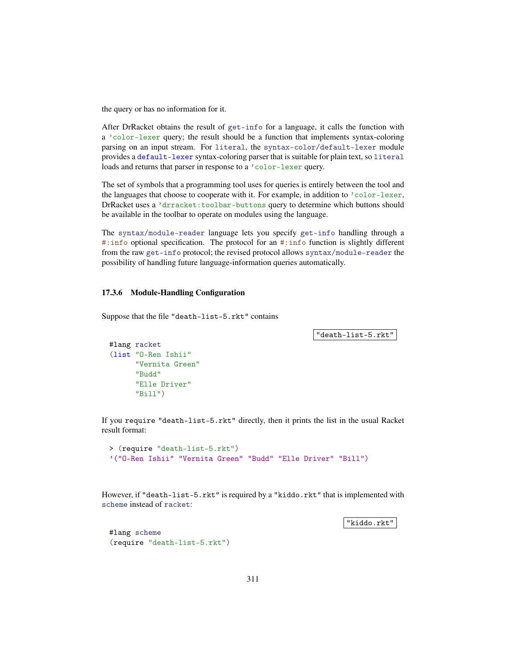the query or has no information for it.

After DrRacket obtains the result of get-info for a language, it calls the function with a 'color-lexer query; the result should be a function that implements syntax-coloring parsing on an input stream. For literal, the syntax-color/default-lexer module provides a default-lexer syntax-coloring parser that is suitable for plain text, so literal loads and returns that parser in response to a 'color-lexer query.

The set of symbols that a programming tool uses for queries is entirely between the tool and the languages that choose to cooperate with it. For example, in addition to 'color-lexer, DrRacket uses a 'drracket:toolbar-buttons query to determine which buttons should be available in the toolbar to operate on modules using the language.

The syntax/module-reader language lets you specify get-info handling through a #:info optional specification. The protocol for an #:info function is slightly different from the raw get-info protocol; the revised protocol allows syntax/module-reader the possibility of handling future language-information queries automatically.

## 17.3.6 Module-Handling Configuration

Suppose that the file "death-list-5.rkt" contains

"death-list-5.rkt"

```
#lang racket
(list "O-Ren Ishii"
      "Vernita Green"
      "Budd"
      "Elle Driver"
      "Bill")
```
If you require "death-list-5.rkt" directly, then it prints the list in the usual Racket result format:

```
> (require "death-list-5.rkt")
'("O-Ren Ishii" "Vernita Green" "Budd" "Elle Driver" "Bill")
```
However, if "death-list-5.rkt" is required by a "kiddo.rkt" that is implemented with scheme instead of racket:

"kiddo.rkt"

#lang scheme (require "death-list-5.rkt")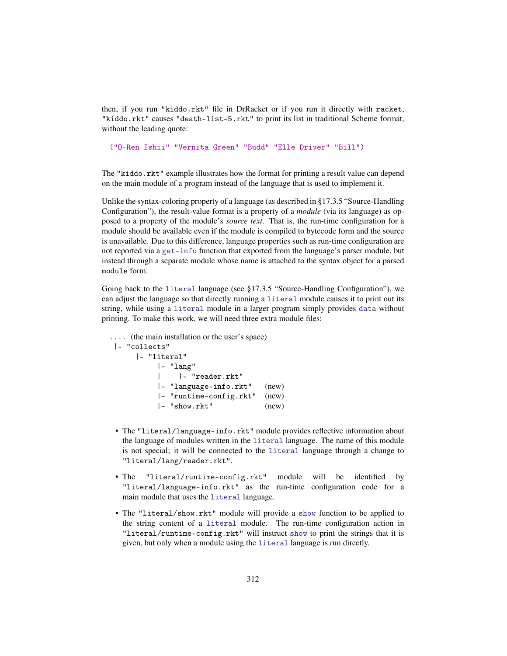then, if you run "kiddo.rkt" file in DrRacket or if you run it directly with racket, "kiddo.rkt" causes "death-list-5.rkt" to print its list in traditional Scheme format, without the leading quote:

```
("O-Ren Ishii" "Vernita Green" "Budd" "Elle Driver" "Bill")
```
The "kiddo.rkt" example illustrates how the format for printing a result value can depend on the main module of a program instead of the language that is used to implement it.

Unlike the syntax-coloring property of a language (as described in §17.3.5 "Source-Handling Configuration"), the result-value format is a property of a *module* (via its language) as opposed to a property of the module's *source text*. That is, the run-time configuration for a module should be available even if the module is compiled to bytecode form and the source is unavailable. Due to this difference, language properties such as run-time configuration are not reported via a get-info function that exported from the language's parser module, but instead through a separate module whose name is attached to the syntax object for a parsed module form.

Going back to the literal language (see §17.3.5 "Source-Handling Configuration"), we can adjust the language so that directly running a literal module causes it to print out its string, while using a literal module in a larger program simply provides data without printing. To make this work, we will need three extra module files:

```
.... (the main installation or the user's space)
|- "collects"
     |- "literal"
          |- "lang"
           | |- "reader.rkt"
           |- "language-info.rkt" (new)
           |- "runtime-config.rkt" (new)
           |- "show.rkt" (new)
```
- The "literal/language-info.rkt" module provides reflective information about the language of modules written in the literal language. The name of this module is not special; it will be connected to the literal language through a change to "literal/lang/reader.rkt".
- The "literal/runtime-config.rkt" module will be identified by "literal/language-info.rkt" as the run-time configuration code for a main module that uses the literal language.
- The "literal/show.rkt" module will provide a show function to be applied to the string content of a literal module. The run-time configuration action in "literal/runtime-config.rkt" will instruct show to print the strings that it is given, but only when a module using the literal language is run directly.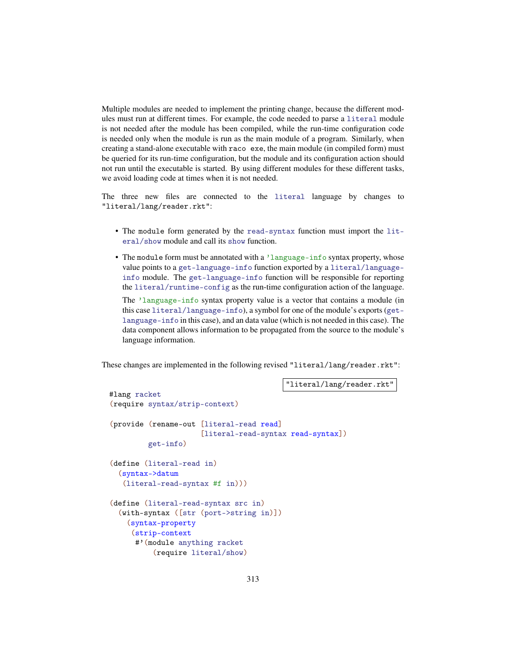Multiple modules are needed to implement the printing change, because the different modules must run at different times. For example, the code needed to parse a literal module is not needed after the module has been compiled, while the run-time configuration code is needed only when the module is run as the main module of a program. Similarly, when creating a stand-alone executable with raco exe, the main module (in compiled form) must be queried for its run-time configuration, but the module and its configuration action should not run until the executable is started. By using different modules for these different tasks, we avoid loading code at times when it is not needed.

The three new files are connected to the literal language by changes to "literal/lang/reader.rkt":

- The module form generated by the read-syntax function must import the literal/show module and call its show function.
- The module form must be annotated with a 'language-info syntax property, whose value points to a get-language-info function exported by a literal/languageinfo module. The get-language-info function will be responsible for reporting the literal/runtime-config as the run-time configuration action of the language.

The 'language-info syntax property value is a vector that contains a module (in this case literal/language-info), a symbol for one of the module's exports (getlanguage-info in this case), and an data value (which is not needed in this case). The data component allows information to be propagated from the source to the module's language information.

These changes are implemented in the following revised "literal/lang/reader.rkt":

"literal/lang/reader.rkt"

```
#lang racket
(require syntax/strip-context)
(provide (rename-out [literal-read read]
                      [literal-read-syntax read-syntax])
         get-info)
(define (literal-read in)
  (syntax->datum
   (literal-read-syntax #f in)))
(define (literal-read-syntax src in)
  (with-syntax ([str (port->string in)])
    (syntax-property
     (strip-context
      #'(module anything racket
          (require literal/show)
```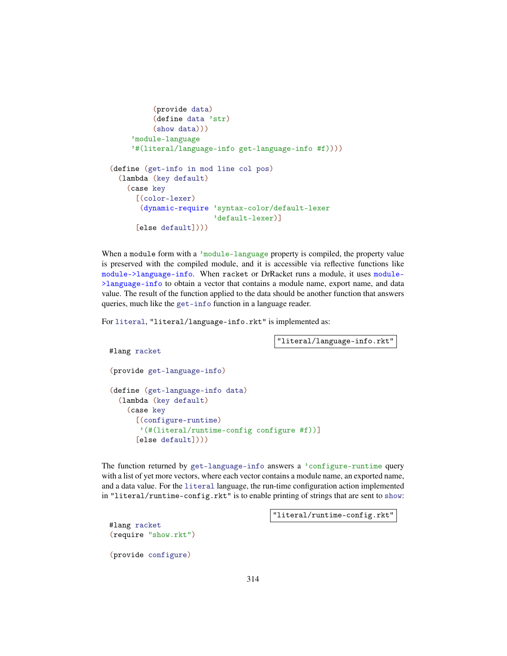```
(provide data)
          (define data 'str)
          (show data)))
     'module-language
     '#(literal/language-info get-language-info #f))))
(define (get-info in mod line col pos)
 (lambda (key default)
    (case key
      [(color-lexer)
       (dynamic-require 'syntax-color/default-lexer
                        'default-lexer)]
      [else default])))
```
When a module form with a 'module-language property is compiled, the property value is preserved with the compiled module, and it is accessible via reflective functions like module->language-info. When racket or DrRacket runs a module, it uses module- >language-info to obtain a vector that contains a module name, export name, and data value. The result of the function applied to the data should be another function that answers queries, much like the get-info function in a language reader.

For literal, "literal/language-info.rkt" is implemented as:

"literal/language-info.rkt"

```
(provide get-language-info)
(define (get-language-info data)
 (lambda (key default)
    (case key
      [(configure-runtime)
       '(#(literal/runtime-config configure #f))]
      [else default])))
```
The function returned by get-language-info answers a 'configure-runtime query with a list of yet more vectors, where each vector contains a module name, an exported name, and a data value. For the literal language, the run-time configuration action implemented in "literal/runtime-config.rkt" is to enable printing of strings that are sent to show:

"literal/runtime-config.rkt"

```
#lang racket
(require "show.rkt")
```
#lang racket

(provide configure)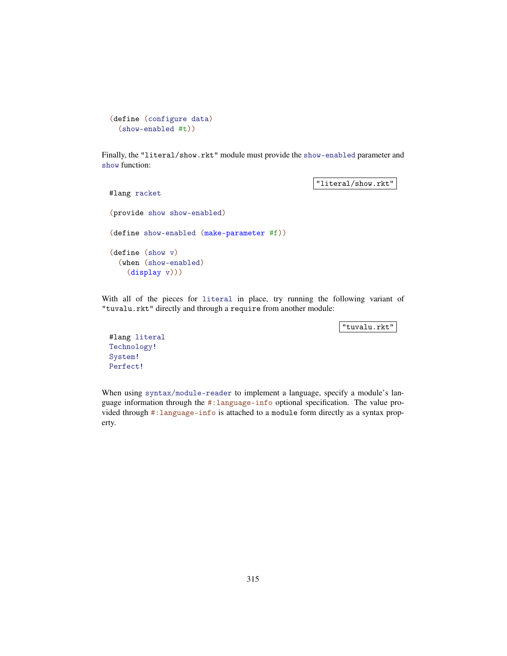```
(define (configure data)
  (show-enabled #t))
```
Finally, the "literal/show.rkt" module must provide the show-enabled parameter and show function:

```
#lang racket
(provide show show-enabled)
(define show-enabled (make-parameter #f))
(define (show v)
  (when (show-enabled)
    (display v)))
```
With all of the pieces for literal in place, try running the following variant of "tuvalu.rkt" directly and through a require from another module:

"tuvalu.rkt"

"literal/show.rkt"

```
#lang literal
Technology!
System!
Perfect!
```
When using syntax/module-reader to implement a language, specify a module's language information through the #:language-info optional specification. The value provided through #:language-info is attached to a module form directly as a syntax property.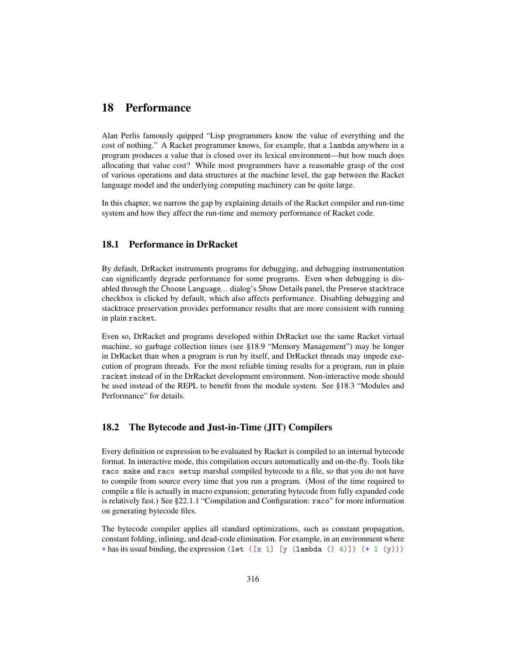# 18 Performance

Alan Perlis famously quipped "Lisp programmers know the value of everything and the cost of nothing." A Racket programmer knows, for example, that a lambda anywhere in a program produces a value that is closed over its lexical environment—but how much does allocating that value cost? While most programmers have a reasonable grasp of the cost of various operations and data structures at the machine level, the gap between the Racket language model and the underlying computing machinery can be quite large.

In this chapter, we narrow the gap by explaining details of the Racket compiler and run-time system and how they affect the run-time and memory performance of Racket code.

# 18.1 Performance in DrRacket

By default, DrRacket instruments programs for debugging, and debugging instrumentation can significantly degrade performance for some programs. Even when debugging is disabled through the Choose Language... dialog's Show Details panel, the Preserve stacktrace checkbox is clicked by default, which also affects performance. Disabling debugging and stacktrace preservation provides performance results that are more consistent with running in plain racket.

Even so, DrRacket and programs developed within DrRacket use the same Racket virtual machine, so garbage collection times (see §18.9 "Memory Management") may be longer in DrRacket than when a program is run by itself, and DrRacket threads may impede execution of program threads. For the most reliable timing results for a program, run in plain racket instead of in the DrRacket development environment. Non-interactive mode should be used instead of the REPL to benefit from the module system. See §18.3 "Modules and Performance" for details.

# 18.2 The Bytecode and Just-in-Time (JIT) Compilers

Every definition or expression to be evaluated by Racket is compiled to an internal bytecode format. In interactive mode, this compilation occurs automatically and on-the-fly. Tools like raco make and raco setup marshal compiled bytecode to a file, so that you do not have to compile from source every time that you run a program. (Most of the time required to compile a file is actually in macro expansion; generating bytecode from fully expanded code is relatively fast.) See §22.1.1 "Compilation and Configuration: raco" for more information on generating bytecode files.

The bytecode compiler applies all standard optimizations, such as constant propagation, constant folding, inlining, and dead-code elimination. For example, in an environment where + has its usual binding, the expression (let  $([x 1] [y (lambda () 4)]) (+ 1 (y)))$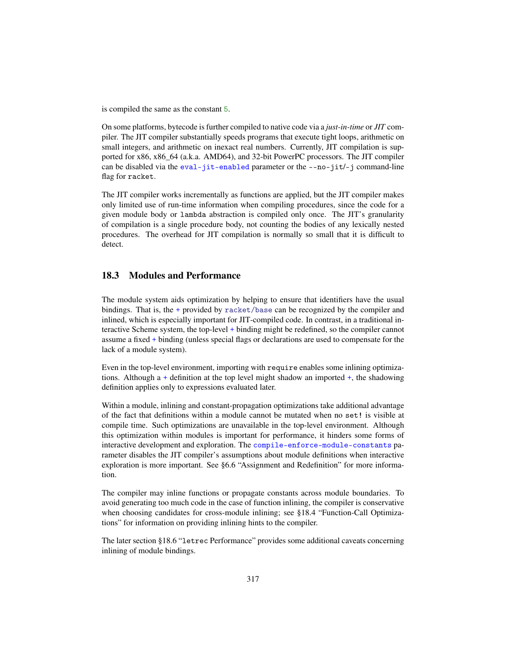is compiled the same as the constant 5.

On some platforms, bytecode is further compiled to native code via a *just-in-time* or *JIT* compiler. The JIT compiler substantially speeds programs that execute tight loops, arithmetic on small integers, and arithmetic on inexact real numbers. Currently, JIT compilation is supported for x86, x86\_64 (a.k.a. AMD64), and 32-bit PowerPC processors. The JIT compiler can be disabled via the eval-jit-enabled parameter or the --no-jit/-j command-line flag for racket.

The JIT compiler works incrementally as functions are applied, but the JIT compiler makes only limited use of run-time information when compiling procedures, since the code for a given module body or lambda abstraction is compiled only once. The JIT's granularity of compilation is a single procedure body, not counting the bodies of any lexically nested procedures. The overhead for JIT compilation is normally so small that it is difficult to detect.

## 18.3 Modules and Performance

The module system aids optimization by helping to ensure that identifiers have the usual bindings. That is, the + provided by racket/base can be recognized by the compiler and inlined, which is especially important for JIT-compiled code. In contrast, in a traditional interactive Scheme system, the top-level + binding might be redefined, so the compiler cannot assume a fixed + binding (unless special flags or declarations are used to compensate for the lack of a module system).

Even in the top-level environment, importing with require enables some inlining optimizations. Although  $a +$  definition at the top level might shadow an imported  $+,$  the shadowing definition applies only to expressions evaluated later.

Within a module, inlining and constant-propagation optimizations take additional advantage of the fact that definitions within a module cannot be mutated when no set! is visible at compile time. Such optimizations are unavailable in the top-level environment. Although this optimization within modules is important for performance, it hinders some forms of interactive development and exploration. The compile-enforce-module-constants parameter disables the JIT compiler's assumptions about module definitions when interactive exploration is more important. See §6.6 "Assignment and Redefinition" for more information.

The compiler may inline functions or propagate constants across module boundaries. To avoid generating too much code in the case of function inlining, the compiler is conservative when choosing candidates for cross-module inlining; see §18.4 "Function-Call Optimizations" for information on providing inlining hints to the compiler.

The later section §18.6 "letrec Performance" provides some additional caveats concerning inlining of module bindings.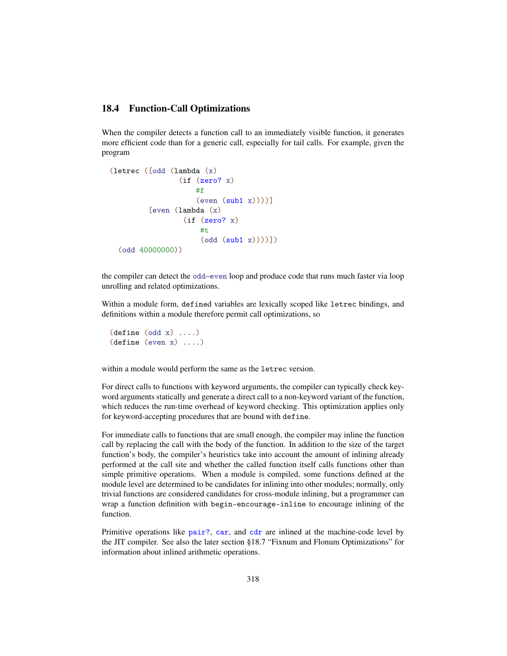## 18.4 Function-Call Optimizations

When the compiler detects a function call to an immediately visible function, it generates more efficient code than for a generic call, especially for tail calls. For example, given the program

```
(letrec ([odd (lambda (x)
                (if (zero? x)
                    #f
                    (even (sub1 x))))[even (lambda (x)
                 (if (zero? x)
                     #t
                      (odd (sub1 x))))])
 (odd 40000000))
```
the compiler can detect the odd–even loop and produce code that runs much faster via loop unrolling and related optimizations.

Within a module form, defined variables are lexically scoped like letrec bindings, and definitions within a module therefore permit call optimizations, so

```
(define (odd x) ....)
(define (even x) ....)
```
within a module would perform the same as the letrec version.

For direct calls to functions with keyword arguments, the compiler can typically check keyword arguments statically and generate a direct call to a non-keyword variant of the function, which reduces the run-time overhead of keyword checking. This optimization applies only for keyword-accepting procedures that are bound with define.

For immediate calls to functions that are small enough, the compiler may inline the function call by replacing the call with the body of the function. In addition to the size of the target function's body, the compiler's heuristics take into account the amount of inlining already performed at the call site and whether the called function itself calls functions other than simple primitive operations. When a module is compiled, some functions defined at the module level are determined to be candidates for inlining into other modules; normally, only trivial functions are considered candidates for cross-module inlining, but a programmer can wrap a function definition with begin-encourage-inline to encourage inlining of the function.

Primitive operations like pair?, car, and cdr are inlined at the machine-code level by the JIT compiler. See also the later section §18.7 "Fixnum and Flonum Optimizations" for information about inlined arithmetic operations.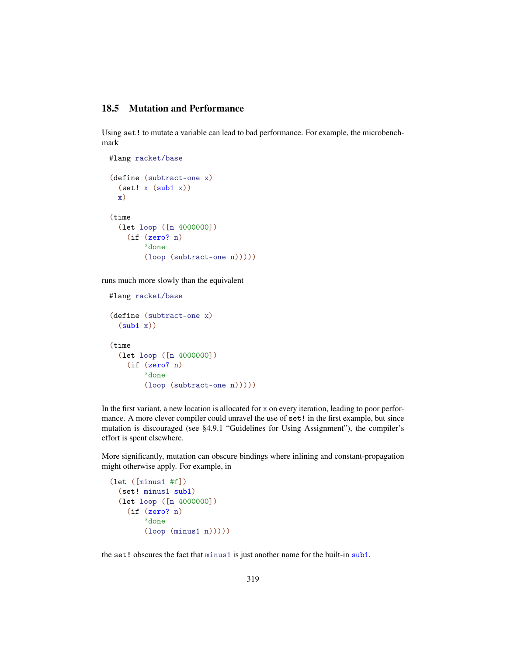# 18.5 Mutation and Performance

Using set! to mutate a variable can lead to bad performance. For example, the microbenchmark

```
#lang racket/base
(define (subtract-one x)
  (\text{set! } x (\text{sub1 } x))x)
(time
  (let loop ([n 4000000])
    (if (zero? n)
         'done
         (loop (subtract-one n)))))
```
runs much more slowly than the equivalent

```
#lang racket/base
(define (subtract-one x)
  (sub1 x))(time
  (let loop ([n 4000000])
    (if (zero? n)
        'done
        (loop (subtract-one n)))))
```
In the first variant, a new location is allocated for  $x$  on every iteration, leading to poor performance. A more clever compiler could unravel the use of set! in the first example, but since mutation is discouraged (see §4.9.1 "Guidelines for Using Assignment"), the compiler's effort is spent elsewhere.

More significantly, mutation can obscure bindings where inlining and constant-propagation might otherwise apply. For example, in

```
(let ([minus1 #f])
  (set! minus1 sub1)
  (let loop ([n 4000000])
    (if (zero? n)
        'done
        (logo p (minus 1 n)))
```
the set! obscures the fact that minus1 is just another name for the built-in sub1.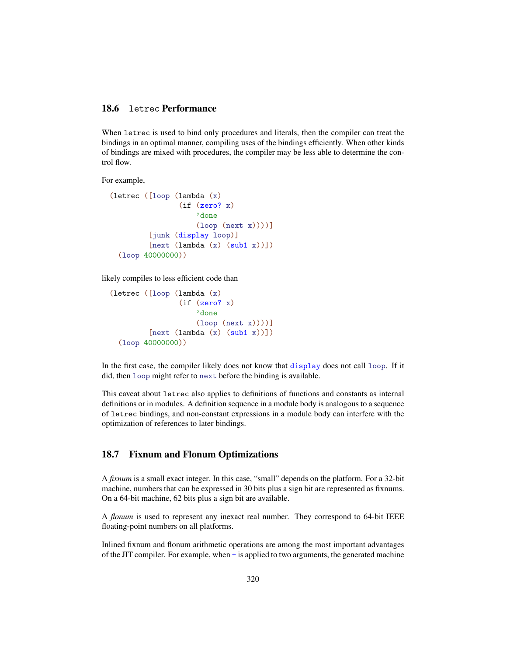# 18.6 letrec Performance

When letrec is used to bind only procedures and literals, then the compiler can treat the bindings in an optimal manner, compiling uses of the bindings efficiently. When other kinds of bindings are mixed with procedures, the compiler may be less able to determine the control flow.

For example,

```
(letrec ([loop (lambda (x)
                (if (zero? x)
                    'done
                    (log p (next x))))[junk (display loop)]
         [next (lambda (x) (sub1 x))](loop 40000000))
```
likely compiles to less efficient code than

```
(letrec ([loop (lambda (x)
                (if (zero? x)
                    'done
                    (loop (next x))))]
         [next (lambda (x) (sub1 x))])(loop 40000000))
```
In the first case, the compiler likely does not know that display does not call loop. If it did, then loop might refer to next before the binding is available.

This caveat about letrec also applies to definitions of functions and constants as internal definitions or in modules. A definition sequence in a module body is analogous to a sequence of letrec bindings, and non-constant expressions in a module body can interfere with the optimization of references to later bindings.

# 18.7 Fixnum and Flonum Optimizations

A *fixnum* is a small exact integer. In this case, "small" depends on the platform. For a 32-bit machine, numbers that can be expressed in 30 bits plus a sign bit are represented as fixnums. On a 64-bit machine, 62 bits plus a sign bit are available.

A *flonum* is used to represent any inexact real number. They correspond to 64-bit IEEE floating-point numbers on all platforms.

Inlined fixnum and flonum arithmetic operations are among the most important advantages of the JIT compiler. For example, when + is applied to two arguments, the generated machine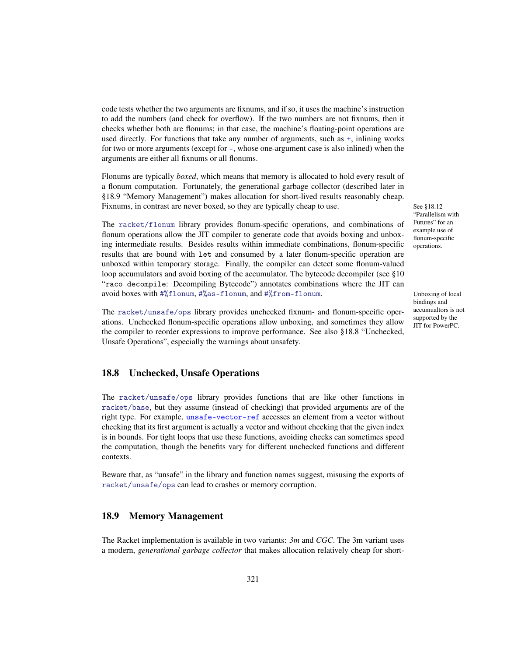code tests whether the two arguments are fixnums, and if so, it uses the machine's instruction to add the numbers (and check for overflow). If the two numbers are not fixnums, then it checks whether both are flonums; in that case, the machine's floating-point operations are used directly. For functions that take any number of arguments, such as +, inlining works for two or more arguments (except for -, whose one-argument case is also inlined) when the arguments are either all fixnums or all flonums.

Flonums are typically *boxed*, which means that memory is allocated to hold every result of a flonum computation. Fortunately, the generational garbage collector (described later in §18.9 "Memory Management") makes allocation for short-lived results reasonably cheap. Fixnums, in contrast are never boxed, so they are typically cheap to use. See §18.12

The racket/flonum library provides flonum-specific operations, and combinations of flonum operations allow the JIT compiler to generate code that avoids boxing and unboxing intermediate results. Besides results within immediate combinations, flonum-specific results that are bound with let and consumed by a later flonum-specific operation are unboxed within temporary storage. Finally, the compiler can detect some flonum-valued loop accumulators and avoid boxing of the accumulator. The bytecode decompiler (see §10) "raco decompile: Decompiling Bytecode") annotates combinations where the JIT can avoid boxes with #%flonum, #%as-flonum, and #%from-flonum. Unboxing of local

The racket/unsafe/ops library provides unchecked fixnum- and flonum-specific operations. Unchecked flonum-specific operations allow unboxing, and sometimes they allow the compiler to reorder expressions to improve performance. See also §18.8 "Unchecked, Unsafe Operations", especially the warnings about unsafety.

# 18.8 Unchecked, Unsafe Operations

The racket/unsafe/ops library provides functions that are like other functions in racket/base, but they assume (instead of checking) that provided arguments are of the right type. For example, unsafe-vector-ref accesses an element from a vector without checking that its first argument is actually a vector and without checking that the given index is in bounds. For tight loops that use these functions, avoiding checks can sometimes speed the computation, though the benefits vary for different unchecked functions and different contexts.

Beware that, as "unsafe" in the library and function names suggest, misusing the exports of racket/unsafe/ops can lead to crashes or memory corruption.

# 18.9 Memory Management

The Racket implementation is available in two variants: *3m* and *CGC*. The 3m variant uses a modern, *generational garbage collector* that makes allocation relatively cheap for short-

"Parallelism with Futures" for an example use of flonum-specific operations.

bindings and accumualtors is not supported by the JIT for PowerPC.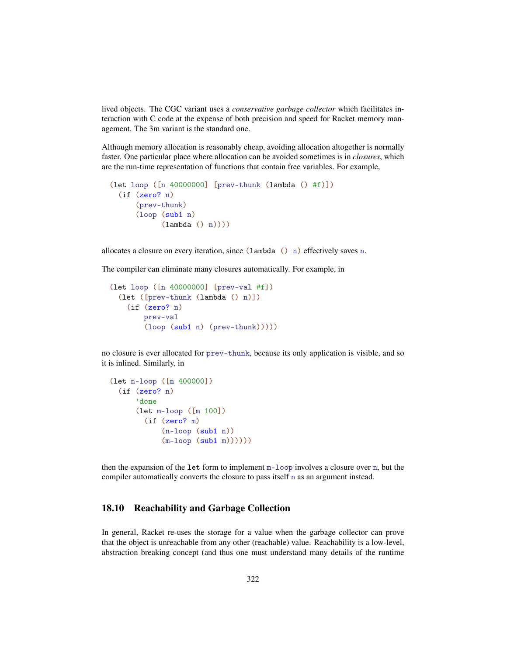lived objects. The CGC variant uses a *conservative garbage collector* which facilitates interaction with C code at the expense of both precision and speed for Racket memory management. The 3m variant is the standard one.

Although memory allocation is reasonably cheap, avoiding allocation altogether is normally faster. One particular place where allocation can be avoided sometimes is in *closures*, which are the run-time representation of functions that contain free variables. For example,

```
(let loop ([n 40000000] [prev-thunk (lambda () #f)])
 (if (zero? n)
      (prev-thunk)
      (loop (sub1 n)
            (lambda () n))))
```
allocates a closure on every iteration, since (lambda () n) effectively saves n.

The compiler can eliminate many closures automatically. For example, in

```
(let loop ([n 40000000] [prev-val #f])
 (let ([prev-thunk (lambda () n)])
    (if (zero? n)
       prev-val
        (loop (sub1 n) (prev-thunk)))))
```
no closure is ever allocated for prev-thunk, because its only application is visible, and so it is inlined. Similarly, in

```
(let n-loop ([n 400000])
 (if (zero? n)
     'done
     (let m-loop ([m 100])
        (if (zero? m)
            (n-loop (sub1 n))(m-loop (sub1 m))))))
```
then the expansion of the let form to implement m-loop involves a closure over n, but the compiler automatically converts the closure to pass itself n as an argument instead.

# 18.10 Reachability and Garbage Collection

In general, Racket re-uses the storage for a value when the garbage collector can prove that the object is unreachable from any other (reachable) value. Reachability is a low-level, abstraction breaking concept (and thus one must understand many details of the runtime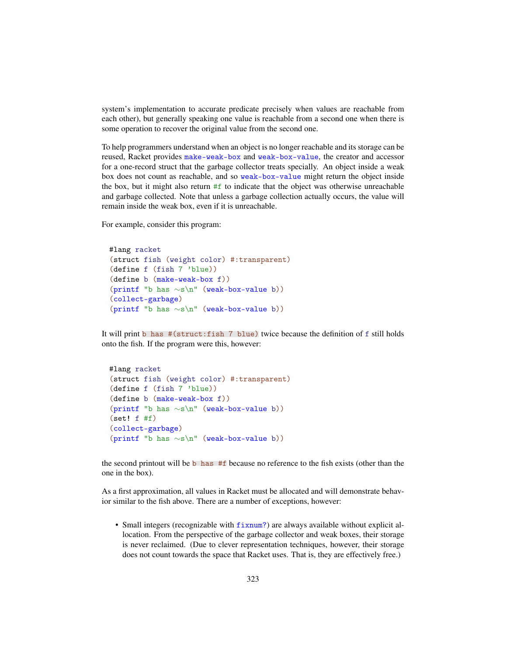system's implementation to accurate predicate precisely when values are reachable from each other), but generally speaking one value is reachable from a second one when there is some operation to recover the original value from the second one.

To help programmers understand when an object is no longer reachable and its storage can be reused, Racket provides make-weak-box and weak-box-value, the creator and accessor for a one-record struct that the garbage collector treats specially. An object inside a weak box does not count as reachable, and so weak-box-value might return the object inside the box, but it might also return  $#f$  to indicate that the object was otherwise unreachable and garbage collected. Note that unless a garbage collection actually occurs, the value will remain inside the weak box, even if it is unreachable.

For example, consider this program:

```
#lang racket
(struct fish (weight color) #:transparent)
(define f (fish 7 'blue))
(define b (make-weak-box f))
(printf "b has ∼s\n" (weak-box-value b))
(collect-garbage)
(printf "b has ∼s\n" (weak-box-value b))
```
It will print b has  $\#(\text{struct:fish 7 blue})$  twice because the definition of f still holds onto the fish. If the program were this, however:

```
#lang racket
(struct fish (weight color) #:transparent)
(define f (fish 7 'blue))
(define b (make-weak-box f))
(printf "b has ∼s\n" (weak-box-value b))
(set! f #f)(collect-garbage)
(printf "b has ∼s\n" (weak-box-value b))
```
the second printout will be b has #f because no reference to the fish exists (other than the one in the box).

As a first approximation, all values in Racket must be allocated and will demonstrate behavior similar to the fish above. There are a number of exceptions, however:

• Small integers (recognizable with fixnum?) are always available without explicit allocation. From the perspective of the garbage collector and weak boxes, their storage is never reclaimed. (Due to clever representation techniques, however, their storage does not count towards the space that Racket uses. That is, they are effectively free.)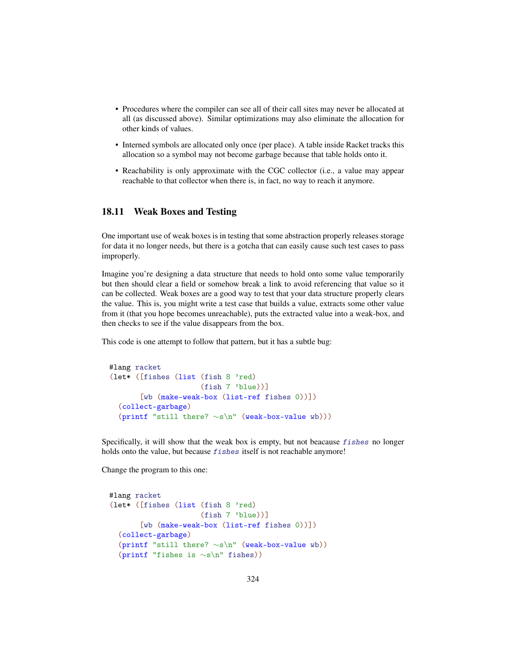- Procedures where the compiler can see all of their call sites may never be allocated at all (as discussed above). Similar optimizations may also eliminate the allocation for other kinds of values.
- Interned symbols are allocated only once (per place). A table inside Racket tracks this allocation so a symbol may not become garbage because that table holds onto it.
- Reachability is only approximate with the CGC collector (i.e., a value may appear reachable to that collector when there is, in fact, no way to reach it anymore.

# 18.11 Weak Boxes and Testing

One important use of weak boxes is in testing that some abstraction properly releases storage for data it no longer needs, but there is a gotcha that can easily cause such test cases to pass improperly.

Imagine you're designing a data structure that needs to hold onto some value temporarily but then should clear a field or somehow break a link to avoid referencing that value so it can be collected. Weak boxes are a good way to test that your data structure properly clears the value. This is, you might write a test case that builds a value, extracts some other value from it (that you hope becomes unreachable), puts the extracted value into a weak-box, and then checks to see if the value disappears from the box.

This code is one attempt to follow that pattern, but it has a subtle bug:

```
#lang racket
(let* ([fishes (list (fish 8 'red)
                     (fish 7 'blue))]
       [wb (make-weak-box (list-ref fishes 0))])
  (collect-garbage)
  (printf "still there? ∼s\n" (weak-box-value wb)))
```
Specifically, it will show that the weak box is empty, but not beacause fishes no longer holds onto the value, but because fishes itself is not reachable anymore!

Change the program to this one:

```
#lang racket
(let* ([fishes (list (fish 8 'red)
                     (fish 7 'blue))]
       [wb (make-weak-box (list-ref fishes 0))])
  (collect-garbage)
  (printf "still there? ∼s\n" (weak-box-value wb))
  (printf "fishes is ∼s\n" fishes))
```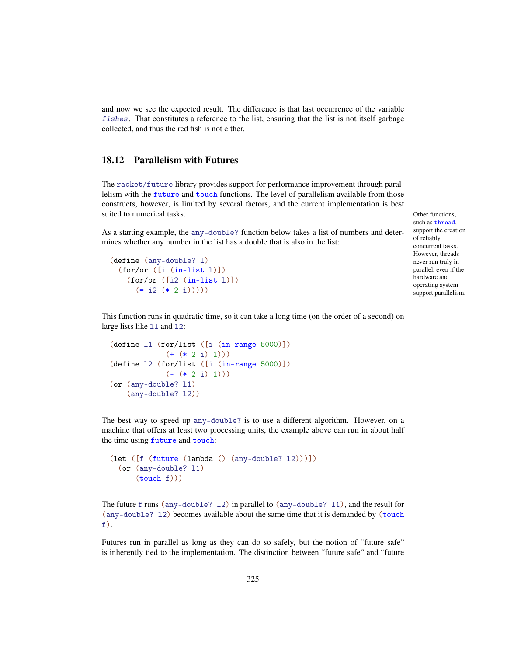and now we see the expected result. The difference is that last occurrence of the variable fishes. That constitutes a reference to the list, ensuring that the list is not itself garbage collected, and thus the red fish is not either.

## <span id="page-324-0"></span>18.12 Parallelism with Futures

The racket/future library provides support for performance improvement through parallelism with the future and touch functions. The level of parallelism available from those constructs, however, is limited by several factors, and the current implementation is best suited to numerical tasks. Other functions,  $\blacksquare$ 

As a starting example, the any-double? function below takes a list of numbers and determines whether any number in the list has a double that is also in the list:

```
(define (any-double? l)
 (for/or ([i (in-list l)])
   (for/or ([i2 (in-list l)])
     (= i2 (* 2 i))))
```
such as thread, support the creation of reliably concurrent tasks. However, threads never run truly in parallel, even if the hardware and operating system support parallelism.

This function runs in quadratic time, so it can take a long time (on the order of a second) on large lists like 11 and 12:

```
(define l1 (for/list ([i (in-range 5000)])
             (+ (* 2 i) 1)))(define l2 (for/list ([i (in-range 5000)])
             (- (* 2 i) 1)))(or (any-double? l1)
   (any-double? l2))
```
The best way to speed up any-double? is to use a different algorithm. However, on a machine that offers at least two processing units, the example above can run in about half the time using future and touch:

```
(let ([f (future (lambda () (any-double? l2)))])
 (or (any-double? l1)
      (touch f)))
```
The future f runs (any-double? l2) in parallel to (any-double? l1), and the result for (any-double? l2) becomes available about the same time that it is demanded by (touch f).

Futures run in parallel as long as they can do so safely, but the notion of "future safe" is inherently tied to the implementation. The distinction between "future safe" and "future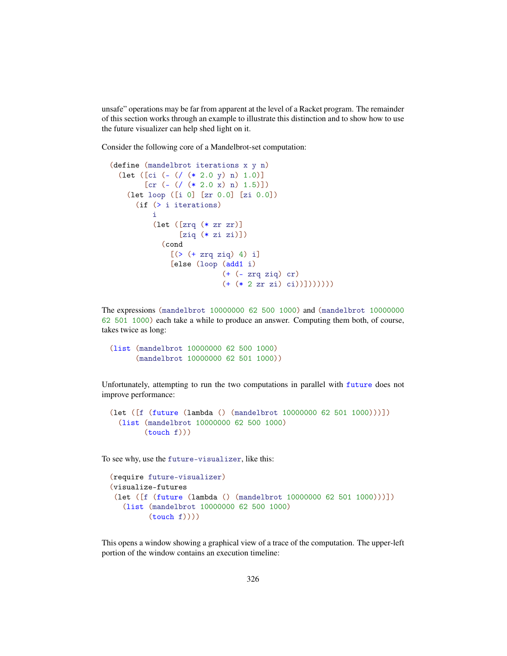unsafe" operations may be far from apparent at the level of a Racket program. The remainder of this section works through an example to illustrate this distinction and to show how to use the future visualizer can help shed light on it.

Consider the following core of a Mandelbrot-set computation:

```
(define (mandelbrot iterations x y n)
 (let ([ci (- (/ (* 2.0 y) n) 1.0)]
       [cr (- (\neq 2.0 x) n) 1.5)])(let loop ([i 0] [zr 0.0] [zi 0.0])
      (if (> i iterations)
         i
          (let ([zrq (* zr zr)]
                [ziq (* zi zi)](cond
              [ (> (+ zrq ziq) 4) i]
              [else (loop (add1 i)
                          (+ (- zrq ziq) cr)
                          (+ (* 2 zr zi) ci)))))))))
```
The expressions (mandelbrot 10000000 62 500 1000) and (mandelbrot 10000000 62 501 1000) each take a while to produce an answer. Computing them both, of course, takes twice as long:

```
(list (mandelbrot 10000000 62 500 1000)
      (mandelbrot 10000000 62 501 1000))
```
Unfortunately, attempting to run the two computations in parallel with future does not improve performance:

```
(let ([f (future (lambda () (mandelbrot 10000000 62 501 1000)))])
 (list (mandelbrot 10000000 62 500 1000)
        (touch f)))
```
To see why, use the future-visualizer, like this:

```
(require future-visualizer)
(visualize-futures
(let ([f (future (lambda () (mandelbrot 10000000 62 501 1000)))])
  (list (mandelbrot 10000000 62 500 1000)
         (touch f))))
```
This opens a window showing a graphical view of a trace of the computation. The upper-left portion of the window contains an execution timeline: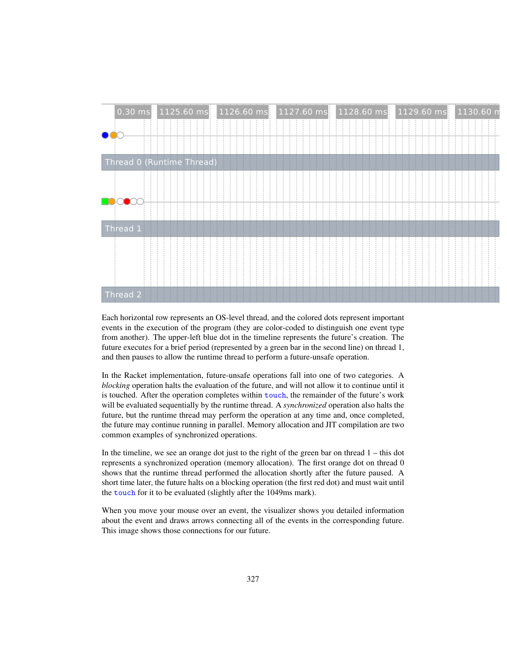

Each horizontal row represents an OS-level thread, and the colored dots represent important events in the execution of the program (they are color-coded to distinguish one event type from another). The upper-left blue dot in the timeline represents the future's creation. The future executes for a brief period (represented by a green bar in the second line) on thread 1, and then pauses to allow the runtime thread to perform a future-unsafe operation.

In the Racket implementation, future-unsafe operations fall into one of two categories. A *blocking* operation halts the evaluation of the future, and will not allow it to continue until it is touched. After the operation completes within touch, the remainder of the future's work will be evaluated sequentially by the runtime thread. A *synchronized* operation also halts the future, but the runtime thread may perform the operation at any time and, once completed, the future may continue running in parallel. Memory allocation and JIT compilation are two common examples of synchronized operations.

In the timeline, we see an orange dot just to the right of the green bar on thread  $1 -$  this dot represents a synchronized operation (memory allocation). The first orange dot on thread 0 shows that the runtime thread performed the allocation shortly after the future paused. A short time later, the future halts on a blocking operation (the first red dot) and must wait until the touch for it to be evaluated (slightly after the 1049ms mark).

When you move your mouse over an event, the visualizer shows you detailed information about the event and draws arrows connecting all of the events in the corresponding future. This image shows those connections for our future.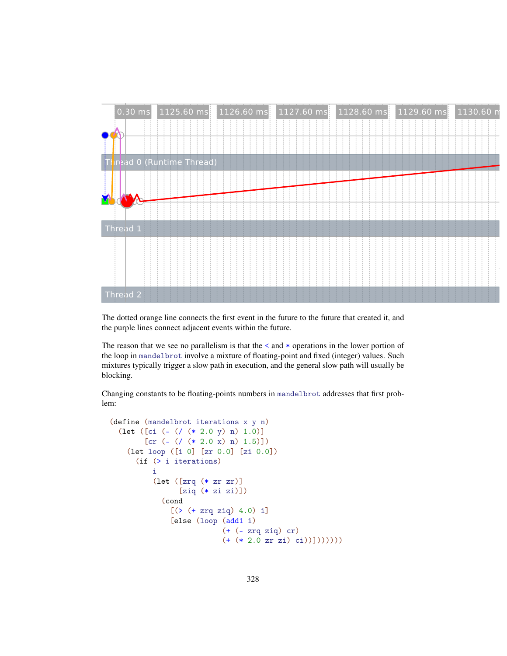

The dotted orange line connects the first event in the future to the future that created it, and the purple lines connect adjacent events within the future.

The reason that we see no parallelism is that the  $\lt$  and  $\ast$  operations in the lower portion of the loop in mandelbrot involve a mixture of floating-point and fixed (integer) values. Such mixtures typically trigger a slow path in execution, and the general slow path will usually be blocking.

Changing constants to be floating-points numbers in mandelbrot addresses that first problem:

```
(define (mandelbrot iterations x y n)
  (let ([ci (- (/ (* 2.0 y) n) 1.0)]
        [cr (- (\# 2.0 x) n) 1.5) ](let loop ([i 0] [zr 0.0] [zi 0.0])
      (if (> i iterations)
          i
          (let ([zrq (* zr zr)]
                [ziq (* zi zi)])
            (cond
              [ ( > (+ zrq ziq) 4.0) i ][else (loop (add1 i)
                          (+ (- zrq ziq) cr)
                          (+ (* 2.0 zr zi) ci)))))))))
```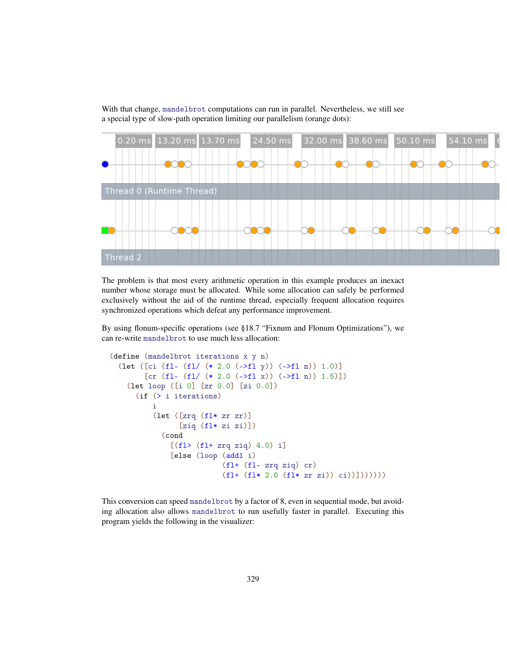With that change, mandelbrot computations can run in parallel. Nevertheless, we still see a special type of slow-path operation limiting our parallelism (orange dots):



The problem is that most every arithmetic operation in this example produces an inexact number whose storage must be allocated. While some allocation can safely be performed exclusively without the aid of the runtime thread, especially frequent allocation requires synchronized operations which defeat any performance improvement.

By using flonum-specific operations (see §18.7 "Fixnum and Flonum Optimizations"), we can re-write mandelbrot to use much less allocation:

```
(define (mandelbrot iterations x y n)
 (let ([ci (fl- (fl/ (* 2.0 (->fl y)) (->fl n)) 1.0)]
        [cr (f1 - (f1 / (* 2.0 (-51 x)) (-51 n)) 1.5)])
   (let loop ([i 0] [zr 0.0] [zi 0.0])
      (if (> i iterations)
         i
         (let ([zrq (fl* zr zr)]
                [ziq (fl* zi zi)](cond
              [(f1>(f1+zrq ziq) 4.0) i][else (loop (add1 i)
                          (f1+ (f1- zrq ziq) cr)(f1+ (f1* 2.0 (f1* zr zi)) ci))))))))
```
This conversion can speed mandelbrot by a factor of 8, even in sequential mode, but avoiding allocation also allows mandelbrot to run usefully faster in parallel. Executing this program yields the following in the visualizer: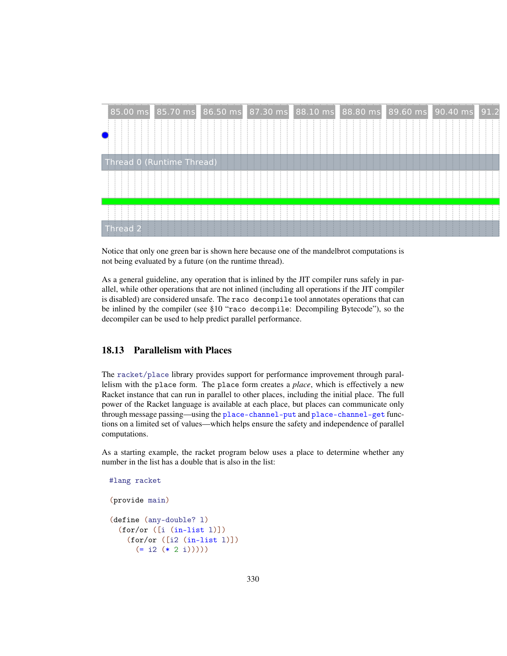| 85.00 ms |                 | 85.70 ms 86.50 ms 87.30 ms 88.10 ms 88.80 ms 89.60 ms 90.40 ms 91.2 |  |  |
|----------|-----------------|---------------------------------------------------------------------|--|--|
|          |                 |                                                                     |  |  |
| read     | (Runtime Thread |                                                                     |  |  |
|          |                 |                                                                     |  |  |
|          |                 |                                                                     |  |  |
|          |                 |                                                                     |  |  |

Notice that only one green bar is shown here because one of the mandelbrot computations is not being evaluated by a future (on the runtime thread).

As a general guideline, any operation that is inlined by the JIT compiler runs safely in parallel, while other operations that are not inlined (including all operations if the JIT compiler is disabled) are considered unsafe. The raco decompile tool annotates operations that can be inlined by the compiler (see §10 "raco decompile: Decompiling Bytecode"), so the decompiler can be used to help predict parallel performance.

# <span id="page-329-0"></span>18.13 Parallelism with Places

The racket/place library provides support for performance improvement through parallelism with the place form. The place form creates a *place*, which is effectively a new Racket instance that can run in parallel to other places, including the initial place. The full power of the Racket language is available at each place, but places can communicate only through message passing—using the place-channel-put and place-channel-get functions on a limited set of values—which helps ensure the safety and independence of parallel computations.

As a starting example, the racket program below uses a place to determine whether any number in the list has a double that is also in the list:

```
#lang racket
(provide main)
(define (any-double? l)
  (for/or ([i (in-list l)])
    (for/or ([i2 (in-list l)])
      (= i2 (* 2 i))))
```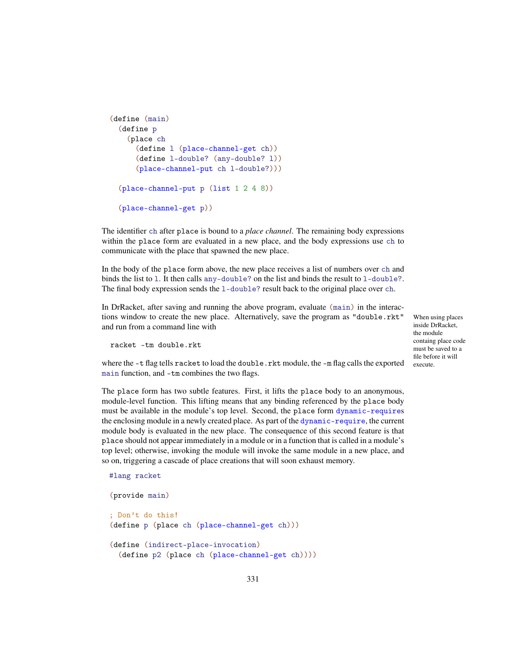```
(define (main)
 (define p
    (place ch
      (define l (place-channel-get ch))
      (define l-double? (any-double? l))
      (place-channel-put ch l-double?)))
 (place-channel-put p (list 1 2 4 8))
 (place-channel-get p))
```
The identifier ch after place is bound to a *place channel*. The remaining body expressions within the place form are evaluated in a new place, and the body expressions use ch to communicate with the place that spawned the new place.

In the body of the place form above, the new place receives a list of numbers over ch and binds the list to l. It then calls any-double? on the list and binds the result to l-double?. The final body expression sends the l-double? result back to the original place over ch.

In DrRacket, after saving and running the above program, evaluate (main) in the interactions window to create the new place. Alternatively, save the program as "double.rkt" When using places and run from a command line with

inside DrRacket, the module containg place code must be saved to a file before it will execute.

```
racket -tm double.rkt
```
where the -t flag tells racket to load the double.rkt module, the -m flag calls the exported main function, and -tm combines the two flags.

The place form has two subtle features. First, it lifts the place body to an anonymous, module-level function. This lifting means that any binding referenced by the place body must be available in the module's top level. Second, the place form dynamic-requires the enclosing module in a newly created place. As part of the dynamic-require, the current module body is evaluated in the new place. The consequence of this second feature is that place should not appear immediately in a module or in a function that is called in a module's top level; otherwise, invoking the module will invoke the same module in a new place, and so on, triggering a cascade of place creations that will soon exhaust memory.

```
#lang racket
(provide main)
; Don't do this!
(define p (place ch (place-channel-get ch)))
(define (indirect-place-invocation)
  (define p2 (place ch (place-channel-get ch))))
```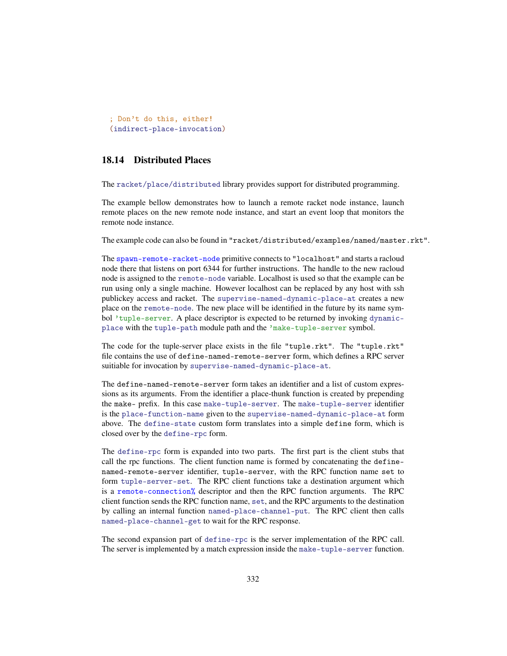```
; Don't do this, either!
(indirect-place-invocation)
```
# <span id="page-331-0"></span>18.14 Distributed Places

The racket/place/distributed library provides support for distributed programming.

The example bellow demonstrates how to launch a remote racket node instance, launch remote places on the new remote node instance, and start an event loop that monitors the remote node instance.

The example code can also be found in "racket/distributed/examples/named/master.rkt".

The spawn-remote-racket-node primitive connects to "localhost" and starts a racloud node there that listens on port 6344 for further instructions. The handle to the new racloud node is assigned to the remote-node variable. Localhost is used so that the example can be run using only a single machine. However localhost can be replaced by any host with ssh publickey access and racket. The supervise-named-dynamic-place-at creates a new place on the remote-node. The new place will be identified in the future by its name symbol 'tuple-server. A place descriptor is expected to be returned by invoking dynamicplace with the tuple-path module path and the 'make-tuple-server symbol.

The code for the tuple-server place exists in the file "tuple.rkt". The "tuple.rkt" file contains the use of define-named-remote-server form, which defines a RPC server suitiable for invocation by supervise-named-dynamic-place-at.

The define-named-remote-server form takes an identifier and a list of custom expressions as its arguments. From the identifier a place-thunk function is created by prepending the make- prefix. In this case make-tuple-server. The make-tuple-server identifier is the place-function-name given to the supervise-named-dynamic-place-at form above. The define-state custom form translates into a simple define form, which is closed over by the define-rpc form.

The define-rpc form is expanded into two parts. The first part is the client stubs that call the rpc functions. The client function name is formed by concatenating the definenamed-remote-server identifier, tuple-server, with the RPC function name set to form tuple-server-set. The RPC client functions take a destination argument which is a remote-connection% descriptor and then the RPC function arguments. The RPC client function sends the RPC function name, set, and the RPC arguments to the destination by calling an internal function named-place-channel-put. The RPC client then calls named-place-channel-get to wait for the RPC response.

The second expansion part of define-rpc is the server implementation of the RPC call. The server is implemented by a match expression inside the make-tuple-server function.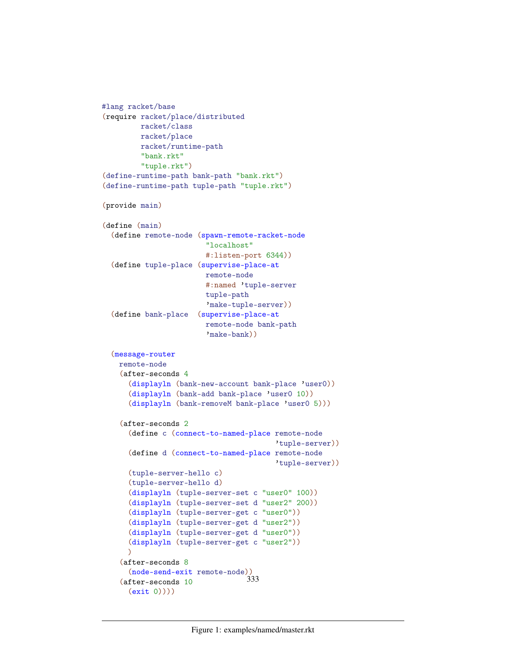```
#lang racket/base
(require racket/place/distributed
         racket/class
         racket/place
         racket/runtime-path
         "bank.rkt"
         "tuple.rkt")
(define-runtime-path bank-path "bank.rkt")
(define-runtime-path tuple-path "tuple.rkt")
(provide main)
(define (main)
  (define remote-node (spawn-remote-racket-node
                        "localhost"
                        #:listen-port 6344))
  (define tuple-place (supervise-place-at
                        remote-node
                        #:named 'tuple-server
                        tuple-path
                        'make-tuple-server))
  (define bank-place (supervise-place-at
                        remote-node bank-path
                        'make-bank))
  (message-router
   remote-node
    (after-seconds 4
      (displayln (bank-new-account bank-place 'user0))
      (displayln (bank-add bank-place 'user0 10))
      (displayln (bank-removeM bank-place 'user0 5)))
    (after-seconds 2
      (define c (connect-to-named-place remote-node
                                         'tuple-server))
      (define d (connect-to-named-place remote-node
                                         'tuple-server))
      (tuple-server-hello c)
      (tuple-server-hello d)
      (displayln (tuple-server-set c "user0" 100))
      (displayln (tuple-server-set d "user2" 200))
      (displayln (tuple-server-get c "user0"))
      (displayln (tuple-server-get d "user2"))
      (displayln (tuple-server-get d "user0"))
      (displayln (tuple-server-get c "user2"))
      )
    (after-seconds 8
      (node-send-exit remote-node))
    (after-seconds 10
      (exit 0))))
                                  333
```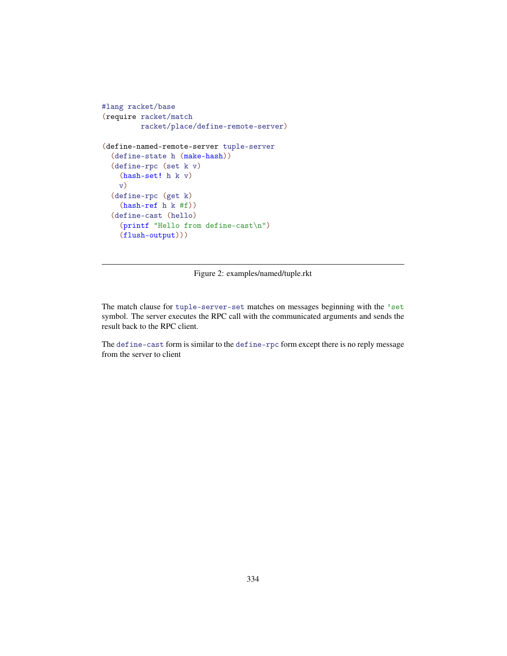```
#lang racket/base
(require racket/match
         racket/place/define-remote-server)
(define-named-remote-server tuple-server
  (define-state h (make-hash))
  (define-rpc (set k v)
    (hash-set! h k v)
   v)
  (define-rpc (get k)
    (hash-ref h k #f))
  (define-cast (hello)
    (printf "Hello from define-cast\n")
    (flush-output)))
```
Figure 2: examples/named/tuple.rkt

The match clause for tuple-server-set matches on messages beginning with the 'set symbol. The server executes the RPC call with the communicated arguments and sends the result back to the RPC client.

The define-cast form is similar to the define-rpc form except there is no reply message from the server to client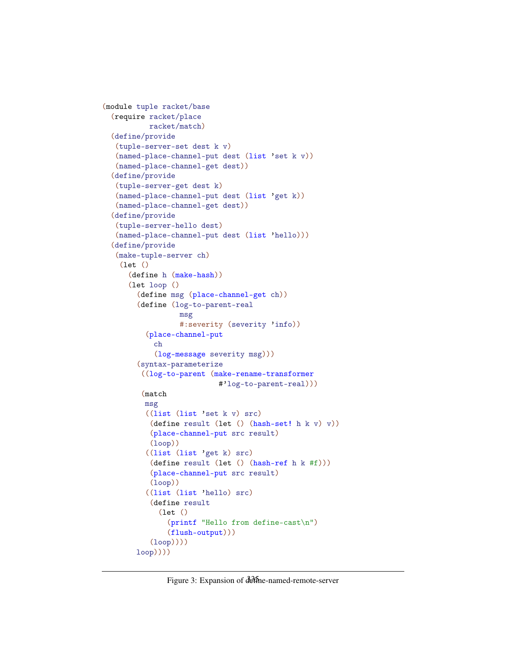```
(module tuple racket/base
  (require racket/place
           racket/match)
  (define/provide
  (tuple-server-set dest k v)
  (named-place-channel-put dest (list 'set k v))
  (named-place-channel-get dest))
  (define/provide
  (tuple-server-get dest k)
  (named-place-channel-put dest (list 'get k))
  (named-place-channel-get dest))
  (define/provide
  (tuple-server-hello dest)
  (named-place-channel-put dest (list 'hello)))
  (define/provide
  (make-tuple-server ch)
    (let ()
      (define h (make-hash))
      (let loop ()
        (define msg (place-channel-get ch))
        (define (log-to-parent-real
                  msg
                  #:severity (severity 'info))
          (place-channel-put
            ch
            (log-message severity msg)))
        (syntax-parameterize
         ((log-to-parent (make-rename-transformer
                           #'log-to-parent-real)))
         (match
         msg
          ((list (list 'set k v) src)
           (define result (let () (hash-set! h k v) v))
           (place-channel-put src result)
           (loop))
          ((list (list 'get k) src)
           (define result (let () (hash-ref h k #f)))
           (place-channel-put src result)
           (loop))
          ((list (list 'hello) src)
           (define result
             (let ()
               (printf "Hello from define-cast\n")
               (flush-output)))
           (loop))))
       loop))))
```
Figure 3: Expansion of define-named-remote-server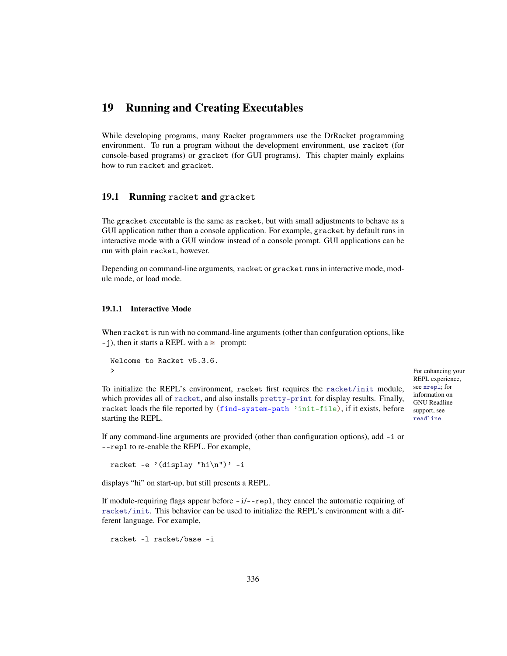# <span id="page-335-1"></span>19 Running and Creating Executables

While developing programs, many Racket programmers use the DrRacket programming environment. To run a program without the development environment, use racket (for console-based programs) or gracket (for GUI programs). This chapter mainly explains how to run racket and gracket.

### <span id="page-335-2"></span>19.1 Running racket and gracket

The gracket executable is the same as racket, but with small adjustments to behave as a GUI application rather than a console application. For example, gracket by default runs in interactive mode with a GUI window instead of a console prompt. GUI applications can be run with plain racket, however.

Depending on command-line arguments, racket or gracket runs in interactive mode, module mode, or load mode.

### <span id="page-335-0"></span>19.1.1 Interactive Mode

When racket is run with no command-line arguments (other than confguration options, like  $-$ j), then it starts a REPL with a  $\geq$  prompt:

```
Welcome to Racket v5.3.6.
> For enhancing your
```
To initialize the REPL's environment, racket first requires the racket/init module, which provides all of racket, and also installs pretty-print for display results. Finally, racket loads the file reported by (find-system-path 'init-file), if it exists, before starting the REPL.

If any command-line arguments are provided (other than configuration options), add -i or --repl to re-enable the REPL. For example,

racket -e '(display "hi\n")' -i

displays "hi" on start-up, but still presents a REPL.

If module-requiring flags appear before -i/--repl, they cancel the automatic requiring of racket/init. This behavior can be used to initialize the REPL's environment with a different language. For example,

racket -l racket/base -i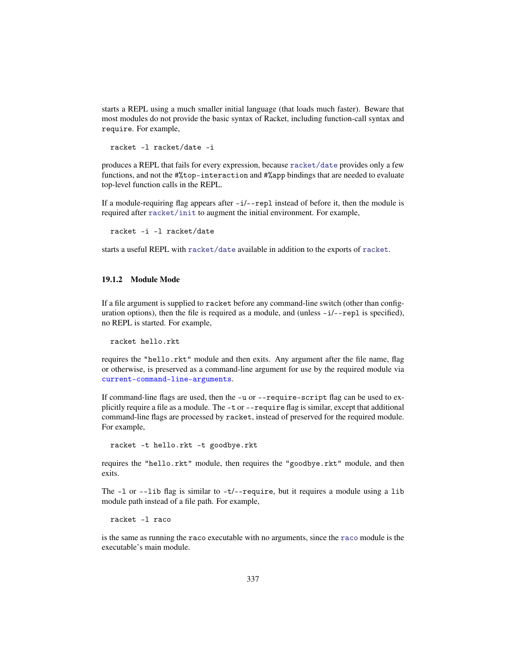starts a REPL using a much smaller initial language (that loads much faster). Beware that most modules do not provide the basic syntax of Racket, including function-call syntax and require. For example,

racket -l racket/date -i

produces a REPL that fails for every expression, because racket/date provides only a few functions, and not the #%top-interaction and #%app bindings that are needed to evaluate top-level function calls in the REPL.

If a module-requiring flag appears after  $-i/-$ -repl instead of before it, then the module is required after racket/init to augment the initial environment. For example,

```
racket -i -l racket/date
```
starts a useful REPL with racket/date available in addition to the exports of racket.

#### <span id="page-336-0"></span>19.1.2 Module Mode

If a file argument is supplied to racket before any command-line switch (other than configuration options), then the file is required as a module, and (unless -i/--repl is specified), no REPL is started. For example,

```
racket hello.rkt
```
requires the "hello.rkt" module and then exits. Any argument after the file name, flag or otherwise, is preserved as a command-line argument for use by the required module via current-command-line-arguments.

If command-line flags are used, then the -u or --require-script flag can be used to explicitly require a file as a module. The -t or --require flag is similar, except that additional command-line flags are processed by racket, instead of preserved for the required module. For example,

```
racket -t hello.rkt -t goodbye.rkt
```
requires the "hello.rkt" module, then requires the "goodbye.rkt" module, and then exits.

The  $-1$  or  $-1$  ib flag is similar to  $-t$ -require, but it requires a module using a lib module path instead of a file path. For example,

racket -l raco

is the same as running the raco executable with no arguments, since the raco module is the executable's main module.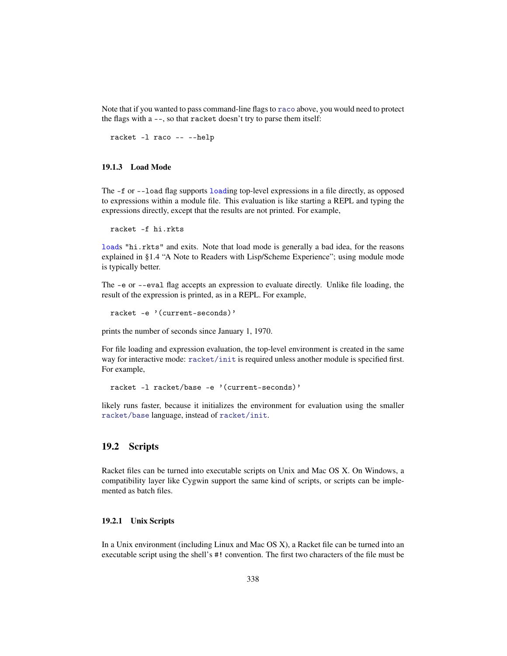Note that if you wanted to pass command-line flags to raco above, you would need to protect the flags with a --, so that racket doesn't try to parse them itself:

```
racket -l raco -- --help
```
#### <span id="page-337-1"></span>19.1.3 Load Mode

The -f or --load flag supports loading top-level expressions in a file directly, as opposed to expressions within a module file. This evaluation is like starting a REPL and typing the expressions directly, except that the results are not printed. For example,

```
racket -f hi.rkts
```
loads "hi.rkts" and exits. Note that load mode is generally a bad idea, for the reasons explained in §1.4 "A Note to Readers with Lisp/Scheme Experience"; using module mode is typically better.

The -e or --eval flag accepts an expression to evaluate directly. Unlike file loading, the result of the expression is printed, as in a REPL. For example,

```
racket -e '(current-seconds)'
```
prints the number of seconds since January 1, 1970.

For file loading and expression evaluation, the top-level environment is created in the same way for interactive mode: racket/init is required unless another module is specified first. For example,

racket -l racket/base -e '(current-seconds)'

likely runs faster, because it initializes the environment for evaluation using the smaller racket/base language, instead of racket/init.

### <span id="page-337-2"></span>19.2 Scripts

Racket files can be turned into executable scripts on Unix and Mac OS X. On Windows, a compatibility layer like Cygwin support the same kind of scripts, or scripts can be implemented as batch files.

### <span id="page-337-0"></span>19.2.1 Unix Scripts

In a Unix environment (including Linux and Mac OS X), a Racket file can be turned into an executable script using the shell's #! convention. The first two characters of the file must be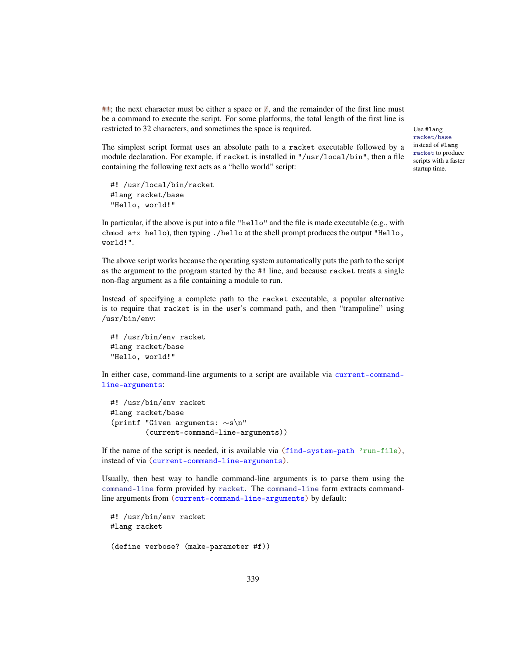#!; the next character must be either a space or  $\ell$ , and the remainder of the first line must be a command to execute the script. For some platforms, the total length of the first line is restricted to 32 characters, and sometimes the space is required. Use #lang Use #lang

racket/base instead of #lang racket to produce scripts with a faster startup time.

The simplest script format uses an absolute path to a racket executable followed by a module declaration. For example, if racket is installed in "/usr/local/bin", then a file containing the following text acts as a "hello world" script:

#! /usr/local/bin/racket #lang racket/base "Hello, world!"

In particular, if the above is put into a file "hello" and the file is made executable (e.g., with chmod a+x hello), then typing ./hello at the shell prompt produces the output "Hello, world!".

The above script works because the operating system automatically puts the path to the script as the argument to the program started by the #! line, and because racket treats a single non-flag argument as a file containing a module to run.

Instead of specifying a complete path to the racket executable, a popular alternative is to require that racket is in the user's command path, and then "trampoline" using /usr/bin/env:

```
#! /usr/bin/env racket
#lang racket/base
"Hello, world!"
```
In either case, command-line arguments to a script are available via current-commandline-arguments:

```
#! /usr/bin/env racket
#lang racket/base
(printf "Given arguments: ∼s\n"
        (current-command-line-arguments))
```
If the name of the script is needed, it is available via (find-system-path 'run-file), instead of via (current-command-line-arguments).

Usually, then best way to handle command-line arguments is to parse them using the command-line form provided by racket. The command-line form extracts commandline arguments from (current-command-line-arguments) by default:

```
#! /usr/bin/env racket
#lang racket
(define verbose? (make-parameter #f))
```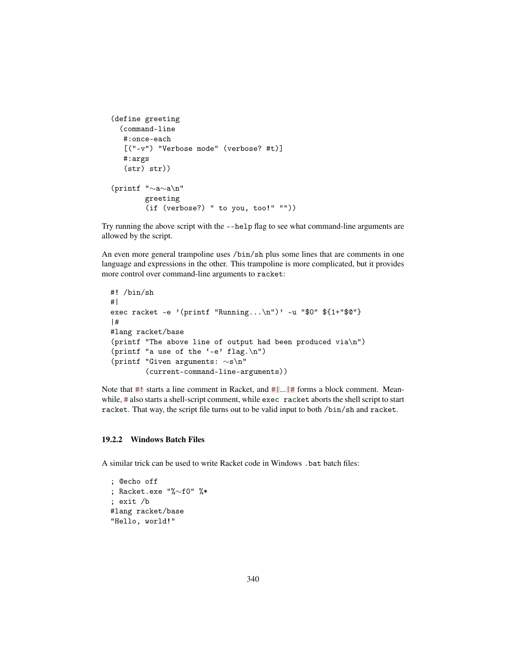```
(define greeting
 (command-line
  #:once-each
  [("-v") "Verbose mode" (verbose? #t)]
  #:args
  (str) str))
(printf "∼a∼a\n"
       greeting
        (if (verbose?) " to you, too!" ""))
```
Try running the above script with the --help flag to see what command-line arguments are allowed by the script.

An even more general trampoline uses /bin/sh plus some lines that are comments in one language and expressions in the other. This trampoline is more complicated, but it provides more control over command-line arguments to racket:

```
#! /bin/sh
#|
exec racket -e '(printf "Running...\n")' -u "$0" ${1+"$@"}
|#
#lang racket/base
(printf "The above line of output had been produced via\n")
(printf "a use of the '-e' flag.\n\ln")
(printf "Given arguments: ∼s\n"
        (current-command-line-arguments))
```
Note that  $\#!$  starts a line comment in Racket, and  $\#! \dots | \#$  forms a block comment. Meanwhile, # also starts a shell-script comment, while exec racket aborts the shell script to start racket. That way, the script file turns out to be valid input to both /bin/sh and racket.

#### <span id="page-339-0"></span>19.2.2 Windows Batch Files

A similar trick can be used to write Racket code in Windows .bat batch files:

```
; @echo off
; Racket.exe "%∼f0" %*
; exit /b
#lang racket/base
"Hello, world!"
```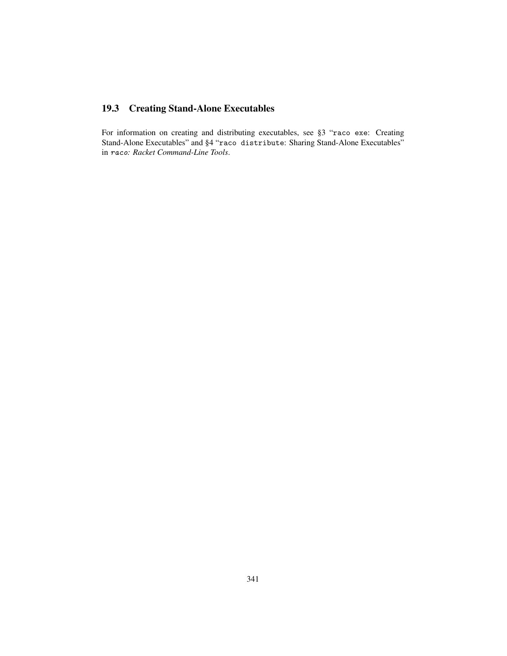# <span id="page-340-0"></span>19.3 Creating Stand-Alone Executables

For information on creating and distributing executables, see §3 "raco exe: Creating Stand-Alone Executables" and §4 "raco distribute: Sharing Stand-Alone Executables" in raco*: Racket Command-Line Tools*.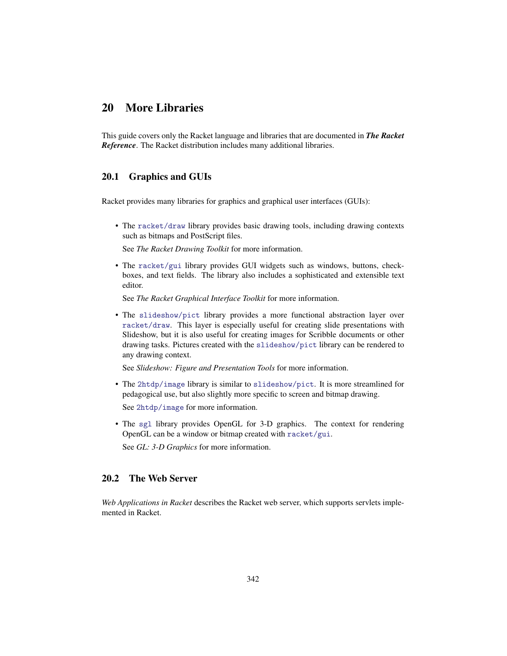# <span id="page-341-1"></span>20 More Libraries

This guide covers only the Racket language and libraries that are documented in *The Racket Reference*. The Racket distribution includes many additional libraries.

## <span id="page-341-0"></span>20.1 Graphics and GUIs

Racket provides many libraries for graphics and graphical user interfaces (GUIs):

• The racket/draw library provides basic drawing tools, including drawing contexts such as bitmaps and PostScript files.

See *The Racket Drawing Toolkit* for more information.

• The racket/gui library provides GUI widgets such as windows, buttons, checkboxes, and text fields. The library also includes a sophisticated and extensible text editor.

See *The Racket Graphical Interface Toolkit* for more information.

• The slideshow/pict library provides a more functional abstraction layer over racket/draw. This layer is especially useful for creating slide presentations with Slideshow, but it is also useful for creating images for Scribble documents or other drawing tasks. Pictures created with the slideshow/pict library can be rendered to any drawing context.

See *Slideshow: Figure and Presentation Tools* for more information.

- The 2htdp/image library is similar to slideshow/pict. It is more streamlined for pedagogical use, but also slightly more specific to screen and bitmap drawing. See 2htdp/image for more information.
- The sgl library provides OpenGL for 3-D graphics. The context for rendering OpenGL can be a window or bitmap created with racket/gui.

See *GL: 3-D Graphics* for more information.

## <span id="page-341-2"></span>20.2 The Web Server

*Web Applications in Racket* describes the Racket web server, which supports servlets implemented in Racket.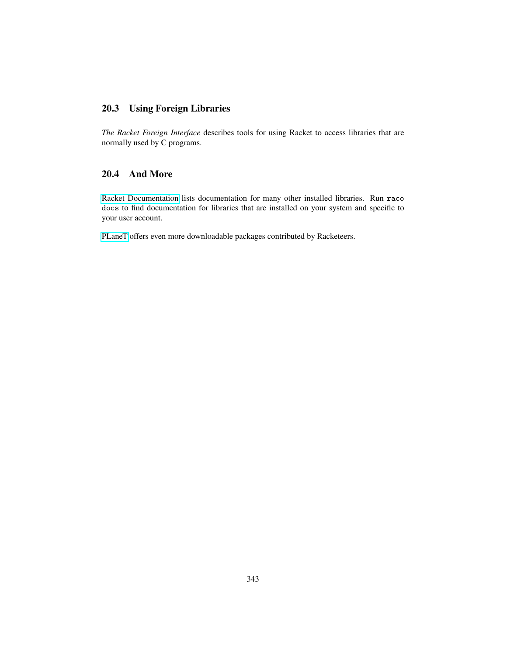# <span id="page-342-1"></span>20.3 Using Foreign Libraries

*The Racket Foreign Interface* describes tools for using Racket to access libraries that are normally used by C programs.

# <span id="page-342-0"></span>20.4 And More

[Racket Documentation](../index.html) lists documentation for many other installed libraries. Run raco docs to find documentation for libraries that are installed on your system and specific to your user account.

[PLaneT](http://planet.plt-racket.org/) offers even more downloadable packages contributed by Racketeers.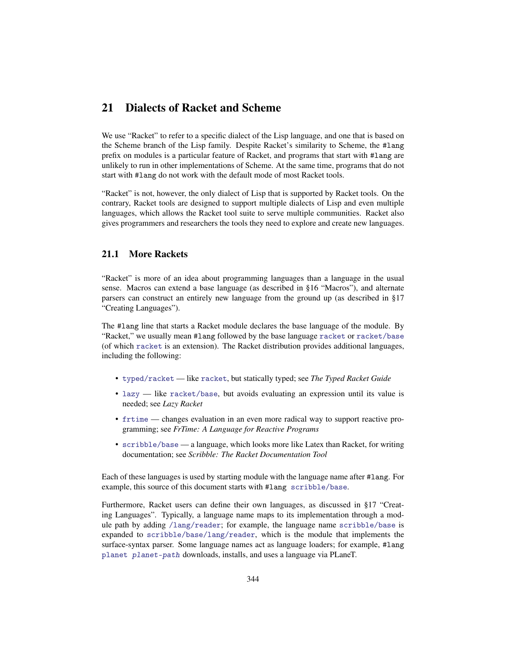# <span id="page-343-0"></span>21 Dialects of Racket and Scheme

We use "Racket" to refer to a specific dialect of the Lisp language, and one that is based on the Scheme branch of the Lisp family. Despite Racket's similarity to Scheme, the #lang prefix on modules is a particular feature of Racket, and programs that start with #lang are unlikely to run in other implementations of Scheme. At the same time, programs that do not start with #lang do not work with the default mode of most Racket tools.

"Racket" is not, however, the only dialect of Lisp that is supported by Racket tools. On the contrary, Racket tools are designed to support multiple dialects of Lisp and even multiple languages, which allows the Racket tool suite to serve multiple communities. Racket also gives programmers and researchers the tools they need to explore and create new languages.

## <span id="page-343-1"></span>21.1 More Rackets

"Racket" is more of an idea about programming languages than a language in the usual sense. Macros can extend a base language (as described in §16 "Macros"), and alternate parsers can construct an entirely new language from the ground up (as described in §17 "Creating Languages").

The #lang line that starts a Racket module declares the base language of the module. By "Racket," we usually mean #lang followed by the base language racket or racket/base (of which racket is an extension). The Racket distribution provides additional languages, including the following:

- typed/racket like racket, but statically typed; see *The Typed Racket Guide*
- lazy like racket/base, but avoids evaluating an expression until its value is needed; see *Lazy Racket*
- frtime changes evaluation in an even more radical way to support reactive programming; see *FrTime: A Language for Reactive Programs*
- scribble/base a language, which looks more like Latex than Racket, for writing documentation; see *Scribble: The Racket Documentation Tool*

Each of these languages is used by starting module with the language name after #lang. For example, this source of this document starts with #lang scribble/base.

Furthermore, Racket users can define their own languages, as discussed in §17 "Creating Languages". Typically, a language name maps to its implementation through a module path by adding /lang/reader; for example, the language name scribble/base is expanded to scribble/base/lang/reader, which is the module that implements the surface-syntax parser. Some language names act as language loaders; for example, #lang planet planet-path downloads, installs, and uses a language via PLaneT.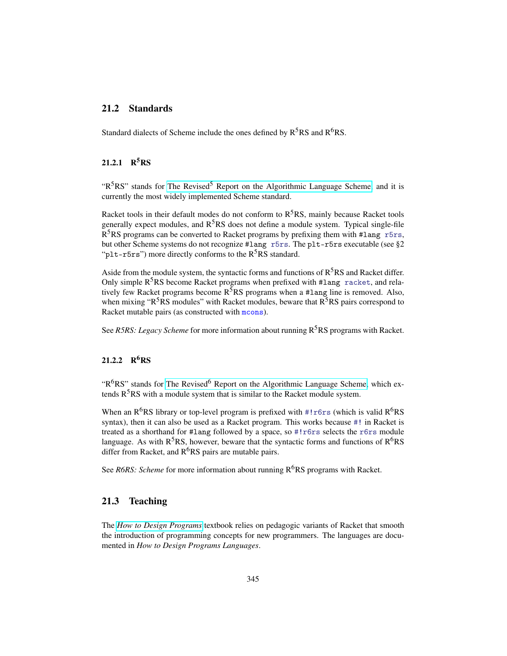## <span id="page-344-2"></span>21.2 Standards

Standard dialects of Scheme include the ones defined by  $R^5RS$  and  $R^6RS$ .

## <span id="page-344-0"></span>21.2.1  $R^5RS$

"R<sup>5</sup>RS" stands for The Revised<sup>5</sup> [Report on the Algorithmic Language Scheme,](../r5rs-std/index.html) and it is currently the most widely implemented Scheme standard.

Racket tools in their default modes do not conform to  $R<sup>5</sup>RS$ , mainly because Racket tools generally expect modules, and  $R<sup>5</sup>RS$  does not define a module system. Typical single-file  $R<sup>5</sup>RS$  programs can be converted to Racket programs by prefixing them with #lang r5rs, but other Scheme systems do not recognize #lang r5rs. The plt-r5rs executable (see §2 "plt-r5rs") more directly conforms to the  $R<sup>5</sup>RS$  standard.

Aside from the module system, the syntactic forms and functions of  $R<sup>5</sup>RS$  and Racket differ. Only simple  $R<sup>5</sup>RS$  become Racket programs when prefixed with #lang racket, and relatively few Racket programs become  $R^5RS$  programs when a #lang line is removed. Also, when mixing " $R<sup>5</sup>R$ S modules" with Racket modules, beware that  $R<sup>5</sup>R$ S pairs correspond to Racket mutable pairs (as constructed with mcons).

See *R5RS: Legacy Scheme* for more information about running R<sup>5</sup>RS programs with Racket.

# <span id="page-344-1"></span>21.2.2  $R^6RS$

" $R^6RS$ " stands for The Revised<sup>6</sup> [Report on the Algorithmic Language Scheme,](../r6rs-std/index.html) which extends  $R<sup>5</sup>RS$  with a module system that is similar to the Racket module system.

When an  $R^6RS$  library or top-level program is prefixed with #!r6rs (which is valid  $R^6RS$ syntax), then it can also be used as a Racket program. This works because #! in Racket is treated as a shorthand for #lang followed by a space, so #!r6rs selects the r6rs module language. As with  $R^5RS$ , however, beware that the syntactic forms and functions of  $R^6RS$ differ from Racket, and  $R^6RS$  pairs are mutable pairs.

See *R6RS: Scheme* for more information about running R<sup>6</sup>RS programs with Racket.

## <span id="page-344-3"></span>21.3 Teaching

The *[How to Design Programs](http://www.htdp.org)* textbook relies on pedagogic variants of Racket that smooth the introduction of programming concepts for new programmers. The languages are documented in *How to Design Programs Languages*.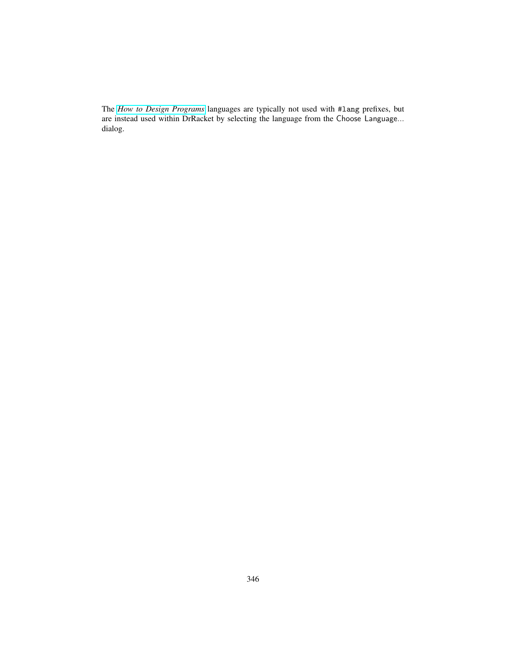The *[How to Design Programs](http://www.htdp.org)* languages are typically not used with #lang prefixes, but are instead used within DrRacket by selecting the language from the Choose Language... dialog.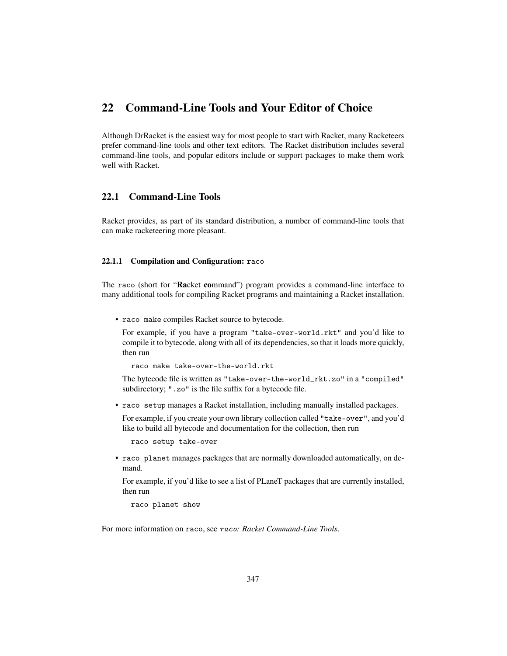# <span id="page-346-2"></span>22 Command-Line Tools and Your Editor of Choice

Although DrRacket is the easiest way for most people to start with Racket, many Racketeers prefer command-line tools and other text editors. The Racket distribution includes several command-line tools, and popular editors include or support packages to make them work well with Racket.

## <span id="page-346-1"></span>22.1 Command-Line Tools

Racket provides, as part of its standard distribution, a number of command-line tools that can make racketeering more pleasant.

#### <span id="page-346-0"></span>22.1.1 Compilation and Configuration: raco

The raco (short for "Racket command") program provides a command-line interface to many additional tools for compiling Racket programs and maintaining a Racket installation.

• raco make compiles Racket source to bytecode.

For example, if you have a program "take-over-world.rkt" and you'd like to compile it to bytecode, along with all of its dependencies, so that it loads more quickly, then run

raco make take-over-the-world.rkt

The bytecode file is written as "take-over-the-world\_rkt.zo" in a "compiled" subdirectory; ".zo" is the file suffix for a bytecode file.

• raco setup manages a Racket installation, including manually installed packages.

For example, if you create your own library collection called "take-over", and you'd like to build all bytecode and documentation for the collection, then run

raco setup take-over

• raco planet manages packages that are normally downloaded automatically, on demand.

For example, if you'd like to see a list of PLaneT packages that are currently installed, then run

raco planet show

For more information on raco, see raco*: Racket Command-Line Tools*.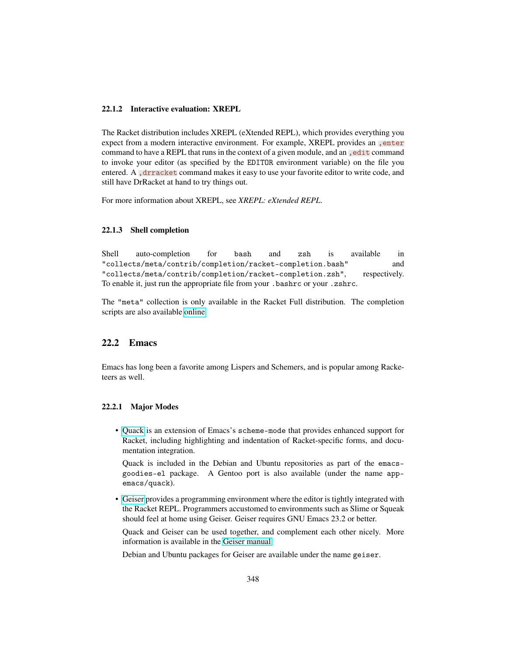#### <span id="page-347-1"></span>22.1.2 Interactive evaluation: XREPL

The Racket distribution includes XREPL (eXtended REPL), which provides everything you expect from a modern interactive environment. For example, XREPL provides an , enter command to have a REPL that runs in the context of a given module, and an, edit command to invoke your editor (as specified by the EDITOR environment variable) on the file you entered. A ,drracket command makes it easy to use your favorite editor to write code, and still have DrRacket at hand to try things out.

For more information about XREPL, see *XREPL: eXtended REPL*.

#### <span id="page-347-3"></span>22.1.3 Shell completion

Shell auto-completion for bash and zsh is available in "collects/meta/contrib/completion/racket-completion.bash" and "collects/meta/contrib/completion/racket-completion.zsh", respectively. To enable it, just run the appropriate file from your .bashrc or your .zshrc.

The "meta" collection is only available in the Racket Full distribution. The completion scripts are also available [online.](https://github.com/plt/racket/tree/master/collects/meta/contrib/completion)

## <span id="page-347-0"></span>22.2 Emacs

Emacs has long been a favorite among Lispers and Schemers, and is popular among Racketeers as well.

### <span id="page-347-2"></span>22.2.1 Major Modes

• [Quack](http://www.neilvandyke.org/quack/) is an extension of Emacs's scheme-mode that provides enhanced support for Racket, including highlighting and indentation of Racket-specific forms, and documentation integration.

Quack is included in the Debian and Ubuntu repositories as part of the emacsgoodies-el package. A Gentoo port is also available (under the name appemacs/quack).

• [Geiser](http://www.nongnu.org/geiser/) provides a programming environment where the editor is tightly integrated with the Racket REPL. Programmers accustomed to environments such as Slime or Squeak should feel at home using Geiser. Geiser requires GNU Emacs 23.2 or better.

Quack and Geiser can be used together, and complement each other nicely. More information is available in the [Geiser manual.](http://www.nongnu.org/geiser/)

Debian and Ubuntu packages for Geiser are available under the name geiser.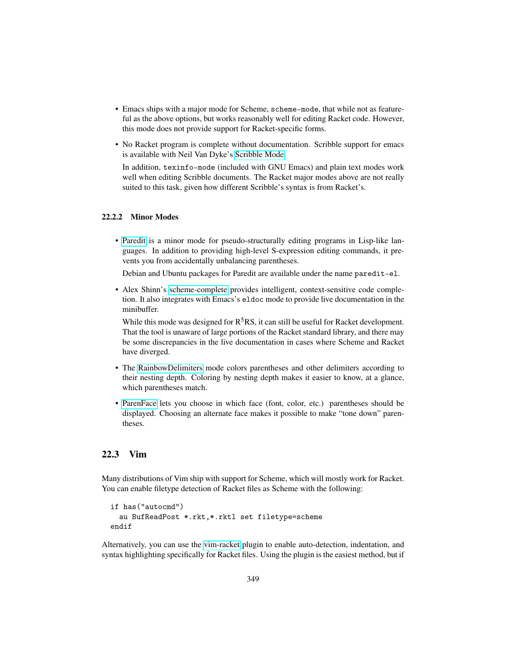- Emacs ships with a major mode for Scheme, scheme-mode, that while not as featureful as the above options, but works reasonably well for editing Racket code. However, this mode does not provide support for Racket-specific forms.
- No Racket program is complete without documentation. Scribble support for emacs is available with Neil Van Dyke's [Scribble Mode.](http://www.neilvandyke.org/scribble-emacs/)

In addition, texinfo-mode (included with GNU Emacs) and plain text modes work well when editing Scribble documents. The Racket major modes above are not really suited to this task, given how different Scribble's syntax is from Racket's.

#### <span id="page-348-0"></span>22.2.2 Minor Modes

• [Paredit](http://mumble.net/~campbell/emacs/paredit.el) is a minor mode for pseudo-structurally editing programs in Lisp-like languages. In addition to providing high-level S-expression editing commands, it prevents you from accidentally unbalancing parentheses.

Debian and Ubuntu packages for Paredit are available under the name paredit-el.

• Alex Shinn's [scheme-complete](http://synthcode.com/wiki/scheme-complete) provides intelligent, context-sensitive code completion. It also integrates with Emacs's eldoc mode to provide live documentation in the minibuffer.

While this mode was designed for  $R<sup>5</sup>RS$ , it can still be useful for Racket development. That the tool is unaware of large portions of the Racket standard library, and there may be some discrepancies in the live documentation in cases where Scheme and Racket have diverged.

- The [RainbowDelimiters](http://www.emacswiki.org/emacs/RainbowDelimiters) mode colors parentheses and other delimiters according to their nesting depth. Coloring by nesting depth makes it easier to know, at a glance, which parentheses match.
- [ParenFace](http://www.emacswiki.org/emacs/ParenFace) lets you choose in which face (font, color, etc.) parentheses should be displayed. Choosing an alternate face makes it possible to make "tone down" parentheses.

### <span id="page-348-1"></span>22.3 Vim

Many distributions of Vim ship with support for Scheme, which will mostly work for Racket. You can enable filetype detection of Racket files as Scheme with the following:

```
if has("autocmd")
 au BufReadPost *.rkt,*.rktl set filetype=scheme
endif
```
Alternatively, you can use the [vim-racket](https://github.com/wlangstroth/vim-racket) plugin to enable auto-detection, indentation, and syntax highlighting specifically for Racket files. Using the plugin is the easiest method, but if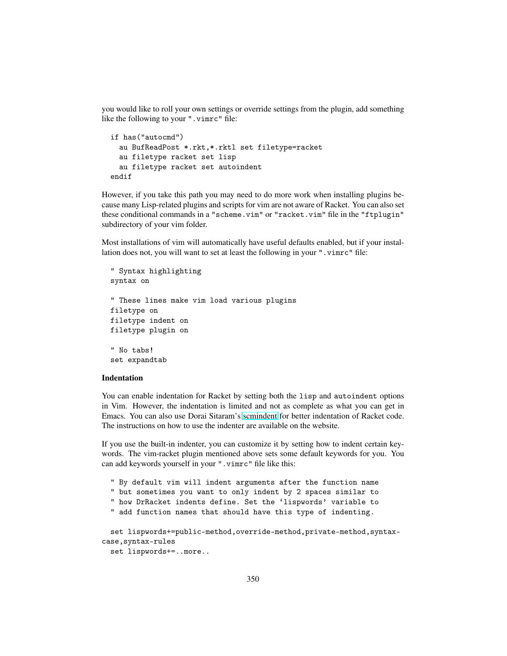you would like to roll your own settings or override settings from the plugin, add something like the following to your ".vimrc" file:

```
if has("autocmd")
 au BufReadPost *.rkt,*.rktl set filetype=racket
  au filetype racket set lisp
  au filetype racket set autoindent
endif
```
However, if you take this path you may need to do more work when installing plugins because many Lisp-related plugins and scripts for vim are not aware of Racket. You can also set these conditional commands in a "scheme.vim" or "racket.vim" file in the "ftplugin" subdirectory of your vim folder.

Most installations of vim will automatically have useful defaults enabled, but if your installation does not, you will want to set at least the following in your ".vimrc" file:

```
" Syntax highlighting
syntax on
" These lines make vim load various plugins
filetype on
filetype indent on
filetype plugin on
" No tabs!
set expandtab
```
#### Indentation

You can enable indentation for Racket by setting both the lisp and autoindent options in Vim. However, the indentation is limited and not as complete as what you can get in Emacs. You can also use Dorai Sitaram's [scmindent](http://evalwhen.com/scmindent/index.html) for better indentation of Racket code. The instructions on how to use the indenter are available on the website.

If you use the built-in indenter, you can customize it by setting how to indent certain keywords. The vim-racket plugin mentioned above sets some default keywords for you. You can add keywords yourself in your ".vimrc" file like this:

- " By default vim will indent arguments after the function name
- " but sometimes you want to only indent by 2 spaces similar to
- " how DrRacket indents define. Set the 'lispwords' variable to
- " add function names that should have this type of indenting.

set lispwords+=public-method,override-method,private-method,syntaxcase,syntax-rules

set lispwords+=..more..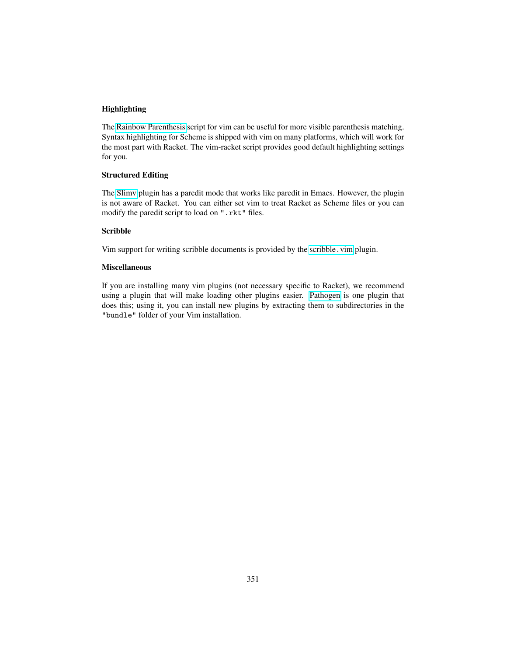### Highlighting

The [Rainbow Parenthesis](http://www.vim.org/scripts/script.php?script_id=1230) script for vim can be useful for more visible parenthesis matching. Syntax highlighting for Scheme is shipped with vim on many platforms, which will work for the most part with Racket. The vim-racket script provides good default highlighting settings for you.

### Structured Editing

The [Slimv](http://www.vim.org/scripts/script.php?script_id=2531) plugin has a paredit mode that works like paredit in Emacs. However, the plugin is not aware of Racket. You can either set vim to treat Racket as Scheme files or you can modify the paredit script to load on ".rkt" files.

### Scribble

Vim support for writing scribble documents is provided by the [scribble](http://www.vim.org/scripts/script.php?script_id=3756).vim plugin.

### Miscellaneous

If you are installing many vim plugins (not necessary specific to Racket), we recommend using a plugin that will make loading other plugins easier. [Pathogen](http://www.vim.org/scripts/script.php?script_id=2332) is one plugin that does this; using it, you can install new plugins by extracting them to subdirectories in the "bundle" folder of your Vim installation.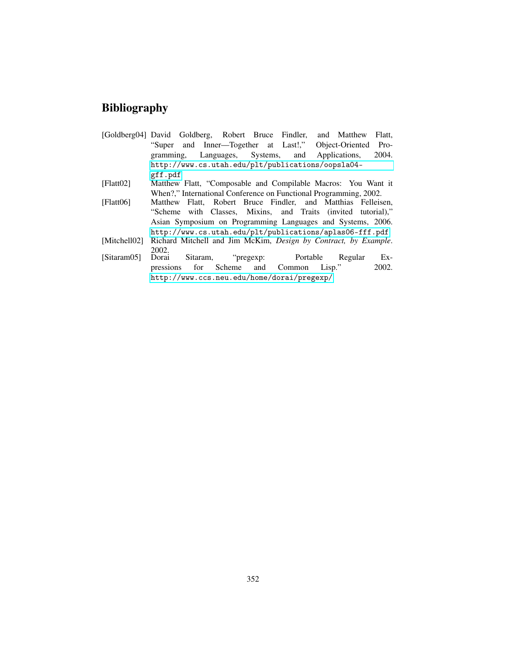# Bibliography

- [Goldberg04] David Goldberg, Robert Bruce Findler, and Matthew Flatt, "Super and Inner—Together at Last!," Object-Oriented Programming, Languages, Systems, and Applications, 2004. [http://www.cs.utah.edu/plt/publications/oopsla04](http://www.cs.utah.edu/plt/publications/oopsla04-gff.pdf) [gff.pdf](http://www.cs.utah.edu/plt/publications/oopsla04-gff.pdf)
- [Flatt02] Matthew Flatt, "Composable and Compilable Macros: You Want it When?," International Conference on Functional Programming, 2002.
- [Flatt06] Matthew Flatt, Robert Bruce Findler, and Matthias Felleisen, "Scheme with Classes, Mixins, and Traits (invited tutorial)," Asian Symposium on Programming Languages and Systems, 2006. <http://www.cs.utah.edu/plt/publications/aplas06-fff.pdf>
- [Mitchell02] Richard Mitchell and Jim McKim, *Design by Contract, by Example*. 2002.<br>Dorai
- [Sitaram05] Dorai Sitaram, "pregexp: Portable Regular Expressions for Scheme and Common Lisp." 2002. <http://www.ccs.neu.edu/home/dorai/pregexp/>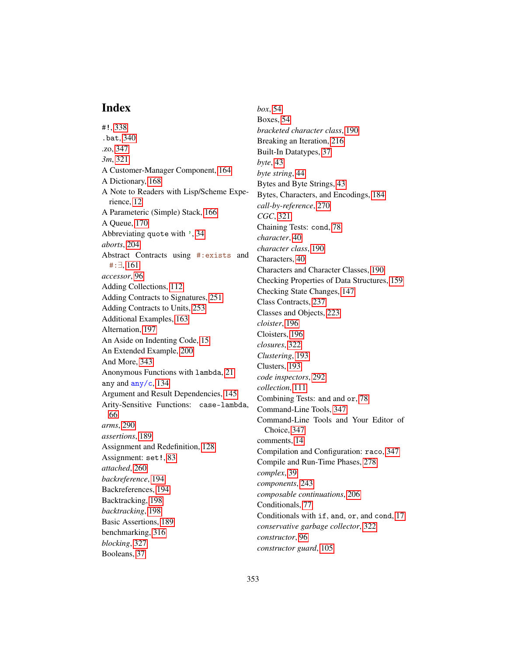# Index

#!, [338](#page-337-0) .bat, [340](#page-339-0) .zo, [347](#page-346-0) *3m*, [321](#page-320-0) A Customer-Manager Component, [164](#page-163-0) A Dictionary, [168](#page-167-0) A Note to Readers with Lisp/Scheme Experience, [12](#page-11-0) A Parameteric (Simple) Stack, [166](#page-165-0) A Queue, [170](#page-169-0) Abbreviating quote with ', [34](#page-33-0) *aborts*, [204](#page-203-0) Abstract Contracts using #:exists and #:∃, [161](#page-160-0) *accessor*, [96](#page-95-0) Adding Collections, [112](#page-111-0) Adding Contracts to Signatures, [251](#page-250-0) Adding Contracts to Units, [253](#page-252-0) Additional Examples, [163](#page-162-0) Alternation, [197](#page-196-0) An Aside on Indenting Code, [15](#page-14-0) An Extended Example, [200](#page-199-0) And More, [343](#page-342-0) Anonymous Functions with lambda, [21](#page-20-0) any and  $\frac{any}{c}$ , [134](#page-133-0) Argument and Result Dependencies, [145](#page-144-0) Arity-Sensitive Functions: case-lambda, [66](#page-65-0) *arms*, [290](#page-288-0) *assertions*, [189](#page-188-0) Assignment and Redefinition, [128](#page-127-0) Assignment: set!, [83](#page-82-0) *attached*, [260](#page-259-0) *backreference*, [194](#page-193-0) Backreferences, [194](#page-193-0) Backtracking, [198](#page-197-0) *backtracking*, [198](#page-197-0) Basic Assertions, [189](#page-188-0) benchmarking, [316](#page-315-0) *blocking*, [327](#page-324-0) Booleans, [37](#page-36-0)

*box*, [54](#page-53-0) Boxes, [54](#page-53-0) *bracketed character class*, [190](#page-189-0) Breaking an Iteration, [216](#page-215-0) Built-In Datatypes, [37](#page-36-1) *byte*, [43](#page-42-0) *byte string*, [44](#page-42-0) Bytes and Byte Strings, [43](#page-42-0) Bytes, Characters, and Encodings, [184](#page-183-0) *call-by-reference*, [270](#page-269-0) *CGC*, [321](#page-320-0) Chaining Tests: cond, [78](#page-77-0) *character*, [40](#page-39-0) *character class*, [190](#page-189-0) Characters, [40](#page-39-0) Characters and Character Classes, [190](#page-189-0) Checking Properties of Data Structures, [159](#page-158-0) Checking State Changes, [147](#page-146-0) Class Contracts, [237](#page-236-0) Classes and Objects, [223](#page-222-0) *cloister*, [196](#page-195-0) Cloisters, [196](#page-195-0) *closures*, [322](#page-320-0) *Clustering*, [193](#page-192-0) Clusters, [193](#page-192-0) *code inspectors*, [292](#page-288-0) *collection*, [111](#page-110-0) Combining Tests: and and or, [78](#page-77-1) Command-Line Tools, [347](#page-346-1) Command-Line Tools and Your Editor of Choice, [347](#page-346-2) comments, [14](#page-12-0) Compilation and Configuration: raco, [347](#page-346-0) Compile and Run-Time Phases, [278](#page-277-0) *complex*, [39](#page-36-2) *components*, [243](#page-242-0) *composable continuations*, [206](#page-204-0) Conditionals, [77](#page-76-0) Conditionals with if, and, or, and cond, [17](#page-16-0) *conservative garbage collector*, [322](#page-320-0) *constructor*, [96](#page-95-0) *constructor guard*, [105](#page-102-0)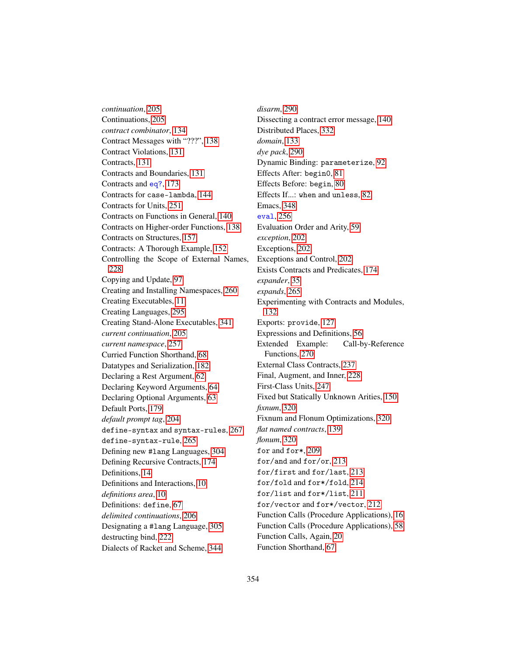*continuation*, [205](#page-204-0) Continuations, [205](#page-204-0) *contract combinator*, [134](#page-132-0) Contract Messages with "???", [138](#page-137-0) Contract Violations, [131](#page-130-0) Contracts, [131](#page-130-1) Contracts and Boundaries, [131](#page-130-2) Contracts and eq?, [173](#page-172-0) Contracts for case-lambda, [144](#page-143-0) Contracts for Units, [251](#page-250-1) Contracts on Functions in General, [140](#page-139-0) Contracts on Higher-order Functions, [138](#page-137-1) Contracts on Structures, [157](#page-156-0) Contracts: A Thorough Example, [152](#page-151-0) Controlling the Scope of External Names, [228](#page-227-0) Copying and Update, [97](#page-96-0) Creating and Installing Namespaces, [260](#page-259-0) Creating Executables, [11](#page-10-0) Creating Languages, [295](#page-294-0) Creating Stand-Alone Executables, [341](#page-340-0) *current continuation*, [205](#page-204-0) *current namespace*, [257](#page-256-0) Curried Function Shorthand, [68](#page-67-0) Datatypes and Serialization, [182](#page-181-0) Declaring a Rest Argument, [62](#page-61-0) Declaring Keyword Arguments, [64](#page-63-0) Declaring Optional Arguments, [63](#page-62-0) Default Ports, [179](#page-178-0) *default prompt tag*, [204](#page-203-0) define-syntax and syntax-rules, [267](#page-266-0) define-syntax-rule, [265](#page-264-0) Defining new #lang Languages, [304](#page-303-0) Defining Recursive Contracts, [174](#page-173-0) Definitions, [14](#page-13-0) Definitions and Interactions, [10](#page-9-0) *definitions area*, [10](#page-9-0) Definitions: define, [67](#page-66-0) *delimited continuations*, [206](#page-204-0) Designating a #lang Language, [305](#page-304-0) destructing bind, [222](#page-219-0) Dialects of Racket and Scheme, [344](#page-343-0)

*disarm*, [290](#page-288-0) Dissecting a contract error message, [140](#page-139-1) Distributed Places, [332](#page-331-0) *domain*, [133](#page-132-0) *dye pack*, [290](#page-288-0) Dynamic Binding: parameterize, [92](#page-91-0) Effects After: begin0, [81](#page-80-0) Effects Before: begin, [80](#page-79-0) Effects If...: when and unless, [82](#page-81-0) Emacs, [348](#page-347-0) eval, [256](#page-255-0) Evaluation Order and Arity, [59](#page-58-0) *exception*, [202](#page-201-0) Exceptions, [202](#page-201-0) Exceptions and Control, [202](#page-201-1) Exists Contracts and Predicates, [174](#page-173-1) *expander*, [35](#page-34-0) *expands*, [265](#page-264-1) Experimenting with Contracts and Modules, [132](#page-131-0) Exports: provide, [127](#page-126-0) Expressions and Definitions, [56](#page-55-0) Extended Example: Call-by-Reference Functions, [270](#page-269-0) External Class Contracts, [237](#page-236-1) Final, Augment, and Inner, [228](#page-227-1) First-Class Units, [247](#page-246-0) Fixed but Statically Unknown Arities, [150](#page-149-0) *fixnum*, [320](#page-319-0) Fixnum and Flonum Optimizations, [320](#page-319-0) *flat named contracts*, [139](#page-137-0) *flonum*, [320](#page-319-0) for and for\*, [209](#page-208-0) for/and and for/or, [213](#page-212-0) for/first and for/last, [213](#page-212-1) for/fold and for\*/fold, [214](#page-213-0) for/list and for\*/list, [211](#page-210-0) for/vector and for\*/vector, [212](#page-211-0) Function Calls (Procedure Applications), [16](#page-15-0) Function Calls (Procedure Applications), [58](#page-57-0) Function Calls, Again, [20](#page-19-0) Function Shorthand, [67](#page-66-1)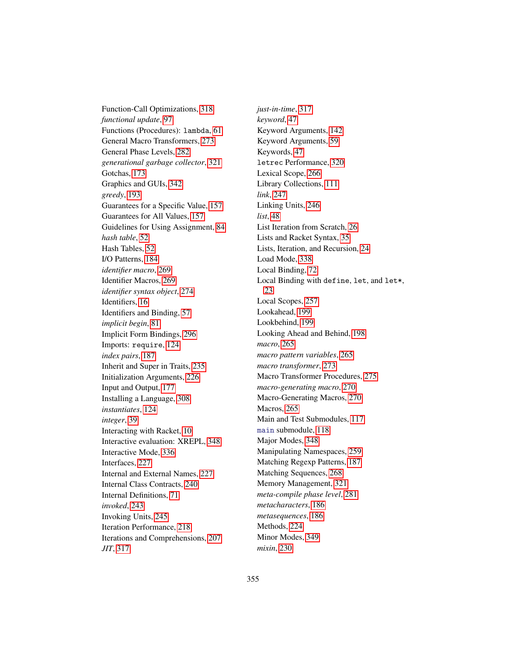Function-Call Optimizations, [318](#page-317-0) *functional update*, [97](#page-96-0) Functions (Procedures): lambda, [61](#page-60-0) General Macro Transformers, [273](#page-272-0) General Phase Levels, [282](#page-281-0) *generational garbage collector*, [321](#page-320-0) Gotchas, [173](#page-172-1) Graphics and GUIs, [342](#page-341-0) *greedy*, [193](#page-191-0) Guarantees for a Specific Value, [157](#page-156-1) Guarantees for All Values, [157](#page-156-2) Guidelines for Using Assignment, [84](#page-83-0) *hash table*, [52](#page-51-0) Hash Tables, [52](#page-51-0) I/O Patterns, [184](#page-183-1) *identifier macro*, [269](#page-268-0) Identifier Macros, [269](#page-268-0) *identifier syntax object*, [274](#page-272-1) Identifiers, [16](#page-15-1) Identifiers and Binding, [57](#page-56-0) *implicit begin*, [81](#page-79-0) Implicit Form Bindings, [296](#page-295-0) Imports: require, [124](#page-123-0) *index pairs*, [187](#page-186-0) Inherit and Super in Traits, [235](#page-234-0) Initialization Arguments, [226](#page-225-0) Input and Output, [177](#page-176-0) Installing a Language, [308](#page-307-0) *instantiates*, [124](#page-123-0) *integer*, [39](#page-36-2) Interacting with Racket, [10](#page-9-1) Interactive evaluation: XREPL, [348](#page-347-1) Interactive Mode, [336](#page-335-0) Interfaces, [227](#page-226-0) Internal and External Names, [227](#page-226-1) Internal Class Contracts, [240](#page-239-0) Internal Definitions, [71](#page-70-0) *invoked*, [243](#page-242-0) Invoking Units, [245](#page-244-0) Iteration Performance, [218](#page-217-0) Iterations and Comprehensions, [207](#page-206-0) *JIT*, [317](#page-315-1)

*just-in-time*, [317](#page-315-1) *keyword*, [47](#page-46-0) Keyword Arguments, [142](#page-141-0) Keyword Arguments, [59](#page-58-1) Keywords, [47](#page-46-0) letrec Performance, [320](#page-319-1) Lexical Scope, [266](#page-265-0) Library Collections, [111](#page-110-0) *link*, [247](#page-245-0) Linking Units, [246](#page-245-0) *list*, [48](#page-47-0) List Iteration from Scratch, [26](#page-25-0) Lists and Racket Syntax, [35](#page-34-0) Lists, Iteration, and Recursion, [24](#page-23-0) Load Mode, [338](#page-337-1) Local Binding, [72](#page-71-0) Local Binding with define, let, and let\*, [23](#page-22-0) Local Scopes, [257](#page-256-1) Lookahead, [199](#page-198-0) Lookbehind, [199](#page-198-1) Looking Ahead and Behind, [198](#page-197-1) *macro*, [265](#page-264-1) *macro pattern variables*, [265](#page-264-0) *macro transformer*, [273](#page-272-0) Macro Transformer Procedures, [275](#page-274-0) *macro-generating macro*, [270](#page-269-1) Macro-Generating Macros, [270](#page-269-1) Macros, [265](#page-264-1) Main and Test Submodules, [117](#page-116-0) main submodule, [118](#page-116-0) Major Modes, [348](#page-347-2) Manipulating Namespaces, [259](#page-258-0) Matching Regexp Patterns, [187](#page-186-0) Matching Sequences, [268](#page-267-0) Memory Management, [321](#page-320-0) *meta-compile phase level*, [281](#page-277-0) *metacharacters*, [186](#page-185-0) *metasequences*, [186](#page-185-0) Methods, [224](#page-223-0) Minor Modes, [349](#page-348-0) *mixin*, [230](#page-229-0)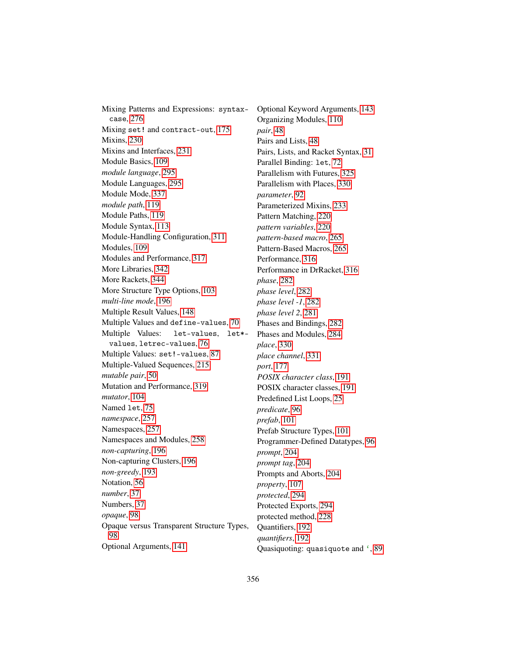Mixing Patterns and Expressions: syntaxcase, [276](#page-275-0) Mixing set! and contract-out, [175](#page-174-0) Mixins, [230](#page-229-0) Mixins and Interfaces, [231](#page-230-0) Module Basics, [109](#page-108-0) *module language*, [295](#page-294-1) Module Languages, [295](#page-294-1) Module Mode, [337](#page-336-0) *module path*, [119](#page-118-0) Module Paths, [119](#page-118-0) Module Syntax, [113](#page-112-0) Module-Handling Configuration, [311](#page-310-0) Modules, [109](#page-108-1) Modules and Performance, [317](#page-316-0) More Libraries, [342](#page-341-1) More Rackets, [344](#page-343-1) More Structure Type Options, [103](#page-102-0) *multi-line mode*, [196](#page-195-0) Multiple Result Values, [148](#page-147-0) Multiple Values and define-values, [70](#page-69-0) Multiple Values: let-values, let\* values, letrec-values, [76](#page-75-0) Multiple Values: set!-values, [87](#page-86-0) Multiple-Valued Sequences, [215](#page-214-0) *mutable pair*, [50](#page-47-0) Mutation and Performance, [319](#page-318-0) *mutator*, [104](#page-102-0) Named let, [75](#page-74-0) *namespace*, [257](#page-256-0) Namespaces, [257](#page-256-0) Namespaces and Modules, [258](#page-257-0) *non-capturing*, [196](#page-195-1) Non-capturing Clusters, [196](#page-195-1) *non-greedy*, [193](#page-191-0) Notation, [56](#page-55-1) *number*, [37](#page-36-2) Numbers, [37](#page-36-2) *opaque*, [98](#page-97-0) Opaque versus Transparent Structure Types, [98](#page-97-0) Optional Arguments, [141](#page-140-0)

Optional Keyword Arguments, [143](#page-142-0) Organizing Modules, [110](#page-109-0) *pair*, [48](#page-47-0) Pairs and Lists, [48](#page-47-0) Pairs, Lists, and Racket Syntax, [31](#page-30-0) Parallel Binding: let, [72](#page-71-1) Parallelism with Futures, [325](#page-324-0) Parallelism with Places, [330](#page-329-0) *parameter*, [92](#page-91-0) Parameterized Mixins, [233](#page-232-0) Pattern Matching, [220](#page-219-0) *pattern variables*, [220](#page-219-0) *pattern-based macro*, [265](#page-264-2) Pattern-Based Macros, [265](#page-264-2) Performance, [316](#page-315-0) Performance in DrRacket, [316](#page-315-2) *phase*, [282](#page-281-0) *phase level*, [282](#page-281-0) *phase level -1*, [282](#page-277-0) *phase level 2*, [281](#page-277-0) Phases and Bindings, [282](#page-281-0) Phases and Modules, [284](#page-281-0) *place*, [330](#page-329-0) *place channel*, [331](#page-329-0) *port*, [177](#page-176-0) *POSIX character class*, [191](#page-190-0) POSIX character classes, [191](#page-190-0) Predefined List Loops, [25](#page-24-0) *predicate*, [96](#page-95-0) *prefab*, [101](#page-100-0) Prefab Structure Types, [101](#page-100-0) Programmer-Defined Datatypes, [96](#page-95-1) *prompt*, [204](#page-203-0) *prompt tag*, [204](#page-203-0) Prompts and Aborts, [204](#page-203-0) *property*, [107](#page-102-0) *protected*, [294](#page-288-0) Protected Exports, [294](#page-288-0) protected method, [228](#page-227-0) Quantifiers, [192](#page-191-0) *quantifiers*, [192](#page-191-0) Quasiquoting: quasiquote and ', [89](#page-88-0)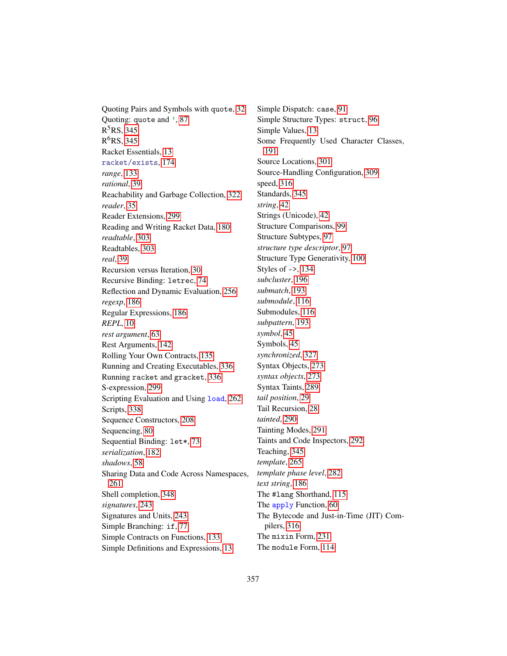Quoting Pairs and Symbols with quote, [32](#page-31-0) Quoting: quote and ', [87](#page-86-1) R <sup>5</sup>RS, [345](#page-344-0)  $R^6RS$ , [345](#page-344-1) Racket Essentials, [13](#page-12-1) racket/exists, [174](#page-173-1) *range*, [133](#page-132-0) *rational*, [39](#page-36-2) Reachability and Garbage Collection, [322](#page-321-0) *reader*, [35](#page-34-0) Reader Extensions, [299](#page-298-0) Reading and Writing Racket Data, [180](#page-179-0) *readtable*, [303](#page-302-0) Readtables, [303](#page-302-0) *real*, [39](#page-36-2) Recursion versus Iteration, [30](#page-29-0) Recursive Binding: letrec, [74](#page-73-0) Reflection and Dynamic Evaluation, [256](#page-255-1) *regexp*, [186](#page-185-1) Regular Expressions, [186](#page-185-1) *REPL*, [10](#page-9-1) *rest argument*, [63](#page-61-0) Rest Arguments, [142](#page-141-1) Rolling Your Own Contracts, [135](#page-134-0) Running and Creating Executables, [336](#page-335-1) Running racket and gracket, [336](#page-335-2) S-expression, [299](#page-297-0) Scripting Evaluation and Using load, [262](#page-261-0) Scripts, [338](#page-337-2) Sequence Constructors, [208](#page-207-0) Sequencing, [80](#page-79-1) Sequential Binding: let\*, [73](#page-72-0) *serialization*, [182](#page-181-0) *shadows*, [58](#page-56-0) Sharing Data and Code Across Namespaces, [261](#page-260-0) Shell completion, [348](#page-347-3) *signatures*, [243](#page-242-1) Signatures and Units, [243](#page-242-1) Simple Branching: if, [77](#page-76-1) Simple Contracts on Functions, [133](#page-132-0) Simple Definitions and Expressions, [13](#page-12-0)

Simple Dispatch: case, [91](#page-90-0) Simple Structure Types: struct, [96](#page-95-0) Simple Values, [13](#page-12-2) Some Frequently Used Character Classes, [191](#page-190-1) Source Locations, [301](#page-300-0) Source-Handling Configuration, [309](#page-308-0) speed, [316](#page-315-0) Standards, [345](#page-344-2) *string*, [42](#page-41-0) Strings (Unicode), [42](#page-41-0) Structure Comparisons, [99](#page-98-0) Structure Subtypes, [97](#page-96-1) *structure type descriptor*, [97](#page-95-0) Structure Type Generativity, [100](#page-99-0) Styles of ->, [134](#page-133-1) *subcluster*, [196](#page-195-0) *submatch*, [193](#page-192-0) *submodule*, [116](#page-115-0) Submodules, [116](#page-115-0) *subpattern*, [193](#page-192-0) *symbol*, [45](#page-44-0) Symbols, [45](#page-44-0) *synchronized*, [327](#page-324-0) Syntax Objects, [273](#page-272-1) *syntax objects*, [273](#page-272-1) Syntax Taints, [289](#page-288-0) *tail position*, [29](#page-27-0) Tail Recursion, [28](#page-27-0) *tainted*, [290](#page-288-0) Tainting Modes, [291](#page-288-0) Taints and Code Inspectors, [292](#page-288-0) Teaching, [345](#page-344-3) *template*, [265](#page-264-0) *template phase level*, [282](#page-277-0) *text string*, [186](#page-185-1) The #lang Shorthand, [115](#page-114-0) The apply Function, [60](#page-59-0) The Bytecode and Just-in-Time (JIT) Compilers, [316](#page-315-1) The mixin Form, [231](#page-230-1) The module Form, [114](#page-113-0)